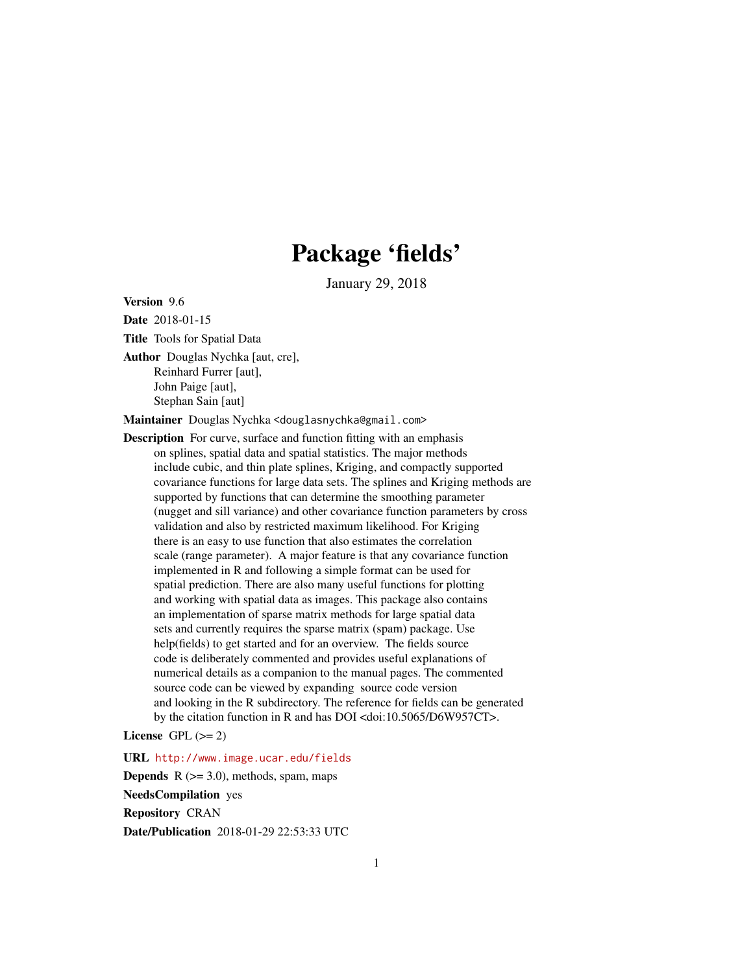# Package 'fields'

January 29, 2018

Version 9.6

Date 2018-01-15

Title Tools for Spatial Data

Author Douglas Nychka [aut, cre],

Reinhard Furrer [aut], John Paige [aut], Stephan Sain [aut]

Maintainer Douglas Nychka <douglasnychka@gmail.com>

Description For curve, surface and function fitting with an emphasis on splines, spatial data and spatial statistics. The major methods include cubic, and thin plate splines, Kriging, and compactly supported covariance functions for large data sets. The splines and Kriging methods are supported by functions that can determine the smoothing parameter (nugget and sill variance) and other covariance function parameters by cross validation and also by restricted maximum likelihood. For Kriging there is an easy to use function that also estimates the correlation scale (range parameter). A major feature is that any covariance function implemented in R and following a simple format can be used for spatial prediction. There are also many useful functions for plotting and working with spatial data as images. This package also contains an implementation of sparse matrix methods for large spatial data sets and currently requires the sparse matrix (spam) package. Use help(fields) to get started and for an overview. The fields source code is deliberately commented and provides useful explanations of numerical details as a companion to the manual pages. The commented source code can be viewed by expanding source code version and looking in the R subdirectory. The reference for fields can be generated by the citation function in R and has DOI <doi:10.5065/D6W957CT>.

License GPL  $(>= 2)$ 

URL <http://www.image.ucar.edu/fields>

**Depends**  $R$  ( $>= 3.0$ ), methods, spam, maps NeedsCompilation yes Repository CRAN

Date/Publication 2018-01-29 22:53:33 UTC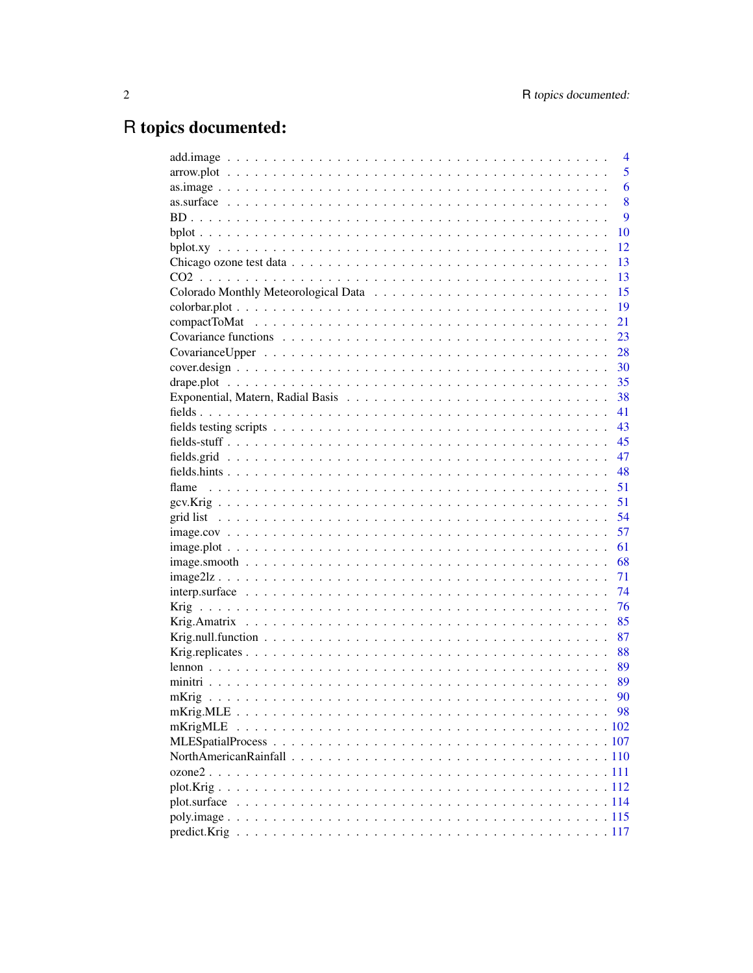# R topics documented:

|                                                                                                                              | $\overline{4}$ |
|------------------------------------------------------------------------------------------------------------------------------|----------------|
|                                                                                                                              | 5              |
|                                                                                                                              | 6              |
|                                                                                                                              | 8              |
|                                                                                                                              | 9              |
|                                                                                                                              | 10             |
|                                                                                                                              | 12             |
|                                                                                                                              | 13             |
|                                                                                                                              | 13             |
| 15                                                                                                                           |                |
|                                                                                                                              | 19             |
| 21                                                                                                                           |                |
| 23                                                                                                                           |                |
| 28                                                                                                                           |                |
| 30                                                                                                                           |                |
| 35                                                                                                                           |                |
| 38                                                                                                                           |                |
| 41                                                                                                                           |                |
| 43                                                                                                                           |                |
| 45                                                                                                                           |                |
| 47                                                                                                                           |                |
| 48                                                                                                                           |                |
| 51                                                                                                                           |                |
| 51                                                                                                                           |                |
| 54                                                                                                                           |                |
| 57                                                                                                                           |                |
| 61                                                                                                                           |                |
| 68<br>$image.s \text{model} \dots \dots \dots \dots \dots \dots \dots \dots \dots \dots \dots \dots \dots \dots \dots \dots$ |                |
| 71                                                                                                                           |                |
| 74                                                                                                                           |                |
| 76                                                                                                                           |                |
| 85                                                                                                                           |                |
| 87                                                                                                                           |                |
| 88                                                                                                                           |                |
| 89                                                                                                                           |                |
| 89                                                                                                                           |                |
| 90                                                                                                                           |                |
| 98                                                                                                                           |                |
| mKrigMLE                                                                                                                     |                |
|                                                                                                                              |                |
|                                                                                                                              |                |
|                                                                                                                              |                |
|                                                                                                                              |                |
|                                                                                                                              |                |
|                                                                                                                              |                |
|                                                                                                                              |                |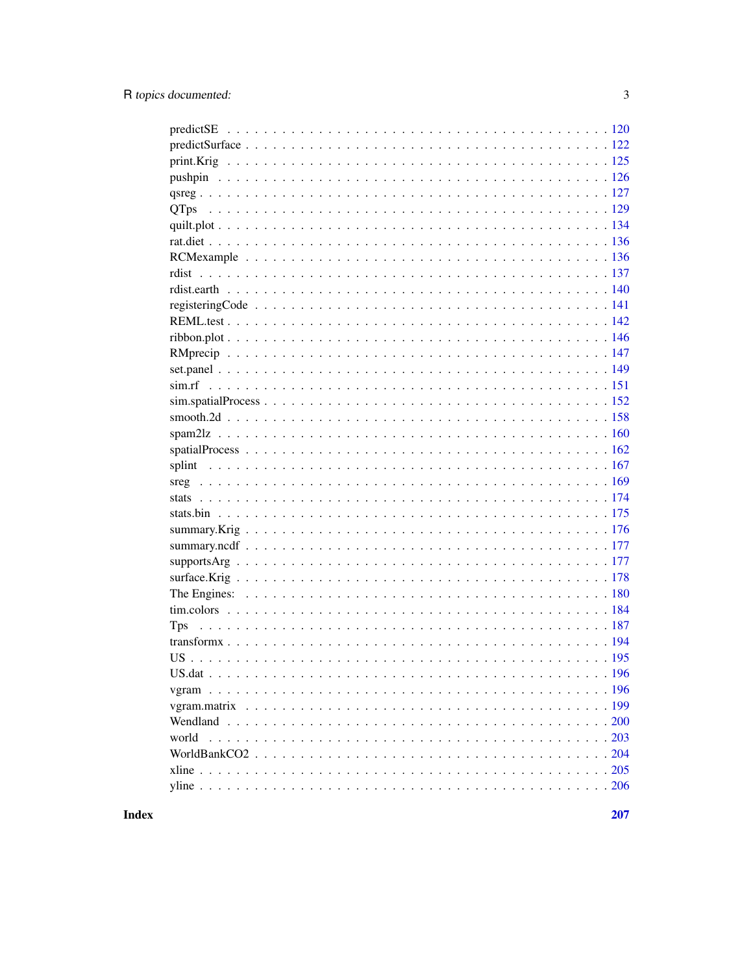| <b>Tps</b> |
|------------|
|            |
|            |
|            |
|            |
|            |
|            |
|            |
|            |
|            |
|            |
|            |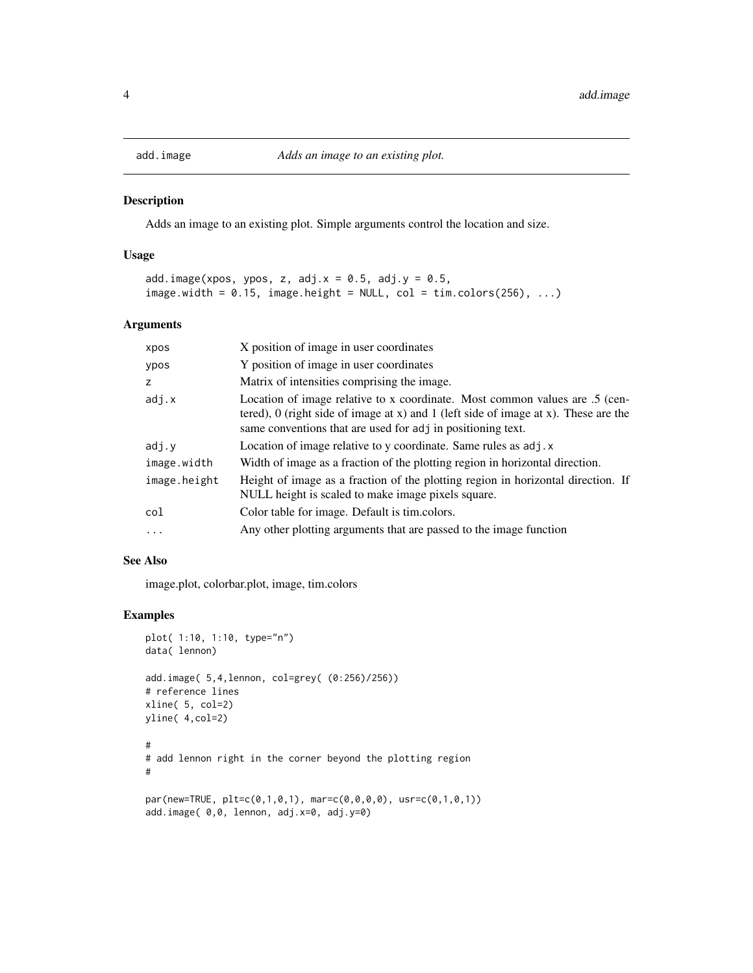<span id="page-3-0"></span>

#### Description

Adds an image to an existing plot. Simple arguments control the location and size.

#### Usage

```
add.image(xpos, ypos, z, adj.x = 0.5, adj.y = 0.5,
image. width = 0.15, image. height = NULL, col = tim. colors(256), ...
```
# Arguments

| X position of image in user coordinates                                                                                                                                                                                           |
|-----------------------------------------------------------------------------------------------------------------------------------------------------------------------------------------------------------------------------------|
| Y position of image in user coordinates                                                                                                                                                                                           |
| Matrix of intensities comprising the image.                                                                                                                                                                                       |
| Location of image relative to x coordinate. Most common values are .5 (cen-<br>tered), 0 (right side of image at x) and 1 (left side of image at x). These are the<br>same conventions that are used for adj in positioning text. |
| Location of image relative to y coordinate. Same rules as adj. x                                                                                                                                                                  |
| Width of image as a fraction of the plotting region in horizontal direction.                                                                                                                                                      |
| Height of image as a fraction of the plotting region in horizontal direction. If<br>NULL height is scaled to make image pixels square.                                                                                            |
| Color table for image. Default is tim.colors.                                                                                                                                                                                     |
| Any other plotting arguments that are passed to the image function                                                                                                                                                                |
|                                                                                                                                                                                                                                   |

### See Also

image.plot, colorbar.plot, image, tim.colors

```
plot( 1:10, 1:10, type="n")
data( lennon)
add.image( 5,4,lennon, col=grey( (0:256)/256))
# reference lines
xline( 5, col=2)
yline( 4,col=2)
#
# add lennon right in the corner beyond the plotting region
#
par(new=TRUE, plt=c(0,1,0,1), mar=c(0,0,0,0), usr=c(0,1,0,1))
add.image( 0,0, lennon, adj.x=0, adj.y=0)
```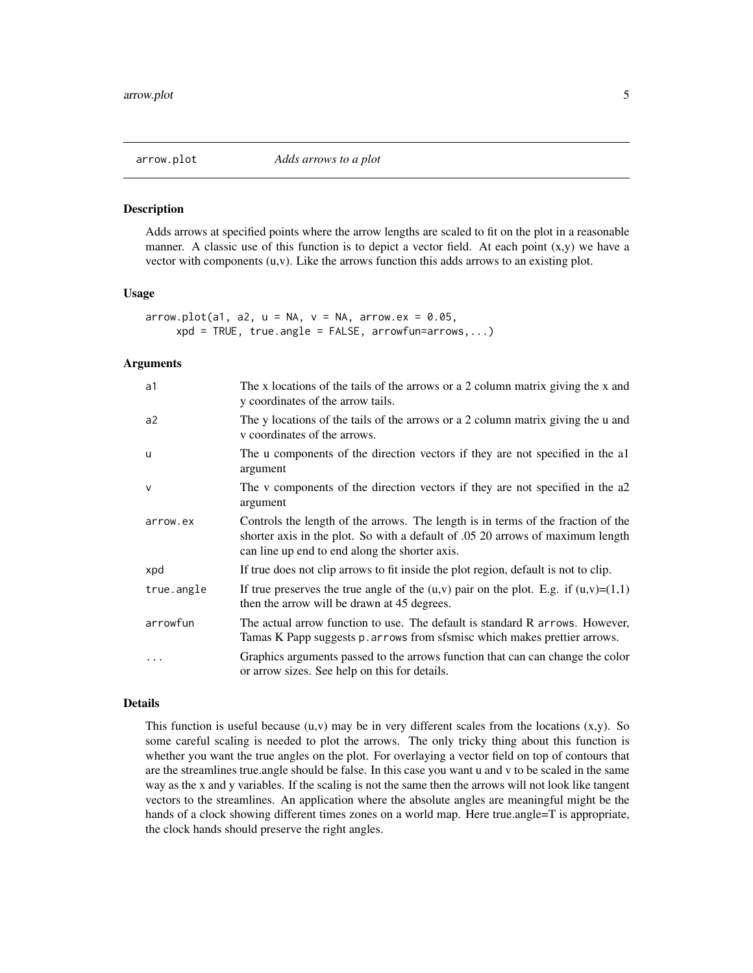<span id="page-4-0"></span>

### **Description**

Adds arrows at specified points where the arrow lengths are scaled to fit on the plot in a reasonable manner. A classic use of this function is to depict a vector field. At each point  $(x,y)$  we have a vector with components (u,v). Like the arrows function this adds arrows to an existing plot.

#### Usage

```
arrow.plot(a1, a2, u = NA, v = NA, arrow.ex = 0.05,
     xpd = TRUE, true. angle = FALSE, arrowfun=arrows,...)
```
# Arguments

| a1           | The x locations of the tails of the arrows or a 2 column matrix giving the x and<br>y coordinates of the arrow tails.                                                                                                |
|--------------|----------------------------------------------------------------------------------------------------------------------------------------------------------------------------------------------------------------------|
| a2           | The y locations of the tails of the arrows or a 2 column matrix giving the u and<br>v coordinates of the arrows.                                                                                                     |
| u            | The u components of the direction vectors if they are not specified in the al<br>argument                                                                                                                            |
| $\mathsf{v}$ | The v components of the direction vectors if they are not specified in the a2<br>argument                                                                                                                            |
| arrow.ex     | Controls the length of the arrows. The length is in terms of the fraction of the<br>shorter axis in the plot. So with a default of .05 20 arrows of maximum length<br>can line up end to end along the shorter axis. |
| xpd          | If true does not clip arrows to fit inside the plot region, default is not to clip.                                                                                                                                  |
| true.angle   | If true preserves the true angle of the $(u, v)$ pair on the plot. E.g. if $(u, v) = (1, 1)$<br>then the arrow will be drawn at 45 degrees.                                                                          |
| arrowfun     | The actual arrow function to use. The default is standard R arrows. However,<br>Tamas K Papp suggests p. arrows from sfsmisc which makes prettier arrows.                                                            |
| $\cdots$     | Graphics arguments passed to the arrows function that can can change the color<br>or arrow sizes. See help on this for details.                                                                                      |

#### Details

This function is useful because  $(u, v)$  may be in very different scales from the locations  $(x, y)$ . So some careful scaling is needed to plot the arrows. The only tricky thing about this function is whether you want the true angles on the plot. For overlaying a vector field on top of contours that are the streamlines true.angle should be false. In this case you want u and v to be scaled in the same way as the x and y variables. If the scaling is not the same then the arrows will not look like tangent vectors to the streamlines. An application where the absolute angles are meaningful might be the hands of a clock showing different times zones on a world map. Here true.angle=T is appropriate, the clock hands should preserve the right angles.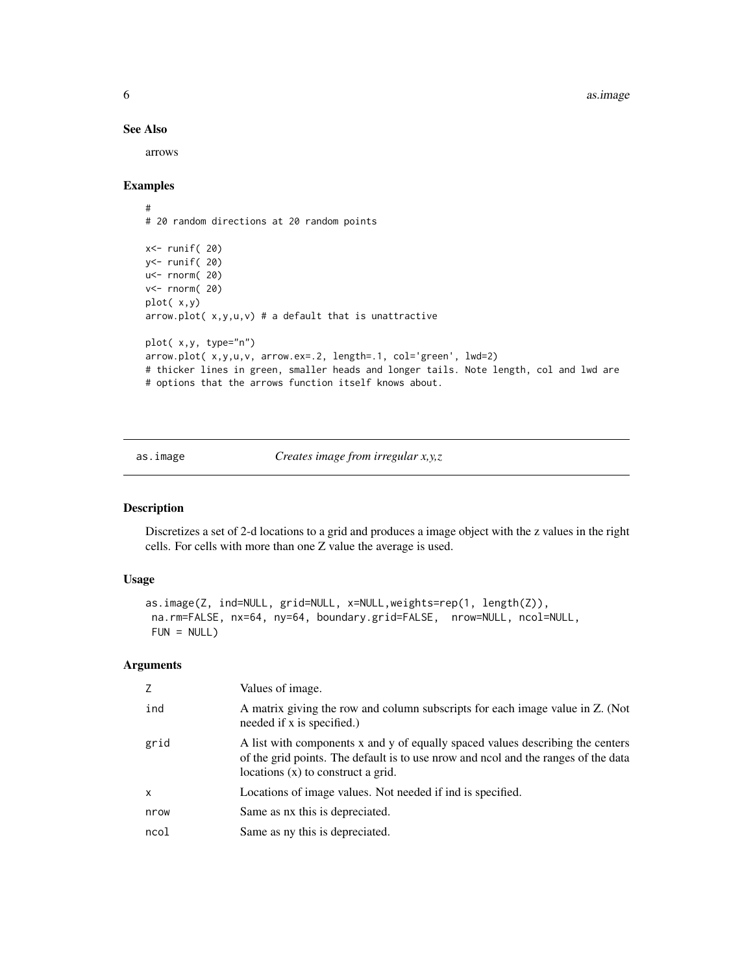**6 assumed as a support of the contract of the contract of the contract of the contract of the contract of the contract of the contract of the contract of the contract of the contract of the contract of the contract of t** 

### See Also

arrows

# Examples

```
#
# 20 random directions at 20 random points
x<- runif( 20)
y<- runif( 20)
u<- rnorm( 20)
v<- rnorm( 20)
plot( x,y)
arrow.plot(x,y,u,v) # a default that is unattractive
plot( x,y, type="n")
arrow.plot( x,y,u,v, arrow.ex=.2, length=.1, col='green', lwd=2)
# thicker lines in green, smaller heads and longer tails. Note length, col and lwd are
# options that the arrows function itself knows about.
```
as.image *Creates image from irregular x,y,z*

# Description

Discretizes a set of 2-d locations to a grid and produces a image object with the z values in the right cells. For cells with more than one Z value the average is used.

# Usage

```
as.image(Z, ind=NULL, grid=NULL, x=NULL,weights=rep(1, length(Z)),
na.rm=FALSE, nx=64, ny=64, boundary.grid=FALSE, nrow=NULL, ncol=NULL,
FUN = NULL
```
#### Arguments

| Z            | Values of image.                                                                                                                                                                                             |
|--------------|--------------------------------------------------------------------------------------------------------------------------------------------------------------------------------------------------------------|
| ind          | A matrix giving the row and column subscripts for each image value in Z. (Not<br>needed if x is specified.)                                                                                                  |
| grid         | A list with components x and y of equally spaced values describing the centers<br>of the grid points. The default is to use nrow and nool and the ranges of the data<br>locations $(x)$ to construct a grid. |
| $\mathsf{x}$ | Locations of image values. Not needed if ind is specified.                                                                                                                                                   |
| nrow         | Same as nx this is depreciated.                                                                                                                                                                              |
| ncol         | Same as ny this is depreciated.                                                                                                                                                                              |

<span id="page-5-0"></span>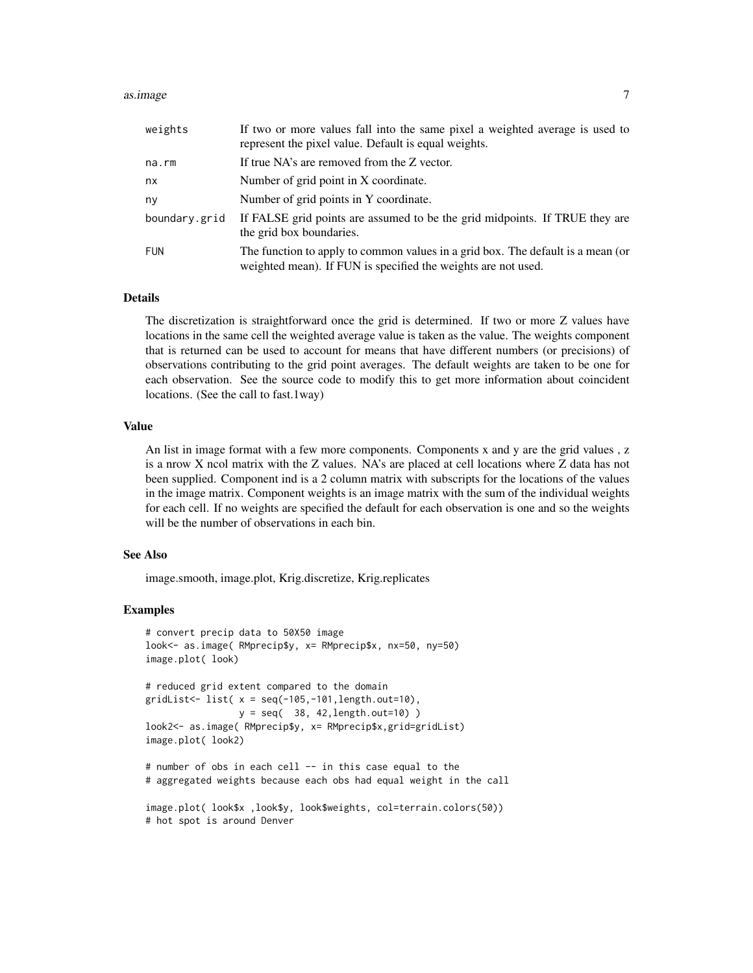#### as.image 7 as 2012 and 2012 and 2012 and 2012 and 2012 and 2012 and 2012 and 2012 and 2012 and 2012 and 2012 and 2012 and 2012 and 2012 and 2012 and 2012 and 2012 and 2012 and 2012 and 2012 and 2012 and 2012 and 2012 and 2

| weights       | If two or more values fall into the same pixel a weighted average is used to<br>represent the pixel value. Default is equal weights.             |
|---------------|--------------------------------------------------------------------------------------------------------------------------------------------------|
| na.rm         | If true NA's are removed from the Z vector.                                                                                                      |
| nx            | Number of grid point in X coordinate.                                                                                                            |
| ny            | Number of grid points in Y coordinate.                                                                                                           |
| boundary.grid | If FALSE grid points are assumed to be the grid midpoints. If TRUE they are<br>the grid box boundaries.                                          |
| <b>FUN</b>    | The function to apply to common values in a grid box. The default is a mean (or<br>weighted mean). If FUN is specified the weights are not used. |

# Details

The discretization is straightforward once the grid is determined. If two or more Z values have locations in the same cell the weighted average value is taken as the value. The weights component that is returned can be used to account for means that have different numbers (or precisions) of observations contributing to the grid point averages. The default weights are taken to be one for each observation. See the source code to modify this to get more information about coincident locations. (See the call to fast.1way)

# Value

An list in image format with a few more components. Components x and y are the grid values , z is a nrow X ncol matrix with the Z values. NA's are placed at cell locations where Z data has not been supplied. Component ind is a 2 column matrix with subscripts for the locations of the values in the image matrix. Component weights is an image matrix with the sum of the individual weights for each cell. If no weights are specified the default for each observation is one and so the weights will be the number of observations in each bin.

# See Also

image.smooth, image.plot, Krig.discretize, Krig.replicates

```
# convert precip data to 50X50 image
look<- as.image( RMprecip$y, x= RMprecip$x, nx=50, ny=50)
image.plot( look)
# reduced grid extent compared to the domain
gridList <- list(x = \text{seq}(-105, -101, \text{length}.\text{out}=10),
                 y = seq( 38, 42,length.out=10) )
look2<- as.image( RMprecip$y, x= RMprecip$x,grid=gridList)
image.plot( look2)
# number of obs in each cell -- in this case equal to the
# aggregated weights because each obs had equal weight in the call
image.plot( look$x ,look$y, look$weights, col=terrain.colors(50))
# hot spot is around Denver
```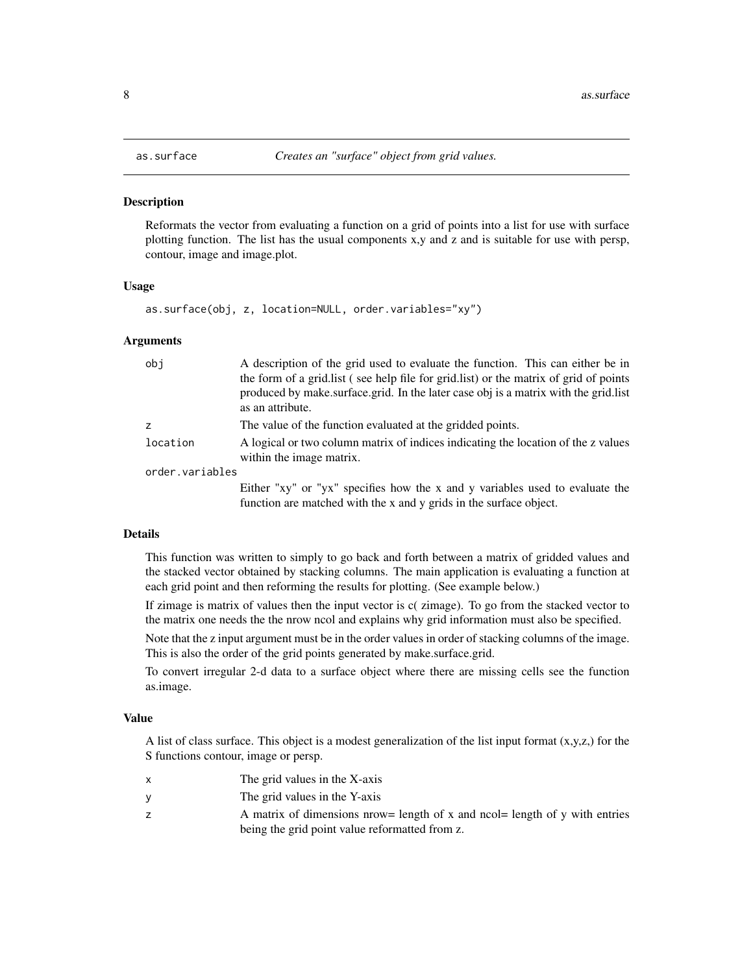<span id="page-7-0"></span>

# Description

Reformats the vector from evaluating a function on a grid of points into a list for use with surface plotting function. The list has the usual components x,y and z and is suitable for use with persp, contour, image and image.plot.

#### Usage

as.surface(obj, z, location=NULL, order.variables="xy")

#### Arguments

| obj             | A description of the grid used to evaluate the function. This can either be in                                |
|-----------------|---------------------------------------------------------------------------------------------------------------|
|                 | the form of a grid.list (see help file for grid.list) or the matrix of grid of points                         |
|                 | produced by make surface grid. In the later case obj is a matrix with the grid.list                           |
|                 | as an attribute.                                                                                              |
| Z               | The value of the function evaluated at the gridded points.                                                    |
| location        | A logical or two column matrix of indices indicating the location of the z values<br>within the image matrix. |
| order.variables |                                                                                                               |
|                 | Either "xy" or "yx" specifies how the x and y variables used to evaluate the                                  |
|                 | function are matched with the x and y grids in the surface object.                                            |

## Details

This function was written to simply to go back and forth between a matrix of gridded values and the stacked vector obtained by stacking columns. The main application is evaluating a function at each grid point and then reforming the results for plotting. (See example below.)

If zimage is matrix of values then the input vector is c( zimage). To go from the stacked vector to the matrix one needs the the nrow ncol and explains why grid information must also be specified.

Note that the z input argument must be in the order values in order of stacking columns of the image. This is also the order of the grid points generated by make.surface.grid.

To convert irregular 2-d data to a surface object where there are missing cells see the function as.image.

#### Value

A list of class surface. This object is a modest generalization of the list input format  $(x,y,z)$  for the S functions contour, image or persp.

- x The grid values in the X-axis
- y The grid values in the Y-axis
- z A matrix of dimensions nrow= length of x and ncol= length of y with entries being the grid point value reformatted from z.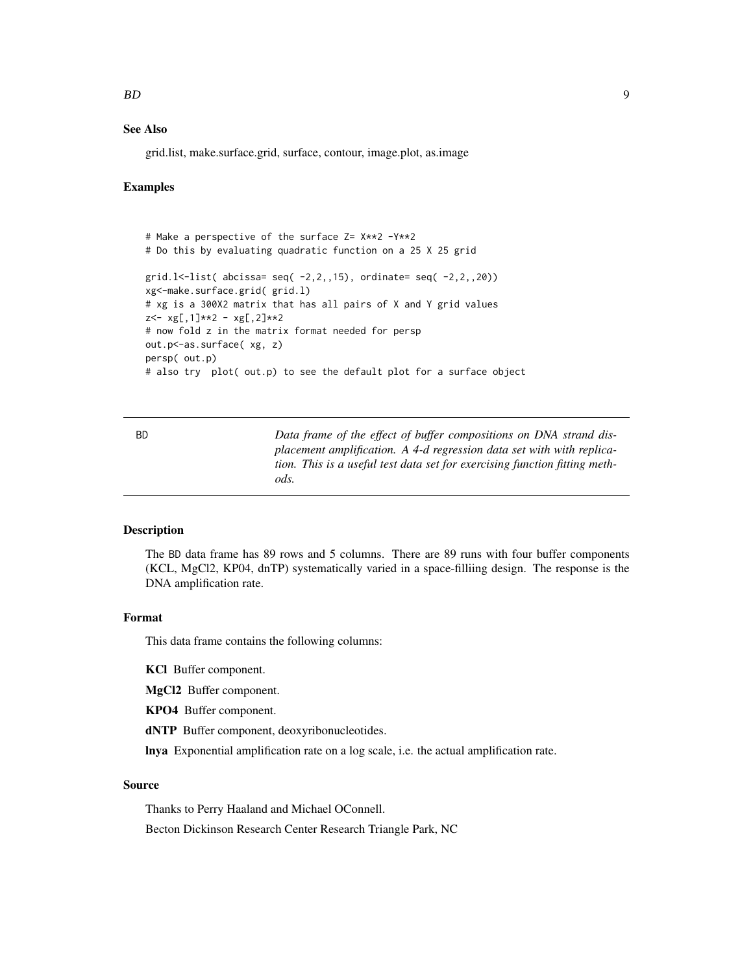#### <span id="page-8-0"></span>BD 9

# See Also

grid.list, make.surface.grid, surface, contour, image.plot, as.image

#### Examples

# Make a perspective of the surface Z= X\*\*2 -Y\*\*2 # Do this by evaluating quadratic function on a 25 X 25 grid grid.l<-list( abcissa= seq( -2,2,,15), ordinate= seq( -2,2,,20)) xg<-make.surface.grid( grid.l) # xg is a 300X2 matrix that has all pairs of X and Y grid values z<- xg[,1]\*\*2 - xg[,2]\*\*2 # now fold z in the matrix format needed for persp out.p <- as.surface(xg, z) persp( out.p) # also try plot( out.p) to see the default plot for a surface object

BD *Data frame of the effect of buffer compositions on DNA strand displacement amplification. A 4-d regression data set with with replication. This is a useful test data set for exercising function fitting methods.*

#### Description

The BD data frame has 89 rows and 5 columns. There are 89 runs with four buffer components (KCL, MgCl2, KP04, dnTP) systematically varied in a space-filliing design. The response is the DNA amplification rate.

#### Format

This data frame contains the following columns:

KCl Buffer component.

MgCl2 Buffer component.

KPO4 Buffer component.

dNTP Buffer component, deoxyribonucleotides.

lnya Exponential amplification rate on a log scale, i.e. the actual amplification rate.

# Source

Thanks to Perry Haaland and Michael OConnell.

Becton Dickinson Research Center Research Triangle Park, NC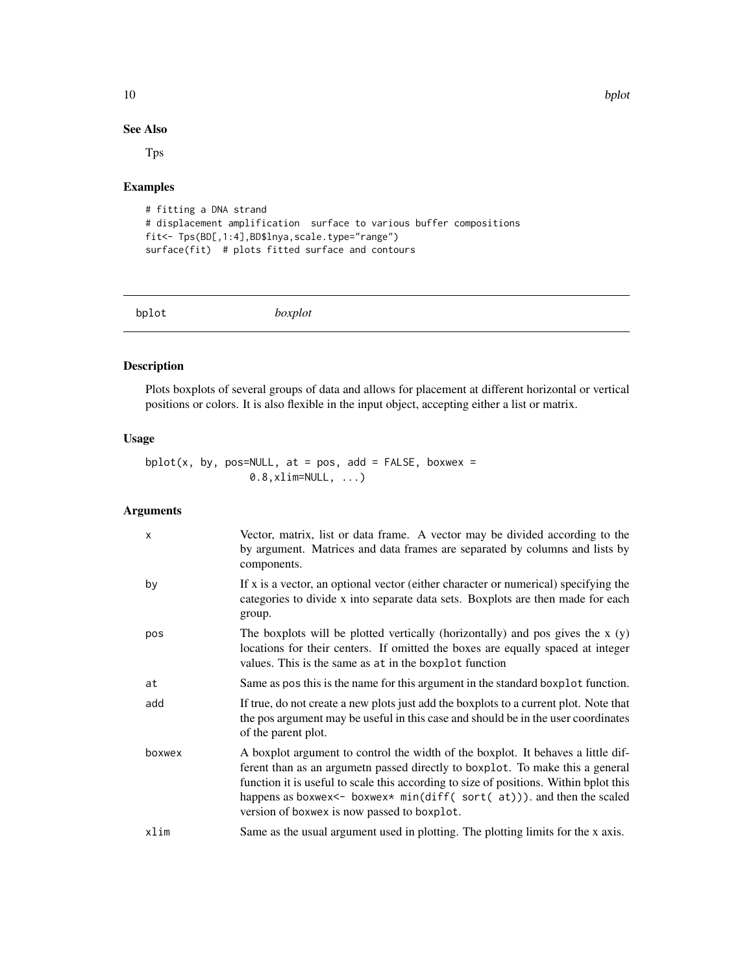#### 10 bplot below that the contract of the contract of the contract of the contract of the contract of the contract of the contract of the contract of the contract of the contract of the contract of the contract of the contra

# See Also

Tps

# Examples

```
# fitting a DNA strand
# displacement amplification surface to various buffer compositions
fit<- Tps(BD[,1:4],BD$lnya,scale.type="range")
surface(fit) # plots fitted surface and contours
```
bplot *boxplot*

# Description

Plots boxplots of several groups of data and allows for placement at different horizontal or vertical positions or colors. It is also flexible in the input object, accepting either a list or matrix.

# Usage

```
bplot(x, by, pos=NULL, at = pos, add = FALSE, boxwex =0.8,xlim=NULL, ...)
```
# Arguments

| $\boldsymbol{\mathsf{x}}$ | Vector, matrix, list or data frame. A vector may be divided according to the<br>by argument. Matrices and data frames are separated by columns and lists by<br>components.                                                                                                                                                                                                                     |
|---------------------------|------------------------------------------------------------------------------------------------------------------------------------------------------------------------------------------------------------------------------------------------------------------------------------------------------------------------------------------------------------------------------------------------|
| by                        | If x is a vector, an optional vector (either character or numerical) specifying the<br>categories to divide x into separate data sets. Boxplots are then made for each<br>group.                                                                                                                                                                                                               |
| pos                       | The boxplots will be plotted vertically (horizontally) and pos gives the $x(y)$<br>locations for their centers. If omitted the boxes are equally spaced at integer<br>values. This is the same as at in the boxplot function                                                                                                                                                                   |
| at                        | Same as pos this is the name for this argument in the standard boxplot function.                                                                                                                                                                                                                                                                                                               |
| add                       | If true, do not create a new plots just add the boxplots to a current plot. Note that<br>the pos argument may be useful in this case and should be in the user coordinates<br>of the parent plot.                                                                                                                                                                                              |
| boxwex                    | A boxplot argument to control the width of the boxplot. It behaves a little dif-<br>ferent than as an argumetn passed directly to boxplot. To make this a general<br>function it is useful to scale this according to size of positions. Within bplot this<br>happens as boxwex $\leq$ boxwex $\ast$ min(diff( sort( at))). and then the scaled<br>version of boxwex is now passed to boxplot. |
| xlim                      | Same as the usual argument used in plotting. The plotting limits for the x axis.                                                                                                                                                                                                                                                                                                               |

<span id="page-9-0"></span>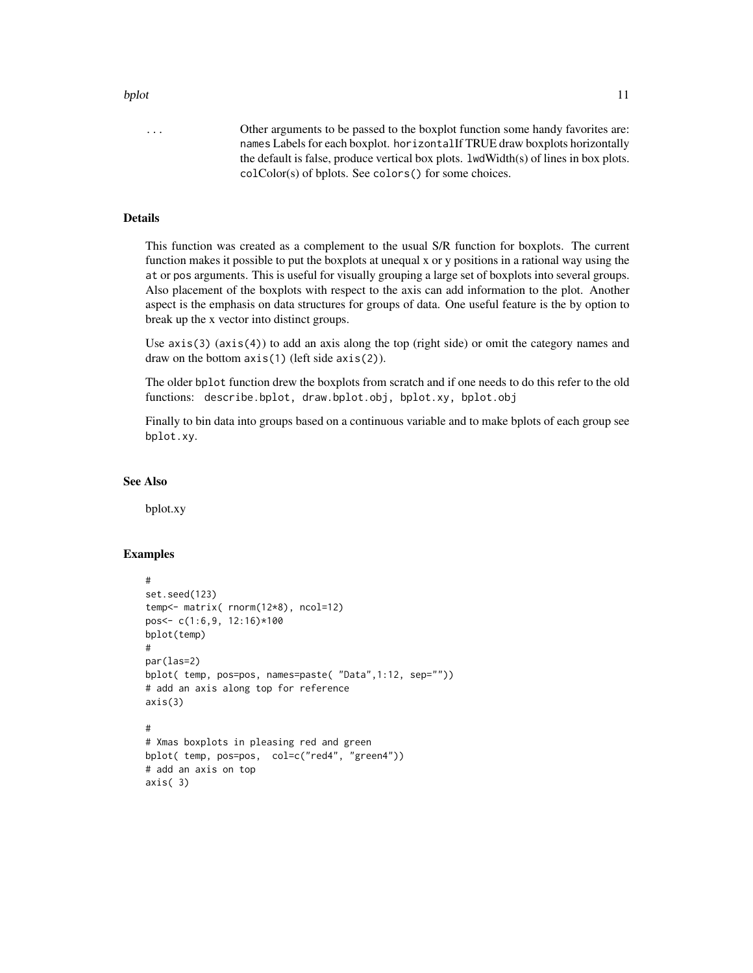#### bplot the state of the state of the state of the state of the state of the state of the state of the state of the state of the state of the state of the state of the state of the state of the state of the state of the stat

... Other arguments to be passed to the boxplot function some handy favorites are: names Labels for each boxplot. horizontalIf TRUE draw boxplots horizontally the default is false, produce vertical box plots. lwdWidth(s) of lines in box plots. colColor(s) of bplots. See colors() for some choices.

# Details

This function was created as a complement to the usual S/R function for boxplots. The current function makes it possible to put the boxplots at unequal x or y positions in a rational way using the at or pos arguments. This is useful for visually grouping a large set of boxplots into several groups. Also placement of the boxplots with respect to the axis can add information to the plot. Another aspect is the emphasis on data structures for groups of data. One useful feature is the by option to break up the x vector into distinct groups.

Use  $axis(3)$  ( $axis(4)$ ) to add an axis along the top (right side) or omit the category names and draw on the bottom axis(1) (left side axis(2)).

The older bplot function drew the boxplots from scratch and if one needs to do this refer to the old functions: describe.bplot, draw.bplot.obj, bplot.xy, bplot.obj

Finally to bin data into groups based on a continuous variable and to make bplots of each group see bplot.xy.

#### See Also

bplot.xy

```
#
set.seed(123)
temp<- matrix( rnorm(12*8), ncol=12)
pos<- c(1:6,9, 12:16)*100
bplot(temp)
#
par(las=2)
bplot( temp, pos=pos, names=paste( "Data",1:12, sep=""))
# add an axis along top for reference
axis(3)
#
# Xmas boxplots in pleasing red and green
bplot( temp, pos=pos, col=c("red4", "green4"))
# add an axis on top
axis( 3)
```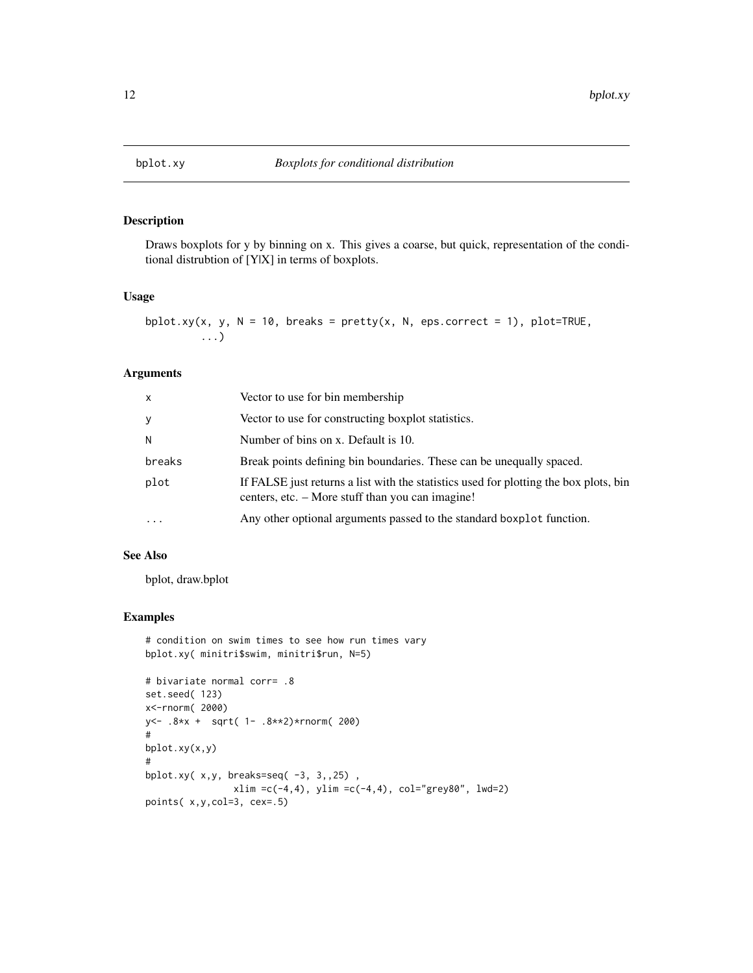<span id="page-11-0"></span>

# Description

Draws boxplots for y by binning on x. This gives a coarse, but quick, representation of the conditional distrubtion of [Y|X] in terms of boxplots.

### Usage

```
bplot.xy(x, y, N = 10, breaks = pretty(x, N, eps.correct = 1), plot=TRUE,
         ...)
```
### Arguments

| x      | Vector to use for bin membership                                                                                                          |
|--------|-------------------------------------------------------------------------------------------------------------------------------------------|
| у      | Vector to use for constructing boxplot statistics.                                                                                        |
| N      | Number of bins on x. Default is 10.                                                                                                       |
| breaks | Break points defining bin boundaries. These can be unequally spaced.                                                                      |
| plot   | If FALSE just returns a list with the statistics used for plotting the box plots, bin<br>centers, etc. - More stuff than you can imagine! |
| .      | Any other optional arguments passed to the standard boxplot function.                                                                     |
|        |                                                                                                                                           |

# See Also

bplot, draw.bplot

```
# condition on swim times to see how run times vary
bplot.xy( minitri$swim, minitri$run, N=5)
# bivariate normal corr= .8
set.seed( 123)
x<-rnorm( 2000)
y<- .8*x + sqrt( 1- .8**2)*rnorm( 200)
#
bplot.xy(x,y)
#
bplot.xy(x,y, breaks=seq(-3, 3, 25),
               xlim =c(-4,4), ylim =c(-4,4), col="grey80", lwd=2)
points( x,y,col=3, cex=.5)
```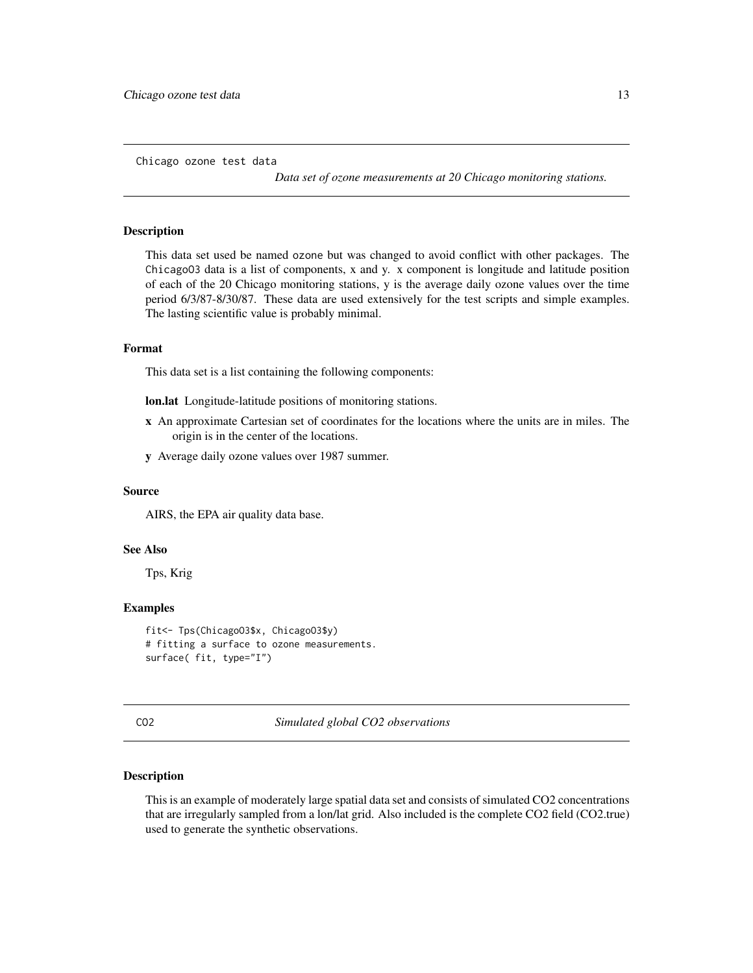<span id="page-12-0"></span>Chicago ozone test data

*Data set of ozone measurements at 20 Chicago monitoring stations.*

#### **Description**

This data set used be named ozone but was changed to avoid conflict with other packages. The ChicagoO3 data is a list of components, x and y. x component is longitude and latitude position of each of the 20 Chicago monitoring stations, y is the average daily ozone values over the time period 6/3/87-8/30/87. These data are used extensively for the test scripts and simple examples. The lasting scientific value is probably minimal.

#### Format

This data set is a list containing the following components:

lon.lat Longitude-latitude positions of monitoring stations.

- x An approximate Cartesian set of coordinates for the locations where the units are in miles. The origin is in the center of the locations.
- y Average daily ozone values over 1987 summer.

#### Source

AIRS, the EPA air quality data base.

# See Also

Tps, Krig

# Examples

```
fit<- Tps(ChicagoO3$x, ChicagoO3$y)
# fitting a surface to ozone measurements.
surface( fit, type="I")
```
CO2 *Simulated global CO2 observations*

### Description

This is an example of moderately large spatial data set and consists of simulated CO2 concentrations that are irregularly sampled from a lon/lat grid. Also included is the complete CO2 field (CO2.true) used to generate the synthetic observations.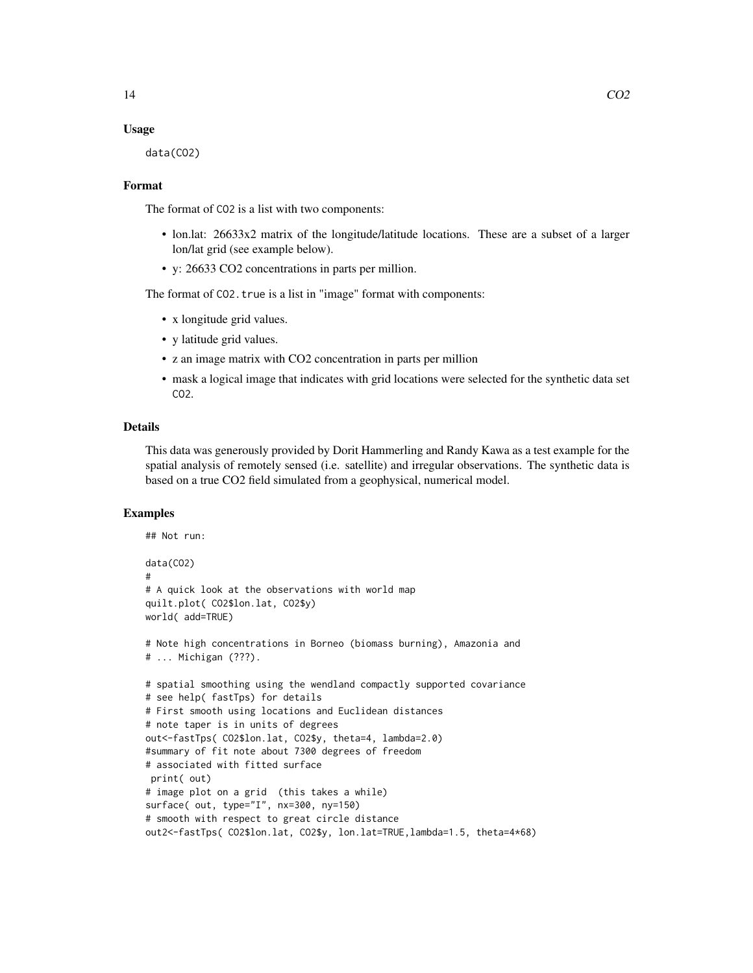#### Usage

data(CO2)

#### Format

The format of CO2 is a list with two components:

- lon.lat: 26633x2 matrix of the longitude/latitude locations. These are a subset of a larger lon/lat grid (see example below).
- y: 26633 CO2 concentrations in parts per million.

The format of CO2. true is a list in "image" format with components:

- x longitude grid values.
- y latitude grid values.
- z an image matrix with CO2 concentration in parts per million
- mask a logical image that indicates with grid locations were selected for the synthetic data set CO2.

# Details

This data was generously provided by Dorit Hammerling and Randy Kawa as a test example for the spatial analysis of remotely sensed (i.e. satellite) and irregular observations. The synthetic data is based on a true CO2 field simulated from a geophysical, numerical model.

```
## Not run:
data(CO2)
#
# A quick look at the observations with world map
quilt.plot( CO2$lon.lat, CO2$y)
world( add=TRUE)
# Note high concentrations in Borneo (biomass burning), Amazonia and
# ... Michigan (???).
# spatial smoothing using the wendland compactly supported covariance
# see help( fastTps) for details
# First smooth using locations and Euclidean distances
# note taper is in units of degrees
out<-fastTps( CO2$lon.lat, CO2$y, theta=4, lambda=2.0)
#summary of fit note about 7300 degrees of freedom
# associated with fitted surface
print( out)
# image plot on a grid (this takes a while)
surface( out, type="I", nx=300, ny=150)
# smooth with respect to great circle distance
out2<-fastTps( CO2$lon.lat, CO2$y, lon.lat=TRUE,lambda=1.5, theta=4*68)
```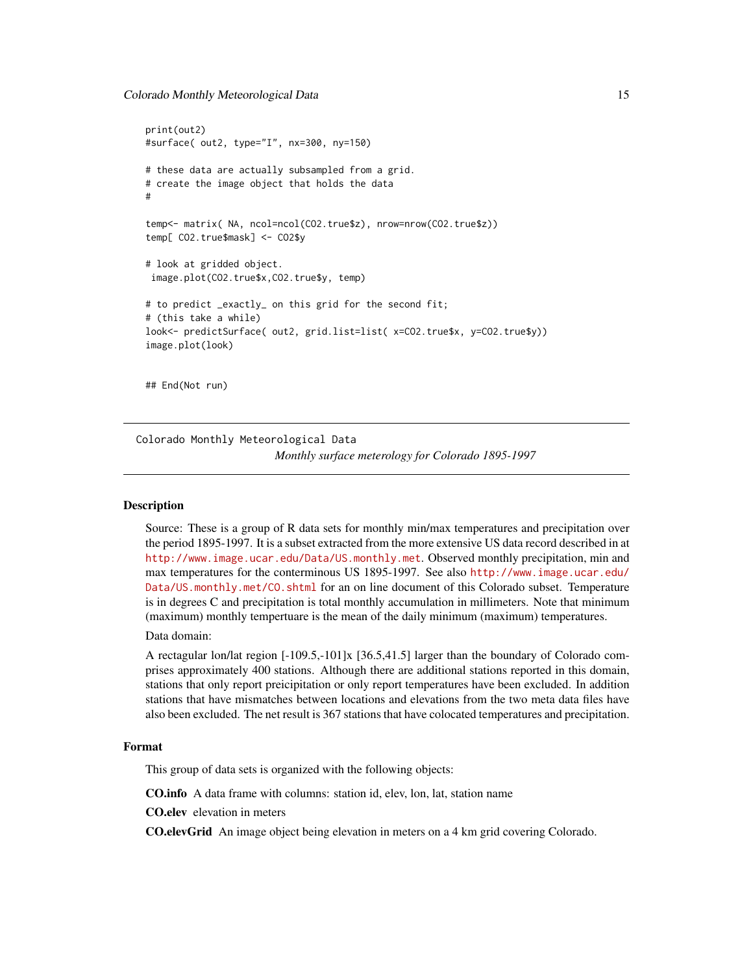<span id="page-14-0"></span>Colorado Monthly Meteorological Data 15

```
print(out2)
#surface( out2, type="I", nx=300, ny=150)
# these data are actually subsampled from a grid.
# create the image object that holds the data
#
temp<- matrix( NA, ncol=ncol(CO2.true$z), nrow=nrow(CO2.true$z))
temp[ CO2.true$mask] <- CO2$y
# look at gridded object.
image.plot(CO2.true$x,CO2.true$y, temp)
# to predict _exactly_ on this grid for the second fit;
# (this take a while)
look<- predictSurface( out2, grid.list=list( x=CO2.true$x, y=CO2.true$y))
image.plot(look)
## End(Not run)
```
Colorado Monthly Meteorological Data *Monthly surface meterology for Colorado 1895-1997*

#### Description

Source: These is a group of R data sets for monthly min/max temperatures and precipitation over the period 1895-1997. It is a subset extracted from the more extensive US data record described in at <http://www.image.ucar.edu/Data/US.monthly.met>. Observed monthly precipitation, min and max temperatures for the conterminous US 1895-1997. See also [http://www.image.ucar.edu/](http://www.image.ucar.edu/Data/US.monthly.met/CO.shtml) [Data/US.monthly.met/CO.shtml](http://www.image.ucar.edu/Data/US.monthly.met/CO.shtml) for an on line document of this Colorado subset. Temperature is in degrees C and precipitation is total monthly accumulation in millimeters. Note that minimum (maximum) monthly tempertuare is the mean of the daily minimum (maximum) temperatures.

Data domain:

A rectagular lon/lat region [-109.5,-101]x [36.5,41.5] larger than the boundary of Colorado comprises approximately 400 stations. Although there are additional stations reported in this domain, stations that only report preicipitation or only report temperatures have been excluded. In addition stations that have mismatches between locations and elevations from the two meta data files have also been excluded. The net result is 367 stations that have colocated temperatures and precipitation.

#### Format

This group of data sets is organized with the following objects:

CO.info A data frame with columns: station id, elev, lon, lat, station name

CO.elev elevation in meters

CO.elevGrid An image object being elevation in meters on a 4 km grid covering Colorado.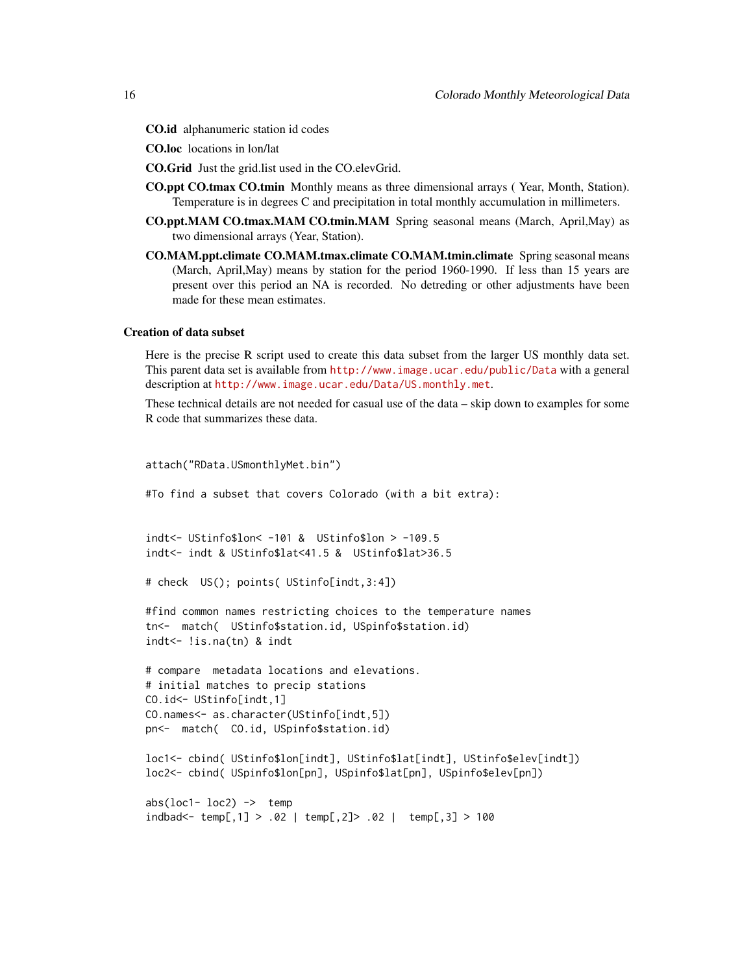- CO.id alphanumeric station id codes
- CO.loc locations in lon/lat
- CO.Grid Just the grid.list used in the CO.elevGrid.
- CO.ppt CO.tmax CO.tmin Monthly means as three dimensional arrays ( Year, Month, Station). Temperature is in degrees C and precipitation in total monthly accumulation in millimeters.
- CO.ppt.MAM CO.tmax.MAM CO.tmin.MAM Spring seasonal means (March, April,May) as two dimensional arrays (Year, Station).
- CO.MAM.ppt.climate CO.MAM.tmax.climate CO.MAM.tmin.climate Spring seasonal means (March, April,May) means by station for the period 1960-1990. If less than 15 years are present over this period an NA is recorded. No detreding or other adjustments have been made for these mean estimates.

# Creation of data subset

Here is the precise R script used to create this data subset from the larger US monthly data set. This parent data set is available from <http://www.image.ucar.edu/public/Data> with a general description at <http://www.image.ucar.edu/Data/US.monthly.met>.

These technical details are not needed for casual use of the data – skip down to examples for some R code that summarizes these data.

```
attach("RData.USmonthlyMet.bin")
#To find a subset that covers Colorado (with a bit extra):
indt<- UStinfo$lon< -101 & UStinfo$lon > -109.5
indt<- indt & UStinfo$lat<41.5 & UStinfo$lat>36.5
# check US(); points( UStinfo[indt,3:4])
#find common names restricting choices to the temperature names
tn<- match( UStinfo$station.id, USpinfo$station.id)
indt<- !is.na(tn) & indt
# compare metadata locations and elevations.
# initial matches to precip stations
CO.id<- UStinfo[indt,1]
CO.names<- as.character(UStinfo[indt,5])
pn<- match( CO.id, USpinfo$station.id)
loc1<- cbind( UStinfo$lon[indt], UStinfo$lat[indt], UStinfo$elev[indt])
loc2<- cbind( USpinfo$lon[pn], USpinfo$lat[pn], USpinfo$elev[pn])
abs(loc1 - loc2) -> temp
indbad<- temp[,1] > .02 | temp[,2]> .02 | temp[,3] > 100
```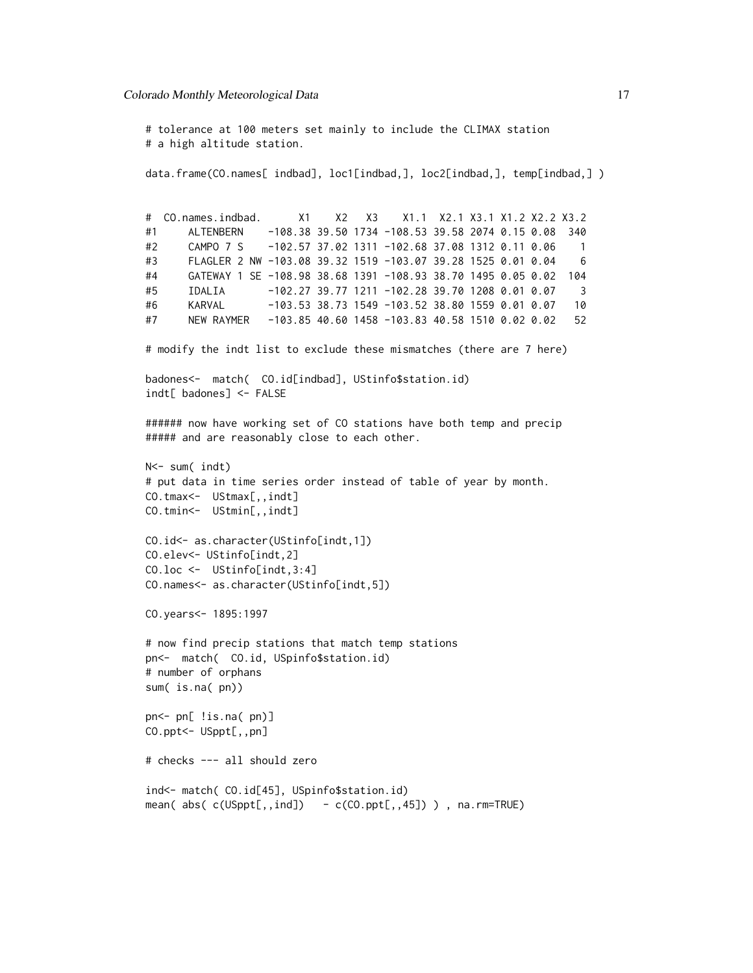# tolerance at 100 meters set mainly to include the CLIMAX station # a high altitude station. data.frame(CO.names[ indbad], loc1[indbad,], loc2[indbad,], temp[indbad,]) # CO.names.indbad. X1 X2 X3 X1.1 X2.1 X3.1 X1.2 X2.2 X3.2 #1 ALTENBERN -108.38 39.50 1734 -108.53 39.58 2074 0.15 0.08 340 #2 CAMPO 7 S -102.57 37.02 1311 -102.68 37.08 1312 0.11 0.06 1 #3 FLAGLER 2 NW -103.08 39.32 1519 -103.07 39.28 1525 0.01 0.04 6 #4 GATEWAY 1 SE -108.98 38.68 1391 -108.93 38.70 1495 0.05 0.02 104 #5 IDALIA -102.27 39.77 1211 -102.28 39.70 1208 0.01 0.07 3 #6 KARVAL -103.53 38.73 1549 -103.52 38.80 1559 0.01 0.07 10 #7 NEW RAYMER -103.85 40.60 1458 -103.83 40.58 1510 0.02 0.02 52 # modify the indt list to exclude these mismatches (there are 7 here) badones<- match( CO.id[indbad], UStinfo\$station.id) indt[ badones] <- FALSE ###### now have working set of CO stations have both temp and precip ##### and are reasonably close to each other. N<- sum( indt) # put data in time series order instead of table of year by month. CO.tmax<- UStmax[,,indt] CO.tmin<- UStmin[,,indt] CO.id<- as.character(UStinfo[indt,1]) CO.elev<- UStinfo[indt,2] CO.loc <- UStinfo[indt,3:4] CO.names<- as.character(UStinfo[indt,5]) CO.years<- 1895:1997 # now find precip stations that match temp stations pn<- match( CO.id, USpinfo\$station.id) # number of orphans sum( is.na( pn)) pn<- pn[ !is.na( pn)] CO.ppt<- USppt[,,pn] # checks --- all should zero ind<- match( CO.id[45], USpinfo\$station.id) mean(  $abs( c(USppt[,,ind]) - c(CO.ppt[,,45])$ ), na.rm=TRUE)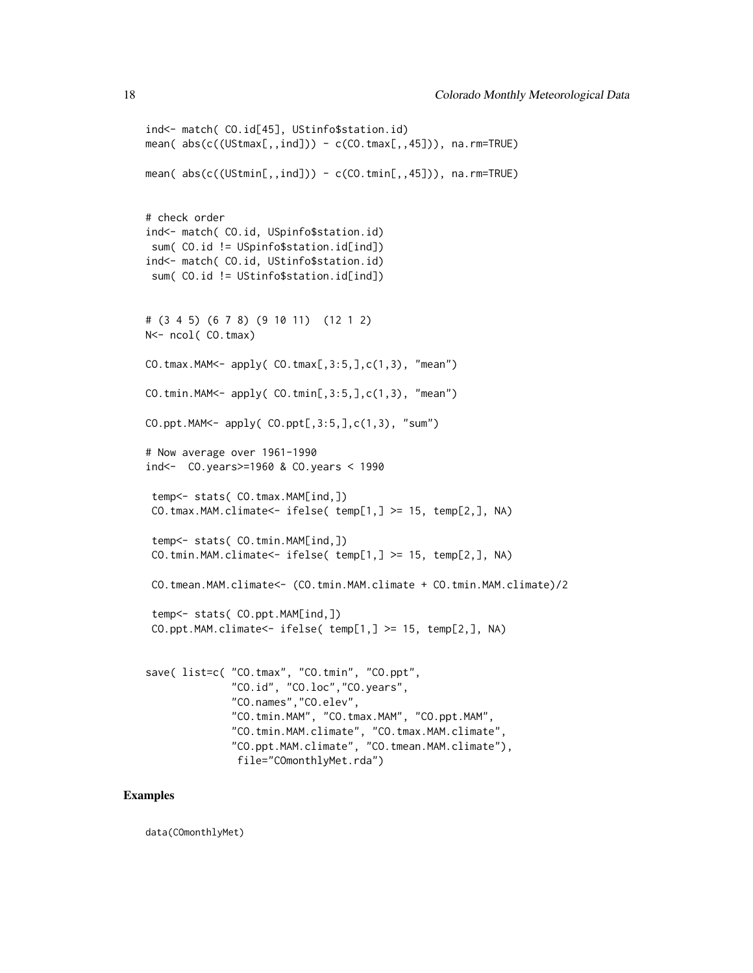```
ind<- match( CO.id[45], UStinfo$station.id)
mean(abs(c((UStmax[,,ind])) - c(C0.tmax[,,45])), na.rm=TRUE)
mean( abs(c((UStmin[,,ind])) - c(C0.tmin[,,45])), na.rm=TRUE)
# check order
ind<- match( CO.id, USpinfo$station.id)
 sum( CO.id != USpinfo$station.id[ind])
ind<- match( CO.id, UStinfo$station.id)
sum( CO.id != UStinfo$station.id[ind])
# (3 4 5) (6 7 8) (9 10 11) (12 1 2)
N<- ncol( CO.tmax)
CO.tmax.MAM<- apply( CO.tmax[,3:5,],c(1,3), "mean")
CO.tmin.MAM<- apply( CO.tmin[, 3:5, ], c(1,3), "mean")
CO.ppt.MAM<- apply( CO.ppt[, 3:5, ], c(1,3), "sum")# Now average over 1961-1990
ind<- CO.years>=1960 & CO.years < 1990
 temp<- stats( CO.tmax.MAM[ind,])
 CO.tmax.MAM.climate<- ifelse( temp[1,] >= 15, temp[2,], NA)
 temp<- stats( CO.tmin.MAM[ind,])
 CO.tmin.MAM.climate<- ifelse( temp[1,] >= 15, temp[2,], NA)
 CO.tmean.MAM.climate<- (CO.tmin.MAM.climate + CO.tmin.MAM.climate)/2
 temp<- stats( CO.ppt.MAM[ind,])
 CO.ppt.MAM.climate<- ifelse( temp[1,] >= 15, temp[2,], NA)
save( list=c( "CO.tmax", "CO.tmin", "CO.ppt",
              "CO.id", "CO.loc","CO.years",
              "CO.names","CO.elev",
              "CO.tmin.MAM", "CO.tmax.MAM", "CO.ppt.MAM",
              "CO.tmin.MAM.climate", "CO.tmax.MAM.climate",
              "CO.ppt.MAM.climate", "CO.tmean.MAM.climate"),
               file="COmonthlyMet.rda")
```
#### Examples

data(COmonthlyMet)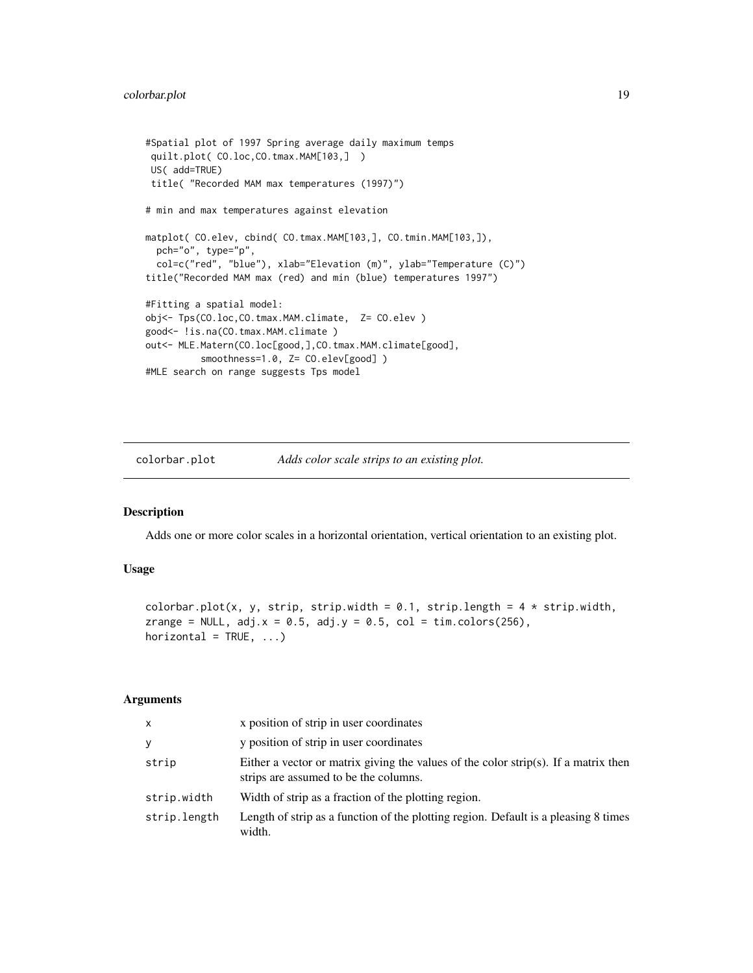```
#Spatial plot of 1997 Spring average daily maximum temps
 quilt.plot( CO.loc,CO.tmax.MAM[103,] )
 US( add=TRUE)
 title( "Recorded MAM max temperatures (1997)")
# min and max temperatures against elevation
matplot( CO.elev, cbind( CO.tmax.MAM[103,], CO.tmin.MAM[103,]),
  pch="o", type="p",
  col=c("red", "blue"), xlab="Elevation (m)", ylab="Temperature (C)")
title("Recorded MAM max (red) and min (blue) temperatures 1997")
#Fitting a spatial model:
obj<- Tps(CO.loc,CO.tmax.MAM.climate, Z= CO.elev )
good<- !is.na(CO.tmax.MAM.climate )
out<- MLE.Matern(CO.loc[good,],CO.tmax.MAM.climate[good],
          smoothness=1.0, Z= CO.elev[good] )
#MLE search on range suggests Tps model
```
colorbar.plot *Adds color scale strips to an existing plot.*

#### Description

Adds one or more color scales in a horizontal orientation, vertical orientation to an existing plot.

# Usage

colorbar.plot(x, y, strip, strip.width = 0.1, strip.length =  $4 * strip$ .width, zrange = NULL,  $adj.x = 0.5$ ,  $adj.y = 0.5$ ,  $col = tim.colors(256)$ , horizontal =  $TRUE$ , ...)

### Arguments

| X            | x position of strip in user coordinates                                                                                      |
|--------------|------------------------------------------------------------------------------------------------------------------------------|
| У            | y position of strip in user coordinates                                                                                      |
| strip        | Either a vector or matrix giving the values of the color strip(s). If a matrix then<br>strips are assumed to be the columns. |
| strip.width  | Width of strip as a fraction of the plotting region.                                                                         |
| strip.length | Length of strip as a function of the plotting region. Default is a pleasing 8 times<br>width.                                |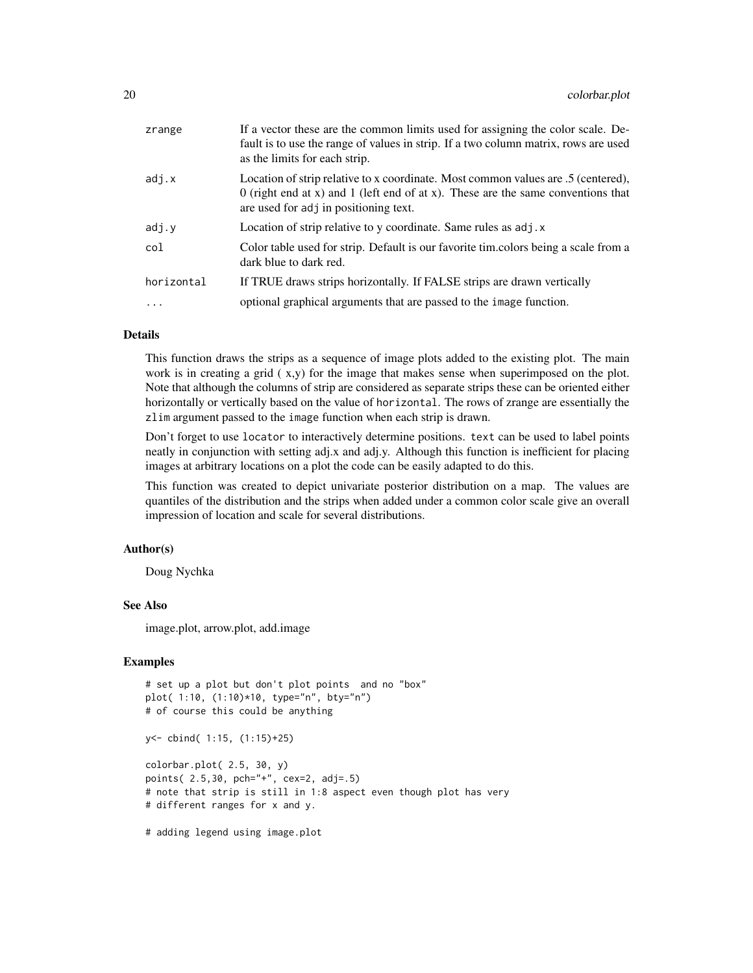| zrange     | If a vector these are the common limits used for assigning the color scale. De-<br>fault is to use the range of values in strip. If a two column matrix, rows are used<br>as the limits for each strip.        |
|------------|----------------------------------------------------------------------------------------------------------------------------------------------------------------------------------------------------------------|
| adj.x      | Location of strip relative to x coordinate. Most common values are .5 (centered),<br>0 (right end at x) and 1 (left end of at x). These are the same conventions that<br>are used for adj in positioning text. |
| adj.y      | Location of strip relative to y coordinate. Same rules as adj. x                                                                                                                                               |
| col        | Color table used for strip. Default is our favorite tim.colors being a scale from a<br>dark blue to dark red.                                                                                                  |
| horizontal | If TRUE draws strips horizontally. If FALSE strips are drawn vertically                                                                                                                                        |
| .          | optional graphical arguments that are passed to the image function.                                                                                                                                            |
|            |                                                                                                                                                                                                                |

# Details

This function draws the strips as a sequence of image plots added to the existing plot. The main work is in creating a grid  $(x,y)$  for the image that makes sense when superimposed on the plot. Note that although the columns of strip are considered as separate strips these can be oriented either horizontally or vertically based on the value of horizontal. The rows of zrange are essentially the zlim argument passed to the image function when each strip is drawn.

Don't forget to use locator to interactively determine positions. text can be used to label points neatly in conjunction with setting adj.x and adj.y. Although this function is inefficient for placing images at arbitrary locations on a plot the code can be easily adapted to do this.

This function was created to depict univariate posterior distribution on a map. The values are quantiles of the distribution and the strips when added under a common color scale give an overall impression of location and scale for several distributions.

#### Author(s)

Doug Nychka

# See Also

image.plot, arrow.plot, add.image

```
# set up a plot but don't plot points and no "box"
plot( 1:10, (1:10)*10, type="n", bty="n")
# of course this could be anything
y<- cbind( 1:15, (1:15)+25)
colorbar.plot( 2.5, 30, y)
points( 2.5,30, pch="+", cex=2, adj=.5)
# note that strip is still in 1:8 aspect even though plot has very
# different ranges for x and y.
# adding legend using image.plot
```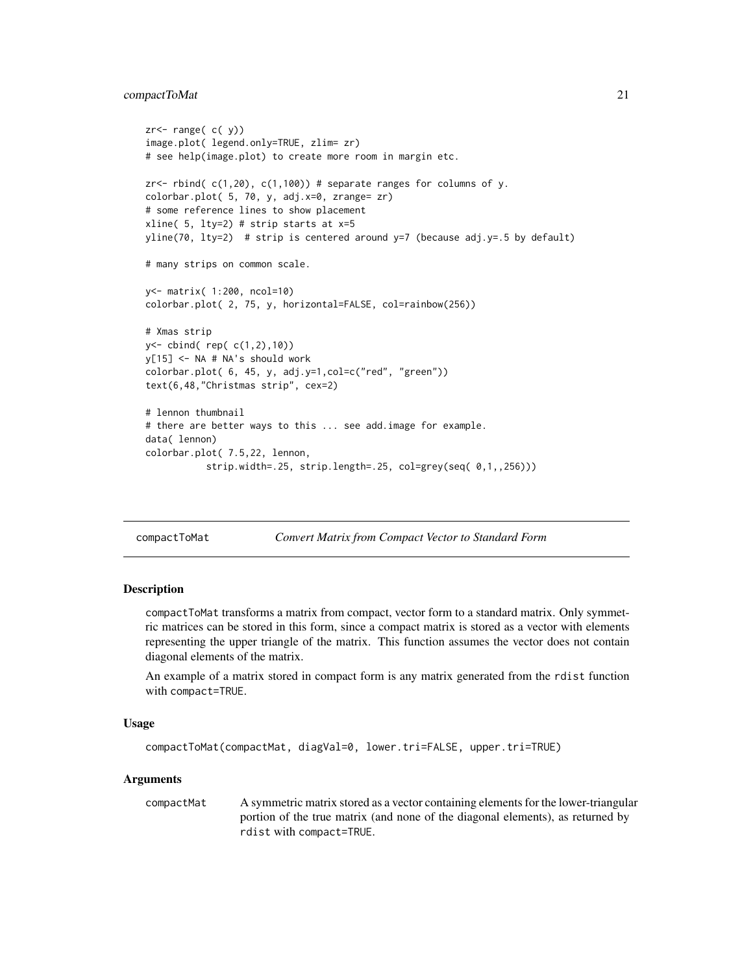#### <span id="page-20-0"></span>compactToMat 21

```
zr < -r range( c(y))
image.plot( legend.only=TRUE, zlim= zr)
# see help(image.plot) to create more room in margin etc.
zr <- rbind( c(1,20), c(1,100)) # separate ranges for columns of y.
colorbar.plot( 5, 70, y, adj.x=0, zrange= zr)
# some reference lines to show placement
xline( 5, lty=2) # strip starts at x=5yline(70, lty=2) # strip is centered around y=7 (because adj.y=.5 by default)
# many strips on common scale.
y<- matrix( 1:200, ncol=10)
colorbar.plot( 2, 75, y, horizontal=FALSE, col=rainbow(256))
# Xmas strip
y<- cbind( rep( c(1,2),10))
y[15] <- NA # NA's should work
colorbar.plot( 6, 45, y, adj.y=1,col=c("red", "green"))
text(6,48,"Christmas strip", cex=2)
# lennon thumbnail
# there are better ways to this ... see add.image for example.
data( lennon)
colorbar.plot( 7.5,22, lennon,
           strip.width=.25, strip.length=.25, col=grey(seq( 0,1,,256)))
```

```
compactToMat Convert Matrix from Compact Vector to Standard Form
```
#### **Description**

compactToMat transforms a matrix from compact, vector form to a standard matrix. Only symmetric matrices can be stored in this form, since a compact matrix is stored as a vector with elements representing the upper triangle of the matrix. This function assumes the vector does not contain diagonal elements of the matrix.

An example of a matrix stored in compact form is any matrix generated from the rdist function with compact=TRUE.

#### Usage

```
compactToMat(compactMat, diagVal=0, lower.tri=FALSE, upper.tri=TRUE)
```
#### Arguments

compactMat A symmetric matrix stored as a vector containing elements for the lower-triangular portion of the true matrix (and none of the diagonal elements), as returned by rdist with compact=TRUE.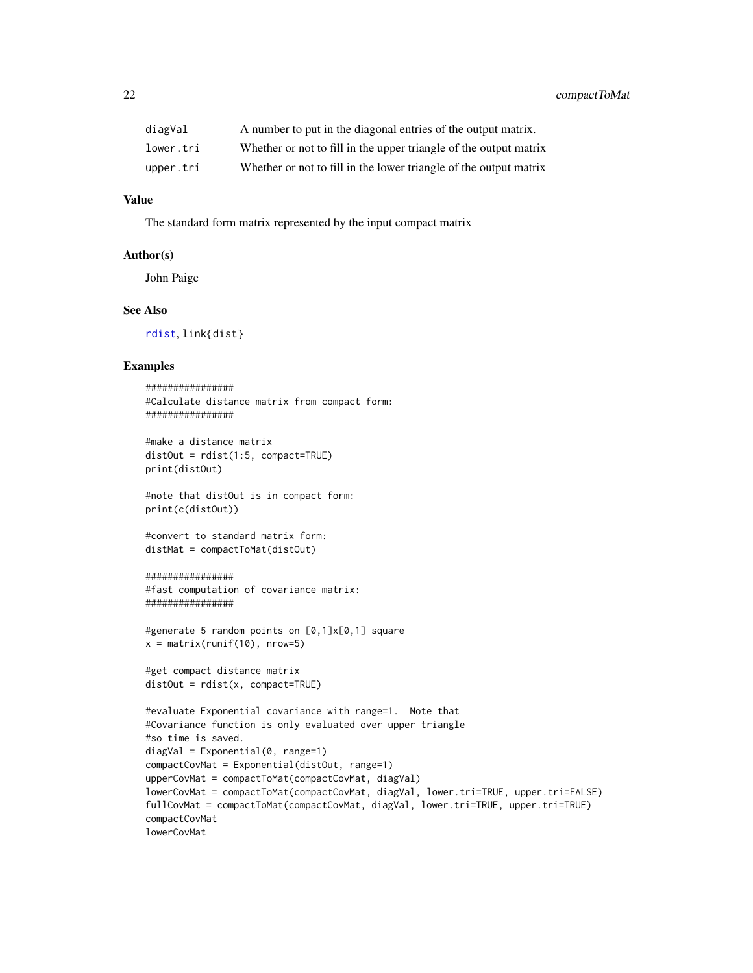| diagVal   | A number to put in the diagonal entries of the output matrix.     |
|-----------|-------------------------------------------------------------------|
| lower.tri | Whether or not to fill in the upper triangle of the output matrix |
| upper.tri | Whether or not to fill in the lower triangle of the output matrix |

# Value

The standard form matrix represented by the input compact matrix

#### Author(s)

John Paige

# See Also

[rdist](#page-136-1), link{dist}

#### Examples

```
################
#Calculate distance matrix from compact form:
################
```

```
#make a distance matrix
distOut = rdist(1:5, compact=TRUE)
print(distOut)
```
#note that distOut is in compact form: print(c(distOut))

#convert to standard matrix form: distMat = compactToMat(distOut)

#### ################

```
#fast computation of covariance matrix:
################
```

```
#generate 5 random points on [0,1]x[0,1] square
x = matrix(runit(10), nrow=5)
```

```
#get compact distance matrix
distOut = rdist(x, compact=True)
```

```
#evaluate Exponential covariance with range=1. Note that
#Covariance function is only evaluated over upper triangle
#so time is saved.
diagVal = Exponential(0, range=1)compactCovMat = Exponential(distOut, range=1)
upperCovMat = compactToMat(compactCovMat, diagVal)
lowerCovMat = compactToMat(compactCovMat, diagVal, lower.tri=TRUE, upper.tri=FALSE)
fullCovMat = compactToMat(compactCovMat, diagVal, lower.tri=TRUE, upper.tri=TRUE)
compactCovMat
lowerCovMat
```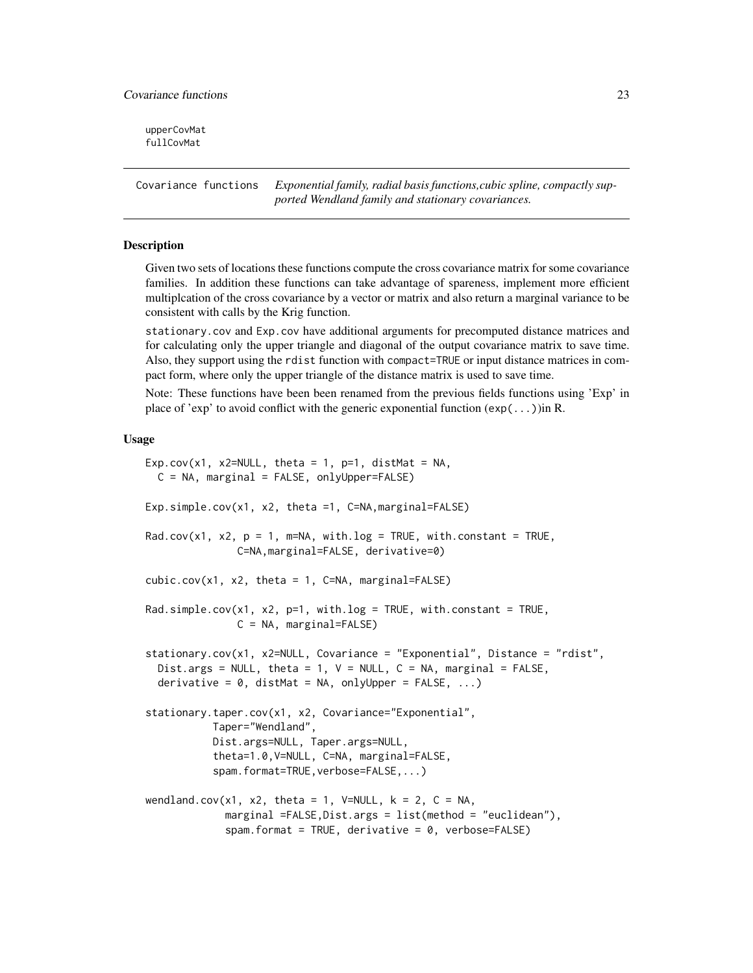<span id="page-22-0"></span>upperCovMat fullCovMat

Covariance functions *Exponential family, radial basis functions,cubic spline, compactly supported Wendland family and stationary covariances.*

#### Description

Given two sets of locations these functions compute the cross covariance matrix for some covariance families. In addition these functions can take advantage of spareness, implement more efficient multiplcation of the cross covariance by a vector or matrix and also return a marginal variance to be consistent with calls by the Krig function.

stationary.cov and Exp.cov have additional arguments for precomputed distance matrices and for calculating only the upper triangle and diagonal of the output covariance matrix to save time. Also, they support using the rdist function with compact=TRUE or input distance matrices in compact form, where only the upper triangle of the distance matrix is used to save time.

Note: These functions have been been renamed from the previous fields functions using 'Exp' in place of 'exp' to avoid conflict with the generic exponential function  $(exp(. \ . . ))$ in R.

#### Usage

```
Exp.cov(x1, x2=NULL, theta = 1, p=1, distMat = NA,
 C = NA, marginal = FALSE, onlyUpper=FALSE)
Exp.simple.cov(x1, x2, theta =1, C=NA,marginal=FALSE)
Rad.cov(x1, x2, p = 1, m=NA, with.log = TRUE, with.constant = TRUE,
               C=NA,marginal=FALSE, derivative=0)
cubic.cov(x1, x2, theta = 1, C=NA, marginal=False)Rad.simple.cov(x1, x2, p=1, with.log = TRUE, with.constant = TRUE,
               C = NA, marginal=FALSE)
stationary.cov(x1, x2=NULL, Covariance = "Exponential", Distance = "rdist",
  Dist.args = NULL, theta = 1, V = NULL, C = NA, marginal = FALSE,
  derivative = 0, distMat = NA, onlyUpper = FALSE, ...)
stationary.taper.cov(x1, x2, Covariance="Exponential",
           Taper="Wendland",
           Dist.args=NULL, Taper.args=NULL,
           theta=1.0,V=NULL, C=NA, marginal=FALSE,
           spam.format=TRUE,verbose=FALSE,...)
wendland.cov(x1, x2, theta = 1, V=NULL, k = 2, C = NA,
             marginal =FALSE, Dist.args = list(method = "euclidean"),
             spam.format = TRUE, derivative = 0, verbose=FALSE)
```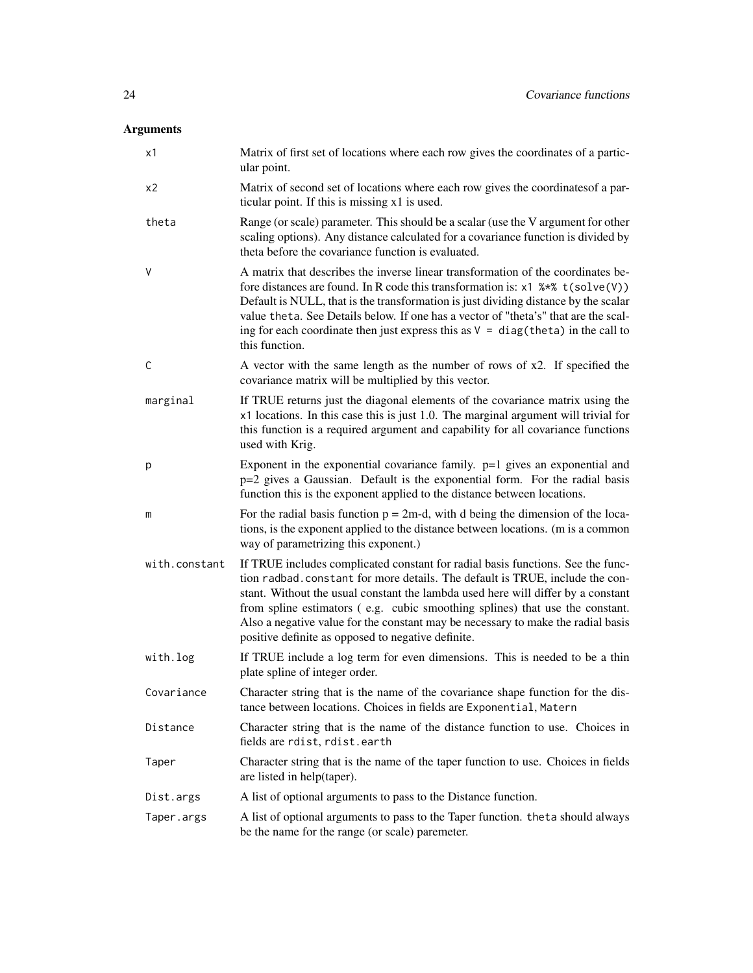# Arguments

| x1            | Matrix of first set of locations where each row gives the coordinates of a partic-<br>ular point.                                                                                                                                                                                                                                                                                                                                                                              |
|---------------|--------------------------------------------------------------------------------------------------------------------------------------------------------------------------------------------------------------------------------------------------------------------------------------------------------------------------------------------------------------------------------------------------------------------------------------------------------------------------------|
| x2            | Matrix of second set of locations where each row gives the coordinatesof a par-<br>ticular point. If this is missing x1 is used.                                                                                                                                                                                                                                                                                                                                               |
| theta         | Range (or scale) parameter. This should be a scalar (use the V argument for other<br>scaling options). Any distance calculated for a covariance function is divided by<br>theta before the covariance function is evaluated.                                                                                                                                                                                                                                                   |
| V             | A matrix that describes the inverse linear transformation of the coordinates be-<br>fore distances are found. In R code this transformation is: $x1$ %*% $t(solve(V))$<br>Default is NULL, that is the transformation is just dividing distance by the scalar<br>value theta. See Details below. If one has a vector of "theta's" that are the scal-<br>ing for each coordinate then just express this as $V = diag(theta)$ in the call to<br>this function.                   |
| C             | A vector with the same length as the number of rows of x2. If specified the<br>covariance matrix will be multiplied by this vector.                                                                                                                                                                                                                                                                                                                                            |
| marginal      | If TRUE returns just the diagonal elements of the covariance matrix using the<br>x1 locations. In this case this is just 1.0. The marginal argument will trivial for<br>this function is a required argument and capability for all covariance functions<br>used with Krig.                                                                                                                                                                                                    |
| p             | Exponent in the exponential covariance family. $p=1$ gives an exponential and<br>p=2 gives a Gaussian. Default is the exponential form. For the radial basis<br>function this is the exponent applied to the distance between locations.                                                                                                                                                                                                                                       |
| m             | For the radial basis function $p = 2m-d$ , with d being the dimension of the loca-<br>tions, is the exponent applied to the distance between locations. (m is a common<br>way of parametrizing this exponent.)                                                                                                                                                                                                                                                                 |
| with.constant | If TRUE includes complicated constant for radial basis functions. See the func-<br>tion radbad. constant for more details. The default is TRUE, include the con-<br>stant. Without the usual constant the lambda used here will differ by a constant<br>from spline estimators (e.g. cubic smoothing splines) that use the constant.<br>Also a negative value for the constant may be necessary to make the radial basis<br>positive definite as opposed to negative definite. |
| with.log      | If TRUE include a log term for even dimensions. This is needed to be a thin<br>plate spline of integer order.                                                                                                                                                                                                                                                                                                                                                                  |
| Covariance    | Character string that is the name of the covariance shape function for the dis-<br>tance between locations. Choices in fields are Exponential, Matern                                                                                                                                                                                                                                                                                                                          |
| Distance      | Character string that is the name of the distance function to use. Choices in<br>fields are rdist, rdist.earth                                                                                                                                                                                                                                                                                                                                                                 |
| Taper         | Character string that is the name of the taper function to use. Choices in fields<br>are listed in help(taper).                                                                                                                                                                                                                                                                                                                                                                |
| Dist.args     | A list of optional arguments to pass to the Distance function.                                                                                                                                                                                                                                                                                                                                                                                                                 |
| Taper.args    | A list of optional arguments to pass to the Taper function. the ta should always<br>be the name for the range (or scale) paremeter.                                                                                                                                                                                                                                                                                                                                            |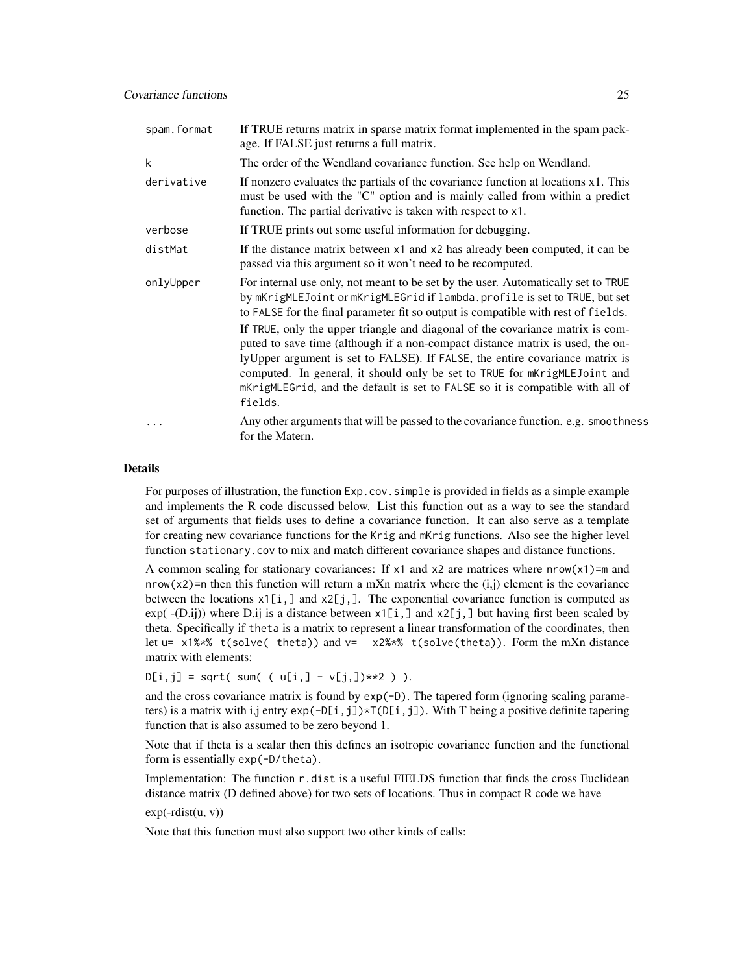| spam.format | If TRUE returns matrix in sparse matrix format implemented in the spam pack-<br>age. If FALSE just returns a full matrix.                                                                                                                                                                                                                                                                                                                                                                                                                                                                                                                                                         |
|-------------|-----------------------------------------------------------------------------------------------------------------------------------------------------------------------------------------------------------------------------------------------------------------------------------------------------------------------------------------------------------------------------------------------------------------------------------------------------------------------------------------------------------------------------------------------------------------------------------------------------------------------------------------------------------------------------------|
| k           | The order of the Wendland covariance function. See help on Wendland.                                                                                                                                                                                                                                                                                                                                                                                                                                                                                                                                                                                                              |
| derivative  | If nonzero evaluates the partials of the covariance function at locations $x1$ . This<br>must be used with the "C" option and is mainly called from within a predict<br>function. The partial derivative is taken with respect to x1.                                                                                                                                                                                                                                                                                                                                                                                                                                             |
| verbose     | If TRUE prints out some useful information for debugging.                                                                                                                                                                                                                                                                                                                                                                                                                                                                                                                                                                                                                         |
| distMat     | If the distance matrix between x1 and x2 has already been computed, it can be<br>passed via this argument so it won't need to be recomputed.                                                                                                                                                                                                                                                                                                                                                                                                                                                                                                                                      |
| onlyUpper   | For internal use only, not meant to be set by the user. Automatically set to TRUE<br>by mKrigMLEJoint or mKrigMLEGrid if lambda.profile is set to TRUE, but set<br>to FALSE for the final parameter fit so output is compatible with rest of fields.<br>If TRUE, only the upper triangle and diagonal of the covariance matrix is com-<br>puted to save time (although if a non-compact distance matrix is used, the on-<br>lyUpper argument is set to FALSE). If FALSE, the entire covariance matrix is<br>computed. In general, it should only be set to TRUE for mKrigMLEJoint and<br>mKrigMLEGrid, and the default is set to FALSE so it is compatible with all of<br>fields. |
| .           | Any other arguments that will be passed to the covariance function. e.g. smoothness<br>for the Matern.                                                                                                                                                                                                                                                                                                                                                                                                                                                                                                                                                                            |

#### Details

For purposes of illustration, the function Exp.cov.simple is provided in fields as a simple example and implements the R code discussed below. List this function out as a way to see the standard set of arguments that fields uses to define a covariance function. It can also serve as a template for creating new covariance functions for the Krig and mKrig functions. Also see the higher level function stationary.cov to mix and match different covariance shapes and distance functions.

A common scaling for stationary covariances: If  $x1$  and  $x2$  are matrices where nrow( $x1$ )=m and nrow(x2)=n then this function will return a mXn matrix where the  $(i,j)$  element is the covariance between the locations  $x1[i, ]$  and  $x2[j, ]$ . The exponential covariance function is computed as  $exp(-(D.ij))$  where D.ij is a distance between  $x1[i, ]$  and  $x2[j, ]$  but having first been scaled by theta. Specifically if theta is a matrix to represent a linear transformation of the coordinates, then let u= x1%\*% t(solve( theta)) and v= x2%\*% t(solve(theta)). Form the mXn distance matrix with elements:

 $D[i,j] = sqrt( sum( ( u[i, ] - v[j, ]) * *2 ) ).$ 

and the cross covariance matrix is found by exp(-D). The tapered form (ignoring scaling parameters) is a matrix with i,j entry  $exp(-D[i,j]) * T(D[i,j])$ . With T being a positive definite tapering function that is also assumed to be zero beyond 1.

Note that if theta is a scalar then this defines an isotropic covariance function and the functional form is essentially exp(-D/theta).

Implementation: The function r.dist is a useful FIELDS function that finds the cross Euclidean distance matrix (D defined above) for two sets of locations. Thus in compact R code we have

 $exp(-rdist(u, v))$ 

Note that this function must also support two other kinds of calls: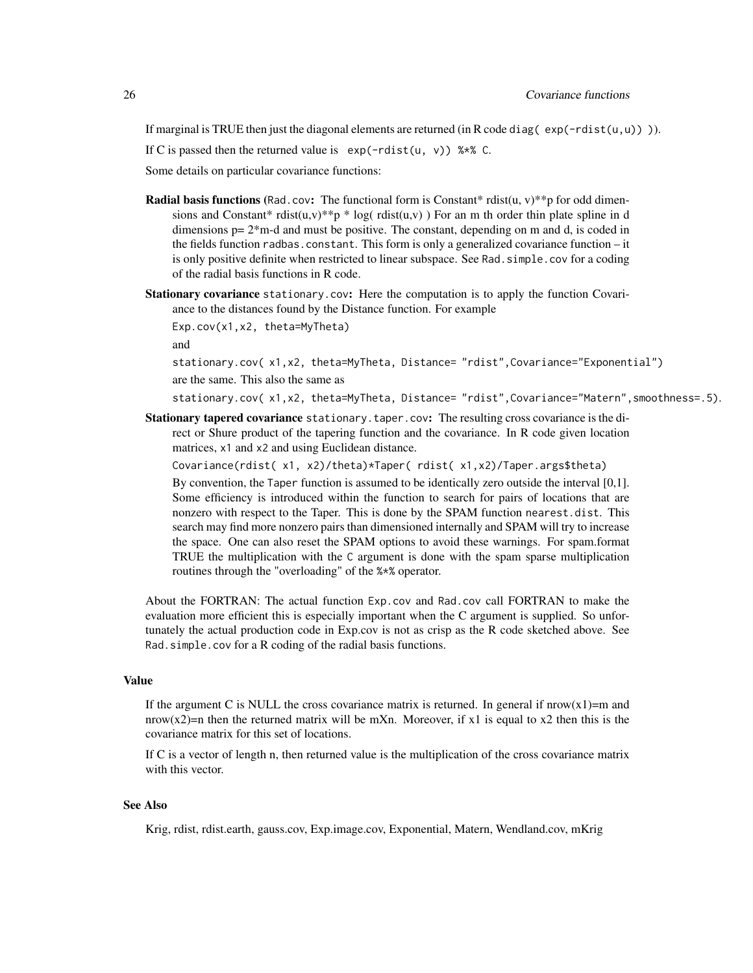If marginal is TRUE then just the diagonal elements are returned (in R code diag( $\exp(-rdist(u,u))$ ).

If C is passed then the returned value is  $exp(-rdist(u, v))$  %\*% C.

Some details on particular covariance functions:

- **Radial basis functions** (Rad.cov: The functional form is Constant\* rdist(u, v)\*\*p for odd dimensions and Constant\* rdist(u,v)\*\*p \* log( rdist(u,v)) For an m th order thin plate spline in d dimensions  $p=2<sup>*</sup>m-d$  and must be positive. The constant, depending on m and d, is coded in the fields function radbas.constant. This form is only a generalized covariance function – it is only positive definite when restricted to linear subspace. See Rad.simple.cov for a coding of the radial basis functions in R code.
- **Stationary covariance** stationary.cov: Here the computation is to apply the function Covariance to the distances found by the Distance function. For example

Exp.cov(x1,x2, theta=MyTheta) and stationary.cov( x1,x2, theta=MyTheta, Distance= "rdist",Covariance="Exponential") are the same. This also the same as stationary.cov( x1,x2, theta=MyTheta, Distance= "rdist",Covariance="Matern",smoothness=.5).

Stationary tapered covariance stationary.taper.cov: The resulting cross covariance is the direct or Shure product of the tapering function and the covariance. In R code given location matrices, x1 and x2 and using Euclidean distance.

Covariance(rdist( x1, x2)/theta)\*Taper( rdist( x1,x2)/Taper.args\$theta)

By convention, the Taper function is assumed to be identically zero outside the interval [0,1]. Some efficiency is introduced within the function to search for pairs of locations that are nonzero with respect to the Taper. This is done by the SPAM function nearest.dist. This search may find more nonzero pairs than dimensioned internally and SPAM will try to increase the space. One can also reset the SPAM options to avoid these warnings. For spam.format TRUE the multiplication with the C argument is done with the spam sparse multiplication routines through the "overloading" of the %\*% operator.

About the FORTRAN: The actual function Exp.cov and Rad.cov call FORTRAN to make the evaluation more efficient this is especially important when the C argument is supplied. So unfortunately the actual production code in Exp.cov is not as crisp as the R code sketched above. See Rad.simple.cov for a R coding of the radial basis functions.

#### Value

If the argument C is NULL the cross covariance matrix is returned. In general if  $nrow(x1)=m$  and nrow(x2)=n then the returned matrix will be mXn. Moreover, if  $x1$  is equal to  $x2$  then this is the covariance matrix for this set of locations.

If C is a vector of length n, then returned value is the multiplication of the cross covariance matrix with this vector.

### See Also

Krig, rdist, rdist.earth, gauss.cov, Exp.image.cov, Exponential, Matern, Wendland.cov, mKrig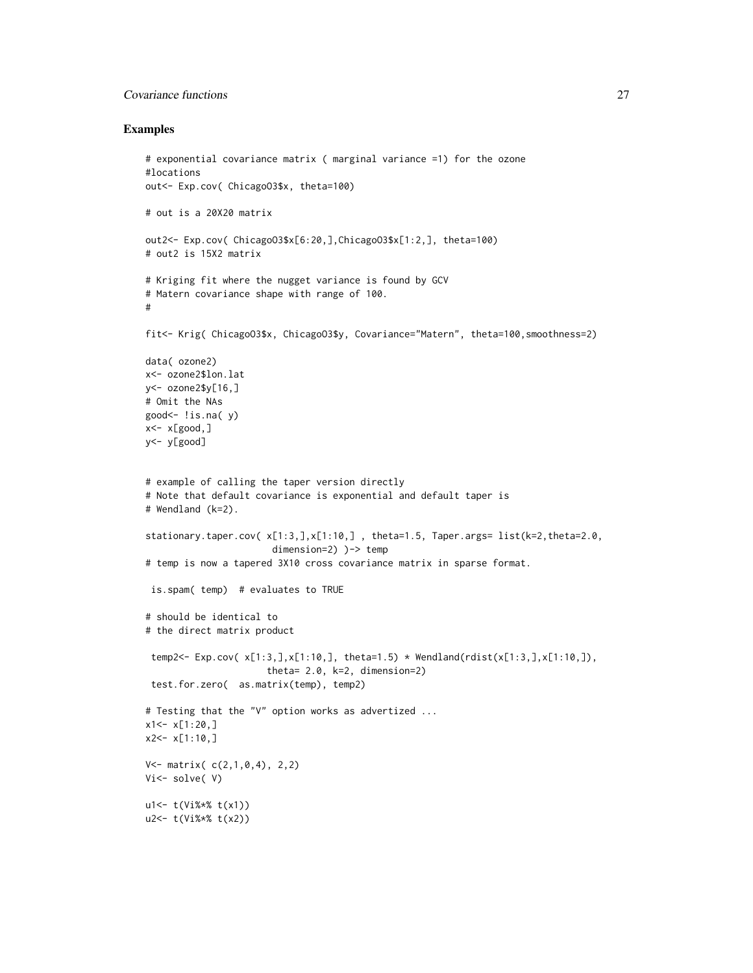# Covariance functions 27

```
# exponential covariance matrix ( marginal variance =1) for the ozone
#locations
out<- Exp.cov( ChicagoO3$x, theta=100)
# out is a 20X20 matrix
out2<- Exp.cov( ChicagoO3$x[6:20,],ChicagoO3$x[1:2,], theta=100)
# out2 is 15X2 matrix
# Kriging fit where the nugget variance is found by GCV
# Matern covariance shape with range of 100.
#
fit<- Krig( ChicagoO3$x, ChicagoO3$y, Covariance="Matern", theta=100,smoothness=2)
data( ozone2)
x<- ozone2$lon.lat
y<- ozone2$y[16,]
# Omit the NAs
good<- !is.na( y)
x < -x[good,]
y<- y[good]
# example of calling the taper version directly
# Note that default covariance is exponential and default taper is
# Wendland (k=2).
stationary.taper.cov( x[1:3,],x[1:10,] , theta=1.5, Taper.args= list(k=2,theta=2.0,
                       dimension=2) )-> temp
# temp is now a tapered 3X10 cross covariance matrix in sparse format.
 is.spam( temp) # evaluates to TRUE
# should be identical to
# the direct matrix product
 temp2<- Exp.cov( x[1:3,],x[1:10,], theta=1.5) * Wendland(rdist(x[1:3,],x[1:10,],),
                     theta= 2.0, k=2, dimension=2)
 test.for.zero( as.matrix(temp), temp2)
# Testing that the "V" option works as advertized ...
x1<-x[1:20,]x2 < - x[1:10, ]V<- matrix( c(2,1,0,4), 2,2)
Vi<- solve( V)
u1<- t(Vi%*% t(x1))
u2<- t(Vi%*% t(x2))
```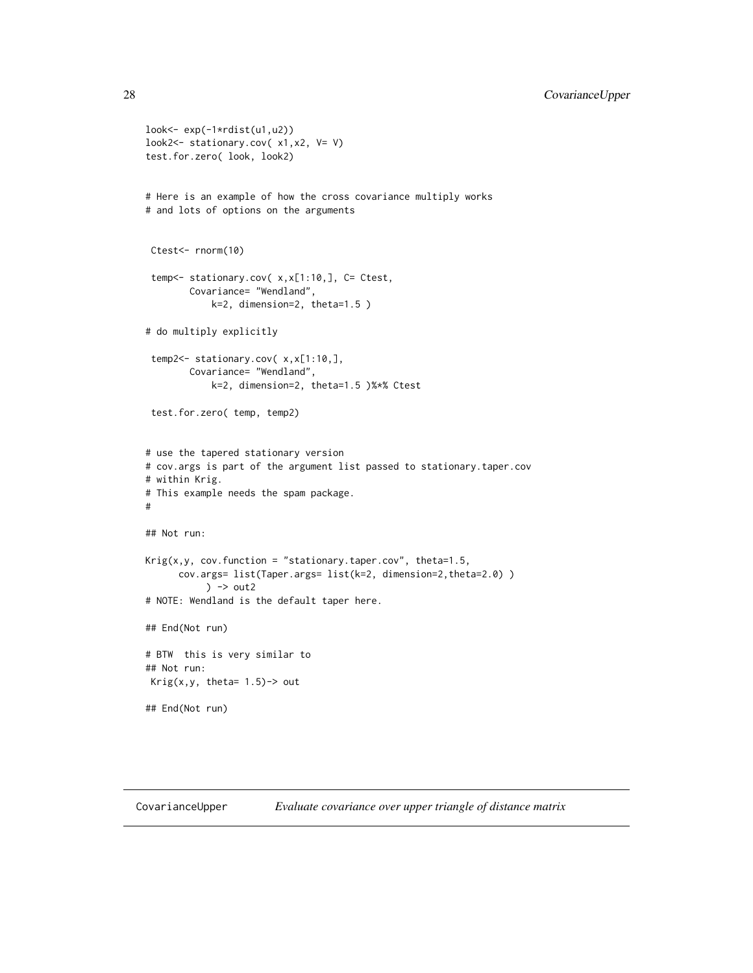```
look<- exp(-1*rdist(u1,u2))
look2<- stationary.cov( x1,x2, V= V)
test.for.zero( look, look2)
# Here is an example of how the cross covariance multiply works
# and lots of options on the arguments
 Ctest<- rnorm(10)
 temp<- stationary.cov( x,x[1:10,], C= Ctest,
        Covariance= "Wendland",
            k=2, dimension=2, theta=1.5 )
# do multiply explicitly
 temp2<- stationary.cov( x,x[1:10,],
       Covariance= "Wendland",
            k=2, dimension=2, theta=1.5 )%*% Ctest
 test.for.zero( temp, temp2)
# use the tapered stationary version
# cov.args is part of the argument list passed to stationary.taper.cov
# within Krig.
# This example needs the spam package.
#
## Not run:
King(x, y, cov.function = "stationary.taper.cov", theta=1.5,cov.args= list(Taper.args= list(k=2, dimension=2,theta=2.0) )
           ) -> out2
# NOTE: Wendland is the default taper here.
## End(Not run)
# BTW this is very similar to
## Not run:
Krig(x,y, theta= 1.5)-> out
## End(Not run)
```
<span id="page-27-0"></span>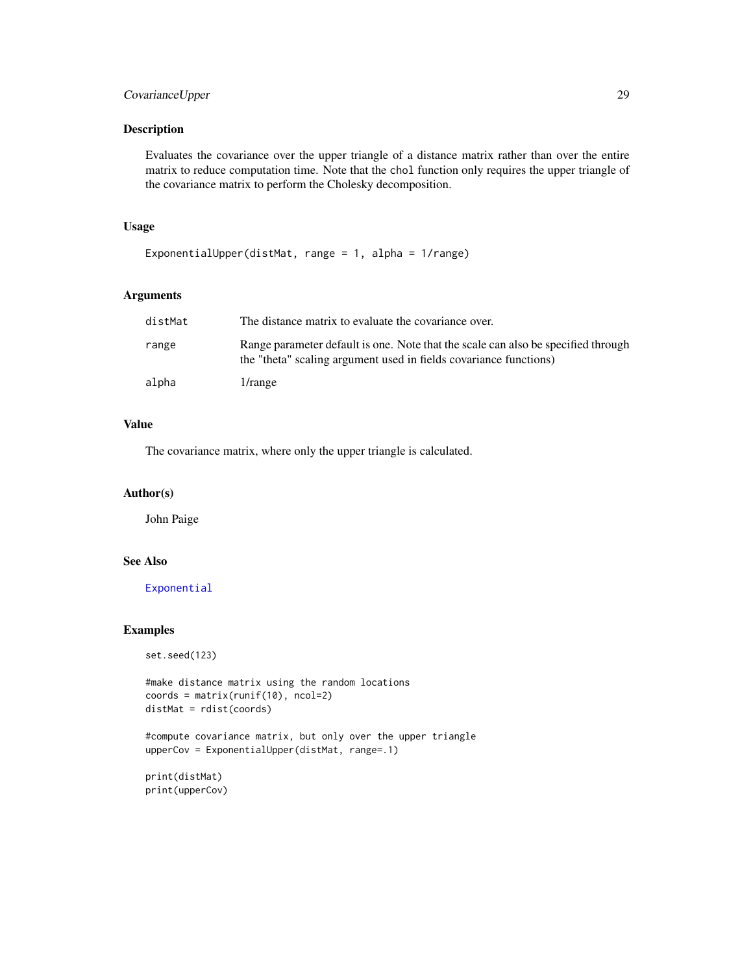# CovarianceUpper 29

# Description

Evaluates the covariance over the upper triangle of a distance matrix rather than over the entire matrix to reduce computation time. Note that the chol function only requires the upper triangle of the covariance matrix to perform the Cholesky decomposition.

#### Usage

```
ExponentialUpper(distMat, range = 1, alpha = 1/range)
```
### Arguments

| distMat | The distance matrix to evaluate the covariance over.                                                                                                   |
|---------|--------------------------------------------------------------------------------------------------------------------------------------------------------|
| range   | Range parameter default is one. Note that the scale can also be specified through<br>the "theta" scaling argument used in fields covariance functions) |
| alpha   | $1/r$ ange                                                                                                                                             |

# Value

The covariance matrix, where only the upper triangle is calculated.

# Author(s)

John Paige

# See Also

[Exponential](#page-37-1)

```
set.seed(123)
```

```
#make distance matrix using the random locations
coords = matrix(runif(10), ncol=2)
distMat = rdist(coords)
```

```
#compute covariance matrix, but only over the upper triangle
upperCov = ExponentialUpper(distMat, range=.1)
```

```
print(distMat)
print(upperCov)
```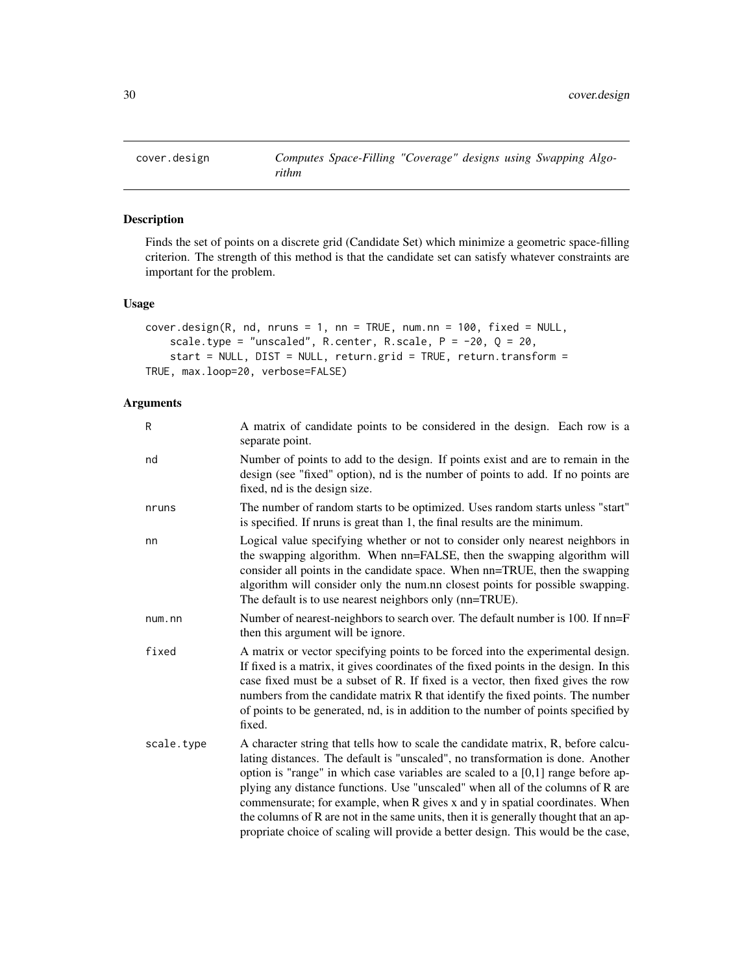<span id="page-29-0"></span>

# Description

Finds the set of points on a discrete grid (Candidate Set) which minimize a geometric space-filling criterion. The strength of this method is that the candidate set can satisfy whatever constraints are important for the problem.

# Usage

```
cover.design(R, nd, nruns = 1, nn = TRUE, num.nn = 100, fixed = NULL,
    scale.type = "unscaled", R.center, R.scale, P = -20, Q = 20,
    start = NULL, DIST = NULL, return.grid = TRUE, return.transform =
TRUE, max.loop=20, verbose=FALSE)
```
# Arguments

| R          | A matrix of candidate points to be considered in the design. Each row is a<br>separate point.                                                                                                                                                                                                                                                                                                                                                                                                                                                                                                             |
|------------|-----------------------------------------------------------------------------------------------------------------------------------------------------------------------------------------------------------------------------------------------------------------------------------------------------------------------------------------------------------------------------------------------------------------------------------------------------------------------------------------------------------------------------------------------------------------------------------------------------------|
| nd         | Number of points to add to the design. If points exist and are to remain in the<br>design (see "fixed" option), nd is the number of points to add. If no points are<br>fixed, nd is the design size.                                                                                                                                                                                                                                                                                                                                                                                                      |
| nruns      | The number of random starts to be optimized. Uses random starts unless "start"<br>is specified. If nruns is great than 1, the final results are the minimum.                                                                                                                                                                                                                                                                                                                                                                                                                                              |
| nn         | Logical value specifying whether or not to consider only nearest neighbors in<br>the swapping algorithm. When nn=FALSE, then the swapping algorithm will<br>consider all points in the candidate space. When nn=TRUE, then the swapping<br>algorithm will consider only the num.nn closest points for possible swapping.<br>The default is to use nearest neighbors only (nn=TRUE).                                                                                                                                                                                                                       |
| num.nn     | Number of nearest-neighbors to search over. The default number is 100. If nn=F<br>then this argument will be ignore.                                                                                                                                                                                                                                                                                                                                                                                                                                                                                      |
| fixed      | A matrix or vector specifying points to be forced into the experimental design.<br>If fixed is a matrix, it gives coordinates of the fixed points in the design. In this<br>case fixed must be a subset of R. If fixed is a vector, then fixed gives the row<br>numbers from the candidate matrix R that identify the fixed points. The number<br>of points to be generated, nd, is in addition to the number of points specified by<br>fixed.                                                                                                                                                            |
| scale.type | A character string that tells how to scale the candidate matrix, R, before calcu-<br>lating distances. The default is "unscaled", no transformation is done. Another<br>option is "range" in which case variables are scaled to a $[0,1]$ range before ap-<br>plying any distance functions. Use "unscaled" when all of the columns of R are<br>commensurate; for example, when R gives x and y in spatial coordinates. When<br>the columns of R are not in the same units, then it is generally thought that an ap-<br>propriate choice of scaling will provide a better design. This would be the case, |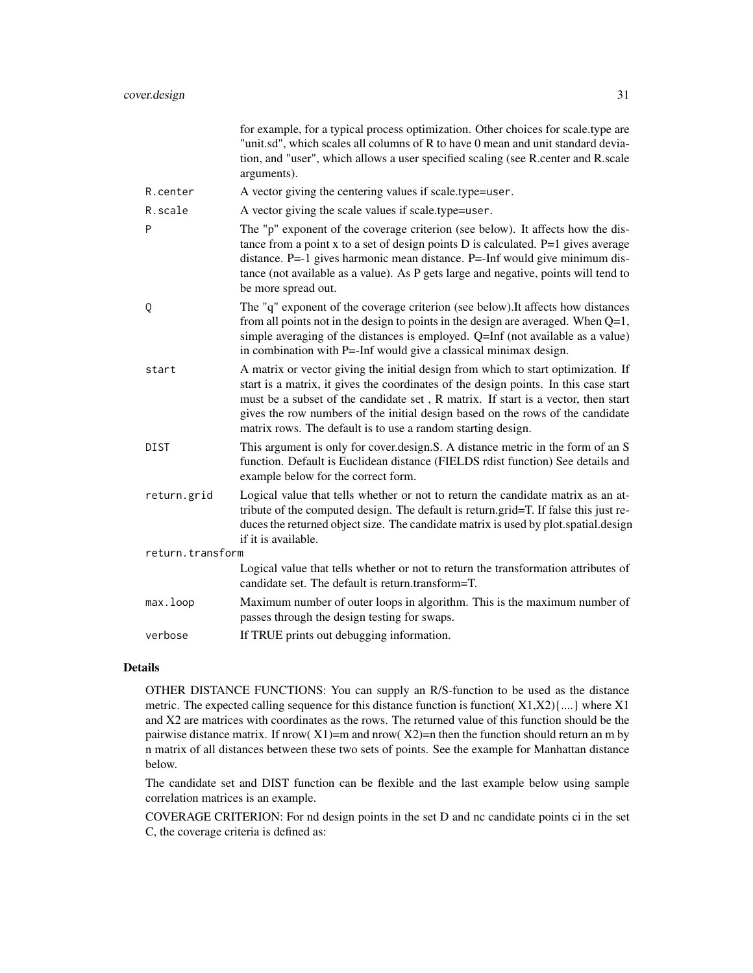|                  | for example, for a typical process optimization. Other choices for scale.type are<br>"unit.sd", which scales all columns of R to have 0 mean and unit standard devia-<br>tion, and "user", which allows a user specified scaling (see R.center and R.scale<br>arguments).                                                                                                                                        |
|------------------|------------------------------------------------------------------------------------------------------------------------------------------------------------------------------------------------------------------------------------------------------------------------------------------------------------------------------------------------------------------------------------------------------------------|
| R.center         | A vector giving the centering values if scale.type=user.                                                                                                                                                                                                                                                                                                                                                         |
| R.scale          | A vector giving the scale values if scale.type=user.                                                                                                                                                                                                                                                                                                                                                             |
| P                | The "p" exponent of the coverage criterion (see below). It affects how the dis-<br>tance from a point x to a set of design points $D$ is calculated. P=1 gives average<br>distance. P=-1 gives harmonic mean distance. P=-Inf would give minimum dis-<br>tance (not available as a value). As P gets large and negative, points will tend to<br>be more spread out.                                              |
| Q                | The "q" exponent of the coverage criterion (see below). It affects how distances<br>from all points not in the design to points in the design are averaged. When $Q=1$ ,<br>simple averaging of the distances is employed. Q=Inf (not available as a value)<br>in combination with P=-Inf would give a classical minimax design.                                                                                 |
| start            | A matrix or vector giving the initial design from which to start optimization. If<br>start is a matrix, it gives the coordinates of the design points. In this case start<br>must be a subset of the candidate set, R matrix. If start is a vector, then start<br>gives the row numbers of the initial design based on the rows of the candidate<br>matrix rows. The default is to use a random starting design. |
| <b>DIST</b>      | This argument is only for cover.design.S. A distance metric in the form of an S<br>function. Default is Euclidean distance (FIELDS rdist function) See details and<br>example below for the correct form.                                                                                                                                                                                                        |
| return.grid      | Logical value that tells whether or not to return the candidate matrix as an at-<br>tribute of the computed design. The default is return.grid=T. If false this just re-<br>duces the returned object size. The candidate matrix is used by plot.spatial.design<br>if it is available.                                                                                                                           |
| return.transform |                                                                                                                                                                                                                                                                                                                                                                                                                  |
|                  | Logical value that tells whether or not to return the transformation attributes of<br>candidate set. The default is return transform=T.                                                                                                                                                                                                                                                                          |
| max.loop         | Maximum number of outer loops in algorithm. This is the maximum number of<br>passes through the design testing for swaps.                                                                                                                                                                                                                                                                                        |
| verbose          | If TRUE prints out debugging information.                                                                                                                                                                                                                                                                                                                                                                        |
|                  |                                                                                                                                                                                                                                                                                                                                                                                                                  |

# Details

OTHER DISTANCE FUNCTIONS: You can supply an R/S-function to be used as the distance metric. The expected calling sequence for this distance function is function( $X1, X2$ ) $\{... \}$  where X1 and X2 are matrices with coordinates as the rows. The returned value of this function should be the pairwise distance matrix. If nrow( $X1$ )=m and nrow( $X2$ )=n then the function should return an m by n matrix of all distances between these two sets of points. See the example for Manhattan distance below.

The candidate set and DIST function can be flexible and the last example below using sample correlation matrices is an example.

COVERAGE CRITERION: For nd design points in the set D and nc candidate points ci in the set C, the coverage criteria is defined as: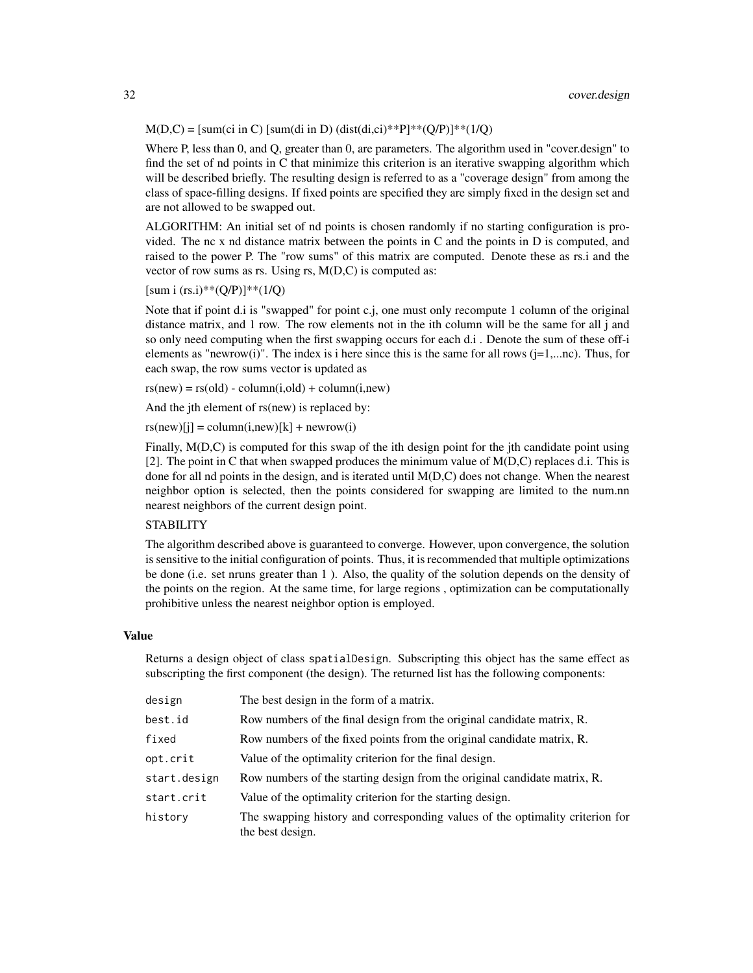$M(D,C) = [\text{sum}(c i in C) [\text{sum}(di in D) (dist(di, ci)**P] ** (Q/P)] ** (1/Q)$ 

Where P, less than 0, and Q, greater than 0, are parameters. The algorithm used in "cover.design" to find the set of nd points in C that minimize this criterion is an iterative swapping algorithm which will be described briefly. The resulting design is referred to as a "coverage design" from among the class of space-filling designs. If fixed points are specified they are simply fixed in the design set and are not allowed to be swapped out.

ALGORITHM: An initial set of nd points is chosen randomly if no starting configuration is provided. The nc x nd distance matrix between the points in C and the points in D is computed, and raised to the power P. The "row sums" of this matrix are computed. Denote these as rs.i and the vector of row sums as rs. Using rs, M(D,C) is computed as:

[sum i (rs.i)\*\*(Q/P)]\*\*(1/Q)

Note that if point d.i is "swapped" for point c.j, one must only recompute 1 column of the original distance matrix, and 1 row. The row elements not in the ith column will be the same for all j and so only need computing when the first swapping occurs for each d.i . Denote the sum of these off-i elements as "newrow(i)". The index is i here since this is the same for all rows ( $j=1,...n$ c). Thus, for each swap, the row sums vector is updated as

 $rs(new) = rs(old) - column(i,old) + column(i,new)$ 

And the jth element of rs(new) is replaced by:

 $rs(new)[i] = column(i,new)[k] + newrow(i)$ 

Finally,  $M(D,C)$  is computed for this swap of the ith design point for the jth candidate point using [2]. The point in C that when swapped produces the minimum value of  $M(D,C)$  replaces d.i. This is done for all nd points in the design, and is iterated until  $M(D,C)$  does not change. When the nearest neighbor option is selected, then the points considered for swapping are limited to the num.nn nearest neighbors of the current design point.

#### STABILITY

The algorithm described above is guaranteed to converge. However, upon convergence, the solution is sensitive to the initial configuration of points. Thus, it is recommended that multiple optimizations be done (i.e. set nruns greater than 1 ). Also, the quality of the solution depends on the density of the points on the region. At the same time, for large regions , optimization can be computationally prohibitive unless the nearest neighbor option is employed.

#### Value

Returns a design object of class spatialDesign. Subscripting this object has the same effect as subscripting the first component (the design). The returned list has the following components:

| design       | The best design in the form of a matrix.                                                          |
|--------------|---------------------------------------------------------------------------------------------------|
| best.id      | Row numbers of the final design from the original candidate matrix, R.                            |
| fixed        | Row numbers of the fixed points from the original candidate matrix, R.                            |
| opt.crit     | Value of the optimality criterion for the final design.                                           |
| start.design | Row numbers of the starting design from the original candidate matrix, R.                         |
| start.crit   | Value of the optimality criterion for the starting design.                                        |
| history      | The swapping history and corresponding values of the optimality criterion for<br>the best design. |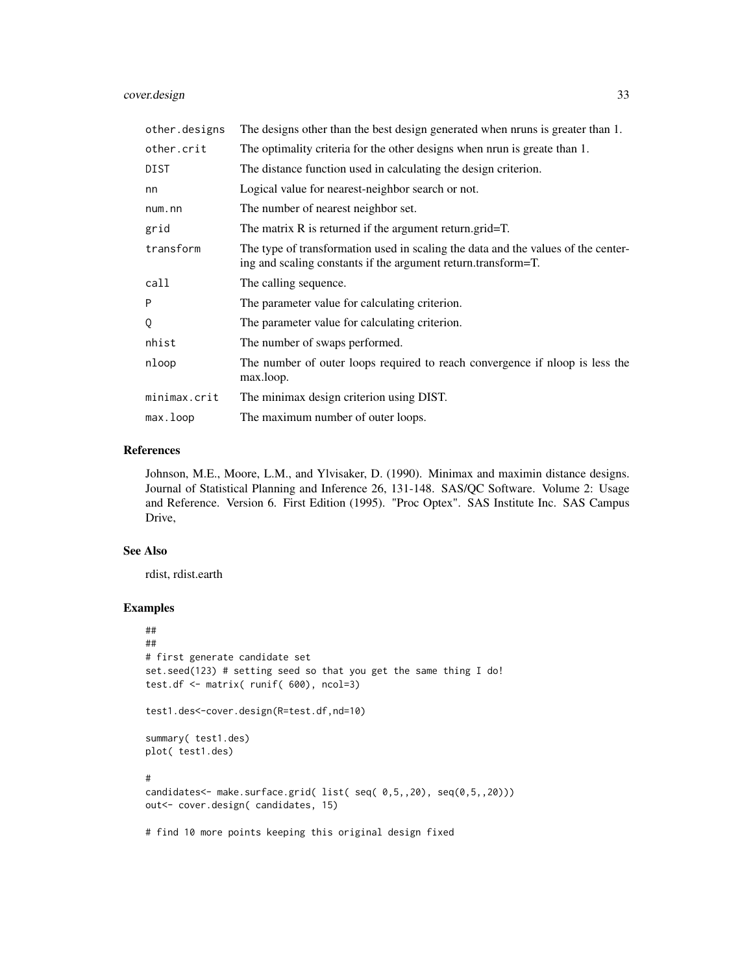# cover.design 33

| other.designs | The designs other than the best design generated when nruns is greater than 1.                                                                     |
|---------------|----------------------------------------------------------------------------------------------------------------------------------------------------|
| other.crit    | The optimality criteria for the other designs when nrun is greate than 1.                                                                          |
| DIST          | The distance function used in calculating the design criterion.                                                                                    |
| nn            | Logical value for nearest-neighbor search or not.                                                                                                  |
| num.in        | The number of nearest neighbor set.                                                                                                                |
| grid          | The matrix R is returned if the argument return.grid=T.                                                                                            |
| transform     | The type of transformation used in scaling the data and the values of the center-<br>ing and scaling constants if the argument return.transform=T. |
| call          | The calling sequence.                                                                                                                              |
| P             | The parameter value for calculating criterion.                                                                                                     |
| Q             | The parameter value for calculating criterion.                                                                                                     |
| nhist         | The number of swaps performed.                                                                                                                     |
| nloop         | The number of outer loops required to reach convergence if nloop is less the<br>max.loop.                                                          |
| minimax.crit  | The minimax design criterion using DIST.                                                                                                           |
| max.loop      | The maximum number of outer loops.                                                                                                                 |

#### References

Johnson, M.E., Moore, L.M., and Ylvisaker, D. (1990). Minimax and maximin distance designs. Journal of Statistical Planning and Inference 26, 131-148. SAS/QC Software. Volume 2: Usage and Reference. Version 6. First Edition (1995). "Proc Optex". SAS Institute Inc. SAS Campus Drive,

#### See Also

rdist, rdist.earth

```
##
##
# first generate candidate set
set.seed(123) # setting seed so that you get the same thing I do!
test.df <- matrix( runif( 600), ncol=3)
test1.des<-cover.design(R=test.df,nd=10)
summary( test1.des)
plot( test1.des)
#
candidates<- make.surface.grid( list( seq( 0,5,,20), seq(0,5,,20)))
out<- cover.design( candidates, 15)
# find 10 more points keeping this original design fixed
```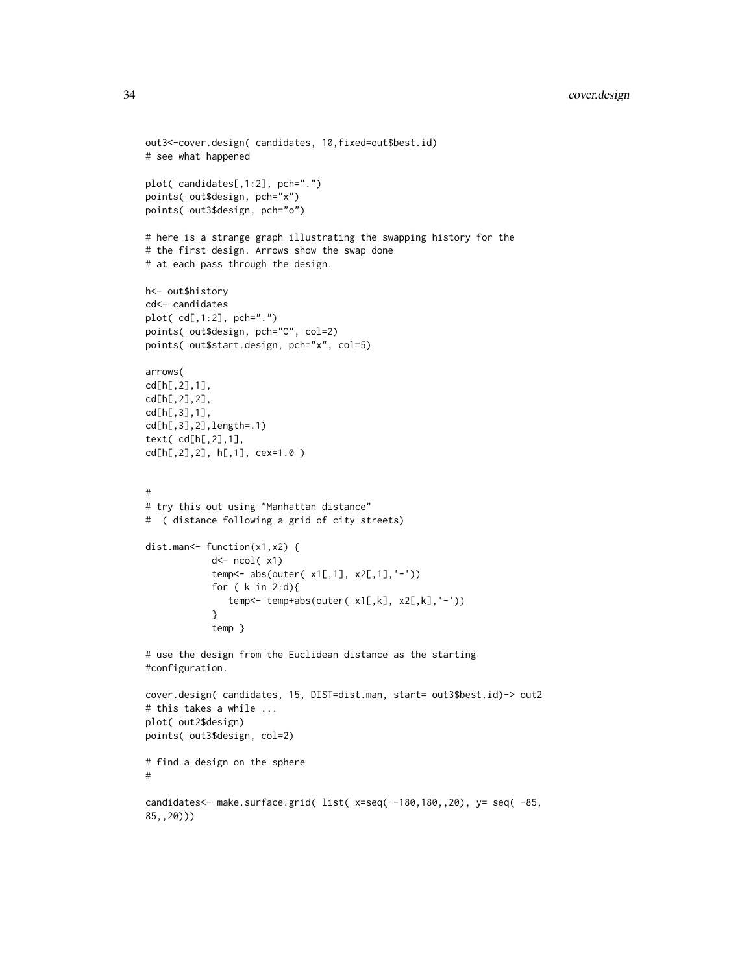```
out3<-cover.design( candidates, 10,fixed=out$best.id)
# see what happened
plot( candidates[,1:2], pch=".")
points( out$design, pch="x")
points( out3$design, pch="o")
# here is a strange graph illustrating the swapping history for the
# the first design. Arrows show the swap done
# at each pass through the design.
h<- out$history
cd<- candidates
plot( cd[,1:2], pch=".")
points( out$design, pch="O", col=2)
points( out$start.design, pch="x", col=5)
arrows(
cd[h[,2],1],
cd[h[,2],2],
cd[h[,3],1],
cd[h[,3],2],length=.1)
text( cd[h[,2],1],
cd[h[,2],2], h[,1], cex=1.0 )
#
# try this out using "Manhattan distance"
# ( distance following a grid of city streets)
dist.man<- function(x1,x2) {
            d <- ncol(x1)temp<- abs(outer( x1[,1], x2[,1],'-'))
            for ( k in 2:d){
               temp<- temp+abs(outer( x1[,k], x2[,k],'-'))
            }
            temp }
# use the design from the Euclidean distance as the starting
#configuration.
cover.design( candidates, 15, DIST=dist.man, start= out3$best.id)-> out2
# this takes a while ...
plot( out2$design)
points( out3$design, col=2)
# find a design on the sphere
#
candidates<- make.surface.grid( list( x=seq( -180,180,,20), y= seq( -85,
85,,20)))
```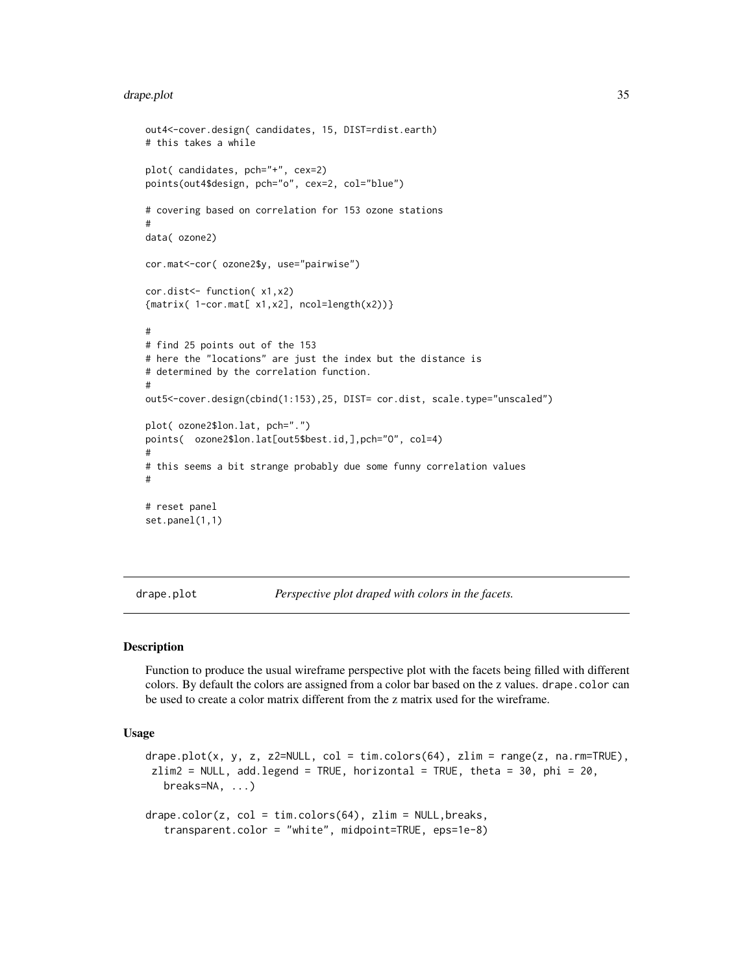#### <span id="page-34-0"></span>drape.plot 35

```
out4<-cover.design( candidates, 15, DIST=rdist.earth)
# this takes a while
plot( candidates, pch="+", cex=2)
points(out4$design, pch="o", cex=2, col="blue")
# covering based on correlation for 153 ozone stations
#
data( ozone2)
cor.mat<-cor( ozone2$y, use="pairwise")
cor.dist<- function( x1,x2)
{matrix( 1-cor.mat[ x1, x2], ncol=length(x2)) }#
# find 25 points out of the 153
# here the "locations" are just the index but the distance is
# determined by the correlation function.
#
out5<-cover.design(cbind(1:153),25, DIST= cor.dist, scale.type="unscaled")
plot( ozone2$lon.lat, pch=".")
points( ozone2$lon.lat[out5$best.id,],pch="O", col=4)
#
# this seems a bit strange probably due some funny correlation values
#
# reset panel
set.panel(1,1)
```
drape.plot *Perspective plot draped with colors in the facets.*

#### Description

Function to produce the usual wireframe perspective plot with the facets being filled with different colors. By default the colors are assigned from a color bar based on the z values. drape.color can be used to create a color matrix different from the z matrix used for the wireframe.

#### Usage

```
drape.plot(x, y, z, z2=NULL, col = tim.colors(64), zlim = range(z, na.rm=TRUE),
zlim2 = NULL, add.legend = TRUE, horizontal = TRUE, theta = 30, phi = 20,
   breaks=NA, ...)
drape.color(z, col = tim.color(64), zlim = NULL,breaks,transparent.color = "white", midpoint=TRUE, eps=1e-8)
```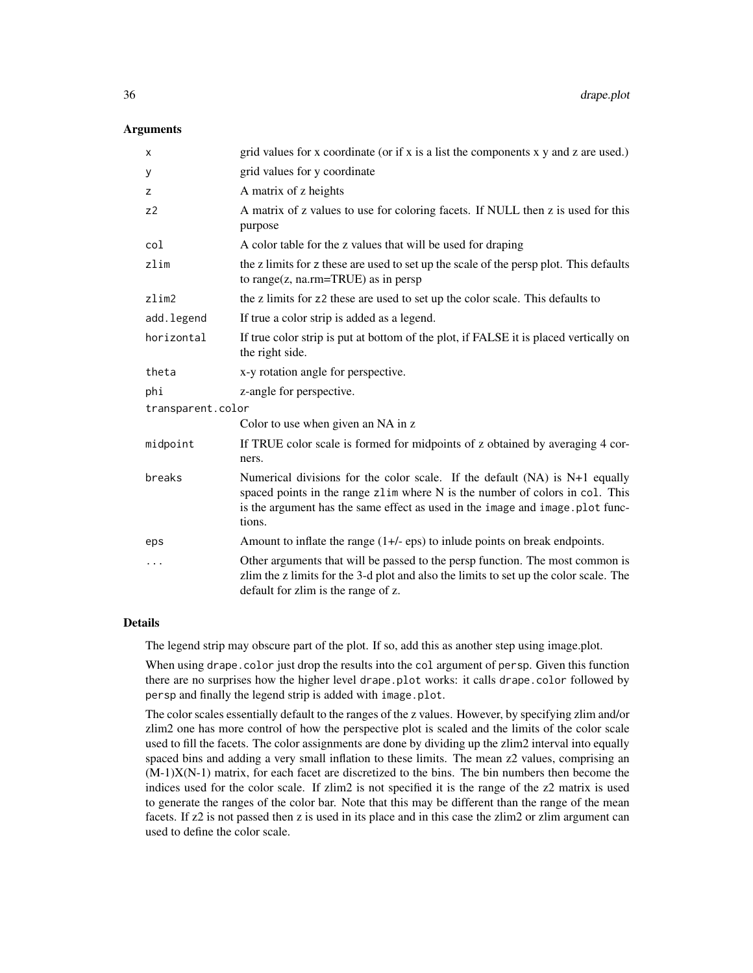#### **Arguments**

| X                 | grid values for x coordinate (or if x is a list the components x y and z are used.)                                                                                                                                                                        |
|-------------------|------------------------------------------------------------------------------------------------------------------------------------------------------------------------------------------------------------------------------------------------------------|
| У                 | grid values for y coordinate                                                                                                                                                                                                                               |
| z                 | A matrix of z heights                                                                                                                                                                                                                                      |
| Z <sub>2</sub>    | A matrix of z values to use for coloring facets. If NULL then z is used for this<br>purpose                                                                                                                                                                |
| col               | A color table for the z values that will be used for draping                                                                                                                                                                                               |
| zlim              | the z limits for z these are used to set up the scale of the persp plot. This defaults<br>to range $(z, na.rm = TRUE)$ as in persp                                                                                                                         |
| zlim2             | the z limits for z2 these are used to set up the color scale. This defaults to                                                                                                                                                                             |
| add.legend        | If true a color strip is added as a legend.                                                                                                                                                                                                                |
| horizontal        | If true color strip is put at bottom of the plot, if FALSE it is placed vertically on<br>the right side.                                                                                                                                                   |
| theta             | x-y rotation angle for perspective.                                                                                                                                                                                                                        |
| phi               | z-angle for perspective.                                                                                                                                                                                                                                   |
| transparent.color |                                                                                                                                                                                                                                                            |
|                   | Color to use when given an NA in z                                                                                                                                                                                                                         |
| midpoint          | If TRUE color scale is formed for midpoints of z obtained by averaging 4 cor-<br>ners.                                                                                                                                                                     |
| breaks            | Numerical divisions for the color scale. If the default $(NA)$ is $N+1$ equally<br>spaced points in the range zlim where N is the number of colors in col. This<br>is the argument has the same effect as used in the image and image.plot func-<br>tions. |
| eps               | Amount to inflate the range $(1+/-$ eps) to inlude points on break endpoints.                                                                                                                                                                              |
| $\cdots$          | Other arguments that will be passed to the persp function. The most common is<br>zlim the z limits for the 3-d plot and also the limits to set up the color scale. The<br>default for zlim is the range of z.                                              |

### Details

The legend strip may obscure part of the plot. If so, add this as another step using image.plot.

When using drape.color just drop the results into the col argument of persp. Given this function there are no surprises how the higher level drape.plot works: it calls drape.color followed by persp and finally the legend strip is added with image.plot.

The color scales essentially default to the ranges of the z values. However, by specifying zlim and/or zlim2 one has more control of how the perspective plot is scaled and the limits of the color scale used to fill the facets. The color assignments are done by dividing up the zlim2 interval into equally spaced bins and adding a very small inflation to these limits. The mean z2 values, comprising an  $(M-1)X(N-1)$  matrix, for each facet are discretized to the bins. The bin numbers then become the indices used for the color scale. If zlim2 is not specified it is the range of the z2 matrix is used to generate the ranges of the color bar. Note that this may be different than the range of the mean facets. If z2 is not passed then z is used in its place and in this case the zlim2 or zlim argument can used to define the color scale.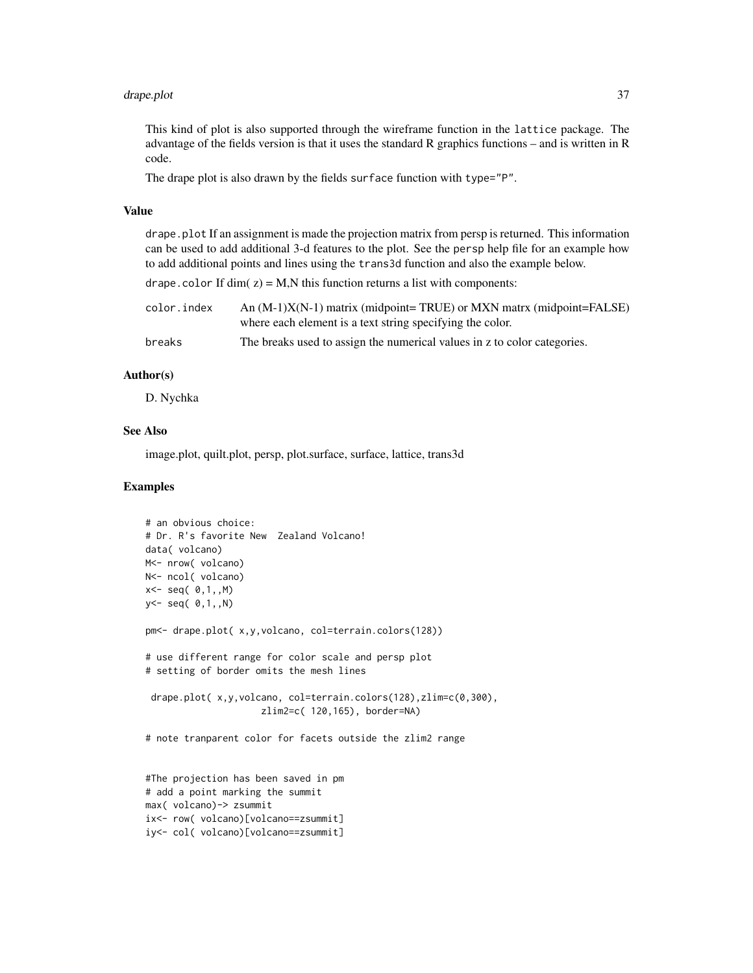#### drape.plot 37 and 37 and 37 and 37 and 37 and 37 and 37 and 37 and 37 and 37 and 37 and 37 and 37 and 37 and 3

This kind of plot is also supported through the wireframe function in the lattice package. The advantage of the fields version is that it uses the standard R graphics functions – and is written in R code.

The drape plot is also drawn by the fields surface function with type="P".

#### Value

drape.plot If an assignment is made the projection matrix from persp is returned. This information can be used to add additional 3-d features to the plot. See the persp help file for an example how to add additional points and lines using the trans3d function and also the example below.

drape.color If dim( $z$ ) = M,N this function returns a list with components:

| color.index | An $(M-1)X(N-1)$ matrix (midpoint= TRUE) or MXN matrx (midpoint= FALSE)  |
|-------------|--------------------------------------------------------------------------|
|             | where each element is a text string specifying the color.                |
| breaks      | The breaks used to assign the numerical values in z to color categories. |

#### Author(s)

D. Nychka

## See Also

image.plot, quilt.plot, persp, plot.surface, surface, lattice, trans3d

```
# an obvious choice:
# Dr. R's favorite New Zealand Volcano!
data( volcano)
M<- nrow( volcano)
N<- ncol( volcano)
x < - seq( 0, 1, .M)
y<- seq( 0,1,,N)
pm<- drape.plot( x,y,volcano, col=terrain.colors(128))
# use different range for color scale and persp plot
# setting of border omits the mesh lines
 drape.plot( x,y,volcano, col=terrain.colors(128),zlim=c(0,300),
                     zlim2=c( 120,165), border=NA)
# note tranparent color for facets outside the zlim2 range
#The projection has been saved in pm
# add a point marking the summit
max( volcano)-> zsummit
ix<- row( volcano)[volcano==zsummit]
iy<- col( volcano)[volcano==zsummit]
```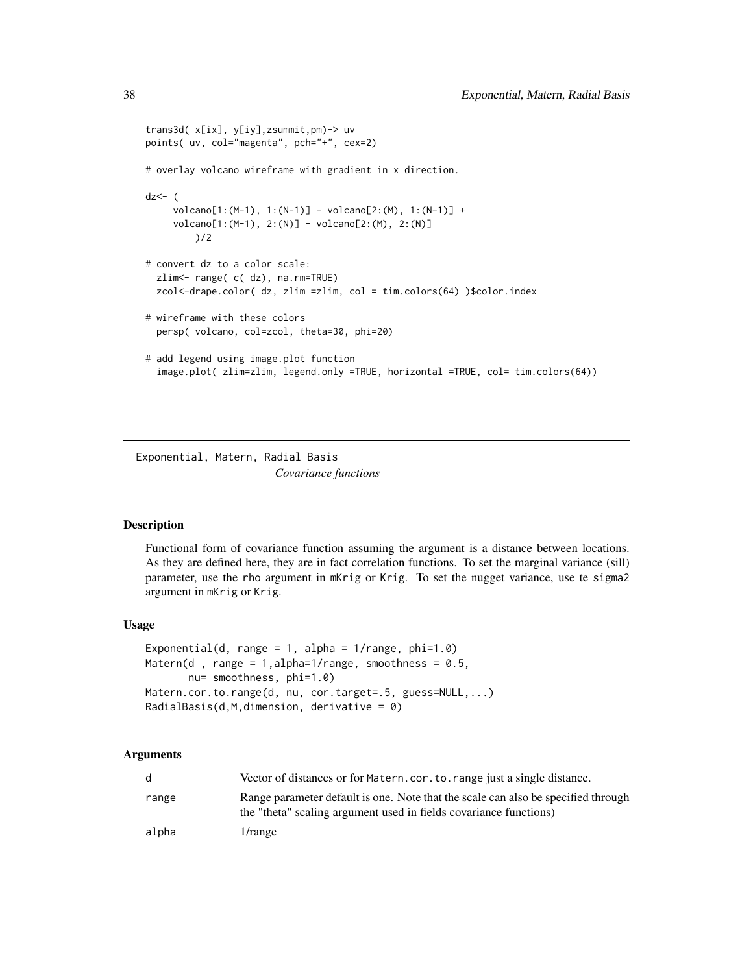```
trans3d( x[ix], y[iy],zsummit,pm)-> uv
points( uv, col="magenta", pch="+", cex=2)
# overlay volcano wireframe with gradient in x direction.
dz<- (
     volcano[1:(M-1), 1:(N-1)] - volcano[2:(M), 1:(N-1)] +
     volcano[1:(M-1), 2:(N)] - volcano[2:(M), 2:(N)]
        )/2
# convert dz to a color scale:
 zlim<- range( c( dz), na.rm=TRUE)
 zcol<-drape.color( dz, zlim =zlim, col = tim.colors(64) )$color.index
# wireframe with these colors
 persp( volcano, col=zcol, theta=30, phi=20)
# add legend using image.plot function
  image.plot( zlim=zlim, legend.only =TRUE, horizontal =TRUE, col= tim.colors(64))
```
Exponential, Matern, Radial Basis *Covariance functions*

#### Description

Functional form of covariance function assuming the argument is a distance between locations. As they are defined here, they are in fact correlation functions. To set the marginal variance (sill) parameter, use the rho argument in mKrig or Krig. To set the nugget variance, use te sigma2 argument in mKrig or Krig.

### Usage

```
Exponential(d, range = 1, alpha = 1/range, phi=1.0)
Matern(d, range = 1,alpha=1/range, smoothness = 0.5,
       nu= smoothness, phi=1.0)
Matern.cor.to.range(d, nu, cor.target=.5, guess=NULL,...)
RadialBasis(d, M, dimension, derivative = 0)
```
#### Arguments

|       | Vector of distances or for Matern, cor, to, range just a single distance.                                                                              |
|-------|--------------------------------------------------------------------------------------------------------------------------------------------------------|
| range | Range parameter default is one. Note that the scale can also be specified through<br>the "theta" scaling argument used in fields covariance functions) |
| alpha | $1/r$ ange                                                                                                                                             |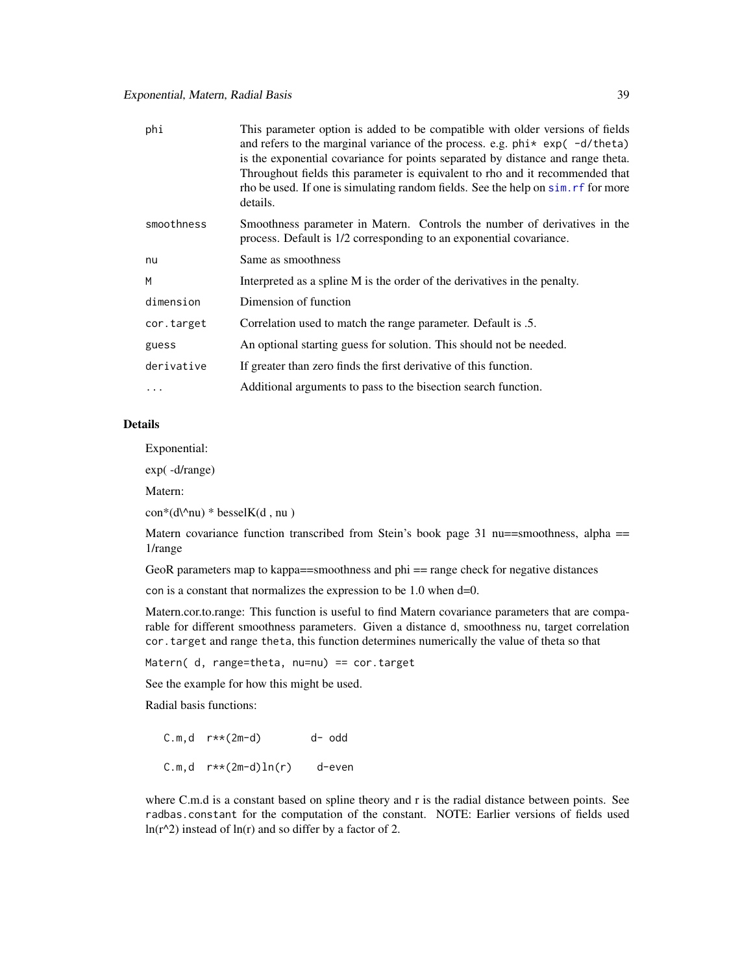| phi        | This parameter option is added to be compatible with older versions of fields<br>and refers to the marginal variance of the process. e.g. $phi* exp(-d/theta)$<br>is the exponential covariance for points separated by distance and range theta.<br>Throughout fields this parameter is equivalent to rho and it recommended that<br>rho be used. If one is simulating random fields. See the help on sim. rf for more<br>details. |
|------------|-------------------------------------------------------------------------------------------------------------------------------------------------------------------------------------------------------------------------------------------------------------------------------------------------------------------------------------------------------------------------------------------------------------------------------------|
| smoothness | Smoothness parameter in Matern. Controls the number of derivatives in the<br>process. Default is $1/2$ corresponding to an exponential covariance.                                                                                                                                                                                                                                                                                  |
| nu         | Same as smoothness                                                                                                                                                                                                                                                                                                                                                                                                                  |
| M          | Interpreted as a spline M is the order of the derivatives in the penalty.                                                                                                                                                                                                                                                                                                                                                           |
| dimension  | Dimension of function                                                                                                                                                                                                                                                                                                                                                                                                               |
| cor.target | Correlation used to match the range parameter. Default is .5.                                                                                                                                                                                                                                                                                                                                                                       |
| guess      | An optional starting guess for solution. This should not be needed.                                                                                                                                                                                                                                                                                                                                                                 |
| derivative | If greater than zero finds the first derivative of this function.                                                                                                                                                                                                                                                                                                                                                                   |
| $\ddots$   | Additional arguments to pass to the bisection search function.                                                                                                                                                                                                                                                                                                                                                                      |

## Details

Exponential:

exp( -d/range)

Matern:

 $con^*(d\wedge nu)$  \* besselK(d, nu)

Matern covariance function transcribed from Stein's book page 31 nu==smoothness, alpha == 1/range

GeoR parameters map to kappa==smoothness and phi == range check for negative distances

con is a constant that normalizes the expression to be 1.0 when d=0.

Matern.cor.to.range: This function is useful to find Matern covariance parameters that are comparable for different smoothness parameters. Given a distance d, smoothness nu, target correlation cor.target and range theta, this function determines numerically the value of theta so that

Matern( d, range=theta, nu=nu) == cor.target

See the example for how this might be used.

Radial basis functions:

| $C.m.d$ $r**(2m-d)$      | d- odd |
|--------------------------|--------|
| $C.m,d$ $r**(2m-d)ln(r)$ | d-even |

where C.m.d is a constant based on spline theory and r is the radial distance between points. See radbas.constant for the computation of the constant. NOTE: Earlier versions of fields used  $ln(r^2)$  instead of  $ln(r)$  and so differ by a factor of 2.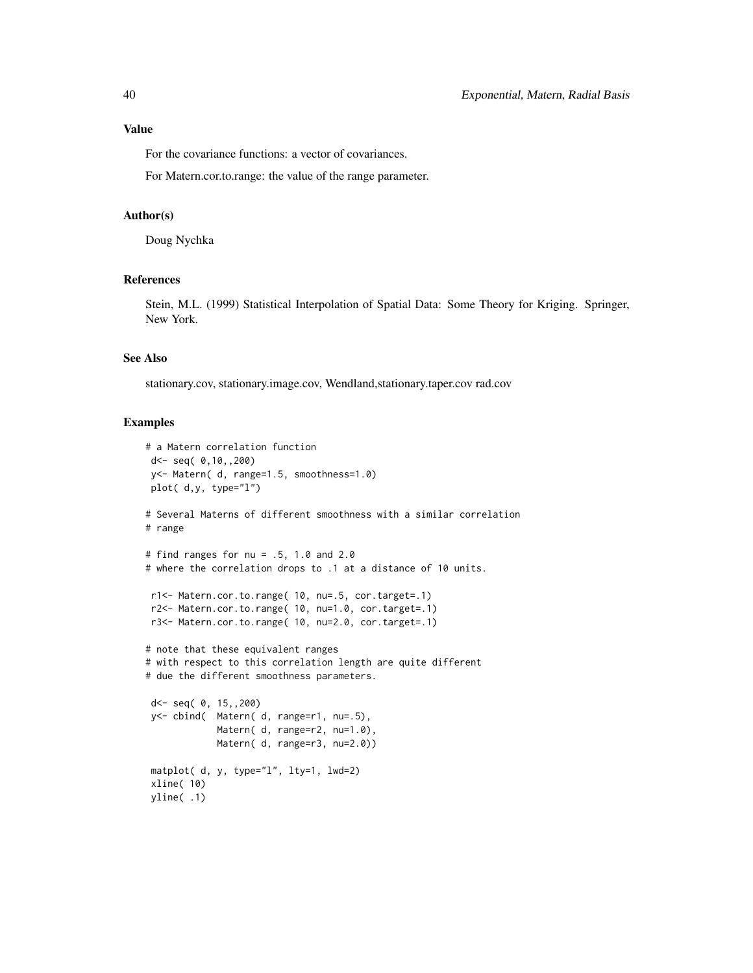## Value

For the covariance functions: a vector of covariances.

For Matern.cor.to.range: the value of the range parameter.

## Author(s)

Doug Nychka

## References

Stein, M.L. (1999) Statistical Interpolation of Spatial Data: Some Theory for Kriging. Springer, New York.

## See Also

stationary.cov, stationary.image.cov, Wendland,stationary.taper.cov rad.cov

```
# a Matern correlation function
d<- seq( 0,10,,200)
y<- Matern( d, range=1.5, smoothness=1.0)
plot( d,y, type="l")
# Several Materns of different smoothness with a similar correlation
# range
# find ranges for nu = .5, 1.0 and 2.0
# where the correlation drops to .1 at a distance of 10 units.
r1<- Matern.cor.to.range( 10, nu=.5, cor.target=.1)
r2<- Matern.cor.to.range( 10, nu=1.0, cor.target=.1)
r3<- Matern.cor.to.range( 10, nu=2.0, cor.target=.1)
# note that these equivalent ranges
# with respect to this correlation length are quite different
# due the different smoothness parameters.
d<- seq( 0, 15,,200)
y<- cbind( Matern( d, range=r1, nu=.5),
            Matern( d, range=r2, nu=1.0),
            Matern( d, range=r3, nu=2.0))
matplot( d, y, type="l", lty=1, lwd=2)
xline( 10)
yline( .1)
```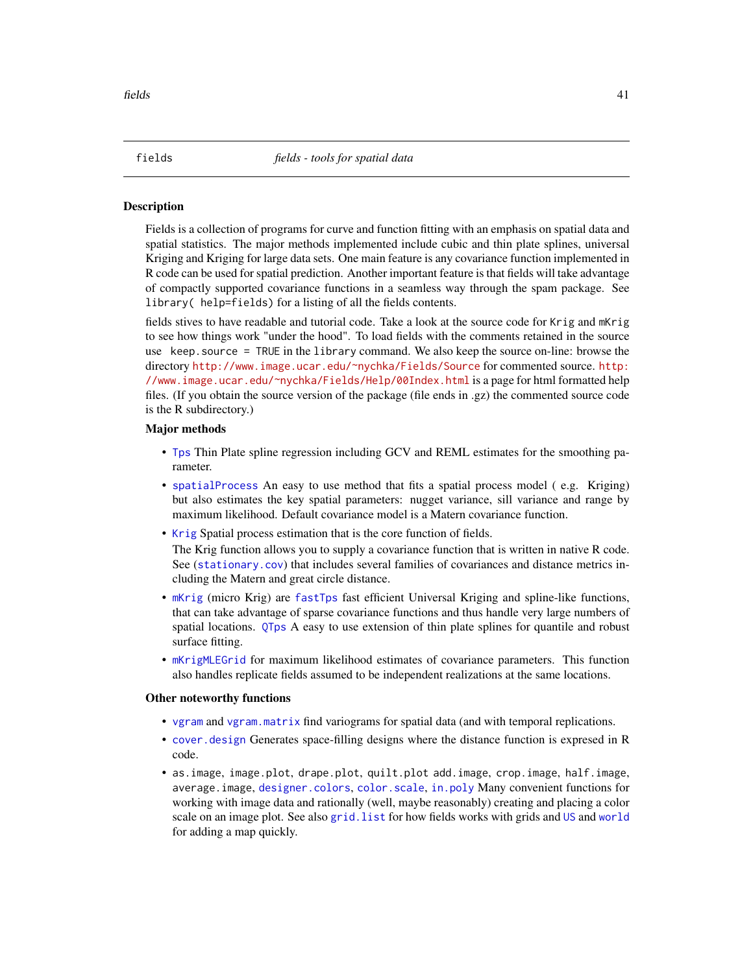#### **Description**

Fields is a collection of programs for curve and function fitting with an emphasis on spatial data and spatial statistics. The major methods implemented include cubic and thin plate splines, universal Kriging and Kriging for large data sets. One main feature is any covariance function implemented in R code can be used for spatial prediction. Another important feature is that fields will take advantage of compactly supported covariance functions in a seamless way through the spam package. See library( help=fields) for a listing of all the fields contents.

fields stives to have readable and tutorial code. Take a look at the source code for Krig and mKrig to see how things work "under the hood". To load fields with the comments retained in the source use keep.source = TRUE in the library command. We also keep the source on-line: browse the directory <http://www.image.ucar.edu/~nychka/Fields/Source> for commented source. [http:](http://www.image.ucar.edu/~nychka/Fields/Help/00Index.html) [//www.image.ucar.edu/~nychka/Fields/Help/00Index.html](http://www.image.ucar.edu/~nychka/Fields/Help/00Index.html) is a page for html formatted help files. (If you obtain the source version of the package (file ends in .gz) the commented source code is the R subdirectory.)

### Major methods

- [Tps](#page-186-0) Thin Plate spline regression including GCV and REML estimates for the smoothing parameter.
- [spatialProcess](#page-161-0) An easy to use method that fits a spatial process model ( e.g. Kriging) but also estimates the key spatial parameters: nugget variance, sill variance and range by maximum likelihood. Default covariance model is a Matern covariance function.
- [Krig](#page-75-0) Spatial process estimation that is the core function of fields.

The Krig function allows you to supply a covariance function that is written in native R code. See ([stationary.cov](#page-22-0)) that includes several families of covariances and distance metrics including the Matern and great circle distance.

- [mKrig](#page-89-0) (micro Krig) are [fastTps](#page-186-1) fast efficient Universal Kriging and spline-like functions, that can take advantage of sparse covariance functions and thus handle very large numbers of spatial locations. [QTps](#page-128-0) A easy to use extension of thin plate splines for quantile and robust surface fitting.
- [mKrigMLEGrid](#page-101-0) for maximum likelihood estimates of covariance parameters. This function also handles replicate fields assumed to be independent realizations at the same locations.

#### Other noteworthy functions

- [vgram](#page-195-0) and [vgram.matrix](#page-198-0) find variograms for spatial data (and with temporal replications.
- [cover.design](#page-29-0) Generates space-filling designs where the distance function is expresed in R code.
- as.image, image.plot, drape.plot, quilt.plot add.image, crop.image, half.image, average.image, [designer.colors](#page-183-0), [color.scale](#page-183-0), [in.poly](#page-70-0) Many convenient functions for working with image data and rationally (well, maybe reasonably) creating and placing a color scale on an image plot. See also grid. list for how fields works with grids and [US](#page-194-0) and [world](#page-202-0) for adding a map quickly.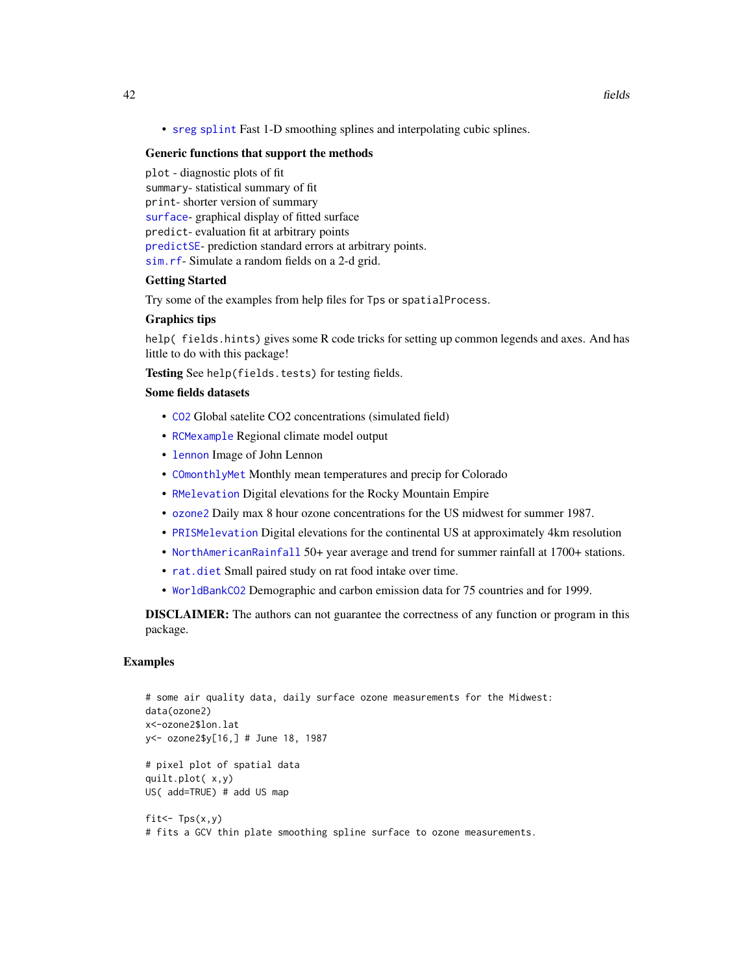• [sreg](#page-168-0) [splint](#page-166-0) Fast 1-D smoothing splines and interpolating cubic splines.

#### Generic functions that support the methods

plot - diagnostic plots of fit summary- statistical summary of fit print- shorter version of summary [surface](#page-0-0)- graphical display of fitted surface predict- evaluation fit at arbitrary points [predictSE](#page-119-0)- prediction standard errors at arbitrary points. [sim.rf](#page-150-0)- Simulate a random fields on a 2-d grid.

#### Getting Started

Try some of the examples from help files for Tps or spatialProcess.

#### Graphics tips

help( fields.hints) gives some R code tricks for setting up common legends and axes. And has little to do with this package!

Testing See help(fields.tests) for testing fields.

### Some fields datasets

- [CO2](#page-12-0) Global satelite CO2 concentrations (simulated field)
- [RCMexample](#page-135-0) Regional climate model output
- [lennon](#page-88-0) Image of John Lennon
- [COmonthlyMet](#page-14-0) Monthly mean temperatures and precip for Colorado
- [RMelevation](#page-146-0) Digital elevations for the Rocky Mountain Empire
- [ozone2](#page-110-0) Daily max 8 hour ozone concentrations for the US midwest for summer 1987.
- [PRISMelevation](#page-146-0) Digital elevations for the continental US at approximately 4km resolution
- [NorthAmericanRainfall](#page-109-0) 50+ year average and trend for summer rainfall at 1700+ stations.
- [rat.diet](#page-135-1) Small paired study on rat food intake over time.
- [WorldBankCO2](#page-203-0) Demographic and carbon emission data for 75 countries and for 1999.

**DISCLAIMER:** The authors can not guarantee the correctness of any function or program in this package.

```
# some air quality data, daily surface ozone measurements for the Midwest:
data(ozone2)
x<-ozone2$lon.lat
y<- ozone2$y[16,] # June 18, 1987
# pixel plot of spatial data
quilt.plot( x,y)
US( add=TRUE) # add US map
fit <- Tps(x, y)# fits a GCV thin plate smoothing spline surface to ozone measurements.
```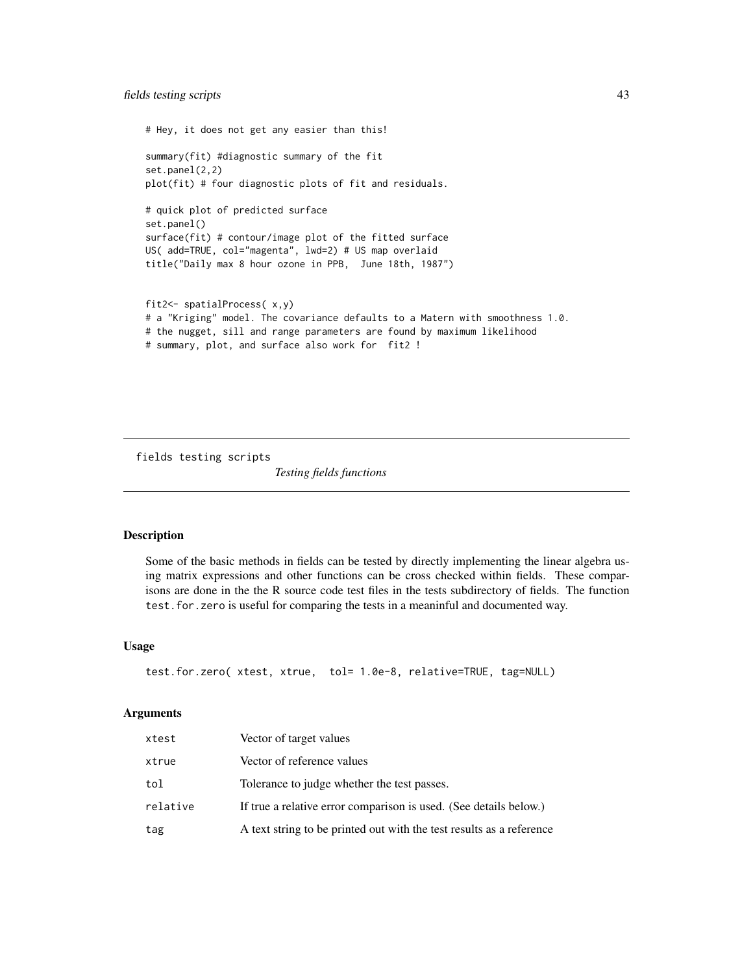# fields testing scripts 43

```
# Hey, it does not get any easier than this!
summary(fit) #diagnostic summary of the fit
set.panel(2,2)
plot(fit) # four diagnostic plots of fit and residuals.
# quick plot of predicted surface
set.panel()
surface(fit) # contour/image plot of the fitted surface
US( add=TRUE, col="magenta", lwd=2) # US map overlaid
title("Daily max 8 hour ozone in PPB, June 18th, 1987")
fit2<- spatialProcess( x,y)
# a "Kriging" model. The covariance defaults to a Matern with smoothness 1.0.
# the nugget, sill and range parameters are found by maximum likelihood
```

```
# summary, plot, and surface also work for fit2 !
```
fields testing scripts

*Testing fields functions*

#### **Description**

Some of the basic methods in fields can be tested by directly implementing the linear algebra using matrix expressions and other functions can be cross checked within fields. These comparisons are done in the the R source code test files in the tests subdirectory of fields. The function test.for.zero is useful for comparing the tests in a meaninful and documented way.

### Usage

```
test.for.zero( xtest, xtrue, tol= 1.0e-8, relative=TRUE, tag=NULL)
```
### Arguments

| xtest    | Vector of target values                                              |
|----------|----------------------------------------------------------------------|
| xtrue    | Vector of reference values                                           |
| tol      | Tolerance to judge whether the test passes.                          |
| relative | If true a relative error comparison is used. (See details below.)    |
| tag      | A text string to be printed out with the test results as a reference |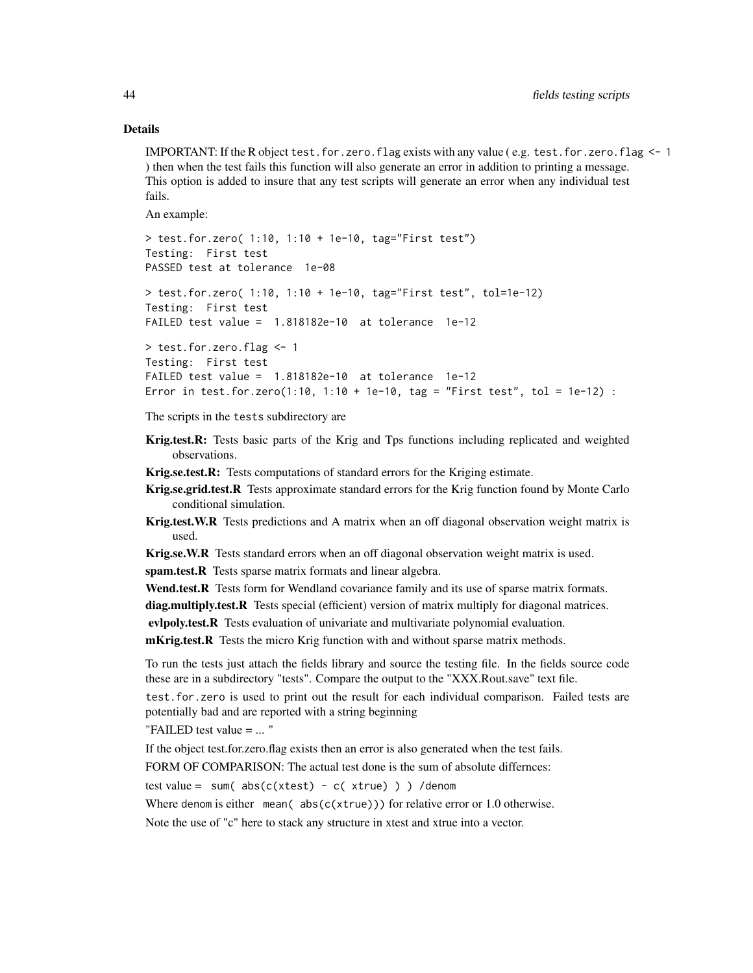### Details

IMPORTANT: If the R object test.for.zero.flag exists with any value ( e.g. test.for.zero.flag <- 1 ) then when the test fails this function will also generate an error in addition to printing a message. This option is added to insure that any test scripts will generate an error when any individual test fails.

An example:

```
> test.for.zero( 1:10, 1:10 + 1e-10, tag="First test")
Testing: First test
PASSED test at tolerance 1e-08
> test.for.zero( 1:10, 1:10 + 1e-10, tag="First test", tol=1e-12)
Testing: First test
FAILED test value = 1.818182e-10 at tolerance 1e-12
> test.for.zero.flag <- 1
Testing: First test
FAILED test value = 1.818182e-10 at tolerance 1e-12
Error in test.for.zero(1:10, 1:10 + 1e-10, tag = "First test", tol = 1e-12) :
```
The scripts in the tests subdirectory are

Krig.test.R: Tests basic parts of the Krig and Tps functions including replicated and weighted observations.

Krig.se.test.R: Tests computations of standard errors for the Kriging estimate.

**Krig.se.grid.test.R** Tests approximate standard errors for the Krig function found by Monte Carlo conditional simulation.

Krig.test.W.R Tests predictions and A matrix when an off diagonal observation weight matrix is used.

Krig.se.W.R Tests standard errors when an off diagonal observation weight matrix is used.

spam.test.R Tests sparse matrix formats and linear algebra.

Wend.test.R Tests form for Wendland covariance family and its use of sparse matrix formats.

diag.multiply.test.R Tests special (efficient) version of matrix multiply for diagonal matrices.

evlpoly.test.R Tests evaluation of univariate and multivariate polynomial evaluation.

mKrig.test.R Tests the micro Krig function with and without sparse matrix methods.

To run the tests just attach the fields library and source the testing file. In the fields source code these are in a subdirectory "tests". Compare the output to the "XXX.Rout.save" text file.

test.for.zero is used to print out the result for each individual comparison. Failed tests are potentially bad and are reported with a string beginning

"FAILED test value = ... "

If the object test.for.zero.flag exists then an error is also generated when the test fails.

FORM OF COMPARISON: The actual test done is the sum of absolute differnces:

test value =  $sum($  abs(c(xtest) - c( xtrue) ) ) /denom

Where denom is either mean( $abs(c(xtrue))$ ) for relative error or 1.0 otherwise.

Note the use of "c" here to stack any structure in xtest and xtrue into a vector.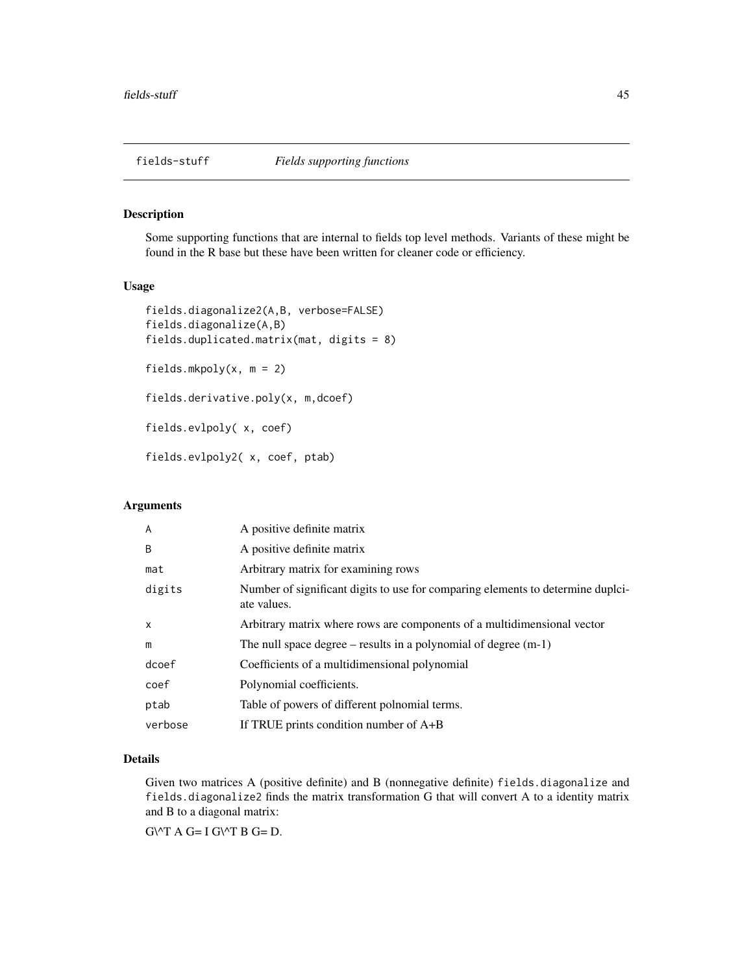### Description

Some supporting functions that are internal to fields top level methods. Variants of these might be found in the R base but these have been written for cleaner code or efficiency.

## Usage

```
fields.diagonalize2(A,B, verbose=FALSE)
fields.diagonalize(A,B)
fields.duplicated.matrix(mat, digits = 8)
fields.mkpoly(x, m = 2)fields.derivative.poly(x, m,dcoef)
fields.evlpoly( x, coef)
fields.evlpoly2( x, coef, ptab)
```
## Arguments

| $\overline{A}$ | A positive definite matrix                                                                     |
|----------------|------------------------------------------------------------------------------------------------|
| B              | A positive definite matrix                                                                     |
| mat            | Arbitrary matrix for examining rows                                                            |
| digits         | Number of significant digits to use for comparing elements to determine duplci-<br>ate values. |
| $\mathsf{x}$   | Arbitrary matrix where rows are components of a multidimensional vector                        |
| m              | The null space degree $-$ results in a polynomial of degree $(m-1)$                            |
| dcoef          | Coefficients of a multidimensional polynomial                                                  |
| coef           | Polynomial coefficients.                                                                       |
| ptab           | Table of powers of different polnomial terms.                                                  |
| verbose        | If TRUE prints condition number of $A+B$                                                       |

### Details

Given two matrices A (positive definite) and B (nonnegative definite) fields.diagonalize and fields.diagonalize2 finds the matrix transformation G that will convert A to a identity matrix and B to a diagonal matrix:

 $G\wedge T A G = I G\wedge T B G = D.$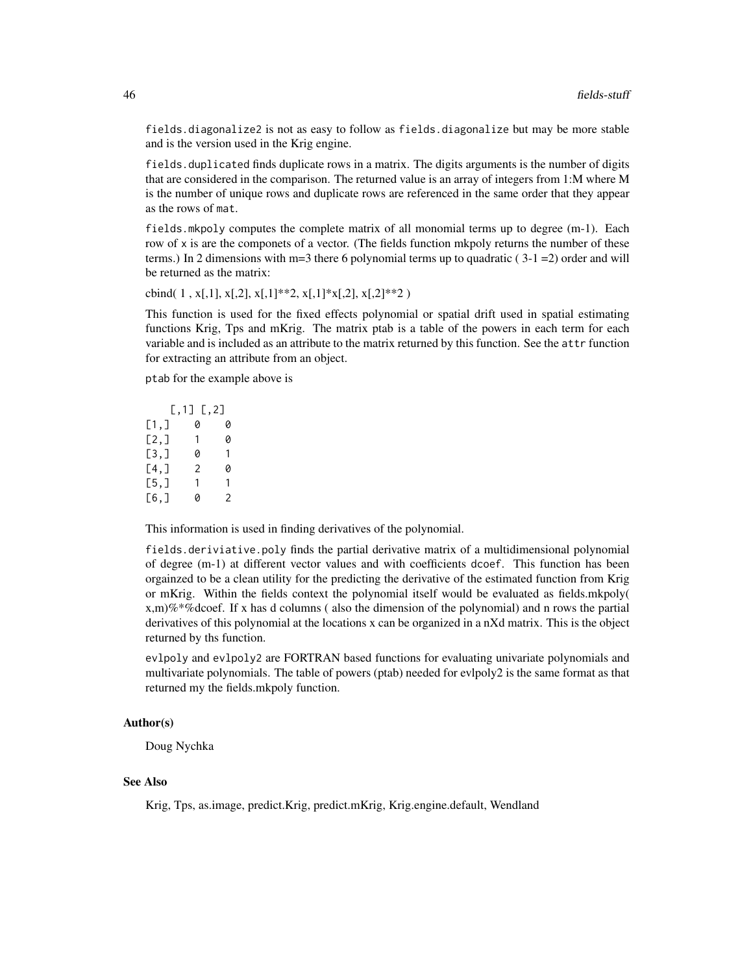fields.diagonalize2 is not as easy to follow as fields.diagonalize but may be more stable and is the version used in the Krig engine.

fields.duplicated finds duplicate rows in a matrix. The digits arguments is the number of digits that are considered in the comparison. The returned value is an array of integers from 1:M where M is the number of unique rows and duplicate rows are referenced in the same order that they appear as the rows of mat.

fields.mkpoly computes the complete matrix of all monomial terms up to degree (m-1). Each row of x is are the componets of a vector. (The fields function mkpoly returns the number of these terms.) In 2 dimensions with  $m=3$  there 6 polynomial terms up to quadratic (3-1 $=$ 2) order and will be returned as the matrix:

cbind( 1, x[,1], x[,2], x[,1]\*\*2, x[,1]\*x[,2], x[,2]\*\*2)

This function is used for the fixed effects polynomial or spatial drift used in spatial estimating functions Krig, Tps and mKrig. The matrix ptab is a table of the powers in each term for each variable and is included as an attribute to the matrix returned by this function. See the attr function for extracting an attribute from an object.

ptab for the example above is

|      | $\left[1, 1\right] \left[1, 2\right]$ |   |
|------|---------------------------------------|---|
| [1,] | 0                                     | 0 |
| [2,] | 1                                     | Ø |
| [3,] | Ø                                     | 1 |
| [4,] | 2                                     | a |
| [5,] | 1                                     | 1 |
| [6.] | Ø                                     | 2 |

This information is used in finding derivatives of the polynomial.

fields.deriviative.poly finds the partial derivative matrix of a multidimensional polynomial of degree (m-1) at different vector values and with coefficients dcoef. This function has been orgainzed to be a clean utility for the predicting the derivative of the estimated function from Krig or mKrig. Within the fields context the polynomial itself would be evaluated as fields.mkpoly( x,m)%\*%dcoef. If x has d columns ( also the dimension of the polynomial) and n rows the partial derivatives of this polynomial at the locations x can be organized in a nXd matrix. This is the object returned by ths function.

evlpoly and evlpoly2 are FORTRAN based functions for evaluating univariate polynomials and multivariate polynomials. The table of powers (ptab) needed for evlpoly2 is the same format as that returned my the fields.mkpoly function.

### Author(s)

Doug Nychka

### See Also

Krig, Tps, as.image, predict.Krig, predict.mKrig, Krig.engine.default, Wendland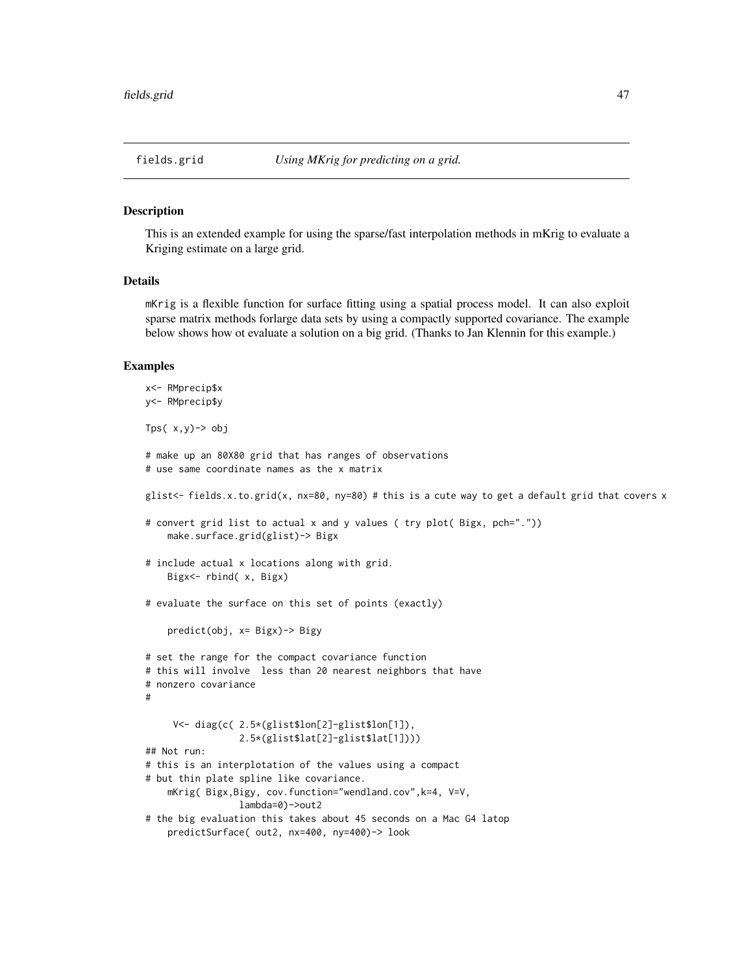### **Description**

This is an extended example for using the sparse/fast interpolation methods in mKrig to evaluate a Kriging estimate on a large grid.

### Details

mKrig is a flexible function for surface fitting using a spatial process model. It can also exploit sparse matrix methods forlarge data sets by using a compactly supported covariance. The example below shows how ot evaluate a solution on a big grid. (Thanks to Jan Klennin for this example.)

```
x<- RMprecip$x
y<- RMprecip$y
Tps(x,y) \rightarrow obj# make up an 80X80 grid that has ranges of observations
# use same coordinate names as the x matrix
glist<- fields.x.to.grid(x, nx=80, ny=80) # this is a cute way to get a default grid that covers x
# convert grid list to actual x and y values ( try plot( Bigx, pch="."))
    make.surface.grid(glist)-> Bigx
# include actual x locations along with grid.
    Bigx<- rbind( x, Bigx)
# evaluate the surface on this set of points (exactly)
    predict(obj, x= Bigx)-> Bigy
# set the range for the compact covariance function
# this will involve less than 20 nearest neighbors that have
# nonzero covariance
#
     V<- diag(c( 2.5*(glist$lon[2]-glist$lon[1]),
                 2.5*(glist$lat[2]-glist$lat[1])))
## Not run:
# this is an interplotation of the values using a compact
# but thin plate spline like covariance.
    mKrig( Bigx,Bigy, cov.function="wendland.cov",k=4, V=V,
                 lambda=0)->out2
# the big evaluation this takes about 45 seconds on a Mac G4 latop
    predictSurface( out2, nx=400, ny=400)-> look
```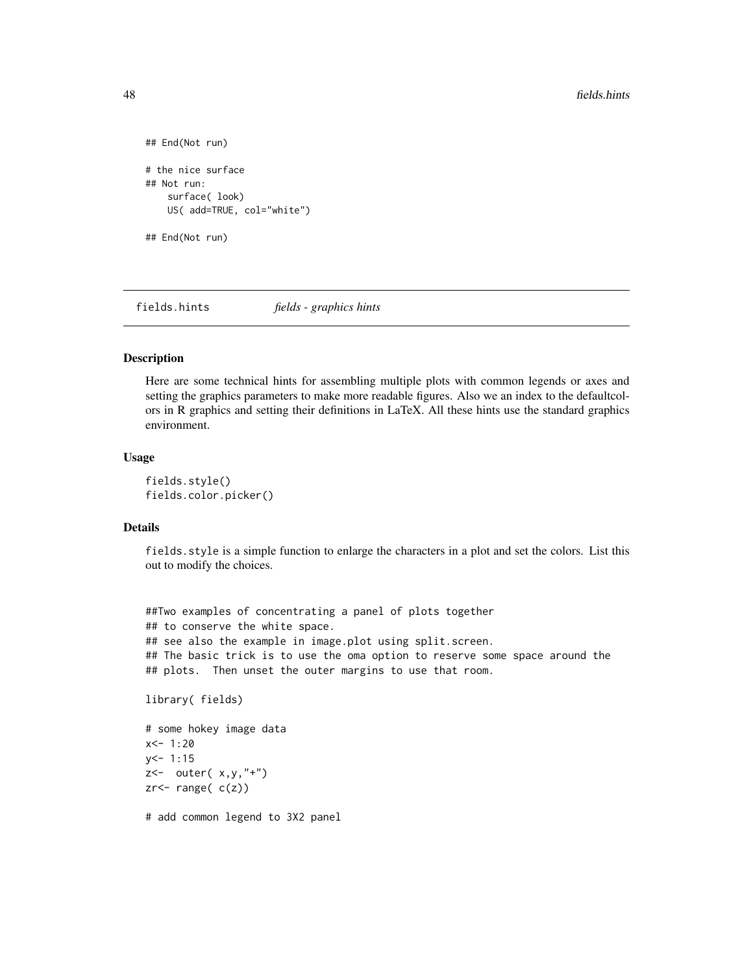```
## End(Not run)
# the nice surface
## Not run:
   surface( look)
   US( add=TRUE, col="white")
## End(Not run)
```
fields.hints *fields - graphics hints*

# Description

Here are some technical hints for assembling multiple plots with common legends or axes and setting the graphics parameters to make more readable figures. Also we an index to the defaultcolors in R graphics and setting their definitions in LaTeX. All these hints use the standard graphics environment.

### Usage

```
fields.style()
fields.color.picker()
```
# Details

fields.style is a simple function to enlarge the characters in a plot and set the colors. List this out to modify the choices.

```
##Two examples of concentrating a panel of plots together
## to conserve the white space.
## see also the example in image.plot using split.screen.
## The basic trick is to use the oma option to reserve some space around the
## plots. Then unset the outer margins to use that room.
library( fields)
# some hokey image data
x < -1:20y < -1:15z < - outer(x, y, "+")zr - range( c(z))
# add common legend to 3X2 panel
```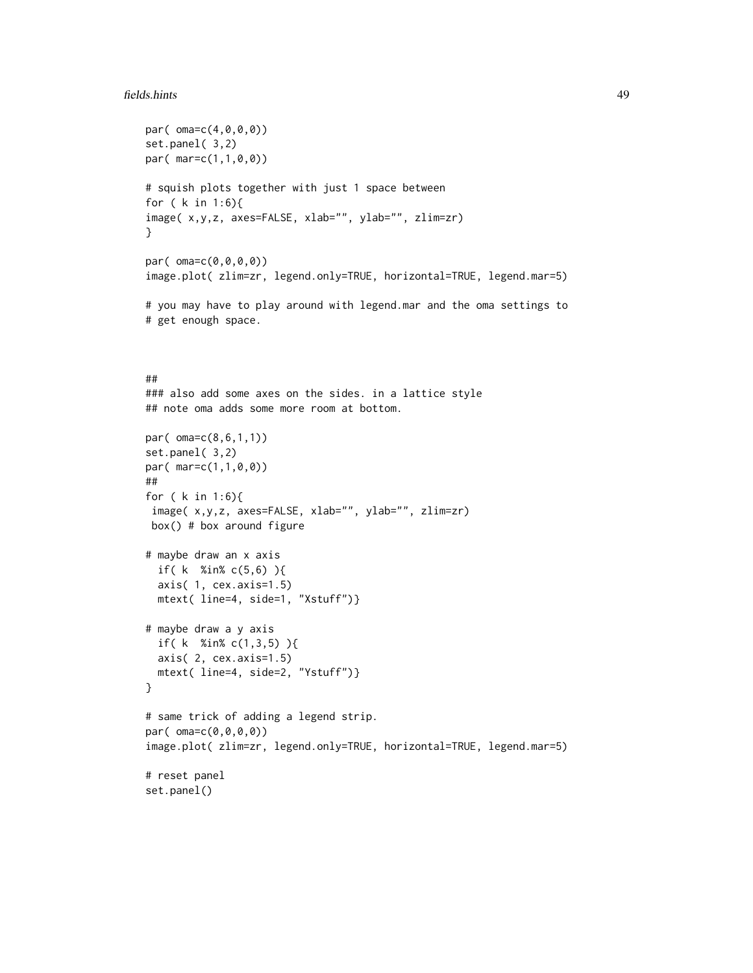```
fields.hints 49
```

```
par( oma=c(4,0,0,0))
set.panel( 3,2)
par( mar=c(1,1,0,0))
# squish plots together with just 1 space between
for ( k in 1:6){
image( x,y,z, axes=FALSE, xlab="", ylab="", zlim=zr)
}
par( oma=c(0,0,0,0))
image.plot( zlim=zr, legend.only=TRUE, horizontal=TRUE, legend.mar=5)
# you may have to play around with legend.mar and the oma settings to
# get enough space.
##
### also add some axes on the sides. in a lattice style
## note oma adds some more room at bottom.
par( oma=c(8,6,1,1))
set.panel( 3,2)
par( mar=c(1,1,0,0))
##
for ( k in 1:6){
image( x,y,z, axes=FALSE, xlab="", ylab="", zlim=zr)
box() # box around figure
# maybe draw an x axis
  if( k %in% c(5,6) ){
  axis( 1, cex.axis=1.5)
 mtext( line=4, side=1, "Xstuff")}
# maybe draw a y axis
  if( k %in% c(1,3,5) ){
 axis( 2, cex.axis=1.5)
 mtext( line=4, side=2, "Ystuff")}
}
# same trick of adding a legend strip.
par( oma=c(0,0,0,0))
image.plot( zlim=zr, legend.only=TRUE, horizontal=TRUE, legend.mar=5)
# reset panel
set.panel()
```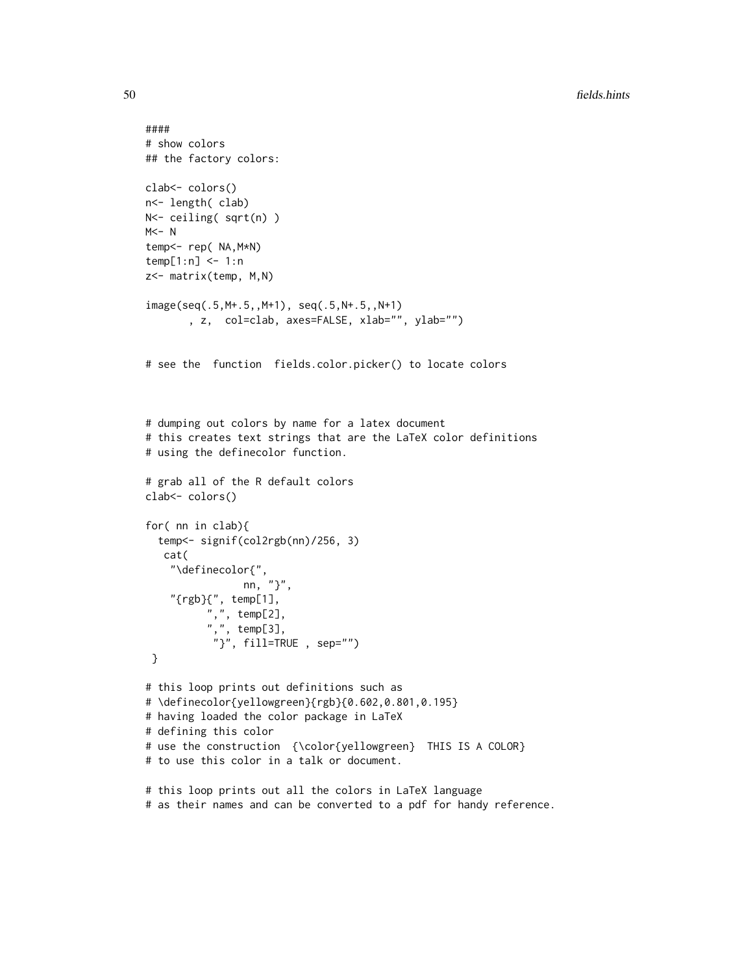```
####
# show colors
## the factory colors:
clab<- colors()
n<- length( clab)
N<- ceiling( sqrt(n) )
M<- N
temp<- rep( NA,M*N)
temp[1:n] <- 1:n
z<- matrix(temp, M,N)
image(seq(.5,M+.5,,M+1), seq(.5,N+.5,,N+1)
       , z, col=clab, axes=FALSE, xlab="", ylab="")
# see the function fields.color.picker() to locate colors
# dumping out colors by name for a latex document
# this creates text strings that are the LaTeX color definitions
# using the definecolor function.
# grab all of the R default colors
clab<- colors()
for( nn in clab){
  temp<- signif(col2rgb(nn)/256, 3)
   cat(
    "\definecolor{",
               nn, "}",
    "{rgb}{", temp[1],
          ",", temp[2],
          ",", temp[3],
           "}", fill=TRUE, sep="")
 }
# this loop prints out definitions such as
# \definecolor{yellowgreen}{rgb}{0.602,0.801,0.195}
# having loaded the color package in LaTeX
# defining this color
# use the construction {\color{yellowgreen} THIS IS A COLOR}
# to use this color in a talk or document.
# this loop prints out all the colors in LaTeX language
# as their names and can be converted to a pdf for handy reference.
```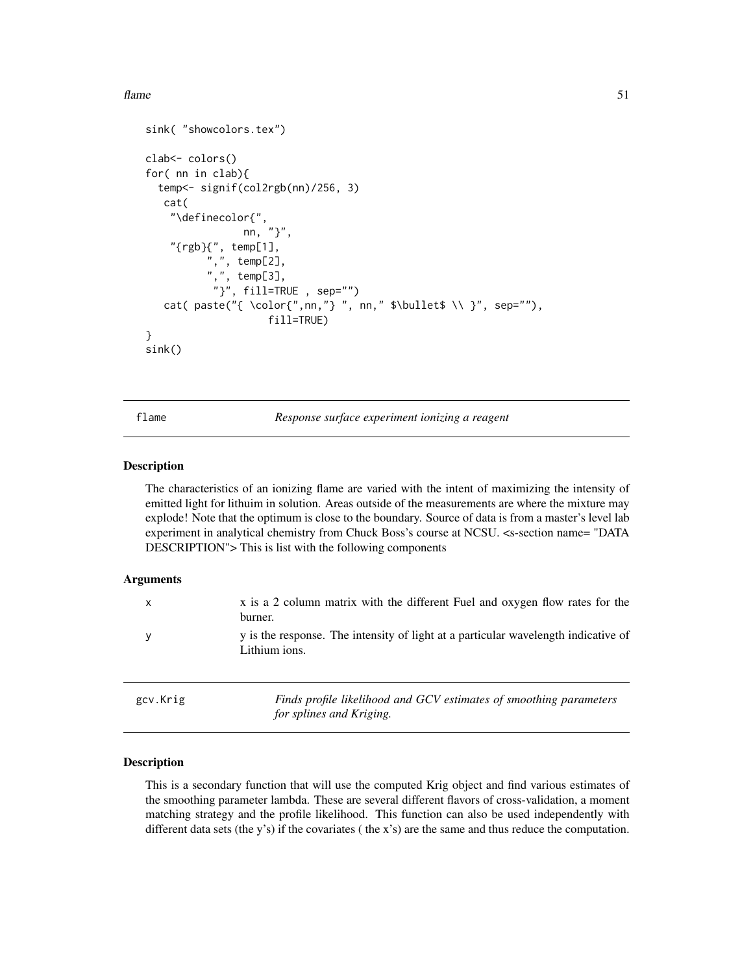#### flame 51

```
sink( "showcolors.tex")
clab<- colors()
for( nn in clab){
  temp<- signif(col2rgb(nn)/256, 3)
   cat(
    "\definecolor{",
                nn, "}",
    "{rgb}{", temp[1],
          ",", temp[2],
          ",", temp[3],
           "}", fill=TRUE , sep="")
   cat( paste("{ \color{",nn,"} ", nn," $\bullet$ \\ }", sep=""),
                    fill=TRUE)
}
sink()
```
flame *Response surface experiment ionizing a reagent*

### Description

The characteristics of an ionizing flame are varied with the intent of maximizing the intensity of emitted light for lithuim in solution. Areas outside of the measurements are where the mixture may explode! Note that the optimum is close to the boundary. Source of data is from a master's level lab experiment in analytical chemistry from Chuck Boss's course at NCSU. <s-section name= "DATA DESCRIPTION"> This is list with the following components

## Arguments

| $\times$ | x is a 2 column matrix with the different Fuel and oxygen flow rates for the<br>burner.             |
|----------|-----------------------------------------------------------------------------------------------------|
| у        | y is the response. The intensity of light at a particular wavelength indicative of<br>Lithium ions. |
| gcv.Krig | Finds profile likelihood and GCV estimates of smoothing parameters<br>for splines and Kriging.      |

## **Description**

This is a secondary function that will use the computed Krig object and find various estimates of the smoothing parameter lambda. These are several different flavors of cross-validation, a moment matching strategy and the profile likelihood. This function can also be used independently with different data sets (the y's) if the covariates ( the x's) are the same and thus reduce the computation.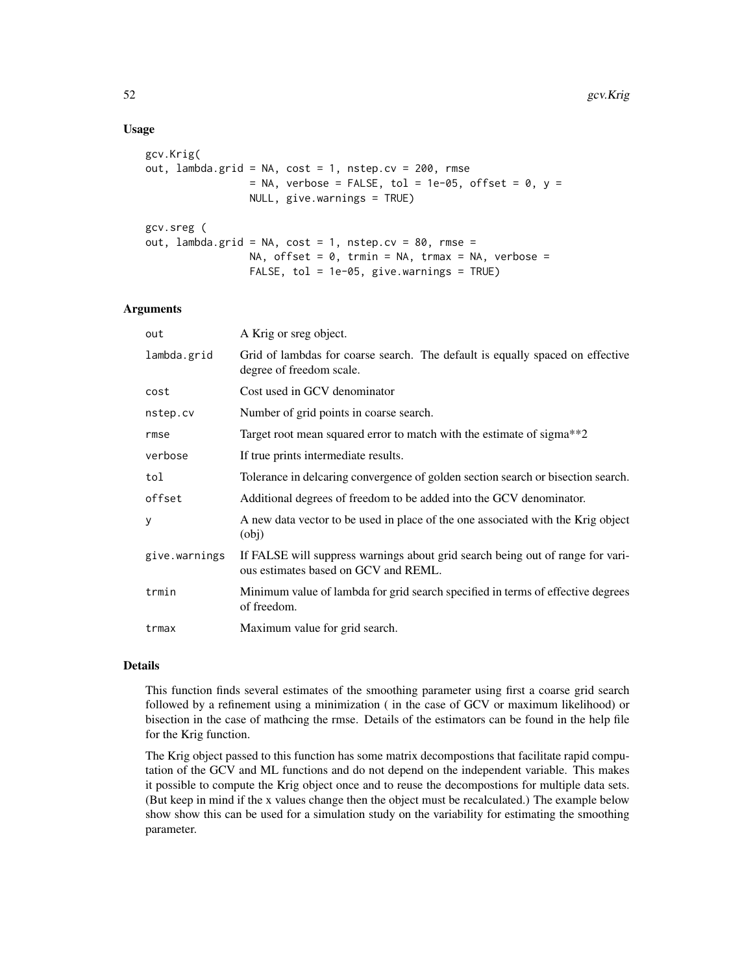### Usage

```
gcv.Krig(
out, lambda.grid = NA, cost = 1, nstep.cv = 200, rmse
                 = NA, verbose = FALSE, tol = 1e-05, offset = 0, y =
                 NULL, give.warnings = TRUE)
gcv.sreg (
out, lambda.grid = NA, cost = 1, nstep.cv = 80, rmse =NA, offset = 0, trmin = NA, trmax = NA, verbose =
                 FALSE, tol = 1e-05, give.warnings = TRUE)
```
### Arguments

| out           | A Krig or sreg object.                                                                                                 |
|---------------|------------------------------------------------------------------------------------------------------------------------|
| lambda.grid   | Grid of lambdas for coarse search. The default is equally spaced on effective<br>degree of freedom scale.              |
| cost          | Cost used in GCV denominator                                                                                           |
| nstep.cv      | Number of grid points in coarse search.                                                                                |
| rmse          | Target root mean squared error to match with the estimate of sigma**2                                                  |
| verbose       | If true prints intermediate results.                                                                                   |
| tol           | Tolerance in delcaring convergence of golden section search or bisection search.                                       |
| offset        | Additional degrees of freedom to be added into the GCV denominator.                                                    |
| y             | A new data vector to be used in place of the one associated with the Krig object<br>(obj)                              |
| give.warnings | If FALSE will suppress warnings about grid search being out of range for vari-<br>ous estimates based on GCV and REML. |
| trmin         | Minimum value of lambda for grid search specified in terms of effective degrees<br>of freedom.                         |
| trmax         | Maximum value for grid search.                                                                                         |

### Details

This function finds several estimates of the smoothing parameter using first a coarse grid search followed by a refinement using a minimization ( in the case of GCV or maximum likelihood) or bisection in the case of mathcing the rmse. Details of the estimators can be found in the help file for the Krig function.

The Krig object passed to this function has some matrix decompostions that facilitate rapid computation of the GCV and ML functions and do not depend on the independent variable. This makes it possible to compute the Krig object once and to reuse the decompostions for multiple data sets. (But keep in mind if the x values change then the object must be recalculated.) The example below show show this can be used for a simulation study on the variability for estimating the smoothing parameter.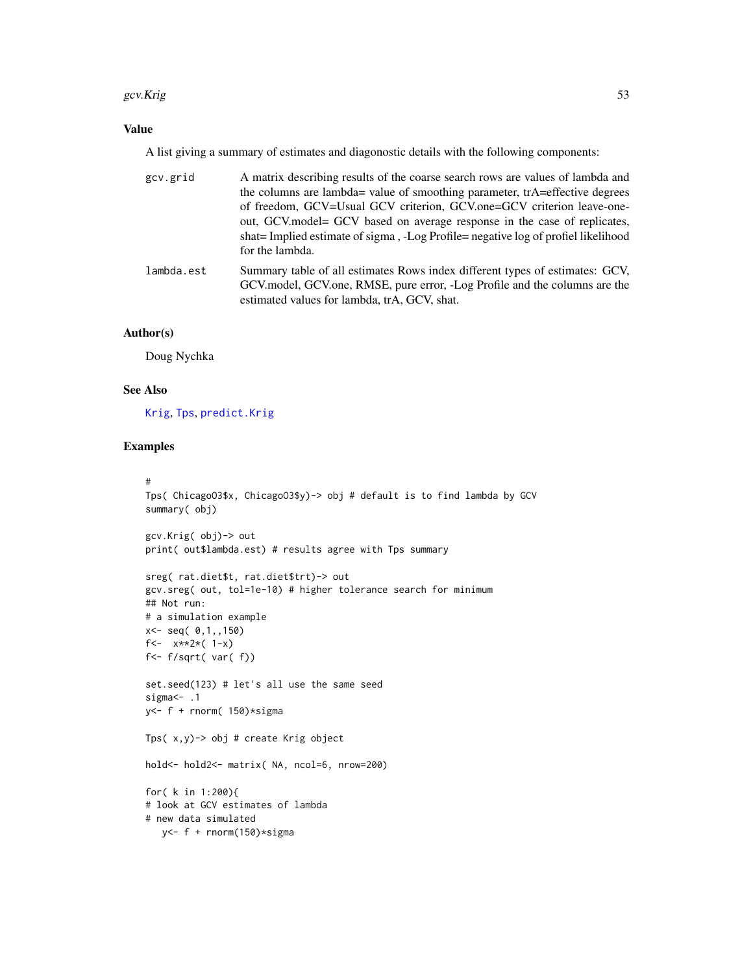#### gcv.Krig  $\sim$  53

# Value

A list giving a summary of estimates and diagonostic details with the following components:

| gcv.grid   | A matrix describing results of the coarse search rows are values of lambda and<br>the columns are lambda= value of smoothing parameter, trA=effective degrees<br>of freedom, GCV=Usual GCV criterion, GCV.one=GCV criterion leave-one-<br>out, GCV.model= GCV based on average response in the case of replicates,<br>shat = Implied estimate of sigma, -Log Profile = negative log of profiel likelihood<br>for the lambda. |
|------------|------------------------------------------------------------------------------------------------------------------------------------------------------------------------------------------------------------------------------------------------------------------------------------------------------------------------------------------------------------------------------------------------------------------------------|
| lambda.est | Summary table of all estimates Rows index different types of estimates: GCV,<br>GCV. model, GCV. one, RMSE, pure error, -Log Profile and the columns are the<br>estimated values for lambda, trA, GCV, shat.                                                                                                                                                                                                                 |

## Author(s)

Doug Nychka

### See Also

[Krig](#page-75-0), [Tps](#page-186-0), [predict.Krig](#page-116-0)

```
#
Tps( ChicagoO3$x, ChicagoO3$y)-> obj # default is to find lambda by GCV
summary( obj)
gcv.Krig( obj)-> out
print( out$lambda.est) # results agree with Tps summary
sreg( rat.diet$t, rat.diet$trt)-> out
gcv.sreg( out, tol=1e-10) # higher tolerance search for minimum
## Not run:
# a simulation example
x<- seq( 0,1,,150)
f<- x**2*(1-x)f<- f/sqrt( var( f))
set.seed(123) # let's all use the same seed
sigma<- .1
y<- f + rnorm( 150)*sigma
Tps( x,y)-> obj # create Krig object
hold<- hold2<- matrix( NA, ncol=6, nrow=200)
for( k in 1:200){
# look at GCV estimates of lambda
# new data simulated
  y<- f + rnorm(150)*sigma
```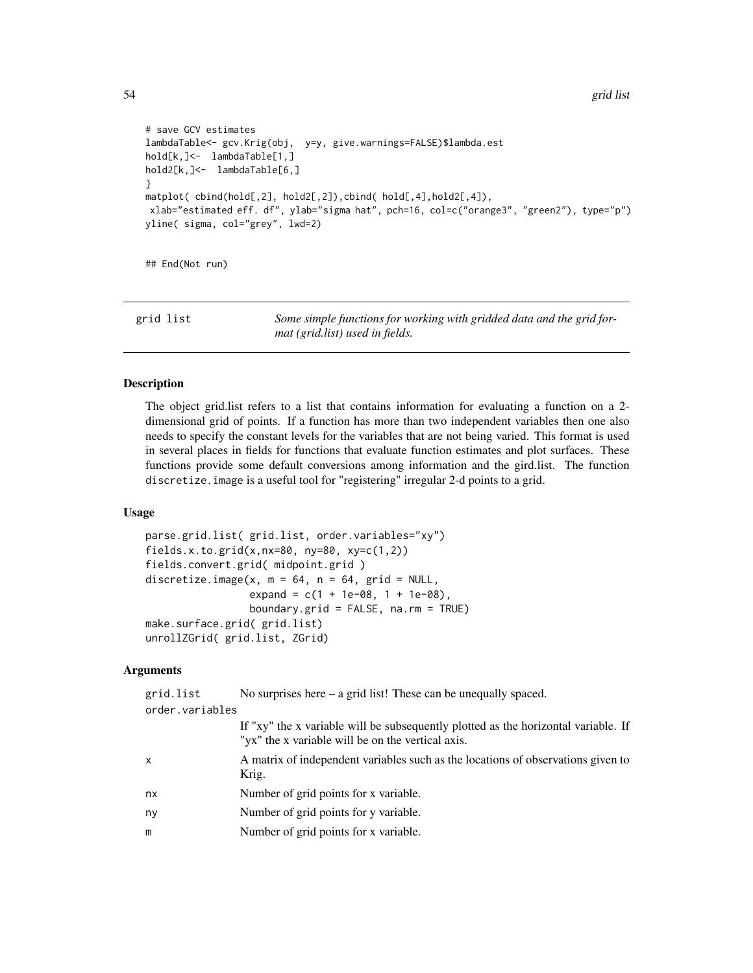```
# save GCV estimates
lambdaTable<- gcv.Krig(obj, y=y, give.warnings=FALSE)$lambda.est
hold[k,]<- lambdaTable[1,]
hold2[k,]<- lambdaTable[6,]
}
matplot( cbind(hold[,2], hold2[,2]),cbind( hold[,4],hold2[,4]),
xlab="estimated eff. df", ylab="sigma hat", pch=16, col=c("orange3", "green2"), type="p")
yline( sigma, col="grey", lwd=2)
## End(Not run)
```
grid list *Some simple functions for working with gridded data and the grid format (grid.list) used in fields.*

# <span id="page-53-0"></span>Description

The object grid.list refers to a list that contains information for evaluating a function on a 2 dimensional grid of points. If a function has more than two independent variables then one also needs to specify the constant levels for the variables that are not being varied. This format is used in several places in fields for functions that evaluate function estimates and plot surfaces. These functions provide some default conversions among information and the gird.list. The function discretize.image is a useful tool for "registering" irregular 2-d points to a grid.

### Usage

```
parse.grid.list( grid.list, order.variables="xy")
fields.x.to.grid(x, nx=80, ny=80, xy=c(1,2))fields.convert.grid( midpoint.grid )
discretize.image(x, m = 64, n = 64, grid = NULL,
                 expand = c(1 + 1e-08, 1 + 1e-08),
                 boundary.grid = FALSE, na.rm = TRUE)
make.surface.grid( grid.list)
unrollZGrid( grid.list, ZGrid)
```
## Arguments

| grid.list       | No surprises here $-$ a grid list! These can be unequally spaced.                                                                       |
|-----------------|-----------------------------------------------------------------------------------------------------------------------------------------|
| order.variables |                                                                                                                                         |
|                 | If "xy" the x variable will be subsequently plotted as the horizontal variable. If<br>"yx" the x variable will be on the vertical axis. |
| $\mathsf{x}$    | A matrix of independent variables such as the locations of observations given to<br>Krig.                                               |
| nx              | Number of grid points for x variable.                                                                                                   |
| ny              | Number of grid points for y variable.                                                                                                   |
| m               | Number of grid points for x variable.                                                                                                   |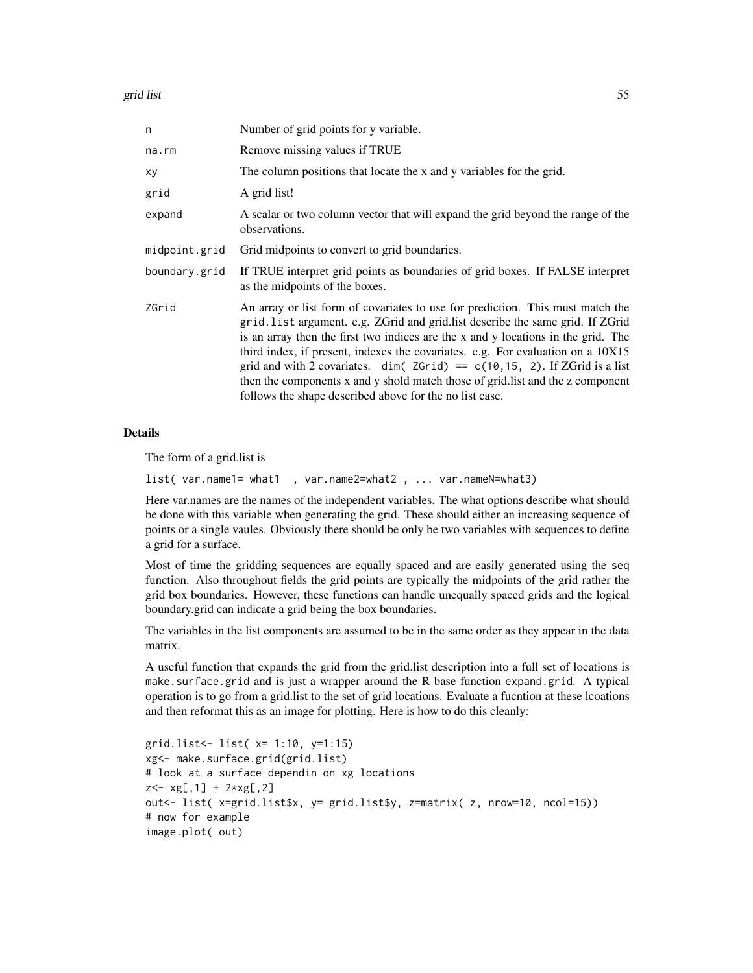grid list 55

| n             | Number of grid points for y variable.                                                                                                                                                                                                                                                                                                                                                                                                                                                                                                                                         |
|---------------|-------------------------------------------------------------------------------------------------------------------------------------------------------------------------------------------------------------------------------------------------------------------------------------------------------------------------------------------------------------------------------------------------------------------------------------------------------------------------------------------------------------------------------------------------------------------------------|
| na.rm         | Remove missing values if TRUE                                                                                                                                                                                                                                                                                                                                                                                                                                                                                                                                                 |
| xy            | The column positions that locate the x and y variables for the grid.                                                                                                                                                                                                                                                                                                                                                                                                                                                                                                          |
| grid          | A grid list!                                                                                                                                                                                                                                                                                                                                                                                                                                                                                                                                                                  |
| expand        | A scalar or two column vector that will expand the grid beyond the range of the<br>observations.                                                                                                                                                                                                                                                                                                                                                                                                                                                                              |
| midpoint.grid | Grid midpoints to convert to grid boundaries.                                                                                                                                                                                                                                                                                                                                                                                                                                                                                                                                 |
| boundary.grid | If TRUE interpret grid points as boundaries of grid boxes. If FALSE interpret<br>as the midpoints of the boxes.                                                                                                                                                                                                                                                                                                                                                                                                                                                               |
| ZGrid         | An array or list form of covariates to use for prediction. This must match the<br>grid. list argument. e.g. ZGrid and grid. list describe the same grid. If ZGrid<br>is an array then the first two indices are the x and y locations in the grid. The<br>third index, if present, indexes the covariates. e.g. For evaluation on a 10X15<br>grid and with 2 covariates. dim( $ZGrid$ ) == $c(10, 15, 2)$ . If ZGrid is a list<br>then the components x and y shold match those of grid. I ist and the z component<br>follows the shape described above for the no list case. |

## Details

The form of a grid.list is

list( var.name1= what1 , var.name2=what2 , ... var.nameN=what3)

Here var.names are the names of the independent variables. The what options describe what should be done with this variable when generating the grid. These should either an increasing sequence of points or a single vaules. Obviously there should be only be two variables with sequences to define a grid for a surface.

Most of time the gridding sequences are equally spaced and are easily generated using the seq function. Also throughout fields the grid points are typically the midpoints of the grid rather the grid box boundaries. However, these functions can handle unequally spaced grids and the logical boundary.grid can indicate a grid being the box boundaries.

The variables in the list components are assumed to be in the same order as they appear in the data matrix.

A useful function that expands the grid from the grid.list description into a full set of locations is make.surface.grid and is just a wrapper around the R base function expand.grid. A typical operation is to go from a grid.list to the set of grid locations. Evaluate a fucntion at these lcoations and then reformat this as an image for plotting. Here is how to do this cleanly:

```
grid.list<- list( x= 1:10, y=1:15)
xg<- make.surface.grid(grid.list)
# look at a surface dependin on xg locations
z < - xg[, 1] + 2*xg[, 2]
out<- list( x=grid.list$x, y= grid.list$y, z=matrix( z, nrow=10, ncol=15))
# now for example
image.plot( out)
```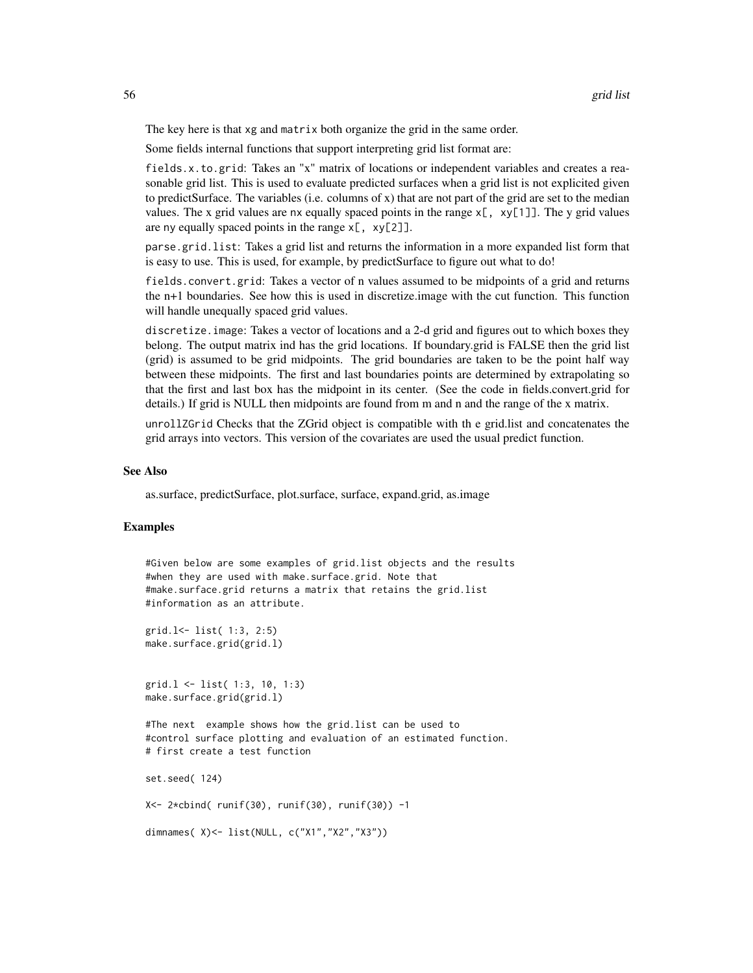The key here is that xg and matrix both organize the grid in the same order.

Some fields internal functions that support interpreting grid list format are:

fields.x.to.grid: Takes an "x" matrix of locations or independent variables and creates a reasonable grid list. This is used to evaluate predicted surfaces when a grid list is not explicited given to predictSurface. The variables (i.e. columns of x) that are not part of the grid are set to the median values. The x grid values are nx equally spaced points in the range  $x$ [, xy[1]]. The y grid values are ny equally spaced points in the range  $x$ [,  $xy$ [2]].

parse.grid.list: Takes a grid list and returns the information in a more expanded list form that is easy to use. This is used, for example, by predictSurface to figure out what to do!

fields.convert.grid: Takes a vector of n values assumed to be midpoints of a grid and returns the n+1 boundaries. See how this is used in discretize.image with the cut function. This function will handle unequally spaced grid values.

discretize.image: Takes a vector of locations and a 2-d grid and figures out to which boxes they belong. The output matrix ind has the grid locations. If boundary.grid is FALSE then the grid list (grid) is assumed to be grid midpoints. The grid boundaries are taken to be the point half way between these midpoints. The first and last boundaries points are determined by extrapolating so that the first and last box has the midpoint in its center. (See the code in fields.convert.grid for details.) If grid is NULL then midpoints are found from m and n and the range of the x matrix.

unrollZGrid Checks that the ZGrid object is compatible with th e grid.list and concatenates the grid arrays into vectors. This version of the covariates are used the usual predict function.

#### See Also

as.surface, predictSurface, plot.surface, surface, expand.grid, as.image

### Examples

```
#Given below are some examples of grid.list objects and the results
#when they are used with make.surface.grid. Note that
#make.surface.grid returns a matrix that retains the grid.list
#information as an attribute.
```
grid.l<- list( 1:3, 2:5) make.surface.grid(grid.l)

```
grid.l <- list( 1:3, 10, 1:3)
make.surface.grid(grid.l)
```
#The next example shows how the grid.list can be used to #control surface plotting and evaluation of an estimated function. # first create a test function

set.seed( 124)

X<- 2\*cbind( runif(30), runif(30), runif(30)) -1

dimnames( X)<- list(NULL, c("X1","X2","X3"))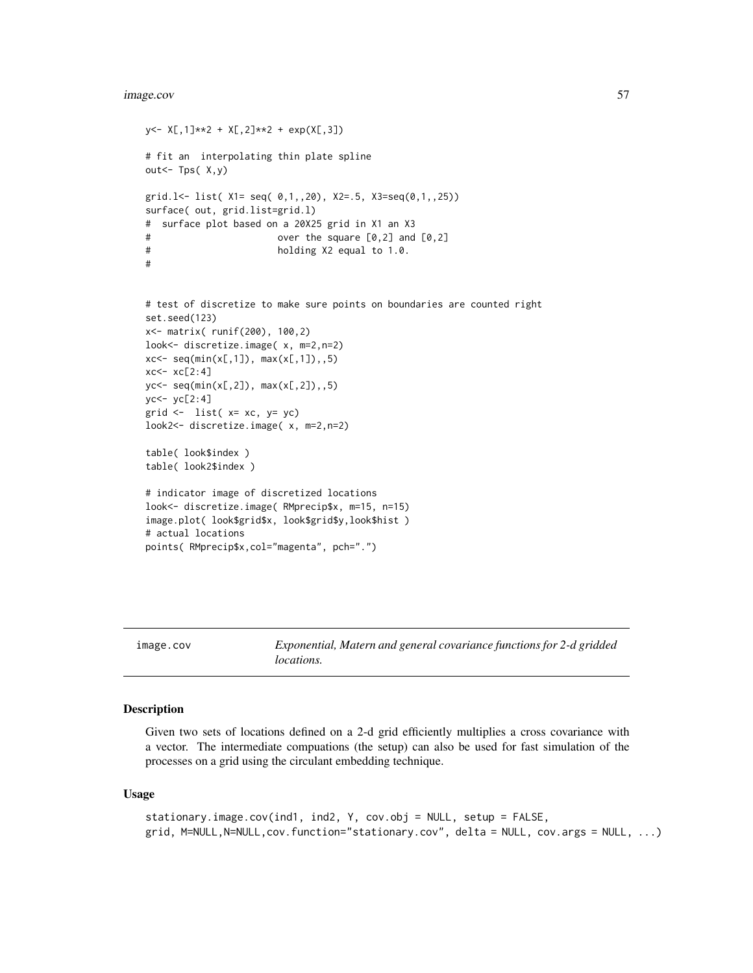# image.cov 57

```
y<- X[,1]**2 + X[,2]**2 + exp(X[,3])
# fit an interpolating thin plate spline
out \leftarrow Tps( X, y)
grid.l<- list( X1= seq( 0,1,,20), X2=.5, X3=seq(0,1,,25))
surface( out, grid.list=grid.l)
# surface plot based on a 20X25 grid in X1 an X3
# over the square [0,2] and [0,2]
# holding X2 equal to 1.0.
#
# test of discretize to make sure points on boundaries are counted right
set.seed(123)
x<- matrix( runif(200), 100,2)
look<- discretize.image( x, m=2,n=2)
xc < - seq(min(x[,1]), max(x[,1]),,5)
xc<- xc[2:4]
yc<- seq(min(x[,2]), max(x[,2]),,5)
yc<- yc[2:4]
grid \leftarrow list(x=xc, y=yc)
look2<- discretize.image( x, m=2,n=2)
table( look$index )
table( look2$index )
# indicator image of discretized locations
look<- discretize.image( RMprecip$x, m=15, n=15)
image.plot( look$grid$x, look$grid$y,look$hist )
# actual locations
points( RMprecip$x,col="magenta", pch=".")
```
image.cov *Exponential, Matern and general covariance functions for 2-d gridded locations.*

# Description

Given two sets of locations defined on a 2-d grid efficiently multiplies a cross covariance with a vector. The intermediate compuations (the setup) can also be used for fast simulation of the processes on a grid using the circulant embedding technique.

#### Usage

```
stationary.image.cov(ind1, ind2, Y, cov.obj = NULL, setup = FALSE,
grid, M=NULL, N=NULL, cov.function="stationary.cov", delta = NULL, cov.args = NULL, ...)
```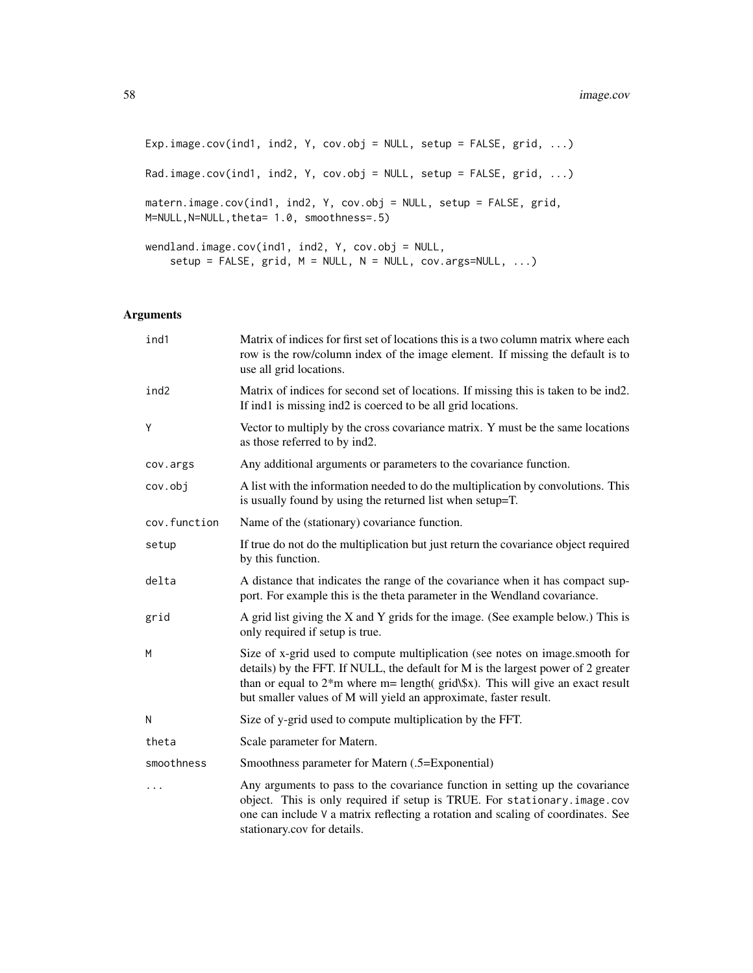```
Exp.image.cov(ind1, ind2, Y, cov.obj = NULL, setup = FALSE, grid, ...)
Rad.image.cov(ind1, ind2, Y, cov.obj = NULL, setup = FALSE, grid, ...)
matern.image.cov(ind1, ind2, Y, cov.obj = NULL, setup = FALSE, grid,
M=NULL,N=NULL,theta= 1.0, smoothness=.5)
wendland.image.cov(ind1, ind2, Y, cov.obj = NULL,
    setup = FALSE, grid, M = NULL, N = NULL, cov.args=NULL, ...)
```
# Arguments

| ind1         | Matrix of indices for first set of locations this is a two column matrix where each<br>row is the row/column index of the image element. If missing the default is to<br>use all grid locations.                                                                                                                             |
|--------------|------------------------------------------------------------------------------------------------------------------------------------------------------------------------------------------------------------------------------------------------------------------------------------------------------------------------------|
| ind2         | Matrix of indices for second set of locations. If missing this is taken to be ind2.<br>If ind1 is missing ind2 is coerced to be all grid locations.                                                                                                                                                                          |
| Y            | Vector to multiply by the cross covariance matrix. Y must be the same locations<br>as those referred to by ind2.                                                                                                                                                                                                             |
| cov.args     | Any additional arguments or parameters to the covariance function.                                                                                                                                                                                                                                                           |
| cov.obj      | A list with the information needed to do the multiplication by convolutions. This<br>is usually found by using the returned list when setup=T.                                                                                                                                                                               |
| cov.function | Name of the (stationary) covariance function.                                                                                                                                                                                                                                                                                |
| setup        | If true do not do the multiplication but just return the covariance object required<br>by this function.                                                                                                                                                                                                                     |
| delta        | A distance that indicates the range of the covariance when it has compact sup-<br>port. For example this is the theta parameter in the Wendland covariance.                                                                                                                                                                  |
| grid         | A grid list giving the X and Y grids for the image. (See example below.) This is<br>only required if setup is true.                                                                                                                                                                                                          |
| M            | Size of x-grid used to compute multiplication (see notes on image.smooth for<br>details) by the FFT. If NULL, the default for M is the largest power of 2 greater<br>than or equal to $2*$ m where m= length( grid\\$x). This will give an exact result<br>but smaller values of M will yield an approximate, faster result. |
| N            | Size of y-grid used to compute multiplication by the FFT.                                                                                                                                                                                                                                                                    |
| theta        | Scale parameter for Matern.                                                                                                                                                                                                                                                                                                  |
| smoothness   | Smoothness parameter for Matern (.5=Exponential)                                                                                                                                                                                                                                                                             |
|              | Any arguments to pass to the covariance function in setting up the covariance<br>object. This is only required if setup is TRUE. For stationary. image.cov<br>one can include V a matrix reflecting a rotation and scaling of coordinates. See<br>stationary.cov for details.                                                |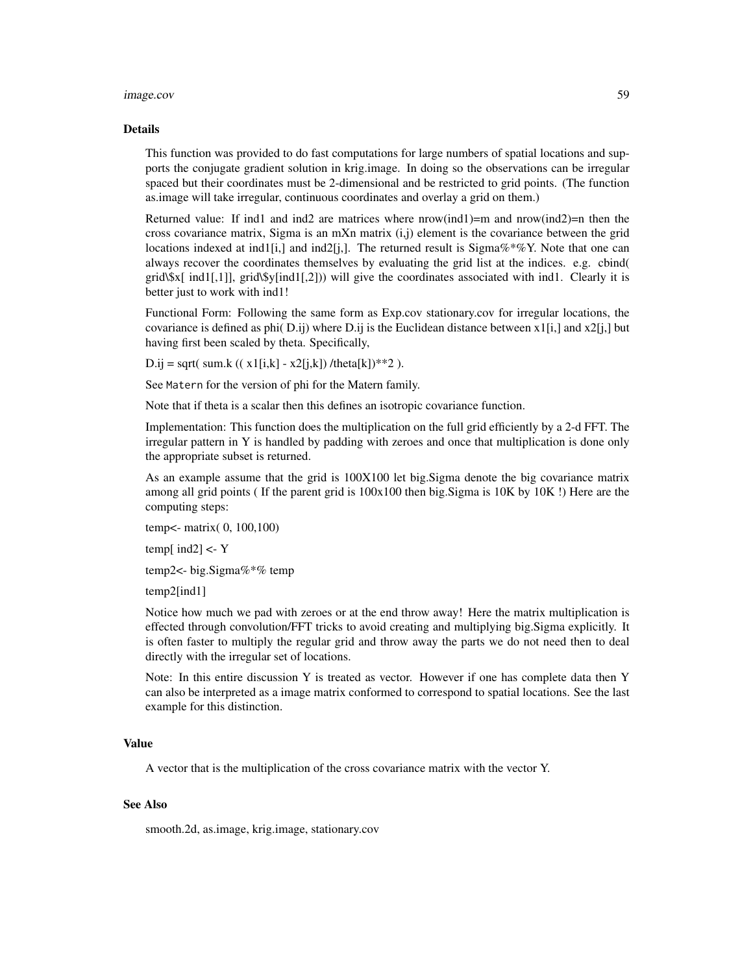#### image.cov 59

#### Details

This function was provided to do fast computations for large numbers of spatial locations and supports the conjugate gradient solution in krig.image. In doing so the observations can be irregular spaced but their coordinates must be 2-dimensional and be restricted to grid points. (The function as.image will take irregular, continuous coordinates and overlay a grid on them.)

Returned value: If ind1 and ind2 are matrices where  $nrow(ind1)=m$  and  $nrow(ind2)=n$  then the cross covariance matrix, Sigma is an mXn matrix (i,j) element is the covariance between the grid locations indexed at ind1[i,] and ind2[j,]. The returned result is Sigma%\*%Y. Note that one can always recover the coordinates themselves by evaluating the grid list at the indices. e.g. cbind( grid\\$x[ ind1[,1]], grid\\$y[ind1[,2])) will give the coordinates associated with ind1. Clearly it is better just to work with ind1!

Functional Form: Following the same form as Exp.cov stationary.cov for irregular locations, the covariance is defined as phi( $D_{ij}$ ) where  $D_{ij}$  is the Euclidean distance between x1[i,] and x2[j,] but having first been scaled by theta. Specifically,

D.ij = sqrt( sum.k ((  $x1[i,k] - x2[i,k]$ ) /theta[k])\*\*2 ).

See Matern for the version of phi for the Matern family.

Note that if theta is a scalar then this defines an isotropic covariance function.

Implementation: This function does the multiplication on the full grid efficiently by a 2-d FFT. The irregular pattern in Y is handled by padding with zeroes and once that multiplication is done only the appropriate subset is returned.

As an example assume that the grid is 100X100 let big.Sigma denote the big covariance matrix among all grid points (If the parent grid is  $100x100$  then big. Sigma is  $10K$  by  $10K$  !) Here are the computing steps:

temp<- matrix( 0, 100,100)

 $temp[ind2] < Y$ 

temp2<- big.Sigma%\*% temp

temp2[ind1]

Notice how much we pad with zeroes or at the end throw away! Here the matrix multiplication is effected through convolution/FFT tricks to avoid creating and multiplying big.Sigma explicitly. It is often faster to multiply the regular grid and throw away the parts we do not need then to deal directly with the irregular set of locations.

Note: In this entire discussion Y is treated as vector. However if one has complete data then Y can also be interpreted as a image matrix conformed to correspond to spatial locations. See the last example for this distinction.

## Value

A vector that is the multiplication of the cross covariance matrix with the vector Y.

### See Also

smooth.2d, as.image, krig.image, stationary.cov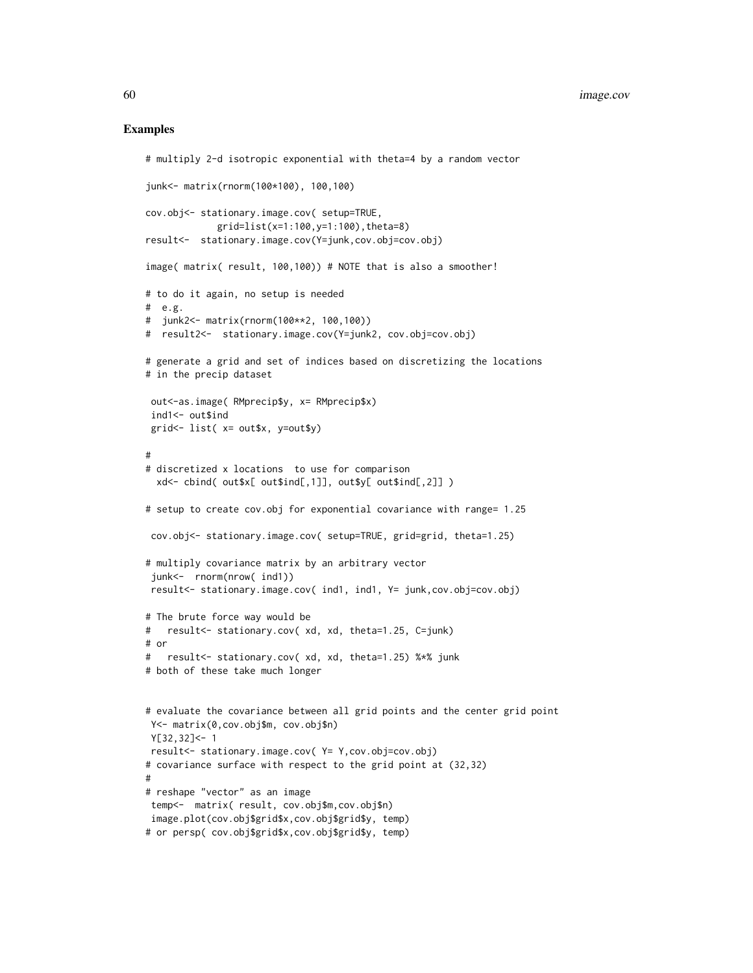```
# multiply 2-d isotropic exponential with theta=4 by a random vector
junk<- matrix(rnorm(100*100), 100,100)
cov.obj<- stationary.image.cov( setup=TRUE,
            grid=list(x=1:100,y=1:100),theta=8)
result<- stationary.image.cov(Y=junk,cov.obj=cov.obj)
image( matrix( result, 100,100)) # NOTE that is also a smoother!
# to do it again, no setup is needed
# e.g.
# junk2<- matrix(rnorm(100**2, 100,100))
# result2<- stationary.image.cov(Y=junk2, cov.obj=cov.obj)
# generate a grid and set of indices based on discretizing the locations
# in the precip dataset
out<-as.image( RMprecip$y, x= RMprecip$x)
ind1<- out$ind
grid<- list( x= out$x, y=out$y)
#
# discretized x locations to use for comparison
 xd<- cbind( out$x[ out$ind[,1]], out$y[ out$ind[,2]] )
# setup to create cov.obj for exponential covariance with range= 1.25
cov.obj<- stationary.image.cov( setup=TRUE, grid=grid, theta=1.25)
# multiply covariance matrix by an arbitrary vector
junk<- rnorm(nrow( ind1))
result<- stationary.image.cov( ind1, ind1, Y= junk,cov.obj=cov.obj)
# The brute force way would be
# result<- stationary.cov( xd, xd, theta=1.25, C=junk)
# or
# result<- stationary.cov( xd, xd, theta=1.25) %*% junk
# both of these take much longer
# evaluate the covariance between all grid points and the center grid point
Y<- matrix(0,cov.obj$m, cov.obj$n)
Y[32,32]<- 1
result<- stationary.image.cov( Y= Y,cov.obj=cov.obj)
# covariance surface with respect to the grid point at (32,32)
#
# reshape "vector" as an image
temp<- matrix( result, cov.obj$m,cov.obj$n)
image.plot(cov.obj$grid$x,cov.obj$grid$y, temp)
# or persp( cov.obj$grid$x,cov.obj$grid$y, temp)
```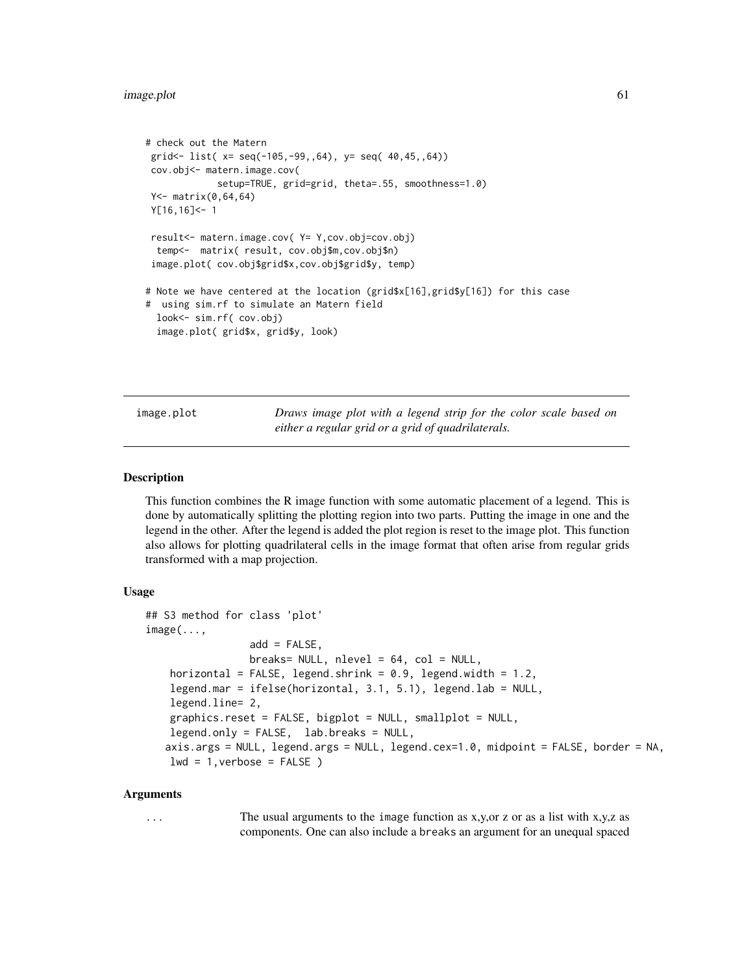# image.plot 61

```
# check out the Matern
grid<- list( x= seq(-105,-99,,64), y= seq( 40,45,,64))
cov.obj<- matern.image.cov(
            setup=TRUE, grid=grid, theta=.55, smoothness=1.0)
Y<- matrix(0,64,64)
Y[16,16]<- 1
result<- matern.image.cov( Y= Y,cov.obj=cov.obj)
 temp<- matrix( result, cov.obj$m,cov.obj$n)
image.plot( cov.obj$grid$x,cov.obj$grid$y, temp)
# Note we have centered at the location (grid$x[16],grid$y[16]) for this case
# using sim.rf to simulate an Matern field
 look<- sim.rf( cov.obj)
 image.plot( grid$x, grid$y, look)
```
image.plot *Draws image plot with a legend strip for the color scale based on either a regular grid or a grid of quadrilaterals.*

### Description

This function combines the R image function with some automatic placement of a legend. This is done by automatically splitting the plotting region into two parts. Putting the image in one and the legend in the other. After the legend is added the plot region is reset to the image plot. This function also allows for plotting quadrilateral cells in the image format that often arise from regular grids transformed with a map projection.

## Usage

```
## S3 method for class 'plot'
image(...,
                 add = FALSE,breaks= NULL, nlevel = 64, col = NULL,
   horizontal = FALSE, legend.shrink = 0.9, legend.width = 1.2,
   legend.mar = ifelse(horizontal, 3.1, 5.1), legend.lab = NULL,
   legend.line= 2,
   graphics.reset = FALSE, bigplot = NULL, smallplot = NULL,
   legend.only = FALSE, lab.breaks = NULL,axis.args = NULL, legend.args = NULL, legend.cex=1.0, midpoint = FALSE, border = NA,
   lwd = 1, verbose = FALSE )
```
#### Arguments

... The usual arguments to the image function as x,y, or z or as a list with x,y,z as components. One can also include a breaks an argument for an unequal spaced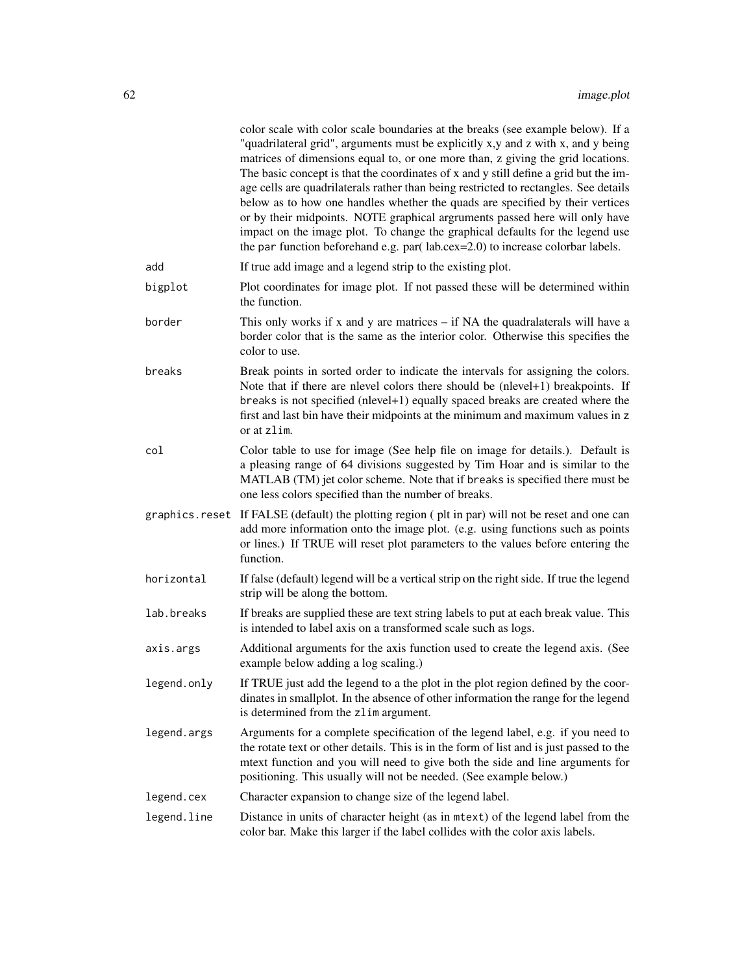|                | color scale with color scale boundaries at the breaks (see example below). If a<br>"quadrilateral grid", arguments must be explicitly x,y and z with x, and y being<br>matrices of dimensions equal to, or one more than, z giving the grid locations.<br>The basic concept is that the coordinates of x and y still define a grid but the im-<br>age cells are quadrilaterals rather than being restricted to rectangles. See details<br>below as to how one handles whether the quads are specified by their vertices<br>or by their midpoints. NOTE graphical argruments passed here will only have<br>impact on the image plot. To change the graphical defaults for the legend use<br>the par function beforehand e.g. par(lab.cex=2.0) to increase colorbar labels. |
|----------------|---------------------------------------------------------------------------------------------------------------------------------------------------------------------------------------------------------------------------------------------------------------------------------------------------------------------------------------------------------------------------------------------------------------------------------------------------------------------------------------------------------------------------------------------------------------------------------------------------------------------------------------------------------------------------------------------------------------------------------------------------------------------------|
| add            | If true add image and a legend strip to the existing plot.                                                                                                                                                                                                                                                                                                                                                                                                                                                                                                                                                                                                                                                                                                                |
| bigplot        | Plot coordinates for image plot. If not passed these will be determined within<br>the function.                                                                                                                                                                                                                                                                                                                                                                                                                                                                                                                                                                                                                                                                           |
| border         | This only works if $x$ and $y$ are matrices $-$ if NA the quadralaterals will have a<br>border color that is the same as the interior color. Otherwise this specifies the<br>color to use.                                                                                                                                                                                                                                                                                                                                                                                                                                                                                                                                                                                |
| breaks         | Break points in sorted order to indicate the intervals for assigning the colors.<br>Note that if there are nlevel colors there should be (nlevel+1) breakpoints. If<br>breaks is not specified (nlevel+1) equally spaced breaks are created where the<br>first and last bin have their midpoints at the minimum and maximum values in z<br>or at zlim.                                                                                                                                                                                                                                                                                                                                                                                                                    |
| col            | Color table to use for image (See help file on image for details.). Default is<br>a pleasing range of 64 divisions suggested by Tim Hoar and is similar to the<br>MATLAB (TM) jet color scheme. Note that if breaks is specified there must be<br>one less colors specified than the number of breaks.                                                                                                                                                                                                                                                                                                                                                                                                                                                                    |
| graphics.reset | If FALSE (default) the plotting region (plt in par) will not be reset and one can<br>add more information onto the image plot. (e.g. using functions such as points<br>or lines.) If TRUE will reset plot parameters to the values before entering the<br>function.                                                                                                                                                                                                                                                                                                                                                                                                                                                                                                       |
| horizontal     | If false (default) legend will be a vertical strip on the right side. If true the legend<br>strip will be along the bottom.                                                                                                                                                                                                                                                                                                                                                                                                                                                                                                                                                                                                                                               |
| lab.breaks     | If breaks are supplied these are text string labels to put at each break value. This<br>is intended to label axis on a transformed scale such as logs.                                                                                                                                                                                                                                                                                                                                                                                                                                                                                                                                                                                                                    |
| axis.args      | Additional arguments for the axis function used to create the legend axis. (See<br>example below adding a log scaling.)                                                                                                                                                                                                                                                                                                                                                                                                                                                                                                                                                                                                                                                   |
| legend.only    | If TRUE just add the legend to a the plot in the plot region defined by the coor-<br>dinates in smallplot. In the absence of other information the range for the legend<br>is determined from the zlim argument.                                                                                                                                                                                                                                                                                                                                                                                                                                                                                                                                                          |
| legend.args    | Arguments for a complete specification of the legend label, e.g. if you need to<br>the rotate text or other details. This is in the form of list and is just passed to the<br>mtext function and you will need to give both the side and line arguments for<br>positioning. This usually will not be needed. (See example below.)                                                                                                                                                                                                                                                                                                                                                                                                                                         |
| legend.cex     | Character expansion to change size of the legend label.                                                                                                                                                                                                                                                                                                                                                                                                                                                                                                                                                                                                                                                                                                                   |
| legend.line    | Distance in units of character height (as in mtext) of the legend label from the<br>color bar. Make this larger if the label collides with the color axis labels.                                                                                                                                                                                                                                                                                                                                                                                                                                                                                                                                                                                                         |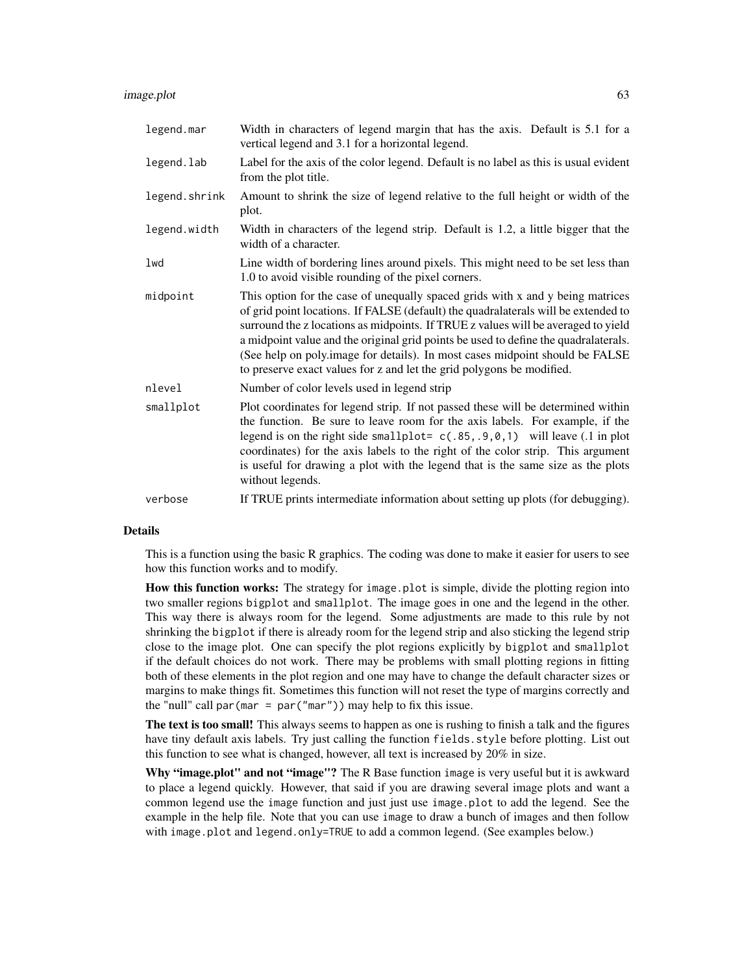image.plot 63

| legend.mar    | Width in characters of legend margin that has the axis. Default is 5.1 for a<br>vertical legend and 3.1 for a horizontal legend.                                                                                                                                                                                                                                                                                                                                                                          |
|---------------|-----------------------------------------------------------------------------------------------------------------------------------------------------------------------------------------------------------------------------------------------------------------------------------------------------------------------------------------------------------------------------------------------------------------------------------------------------------------------------------------------------------|
| legend.lab    | Label for the axis of the color legend. Default is no label as this is usual evident<br>from the plot title.                                                                                                                                                                                                                                                                                                                                                                                              |
| legend.shrink | Amount to shrink the size of legend relative to the full height or width of the<br>plot.                                                                                                                                                                                                                                                                                                                                                                                                                  |
| legend.width  | Width in characters of the legend strip. Default is 1.2, a little bigger that the<br>width of a character.                                                                                                                                                                                                                                                                                                                                                                                                |
| lwd           | Line width of bordering lines around pixels. This might need to be set less than<br>1.0 to avoid visible rounding of the pixel corners.                                                                                                                                                                                                                                                                                                                                                                   |
| midpoint      | This option for the case of unequally spaced grids with x and y being matrices<br>of grid point locations. If FALSE (default) the quadralaterals will be extended to<br>surround the z locations as midpoints. If TRUE z values will be averaged to yield<br>a midpoint value and the original grid points be used to define the quadralaterals.<br>(See help on poly.image for details). In most cases midpoint should be FALSE<br>to preserve exact values for z and let the grid polygons be modified. |
| nlevel        | Number of color levels used in legend strip                                                                                                                                                                                                                                                                                                                                                                                                                                                               |
| smallplot     | Plot coordinates for legend strip. If not passed these will be determined within<br>the function. Be sure to leave room for the axis labels. For example, if the<br>legend is on the right side smallplot= $c(.85, .9, 0, 1)$ will leave $(.1 \text{ in plot})$<br>coordinates) for the axis labels to the right of the color strip. This argument<br>is useful for drawing a plot with the legend that is the same size as the plots<br>without legends.                                                 |
| verbose       | If TRUE prints intermediate information about setting up plots (for debugging).                                                                                                                                                                                                                                                                                                                                                                                                                           |

## Details

This is a function using the basic R graphics. The coding was done to make it easier for users to see how this function works and to modify.

How this function works: The strategy for image.plot is simple, divide the plotting region into two smaller regions bigplot and smallplot. The image goes in one and the legend in the other. This way there is always room for the legend. Some adjustments are made to this rule by not shrinking the bigplot if there is already room for the legend strip and also sticking the legend strip close to the image plot. One can specify the plot regions explicitly by bigplot and smallplot if the default choices do not work. There may be problems with small plotting regions in fitting both of these elements in the plot region and one may have to change the default character sizes or margins to make things fit. Sometimes this function will not reset the type of margins correctly and the "null" call par(mar = par("mar")) may help to fix this issue.

The text is too small! This always seems to happen as one is rushing to finish a talk and the figures have tiny default axis labels. Try just calling the function fields.style before plotting. List out this function to see what is changed, however, all text is increased by 20% in size.

Why "image.plot" and not "image"? The R Base function image is very useful but it is awkward to place a legend quickly. However, that said if you are drawing several image plots and want a common legend use the image function and just just use image.plot to add the legend. See the example in the help file. Note that you can use image to draw a bunch of images and then follow with image.plot and legend.only=TRUE to add a common legend. (See examples below.)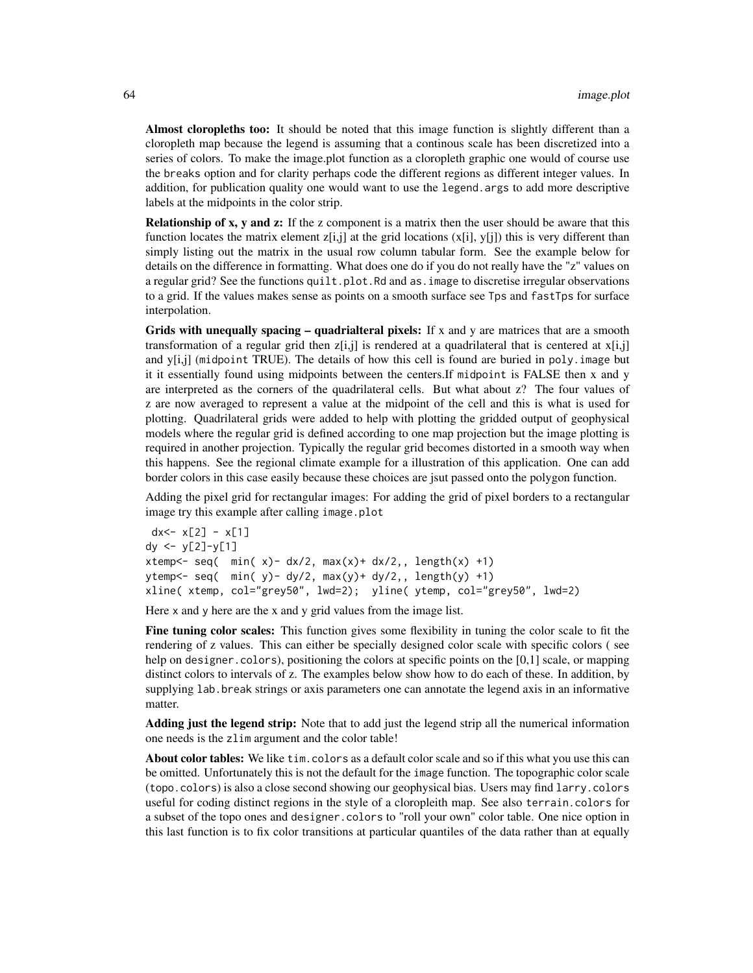Almost cloropleths too: It should be noted that this image function is slightly different than a cloropleth map because the legend is assuming that a continous scale has been discretized into a series of colors. To make the image.plot function as a cloropleth graphic one would of course use the breaks option and for clarity perhaps code the different regions as different integer values. In addition, for publication quality one would want to use the legend.args to add more descriptive labels at the midpoints in the color strip.

**Relationship of x, y and z:** If the z component is a matrix then the user should be aware that this function locates the matrix element  $z[i,j]$  at the grid locations  $(x[i], y[j])$  this is very different than simply listing out the matrix in the usual row column tabular form. See the example below for details on the difference in formatting. What does one do if you do not really have the "z" values on a regular grid? See the functions quilt.plot.Rd and as.image to discretise irregular observations to a grid. If the values makes sense as points on a smooth surface see Tps and fastTps for surface interpolation.

Grids with unequally spacing  $-$  quadrialteral pixels: If  $x$  and  $y$  are matrices that are a smooth transformation of a regular grid then  $z[i,j]$  is rendered at a quadrilateral that is centered at  $x[i,j]$ and y[i,j] (midpoint TRUE). The details of how this cell is found are buried in poly. image but it it essentially found using midpoints between the centers.If midpoint is FALSE then x and y are interpreted as the corners of the quadrilateral cells. But what about z? The four values of z are now averaged to represent a value at the midpoint of the cell and this is what is used for plotting. Quadrilateral grids were added to help with plotting the gridded output of geophysical models where the regular grid is defined according to one map projection but the image plotting is required in another projection. Typically the regular grid becomes distorted in a smooth way when this happens. See the regional climate example for a illustration of this application. One can add border colors in this case easily because these choices are jsut passed onto the polygon function.

Adding the pixel grid for rectangular images: For adding the grid of pixel borders to a rectangular image try this example after calling image.plot

```
dx < - x[2] - x[1]dy \le -y[2]-y[1]xtemp<- seq( min( x)- dx/2, max(x)+ dx/2, length(x) +1)
vtemp<- seq( min( y)- dy/2, max(y)+ dy/2,, length(y) +1)
xline( xtemp, col="grey50", lwd=2); yline( ytemp, col="grey50", lwd=2)
```
Here x and y here are the x and y grid values from the image list.

Fine tuning color scales: This function gives some flexibility in tuning the color scale to fit the rendering of z values. This can either be specially designed color scale with specific colors ( see help on designer.colors), positioning the colors at specific points on the [0,1] scale, or mapping distinct colors to intervals of z. The examples below show how to do each of these. In addition, by supplying lab.break strings or axis parameters one can annotate the legend axis in an informative matter.

Adding just the legend strip: Note that to add just the legend strip all the numerical information one needs is the zlim argument and the color table!

About color tables: We like tim. colors as a default color scale and so if this what you use this can be omitted. Unfortunately this is not the default for the image function. The topographic color scale (topo.colors) is also a close second showing our geophysical bias. Users may find larry.colors useful for coding distinct regions in the style of a cloropleith map. See also terrain.colors for a subset of the topo ones and designer.colors to "roll your own" color table. One nice option in this last function is to fix color transitions at particular quantiles of the data rather than at equally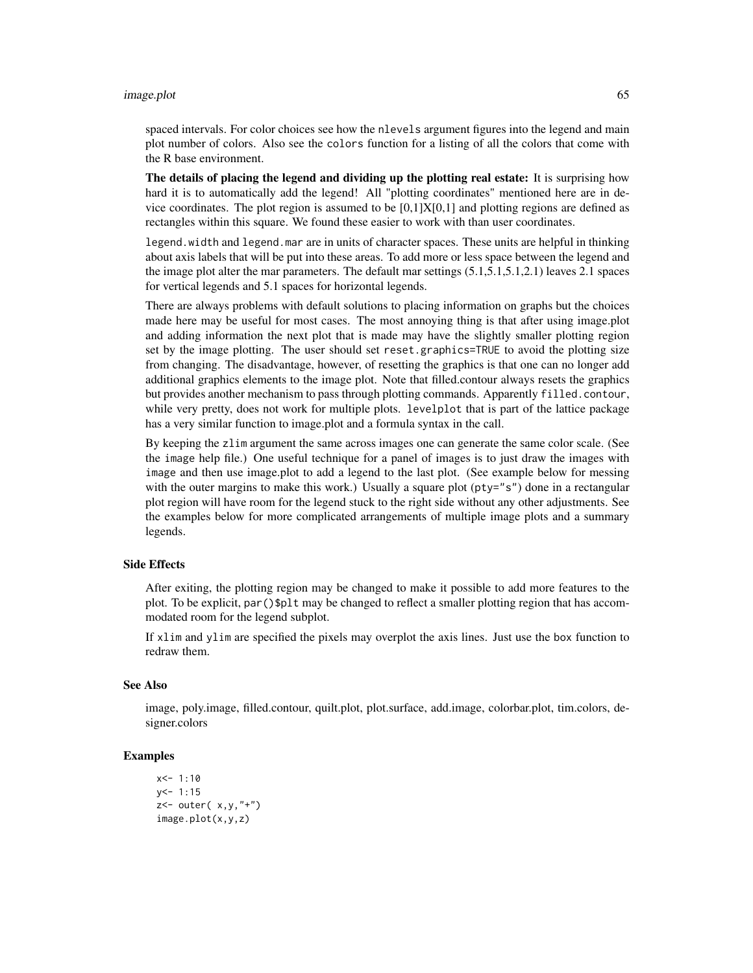#### image.plot 65

spaced intervals. For color choices see how the nlevels argument figures into the legend and main plot number of colors. Also see the colors function for a listing of all the colors that come with the R base environment.

The details of placing the legend and dividing up the plotting real estate: It is surprising how hard it is to automatically add the legend! All "plotting coordinates" mentioned here are in device coordinates. The plot region is assumed to be  $[0,1]X[0,1]$  and plotting regions are defined as rectangles within this square. We found these easier to work with than user coordinates.

legend.width and legend.mar are in units of character spaces. These units are helpful in thinking about axis labels that will be put into these areas. To add more or less space between the legend and the image plot alter the mar parameters. The default mar settings (5.1,5.1,5.1,2.1) leaves 2.1 spaces for vertical legends and 5.1 spaces for horizontal legends.

There are always problems with default solutions to placing information on graphs but the choices made here may be useful for most cases. The most annoying thing is that after using image.plot and adding information the next plot that is made may have the slightly smaller plotting region set by the image plotting. The user should set reset.graphics=TRUE to avoid the plotting size from changing. The disadvantage, however, of resetting the graphics is that one can no longer add additional graphics elements to the image plot. Note that filled.contour always resets the graphics but provides another mechanism to pass through plotting commands. Apparently filled.contour, while very pretty, does not work for multiple plots. levelplot that is part of the lattice package has a very similar function to image.plot and a formula syntax in the call.

By keeping the zlim argument the same across images one can generate the same color scale. (See the image help file.) One useful technique for a panel of images is to just draw the images with image and then use image.plot to add a legend to the last plot. (See example below for messing with the outer margins to make this work.) Usually a square plot ( $py = "s"$ ) done in a rectangular plot region will have room for the legend stuck to the right side without any other adjustments. See the examples below for more complicated arrangements of multiple image plots and a summary legends.

### Side Effects

After exiting, the plotting region may be changed to make it possible to add more features to the plot. To be explicit, par()\$plt may be changed to reflect a smaller plotting region that has accommodated room for the legend subplot.

If xlim and ylim are specified the pixels may overplot the axis lines. Just use the box function to redraw them.

## See Also

image, poly.image, filled.contour, quilt.plot, plot.surface, add.image, colorbar.plot, tim.colors, designer.colors

```
x < -1:10y < -1:15z <- outer( x, y, "+")image.plot(x,y,z)
```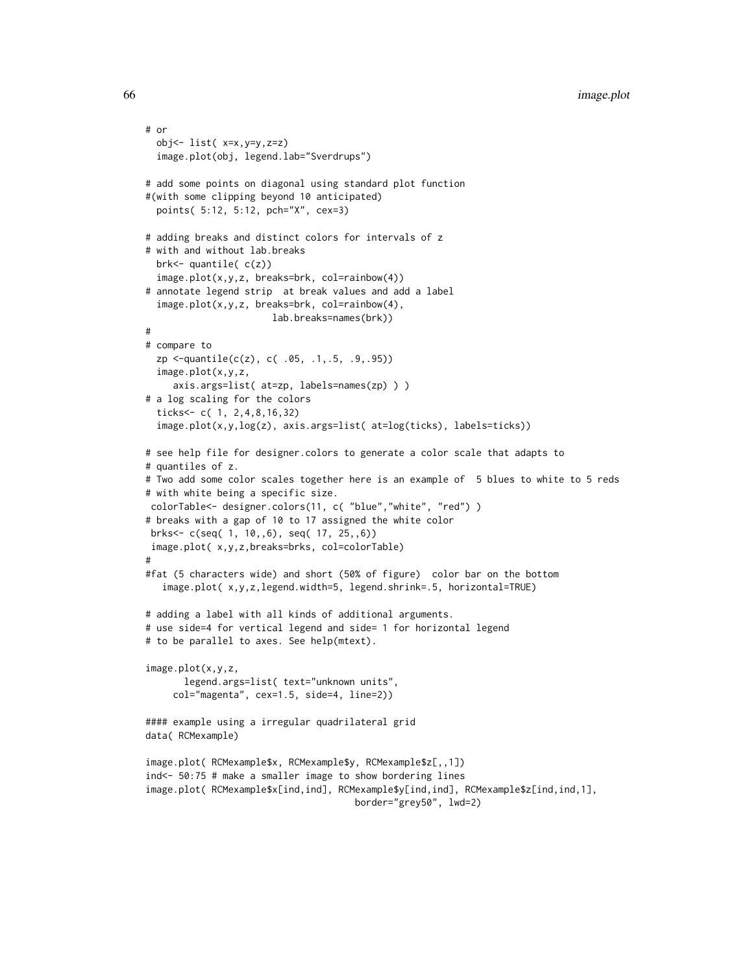```
# or
 obj<- list( x=x,y=y,z=z)
 image.plot(obj, legend.lab="Sverdrups")
# add some points on diagonal using standard plot function
#(with some clipping beyond 10 anticipated)
 points( 5:12, 5:12, pch="X", cex=3)
# adding breaks and distinct colors for intervals of z
# with and without lab.breaks
 brk<- quantile( c(z))
 image.plot(x,y,z, breaks=brk, col=rainbow(4))
# annotate legend strip at break values and add a label
  image.plot(x,y,z, breaks=brk, col=rainbow(4),
                       lab.breaks=names(brk))
#
# compare to
 zp <-quantile(c(z), c( .05, .1,.5, .9,.95))
 image.plot(x,y,z,
     axis.args=list( at=zp, labels=names(zp) ) )
# a log scaling for the colors
 ticks<- c( 1, 2,4,8,16,32)
 image.plot(x,y,log(z), axis.args=list( at=log(ticks), labels=ticks))
# see help file for designer.colors to generate a color scale that adapts to
# quantiles of z.
# Two add some color scales together here is an example of 5 blues to white to 5 reds
# with white being a specific size.
colorTable<- designer.colors(11, c( "blue","white", "red") )
# breaks with a gap of 10 to 17 assigned the white color
brks<- c(seq( 1, 10,,6), seq( 17, 25,,6))
image.plot( x,y,z,breaks=brks, col=colorTable)
#
#fat (5 characters wide) and short (50% of figure) color bar on the bottom
   image.plot( x,y,z,legend.width=5, legend.shrink=.5, horizontal=TRUE)
# adding a label with all kinds of additional arguments.
# use side=4 for vertical legend and side= 1 for horizontal legend
# to be parallel to axes. See help(mtext).
image.plot(x,y,z,
      legend.args=list( text="unknown units",
     col="magenta", cex=1.5, side=4, line=2))
#### example using a irregular quadrilateral grid
data( RCMexample)
image.plot( RCMexample$x, RCMexample$y, RCMexample$z[,,1])
ind<- 50:75 # make a smaller image to show bordering lines
image.plot( RCMexample$x[ind,ind], RCMexample$y[ind,ind], RCMexample$z[ind,ind,1],
                                      border="grey50", lwd=2)
```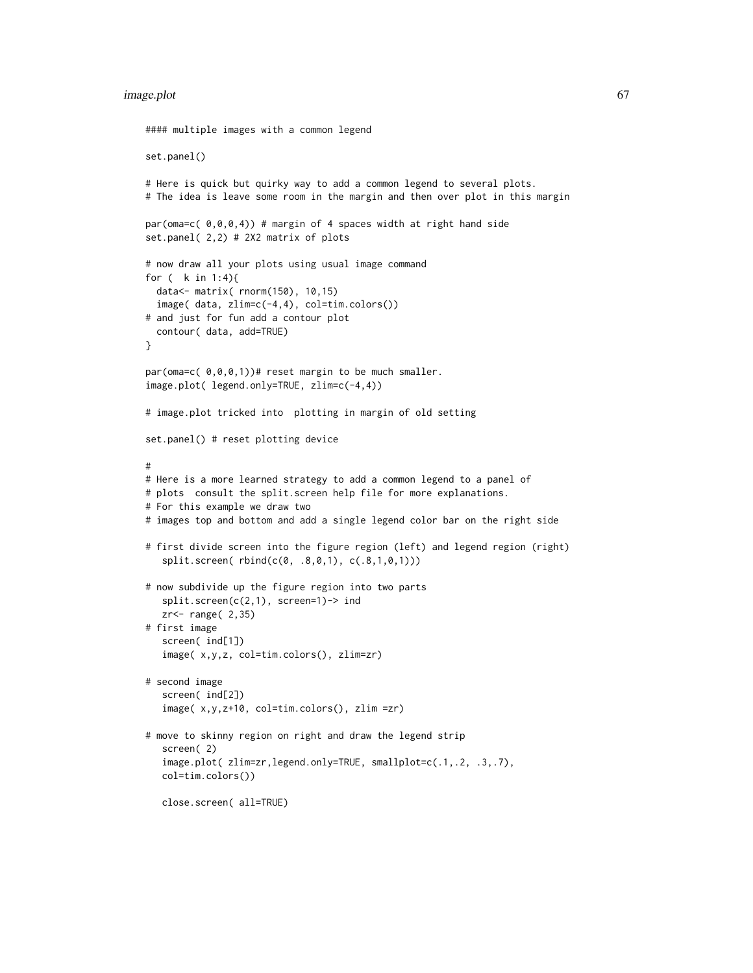### image.plot 67

```
#### multiple images with a common legend
set.panel()
# Here is quick but quirky way to add a common legend to several plots.
# The idea is leave some room in the margin and then over plot in this margin
par(oma=c( 0,0,0,4)) # margin of 4 spaces width at right hand side
set.panel( 2,2) # 2X2 matrix of plots
# now draw all your plots using usual image command
for ( k in 1:4){
 data<- matrix( rnorm(150), 10,15)
  image( data, zlim=c(-4,4), col=tim.colors())
# and just for fun add a contour plot
 contour( data, add=TRUE)
}
par(oma=c( 0,0,0,1))# reset margin to be much smaller.
image.plot( legend.only=TRUE, zlim=c(-4,4))
# image.plot tricked into plotting in margin of old setting
set.panel() # reset plotting device
#
# Here is a more learned strategy to add a common legend to a panel of
# plots consult the split.screen help file for more explanations.
# For this example we draw two
# images top and bottom and add a single legend color bar on the right side
# first divide screen into the figure region (left) and legend region (right)
   split.screen( rbind(c(0, .8,0,1), c(.8,1,0,1)))
# now subdivide up the figure region into two parts
  split.screen(c(2,1), screen=1)-> ind
  zr<- range( 2,35)
# first image
   screen( ind[1])
   image( x,y,z, col=tim.colors(), zlim=zr)
# second image
   screen( ind[2])
   image( x,y,z+10, col=tim.colors(), zlim =zr)
# move to skinny region on right and draw the legend strip
   screen( 2)
   image.plot( zlim=zr,legend.only=TRUE, smallplot=c(.1,.2, .3,.7),
  col=tim.colors())
  close.screen( all=TRUE)
```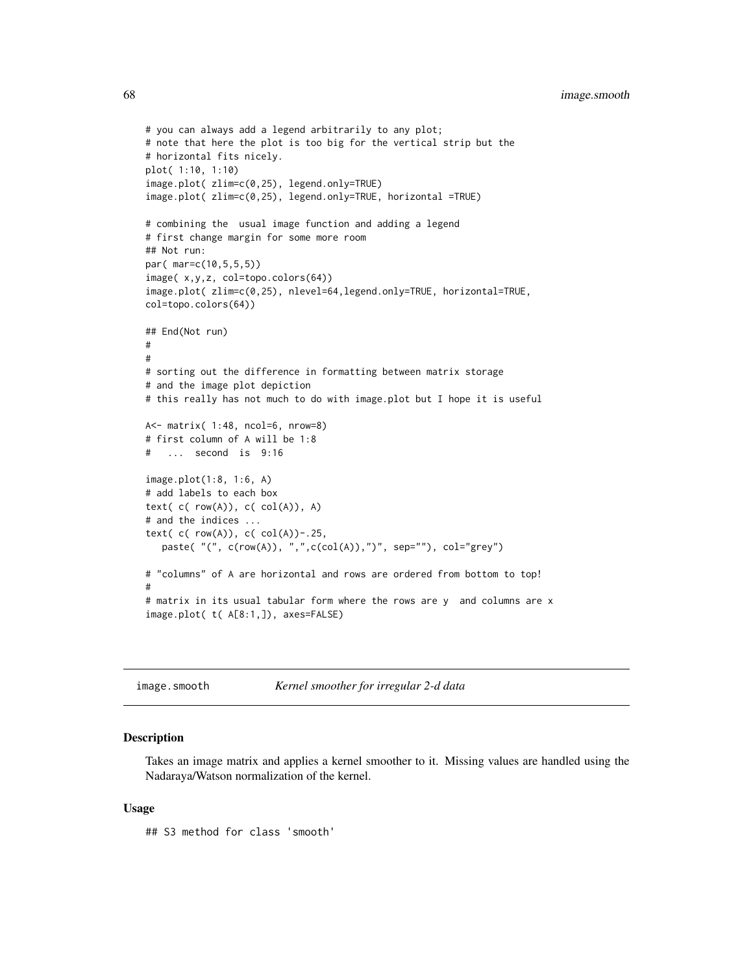```
# you can always add a legend arbitrarily to any plot;
# note that here the plot is too big for the vertical strip but the
# horizontal fits nicely.
plot( 1:10, 1:10)
image.plot( zlim=c(0,25), legend.only=TRUE)
image.plot( zlim=c(0,25), legend.only=TRUE, horizontal =TRUE)
# combining the usual image function and adding a legend
# first change margin for some more room
## Not run:
par( mar=c(10,5,5,5))
image( x,y,z, col=topo.colors(64))
image.plot( zlim=c(0,25), nlevel=64,legend.only=TRUE, horizontal=TRUE,
col=topo.colors(64))
## End(Not run)
#
#
# sorting out the difference in formatting between matrix storage
# and the image plot depiction
# this really has not much to do with image.plot but I hope it is useful
A<- matrix( 1:48, ncol=6, nrow=8)
# first column of A will be 1:8
# ... second is 9:16
image.plot(1:8, 1:6, A)
# add labels to each box
text( c( row(A)), c( col(A)), A)
# and the indices ...
text( c( row(A)), c( col(A))-.25,
   paste( "(", c(row(A)), ",",c(col(A)),")", sep=""), col="grey")
# "columns" of A are horizontal and rows are ordered from bottom to top!
#
# matrix in its usual tabular form where the rows are y and columns are x
image.plot( t( A[8:1,]), axes=FALSE)
```
#### **Description**

Takes an image matrix and applies a kernel smoother to it. Missing values are handled using the Nadaraya/Watson normalization of the kernel.

### Usage

## S3 method for class 'smooth'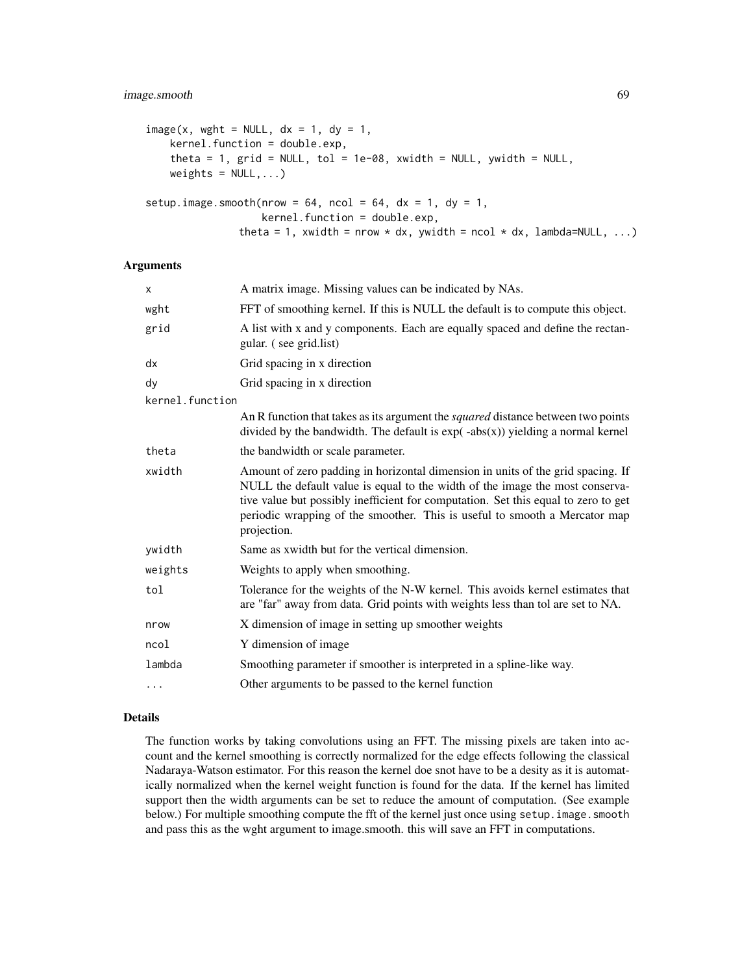# image.smooth 69

```
image(x, wght = NULL, dx = 1, dy = 1,kernel.function = double.exp,
    theta = 1, grid = NULL, tol = 1e-08, xwidth = NULL, ywidth = NULL,
    weights = NULL, \ldots)setup.image.smooth(nrow = 64, ncol = 64, dx = 1, dy = 1,
                   kernel.function = double.exp,
               theta = 1, xwidth = nrow * dx, ywidth = ncol * dx, lambda=NULL, ...)
```
## **Arguments**

| X.              | A matrix image. Missing values can be indicated by NAs.                                                                                                                                                                                                                                                                                            |
|-----------------|----------------------------------------------------------------------------------------------------------------------------------------------------------------------------------------------------------------------------------------------------------------------------------------------------------------------------------------------------|
| wght            | FFT of smoothing kernel. If this is NULL the default is to compute this object.                                                                                                                                                                                                                                                                    |
| grid            | A list with x and y components. Each are equally spaced and define the rectan-<br>gular. (see grid.list)                                                                                                                                                                                                                                           |
| dx              | Grid spacing in x direction                                                                                                                                                                                                                                                                                                                        |
| dy              | Grid spacing in x direction                                                                                                                                                                                                                                                                                                                        |
| kernel.function |                                                                                                                                                                                                                                                                                                                                                    |
|                 | An R function that takes as its argument the <i>squared</i> distance between two points<br>divided by the bandwidth. The default is $exp(-abs(x))$ yielding a normal kernel                                                                                                                                                                        |
| theta           | the bandwidth or scale parameter.                                                                                                                                                                                                                                                                                                                  |
| xwidth          | Amount of zero padding in horizontal dimension in units of the grid spacing. If<br>NULL the default value is equal to the width of the image the most conserva-<br>tive value but possibly inefficient for computation. Set this equal to zero to get<br>periodic wrapping of the smoother. This is useful to smooth a Mercator map<br>projection. |
| ywidth          | Same as xwidth but for the vertical dimension.                                                                                                                                                                                                                                                                                                     |
| weights         | Weights to apply when smoothing.                                                                                                                                                                                                                                                                                                                   |
| tol             | Tolerance for the weights of the N-W kernel. This avoids kernel estimates that<br>are "far" away from data. Grid points with weights less than tol are set to NA.                                                                                                                                                                                  |
| nrow            | X dimension of image in setting up smoother weights                                                                                                                                                                                                                                                                                                |
| ncol            | Y dimension of image                                                                                                                                                                                                                                                                                                                               |
| lambda          | Smoothing parameter if smoother is interpreted in a spline-like way.                                                                                                                                                                                                                                                                               |
| $\cdots$        | Other arguments to be passed to the kernel function                                                                                                                                                                                                                                                                                                |
|                 |                                                                                                                                                                                                                                                                                                                                                    |

# Details

The function works by taking convolutions using an FFT. The missing pixels are taken into account and the kernel smoothing is correctly normalized for the edge effects following the classical Nadaraya-Watson estimator. For this reason the kernel doe snot have to be a desity as it is automatically normalized when the kernel weight function is found for the data. If the kernel has limited support then the width arguments can be set to reduce the amount of computation. (See example below.) For multiple smoothing compute the fft of the kernel just once using setup. image. smooth and pass this as the wght argument to image.smooth. this will save an FFT in computations.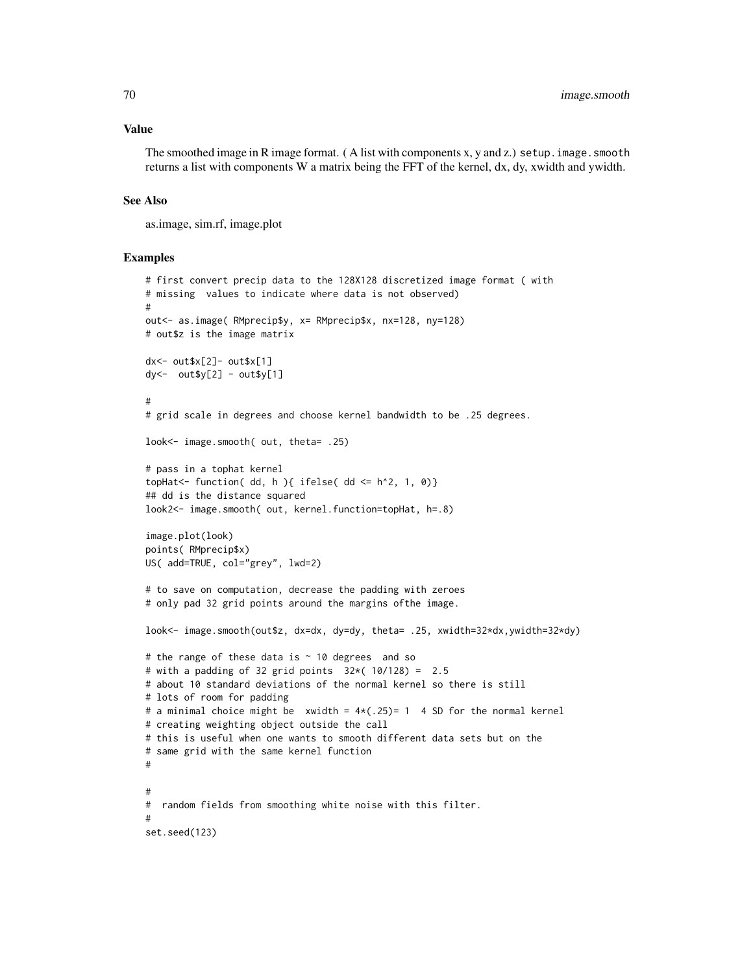#### Value

The smoothed image in R image format. (A list with components x, y and z.) setup. image. smooth returns a list with components W a matrix being the FFT of the kernel, dx, dy, xwidth and ywidth.

### See Also

as.image, sim.rf, image.plot

```
# first convert precip data to the 128X128 discretized image format ( with
# missing values to indicate where data is not observed)
#
out<- as.image( RMprecip$y, x= RMprecip$x, nx=128, ny=128)
# out$z is the image matrix
dx<- out$x[2]- out$x[1]
dy<- out$y[2] - out$y[1]
#
# grid scale in degrees and choose kernel bandwidth to be .25 degrees.
look<- image.smooth( out, theta= .25)
# pass in a tophat kernel
topHat <- function( dd, h ){ ifelse( dd <= h^2, 1, 0)}
## dd is the distance squared
look2<- image.smooth( out, kernel.function=topHat, h=.8)
image.plot(look)
points( RMprecip$x)
US( add=TRUE, col="grey", lwd=2)
# to save on computation, decrease the padding with zeroes
# only pad 32 grid points around the margins ofthe image.
look<- image.smooth(out$z, dx=dx, dy=dy, theta= .25, xwidth=32*dx,ywidth=32*dy)
# the range of these data is \sim 10 degrees and so
# with a padding of 32 grid points 32*( 10/128) = 2.5
# about 10 standard deviations of the normal kernel so there is still
# lots of room for padding
# a minimal choice might be xwidth = 4*(-25)=1 4 SD for the normal kernel
# creating weighting object outside the call
# this is useful when one wants to smooth different data sets but on the
# same grid with the same kernel function
#
#
# random fields from smoothing white noise with this filter.
#
set.seed(123)
```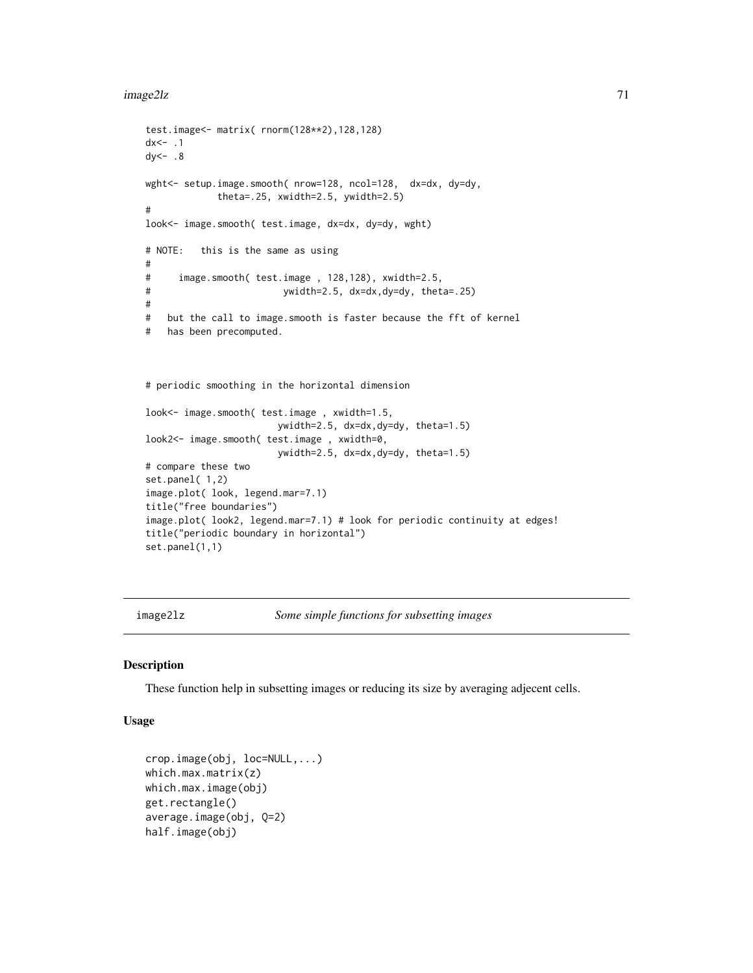```
image2lz 71
```

```
test.image<- matrix( rnorm(128**2),128,128)
dx < -.1
dy<- .8
wght<- setup.image.smooth( nrow=128, ncol=128, dx=dx, dy=dy,
            theta=.25, xwidth=2.5, ywidth=2.5)
#
look<- image.smooth( test.image, dx=dx, dy=dy, wght)
# NOTE: this is the same as using
#
# image.smooth( test.image , 128,128), xwidth=2.5,
# ywidth=2.5, dx=dx,dy=dy, theta=.25)
#
# but the call to image.smooth is faster because the fft of kernel
# has been precomputed.
# periodic smoothing in the horizontal dimension
look<- image.smooth( test.image , xwidth=1.5,
                       ywidth=2.5, dx=dx,dy=dy, theta=1.5)
look2<- image.smooth( test.image , xwidth=0,
                       ywidth=2.5, dx=dx,dy=dy, theta=1.5)
# compare these two
set.panel( 1,2)
image.plot( look, legend.mar=7.1)
title("free boundaries")
image.plot( look2, legend.mar=7.1) # look for periodic continuity at edges!
title("periodic boundary in horizontal")
set.panel(1,1)
```
image2lz *Some simple functions for subsetting images*

### <span id="page-70-0"></span>Description

These function help in subsetting images or reducing its size by averaging adjecent cells.

### Usage

```
crop.image(obj, loc=NULL,...)
which.max.matrix(z)
which.max.image(obj)
get.rectangle()
average.image(obj, Q=2)
half.image(obj)
```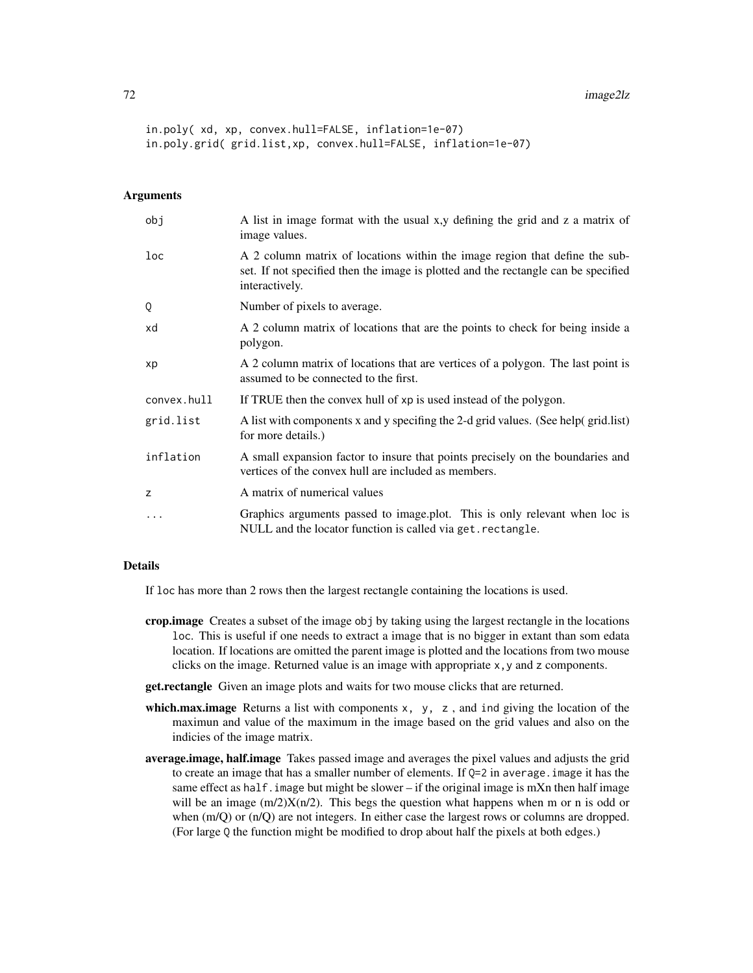72 image2lz

```
in.poly( xd, xp, convex.hull=FALSE, inflation=1e-07)
in.poly.grid( grid.list,xp, convex.hull=FALSE, inflation=1e-07)
```
### Arguments

| obj         | A list in image format with the usual x,y defining the grid and z a matrix of<br>image values.                                                                                      |
|-------------|-------------------------------------------------------------------------------------------------------------------------------------------------------------------------------------|
| loc         | A 2 column matrix of locations within the image region that define the sub-<br>set. If not specified then the image is plotted and the rectangle can be specified<br>interactively. |
| Q           | Number of pixels to average.                                                                                                                                                        |
| xd          | A 2 column matrix of locations that are the points to check for being inside a<br>polygon.                                                                                          |
| xp          | A 2 column matrix of locations that are vertices of a polygon. The last point is<br>assumed to be connected to the first.                                                           |
| convex.hull | If TRUE then the convex hull of xp is used instead of the polygon.                                                                                                                  |
| grid.list   | A list with components x and y specifing the 2-d grid values. (See help(grid.list)<br>for more details.)                                                                            |
| inflation   | A small expansion factor to insure that points precisely on the boundaries and<br>vertices of the convex hull are included as members.                                              |
| z           | A matrix of numerical values                                                                                                                                                        |
| $\cdots$    | Graphics arguments passed to image plot. This is only relevant when loc is<br>NULL and the locator function is called via get. rectangle.                                           |

### Details

If loc has more than 2 rows then the largest rectangle containing the locations is used.

- crop. image Creates a subset of the image obj by taking using the largest rectangle in the locations loc. This is useful if one needs to extract a image that is no bigger in extant than som edata location. If locations are omitted the parent image is plotted and the locations from two mouse clicks on the image. Returned value is an image with appropriate x,y and z components.
- get.rectangle Given an image plots and waits for two mouse clicks that are returned.
- which.max.image Returns a list with components  $x$ ,  $y$ ,  $z$ , and ind giving the location of the maximun and value of the maximum in the image based on the grid values and also on the indicies of the image matrix.
- average.image, half.image Takes passed image and averages the pixel values and adjusts the grid to create an image that has a smaller number of elements. If  $Q=2$  in average. image it has the same effect as half. image but might be slower – if the original image is mXn then half image will be an image  $(m/2)X(n/2)$ . This begs the question what happens when m or n is odd or when  $(m/Q)$  or  $(n/Q)$  are not integers. In either case the largest rows or columns are dropped. (For large Q the function might be modified to drop about half the pixels at both edges.)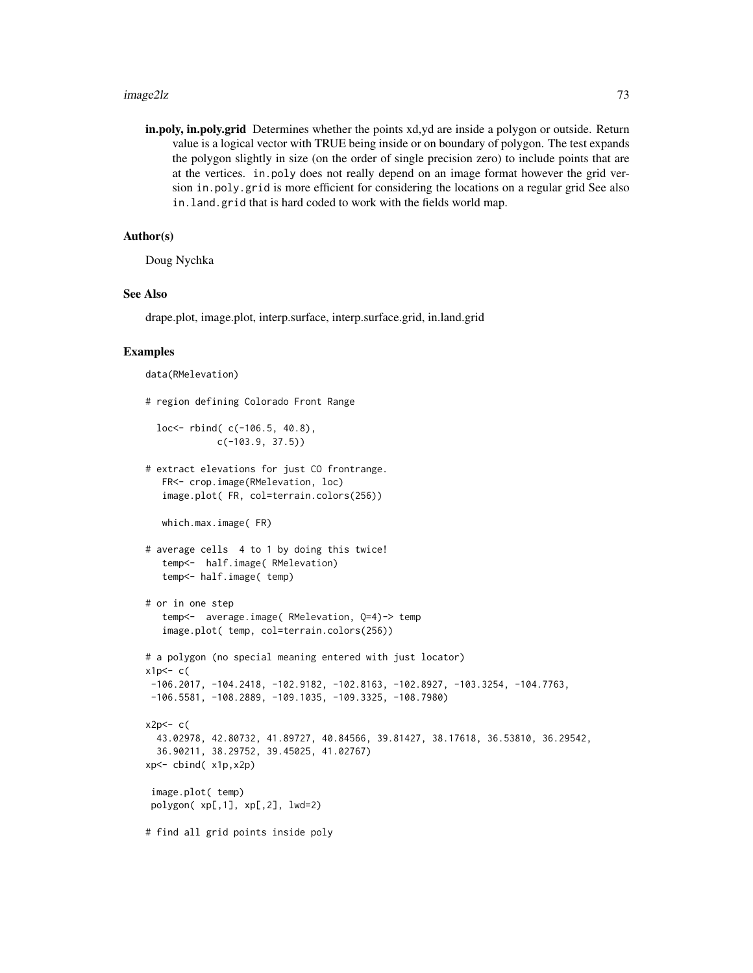#### image2lz 73

in.poly, in.poly.grid Determines whether the points xd,yd are inside a polygon or outside. Return value is a logical vector with TRUE being inside or on boundary of polygon. The test expands the polygon slightly in size (on the order of single precision zero) to include points that are at the vertices. in.poly does not really depend on an image format however the grid version in.poly.grid is more efficient for considering the locations on a regular grid See also in.land.grid that is hard coded to work with the fields world map.

# Author(s)

Doug Nychka

### See Also

drape.plot, image.plot, interp.surface, interp.surface.grid, in.land.grid

### Examples

```
data(RMelevation)
```

```
# region defining Colorado Front Range
```

```
loc<- rbind( c(-106.5, 40.8),
           c(-103.9, 37.5))
```

```
# extract elevations for just CO frontrange.
  FR<- crop.image(RMelevation, loc)
  image.plot( FR, col=terrain.colors(256))
```
which.max.image( FR)

```
# average cells 4 to 1 by doing this twice!
  temp<- half.image( RMelevation)
  temp<- half.image( temp)
```
# find all grid points inside poly

```
# or in one step
   temp<- average.image( RMelevation, Q=4)-> temp
   image.plot( temp, col=terrain.colors(256))
```

```
# a polygon (no special meaning entered with just locator)
x1p<-\frac{c}{c}-106.2017, -104.2418, -102.9182, -102.8163, -102.8927, -103.3254, -104.7763,
-106.5581, -108.2889, -109.1035, -109.3325, -108.7980)
x2p<- c(
 43.02978, 42.80732, 41.89727, 40.84566, 39.81427, 38.17618, 36.53810, 36.29542,
 36.90211, 38.29752, 39.45025, 41.02767)
xp<- cbind( x1p,x2p)
 image.plot( temp)
polygon( xp[,1], xp[,2], lwd=2)
```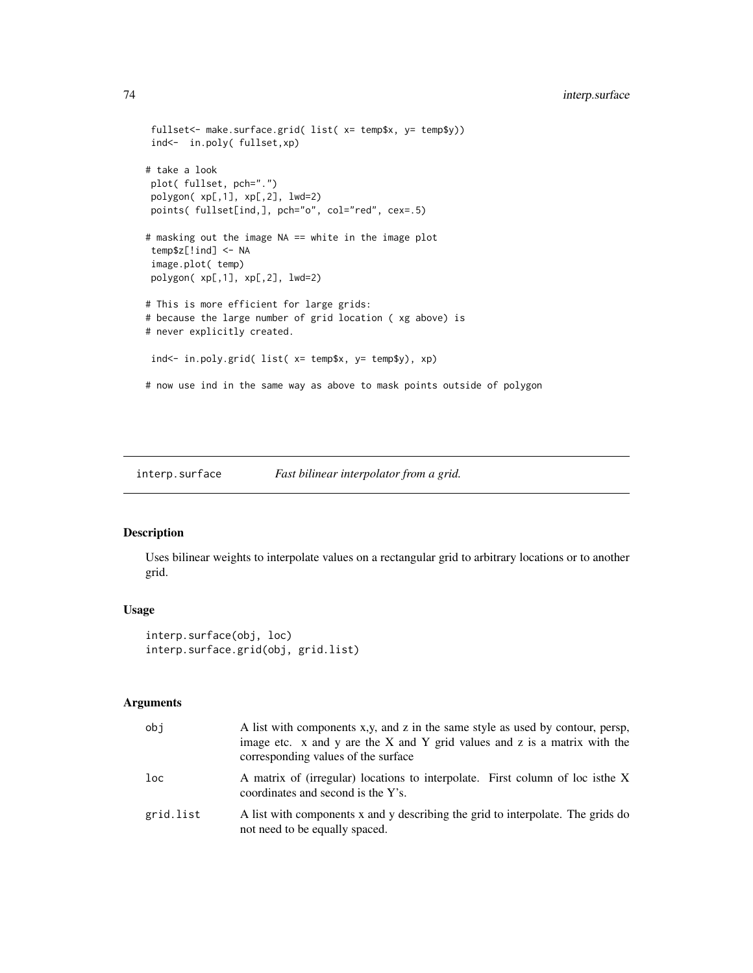```
fullset<- make.surface.grid( list( x= temp$x, y= temp$y))
ind<- in.poly( fullset,xp)
# take a look
plot( fullset, pch=".")
polygon( xp[,1], xp[,2], lwd=2)
points( fullset[ind,], pch="o", col="red", cex=.5)
# masking out the image NA == white in the image plot
temp$z[!ind] <- NA
image.plot( temp)
polygon( xp[,1], xp[,2], lwd=2)
# This is more efficient for large grids:
# because the large number of grid location ( xg above) is
# never explicitly created.
ind<- in.poly.grid( list( x= temp$x, y= temp$y), xp)
# now use ind in the same way as above to mask points outside of polygon
```
interp.surface *Fast bilinear interpolator from a grid.*

### Description

Uses bilinear weights to interpolate values on a rectangular grid to arbitrary locations or to another grid.

### Usage

```
interp.surface(obj, loc)
interp.surface.grid(obj, grid.list)
```
# Arguments

| obj       | A list with components x,y, and z in the same style as used by contour, persp,<br>image etc. $x$ and $y$ are the $X$ and $Y$ grid values and $z$ is a matrix with the<br>corresponding values of the surface |
|-----------|--------------------------------------------------------------------------------------------------------------------------------------------------------------------------------------------------------------|
| loc       | A matrix of (irregular) locations to interpolate. First column of loc is the X<br>coordinates and second is the Y's.                                                                                         |
| grid.list | A list with components x and y describing the grid to interpolate. The grids do<br>not need to be equally spaced.                                                                                            |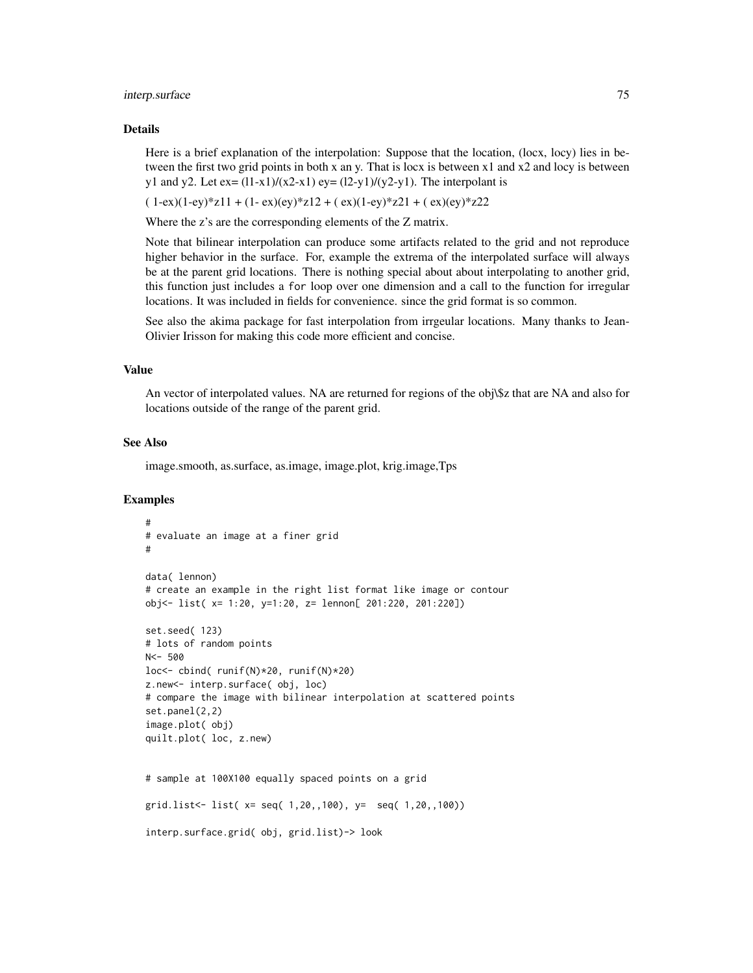#### interp.surface 75

#### Details

Here is a brief explanation of the interpolation: Suppose that the location, (locx, locy) lies in between the first two grid points in both x an y. That is locx is between x1 and x2 and locy is between y1 and y2. Let  $ex = (11-x1)/(x2-x1)$  ey=  $(12-y1)/(y2-y1)$ . The interpolant is

 $(1-ex)(1-ey)*z11 + (1-ex)(ey)*z12 + (ex)(1-ey)*z21 + (ex)(ey)*z22$ 

Where the z's are the corresponding elements of the Z matrix.

Note that bilinear interpolation can produce some artifacts related to the grid and not reproduce higher behavior in the surface. For, example the extrema of the interpolated surface will always be at the parent grid locations. There is nothing special about about interpolating to another grid, this function just includes a for loop over one dimension and a call to the function for irregular locations. It was included in fields for convenience. since the grid format is so common.

See also the akima package for fast interpolation from irrgeular locations. Many thanks to Jean-Olivier Irisson for making this code more efficient and concise.

#### Value

An vector of interpolated values. NA are returned for regions of the obj\\$z that are NA and also for locations outside of the range of the parent grid.

#### See Also

image.smooth, as.surface, as.image, image.plot, krig.image,Tps

# Examples

```
#
# evaluate an image at a finer grid
#
data( lennon)
# create an example in the right list format like image or contour
obj<- list( x= 1:20, y=1:20, z= lennon[ 201:220, 201:220])
set.seed( 123)
# lots of random points
N<- 500
loc<- cbind( runif(N)*20, runif(N)*20)
z.new<- interp.surface( obj, loc)
# compare the image with bilinear interpolation at scattered points
set.panel(2,2)
image.plot( obj)
quilt.plot( loc, z.new)
# sample at 100X100 equally spaced points on a grid
grid.list<- list( x= seq( 1,20,,100), y= seq( 1,20,,100))
interp.surface.grid( obj, grid.list)-> look
```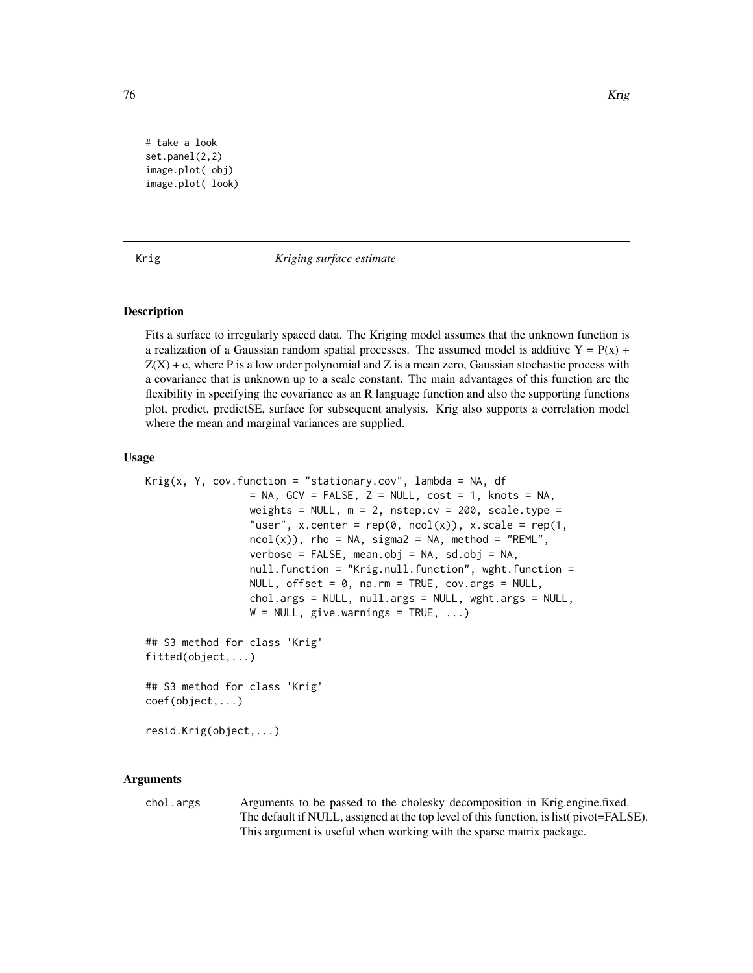```
# take a look
set.panel(2,2)
image.plot( obj)
image.plot( look)
```
<span id="page-75-0"></span>

Krig *Kriging surface estimate*

### Description

Fits a surface to irregularly spaced data. The Kriging model assumes that the unknown function is a realization of a Gaussian random spatial processes. The assumed model is additive  $Y = P(x) + P(y)$  $Z(X)$  + e, where P is a low order polynomial and Z is a mean zero, Gaussian stochastic process with a covariance that is unknown up to a scale constant. The main advantages of this function are the flexibility in specifying the covariance as an R language function and also the supporting functions plot, predict, predictSE, surface for subsequent analysis. Krig also supports a correlation model where the mean and marginal variances are supplied.

#### Usage

```
Krig(x, Y, cov.function = "stationary.cov", lambda = NA, df
                 = NA, GCV = FALSE, Z = NULL, cost = 1, knots = NA,
                 weights = NULL, m = 2, nstep.cv = 200, scale.type =
                 "user", x.center = rep(\emptyset, ncol(x)), x.scale = rep(1,ncol(x), rho = NA, sigma2 = NA, method = "REML",
                 verbose = FALSE, mean.obj = NA, sd.obj = NA,
                 null.function = "Krig.null.function", wght.function =
                 NULL, offset = 0, na.rm = TRUE, cov.args = NULL,
                 chol.args = NULL, null.args = NULL, wght.args = NULL,
                 W = NULL, give.warnings = TRUE, ...)
## S3 method for class 'Krig'
fitted(object,...)
## S3 method for class 'Krig'
coef(object,...)
resid.Krig(object,...)
```
### Arguments

chol.args Arguments to be passed to the cholesky decomposition in Krig.engine.fixed. The default if NULL, assigned at the top level of this function, is list( pivot=FALSE). This argument is useful when working with the sparse matrix package.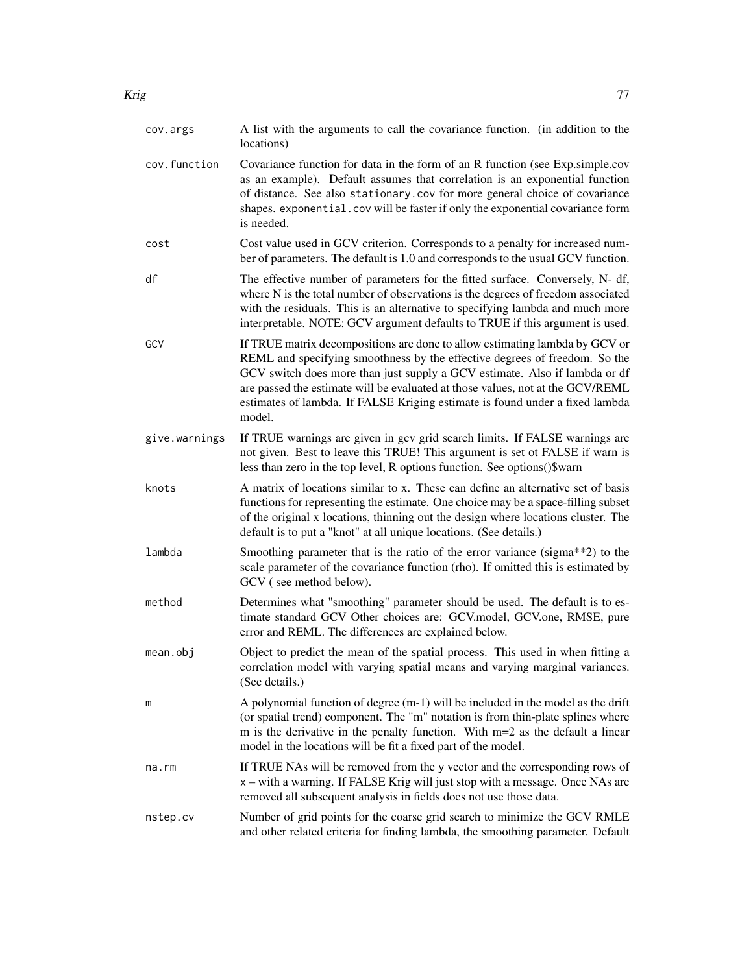| cov.args      | A list with the arguments to call the covariance function. (in addition to the<br>locations)                                                                                                                                                                                                                                                                                                                        |
|---------------|---------------------------------------------------------------------------------------------------------------------------------------------------------------------------------------------------------------------------------------------------------------------------------------------------------------------------------------------------------------------------------------------------------------------|
| cov.function  | Covariance function for data in the form of an R function (see Exp.simple.cov<br>as an example). Default assumes that correlation is an exponential function<br>of distance. See also stationary.cov for more general choice of covariance<br>shapes. exponential.cov will be faster if only the exponential covariance form<br>is needed.                                                                          |
| cost          | Cost value used in GCV criterion. Corresponds to a penalty for increased num-<br>ber of parameters. The default is 1.0 and corresponds to the usual GCV function.                                                                                                                                                                                                                                                   |
| df            | The effective number of parameters for the fitted surface. Conversely, N- df,<br>where N is the total number of observations is the degrees of freedom associated<br>with the residuals. This is an alternative to specifying lambda and much more<br>interpretable. NOTE: GCV argument defaults to TRUE if this argument is used.                                                                                  |
| GCV           | If TRUE matrix decompositions are done to allow estimating lambda by GCV or<br>REML and specifying smoothness by the effective degrees of freedom. So the<br>GCV switch does more than just supply a GCV estimate. Also if lambda or df<br>are passed the estimate will be evaluated at those values, not at the GCV/REML<br>estimates of lambda. If FALSE Kriging estimate is found under a fixed lambda<br>model. |
| give.warnings | If TRUE warnings are given in gcv grid search limits. If FALSE warnings are<br>not given. Best to leave this TRUE! This argument is set ot FALSE if warn is<br>less than zero in the top level, R options function. See options()\$warn                                                                                                                                                                             |
| knots         | A matrix of locations similar to x. These can define an alternative set of basis<br>functions for representing the estimate. One choice may be a space-filling subset<br>of the original x locations, thinning out the design where locations cluster. The<br>default is to put a "knot" at all unique locations. (See details.)                                                                                    |
| lambda        | Smoothing parameter that is the ratio of the error variance (sigma**2) to the<br>scale parameter of the covariance function (rho). If omitted this is estimated by<br>GCV (see method below).                                                                                                                                                                                                                       |
| method        | Determines what "smoothing" parameter should be used. The default is to es-<br>timate standard GCV Other choices are: GCV.model, GCV.one, RMSE, pure<br>error and REML. The differences are explained below.                                                                                                                                                                                                        |
| mean.obj      | Object to predict the mean of the spatial process. This used in when fitting a<br>correlation model with varying spatial means and varying marginal variances.<br>(See details.)                                                                                                                                                                                                                                    |
| m             | A polynomial function of degree $(m-1)$ will be included in the model as the drift<br>(or spatial trend) component. The "m" notation is from thin-plate splines where<br>m is the derivative in the penalty function. With $m=2$ as the default a linear<br>model in the locations will be fit a fixed part of the model.                                                                                           |
| na.rm         | If TRUE NAs will be removed from the y vector and the corresponding rows of<br>x – with a warning. If FALSE Krig will just stop with a message. Once NAs are<br>removed all subsequent analysis in fields does not use those data.                                                                                                                                                                                  |
| nstep.cv      | Number of grid points for the coarse grid search to minimize the GCV RMLE<br>and other related criteria for finding lambda, the smoothing parameter. Default                                                                                                                                                                                                                                                        |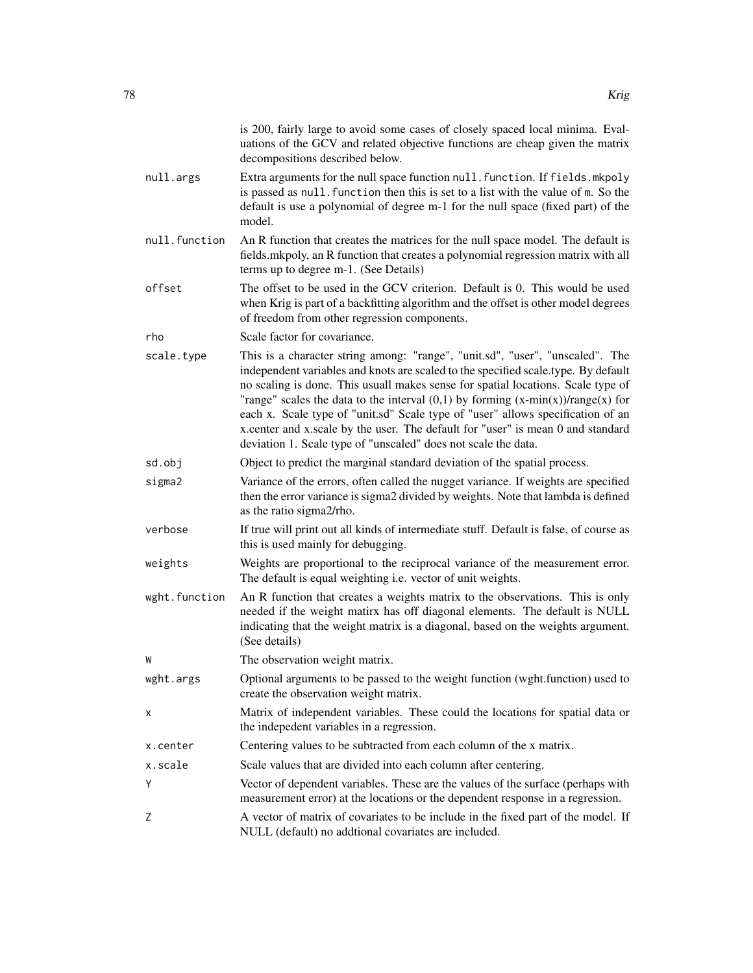|               | is 200, fairly large to avoid some cases of closely spaced local minima. Eval-<br>uations of the GCV and related objective functions are cheap given the matrix<br>decompositions described below.                                                                                                                                                                                                                                                                                                                                                                                      |
|---------------|-----------------------------------------------------------------------------------------------------------------------------------------------------------------------------------------------------------------------------------------------------------------------------------------------------------------------------------------------------------------------------------------------------------------------------------------------------------------------------------------------------------------------------------------------------------------------------------------|
| null.args     | Extra arguments for the null space function null. function. If fields.mkpoly<br>is passed as null. function then this is set to a list with the value of m. So the<br>default is use a polynomial of degree m-1 for the null space (fixed part) of the<br>model.                                                                                                                                                                                                                                                                                                                        |
| null.function | An R function that creates the matrices for the null space model. The default is<br>fields.mkpoly, an R function that creates a polynomial regression matrix with all<br>terms up to degree m-1. (See Details)                                                                                                                                                                                                                                                                                                                                                                          |
| offset        | The offset to be used in the GCV criterion. Default is 0. This would be used<br>when Krig is part of a backfitting algorithm and the offset is other model degrees<br>of freedom from other regression components.                                                                                                                                                                                                                                                                                                                                                                      |
| rho           | Scale factor for covariance.                                                                                                                                                                                                                                                                                                                                                                                                                                                                                                                                                            |
| scale.type    | This is a character string among: "range", "unit.sd", "user", "unscaled". The<br>independent variables and knots are scaled to the specified scale.type. By default<br>no scaling is done. This usuall makes sense for spatial locations. Scale type of<br>"range" scales the data to the interval $(0,1)$ by forming $(x-min(x))/range(x)$ for<br>each x. Scale type of "unit.sd" Scale type of "user" allows specification of an<br>x.center and x.scale by the user. The default for "user" is mean 0 and standard<br>deviation 1. Scale type of "unscaled" does not scale the data. |
| sd.obj        | Object to predict the marginal standard deviation of the spatial process.                                                                                                                                                                                                                                                                                                                                                                                                                                                                                                               |
| sigma2        | Variance of the errors, often called the nugget variance. If weights are specified<br>then the error variance is sigma2 divided by weights. Note that lambda is defined<br>as the ratio sigma2/rho.                                                                                                                                                                                                                                                                                                                                                                                     |
| verbose       | If true will print out all kinds of intermediate stuff. Default is false, of course as<br>this is used mainly for debugging.                                                                                                                                                                                                                                                                                                                                                                                                                                                            |
| weights       | Weights are proportional to the reciprocal variance of the measurement error.<br>The default is equal weighting i.e. vector of unit weights.                                                                                                                                                                                                                                                                                                                                                                                                                                            |
| wght.function | An R function that creates a weights matrix to the observations. This is only<br>needed if the weight matirx has off diagonal elements. The default is NULL<br>indicating that the weight matrix is a diagonal, based on the weights argument.<br>(See details)                                                                                                                                                                                                                                                                                                                         |
| W             | The observation weight matrix.                                                                                                                                                                                                                                                                                                                                                                                                                                                                                                                                                          |
| wght.args     | Optional arguments to be passed to the weight function (wght.function) used to<br>create the observation weight matrix.                                                                                                                                                                                                                                                                                                                                                                                                                                                                 |
| х             | Matrix of independent variables. These could the locations for spatial data or<br>the indepedent variables in a regression.                                                                                                                                                                                                                                                                                                                                                                                                                                                             |
| x.center      | Centering values to be subtracted from each column of the x matrix.                                                                                                                                                                                                                                                                                                                                                                                                                                                                                                                     |
| x.scale       | Scale values that are divided into each column after centering.                                                                                                                                                                                                                                                                                                                                                                                                                                                                                                                         |
| Υ             | Vector of dependent variables. These are the values of the surface (perhaps with<br>measurement error) at the locations or the dependent response in a regression.                                                                                                                                                                                                                                                                                                                                                                                                                      |
| Ζ             | A vector of matrix of covariates to be include in the fixed part of the model. If<br>NULL (default) no addtional covariates are included.                                                                                                                                                                                                                                                                                                                                                                                                                                               |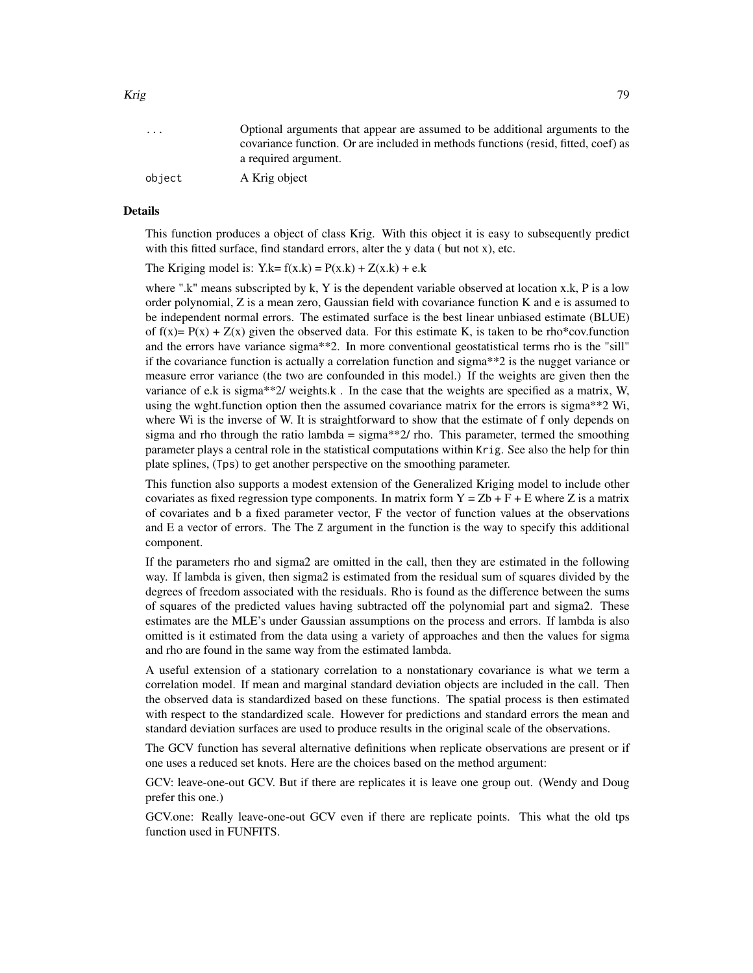| $\cdot$ $\cdot$ $\cdot$ | Optional arguments that appear are assumed to be additional arguments to the       |
|-------------------------|------------------------------------------------------------------------------------|
|                         | covariance function. Or are included in methods functions (resid, fitted, coef) as |
|                         | a required argument.                                                               |
| object                  | A Krig object                                                                      |

#### Details

This function produces a object of class Krig. With this object it is easy to subsequently predict with this fitted surface, find standard errors, alter the y data ( but not x), etc.

The Kriging model is:  $Y.k = f(x.k) = P(x.k) + Z(x.k) + e.k$ 

where ".k" means subscripted by k, Y is the dependent variable observed at location x.k, P is a low order polynomial, Z is a mean zero, Gaussian field with covariance function K and e is assumed to be independent normal errors. The estimated surface is the best linear unbiased estimate (BLUE) of  $f(x) = P(x) + Z(x)$  given the observed data. For this estimate K, is taken to be rho\*cov.function and the errors have variance sigma\*\*2. In more conventional geostatistical terms rho is the "sill" if the covariance function is actually a correlation function and sigma\*\*2 is the nugget variance or measure error variance (the two are confounded in this model.) If the weights are given then the variance of e.k is sigma\*\*2/ weights.k . In the case that the weights are specified as a matrix, W, using the wght.function option then the assumed covariance matrix for the errors is sigma\*\*2 Wi, where Wi is the inverse of W. It is straightforward to show that the estimate of f only depends on sigma and rho through the ratio lambda =  $\sigma$  sigma\*\*2/ rho. This parameter, termed the smoothing parameter plays a central role in the statistical computations within Krig. See also the help for thin plate splines, (Tps) to get another perspective on the smoothing parameter.

This function also supports a modest extension of the Generalized Kriging model to include other covariates as fixed regression type components. In matrix form  $Y = Zb + F + E$  where Z is a matrix of covariates and b a fixed parameter vector, F the vector of function values at the observations and E a vector of errors. The The Z argument in the function is the way to specify this additional component.

If the parameters rho and sigma2 are omitted in the call, then they are estimated in the following way. If lambda is given, then sigma2 is estimated from the residual sum of squares divided by the degrees of freedom associated with the residuals. Rho is found as the difference between the sums of squares of the predicted values having subtracted off the polynomial part and sigma2. These estimates are the MLE's under Gaussian assumptions on the process and errors. If lambda is also omitted is it estimated from the data using a variety of approaches and then the values for sigma and rho are found in the same way from the estimated lambda.

A useful extension of a stationary correlation to a nonstationary covariance is what we term a correlation model. If mean and marginal standard deviation objects are included in the call. Then the observed data is standardized based on these functions. The spatial process is then estimated with respect to the standardized scale. However for predictions and standard errors the mean and standard deviation surfaces are used to produce results in the original scale of the observations.

The GCV function has several alternative definitions when replicate observations are present or if one uses a reduced set knots. Here are the choices based on the method argument:

GCV: leave-one-out GCV. But if there are replicates it is leave one group out. (Wendy and Doug prefer this one.)

GCV.one: Really leave-one-out GCV even if there are replicate points. This what the old tps function used in FUNFITS.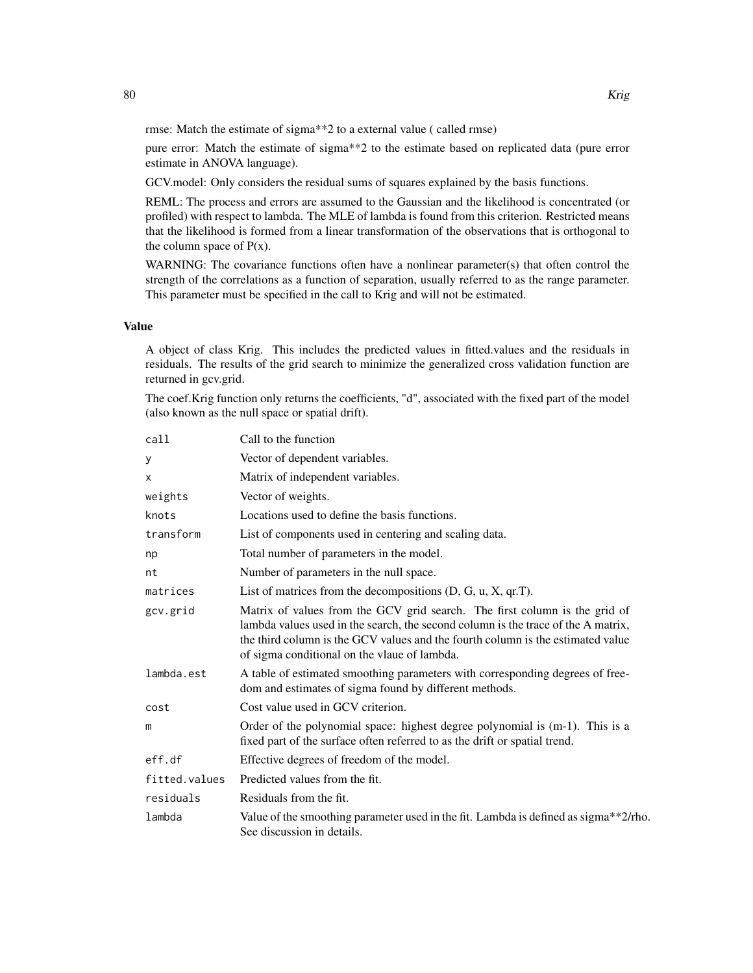rmse: Match the estimate of sigma\*\*2 to a external value ( called rmse)

pure error: Match the estimate of sigma\*\*2 to the estimate based on replicated data (pure error estimate in ANOVA language).

GCV.model: Only considers the residual sums of squares explained by the basis functions.

REML: The process and errors are assumed to the Gaussian and the likelihood is concentrated (or profiled) with respect to lambda. The MLE of lambda is found from this criterion. Restricted means that the likelihood is formed from a linear transformation of the observations that is orthogonal to the column space of  $P(x)$ .

WARNING: The covariance functions often have a nonlinear parameter(s) that often control the strength of the correlations as a function of separation, usually referred to as the range parameter. This parameter must be specified in the call to Krig and will not be estimated.

#### Value

A object of class Krig. This includes the predicted values in fitted.values and the residuals in residuals. The results of the grid search to minimize the generalized cross validation function are returned in gcv.grid.

The coef.Krig function only returns the coefficients, "d", associated with the fixed part of the model (also known as the null space or spatial drift).

| Call to the function                                                                                                                                                                                                                                                                               |  |
|----------------------------------------------------------------------------------------------------------------------------------------------------------------------------------------------------------------------------------------------------------------------------------------------------|--|
| Vector of dependent variables.                                                                                                                                                                                                                                                                     |  |
| Matrix of independent variables.                                                                                                                                                                                                                                                                   |  |
| Vector of weights.                                                                                                                                                                                                                                                                                 |  |
| Locations used to define the basis functions.                                                                                                                                                                                                                                                      |  |
| List of components used in centering and scaling data.                                                                                                                                                                                                                                             |  |
| Total number of parameters in the model.                                                                                                                                                                                                                                                           |  |
| Number of parameters in the null space.                                                                                                                                                                                                                                                            |  |
| List of matrices from the decompositions $(D, G, u, X, qr.T)$ .                                                                                                                                                                                                                                    |  |
| Matrix of values from the GCV grid search. The first column is the grid of<br>lambda values used in the search, the second column is the trace of the A matrix,<br>the third column is the GCV values and the fourth column is the estimated value<br>of sigma conditional on the vlaue of lambda. |  |
| A table of estimated smoothing parameters with corresponding degrees of free-<br>dom and estimates of sigma found by different methods.                                                                                                                                                            |  |
| Cost value used in GCV criterion.                                                                                                                                                                                                                                                                  |  |
| Order of the polynomial space: highest degree polynomial is (m-1). This is a<br>fixed part of the surface often referred to as the drift or spatial trend.                                                                                                                                         |  |
| Effective degrees of freedom of the model.                                                                                                                                                                                                                                                         |  |
| Predicted values from the fit.                                                                                                                                                                                                                                                                     |  |
| Residuals from the fit.                                                                                                                                                                                                                                                                            |  |
| Value of the smoothing parameter used in the fit. Lambda is defined as sigma**2/rho.<br>See discussion in details.                                                                                                                                                                                 |  |
|                                                                                                                                                                                                                                                                                                    |  |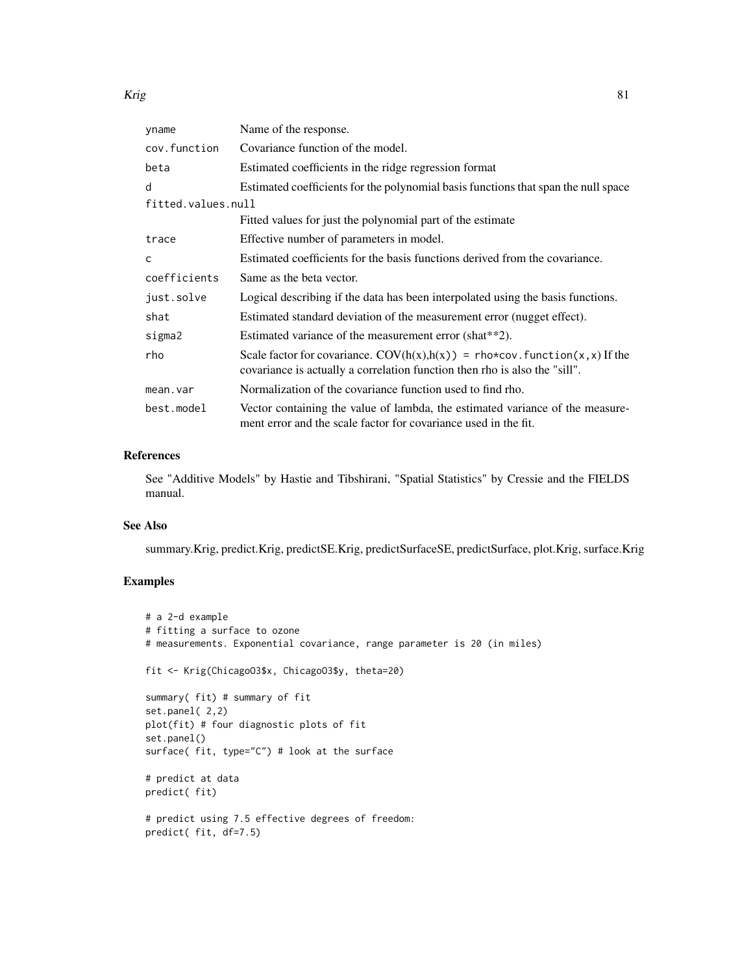| yname              | Name of the response.                                                                                                                                            |
|--------------------|------------------------------------------------------------------------------------------------------------------------------------------------------------------|
| cov.function       | Covariance function of the model.                                                                                                                                |
| beta               | Estimated coefficients in the ridge regression format                                                                                                            |
| d                  | Estimated coefficients for the polynomial basis functions that span the null space                                                                               |
| fitted.values.null |                                                                                                                                                                  |
|                    | Fitted values for just the polynomial part of the estimate                                                                                                       |
| trace              | Effective number of parameters in model.                                                                                                                         |
| $\mathsf{C}$       | Estimated coefficients for the basis functions derived from the covariance.                                                                                      |
| coefficients       | Same as the beta vector.                                                                                                                                         |
| just.solve         | Logical describing if the data has been interpolated using the basis functions.                                                                                  |
| shat               | Estimated standard deviation of the measurement error (nugget effect).                                                                                           |
| sigma2             | Estimated variance of the measurement error (shat**2).                                                                                                           |
| rho                | Scale factor for covariance. $COV(h(x), h(x)) = rho * cov$ . function(x, x) If the<br>covariance is actually a correlation function then rho is also the "sill". |
| mean.var           | Normalization of the covariance function used to find rho.                                                                                                       |
| best.model         | Vector containing the value of lambda, the estimated variance of the measure-<br>ment error and the scale factor for covariance used in the fit.                 |

# References

See "Additive Models" by Hastie and Tibshirani, "Spatial Statistics" by Cressie and the FIELDS manual.

# See Also

summary.Krig, predict.Krig, predictSE.Krig, predictSurfaceSE, predictSurface, plot.Krig, surface.Krig

# Examples

```
# a 2-d example
# fitting a surface to ozone
# measurements. Exponential covariance, range parameter is 20 (in miles)
fit <- Krig(ChicagoO3$x, ChicagoO3$y, theta=20)
summary( fit) # summary of fit
set.panel( 2,2)
plot(fit) # four diagnostic plots of fit
set.panel()
surface( fit, type="C") # look at the surface
# predict at data
predict( fit)
# predict using 7.5 effective degrees of freedom:
predict( fit, df=7.5)
```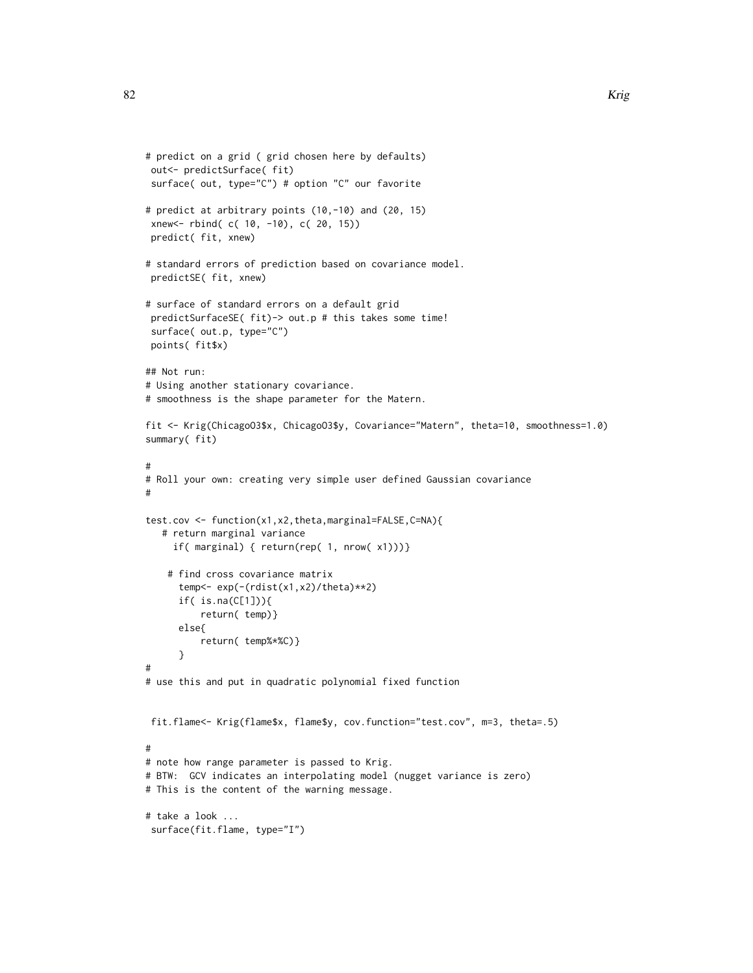```
# predict on a grid ( grid chosen here by defaults)
out<- predictSurface( fit)
 surface( out, type="C") # option "C" our favorite
# predict at arbitrary points (10,-10) and (20, 15)
 xnew<- rbind( c( 10, -10), c( 20, 15))
 predict( fit, xnew)
# standard errors of prediction based on covariance model.
 predictSE( fit, xnew)
# surface of standard errors on a default grid
 predictSurfaceSE( fit)-> out.p # this takes some time!
 surface( out.p, type="C")
points( fit$x)
## Not run:
# Using another stationary covariance.
# smoothness is the shape parameter for the Matern.
fit <- Krig(ChicagoO3$x, ChicagoO3$y, Covariance="Matern", theta=10, smoothness=1.0)
summary( fit)
#
# Roll your own: creating very simple user defined Gaussian covariance
#
test.cov <- function(x1,x2,theta,marginal=FALSE,C=NA){
   # return marginal variance
     if( marginal) { return(rep( 1, nrow( x1)))}
    # find cross covariance matrix
      temp<- exp(-(rdist(x1,x2)/theta)**2)
      if( is.na(C[1])){
          return( temp)}
      else{
          return( temp%*%C)}
      }
#
# use this and put in quadratic polynomial fixed function
 fit.flame<- Krig(flame$x, flame$y, cov.function="test.cov", m=3, theta=.5)
#
# note how range parameter is passed to Krig.
# BTW: GCV indicates an interpolating model (nugget variance is zero)
# This is the content of the warning message.
# take a look ...
 surface(fit.flame, type="I")
```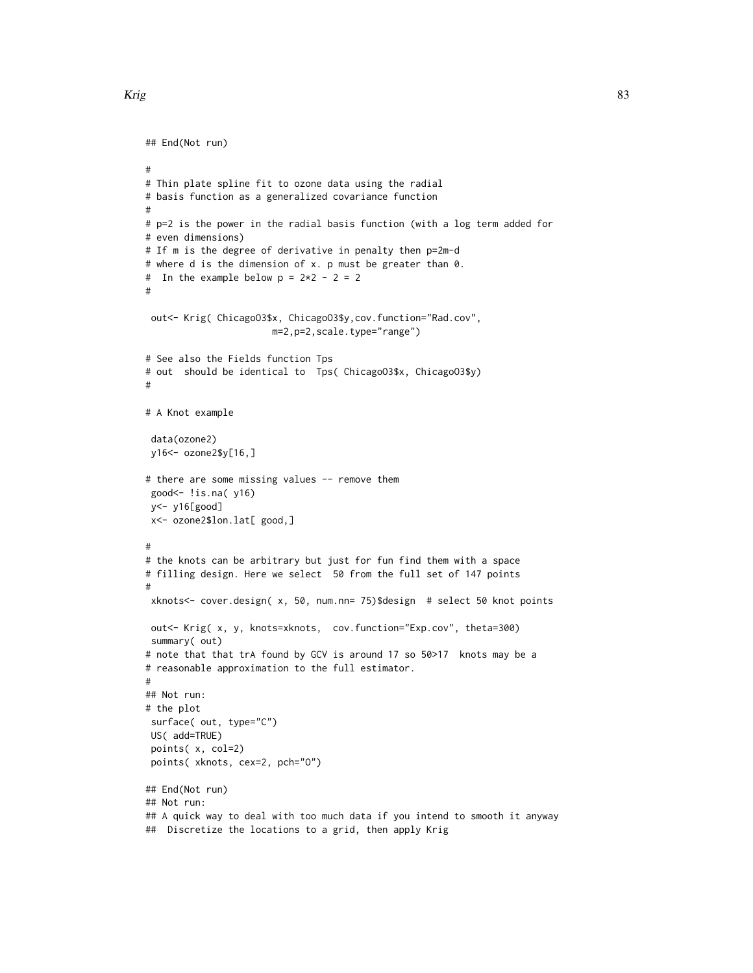## End(Not run)

```
#
# Thin plate spline fit to ozone data using the radial
# basis function as a generalized covariance function
#
# p=2 is the power in the radial basis function (with a log term added for
# even dimensions)
# If m is the degree of derivative in penalty then p=2m-d
# where d is the dimension of x. p must be greater than 0.
# In the example below p = 2 \times 2 - 2 = 2#
 out<- Krig( ChicagoO3$x, ChicagoO3$y,cov.function="Rad.cov",
                       m=2,p=2,scale.type="range")
# See also the Fields function Tps
# out should be identical to Tps( ChicagoO3$x, ChicagoO3$y)
#
# A Knot example
 data(ozone2)
 y16<- ozone2$y[16,]
# there are some missing values -- remove them
 good<- !is.na( y16)
 y<- y16[good]
x<- ozone2$lon.lat[ good,]
#
# the knots can be arbitrary but just for fun find them with a space
# filling design. Here we select 50 from the full set of 147 points
#
xknots<- cover.design( x, 50, num.nn= 75)$design # select 50 knot points
 out<- Krig( x, y, knots=xknots, cov.function="Exp.cov", theta=300)
 summary( out)
# note that that trA found by GCV is around 17 so 50>17 knots may be a
# reasonable approximation to the full estimator.
#
## Not run:
# the plot
surface( out, type="C")
US( add=TRUE)
 points( x, col=2)
 points( xknots, cex=2, pch="O")
## End(Not run)
## Not run:
## A quick way to deal with too much data if you intend to smooth it anyway
```
## Discretize the locations to a grid, then apply Krig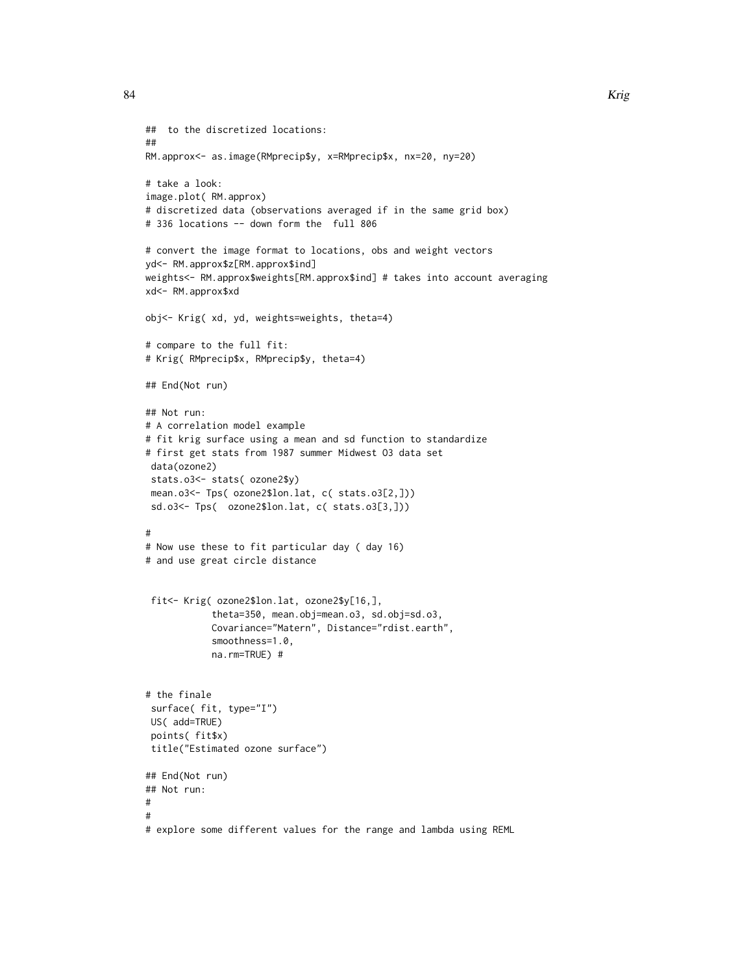```
## to the discretized locations:
##
RM.approx<- as.image(RMprecip$y, x=RMprecip$x, nx=20, ny=20)
# take a look:
image.plot( RM.approx)
# discretized data (observations averaged if in the same grid box)
# 336 locations -- down form the full 806
# convert the image format to locations, obs and weight vectors
yd<- RM.approx$z[RM.approx$ind]
weights<- RM.approx$weights[RM.approx$ind] # takes into account averaging
xd<- RM.approx$xd
obj<- Krig( xd, yd, weights=weights, theta=4)
# compare to the full fit:
# Krig( RMprecip$x, RMprecip$y, theta=4)
## End(Not run)
## Not run:
# A correlation model example
# fit krig surface using a mean and sd function to standardize
# first get stats from 1987 summer Midwest O3 data set
 data(ozone2)
 stats.o3<- stats( ozone2$y)
 mean.o3<- Tps( ozone2$lon.lat, c( stats.o3[2,]))
 sd.o3<- Tps( ozone2$lon.lat, c( stats.o3[3,]))
#
# Now use these to fit particular day ( day 16)
# and use great circle distance
 fit<- Krig( ozone2$lon.lat, ozone2$y[16,],
            theta=350, mean.obj=mean.o3, sd.obj=sd.o3,
            Covariance="Matern", Distance="rdist.earth",
            smoothness=1.0,
            na.rm=TRUE) #
# the finale
 surface( fit, type="I")
 US( add=TRUE)
 points( fit$x)
 title("Estimated ozone surface")
## End(Not run)
## Not run:
#
#
# explore some different values for the range and lambda using REML
```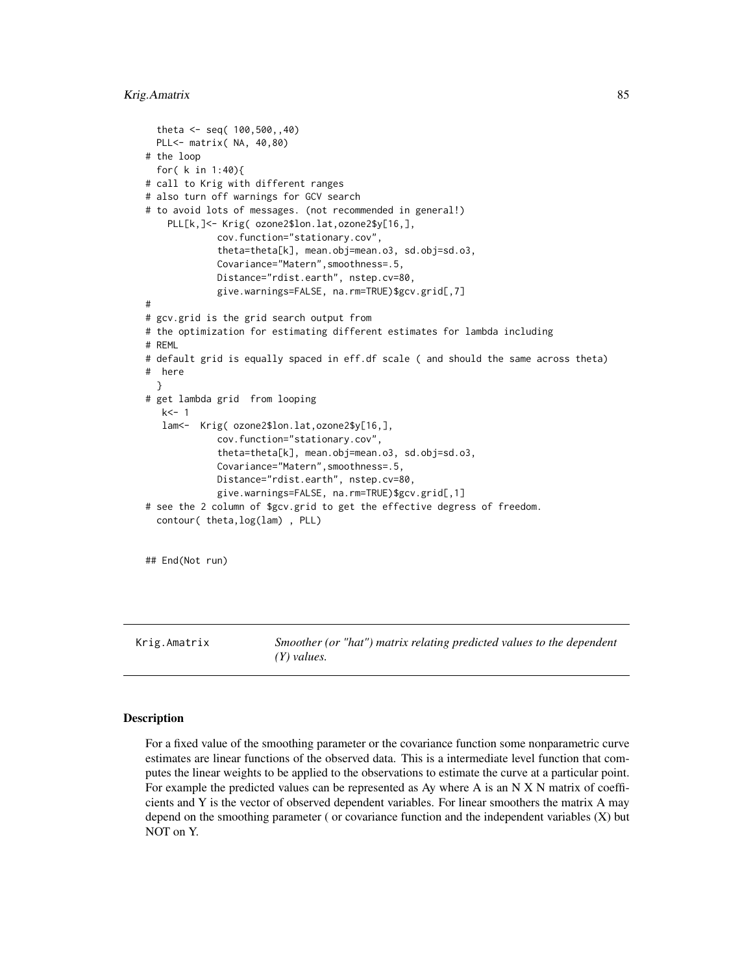```
theta <- seq( 100,500,,40)
 PLL<- matrix( NA, 40,80)
# the loop
 for( k in 1:40){
# call to Krig with different ranges
# also turn off warnings for GCV search
# to avoid lots of messages. (not recommended in general!)
    PLL[k,]<- Krig( ozone2$lon.lat,ozone2$y[16,],
             cov.function="stationary.cov",
             theta=theta[k], mean.obj=mean.o3, sd.obj=sd.o3,
             Covariance="Matern",smoothness=.5,
             Distance="rdist.earth", nstep.cv=80,
             give.warnings=FALSE, na.rm=TRUE)$gcv.grid[,7]
#
# gcv.grid is the grid search output from
# the optimization for estimating different estimates for lambda including
# REML
# default grid is equally spaced in eff.df scale ( and should the same across theta)
# here
 }
# get lambda grid from looping
  k<-1lam<- Krig( ozone2$lon.lat,ozone2$y[16,],
             cov.function="stationary.cov",
             theta=theta[k], mean.obj=mean.o3, sd.obj=sd.o3,
             Covariance="Matern",smoothness=.5,
             Distance="rdist.earth", nstep.cv=80,
             give.warnings=FALSE, na.rm=TRUE)$gcv.grid[,1]
# see the 2 column of $gcv.grid to get the effective degress of freedom.
 contour( theta,log(lam) , PLL)
## End(Not run)
```
Krig.Amatrix *Smoother (or "hat") matrix relating predicted values to the dependent (Y) values.*

### Description

For a fixed value of the smoothing parameter or the covariance function some nonparametric curve estimates are linear functions of the observed data. This is a intermediate level function that computes the linear weights to be applied to the observations to estimate the curve at a particular point. For example the predicted values can be represented as Ay where A is an N X N matrix of coefficients and Y is the vector of observed dependent variables. For linear smoothers the matrix A may depend on the smoothing parameter ( or covariance function and the independent variables (X) but NOT on Y.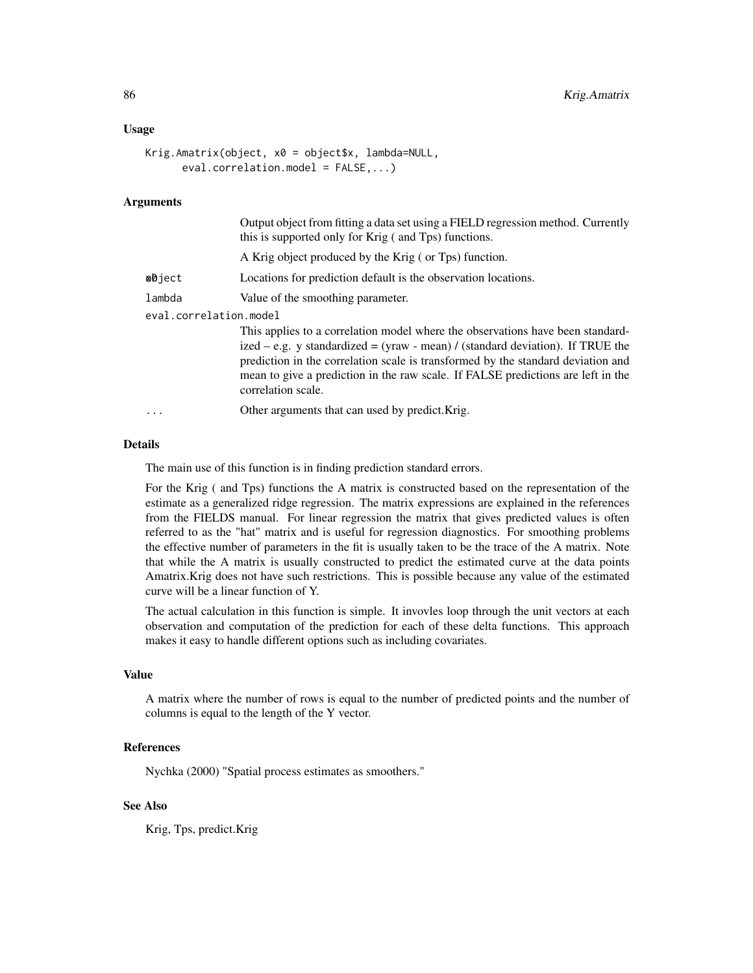### Usage

```
Krig.Amatrix(object, x0 = object$x, lambda=NULL,
     eval.correlation.model = FALSE,...)
```
# Arguments

|                        | Output object from fitting a data set using a FIELD regression method. Currently<br>this is supported only for Krig (and Tps) functions.                                                                                                                                                                                                                       |  |
|------------------------|----------------------------------------------------------------------------------------------------------------------------------------------------------------------------------------------------------------------------------------------------------------------------------------------------------------------------------------------------------------|--|
|                        | A Krig object produced by the Krig (or Tps) function.                                                                                                                                                                                                                                                                                                          |  |
| ⊠∂ject                 | Locations for prediction default is the observation locations.                                                                                                                                                                                                                                                                                                 |  |
| lambda                 | Value of the smoothing parameter.                                                                                                                                                                                                                                                                                                                              |  |
| eval.correlation.model |                                                                                                                                                                                                                                                                                                                                                                |  |
|                        | This applies to a correlation model where the observations have been standard-<br>ized – e.g. y standardized = (yraw - mean) / (standard deviation). If TRUE the<br>prediction in the correlation scale is transformed by the standard deviation and<br>mean to give a prediction in the raw scale. If FALSE predictions are left in the<br>correlation scale. |  |
| $\ddots$               | Other arguments that can used by predict. Krig.                                                                                                                                                                                                                                                                                                                |  |
|                        |                                                                                                                                                                                                                                                                                                                                                                |  |

### Details

The main use of this function is in finding prediction standard errors.

For the Krig ( and Tps) functions the A matrix is constructed based on the representation of the estimate as a generalized ridge regression. The matrix expressions are explained in the references from the FIELDS manual. For linear regression the matrix that gives predicted values is often referred to as the "hat" matrix and is useful for regression diagnostics. For smoothing problems the effective number of parameters in the fit is usually taken to be the trace of the A matrix. Note that while the A matrix is usually constructed to predict the estimated curve at the data points Amatrix.Krig does not have such restrictions. This is possible because any value of the estimated curve will be a linear function of Y.

The actual calculation in this function is simple. It invovles loop through the unit vectors at each observation and computation of the prediction for each of these delta functions. This approach makes it easy to handle different options such as including covariates.

## Value

A matrix where the number of rows is equal to the number of predicted points and the number of columns is equal to the length of the Y vector.

### References

Nychka (2000) "Spatial process estimates as smoothers."

# See Also

Krig, Tps, predict.Krig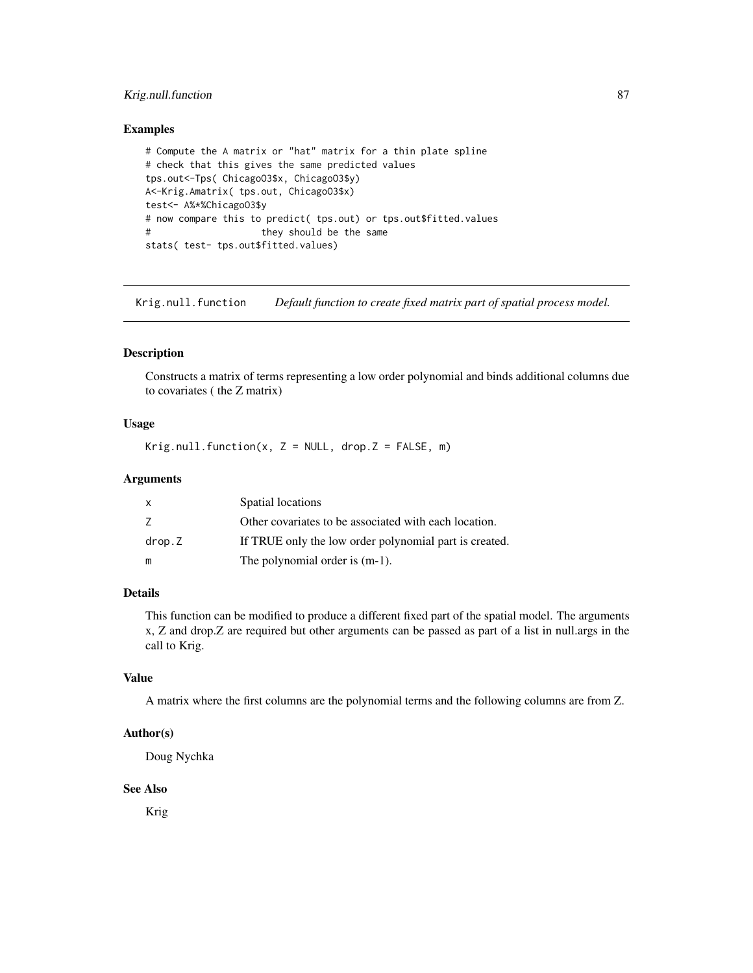# Krig.null.function 87

### Examples

```
# Compute the A matrix or "hat" matrix for a thin plate spline
# check that this gives the same predicted values
tps.out<-Tps( ChicagoO3$x, ChicagoO3$y)
A<-Krig.Amatrix( tps.out, ChicagoO3$x)
test<- A%*%ChicagoO3$y
# now compare this to predict( tps.out) or tps.out$fitted.values
# they should be the same
stats( test- tps.out$fitted.values)
```
Krig.null.function *Default function to create fixed matrix part of spatial process model.*

#### Description

Constructs a matrix of terms representing a low order polynomial and binds additional columns due to covariates ( the Z matrix)

### Usage

Krig.null.function(x,  $Z = NULL$ , drop. $Z = FALSE$ , m)

# Arguments

| x      | Spatial locations                                      |
|--------|--------------------------------------------------------|
| Ζ      | Other covariates to be associated with each location.  |
| drop.Z | If TRUE only the low order polynomial part is created. |
| m      | The polynomial order is $(m-1)$ .                      |

# Details

This function can be modified to produce a different fixed part of the spatial model. The arguments x, Z and drop.Z are required but other arguments can be passed as part of a list in null.args in the call to Krig.

### Value

A matrix where the first columns are the polynomial terms and the following columns are from Z.

### Author(s)

Doug Nychka

# See Also

Krig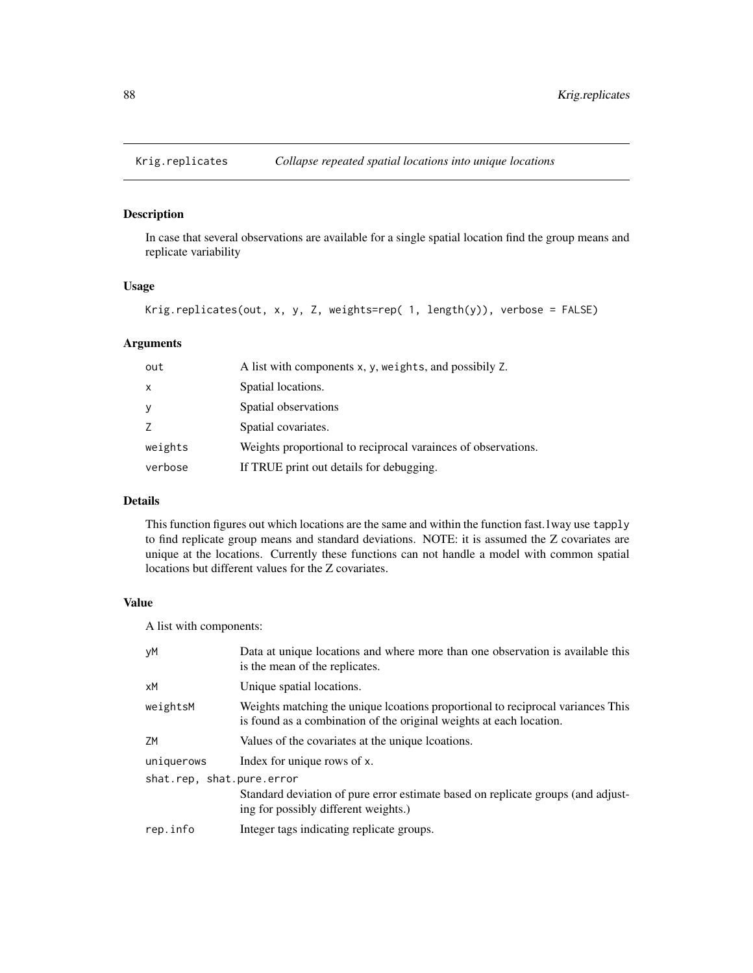### Description

In case that several observations are available for a single spatial location find the group means and replicate variability

# Usage

```
Krig.replicates(out, x, y, Z, weights=rep( 1, length(y)), verbose = FALSE)
```
# Arguments

| out          | A list with components x, y, weights, and possibily Z.        |
|--------------|---------------------------------------------------------------|
| $\mathsf{x}$ | Spatial locations.                                            |
| У            | Spatial observations                                          |
| Z            | Spatial covariates.                                           |
| weights      | Weights proportional to reciprocal varainces of observations. |
| verbose      | If TRUE print out details for debugging.                      |

# Details

This function figures out which locations are the same and within the function fast.1way use tapply to find replicate group means and standard deviations. NOTE: it is assumed the Z covariates are unique at the locations. Currently these functions can not handle a model with common spatial locations but different values for the Z covariates.

# Value

A list with components:

| уM                        | Data at unique locations and where more than one observation is available this<br>is the mean of the replicates.                                       |  |
|---------------------------|--------------------------------------------------------------------------------------------------------------------------------------------------------|--|
| хM                        | Unique spatial locations.                                                                                                                              |  |
| weightsM                  | Weights matching the unique lcoations proportional to reciprocal variances This<br>is found as a combination of the original weights at each location. |  |
| ZM                        | Values of the covariates at the unique locations.                                                                                                      |  |
| uniquerows                | Index for unique rows of x.                                                                                                                            |  |
| shat.rep, shat.pure.error |                                                                                                                                                        |  |
|                           | Standard deviation of pure error estimate based on replicate groups (and adjust-<br>ing for possibly different weights.)                               |  |
| rep.info                  | Integer tags indicating replicate groups.                                                                                                              |  |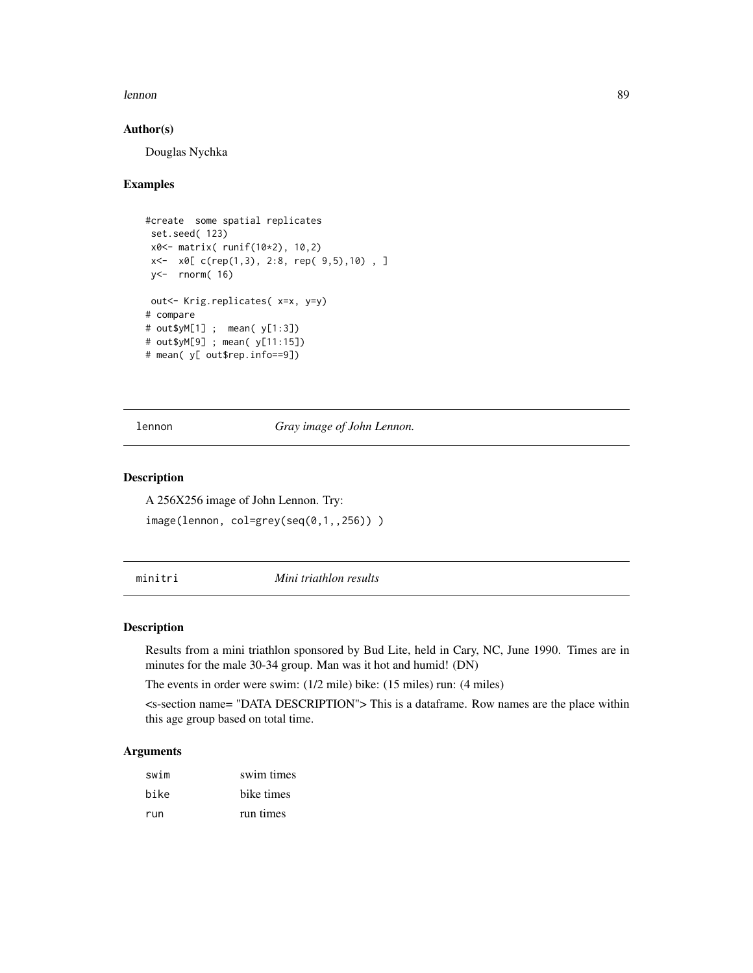#### lennon and the set of the set of the set of the set of the set of the set of the set of the set of the set of the set of the set of the set of the set of the set of the set of the set of the set of the set of the set of th

### Author(s)

Douglas Nychka

### Examples

```
#create some spatial replicates
set.seed( 123)
x0<- matrix( runif(10*2), 10,2)
x<- x0[ c(rep(1,3), 2:8, rep( 9,5),10) , ]
y<- rnorm( 16)
out<- Krig.replicates( x=x, y=y)
# compare
# out$yM[1] ; mean( y[1:3])
# out$yM[9] ; mean( y[11:15])
# mean( y[ out$rep.info==9])
```
lennon *Gray image of John Lennon.*

#### Description

A 256X256 image of John Lennon. Try: image(lennon, col=grey(seq(0,1,,256)) )

minitri *Mini triathlon results*

# Description

Results from a mini triathlon sponsored by Bud Lite, held in Cary, NC, June 1990. Times are in minutes for the male 30-34 group. Man was it hot and humid! (DN)

The events in order were swim: (1/2 mile) bike: (15 miles) run: (4 miles)

<s-section name= "DATA DESCRIPTION"> This is a dataframe. Row names are the place within this age group based on total time.

### Arguments

| swim | swim times |
|------|------------|
| bike | bike times |
| run  | run times  |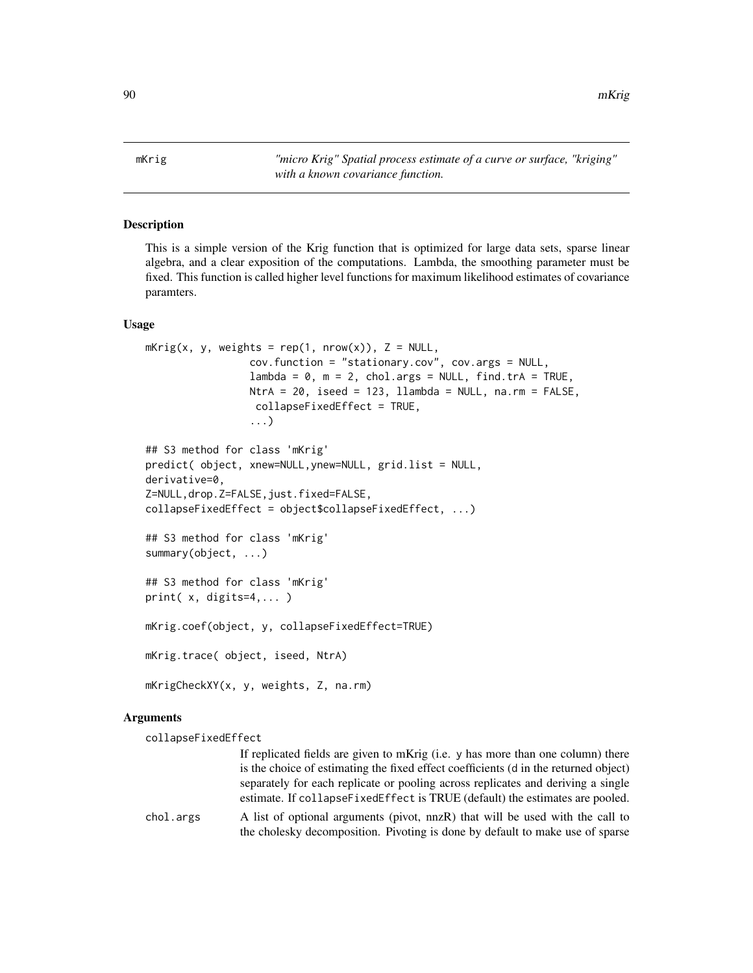90 mKrig

<span id="page-89-0"></span>mKrig *"micro Krig" Spatial process estimate of a curve or surface, "kriging" with a known covariance function.*

### **Description**

This is a simple version of the Krig function that is optimized for large data sets, sparse linear algebra, and a clear exposition of the computations. Lambda, the smoothing parameter must be fixed. This function is called higher level functions for maximum likelihood estimates of covariance paramters.

### Usage

```
mKrig(x, y, weights = rep(1, nrow(x)), Z = NULL,cov.function = "stationary.cov", cov.args = NULL,
                 lambda = 0, m = 2, chol.args = NULL, find.trA = TRUE,
                 NtrA = 20, iseed = 123, llambda = NULL, na.rm = FALSE,
                  collapseFixedEffect = TRUE,
                 ...)
## S3 method for class 'mKrig'
predict( object, xnew=NULL,ynew=NULL, grid.list = NULL,
derivative=0,
Z=NULL,drop.Z=FALSE,just.fixed=FALSE,
collapseFixedEffect = object$collapseFixedEffect, ...)
## S3 method for class 'mKrig'
summary(object, ...)
## S3 method for class 'mKrig'
print( x, digits=4,... )
mKrig.coef(object, y, collapseFixedEffect=TRUE)
mKrig.trace( object, iseed, NtrA)
mKrigCheckXY(x, y, weights, Z, na.rm)
```
# **Arguments**

collapseFixedEffect

If replicated fields are given to mKrig (i.e. y has more than one column) there is the choice of estimating the fixed effect coefficients (d in the returned object) separately for each replicate or pooling across replicates and deriving a single estimate. If collapseFixedEffect is TRUE (default) the estimates are pooled. chol.args A list of optional arguments (pivot, nnzR) that will be used with the call to the cholesky decomposition. Pivoting is done by default to make use of sparse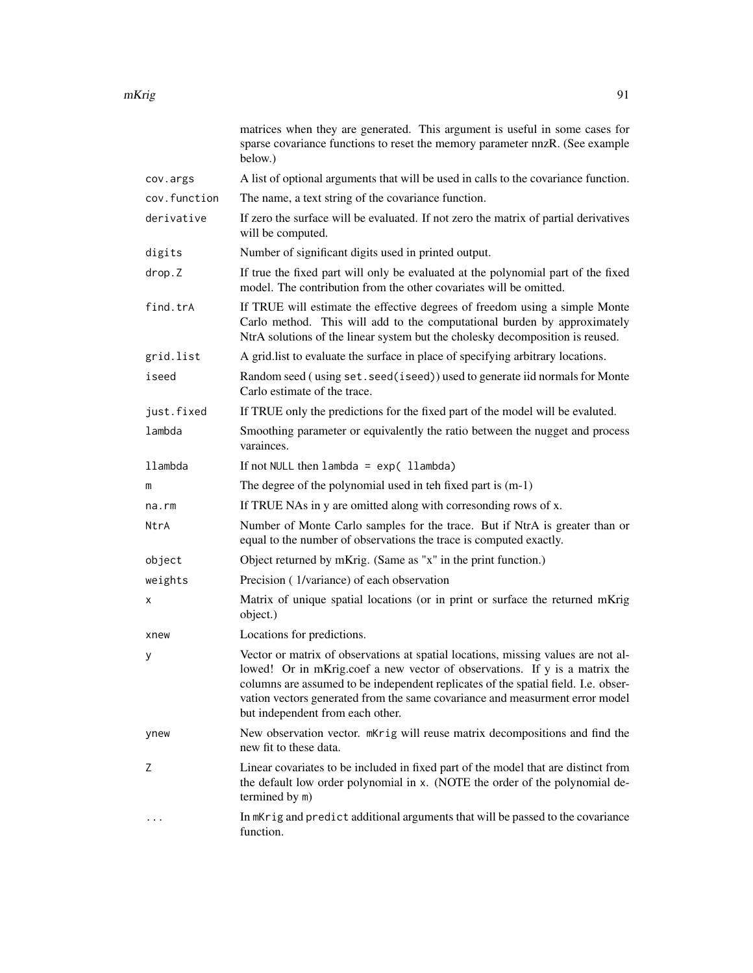|              | matrices when they are generated. This argument is useful in some cases for<br>sparse covariance functions to reset the memory parameter nnzR. (See example<br>below.)                                                                                                                                                                                                    |
|--------------|---------------------------------------------------------------------------------------------------------------------------------------------------------------------------------------------------------------------------------------------------------------------------------------------------------------------------------------------------------------------------|
| cov.args     | A list of optional arguments that will be used in calls to the covariance function.                                                                                                                                                                                                                                                                                       |
| cov.function | The name, a text string of the covariance function.                                                                                                                                                                                                                                                                                                                       |
| derivative   | If zero the surface will be evaluated. If not zero the matrix of partial derivatives<br>will be computed.                                                                                                                                                                                                                                                                 |
| digits       | Number of significant digits used in printed output.                                                                                                                                                                                                                                                                                                                      |
| drop.Z       | If true the fixed part will only be evaluated at the polynomial part of the fixed<br>model. The contribution from the other covariates will be omitted.                                                                                                                                                                                                                   |
| find.trA     | If TRUE will estimate the effective degrees of freedom using a simple Monte<br>Carlo method. This will add to the computational burden by approximately<br>NtrA solutions of the linear system but the cholesky decomposition is reused.                                                                                                                                  |
| grid.list    | A grid.list to evaluate the surface in place of specifying arbitrary locations.                                                                                                                                                                                                                                                                                           |
| iseed        | Random seed (using set. seed(iseed)) used to generate iid normals for Monte<br>Carlo estimate of the trace.                                                                                                                                                                                                                                                               |
| just.fixed   | If TRUE only the predictions for the fixed part of the model will be evaluted.                                                                                                                                                                                                                                                                                            |
| lambda       | Smoothing parameter or equivalently the ratio between the nugget and process<br>varainces.                                                                                                                                                                                                                                                                                |
| llambda      | If not NULL then $lambda = exp($ llambda)                                                                                                                                                                                                                                                                                                                                 |
| m            | The degree of the polynomial used in teh fixed part is $(m-1)$                                                                                                                                                                                                                                                                                                            |
| $na$ . $rm$  | If TRUE NAs in y are omitted along with corresonding rows of x.                                                                                                                                                                                                                                                                                                           |
| NtrA         | Number of Monte Carlo samples for the trace. But if NtrA is greater than or<br>equal to the number of observations the trace is computed exactly.                                                                                                                                                                                                                         |
| object       | Object returned by mKrig. (Same as "x" in the print function.)                                                                                                                                                                                                                                                                                                            |
| weights      | Precision (1/variance) of each observation                                                                                                                                                                                                                                                                                                                                |
| х            | Matrix of unique spatial locations (or in print or surface the returned mKrig<br>object.)                                                                                                                                                                                                                                                                                 |
| xnew         | Locations for predictions.                                                                                                                                                                                                                                                                                                                                                |
| У            | Vector or matrix of observations at spatial locations, missing values are not al-<br>lowed! Or in mKrig.coef a new vector of observations. If y is a matrix the<br>columns are assumed to be independent replicates of the spatial field. I.e. obser-<br>vation vectors generated from the same covariance and measurment error model<br>but independent from each other. |
| ynew         | New observation vector. mKrig will reuse matrix decompositions and find the<br>new fit to these data.                                                                                                                                                                                                                                                                     |
| Ζ            | Linear covariates to be included in fixed part of the model that are distinct from<br>the default low order polynomial in x. (NOTE the order of the polynomial de-<br>termined by m)                                                                                                                                                                                      |
|              | In mKrig and predict additional arguments that will be passed to the covariance<br>function.                                                                                                                                                                                                                                                                              |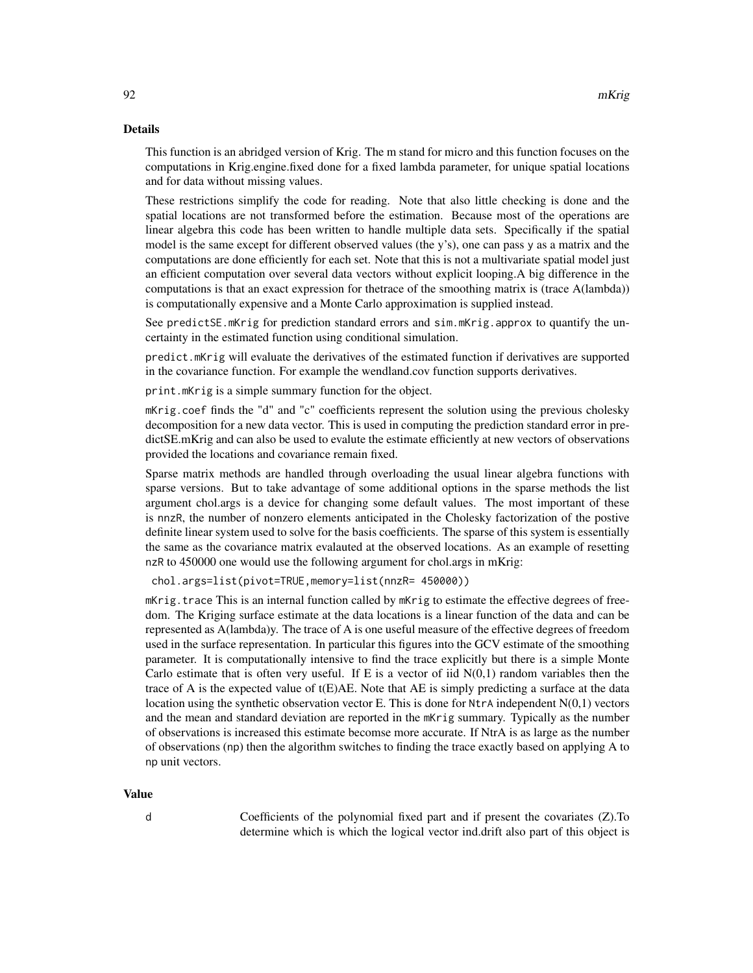#### Details

This function is an abridged version of Krig. The m stand for micro and this function focuses on the computations in Krig.engine.fixed done for a fixed lambda parameter, for unique spatial locations and for data without missing values.

These restrictions simplify the code for reading. Note that also little checking is done and the spatial locations are not transformed before the estimation. Because most of the operations are linear algebra this code has been written to handle multiple data sets. Specifically if the spatial model is the same except for different observed values (the y's), one can pass y as a matrix and the computations are done efficiently for each set. Note that this is not a multivariate spatial model just an efficient computation over several data vectors without explicit looping.A big difference in the computations is that an exact expression for thetrace of the smoothing matrix is (trace A(lambda)) is computationally expensive and a Monte Carlo approximation is supplied instead.

See predictSE.mKrig for prediction standard errors and sim.mKrig.approx to quantify the uncertainty in the estimated function using conditional simulation.

predict.mKrig will evaluate the derivatives of the estimated function if derivatives are supported in the covariance function. For example the wendland.cov function supports derivatives.

print.mKrig is a simple summary function for the object.

mKrig.coef finds the "d" and "c" coefficients represent the solution using the previous cholesky decomposition for a new data vector. This is used in computing the prediction standard error in predictSE.mKrig and can also be used to evalute the estimate efficiently at new vectors of observations provided the locations and covariance remain fixed.

Sparse matrix methods are handled through overloading the usual linear algebra functions with sparse versions. But to take advantage of some additional options in the sparse methods the list argument chol.args is a device for changing some default values. The most important of these is nnzR, the number of nonzero elements anticipated in the Cholesky factorization of the postive definite linear system used to solve for the basis coefficients. The sparse of this system is essentially the same as the covariance matrix evalauted at the observed locations. As an example of resetting nzR to 450000 one would use the following argument for chol.args in mKrig:

chol.args=list(pivot=TRUE,memory=list(nnzR= 450000))

mKrig.trace This is an internal function called by mKrig to estimate the effective degrees of freedom. The Kriging surface estimate at the data locations is a linear function of the data and can be represented as A(lambda)y. The trace of A is one useful measure of the effective degrees of freedom used in the surface representation. In particular this figures into the GCV estimate of the smoothing parameter. It is computationally intensive to find the trace explicitly but there is a simple Monte Carlo estimate that is often very useful. If E is a vector of iid  $N(0,1)$  random variables then the trace of A is the expected value of t(E)AE. Note that AE is simply predicting a surface at the data location using the synthetic observation vector E. This is done for  $NtrA$  independent  $N(0,1)$  vectors and the mean and standard deviation are reported in the mKrig summary. Typically as the number of observations is increased this estimate becomse more accurate. If NtrA is as large as the number of observations (np) then the algorithm switches to finding the trace exactly based on applying A to np unit vectors.

#### Value

d Coefficients of the polynomial fixed part and if present the covariates (Z).To determine which is which the logical vector ind.drift also part of this object is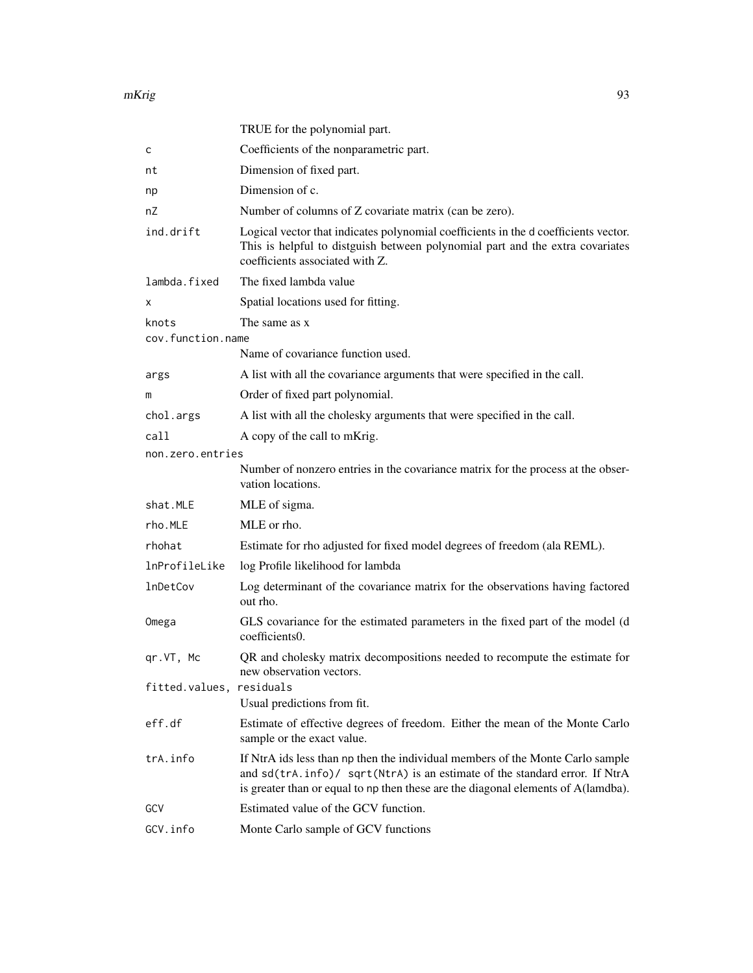|                          | TRUE for the polynomial part.                                                                                                                                                                                                                     |
|--------------------------|---------------------------------------------------------------------------------------------------------------------------------------------------------------------------------------------------------------------------------------------------|
| с                        | Coefficients of the nonparametric part.                                                                                                                                                                                                           |
| nt                       | Dimension of fixed part.                                                                                                                                                                                                                          |
| np                       | Dimension of c.                                                                                                                                                                                                                                   |
| nZ                       | Number of columns of Z covariate matrix (can be zero).                                                                                                                                                                                            |
| ind.drift                | Logical vector that indicates polynomial coefficients in the d coefficients vector.<br>This is helpful to distguish between polynomial part and the extra covariates<br>coefficients associated with Z.                                           |
| lambda.fixed             | The fixed lambda value                                                                                                                                                                                                                            |
| х                        | Spatial locations used for fitting.                                                                                                                                                                                                               |
| knots                    | The same as x                                                                                                                                                                                                                                     |
| cov.function.name        |                                                                                                                                                                                                                                                   |
|                          | Name of covariance function used.                                                                                                                                                                                                                 |
| args                     | A list with all the covariance arguments that were specified in the call.                                                                                                                                                                         |
| m                        | Order of fixed part polynomial.                                                                                                                                                                                                                   |
| chol.args                | A list with all the cholesky arguments that were specified in the call.                                                                                                                                                                           |
| call                     | A copy of the call to mKrig.                                                                                                                                                                                                                      |
| non.zero.entries         |                                                                                                                                                                                                                                                   |
|                          | Number of nonzero entries in the covariance matrix for the process at the obser-<br>vation locations.                                                                                                                                             |
| shat.MLE                 | MLE of sigma.                                                                                                                                                                                                                                     |
| rho.MLE                  | MLE or rho.                                                                                                                                                                                                                                       |
| rhohat                   | Estimate for rho adjusted for fixed model degrees of freedom (ala REML).                                                                                                                                                                          |
| lnProfileLike            | log Profile likelihood for lambda                                                                                                                                                                                                                 |
| lnDetCov                 | Log determinant of the covariance matrix for the observations having factored<br>$out$ rho.                                                                                                                                                       |
| Omega                    | GLS covariance for the estimated parameters in the fixed part of the model (d<br>coefficients0.                                                                                                                                                   |
| qr.VT, Mc                | QR and cholesky matrix decompositions needed to recompute the estimate for<br>new observation vectors.                                                                                                                                            |
| fitted.values, residuals | Usual predictions from fit.                                                                                                                                                                                                                       |
| eff.df                   | Estimate of effective degrees of freedom. Either the mean of the Monte Carlo<br>sample or the exact value.                                                                                                                                        |
| trA.info                 | If NtrA ids less than np then the individual members of the Monte Carlo sample<br>and sd(trA.info)/ sqrt(NtrA) is an estimate of the standard error. If NtrA<br>is greater than or equal to np then these are the diagonal elements of A(lamdba). |
| GCV                      | Estimated value of the GCV function.                                                                                                                                                                                                              |
| GCV.info                 | Monte Carlo sample of GCV functions                                                                                                                                                                                                               |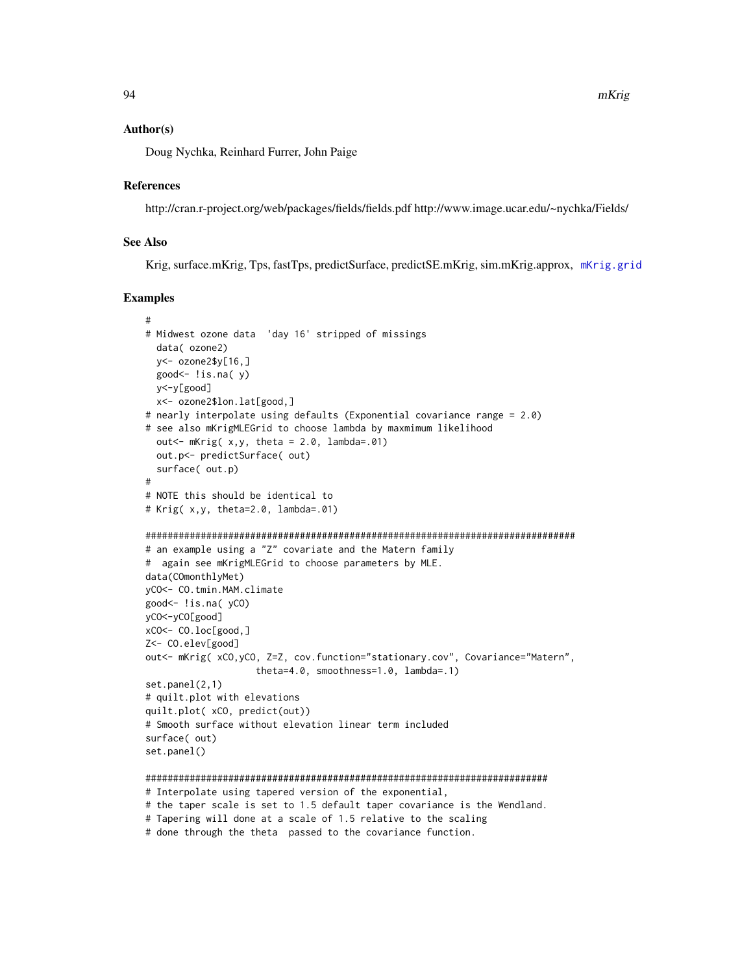### Author(s)

Doug Nychka, Reinhard Furrer, John Paige

#### References

http://cran.r-project.org/web/packages/fields/fields.pdf http://www.image.ucar.edu/~nychka/Fields/

# See Also

Krig, surface.mKrig, Tps, fastTps, predictSurface, predictSE.mKrig, sim.mKrig.approx, [mKrig.grid](#page-46-0)

### Examples

```
#
# Midwest ozone data 'day 16' stripped of missings
 data( ozone2)
 y<- ozone2$y[16,]
 good<- !is.na( y)
 y<-y[good]
 x<- ozone2$lon.lat[good,]
# nearly interpolate using defaults (Exponential covariance range = 2.0)
# see also mKrigMLEGrid to choose lambda by maxmimum likelihood
 out \leq mKrig( x, y, theta = 2.0, lambda=.01)
 out.p<- predictSurface( out)
 surface( out.p)
#
# NOTE this should be identical to
# Krig( x,y, theta=2.0, lambda=.01)
##############################################################################
# an example using a "Z" covariate and the Matern family
# again see mKrigMLEGrid to choose parameters by MLE.
data(COmonthlyMet)
yCO<- CO.tmin.MAM.climate
good<- !is.na( yCO)
yCO<-yCO[good]
xCO<- CO.loc[good,]
Z<- CO.elev[good]
out<- mKrig( xCO,yCO, Z=Z, cov.function="stationary.cov", Covariance="Matern",
                    theta=4.0, smoothness=1.0, lambda=.1)
set.panel(2,1)
# quilt.plot with elevations
quilt.plot( xCO, predict(out))
# Smooth surface without elevation linear term included
surface( out)
set.panel()
```
#########################################################################

# Interpolate using tapered version of the exponential,

- # the taper scale is set to 1.5 default taper covariance is the Wendland.
- # Tapering will done at a scale of 1.5 relative to the scaling
- # done through the theta passed to the covariance function.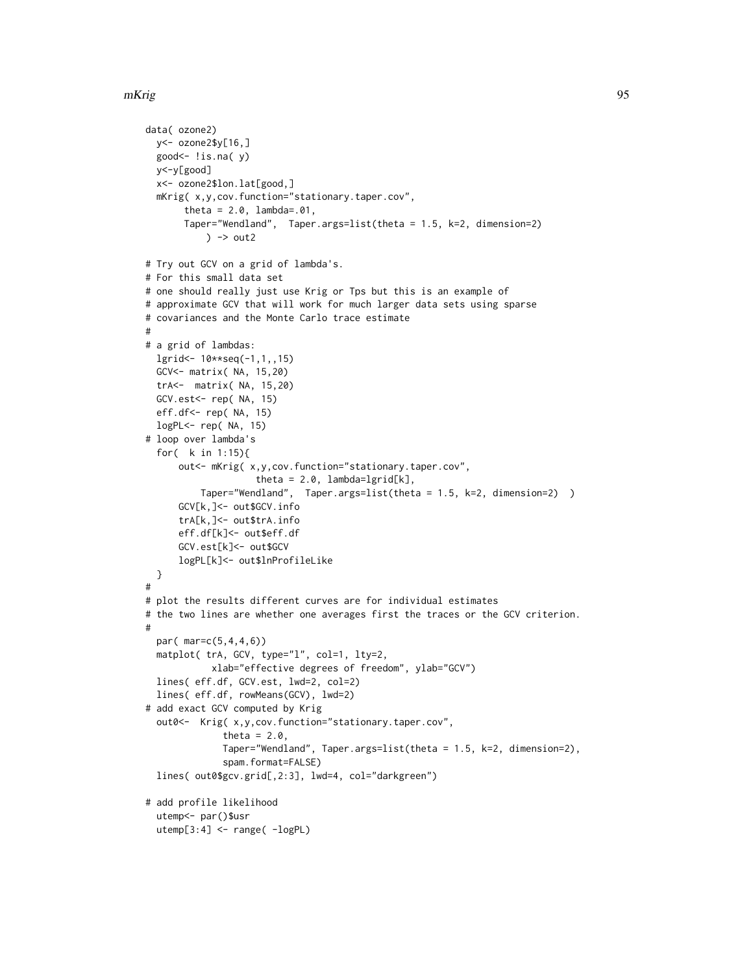```
data( ozone2)
 y<- ozone2$y[16,]
 good<- !is.na( y)
 y<-y[good]
 x<- ozone2$lon.lat[good,]
 mKrig( x,y,cov.function="stationary.taper.cov",
      theta = 2.0, lambda=.01,
      Taper="Wendland", Taper.args=list(theta = 1.5, k=2, dimension=2)
           ) -> out2
# Try out GCV on a grid of lambda's.
# For this small data set
# one should really just use Krig or Tps but this is an example of
# approximate GCV that will work for much larger data sets using sparse
# covariances and the Monte Carlo trace estimate
#
# a grid of lambdas:
 lgrid<- 10**seq(-1,1,,15)
 GCV<- matrix( NA, 15,20)
 trA<- matrix( NA, 15,20)
 GCV.est<- rep( NA, 15)
 eff.df<- rep( NA, 15)
 logPL<- rep( NA, 15)
# loop over lambda's
 for( k in 1:15){
     out<- mKrig( x,y,cov.function="stationary.taper.cov",
                    theta = 2.0, lambda=lgrid[k],
          Taper="Wendland", Taper.args=list(theta = 1.5, k=2, dimension=2) )
     GCV[k,]<- out$GCV.info
     trA[k,]<- out$trA.info
     eff.df[k]<- out$eff.df
     GCV.est[k]<- out$GCV
     logPL[k]<- out$lnProfileLike
 }
#
# plot the results different curves are for individual estimates
# the two lines are whether one averages first the traces or the GCV criterion.
#
 par( mar=c(5,4,4,6))
 matplot( trA, GCV, type="l", col=1, lty=2,
            xlab="effective degrees of freedom", ylab="GCV")
 lines( eff.df, GCV.est, lwd=2, col=2)
 lines( eff.df, rowMeans(GCV), lwd=2)
# add exact GCV computed by Krig
 out0<- Krig( x,y,cov.function="stationary.taper.cov",
              theta = 2.0,
              Taper="Wendland", Taper.args=list(theta = 1.5, k=2, dimension=2),
              spam.format=FALSE)
 lines( out0$gcv.grid[,2:3], lwd=4, col="darkgreen")
# add profile likelihood
 utemp<- par()$usr
 utemp[3:4] <- range( -logPL)
```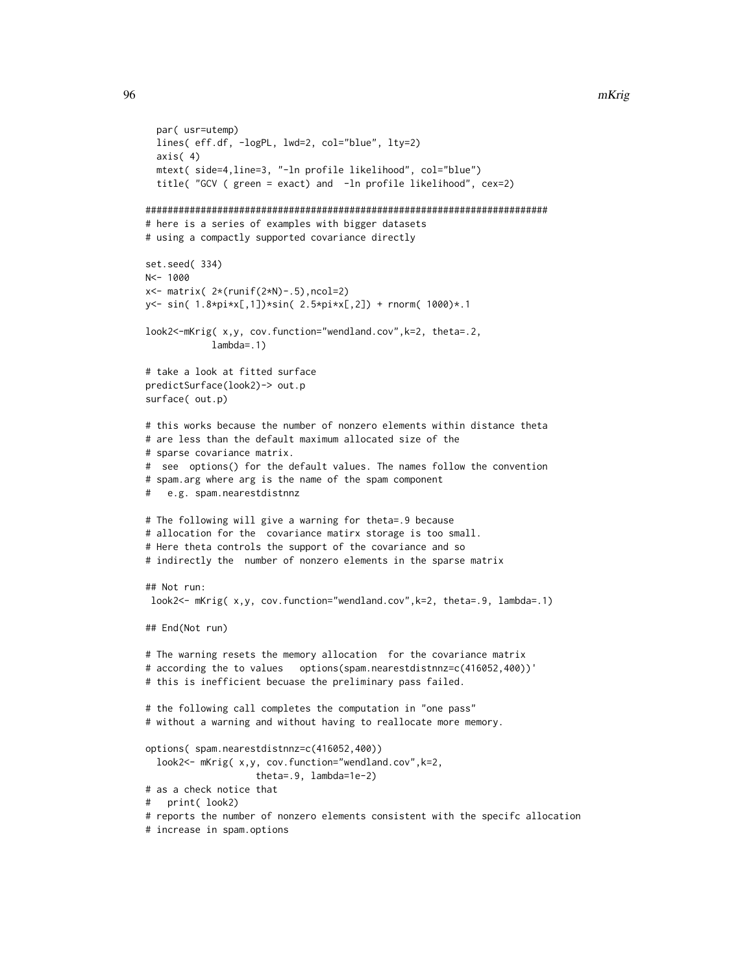```
par( usr=utemp)
  lines( eff.df, -logPL, lwd=2, col="blue", lty=2)
  axis( 4)
  mtext( side=4,line=3, "-ln profile likelihood", col="blue")
  title( "GCV ( green = exact) and -ln profile likelihood", cex=2)
#########################################################################
# here is a series of examples with bigger datasets
# using a compactly supported covariance directly
set.seed( 334)
N<- 1000
x<- matrix( 2*(runif(2*N)-.5),ncol=2)
y<- sin( 1.8*pi*x[,1])*sin( 2.5*pi*x[,2]) + rnorm( 1000)*.1
look2<-mKrig( x,y, cov.function="wendland.cov",k=2, theta=.2,
            lambda=.1)
# take a look at fitted surface
predictSurface(look2)-> out.p
surface( out.p)
# this works because the number of nonzero elements within distance theta
# are less than the default maximum allocated size of the
# sparse covariance matrix.
# see options() for the default values. The names follow the convention
# spam.arg where arg is the name of the spam component
# e.g. spam.nearestdistnnz
# The following will give a warning for theta=.9 because
# allocation for the covariance matirx storage is too small.
# Here theta controls the support of the covariance and so
# indirectly the number of nonzero elements in the sparse matrix
## Not run:
look2<- mKrig( x,y, cov.function="wendland.cov",k=2, theta=.9, lambda=.1)
## End(Not run)
# The warning resets the memory allocation for the covariance matrix
# according the to values options(spam.nearestdistnnz=c(416052,400))'
# this is inefficient becuase the preliminary pass failed.
# the following call completes the computation in "one pass"
# without a warning and without having to reallocate more memory.
options( spam.nearestdistnnz=c(416052,400))
  look2<- mKrig( x,y, cov.function="wendland.cov",k=2,
                    theta=.9, lambda=1e-2)
# as a check notice that
# print( look2)
# reports the number of nonzero elements consistent with the specifc allocation
# increase in spam.options
```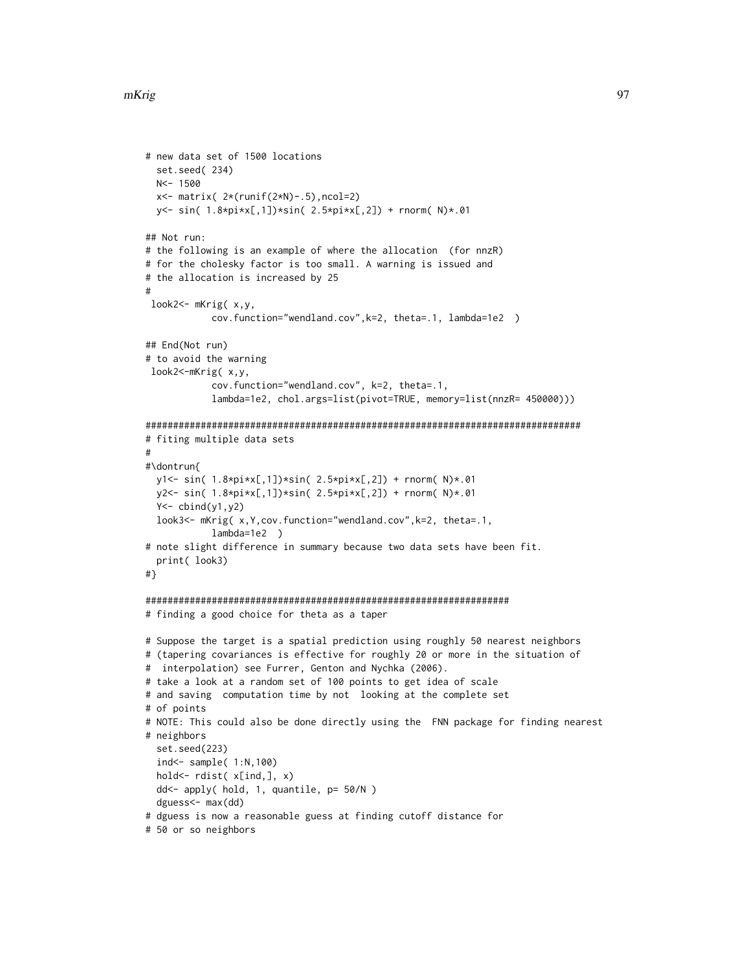```
# new data set of 1500 locations
 set.seed( 234)
 N<- 1500
 x<- matrix( 2*(runif(2*N)-.5),ncol=2)
 y<- sin( 1.8*pi*x[,1])*sin( 2.5*pi*x[,2]) + rnorm( N)*.01
## Not run:
# the following is an example of where the allocation (for nnzR)
# for the cholesky factor is too small. A warning is issued and
# the allocation is increased by 25
#
look2<- mKrig( x,y,
            cov.function="wendland.cov",k=2, theta=.1, lambda=1e2 )
## End(Not run)
# to avoid the warning
look2<-mKrig( x,y,
            cov.function="wendland.cov", k=2, theta=.1,
            lambda=1e2, chol.args=list(pivot=TRUE, memory=list(nnzR= 450000)))
###############################################################################
# fiting multiple data sets
#
#\dontrun{
 y1<- sin( 1.8*pi*x[,1])*sin( 2.5*pi*x[,2]) + rnorm( N)*.01
 y2<- sin( 1.8*pi*x[,1])*sin( 2.5*pi*x[,2]) + rnorm( N)*.01
 Y<- cbind(y1,y2)
 look3<- mKrig( x,Y,cov.function="wendland.cov",k=2, theta=.1,
            lambda=1e2 )
# note slight difference in summary because two data sets have been fit.
 print( look3)
#}
##################################################################
# finding a good choice for theta as a taper
# Suppose the target is a spatial prediction using roughly 50 nearest neighbors
# (tapering covariances is effective for roughly 20 or more in the situation of
# interpolation) see Furrer, Genton and Nychka (2006).
# take a look at a random set of 100 points to get idea of scale
# and saving computation time by not looking at the complete set
# of points
# NOTE: This could also be done directly using the FNN package for finding nearest
# neighbors
 set.seed(223)
 ind<- sample( 1:N,100)
 hold<- rdist( x[ind,], x)
 dd<- apply( hold, 1, quantile, p= 50/N )
 dguess<- max(dd)
# dguess is now a reasonable guess at finding cutoff distance for
# 50 or so neighbors
```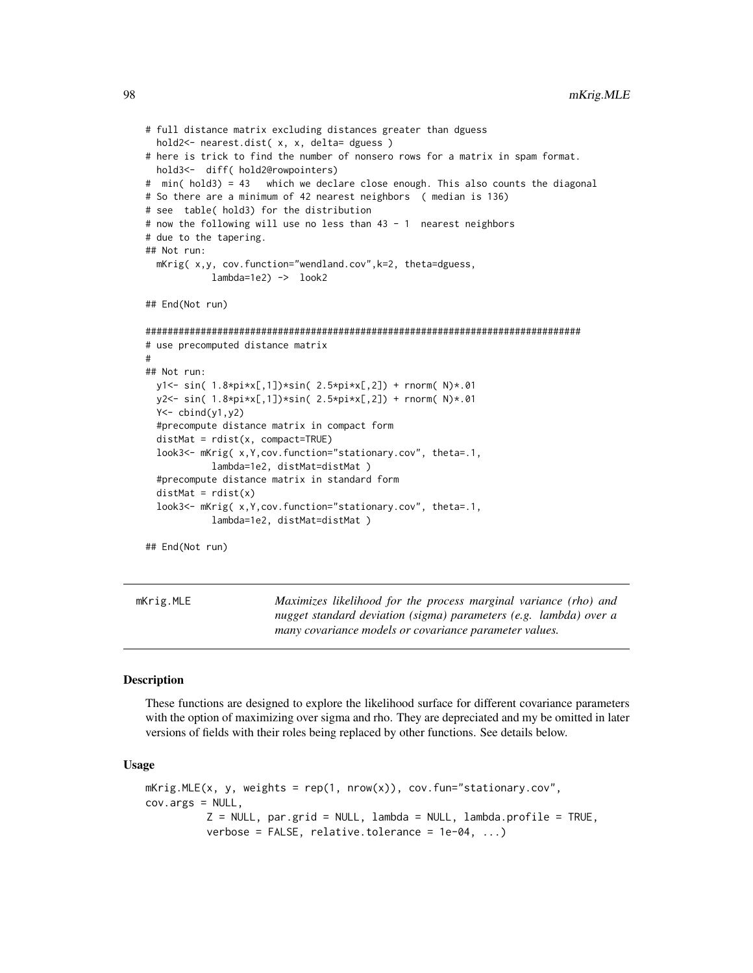```
# full distance matrix excluding distances greater than dguess
 hold2<- nearest.dist( x, x, delta= dguess )
# here is trick to find the number of nonsero rows for a matrix in spam format.
 hold3<- diff( hold2@rowpointers)
# min( hold3) = 43 which we declare close enough. This also counts the diagonal
# So there are a minimum of 42 nearest neighbors ( median is 136)
# see table( hold3) for the distribution
# now the following will use no less than 43 - 1 nearest neighbors
# due to the tapering.
## Not run:
 mKrig( x,y, cov.function="wendland.cov",k=2, theta=dguess,
           lambda=1e2) -> look2
## End(Not run)
###############################################################################
# use precomputed distance matrix
#
## Not run:
 y1<- sin( 1.8*pi*x[,1])*sin( 2.5*pi*x[,2]) + rnorm( N)*.01
 y2<- sin( 1.8*pi*x[,1])*sin( 2.5*pi*x[,2]) + rnorm( N)*.01
 Y<- cbind(y1,y2)
 #precompute distance matrix in compact form
 distMat = rdist(x, compact=TRUE)
 look3<- mKrig( x,Y,cov.function="stationary.cov", theta=.1,
           lambda=1e2, distMat=distMat )
  #precompute distance matrix in standard form
 distMat = rdist(x)look3<- mKrig( x,Y,cov.function="stationary.cov", theta=.1,
           lambda=1e2, distMat=distMat )
```
## End(Not run)

mKrig.MLE *Maximizes likelihood for the process marginal variance (rho) and nugget standard deviation (sigma) parameters (e.g. lambda) over a many covariance models or covariance parameter values.*

#### Description

These functions are designed to explore the likelihood surface for different covariance parameters with the option of maximizing over sigma and rho. They are depreciated and my be omitted in later versions of fields with their roles being replaced by other functions. See details below.

### Usage

```
mKrig.MLE(x, y, weights = rep(1, nrow(x)), cov.fun='stationary.cov",cov.args = NULL,
          Z = NULL, par.grid = NULL, lambda = NULL, lambda.profile = TRUE,
          verbose = FALSE, relative.tolerance = 1e-04, ...)
```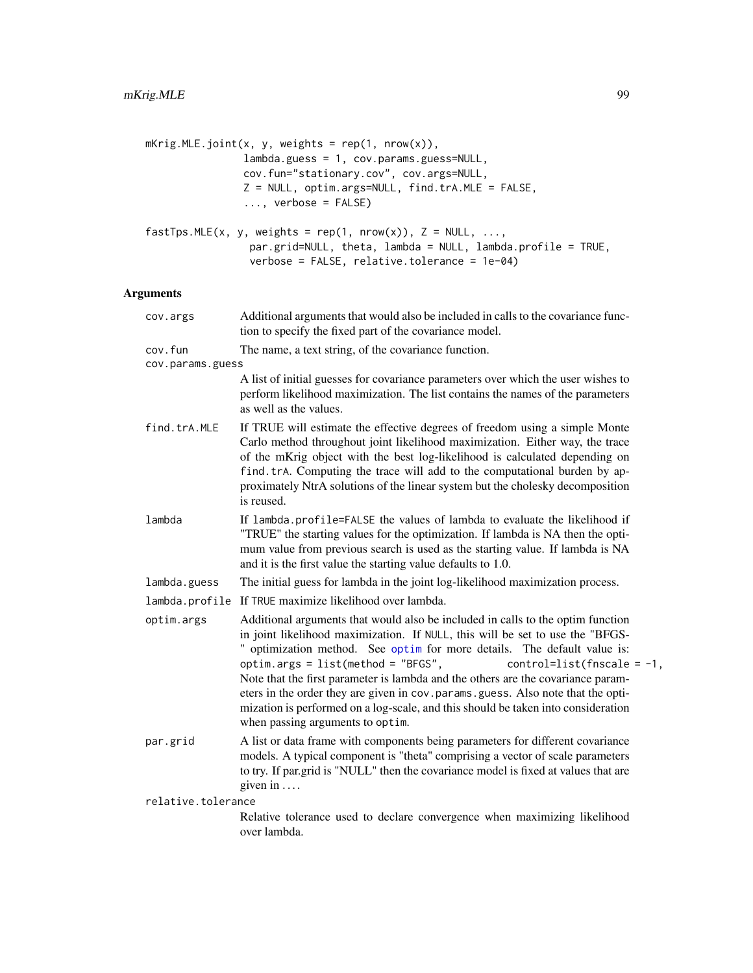```
mKrig.MLE.joint(x, y, weights = rep(1, nrow(x)),
                lambda.guess = 1, cov.params.guess=NULL,
                cov.fun="stationary.cov", cov.args=NULL,
                Z = NULL, optim.args=NULL, find.trA.MLE = FALSE,
                ..., verbose = FALSE)
fastTps.MLE(x, y, weights = rep(1, nrow(x)), Z = NULL, ...,
                 par.grid=NULL, theta, lambda = NULL, lambda.profile = TRUE,
                 verbose = FALSE, relative.tolerance = 1e-04)
```
# Arguments

| cov.args                    | Additional arguments that would also be included in calls to the covariance func-<br>tion to specify the fixed part of the covariance model.                                                                                                                                                                                                                                                                                                                                                                                                                                                                         |
|-----------------------------|----------------------------------------------------------------------------------------------------------------------------------------------------------------------------------------------------------------------------------------------------------------------------------------------------------------------------------------------------------------------------------------------------------------------------------------------------------------------------------------------------------------------------------------------------------------------------------------------------------------------|
| cov.fun<br>cov.params.guess | The name, a text string, of the covariance function.                                                                                                                                                                                                                                                                                                                                                                                                                                                                                                                                                                 |
|                             | A list of initial guesses for covariance parameters over which the user wishes to<br>perform likelihood maximization. The list contains the names of the parameters<br>as well as the values.                                                                                                                                                                                                                                                                                                                                                                                                                        |
| find.trA.MLE                | If TRUE will estimate the effective degrees of freedom using a simple Monte<br>Carlo method throughout joint likelihood maximization. Either way, the trace<br>of the mKrig object with the best log-likelihood is calculated depending on<br>find.trA. Computing the trace will add to the computational burden by ap-<br>proximately NtrA solutions of the linear system but the cholesky decomposition<br>is reused.                                                                                                                                                                                              |
| lambda                      | If lambda.profile=FALSE the values of lambda to evaluate the likelihood if<br>"TRUE" the starting values for the optimization. If lambda is NA then the opti-<br>mum value from previous search is used as the starting value. If lambda is NA<br>and it is the first value the starting value defaults to 1.0.                                                                                                                                                                                                                                                                                                      |
| lambda.guess                | The initial guess for lambda in the joint log-likelihood maximization process.                                                                                                                                                                                                                                                                                                                                                                                                                                                                                                                                       |
|                             | lambda.profile If TRUE maximize likelihood over lambda.                                                                                                                                                                                                                                                                                                                                                                                                                                                                                                                                                              |
| optim.args                  | Additional arguments that would also be included in calls to the optim function<br>in joint likelihood maximization. If NULL, this will be set to use the "BFGS-<br>" optimization method. See optim for more details. The default value is:<br>optim.args = $list(method = "BFGS",$<br>$control=list(fnscale = -1,$<br>Note that the first parameter is lambda and the others are the covariance param-<br>eters in the order they are given in cov.params.guess. Also note that the opti-<br>mization is performed on a log-scale, and this should be taken into consideration<br>when passing arguments to optim. |
| par.grid                    | A list or data frame with components being parameters for different covariance<br>models. A typical component is "theta" comprising a vector of scale parameters<br>to try. If par.grid is "NULL" then the covariance model is fixed at values that are<br>given in $\dots$                                                                                                                                                                                                                                                                                                                                          |
| relative.tolerance          |                                                                                                                                                                                                                                                                                                                                                                                                                                                                                                                                                                                                                      |
|                             | Relative tolerance used to declare convergence when maximizing likelihood<br>over lambda.                                                                                                                                                                                                                                                                                                                                                                                                                                                                                                                            |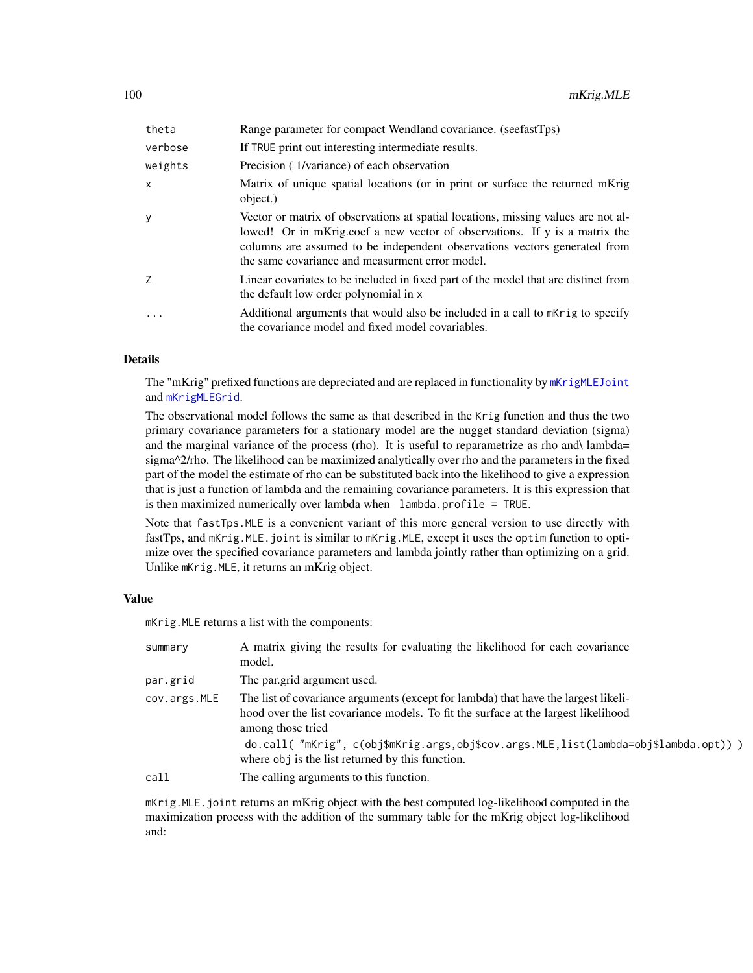| theta        | Range parameter for compact Wendland covariance. (seefastTps)                                                                                                                                                                                                                                   |
|--------------|-------------------------------------------------------------------------------------------------------------------------------------------------------------------------------------------------------------------------------------------------------------------------------------------------|
| verbose      | If TRUE print out interesting intermediate results.                                                                                                                                                                                                                                             |
| weights      | Precision (1/variance) of each observation                                                                                                                                                                                                                                                      |
| $\mathsf{x}$ | Matrix of unique spatial locations (or in print or surface the returned mKrig<br>object.)                                                                                                                                                                                                       |
| У            | Vector or matrix of observations at spatial locations, missing values are not al-<br>lowed! Or in mKrig.coef a new vector of observations. If y is a matrix the<br>columns are assumed to be independent observations vectors generated from<br>the same covariance and measurment error model. |
| Z            | Linear covariates to be included in fixed part of the model that are distinct from<br>the default low order polynomial in x                                                                                                                                                                     |
| $\cdot$      | Additional arguments that would also be included in a call to mothing to specify<br>the covariance model and fixed model covariables.                                                                                                                                                           |

# Details

The "mKrig" prefixed functions are depreciated and are replaced in functionality by [mKrigMLEJoint](#page-101-0) and [mKrigMLEGrid](#page-101-0).

The observational model follows the same as that described in the Krig function and thus the two primary covariance parameters for a stationary model are the nugget standard deviation (sigma) and the marginal variance of the process (rho). It is useful to reparametrize as rho and\ lambda= sigma^2/rho. The likelihood can be maximized analytically over rho and the parameters in the fixed part of the model the estimate of rho can be substituted back into the likelihood to give a expression that is just a function of lambda and the remaining covariance parameters. It is this expression that is then maximized numerically over lambda when lambda.profile = TRUE.

Note that fastTps.MLE is a convenient variant of this more general version to use directly with fastTps, and mKrig.MLE.joint is similar to mKrig.MLE, except it uses the optim function to optimize over the specified covariance parameters and lambda jointly rather than optimizing on a grid. Unlike mKrig.MLE, it returns an mKrig object.

#### Value

mKrig.MLE returns a list with the components:

| summary      | A matrix giving the results for evaluating the likelihood for each covariance<br>model.                                                                                                                                                                                                                                                   |
|--------------|-------------------------------------------------------------------------------------------------------------------------------------------------------------------------------------------------------------------------------------------------------------------------------------------------------------------------------------------|
| par.grid     | The partgrid argument used.                                                                                                                                                                                                                                                                                                               |
| cov.args.MLE | The list of covariance arguments (except for lambda) that have the largest likeli-<br>hood over the list covariance models. To fit the surface at the largest likelihood<br>among those tried<br>do.call( "mKrig", c(obj\$mKrig.args,obj\$cov.args.MLE,list(lambda=obj\$lambda.opt)))<br>where obj is the list returned by this function. |
| call         | The calling arguments to this function.                                                                                                                                                                                                                                                                                                   |

mKrig.MLE.joint returns an mKrig object with the best computed log-likelihood computed in the maximization process with the addition of the summary table for the mKrig object log-likelihood and: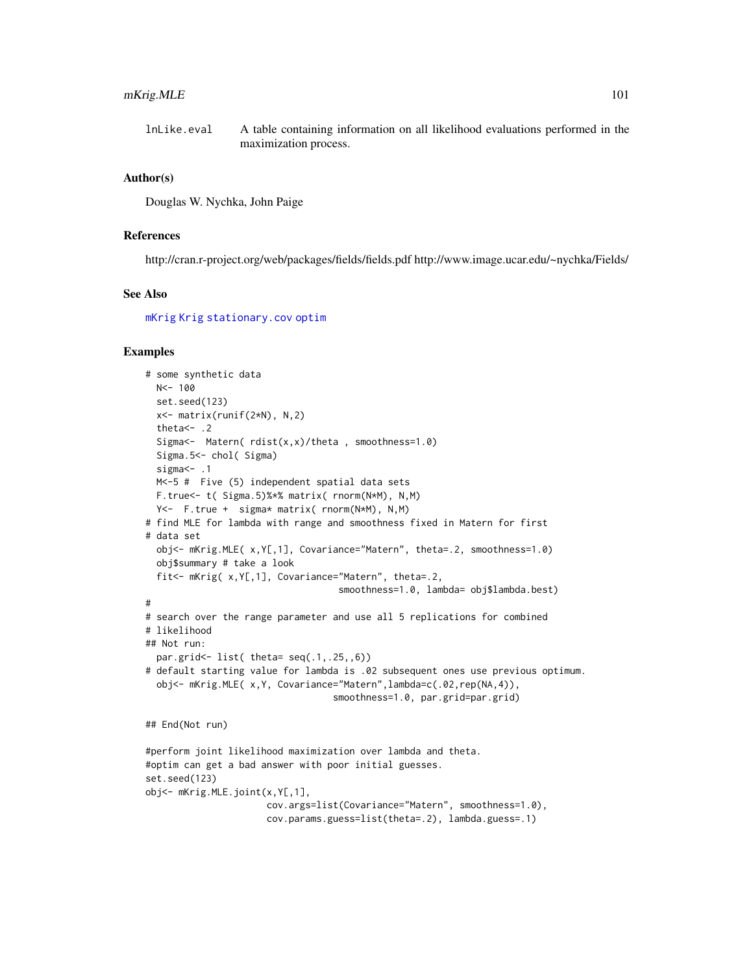# mKrig.MLE 101

lnLike.eval A table containing information on all likelihood evaluations performed in the maximization process.

#### Author(s)

Douglas W. Nychka, John Paige

### References

http://cran.r-project.org/web/packages/fields/fields.pdf http://www.image.ucar.edu/~nychka/Fields/

# See Also

[mKrig](#page-89-0) [Krig](#page-75-0) [stationary.cov](#page-22-0) [optim](#page-0-0)

# Examples

```
# some synthetic data
 N<- 100
 set.seed(123)
 x<- matrix(runif(2*N), N,2)
 theta<- .2
 Sigma <- Matern( rdist(x,x)/theta, smoothness=1.0)
 Sigma.5 <- chol( Sigma)
 sigma<sup><-</sup> .1
 M<-5 # Five (5) independent spatial data sets
 F.true<- t( Sigma.5)%*% matrix( rnorm(N*M), N,M)
 Y<- F.true + sigma* matrix( rnorm(N*M), N,M)
# find MLE for lambda with range and smoothness fixed in Matern for first
# data set
 obj<- mKrig.MLE( x,Y[,1], Covariance="Matern", theta=.2, smoothness=1.0)
 obj$summary # take a look
 fit<- mKrig( x,Y[,1], Covariance="Matern", theta=.2,
                                   smoothness=1.0, lambda= obj$lambda.best)
#
# search over the range parameter and use all 5 replications for combined
# likelihood
## Not run:
 par.grid<- list( theta= seq(.1,.25,,6))
# default starting value for lambda is .02 subsequent ones use previous optimum.
 obj<- mKrig.MLE( x,Y, Covariance="Matern",lambda=c(.02,rep(NA,4)),
                                  smoothness=1.0, par.grid=par.grid)
## End(Not run)
#perform joint likelihood maximization over lambda and theta.
#optim can get a bad answer with poor initial guesses.
set.seed(123)
obj<- mKrig.MLE.joint(x,Y[,1],
                      cov.args=list(Covariance="Matern", smoothness=1.0),
                      cov.params.guess=list(theta=.2), lambda.guess=.1)
```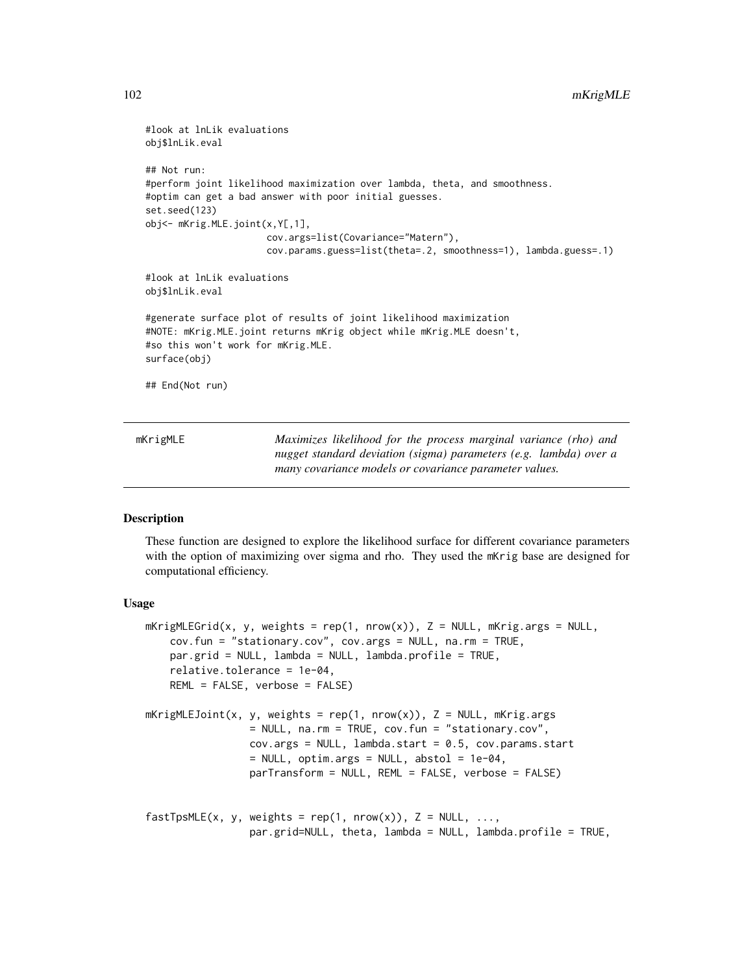```
#look at lnLik evaluations
obj$lnLik.eval
## Not run:
#perform joint likelihood maximization over lambda, theta, and smoothness.
#optim can get a bad answer with poor initial guesses.
set.seed(123)
obj<- mKrig.MLE.joint(x,Y[,1],
                      cov.args=list(Covariance="Matern"),
                      cov.params.guess=list(theta=.2, smoothness=1), lambda.guess=.1)
#look at lnLik evaluations
obj$lnLik.eval
#generate surface plot of results of joint likelihood maximization
#NOTE: mKrig.MLE.joint returns mKrig object while mKrig.MLE doesn't,
#so this won't work for mKrig.MLE.
surface(obj)
## End(Not run)
```
mKrigMLE *Maximizes likelihood for the process marginal variance (rho) and nugget standard deviation (sigma) parameters (e.g. lambda) over a many covariance models or covariance parameter values.*

### <span id="page-101-0"></span>Description

These function are designed to explore the likelihood surface for different covariance parameters with the option of maximizing over sigma and rho. They used the mKrig base are designed for computational efficiency.

#### Usage

```
mKrigMLEGrid(x, y, weights = rep(1, nrow(x)), Z = NULL, mKrig.args = NULL,
   cov.fun = "stationary.cov", cov.args = NULL, na.rm = TRUE,
   par.grid = NULL, lambda = NULL, lambda.profile = TRUE,
   relative.tolerance = 1e-04,
   REML = FALSE, verbose = FALSE)
mKrigMLEJoint(x, y, weights = rep(1, nrow(x)), Z = NULL, mKrig.args
                 = NULL, na.rm = TRUE, cov.fun = "stationary.cov",
                 cov.args = NULL, lambda.start = 0.5, cov.params.start= NULL, optim.args = NULL, abstol = 1e-04,
                 parTransform = NULL, REML = FALSE, verbose = FALSE)
fastTpsMLE(x, y, weights = rep(1, nrow(x)), Z = NULL, ...,par.grid=NULL, theta, lambda = NULL, lambda.profile = TRUE,
```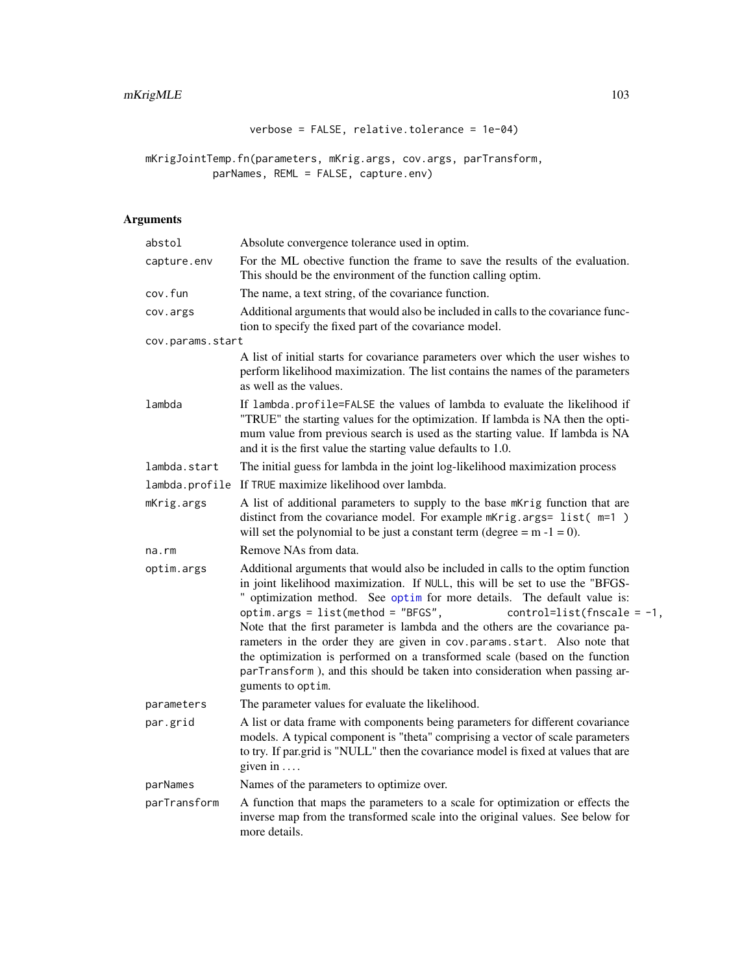verbose = FALSE, relative.tolerance = 1e-04)

mKrigJointTemp.fn(parameters, mKrig.args, cov.args, parTransform, parNames, REML = FALSE, capture.env)

# Arguments

| Absolute convergence tolerance used in optim.                                                                                                                                                                                                                                                                                                                                                                                                                                                                                                                                                                                                                        |
|----------------------------------------------------------------------------------------------------------------------------------------------------------------------------------------------------------------------------------------------------------------------------------------------------------------------------------------------------------------------------------------------------------------------------------------------------------------------------------------------------------------------------------------------------------------------------------------------------------------------------------------------------------------------|
| For the ML obective function the frame to save the results of the evaluation.<br>This should be the environment of the function calling optim.                                                                                                                                                                                                                                                                                                                                                                                                                                                                                                                       |
| The name, a text string, of the covariance function.                                                                                                                                                                                                                                                                                                                                                                                                                                                                                                                                                                                                                 |
| Additional arguments that would also be included in calls to the covariance func-<br>tion to specify the fixed part of the covariance model.                                                                                                                                                                                                                                                                                                                                                                                                                                                                                                                         |
| cov.params.start                                                                                                                                                                                                                                                                                                                                                                                                                                                                                                                                                                                                                                                     |
| A list of initial starts for covariance parameters over which the user wishes to<br>perform likelihood maximization. The list contains the names of the parameters<br>as well as the values.                                                                                                                                                                                                                                                                                                                                                                                                                                                                         |
| If lambda.profile=FALSE the values of lambda to evaluate the likelihood if<br>"TRUE" the starting values for the optimization. If lambda is NA then the opti-<br>mum value from previous search is used as the starting value. If lambda is NA<br>and it is the first value the starting value defaults to 1.0.                                                                                                                                                                                                                                                                                                                                                      |
| The initial guess for lambda in the joint log-likelihood maximization process                                                                                                                                                                                                                                                                                                                                                                                                                                                                                                                                                                                        |
| If TRUE maximize likelihood over lambda.                                                                                                                                                                                                                                                                                                                                                                                                                                                                                                                                                                                                                             |
| A list of additional parameters to supply to the base mKrig function that are<br>distinct from the covariance model. For example mKrig.args= list(m=1)<br>will set the polynomial to be just a constant term (degree = $m - 1 = 0$ ).                                                                                                                                                                                                                                                                                                                                                                                                                                |
| Remove NAs from data.                                                                                                                                                                                                                                                                                                                                                                                                                                                                                                                                                                                                                                                |
| Additional arguments that would also be included in calls to the optim function<br>in joint likelihood maximization. If NULL, this will be set to use the "BFGS-<br>" optimization method. See optim for more details. The default value is:<br>optim.args = $list(method = "BFGS",$<br>$control=list(fnscale = -1,$<br>Note that the first parameter is lambda and the others are the covariance pa-<br>rameters in the order they are given in cov.params.start. Also note that<br>the optimization is performed on a transformed scale (based on the function<br>parTransform), and this should be taken into consideration when passing ar-<br>guments to optim. |
| The parameter values for evaluate the likelihood.                                                                                                                                                                                                                                                                                                                                                                                                                                                                                                                                                                                                                    |
| A list or data frame with components being parameters for different covariance<br>models. A typical component is "theta" comprising a vector of scale parameters<br>to try. If par.grid is "NULL" then the covariance model is fixed at values that are<br>given in $\dots$                                                                                                                                                                                                                                                                                                                                                                                          |
| Names of the parameters to optimize over.                                                                                                                                                                                                                                                                                                                                                                                                                                                                                                                                                                                                                            |
| A function that maps the parameters to a scale for optimization or effects the<br>inverse map from the transformed scale into the original values. See below for<br>more details.                                                                                                                                                                                                                                                                                                                                                                                                                                                                                    |
|                                                                                                                                                                                                                                                                                                                                                                                                                                                                                                                                                                                                                                                                      |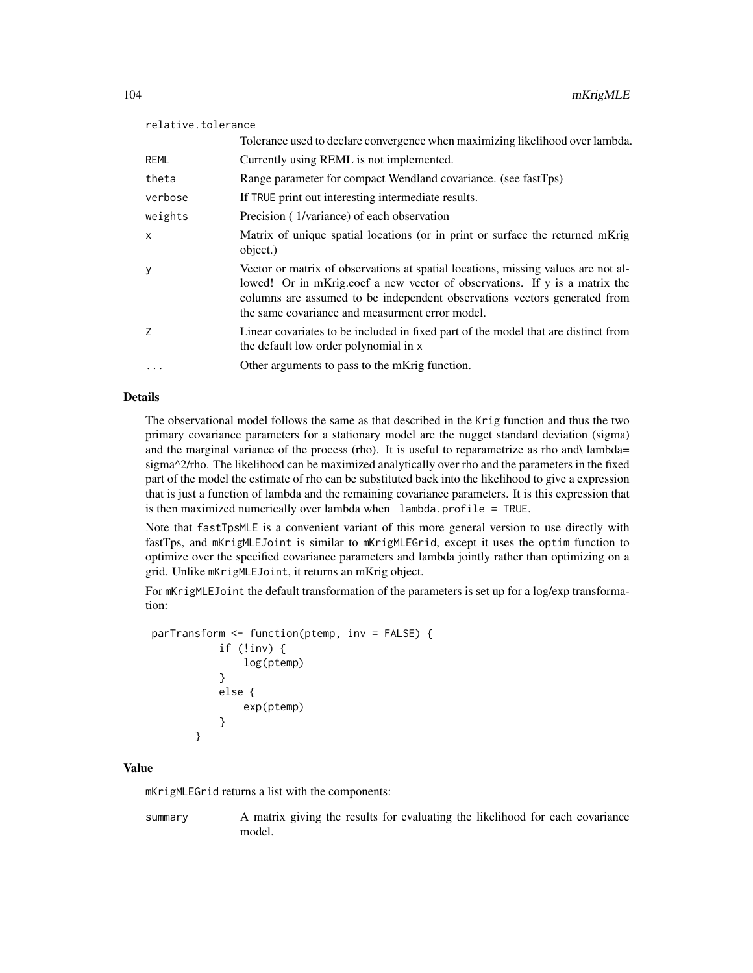| relative.tolerance |                                                                                                                                                                                                                                                                                                 |
|--------------------|-------------------------------------------------------------------------------------------------------------------------------------------------------------------------------------------------------------------------------------------------------------------------------------------------|
|                    | Tolerance used to declare convergence when maximizing likelihood over lambda.                                                                                                                                                                                                                   |
| REML               | Currently using REML is not implemented.                                                                                                                                                                                                                                                        |
| theta              | Range parameter for compact Wendland covariance. (see fastTps)                                                                                                                                                                                                                                  |
| verbose            | If TRUE print out interesting intermediate results.                                                                                                                                                                                                                                             |
| weights            | Precision (1/variance) of each observation                                                                                                                                                                                                                                                      |
| $\mathsf{x}$       | Matrix of unique spatial locations (or in print or surface the returned mKrig<br>object.)                                                                                                                                                                                                       |
| У                  | Vector or matrix of observations at spatial locations, missing values are not al-<br>lowed! Or in mKrig.coef a new vector of observations. If y is a matrix the<br>columns are assumed to be independent observations vectors generated from<br>the same covariance and measurment error model. |
| Z                  | Linear covariates to be included in fixed part of the model that are distinct from<br>the default low order polynomial in x                                                                                                                                                                     |
|                    | Other arguments to pass to the mKrig function.                                                                                                                                                                                                                                                  |

# Details

The observational model follows the same as that described in the Krig function and thus the two primary covariance parameters for a stationary model are the nugget standard deviation (sigma) and the marginal variance of the process (rho). It is useful to reparametrize as rho and\ lambda= sigma^2/rho. The likelihood can be maximized analytically over rho and the parameters in the fixed part of the model the estimate of rho can be substituted back into the likelihood to give a expression that is just a function of lambda and the remaining covariance parameters. It is this expression that is then maximized numerically over lambda when lambda.profile = TRUE.

Note that fastTpsMLE is a convenient variant of this more general version to use directly with fastTps, and mKrigMLEJoint is similar to mKrigMLEGrid, except it uses the optim function to optimize over the specified covariance parameters and lambda jointly rather than optimizing on a grid. Unlike mKrigMLEJoint, it returns an mKrig object.

For mKrigMLEJoint the default transformation of the parameters is set up for a log/exp transformation:

```
parTransform <- function(ptemp, inv = FALSE) {
           if (!inv) {
               log(ptemp)
           }
           else {
               exp(ptemp)
           }
       }
```
### Value

mKrigMLEGrid returns a list with the components:

summary A matrix giving the results for evaluating the likelihood for each covariance model.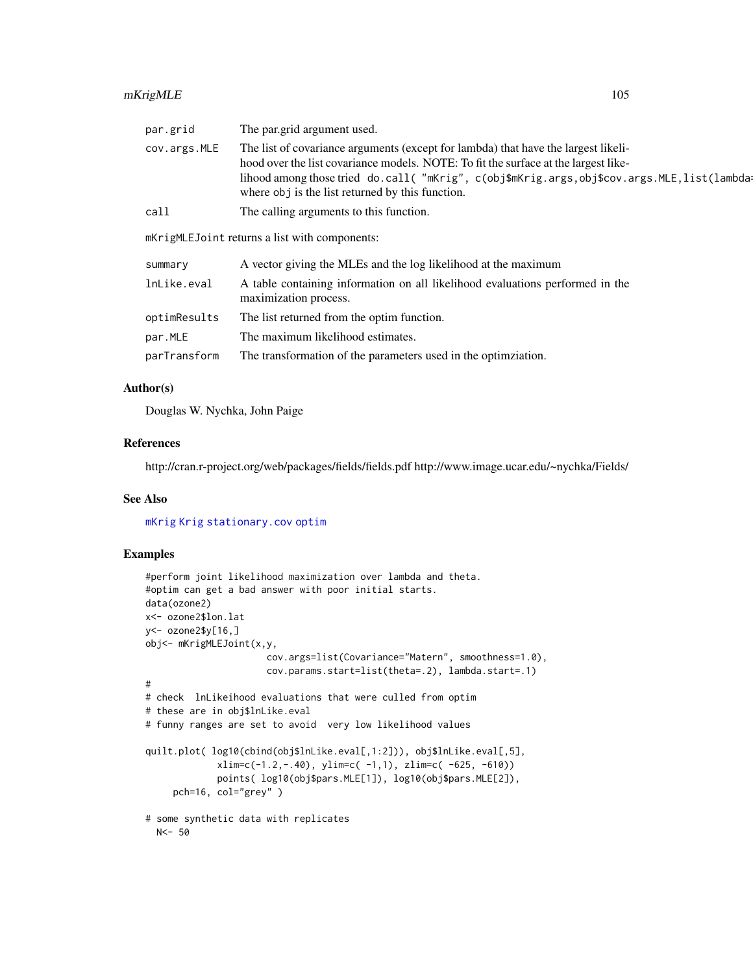# mKrigMLE 105

| par.grid     | The partgrid argument used.                                                                                                                                                                                                                                                                                                  |
|--------------|------------------------------------------------------------------------------------------------------------------------------------------------------------------------------------------------------------------------------------------------------------------------------------------------------------------------------|
| cov.args.MLE | The list of covariance arguments (except for lambda) that have the largest likeli-<br>hood over the list covariance models. NOTE: To fit the surface at the largest like-<br>lihood among those tried do.call( "mKrig", c(obj\$mKrig.args,obj\$cov.args.MLE,list(lambda=<br>where obj is the list returned by this function. |
| call         | The calling arguments to this function.                                                                                                                                                                                                                                                                                      |
|              | mKrigMLEJoint returns a list with components:                                                                                                                                                                                                                                                                                |
|              |                                                                                                                                                                                                                                                                                                                              |
| summary      | A vector giving the MLEs and the log likelihood at the maximum                                                                                                                                                                                                                                                               |
| lnLike.eval  | A table containing information on all likelihood evaluations performed in the<br>maximization process.                                                                                                                                                                                                                       |
| optimResults | The list returned from the optim function.                                                                                                                                                                                                                                                                                   |
| par.MLE      | The maximum likelihood estimates.                                                                                                                                                                                                                                                                                            |

### Author(s)

Douglas W. Nychka, John Paige

### References

http://cran.r-project.org/web/packages/fields/fields.pdf http://www.image.ucar.edu/~nychka/Fields/

# See Also

[mKrig](#page-89-0) [Krig](#page-75-0) [stationary.cov](#page-22-0) [optim](#page-0-0)

# Examples

```
#perform joint likelihood maximization over lambda and theta.
#optim can get a bad answer with poor initial starts.
data(ozone2)
x<- ozone2$lon.lat
y<- ozone2$y[16,]
obj<- mKrigMLEJoint(x,y,
                     cov.args=list(Covariance="Matern", smoothness=1.0),
                     cov.params.start=list(theta=.2), lambda.start=.1)
#
# check lnLikeihood evaluations that were culled from optim
# these are in obj$lnLike.eval
# funny ranges are set to avoid very low likelihood values
quilt.plot( log10(cbind(obj$lnLike.eval[,1:2])), obj$lnLike.eval[,5],
             xlim=c(-1.2,-.40), ylim=c(-1,1), zlim=c(-625, -610))points( log10(obj$pars.MLE[1]), log10(obj$pars.MLE[2]),
     pch=16, col="grey" )
# some synthetic data with replicates
 N<- 50
```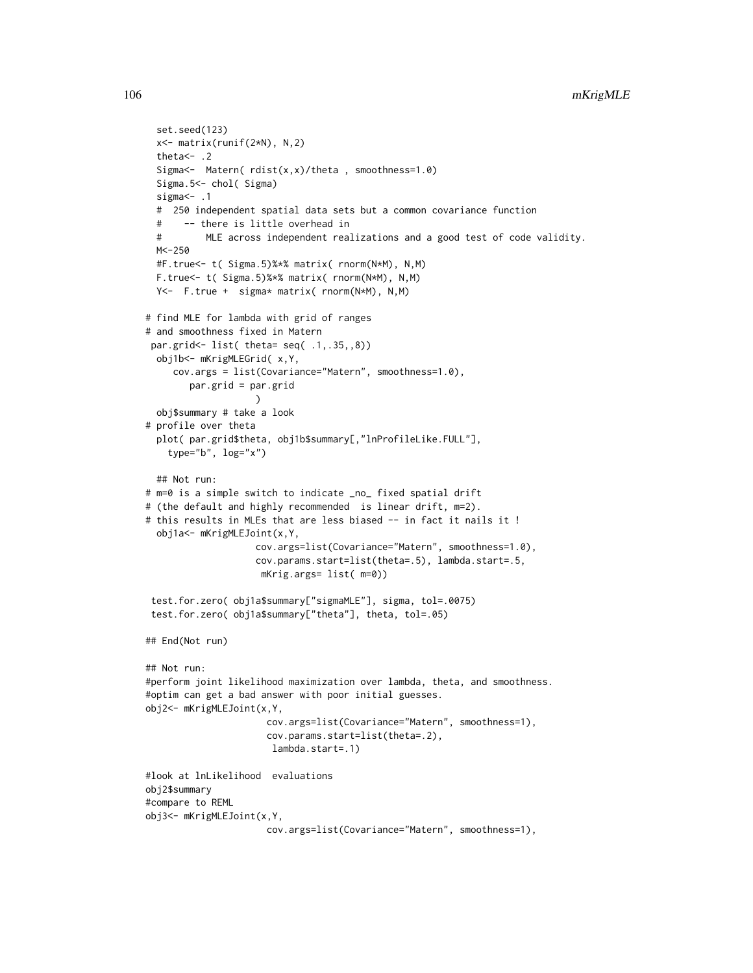```
set.seed(123)
 x<- matrix(runif(2*N), N,2)
 theta\leftarrow .2
 Sigma <- Matern( rdist(x,x)/theta, smoothness=1.0)
 Sigma.5 <- chol( Sigma)
 sigma<- .1
 # 250 independent spatial data sets but a common covariance function
      -- there is little overhead in
 # MLE across independent realizations and a good test of code validity.
 M < -250#F.true<- t( Sigma.5)%*% matrix( rnorm(N*M), N,M)
 F.true<- t( Sigma.5)%*% matrix( rnorm(N*M), N,M)
 Y<- F.true + sigma* matrix( rnorm(N*M), N,M)
# find MLE for lambda with grid of ranges
# and smoothness fixed in Matern
par.grid<- list( theta= seq( .1,.35,,8))
 obj1b<- mKrigMLEGrid( x,Y,
     cov.args = list(Covariance="Matern", smoothness=1.0),
       par.grid = par.grid
                    )
 obj$summary # take a look
# profile over theta
 plot( par.grid$theta, obj1b$summary[,"lnProfileLike.FULL"],
    type="b", log="x")
 ## Not run:
# m=0 is a simple switch to indicate _no_ fixed spatial drift
# (the default and highly recommended is linear drift, m=2).
# this results in MLEs that are less biased -- in fact it nails it !
 obj1a<- mKrigMLEJoint(x,Y,
                    cov.args=list(Covariance="Matern", smoothness=1.0),
                    cov.params.start=list(theta=.5), lambda.start=.5,
                     mKrig.args= list( m=0))
 test.for.zero( obj1a$summary["sigmaMLE"], sigma, tol=.0075)
 test.for.zero( obj1a$summary["theta"], theta, tol=.05)
## End(Not run)
## Not run:
#perform joint likelihood maximization over lambda, theta, and smoothness.
#optim can get a bad answer with poor initial guesses.
obj2<- mKrigMLEJoint(x,Y,
                      cov.args=list(Covariance="Matern", smoothness=1),
                      cov.params.start=list(theta=.2),
                       lambda.start=.1)
#look at lnLikelihood evaluations
obj2$summary
#compare to REML
obj3<- mKrigMLEJoint(x,Y,
                      cov.args=list(Covariance="Matern", smoothness=1),
```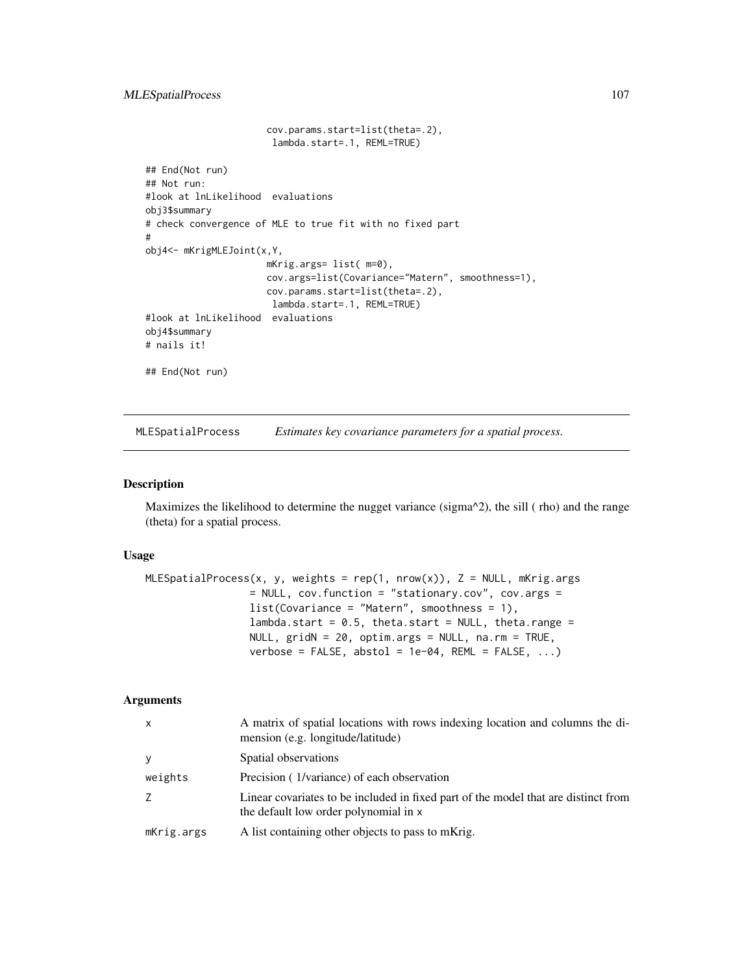# MLESpatialProcess 107

```
cov.params.start=list(theta=.2),
                       lambda.start=.1, REML=TRUE)
## End(Not run)
## Not run:
#look at lnLikelihood evaluations
obj3$summary
# check convergence of MLE to true fit with no fixed part
#
obj4<- mKrigMLEJoint(x,Y,
                      mKrig.args= list( m=0),
                      cov.args=list(Covariance="Matern", smoothness=1),
                      cov.params.start=list(theta=.2),
                       lambda.start=.1, REML=TRUE)
#look at lnLikelihood evaluations
obj4$summary
# nails it!
## End(Not run)
```
MLESpatialProcess *Estimates key covariance parameters for a spatial process.*

#### Description

Maximizes the likelihood to determine the nugget variance (sigma^2), the sill ( rho) and the range (theta) for a spatial process.

## Usage

```
MLESpatialProcess(x, y, weights = rep(1, nrow(x)), Z = NULL, mKrig.args)= NULL, cov.function = "stationary.cov", cov.args =
                 list(Covariance = "Matern", smoothness = 1),
                 lambda.start = 0.5, theta.start = NULL, theta.range =
                 NULL, gridN = 20, optim.args = NULL, na.rm = TRUE,
                 verbose = FALSE, abstol = 1e-04, REML = FALSE, ...)
```
# Arguments

| $\mathsf{X}$ | A matrix of spatial locations with rows indexing location and columns the di-<br>mension (e.g. longitude/latitude)          |
|--------------|-----------------------------------------------------------------------------------------------------------------------------|
| y            | Spatial observations                                                                                                        |
| weights      | Precision (1/variance) of each observation                                                                                  |
|              | Linear covariates to be included in fixed part of the model that are distinct from<br>the default low order polynomial in x |
| mKrig.args   | A list containing other objects to pass to mKrig.                                                                           |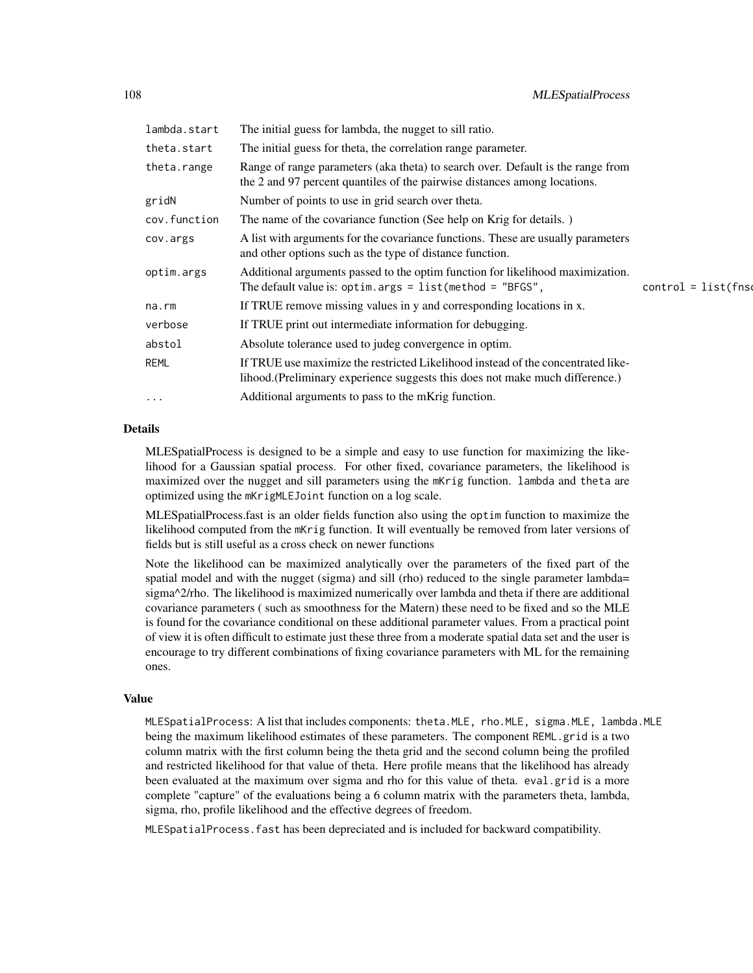| lambda.start | The initial guess for lambda, the nugget to sill ratio.                                                                                                          |                       |
|--------------|------------------------------------------------------------------------------------------------------------------------------------------------------------------|-----------------------|
| theta.start  | The initial guess for theta, the correlation range parameter.                                                                                                    |                       |
| theta.range  | Range of range parameters (aka theta) to search over. Default is the range from<br>the 2 and 97 percent quantiles of the pairwise distances among locations.     |                       |
| gridN        | Number of points to use in grid search over theta.                                                                                                               |                       |
| cov.function | The name of the covariance function (See help on Krig for details.)                                                                                              |                       |
| cov.args     | A list with arguments for the covariance functions. These are usually parameters<br>and other options such as the type of distance function.                     |                       |
| optim.args   | Additional arguments passed to the optim function for likelihood maximization.<br>The default value is: optim.args = $list(method = "BFGS",$                     | $control = list(fns)$ |
| na.rm        | If TRUE remove missing values in y and corresponding locations in x.                                                                                             |                       |
| verbose      | If TRUE print out intermediate information for debugging.                                                                                                        |                       |
| abstol       | Absolute tolerance used to judeg convergence in optim.                                                                                                           |                       |
| <b>REML</b>  | If TRUE use maximize the restricted Likelihood instead of the concentrated like-<br>lihood.(Preliminary experience suggests this does not make much difference.) |                       |
| .            | Additional arguments to pass to the mKrig function.                                                                                                              |                       |

### Details

MLESpatialProcess is designed to be a simple and easy to use function for maximizing the likelihood for a Gaussian spatial process. For other fixed, covariance parameters, the likelihood is maximized over the nugget and sill parameters using the mKrig function. lambda and theta are optimized using the mKrigMLEJoint function on a log scale.

MLESpatialProcess.fast is an older fields function also using the optim function to maximize the likelihood computed from the mKrig function. It will eventually be removed from later versions of fields but is still useful as a cross check on newer functions

Note the likelihood can be maximized analytically over the parameters of the fixed part of the spatial model and with the nugget (sigma) and sill (rho) reduced to the single parameter lambda= sigma^2/rho. The likelihood is maximized numerically over lambda and theta if there are additional covariance parameters ( such as smoothness for the Matern) these need to be fixed and so the MLE is found for the covariance conditional on these additional parameter values. From a practical point of view it is often difficult to estimate just these three from a moderate spatial data set and the user is encourage to try different combinations of fixing covariance parameters with ML for the remaining ones.

#### Value

MLESpatialProcess: A list that includes components: theta.MLE, rho.MLE, sigma.MLE, lambda.MLE being the maximum likelihood estimates of these parameters. The component REML.grid is a two column matrix with the first column being the theta grid and the second column being the profiled and restricted likelihood for that value of theta. Here profile means that the likelihood has already been evaluated at the maximum over sigma and rho for this value of theta. eval.grid is a more complete "capture" of the evaluations being a 6 column matrix with the parameters theta, lambda, sigma, rho, profile likelihood and the effective degrees of freedom.

MLESpatialProcess.fast has been depreciated and is included for backward compatibility.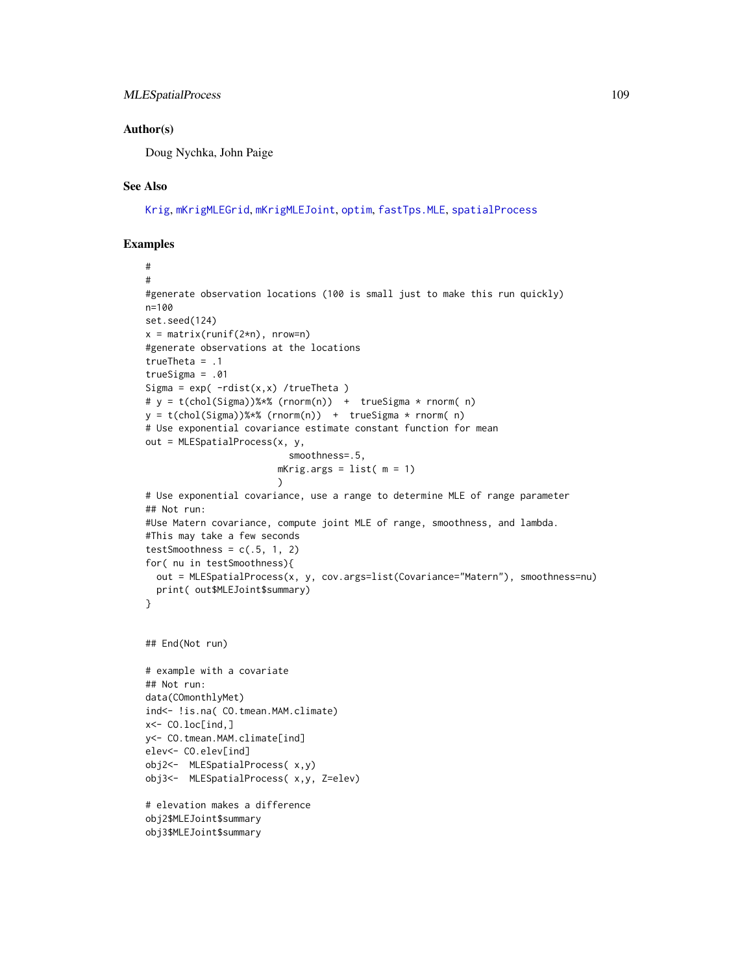## Author(s)

Doug Nychka, John Paige

## See Also

[Krig](#page-75-0), [mKrigMLEGrid](#page-101-0), [mKrigMLEJoint](#page-101-0), [optim](#page-0-0), [fastTps.MLE](#page-97-0), [spatialProcess](#page-161-0)

```
#
#
#generate observation locations (100 is small just to make this run quickly)
n=100
set.seed(124)
x = matrix(runit(2*n), nrow=n)#generate observations at the locations
trueTheta = .1
trueSigma = .01
Sigma = exp(-rdist(x, x)) / trueTheta# y = t(chol(Sigma))%*% (rnorm(n)) + trueSigma * rnorm( n)
y = t(chol(Sigma))%*% (rnorm(n)) + trueSigma * rnorm(n)
# Use exponential covariance estimate constant function for mean
out = MLESpatialProcess(x, y,
                          smoothness=.5,
                        mKrig.args = list(m = 1)\lambda# Use exponential covariance, use a range to determine MLE of range parameter
## Not run:
#Use Matern covariance, compute joint MLE of range, smoothness, and lambda.
#This may take a few seconds
testSmoothness = c(.5, 1, 2)for( nu in testSmoothness){
  out = MLESpatialProcess(x, y, cov.args=list(Covariance="Matern"), smoothness=nu)
  print( out$MLEJoint$summary)
}
## End(Not run)
# example with a covariate
## Not run:
data(COmonthlyMet)
ind<- !is.na( CO.tmean.MAM.climate)
x<- CO.loc[ind,]
y<- CO.tmean.MAM.climate[ind]
elev<- CO.elev[ind]
obj2<- MLESpatialProcess( x,y)
obj3<- MLESpatialProcess( x,y, Z=elev)
# elevation makes a difference
obj2$MLEJoint$summary
obj3$MLEJoint$summary
```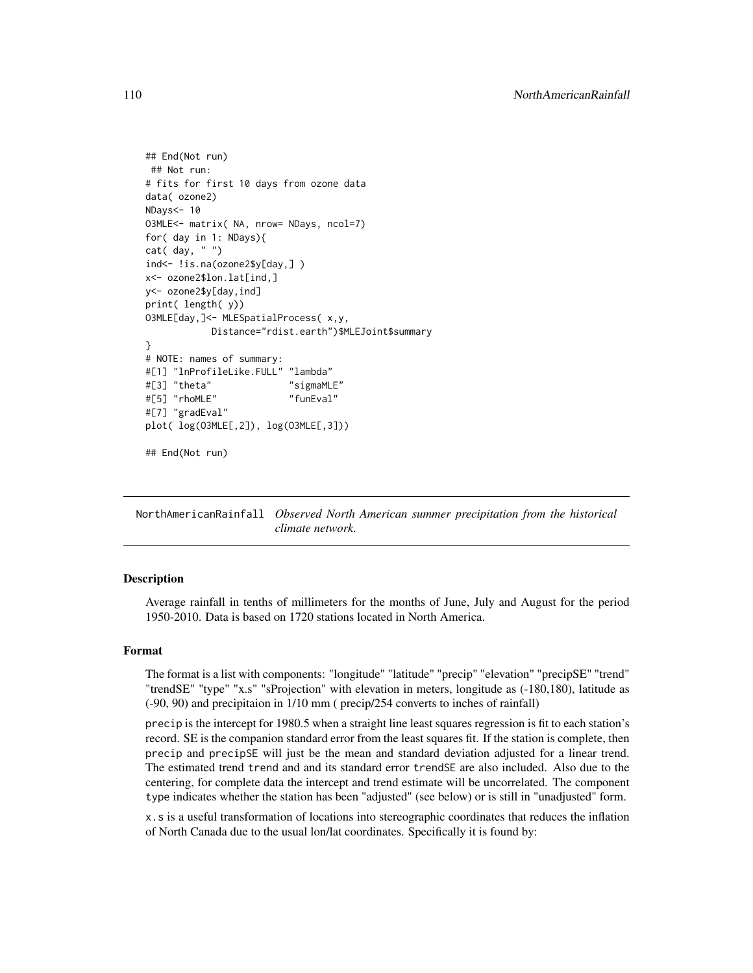```
## End(Not run)
## Not run:
# fits for first 10 days from ozone data
data( ozone2)
NDays<- 10
O3MLE<- matrix( NA, nrow= NDays, ncol=7)
for( day in 1: NDays){
cat( day, " ")
ind<- !is.na(ozone2$y[day,] )
x<- ozone2$lon.lat[ind,]
y<- ozone2$y[day,ind]
print( length( y))
O3MLE[day,]<- MLESpatialProcess( x,y,
           Distance="rdist.earth")$MLEJoint$summary
}
# NOTE: names of summary:
#[1] "lnProfileLike.FULL" "lambda"
#[3] "theta" "sigmaMLE"
#[5] "rhoMLE" "funEval"
#[7] "gradEval"
plot( log(O3MLE[,2]), log(O3MLE[,3]))
## End(Not run)
```
NorthAmericanRainfall *Observed North American summer precipitation from the historical climate network.*

# Description

Average rainfall in tenths of millimeters for the months of June, July and August for the period 1950-2010. Data is based on 1720 stations located in North America.

#### Format

The format is a list with components: "longitude" "latitude" "precip" "elevation" "precipSE" "trend" "trendSE" "type" "x.s" "sProjection" with elevation in meters, longitude as (-180,180), latitude as (-90, 90) and precipitaion in 1/10 mm ( precip/254 converts to inches of rainfall)

precip is the intercept for 1980.5 when a straight line least squares regression is fit to each station's record. SE is the companion standard error from the least squares fit. If the station is complete, then precip and precipSE will just be the mean and standard deviation adjusted for a linear trend. The estimated trend trend and and its standard error trendSE are also included. Also due to the centering, for complete data the intercept and trend estimate will be uncorrelated. The component type indicates whether the station has been "adjusted" (see below) or is still in "unadjusted" form.

x.s is a useful transformation of locations into stereographic coordinates that reduces the inflation of North Canada due to the usual lon/lat coordinates. Specifically it is found by: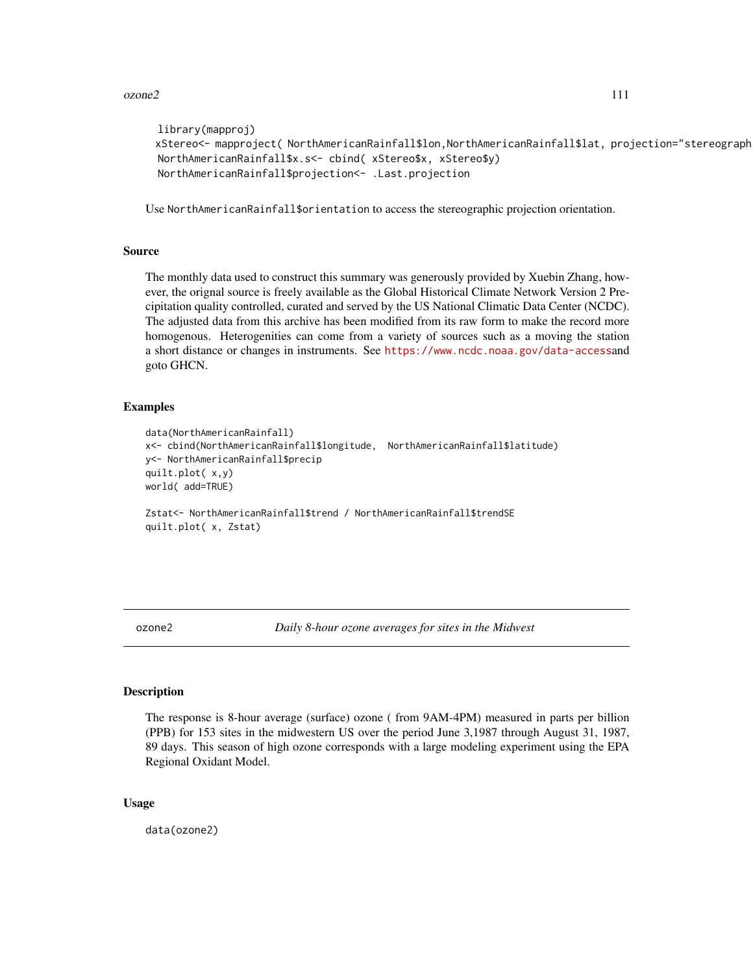#### $ozone2$  111

```
library(mapproj)
xStereo<- mapproject( NorthAmericanRainfall$lon,NorthAmericanRainfall$lat, projection="stereographic")
NorthAmericanRainfall$x.s<- cbind( xStereo$x, xStereo$y)
NorthAmericanRainfall$projection<- .Last.projection
```
Use NorthAmericanRainfall\$orientation to access the stereographic projection orientation.

#### Source

The monthly data used to construct this summary was generously provided by Xuebin Zhang, however, the orignal source is freely available as the Global Historical Climate Network Version 2 Precipitation quality controlled, curated and served by the US National Climatic Data Center (NCDC). The adjusted data from this archive has been modified from its raw form to make the record more homogenous. Heterogenities can come from a variety of sources such as a moving the station a short distance or changes in instruments. See <https://www.ncdc.noaa.gov/data-access>and goto GHCN.

## Examples

```
data(NorthAmericanRainfall)
x<- cbind(NorthAmericanRainfall$longitude, NorthAmericanRainfall$latitude)
y<- NorthAmericanRainfall$precip
quilt.plot( x,y)
world( add=TRUE)
Zstat<- NorthAmericanRainfall$trend / NorthAmericanRainfall$trendSE
quilt.plot( x, Zstat)
```
ozone2 *Daily 8-hour ozone averages for sites in the Midwest*

#### **Description**

The response is 8-hour average (surface) ozone ( from 9AM-4PM) measured in parts per billion (PPB) for 153 sites in the midwestern US over the period June 3,1987 through August 31, 1987, 89 days. This season of high ozone corresponds with a large modeling experiment using the EPA Regional Oxidant Model.

#### Usage

data(ozone2)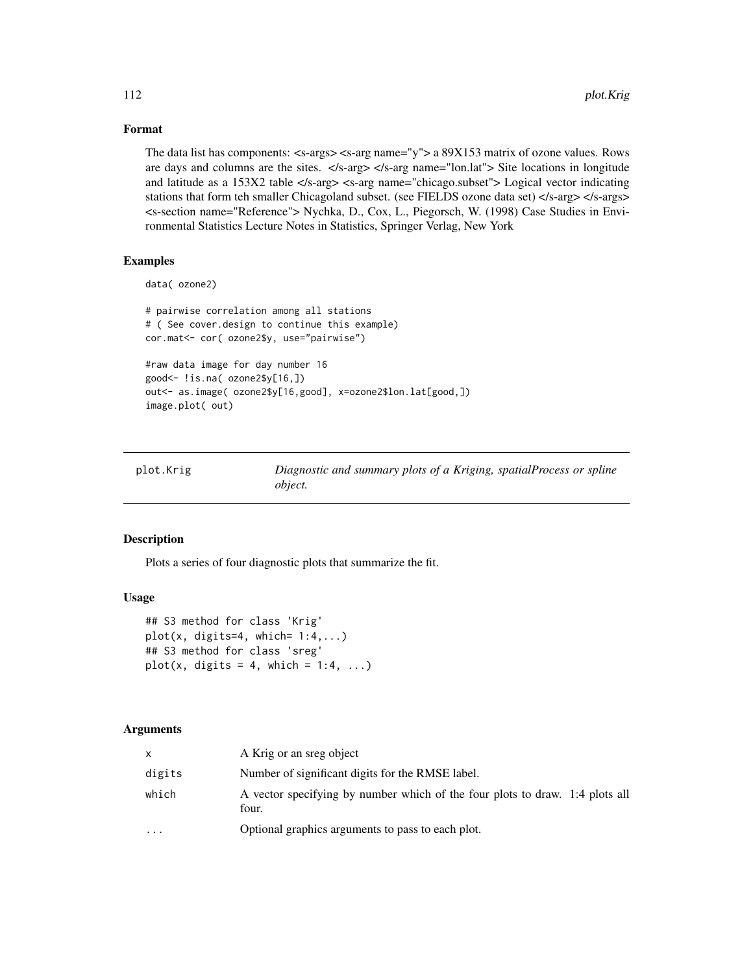# Format

The data list has components: <s-args> <s-arg name="y"> a 89X153 matrix of ozone values. Rows are days and columns are the sites. </s-arg> </s-arg name="lon.lat"> Site locations in longitude and latitude as a 153X2 table </s-arg> <s-arg name="chicago.subset"> Logical vector indicating stations that form teh smaller Chicagoland subset. (see FIELDS ozone data set) </s-arg> </s-args> <s-section name="Reference"> Nychka, D., Cox, L., Piegorsch, W. (1998) Case Studies in Environmental Statistics Lecture Notes in Statistics, Springer Verlag, New York

# Examples

```
data( ozone2)
```
# pairwise correlation among all stations # ( See cover.design to continue this example) cor.mat<- cor( ozone2\$y, use="pairwise")

```
#raw data image for day number 16
good<- !is.na( ozone2$y[16,])
out<- as.image( ozone2$y[16,good], x=ozone2$lon.lat[good,])
image.plot( out)
```

| plot.Krig | Diagnostic and summary plots of a Kriging, spatialProcess or spline |  |
|-----------|---------------------------------------------------------------------|--|
|           | <i>object.</i>                                                      |  |

# Description

Plots a series of four diagnostic plots that summarize the fit.

#### Usage

```
## S3 method for class 'Krig'
plot(x, digits=4, which= 1:4,...)## S3 method for class 'sreg'
plot(x, digits = 4, which = 1:4, ...)
```
# Arguments

| x         | A Krig or an sreg object                                                              |
|-----------|---------------------------------------------------------------------------------------|
| digits    | Number of significant digits for the RMSE label.                                      |
| which     | A vector specifying by number which of the four plots to draw. 1:4 plots all<br>four. |
| $\ddotsc$ | Optional graphics arguments to pass to each plot.                                     |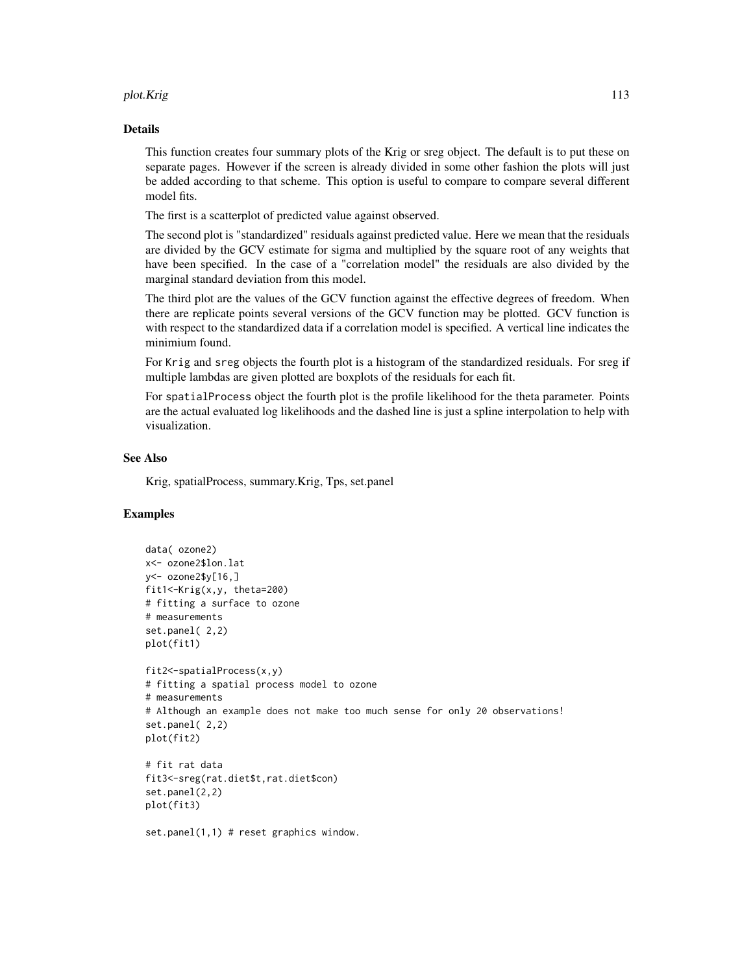#### plot.Krig the contract of the contract of the contract of the contract of the contract of the contract of the contract of the contract of the contract of the contract of the contract of the contract of the contract of the

#### Details

This function creates four summary plots of the Krig or sreg object. The default is to put these on separate pages. However if the screen is already divided in some other fashion the plots will just be added according to that scheme. This option is useful to compare to compare several different model fits.

The first is a scatterplot of predicted value against observed.

The second plot is "standardized" residuals against predicted value. Here we mean that the residuals are divided by the GCV estimate for sigma and multiplied by the square root of any weights that have been specified. In the case of a "correlation model" the residuals are also divided by the marginal standard deviation from this model.

The third plot are the values of the GCV function against the effective degrees of freedom. When there are replicate points several versions of the GCV function may be plotted. GCV function is with respect to the standardized data if a correlation model is specified. A vertical line indicates the minimium found.

For Krig and sreg objects the fourth plot is a histogram of the standardized residuals. For sreg if multiple lambdas are given plotted are boxplots of the residuals for each fit.

For spatialProcess object the fourth plot is the profile likelihood for the theta parameter. Points are the actual evaluated log likelihoods and the dashed line is just a spline interpolation to help with visualization.

# See Also

Krig, spatialProcess, summary.Krig, Tps, set.panel

```
data( ozone2)
x<- ozone2$lon.lat
y <- ozone 2\frac{6}{5} [16,]
fit1<-Krig(x,y, theta=200)
# fitting a surface to ozone
# measurements
set.panel( 2,2)
plot(fit1)
fit2<-spatialProcess(x,y)
# fitting a spatial process model to ozone
# measurements
# Although an example does not make too much sense for only 20 observations!
set.panel( 2,2)
plot(fit2)
# fit rat data
fit3<-sreg(rat.diet$t,rat.diet$con)
set.panel(2,2)
plot(fit3)
set.panel(1,1) # reset graphics window.
```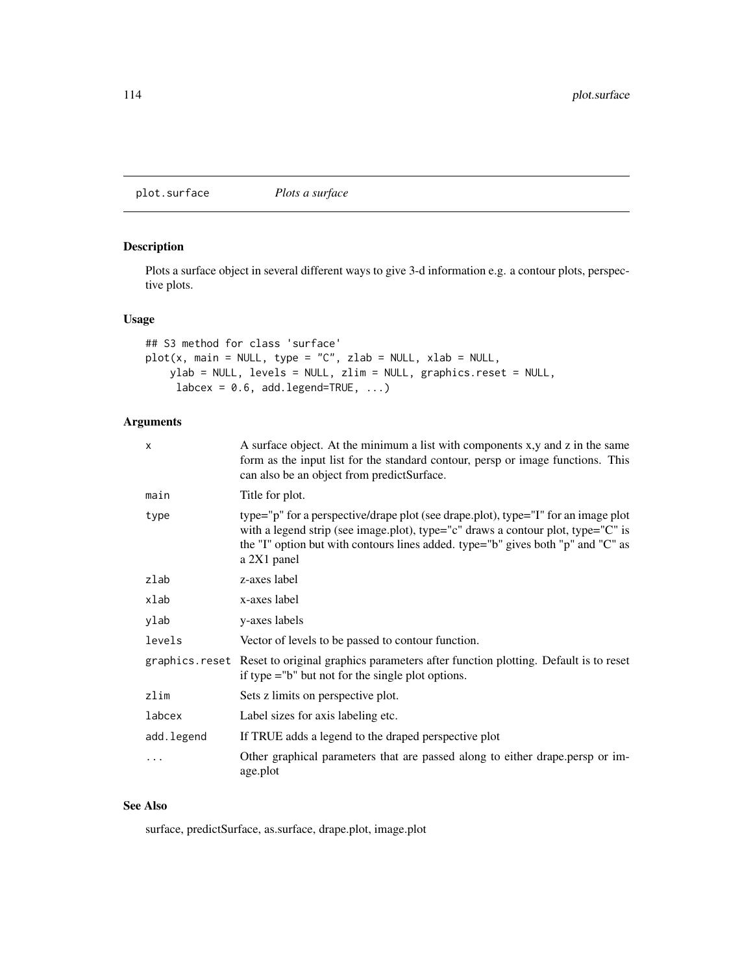plot.surface *Plots a surface*

# Description

Plots a surface object in several different ways to give 3-d information e.g. a contour plots, perspective plots.

# Usage

```
## S3 method for class 'surface'
plot(x, main = NULL, type = "C", zlab = NULL, xlab = NULL,ylab = NULL, levels = NULL, zlim = NULL, graphics.reset = NULL,
     labcex = 0.6, add.legend = TRUE, ...)
```
# Arguments

| x          | A surface object. At the minimum a list with components x,y and z in the same<br>form as the input list for the standard contour, persp or image functions. This<br>can also be an object from predictSurface.                                                            |
|------------|---------------------------------------------------------------------------------------------------------------------------------------------------------------------------------------------------------------------------------------------------------------------------|
| main       | Title for plot.                                                                                                                                                                                                                                                           |
| type       | type="p" for a perspective/drape plot (see drape.plot), type="I" for an image plot<br>with a legend strip (see image.plot), type="c" draws a contour plot, type="C" is<br>the "I" option but with contours lines added. type="b" gives both "p" and "C" as<br>a 2X1 panel |
| zlab       | z-axes label                                                                                                                                                                                                                                                              |
| xlab       | x-axes label                                                                                                                                                                                                                                                              |
| ylab       | y-axes labels                                                                                                                                                                                                                                                             |
| levels     | Vector of levels to be passed to contour function.                                                                                                                                                                                                                        |
|            | graphics. reset Reset to original graphics parameters after function plotting. Default is to reset<br>if type $=$ "b" but not for the single plot options.                                                                                                                |
| zlim       | Sets z limits on perspective plot.                                                                                                                                                                                                                                        |
| labcex     | Label sizes for axis labeling etc.                                                                                                                                                                                                                                        |
| add.legend | If TRUE adds a legend to the draped perspective plot                                                                                                                                                                                                                      |
| .          | Other graphical parameters that are passed along to either drape.persp or im-<br>age.plot                                                                                                                                                                                 |

# See Also

surface, predictSurface, as.surface, drape.plot, image.plot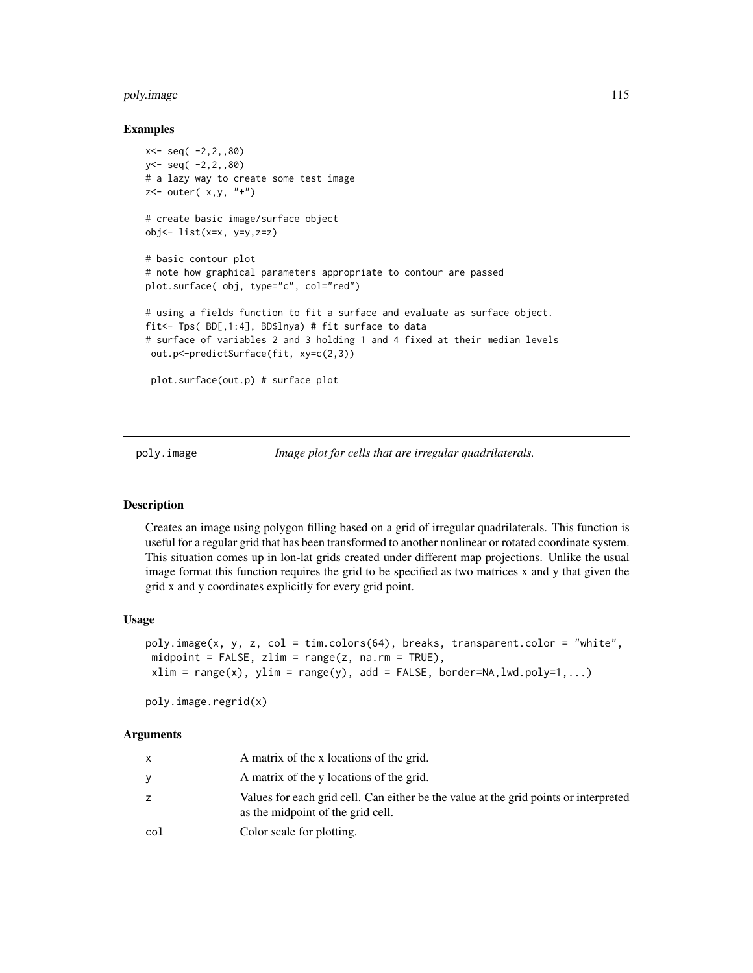# poly.image 115

#### Examples

```
x < - seq( -2, 2, 80)
y < - seq( -2, 2, 80)
# a lazy way to create some test image
z<- outer( x,y, "+")
# create basic image/surface object
obj<- list(x=x, y=y,z=z)
# basic contour plot
# note how graphical parameters appropriate to contour are passed
plot.surface( obj, type="c", col="red")
# using a fields function to fit a surface and evaluate as surface object.
fit<- Tps( BD[,1:4], BD$lnya) # fit surface to data
# surface of variables 2 and 3 holding 1 and 4 fixed at their median levels
out.p<-predictSurface(fit, xy=c(2,3))
 plot.surface(out.p) # surface plot
```
poly.image *Image plot for cells that are irregular quadrilaterals.*

# Description

Creates an image using polygon filling based on a grid of irregular quadrilaterals. This function is useful for a regular grid that has been transformed to another nonlinear or rotated coordinate system. This situation comes up in lon-lat grids created under different map projections. Unlike the usual image format this function requires the grid to be specified as two matrices x and y that given the grid x and y coordinates explicitly for every grid point.

#### Usage

```
poly.inage(x, y, z, col = tim.color(64), breaks, transparent.color = "white",midpoint = FALSE, zlim = range(z, na.rm = TRUE),
xlim = range(x), ylim = range(y), add = FALSE, border=NA, lwd.poly=1,...)
```
poly.image.regrid(x)

#### Arguments

| X   | A matrix of the x locations of the grid.                                                                                  |
|-----|---------------------------------------------------------------------------------------------------------------------------|
| y   | A matrix of the y locations of the grid.                                                                                  |
| z   | Values for each grid cell. Can either be the value at the grid points or interpreted<br>as the midpoint of the grid cell. |
| col | Color scale for plotting.                                                                                                 |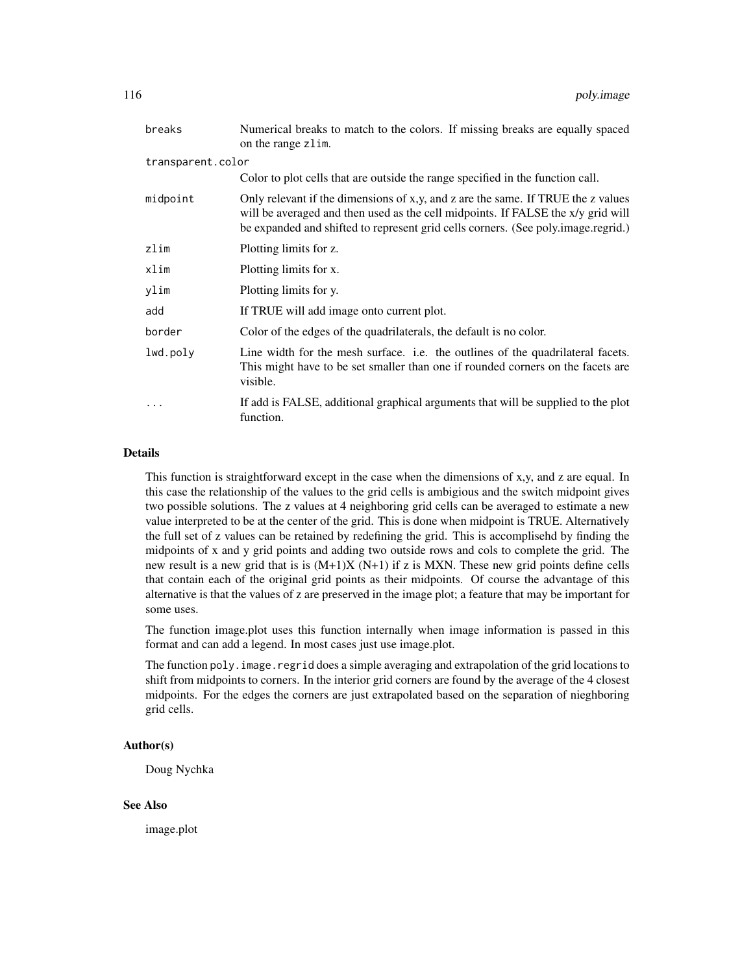| breaks            | Numerical breaks to match to the colors. If missing breaks are equally spaced<br>on the range zlim.                                                                                                                                                       |
|-------------------|-----------------------------------------------------------------------------------------------------------------------------------------------------------------------------------------------------------------------------------------------------------|
| transparent.color |                                                                                                                                                                                                                                                           |
|                   | Color to plot cells that are outside the range specified in the function call.                                                                                                                                                                            |
| midpoint          | Only relevant if the dimensions of x,y, and z are the same. If TRUE the z values<br>will be averaged and then used as the cell midpoints. If FALSE the x/y grid will<br>be expanded and shifted to represent grid cells corners. (See poly.image.regrid.) |
| zlim              | Plotting limits for z.                                                                                                                                                                                                                                    |
| xlim              | Plotting limits for x.                                                                                                                                                                                                                                    |
| ylim              | Plotting limits for y.                                                                                                                                                                                                                                    |
| add               | If TRUE will add image onto current plot.                                                                                                                                                                                                                 |
| border            | Color of the edges of the quadrilaterals, the default is no color.                                                                                                                                                                                        |
| lwd.poly          | Line width for the mesh surface. <i>i.e.</i> the outlines of the quadrilateral facets.<br>This might have to be set smaller than one if rounded corners on the facets are<br>visible.                                                                     |
| .                 | If add is FALSE, additional graphical arguments that will be supplied to the plot<br>function.                                                                                                                                                            |

# Details

This function is straightforward except in the case when the dimensions of x,y, and z are equal. In this case the relationship of the values to the grid cells is ambigious and the switch midpoint gives two possible solutions. The z values at 4 neighboring grid cells can be averaged to estimate a new value interpreted to be at the center of the grid. This is done when midpoint is TRUE. Alternatively the full set of z values can be retained by redefining the grid. This is accomplisehd by finding the midpoints of x and y grid points and adding two outside rows and cols to complete the grid. The new result is a new grid that is is  $(M+1)X(N+1)$  if z is MXN. These new grid points define cells that contain each of the original grid points as their midpoints. Of course the advantage of this alternative is that the values of z are preserved in the image plot; a feature that may be important for some uses.

The function image.plot uses this function internally when image information is passed in this format and can add a legend. In most cases just use image.plot.

The function  $poly$ . image. regrid does a simple averaging and extrapolation of the grid locations to shift from midpoints to corners. In the interior grid corners are found by the average of the 4 closest midpoints. For the edges the corners are just extrapolated based on the separation of nieghboring grid cells.

#### Author(s)

Doug Nychka

# See Also

image.plot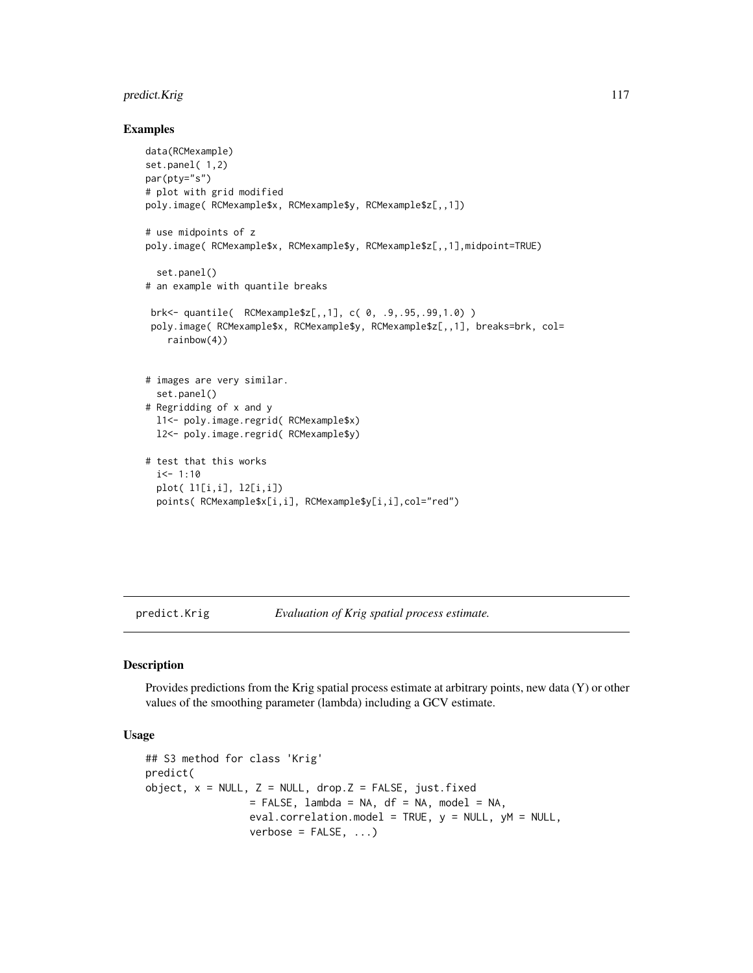# predict.Krig 117

## Examples

```
data(RCMexample)
set.panel( 1,2)
par(pty="s")
# plot with grid modified
poly.image( RCMexample$x, RCMexample$y, RCMexample$z[,,1])
# use midpoints of z
poly.image( RCMexample$x, RCMexample$y, RCMexample$z[,,1],midpoint=TRUE)
  set.panel()
# an example with quantile breaks
 brk<- quantile( RCMexample$z[,,1], c( 0, .9,.95,.99,1.0) )
 poly.image( RCMexample$x, RCMexample$y, RCMexample$z[,,1], breaks=brk, col=
    rainbow(4))
# images are very similar.
  set.panel()
# Regridding of x and y
  l1<- poly.image.regrid( RCMexample$x)
  l2<- poly.image.regrid( RCMexample$y)
# test that this works
  i <- 1:10
  plot( l1[i,i], l2[i,i])
  points( RCMexample$x[i,i], RCMexample$y[i,i],col="red")
```
predict.Krig *Evaluation of Krig spatial process estimate.*

#### Description

Provides predictions from the Krig spatial process estimate at arbitrary points, new data (Y) or other values of the smoothing parameter (lambda) including a GCV estimate.

# Usage

```
## S3 method for class 'Krig'
predict(
object, x = NULL, Z = NULL, drop.Z = FALSE, just.fixed
                 = FALSE, lambda = NA, df = NA, model = NA,
                 eval.correlation.model = TRUE, y = NULL, yM = NULL,
                 verbose = FALSE, ...)
```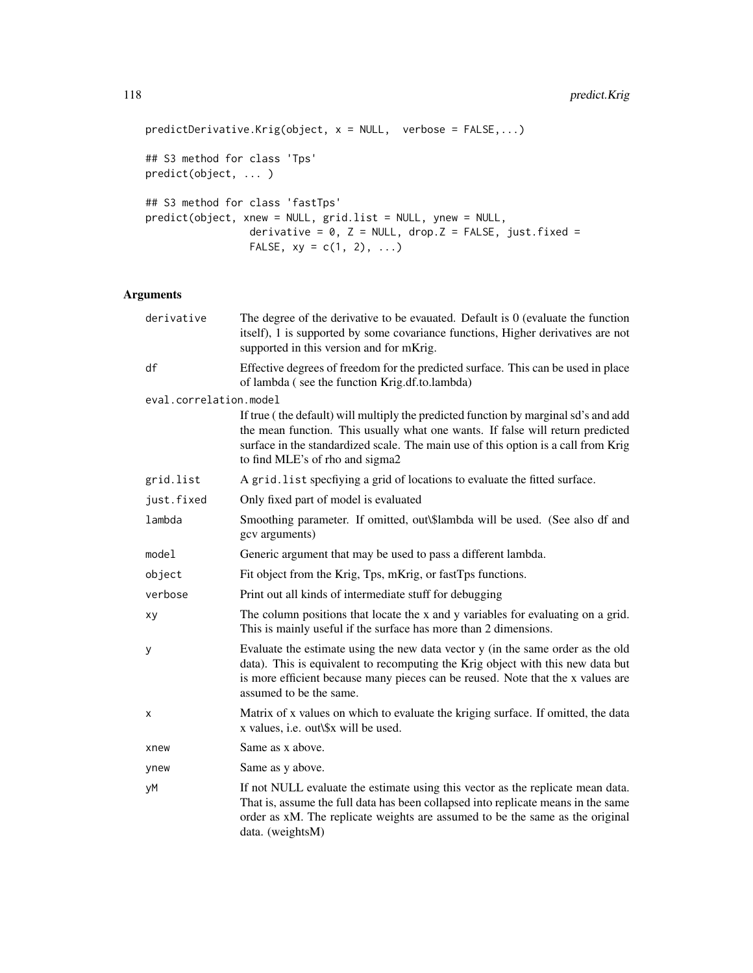```
predictDerivative.Krig(object, x = NULL, verbose = FALSE,...)
## S3 method for class 'Tps'
predict(object, ... )
## S3 method for class 'fastTps'
predict(object, xnew = NULL, grid.list = NULL, ynew = NULL,
                 derivative = 0, Z = NULL, drop. Z = FALSE, just. fixed =
                 FALSE, xy = c(1, 2), ...
```
# Arguments

| derivative             | The degree of the derivative to be evaluated. Default is $0$ (evaluate the function<br>itself), 1 is supported by some covariance functions, Higher derivatives are not<br>supported in this version and for mKrig.                                                                            |
|------------------------|------------------------------------------------------------------------------------------------------------------------------------------------------------------------------------------------------------------------------------------------------------------------------------------------|
| df                     | Effective degrees of freedom for the predicted surface. This can be used in place<br>of lambda (see the function Krig.df.to.lambda)                                                                                                                                                            |
| eval.correlation.model |                                                                                                                                                                                                                                                                                                |
|                        | If true (the default) will multiply the predicted function by marginal sd's and add<br>the mean function. This usually what one wants. If false will return predicted<br>surface in the standardized scale. The main use of this option is a call from Krig<br>to find MLE's of rho and sigma2 |
| grid.list              | A grid. list specfiying a grid of locations to evaluate the fitted surface.                                                                                                                                                                                                                    |
| just.fixed             | Only fixed part of model is evaluated                                                                                                                                                                                                                                                          |
| lambda                 | Smoothing parameter. If omitted, out\\$lambda will be used. (See also df and<br>gcv arguments)                                                                                                                                                                                                 |
| model                  | Generic argument that may be used to pass a different lambda.                                                                                                                                                                                                                                  |
| object                 | Fit object from the Krig, Tps, mKrig, or fastTps functions.                                                                                                                                                                                                                                    |
| verbose                | Print out all kinds of intermediate stuff for debugging                                                                                                                                                                                                                                        |
| хy                     | The column positions that locate the x and y variables for evaluating on a grid.<br>This is mainly useful if the surface has more than 2 dimensions.                                                                                                                                           |
| y                      | Evaluate the estimate using the new data vector y (in the same order as the old<br>data). This is equivalent to recomputing the Krig object with this new data but<br>is more efficient because many pieces can be reused. Note that the x values are<br>assumed to be the same.               |
| Χ                      | Matrix of x values on which to evaluate the kriging surface. If omitted, the data<br>x values, i.e. out\\$x will be used.                                                                                                                                                                      |
| xnew                   | Same as x above.                                                                                                                                                                                                                                                                               |
| ynew                   | Same as y above.                                                                                                                                                                                                                                                                               |
| уM                     | If not NULL evaluate the estimate using this vector as the replicate mean data.<br>That is, assume the full data has been collapsed into replicate means in the same<br>order as xM. The replicate weights are assumed to be the same as the original<br>data. (weightsM)                      |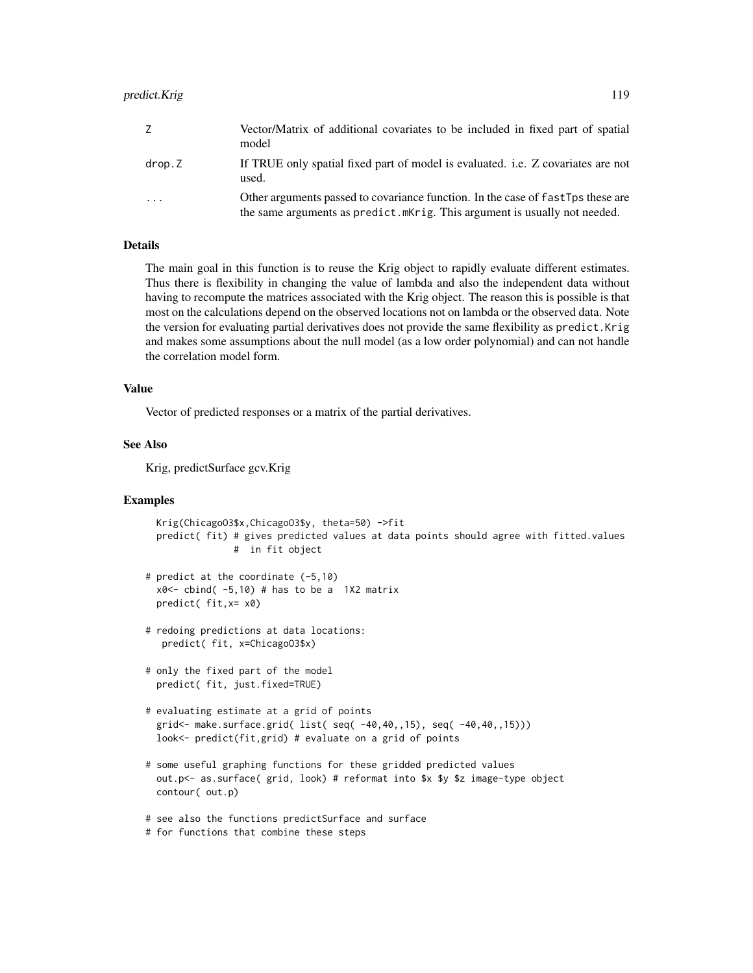| Z      | Vector/Matrix of additional covariates to be included in fixed part of spatial<br>model                                                                       |
|--------|---------------------------------------------------------------------------------------------------------------------------------------------------------------|
| drop.Z | If TRUE only spatial fixed part of model is evaluated. i.e. Z covariates are not<br>used.                                                                     |
| .      | Other arguments passed to covariance function. In the case of fast Tps these are<br>the same arguments as predict.mKrig. This argument is usually not needed. |

# Details

The main goal in this function is to reuse the Krig object to rapidly evaluate different estimates. Thus there is flexibility in changing the value of lambda and also the independent data without having to recompute the matrices associated with the Krig object. The reason this is possible is that most on the calculations depend on the observed locations not on lambda or the observed data. Note the version for evaluating partial derivatives does not provide the same flexibility as predict.Krig and makes some assumptions about the null model (as a low order polynomial) and can not handle the correlation model form.

#### Value

Vector of predicted responses or a matrix of the partial derivatives.

# See Also

Krig, predictSurface gcv.Krig

```
Krig(ChicagoO3$x,ChicagoO3$y, theta=50) ->fit
predict( fit) # gives predicted values at data points should agree with fitted.values
              # in fit object
```

```
# predict at the coordinate (-5,10)
 x0 < - cbind(-5,10) # has to be a 1X2 matrix
 predict( fit,x= x0)
```
- # redoing predictions at data locations: predict( fit, x=ChicagoO3\$x)
- # only the fixed part of the model predict( fit, just.fixed=TRUE)
- # evaluating estimate at a grid of points grid<- make.surface.grid( list( seq( -40,40,,15), seq( -40,40,,15))) look<- predict(fit,grid) # evaluate on a grid of points
- # some useful graphing functions for these gridded predicted values out.p<- as.surface( grid, look) # reformat into \$x \$y \$z image-type object contour( out.p)

```
# see also the functions predictSurface and surface
# for functions that combine these steps
```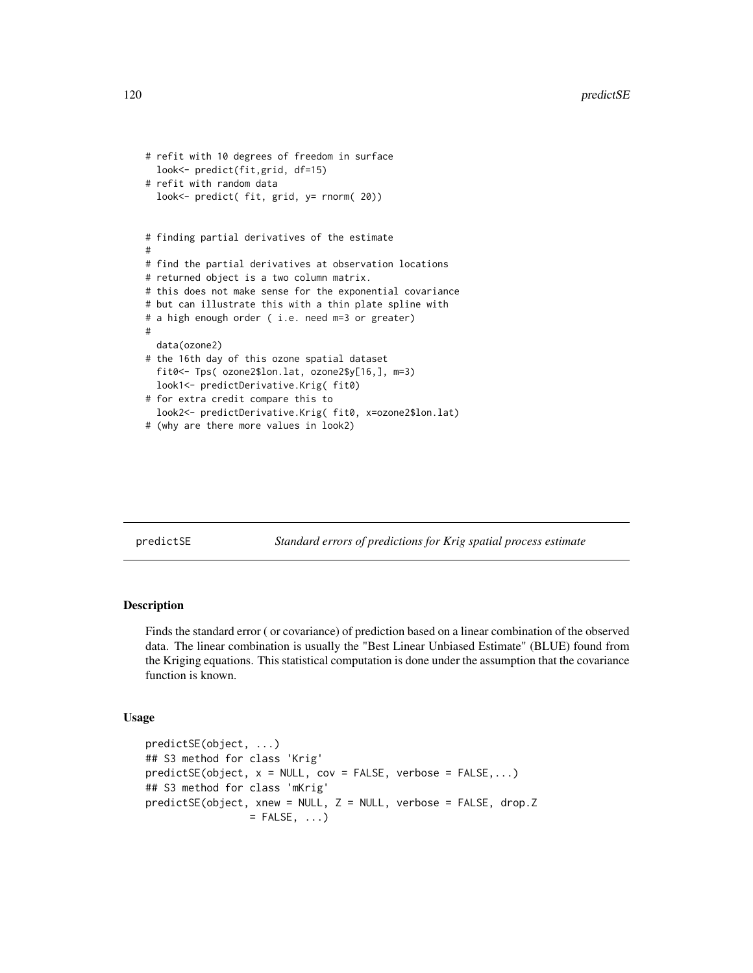```
# refit with 10 degrees of freedom in surface
 look<- predict(fit,grid, df=15)
# refit with random data
 look<- predict( fit, grid, y= rnorm( 20))
# finding partial derivatives of the estimate
#
# find the partial derivatives at observation locations
# returned object is a two column matrix.
# this does not make sense for the exponential covariance
# but can illustrate this with a thin plate spline with
# a high enough order ( i.e. need m=3 or greater)
#
 data(ozone2)
# the 16th day of this ozone spatial dataset
 fit0<- Tps( ozone2$lon.lat, ozone2$y[16,], m=3)
 look1<- predictDerivative.Krig( fit0)
# for extra credit compare this to
 look2<- predictDerivative.Krig( fit0, x=ozone2$lon.lat)
# (why are there more values in look2)
```
predictSE *Standard errors of predictions for Krig spatial process estimate*

## Description

Finds the standard error ( or covariance) of prediction based on a linear combination of the observed data. The linear combination is usually the "Best Linear Unbiased Estimate" (BLUE) found from the Kriging equations. This statistical computation is done under the assumption that the covariance function is known.

#### Usage

```
predictSE(object, ...)
## S3 method for class 'Krig'
predictSE(object, x = NULL, cov = FALSE, verbose = FALSE,...)## S3 method for class 'mKrig'
predictSE(object, xnew = NULL, Z = NULL, verbose = FALSE, drop.Z
                 = FALSE, \ldots)
```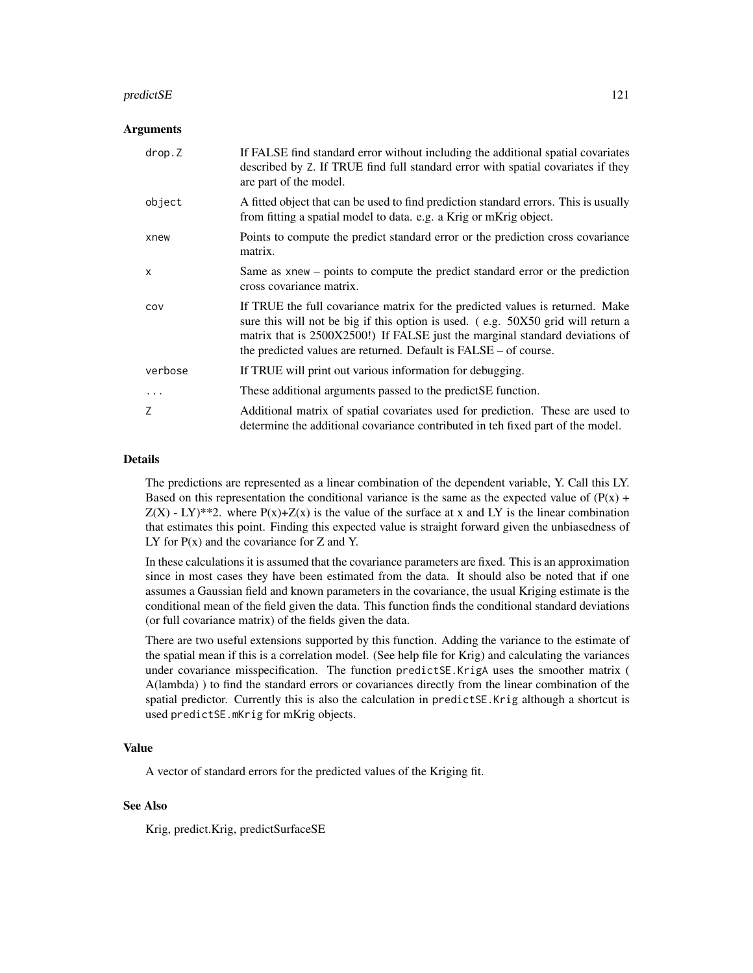#### predictSE 121

#### Arguments

| drop.Z         | If FALSE find standard error without including the additional spatial covariates<br>described by Z. If TRUE find full standard error with spatial covariates if they<br>are part of the model.                                                                                                                        |
|----------------|-----------------------------------------------------------------------------------------------------------------------------------------------------------------------------------------------------------------------------------------------------------------------------------------------------------------------|
| object         | A fitted object that can be used to find prediction standard errors. This is usually<br>from fitting a spatial model to data. e.g. a Krig or mKrig object.                                                                                                                                                            |
| xnew           | Points to compute the predict standard error or the prediction cross covariance<br>matrix.                                                                                                                                                                                                                            |
| $\mathsf{x}$   | Same as xnew – points to compute the predict standard error or the prediction<br>cross covariance matrix.                                                                                                                                                                                                             |
| COV            | If TRUE the full covariance matrix for the predicted values is returned. Make<br>sure this will not be big if this option is used. (e.g. 50X50 grid will return a<br>matrix that is 2500X2500!) If FALSE just the marginal standard deviations of<br>the predicted values are returned. Default is FALSE – of course. |
| verbose        | If TRUE will print out various information for debugging.                                                                                                                                                                                                                                                             |
| $\ddots$       | These additional arguments passed to the predict SE function.                                                                                                                                                                                                                                                         |
| $\overline{7}$ | Additional matrix of spatial covariates used for prediction. These are used to<br>determine the additional covariance contributed in teh fixed part of the model.                                                                                                                                                     |

#### Details

The predictions are represented as a linear combination of the dependent variable, Y. Call this LY. Based on this representation the conditional variance is the same as the expected value of  $(P(x) + P(y))$  $Z(X)$  - LY)<sup>\*\*</sup>2. where  $P(x)+Z(x)$  is the value of the surface at x and LY is the linear combination that estimates this point. Finding this expected value is straight forward given the unbiasedness of LY for  $P(x)$  and the covariance for Z and Y.

In these calculations it is assumed that the covariance parameters are fixed. This is an approximation since in most cases they have been estimated from the data. It should also be noted that if one assumes a Gaussian field and known parameters in the covariance, the usual Kriging estimate is the conditional mean of the field given the data. This function finds the conditional standard deviations (or full covariance matrix) of the fields given the data.

There are two useful extensions supported by this function. Adding the variance to the estimate of the spatial mean if this is a correlation model. (See help file for Krig) and calculating the variances under covariance misspecification. The function predictSE.KrigA uses the smoother matrix ( A(lambda) ) to find the standard errors or covariances directly from the linear combination of the spatial predictor. Currently this is also the calculation in predictSE.Krig although a shortcut is used predictSE.mKrig for mKrig objects.

#### Value

A vector of standard errors for the predicted values of the Kriging fit.

## See Also

Krig, predict.Krig, predictSurfaceSE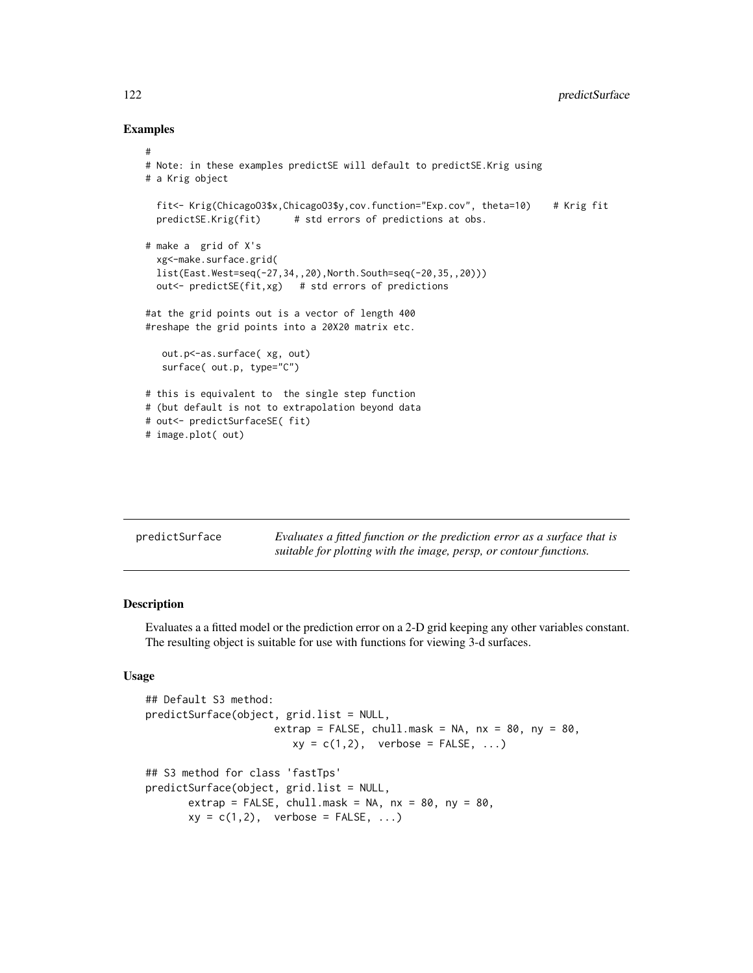## Examples

```
#
# Note: in these examples predictSE will default to predictSE.Krig using
# a Krig object
 fit<- Krig(ChicagoO3$x,ChicagoO3$y,cov.function="Exp.cov", theta=10) # Krig fit
 predictSE.Krig(fit) # std errors of predictions at obs.
# make a grid of X's
 xg<-make.surface.grid(
 list(East.West=seq(-27,34,,20),North.South=seq(-20,35,,20)))
 out<- predictSE(fit,xg) # std errors of predictions
#at the grid points out is a vector of length 400
#reshape the grid points into a 20X20 matrix etc.
  out.p<-as.surface( xg, out)
  surface( out.p, type="C")
# this is equivalent to the single step function
# (but default is not to extrapolation beyond data
# out<- predictSurfaceSE( fit)
```

| predictSurface | Evaluates a fitted function or the prediction error as a surface that is<br>suitable for plotting with the image, persp, or contour functions. |
|----------------|------------------------------------------------------------------------------------------------------------------------------------------------|
|                |                                                                                                                                                |

# Description

# image.plot( out)

Evaluates a a fitted model or the prediction error on a 2-D grid keeping any other variables constant. The resulting object is suitable for use with functions for viewing 3-d surfaces.

# Usage

```
## Default S3 method:
predictSurface(object, grid.list = NULL,
                     extrap = FALSE, chull.mask = NA, nx = 80, ny = 80,
                        xy = c(1,2), verbose = FALSE, ...)
## S3 method for class 'fastTps'
predictSurface(object, grid.list = NULL,
      extrap = FALSE, chull.mask = NA, nx = 80, ny = 80,
       xy = c(1,2), verbose = FALSE, ...)
```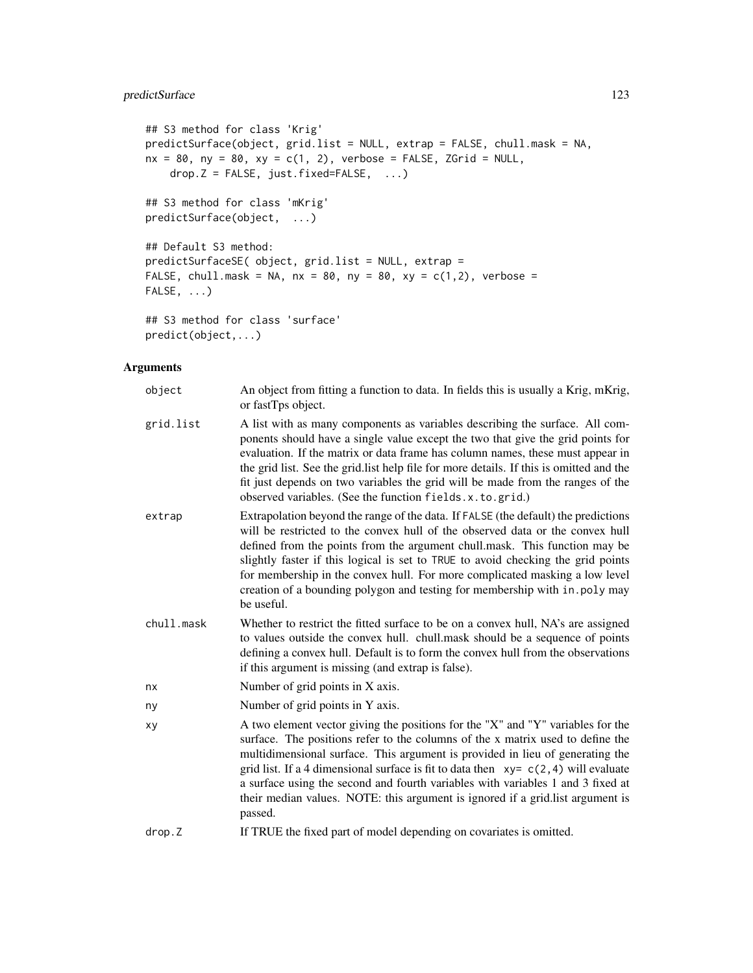# predictSurface 123

```
## S3 method for class 'Krig'
predictSurface(object, grid.list = NULL, extrap = FALSE, chull.mask = NA,
nx = 80, ny = 80, xy = c(1, 2), verbose = FALSE, ZGrid = NULL,
    drop.Z = FALSE, just.fixed=FALSE, ...)
## S3 method for class 'mKrig'
predictSurface(object, ...)
## Default S3 method:
predictSurfaceSE( object, grid.list = NULL, extrap =
FALSE, chull.mask = NA, nx = 80, ny = 80, xy = c(1,2), verbose =
FALSE, \ldots)
## S3 method for class 'surface'
```
predict(object,...)

# Arguments

| object     | An object from fitting a function to data. In fields this is usually a Krig, mKrig,<br>or fastTps object.                                                                                                                                                                                                                                                                                                                                                                                                                    |
|------------|------------------------------------------------------------------------------------------------------------------------------------------------------------------------------------------------------------------------------------------------------------------------------------------------------------------------------------------------------------------------------------------------------------------------------------------------------------------------------------------------------------------------------|
| grid.list  | A list with as many components as variables describing the surface. All com-<br>ponents should have a single value except the two that give the grid points for<br>evaluation. If the matrix or data frame has column names, these must appear in<br>the grid list. See the grid.list help file for more details. If this is omitted and the<br>fit just depends on two variables the grid will be made from the ranges of the<br>observed variables. (See the function fields.x.to.grid.)                                   |
| extrap     | Extrapolation beyond the range of the data. If FALSE (the default) the predictions<br>will be restricted to the convex hull of the observed data or the convex hull<br>defined from the points from the argument chull.mask. This function may be<br>slightly faster if this logical is set to TRUE to avoid checking the grid points<br>for membership in the convex hull. For more complicated masking a low level<br>creation of a bounding polygon and testing for membership with in. poly may<br>be useful.            |
| chull.mask | Whether to restrict the fitted surface to be on a convex hull, NA's are assigned<br>to values outside the convex hull. chull.mask should be a sequence of points<br>defining a convex hull. Default is to form the convex hull from the observations<br>if this argument is missing (and extrap is false).                                                                                                                                                                                                                   |
| nx         | Number of grid points in X axis.                                                                                                                                                                                                                                                                                                                                                                                                                                                                                             |
| ny         | Number of grid points in Y axis.                                                                                                                                                                                                                                                                                                                                                                                                                                                                                             |
| хy         | A two element vector giving the positions for the "X" and "Y" variables for the<br>surface. The positions refer to the columns of the x matrix used to define the<br>multidimensional surface. This argument is provided in lieu of generating the<br>grid list. If a 4 dimensional surface is fit to data then $xy = c(2, 4)$ will evaluate<br>a surface using the second and fourth variables with variables 1 and 3 fixed at<br>their median values. NOTE: this argument is ignored if a grid.list argument is<br>passed. |
| drop.Z     | If TRUE the fixed part of model depending on covariates is omitted.                                                                                                                                                                                                                                                                                                                                                                                                                                                          |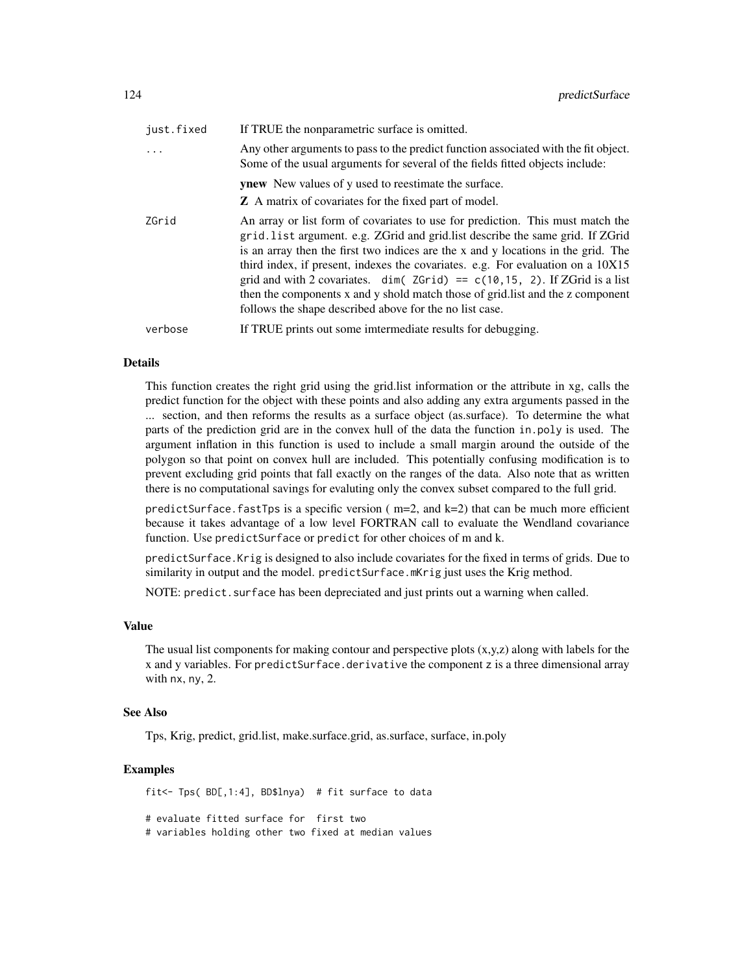| just.fixed | If TRUE the nonparametric surface is omitted.                                                                                                                                                                                                                                                                                                                                                                                                                                                                                                                                   |
|------------|---------------------------------------------------------------------------------------------------------------------------------------------------------------------------------------------------------------------------------------------------------------------------------------------------------------------------------------------------------------------------------------------------------------------------------------------------------------------------------------------------------------------------------------------------------------------------------|
| $\cdot$    | Any other arguments to pass to the predict function associated with the fit object.<br>Some of the usual arguments for several of the fields fitted objects include:                                                                                                                                                                                                                                                                                                                                                                                                            |
|            | <b>ynew</b> New values of y used to reestimate the surface.                                                                                                                                                                                                                                                                                                                                                                                                                                                                                                                     |
|            | <b>Z</b> A matrix of covariates for the fixed part of model.                                                                                                                                                                                                                                                                                                                                                                                                                                                                                                                    |
| ZGrid      | An array or list form of covariates to use for prediction. This must match the<br>grid. list argument. e.g. ZGrid and grid. list describe the same grid. If ZGrid<br>is an array then the first two indices are the x and y locations in the grid. The<br>third index, if present, indexes the covariates. e.g. For evaluation on a $10X15$<br>grid and with 2 covariates. dim( $ZGrid$ ) == $c(10, 15, 2)$ . If ZGrid is a list<br>then the components x and y shold match those of grid. I ist and the z component<br>follows the shape described above for the no list case. |
| verbose    | If TRUE prints out some imtermediate results for debugging.                                                                                                                                                                                                                                                                                                                                                                                                                                                                                                                     |

#### Details

This function creates the right grid using the grid.list information or the attribute in xg, calls the predict function for the object with these points and also adding any extra arguments passed in the ... section, and then reforms the results as a surface object (as.surface). To determine the what parts of the prediction grid are in the convex hull of the data the function in.poly is used. The argument inflation in this function is used to include a small margin around the outside of the polygon so that point on convex hull are included. This potentially confusing modification is to prevent excluding grid points that fall exactly on the ranges of the data. Also note that as written there is no computational savings for evaluting only the convex subset compared to the full grid.

predictSurface. fastTps is a specific version ( $m=2$ , and  $k=2$ ) that can be much more efficient because it takes advantage of a low level FORTRAN call to evaluate the Wendland covariance function. Use predictSurface or predict for other choices of m and k.

predictSurface.Krig is designed to also include covariates for the fixed in terms of grids. Due to similarity in output and the model. predictSurface.mKrig just uses the Krig method.

NOTE: predict.surface has been depreciated and just prints out a warning when called.

#### Value

The usual list components for making contour and perspective plots  $(x,y,z)$  along with labels for the x and y variables. For predict Surface derivative the component  $z$  is a three dimensional array with nx, ny, 2.

#### See Also

Tps, Krig, predict, grid.list, make.surface.grid, as.surface, surface, in.poly

#### Examples

fit<- Tps( BD[,1:4], BD\$lnya) # fit surface to data # evaluate fitted surface for first two # variables holding other two fixed at median values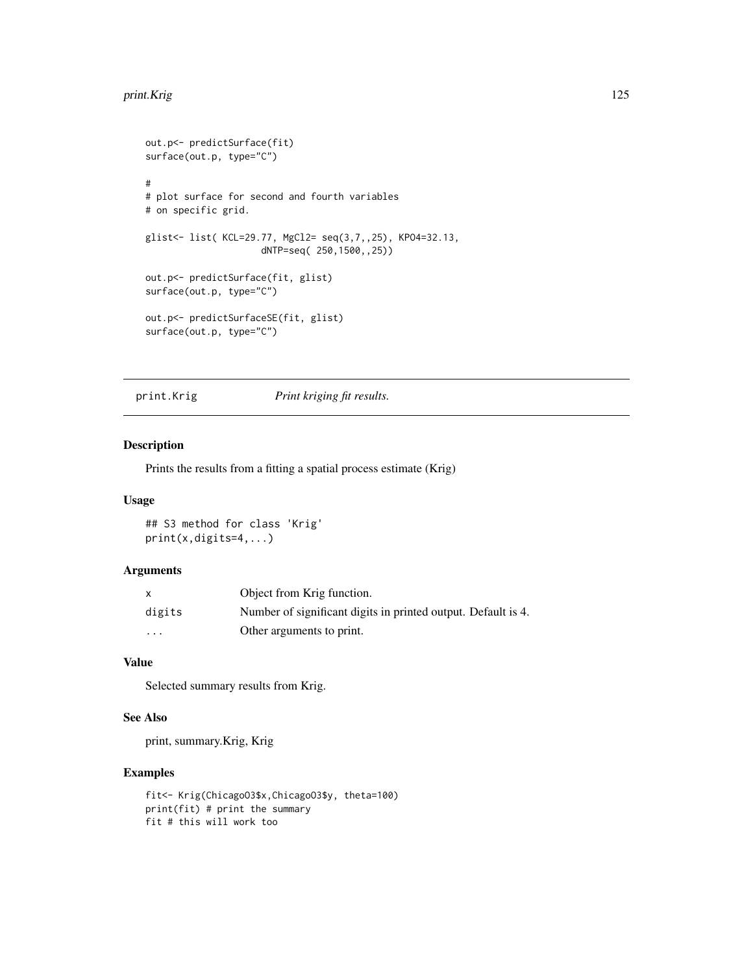#### print.Krig the contract of the contract of the contract of the contract of the contract of the contract of the contract of the contract of the contract of the contract of the contract of the contract of the contract of the

```
out.p<- predictSurface(fit)
surface(out.p, type="C")
#
# plot surface for second and fourth variables
# on specific grid.
glist<- list( KCL=29.77, MgCl2= seq(3,7,,25), KPO4=32.13,
                     dNTP=seq( 250,1500,,25))
out.p<- predictSurface(fit, glist)
surface(out.p, type="C")
out.p<- predictSurfaceSE(fit, glist)
surface(out.p, type="C")
```
print.Krig *Print kriging fit results.*

# Description

Prints the results from a fitting a spatial process estimate (Krig)

# Usage

## S3 method for class 'Krig' print(x,digits=4,...)

#### Arguments

|                         | Object from Krig function.                                    |
|-------------------------|---------------------------------------------------------------|
| digits                  | Number of significant digits in printed output. Default is 4. |
| $\cdot$ $\cdot$ $\cdot$ | Other arguments to print.                                     |

# Value

Selected summary results from Krig.

# See Also

print, summary.Krig, Krig

```
fit<- Krig(ChicagoO3$x,ChicagoO3$y, theta=100)
print(fit) # print the summary
fit # this will work too
```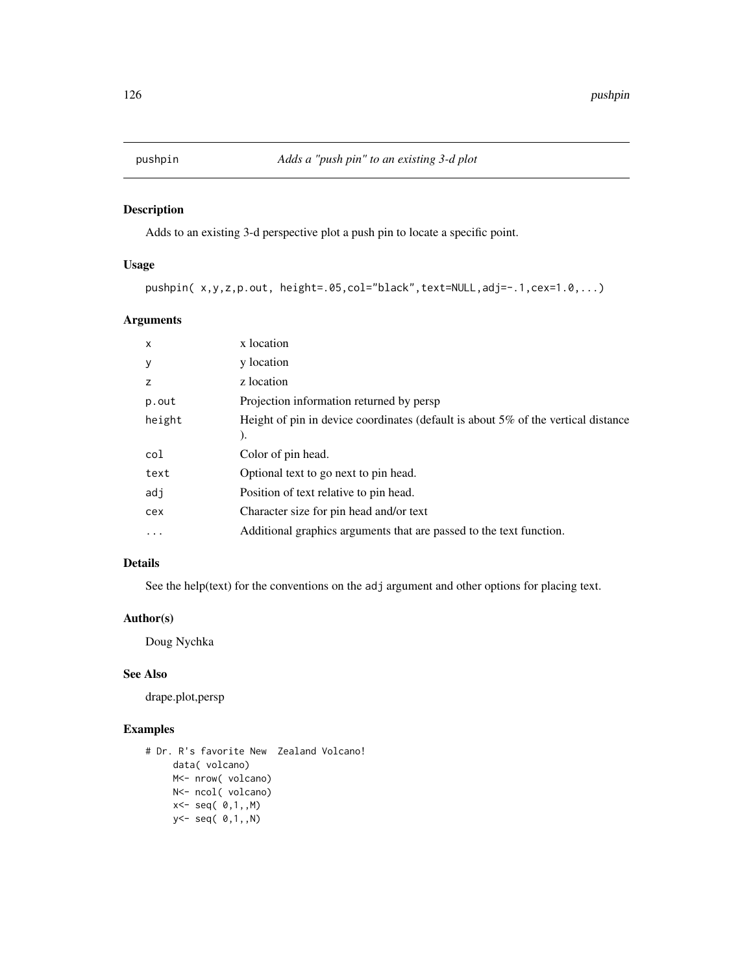# Description

Adds to an existing 3-d perspective plot a push pin to locate a specific point.

# Usage

```
pushpin( x,y,z,p.out, height=.05,col="black",text=NULL,adj=-.1,cex=1.0,...)
```
# Arguments

| $\times$ | x location                                                                                         |
|----------|----------------------------------------------------------------------------------------------------|
| y        | y location                                                                                         |
| z        | z location                                                                                         |
| p.out    | Projection information returned by persp                                                           |
| height   | Height of pin in device coordinates (default is about 5% of the vertical distance<br>$\mathbf{).}$ |
| col      | Color of pin head.                                                                                 |
| text     | Optional text to go next to pin head.                                                              |
| adj      | Position of text relative to pin head.                                                             |
| cex      | Character size for pin head and/or text                                                            |
| $\cdot$  | Additional graphics arguments that are passed to the text function.                                |

# Details

See the help(text) for the conventions on the adj argument and other options for placing text.

# Author(s)

Doug Nychka

# See Also

drape.plot,persp

```
# Dr. R's favorite New Zealand Volcano!
    data( volcano)
    M<- nrow( volcano)
    N<- ncol( volcano)
    x < - seq( 0,1,,M)
    y<- seq( 0,1,,N)
```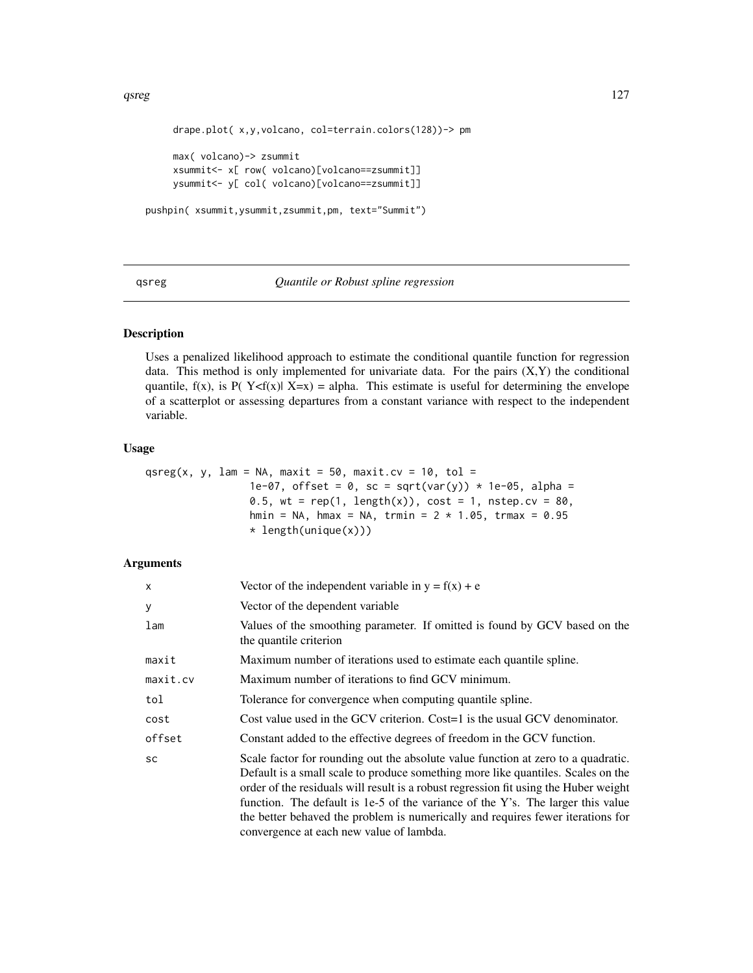```
drape.plot( x,y,volcano, col=terrain.colors(128))-> pm
     max( volcano)-> zsummit
     xsummit<- x[ row( volcano)[volcano==zsummit]]
    ysummit<- y[ col( volcano)[volcano==zsummit]]
pushpin( xsummit,ysummit,zsummit,pm, text="Summit")
```
qsreg *Quantile or Robust spline regression*

#### Description

Uses a penalized likelihood approach to estimate the conditional quantile function for regression data. This method is only implemented for univariate data. For the pairs  $(X,Y)$  the conditional quantile,  $f(x)$ , is P(  $Y \le f(x)$ )  $X=x$ ) = alpha. This estimate is useful for determining the envelope of a scatterplot or assessing departures from a constant variance with respect to the independent variable.

#### Usage

```
qsreg(x, y, lam = NA, maxit = 50, maxit.cv = 10, tol =
                 1e-07, offset = 0, sc = sqrt(var(y)) * 1e-05, alpha =
                 0.5, wt = rep(1, length(x)), cost = 1, nstep.cv = 80,hmin = NA, hmax = NA, trmin = 2 * 1.05, trmax = 0.95
                 * length(unique(x)))
```
#### Arguments

| x         | Vector of the independent variable in $y = f(x) + e$                                                                                                                                                                                                                                                                                                                                                                                                                            |
|-----------|---------------------------------------------------------------------------------------------------------------------------------------------------------------------------------------------------------------------------------------------------------------------------------------------------------------------------------------------------------------------------------------------------------------------------------------------------------------------------------|
| у         | Vector of the dependent variable                                                                                                                                                                                                                                                                                                                                                                                                                                                |
| lam       | Values of the smoothing parameter. If omitted is found by GCV based on the<br>the quantile criterion                                                                                                                                                                                                                                                                                                                                                                            |
| maxit     | Maximum number of iterations used to estimate each quantile spline.                                                                                                                                                                                                                                                                                                                                                                                                             |
| maxit.cv  | Maximum number of iterations to find GCV minimum.                                                                                                                                                                                                                                                                                                                                                                                                                               |
| tol       | Tolerance for convergence when computing quantile spline.                                                                                                                                                                                                                                                                                                                                                                                                                       |
| cost      | Cost value used in the GCV criterion. Cost=1 is the usual GCV denominator.                                                                                                                                                                                                                                                                                                                                                                                                      |
| offset    | Constant added to the effective degrees of freedom in the GCV function.                                                                                                                                                                                                                                                                                                                                                                                                         |
| <b>SC</b> | Scale factor for rounding out the absolute value function at zero to a quadratic.<br>Default is a small scale to produce something more like quantiles. Scales on the<br>order of the residuals will result is a robust regression fit using the Huber weight<br>function. The default is 1e-5 of the variance of the Y's. The larger this value<br>the better behaved the problem is numerically and requires fewer iterations for<br>convergence at each new value of lambda. |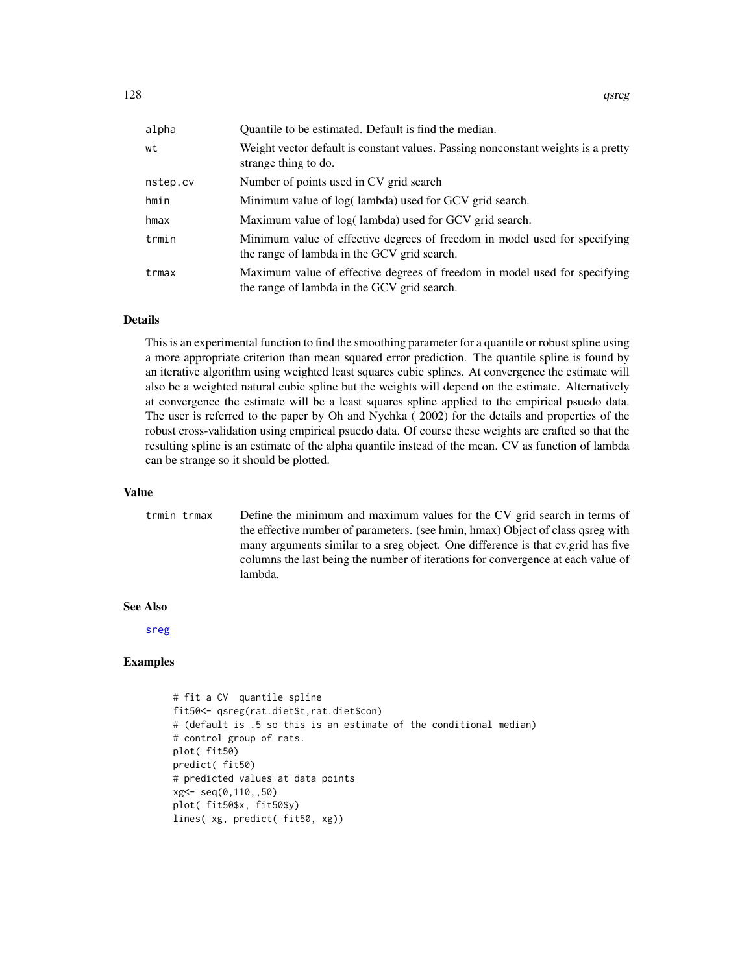| alpha    | Quantile to be estimated. Default is find the median.                                                                     |
|----------|---------------------------------------------------------------------------------------------------------------------------|
| wt       | Weight vector default is constant values. Passing nonconstant weights is a pretty<br>strange thing to do.                 |
| nstep.cv | Number of points used in CV grid search                                                                                   |
| hmin     | Minimum value of log(lambda) used for GCV grid search.                                                                    |
| hmax     | Maximum value of log(lambda) used for GCV grid search.                                                                    |
| trmin    | Minimum value of effective degrees of freedom in model used for specifying<br>the range of lambda in the GCV grid search. |
| trmax    | Maximum value of effective degrees of freedom in model used for specifying<br>the range of lambda in the GCV grid search. |

## Details

This is an experimental function to find the smoothing parameter for a quantile or robust spline using a more appropriate criterion than mean squared error prediction. The quantile spline is found by an iterative algorithm using weighted least squares cubic splines. At convergence the estimate will also be a weighted natural cubic spline but the weights will depend on the estimate. Alternatively at convergence the estimate will be a least squares spline applied to the empirical psuedo data. The user is referred to the paper by Oh and Nychka ( 2002) for the details and properties of the robust cross-validation using empirical psuedo data. Of course these weights are crafted so that the resulting spline is an estimate of the alpha quantile instead of the mean. CV as function of lambda can be strange so it should be plotted.

#### Value

trmin trmax Define the minimum and maximum values for the CV grid search in terms of the effective number of parameters. (see hmin, hmax) Object of class qsreg with many arguments similar to a sreg object. One difference is that cv.grid has five columns the last being the number of iterations for convergence at each value of lambda.

## See Also

[sreg](#page-168-0)

```
# fit a CV quantile spline
fit50<- qsreg(rat.diet$t,rat.diet$con)
# (default is .5 so this is an estimate of the conditional median)
# control group of rats.
plot( fit50)
predict( fit50)
# predicted values at data points
xg<- seq(0,110,,50)
plot( fit50$x, fit50$y)
lines( xg, predict( fit50, xg))
```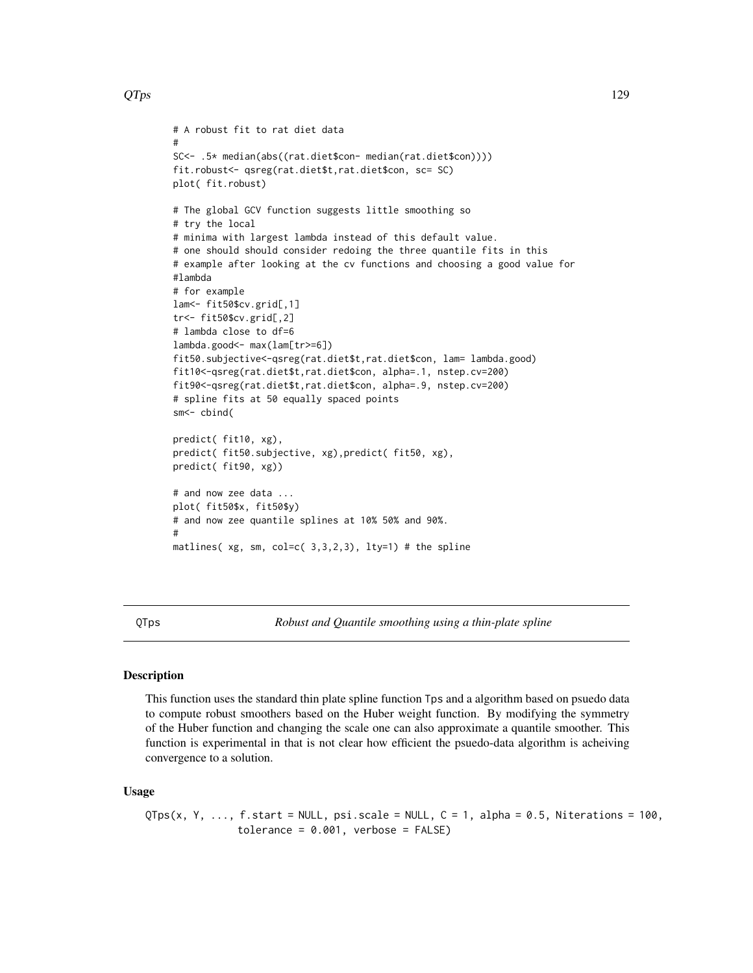```
# A robust fit to rat diet data
#
SC<- .5* median(abs((rat.diet$con- median(rat.diet$con))))
fit.robust<- qsreg(rat.diet$t,rat.diet$con, sc= SC)
plot( fit.robust)
# The global GCV function suggests little smoothing so
# try the local
# minima with largest lambda instead of this default value.
# one should should consider redoing the three quantile fits in this
# example after looking at the cv functions and choosing a good value for
#lambda
# for example
lam<- fit50$cv.grid[,1]
tr<- fit50$cv.grid[,2]
# lambda close to df=6
lambda.good<- max(lam[tr>=6])
fit50.subjective<-qsreg(rat.diet$t,rat.diet$con, lam= lambda.good)
fit10<-qsreg(rat.diet$t,rat.diet$con, alpha=.1, nstep.cv=200)
fit90<-qsreg(rat.diet$t,rat.diet$con, alpha=.9, nstep.cv=200)
# spline fits at 50 equally spaced points
sm<- cbind(
predict( fit10, xg),
predict( fit50.subjective, xg),predict( fit50, xg),
predict( fit90, xg))
# and now zee data ...
plot( fit50$x, fit50$y)
# and now zee quantile splines at 10% 50% and 90%.
#
matlines(xg, sm, col=c(3,3,2,3), lty=1) # the spline
```
QTps *Robust and Quantile smoothing using a thin-plate spline*

# **Description**

This function uses the standard thin plate spline function Tps and a algorithm based on psuedo data to compute robust smoothers based on the Huber weight function. By modifying the symmetry of the Huber function and changing the scale one can also approximate a quantile smoother. This function is experimental in that is not clear how efficient the psuedo-data algorithm is acheiving convergence to a solution.

## Usage

$$
QTps(x, Y, \ldots, f.start = NULL, psi-scale = NULL, C = 1, alpha = 0.5, Niterations = 100, tolerance = 0.001, verbose = FALSE)
$$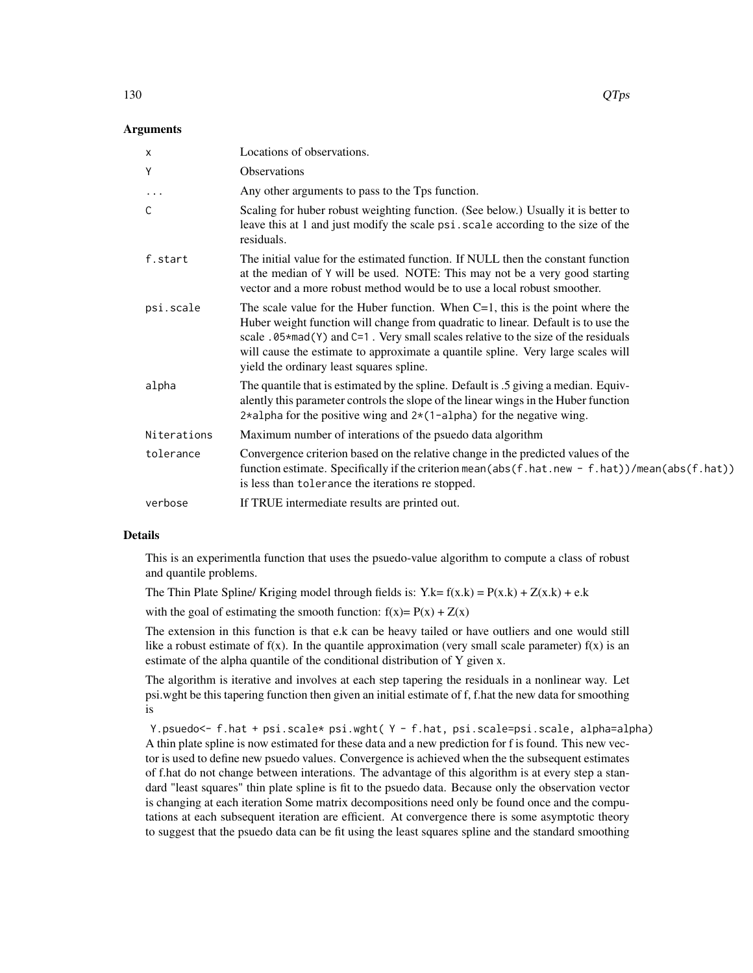# Arguments

| $\times$    | Locations of observations.                                                                                                                                                                                                                                                                                                                                                                 |
|-------------|--------------------------------------------------------------------------------------------------------------------------------------------------------------------------------------------------------------------------------------------------------------------------------------------------------------------------------------------------------------------------------------------|
| Υ           | <b>Observations</b>                                                                                                                                                                                                                                                                                                                                                                        |
| $\ddotsc$   | Any other arguments to pass to the Tps function.                                                                                                                                                                                                                                                                                                                                           |
| C           | Scaling for huber robust weighting function. (See below.) Usually it is better to<br>leave this at 1 and just modify the scale psi. scale according to the size of the<br>residuals.                                                                                                                                                                                                       |
| f.start     | The initial value for the estimated function. If NULL then the constant function<br>at the median of Y will be used. NOTE: This may not be a very good starting<br>vector and a more robust method would be to use a local robust smoother.                                                                                                                                                |
| psi.scale   | The scale value for the Huber function. When $C=1$ , this is the point where the<br>Huber weight function will change from quadratic to linear. Default is to use the<br>scale .05*mad(Y) and C=1. Very small scales relative to the size of the residuals<br>will cause the estimate to approximate a quantile spline. Very large scales will<br>yield the ordinary least squares spline. |
| alpha       | The quantile that is estimated by the spline. Default is .5 giving a median. Equiv-<br>alently this parameter controls the slope of the linear wings in the Huber function<br>2*alpha for the positive wing and $2*(1-\alpha)$ for the negative wing.                                                                                                                                      |
| Niterations | Maximum number of interations of the psuedo data algorithm                                                                                                                                                                                                                                                                                                                                 |
| tolerance   | Convergence criterion based on the relative change in the predicted values of the<br>function estimate. Specifically if the criterion mean (abs( $f$ .hat.new - $f$ .hat))/mean(abs( $f$ .hat))<br>is less than tolerance the iterations re stopped.                                                                                                                                       |
| verbose     | If TRUE intermediate results are printed out.                                                                                                                                                                                                                                                                                                                                              |

# Details

This is an experimentla function that uses the psuedo-value algorithm to compute a class of robust and quantile problems.

The Thin Plate Spline/ Kriging model through fields is:  $Y.k = f(x.k) = P(x.k) + Z(x.k) + e.k$ 

with the goal of estimating the smooth function:  $f(x) = P(x) + Z(x)$ 

The extension in this function is that e.k can be heavy tailed or have outliers and one would still like a robust estimate of  $f(x)$ . In the quantile approximation (very small scale parameter)  $f(x)$  is an estimate of the alpha quantile of the conditional distribution of Y given x.

The algorithm is iterative and involves at each step tapering the residuals in a nonlinear way. Let psi.wght be this tapering function then given an initial estimate of f, f.hat the new data for smoothing is

Y.psuedo<- f.hat + psi.scale\* psi.wght( Y - f.hat, psi.scale=psi.scale, alpha=alpha) A thin plate spline is now estimated for these data and a new prediction for f is found. This new vector is used to define new psuedo values. Convergence is achieved when the the subsequent estimates of f.hat do not change between interations. The advantage of this algorithm is at every step a standard "least squares" thin plate spline is fit to the psuedo data. Because only the observation vector is changing at each iteration Some matrix decompositions need only be found once and the computations at each subsequent iteration are efficient. At convergence there is some asymptotic theory to suggest that the psuedo data can be fit using the least squares spline and the standard smoothing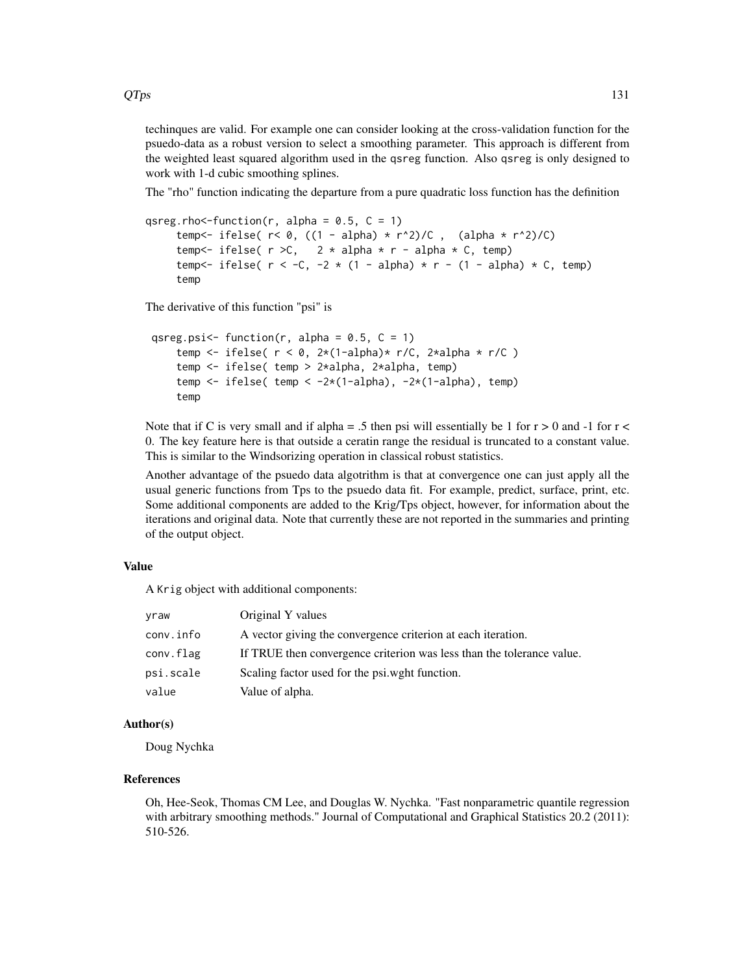techinques are valid. For example one can consider looking at the cross-validation function for the psuedo-data as a robust version to select a smoothing parameter. This approach is different from the weighted least squared algorithm used in the qsreg function. Also qsreg is only designed to work with 1-d cubic smoothing splines.

The "rho" function indicating the departure from a pure quadratic loss function has the definition

```
qsreg.rho \text{-}function(r, alpha = 0.5, C = 1)
     temp <- ifelse(r < 0, ((1 - alpha) * r^2)/C, (alpha * r^2)/C)
     temp<- ifelse( r >C, 2 * alpha * r - alpha * C, temp)
     temp<- ifelse(r < -C, -2 \times (1 - alpha) \times r - (1 - alpha) \times C, temp)
     temp
```
The derivative of this function "psi" is

```
qsreg.psi<- function(r, alpha = 0.5, C = 1)
    temp \le ifelse( r \le 0, 2*(1-alpha)* r/C, 2*alpha * r/C )
    temp <- ifelse( temp > 2*alpha, 2*alpha, temp)
    temp \le ifelse( temp \le -2*(1-\alpha), -2*(1-\alpha), temp)
    temp
```
Note that if C is very small and if alpha = .5 then psi will essentially be 1 for  $r > 0$  and -1 for  $r <$ 0. The key feature here is that outside a ceratin range the residual is truncated to a constant value. This is similar to the Windsorizing operation in classical robust statistics.

Another advantage of the psuedo data algotrithm is that at convergence one can just apply all the usual generic functions from Tps to the psuedo data fit. For example, predict, surface, print, etc. Some additional components are added to the Krig/Tps object, however, for information about the iterations and original data. Note that currently these are not reported in the summaries and printing of the output object.

#### Value

A Krig object with additional components:

| yraw      | Original Y values                                                     |
|-----------|-----------------------------------------------------------------------|
| conv.info | A vector giving the convergence criterion at each iteration.          |
| conv.flag | If TRUE then convergence criterion was less than the tolerance value. |
| psi.scale | Scaling factor used for the psi, weht function.                       |
| value     | Value of alpha.                                                       |

#### Author(s)

Doug Nychka

#### References

Oh, Hee-Seok, Thomas CM Lee, and Douglas W. Nychka. "Fast nonparametric quantile regression with arbitrary smoothing methods." Journal of Computational and Graphical Statistics 20.2 (2011): 510-526.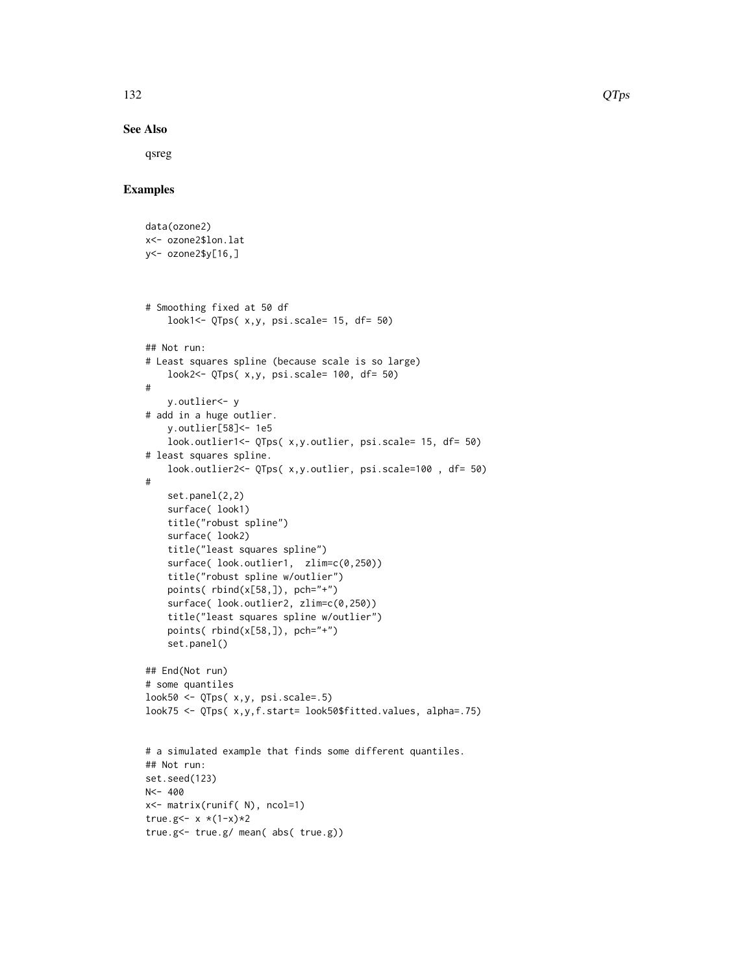#### See Also

qsreg

# Examples

```
data(ozone2)
x<- ozone2$lon.lat
y<- ozone2$y[16,]
# Smoothing fixed at 50 df
    look1<- QTps( x,y, psi.scale= 15, df= 50)
## Not run:
# Least squares spline (because scale is so large)
    look2<- QTps( x,y, psi.scale= 100, df= 50)
#
   y.outlier<- y
# add in a huge outlier.
    y.outlier[58]<- 1e5
    look.outlier1<- QTps( x,y.outlier, psi.scale= 15, df= 50)
# least squares spline.
   look.outlier2<- QTps( x,y.outlier, psi.scale=100 , df= 50)
#
   set.panel(2,2)
   surface( look1)
   title("robust spline")
   surface( look2)
   title("least squares spline")
    surface( look.outlier1, zlim=c(0,250))
    title("robust spline w/outlier")
    points(rbind(x[58,]), pch="'']surface( look.outlier2, zlim=c(0,250))
    title("least squares spline w/outlier")
    points( rbind(x[58,]), pch="+")
    set.panel()
## End(Not run)
# some quantiles
look50 <- QTps( x,y, psi.scale=.5)
look75 <- QTps( x,y,f.start= look50$fitted.values, alpha=.75)
# a simulated example that finds some different quantiles.
## Not run:
set.seed(123)
N<- 400
x<- matrix(runif( N), ncol=1)
true.g <- x * (1-x) * 2true.g<- true.g/ mean( abs( true.g))
```
132 QTps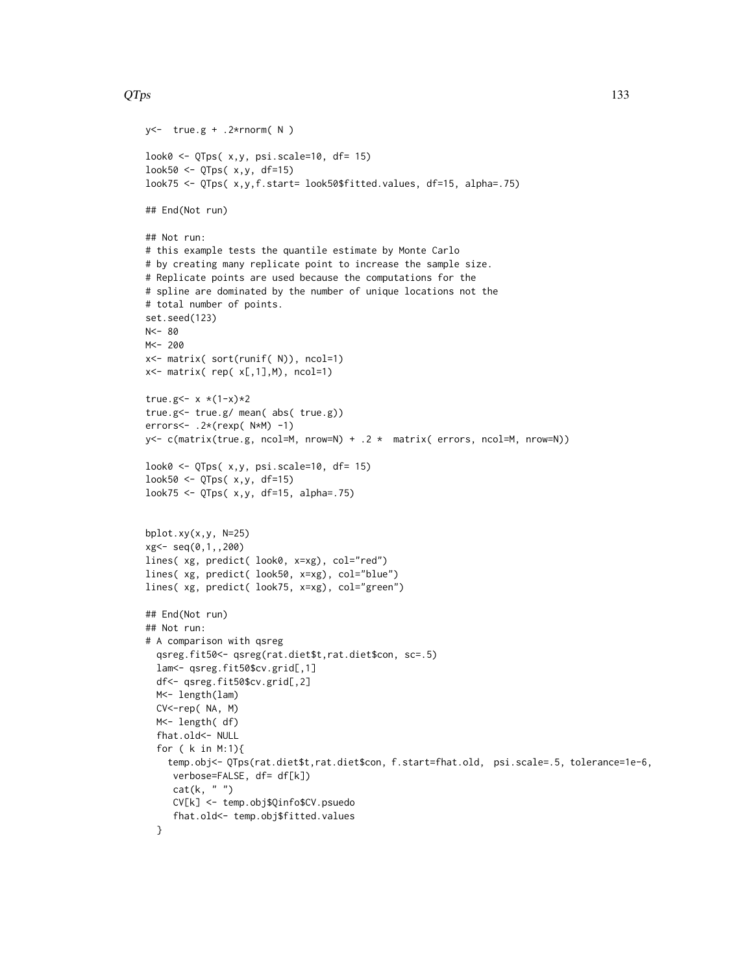# $QTps$  133

```
y \leftarrow true.g + .2*rnorm( N )look0 \leq QTps(x,y, psi.scale=10, df= 15)look50 \leftarrow QTps(x,y, df=15)look75 <- QTps( x,y,f.start= look50$fitted.values, df=15, alpha=.75)
## End(Not run)
## Not run:
# this example tests the quantile estimate by Monte Carlo
# by creating many replicate point to increase the sample size.
# Replicate points are used because the computations for the
# spline are dominated by the number of unique locations not the
# total number of points.
set.seed(123)
N<- 80
M<- 200
x<- matrix( sort(runif( N)), ncol=1)
x < - matrix( rep(x[, 1], M), ncol=1)
true.g <- x * (1-x) * 2true.g<- true.g/ mean( abs( true.g))
errors<- .2*(rexp( N*M) -1)
y<- c(matrix(true.g, ncol=M, nrow=N) + .2 * matrix( errors, ncol=M, nrow=N))
look0 \leftarrow QTps( x, y, psi.scale=10, df= 15)look50 \leftarrow QTps(x,y, df=15)look75 <- QTps( x,y, df=15, alpha=.75)
bplot.xy(x,y, N=25)
xg<- seq(0,1,,200)
lines( xg, predict( look0, x=xg), col="red")
lines( xg, predict( look50, x=xg), col="blue")
lines( xg, predict( look75, x=xg), col="green")
## End(Not run)
## Not run:
# A comparison with qsreg
  qsreg.fit50<- qsreg(rat.diet$t,rat.diet$con, sc=.5)
  lam<- qsreg.fit50$cv.grid[,1]
  df<- qsreg.fit50$cv.grid[,2]
  M<- length(lam)
  CV<-rep( NA, M)
  M<- length( df)
  fhat.old<- NULL
  for ( k in M:1){
    temp.obj<- QTps(rat.diet$t,rat.diet$con, f.start=fhat.old, psi.scale=.5, tolerance=1e-6,
     verbose=FALSE, df= df[k])
     cat(k, " ")
     CV[k] <- temp.obj$Qinfo$CV.psuedo
     fhat.old<- temp.obj$fitted.values
  }
```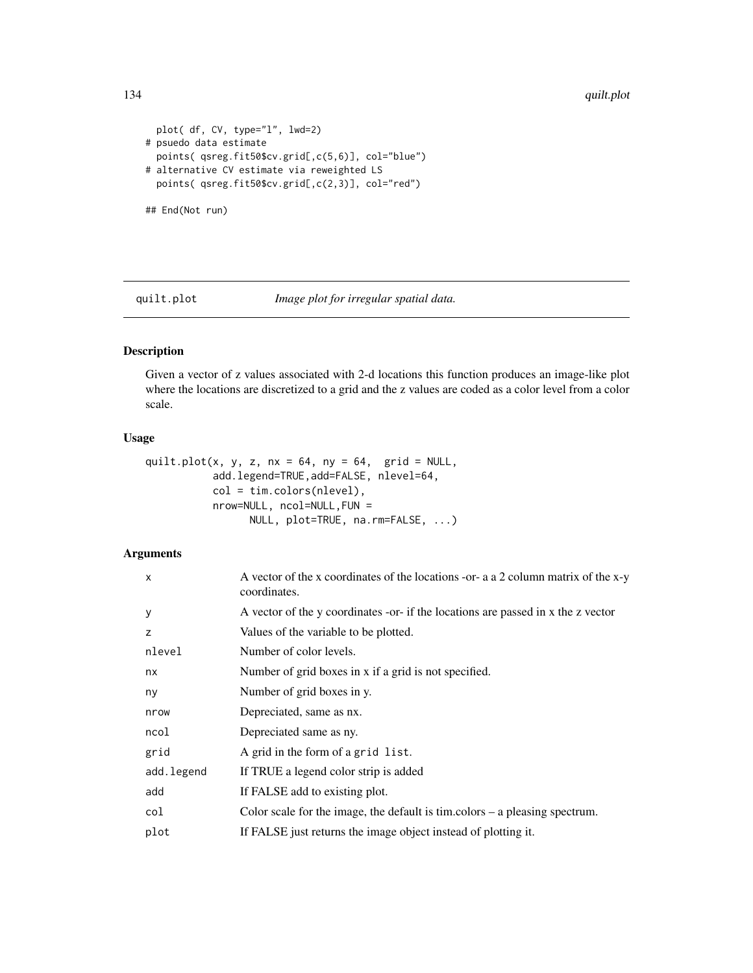```
plot( df, CV, type="l", lwd=2)
# psuedo data estimate
 points( qsreg.fit50$cv.grid[,c(5,6)], col="blue")
# alternative CV estimate via reweighted LS
 points( qsreg.fit50$cv.grid[,c(2,3)], col="red")
## End(Not run)
```
quilt.plot *Image plot for irregular spatial data.*

# Description

Given a vector of z values associated with 2-d locations this function produces an image-like plot where the locations are discretized to a grid and the z values are coded as a color level from a color scale.

#### Usage

```
quilt.plot(x, y, z, nx = 64, ny = 64, grid = NULL,
           add.legend=TRUE,add=FALSE, nlevel=64,
          col = tim.colors(nlevel),
           nrow=NULL, ncol=NULL,FUN =
                 NULL, plot=TRUE, na.rm=FALSE, ...)
```
# Arguments

| $\mathsf{x}$ | A vector of the x coordinates of the locations -or- a a 2 column matrix of the x-y<br>coordinates. |
|--------------|----------------------------------------------------------------------------------------------------|
| y            | A vector of the y coordinates -or- if the locations are passed in x the z vector                   |
| z            | Values of the variable to be plotted.                                                              |
| nlevel       | Number of color levels.                                                                            |
| nx           | Number of grid boxes in x if a grid is not specified.                                              |
| ny           | Number of grid boxes in y.                                                                         |
| nrow         | Depreciated, same as nx.                                                                           |
| ncol         | Depreciated same as ny.                                                                            |
| grid         | A grid in the form of a grid list.                                                                 |
| add.legend   | If TRUE a legend color strip is added                                                              |
| add          | If FALSE add to existing plot.                                                                     |
| col          | Color scale for the image, the default is tim.colors $-$ a pleasing spectrum.                      |
| plot         | If FALSE just returns the image object instead of plotting it.                                     |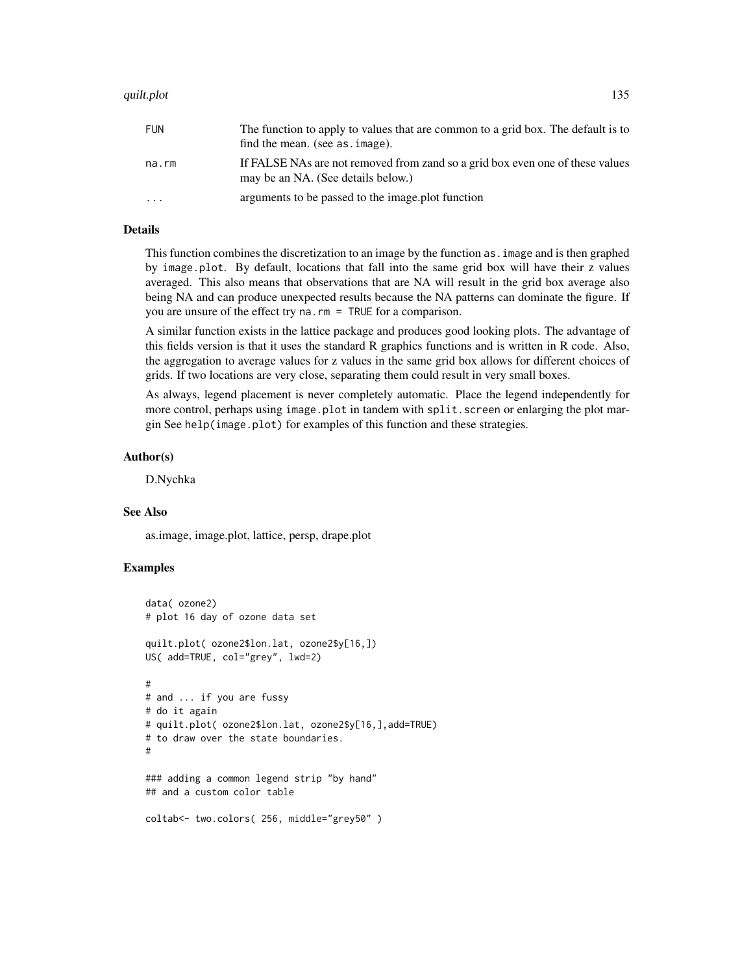#### quilt.plot that is a set of the set of the set of the set of the set of the set of the set of the set of the set of the set of the set of the set of the set of the set of the set of the set of the set of the set of the set

| <b>FUN</b> | The function to apply to values that are common to a grid box. The default is to<br>find the mean. (see as . image). |
|------------|----------------------------------------------------------------------------------------------------------------------|
| na.rm      | If FALSE NAs are not removed from zand so a grid box even one of these values<br>may be an NA. (See details below.)  |
| $\ddotsc$  | arguments to be passed to the image plot function                                                                    |

# Details

This function combines the discretization to an image by the function as.image and is then graphed by image.plot. By default, locations that fall into the same grid box will have their z values averaged. This also means that observations that are NA will result in the grid box average also being NA and can produce unexpected results because the NA patterns can dominate the figure. If you are unsure of the effect try na.rm = TRUE for a comparison.

A similar function exists in the lattice package and produces good looking plots. The advantage of this fields version is that it uses the standard R graphics functions and is written in R code. Also, the aggregation to average values for z values in the same grid box allows for different choices of grids. If two locations are very close, separating them could result in very small boxes.

As always, legend placement is never completely automatic. Place the legend independently for more control, perhaps using image.plot in tandem with split.screen or enlarging the plot margin See help(image.plot) for examples of this function and these strategies.

#### Author(s)

D.Nychka

# See Also

as.image, image.plot, lattice, persp, drape.plot

```
data( ozone2)
# plot 16 day of ozone data set
quilt.plot( ozone2$lon.lat, ozone2$y[16,])
US( add=TRUE, col="grey", lwd=2)
#
# and ... if you are fussy
# do it again
# quilt.plot( ozone2$lon.lat, ozone2$y[16,],add=TRUE)
# to draw over the state boundaries.
#
### adding a common legend strip "by hand"
## and a custom color table
coltab<- two.colors( 256, middle="grey50" )
```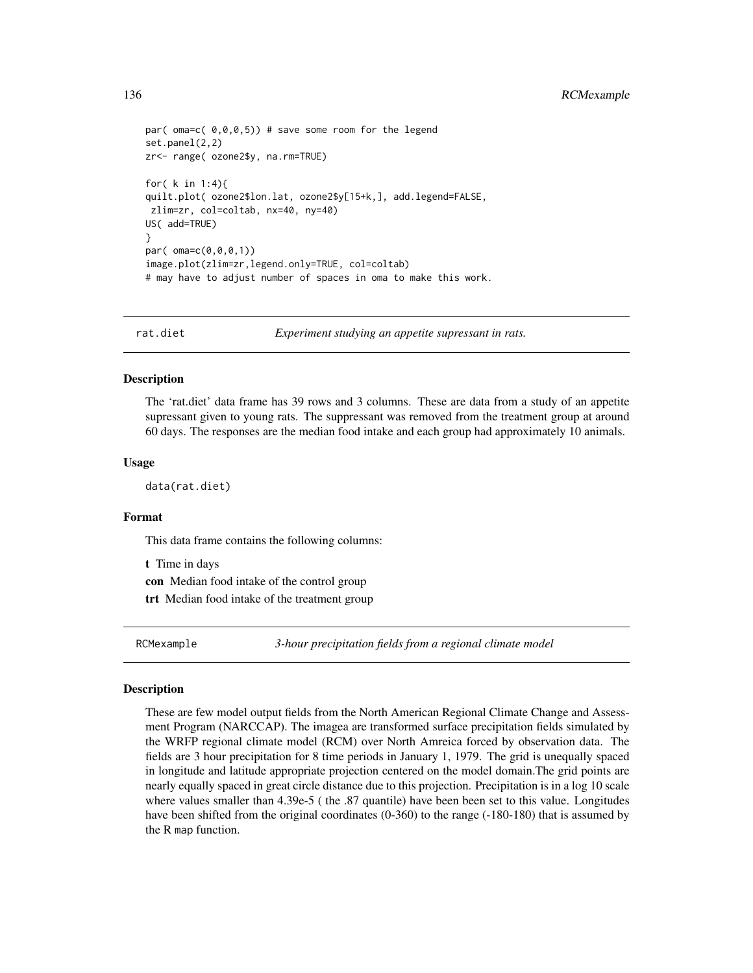```
par( oma=c(0,0,0,5)) # save some room for the legend
set.panel(2,2)
zr<- range( ozone2$y, na.rm=TRUE)
for( k in 1:4){
quilt.plot( ozone2$lon.lat, ozone2$y[15+k,], add.legend=FALSE,
zlim=zr, col=coltab, nx=40, ny=40)
US( add=TRUE)
}
par( oma=c(0,0,0,1))
image.plot(zlim=zr,legend.only=TRUE, col=coltab)
# may have to adjust number of spaces in oma to make this work.
```
rat.diet *Experiment studying an appetite supressant in rats.*

#### Description

The 'rat.diet' data frame has 39 rows and 3 columns. These are data from a study of an appetite supressant given to young rats. The suppressant was removed from the treatment group at around 60 days. The responses are the median food intake and each group had approximately 10 animals.

#### Usage

data(rat.diet)

#### Format

This data frame contains the following columns:

t Time in days con Median food intake of the control group trt Median food intake of the treatment group

RCMexample *3-hour precipitation fields from a regional climate model*

#### Description

These are few model output fields from the North American Regional Climate Change and Assessment Program (NARCCAP). The imagea are transformed surface precipitation fields simulated by the WRFP regional climate model (RCM) over North Amreica forced by observation data. The fields are 3 hour precipitation for 8 time periods in January 1, 1979. The grid is unequally spaced in longitude and latitude appropriate projection centered on the model domain.The grid points are nearly equally spaced in great circle distance due to this projection. Precipitation is in a log 10 scale where values smaller than 4.39e-5 ( the .87 quantile) have been been set to this value. Longitudes have been shifted from the original coordinates (0-360) to the range (-180-180) that is assumed by the R map function.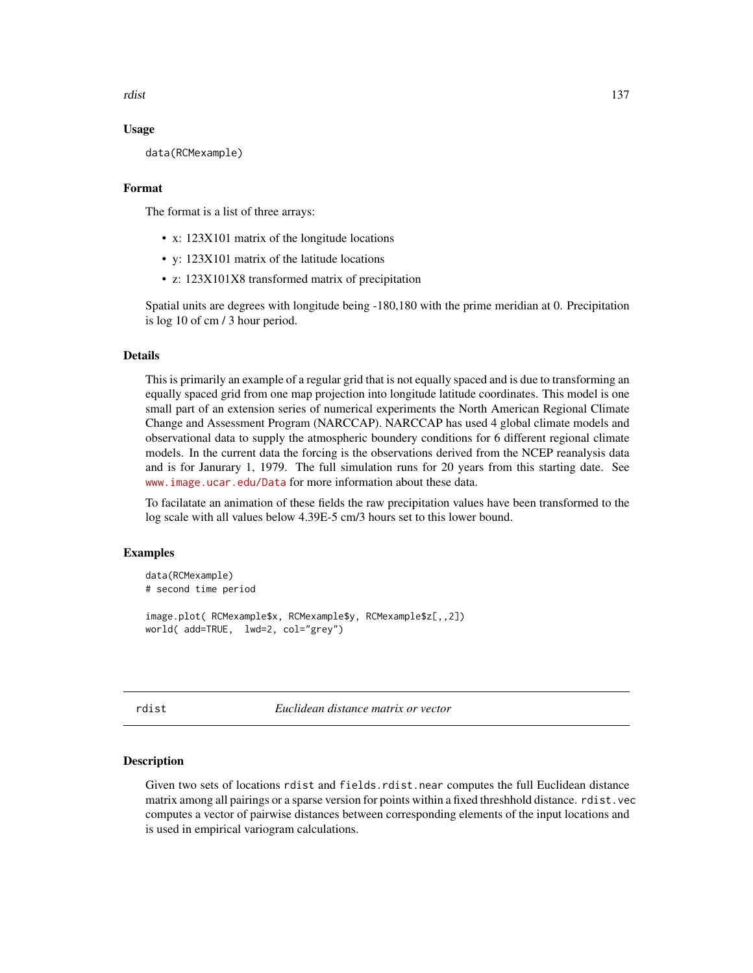rdist the control of the control of the control of the control of the control of the control of the control of the control of the control of the control of the control of the control of the control of the control of the co

# Usage

```
data(RCMexample)
```
#### Format

The format is a list of three arrays:

- x: 123X101 matrix of the longitude locations
- y: 123X101 matrix of the latitude locations
- z: 123X101X8 transformed matrix of precipitation

Spatial units are degrees with longitude being -180,180 with the prime meridian at 0. Precipitation is log 10 of cm / 3 hour period.

# Details

This is primarily an example of a regular grid that is not equally spaced and is due to transforming an equally spaced grid from one map projection into longitude latitude coordinates. This model is one small part of an extension series of numerical experiments the North American Regional Climate Change and Assessment Program (NARCCAP). NARCCAP has used 4 global climate models and observational data to supply the atmospheric boundery conditions for 6 different regional climate models. In the current data the forcing is the observations derived from the NCEP reanalysis data and is for Janurary 1, 1979. The full simulation runs for 20 years from this starting date. See <www.image.ucar.edu/Data> for more information about these data.

To facilatate an animation of these fields the raw precipitation values have been transformed to the log scale with all values below 4.39E-5 cm/3 hours set to this lower bound.

#### Examples

```
data(RCMexample)
# second time period
image.plot( RCMexample$x, RCMexample$y, RCMexample$z[,,2])
world( add=TRUE, lwd=2, col="grey")
```
<span id="page-136-0"></span>rdist *Euclidean distance matrix or vector*

## <span id="page-136-1"></span>Description

Given two sets of locations rdist and fields.rdist.near computes the full Euclidean distance matrix among all pairings or a sparse version for points within a fixed threshhold distance. rdist.vec computes a vector of pairwise distances between corresponding elements of the input locations and is used in empirical variogram calculations.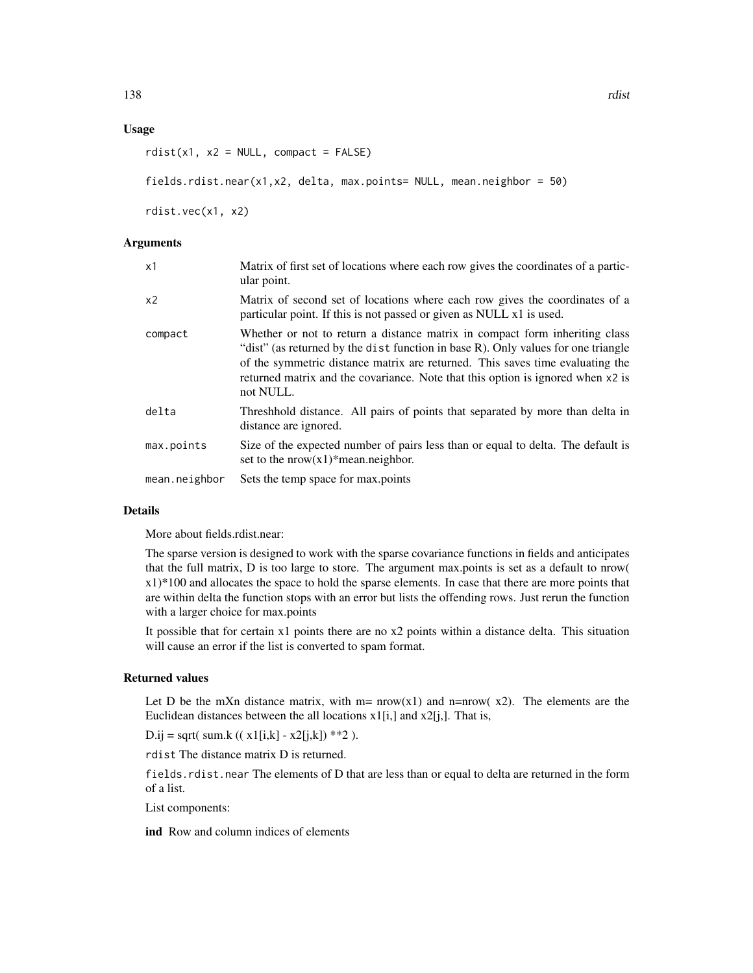#### Usage

```
rdist(x1, x2 = NULL, compact = FALSE)fields.rdist.near(x1,x2, delta, max.points= NULL, mean.neighbor = 50)
```
rdist.vec(x1, x2)

## Arguments

| x1            | Matrix of first set of locations where each row gives the coordinates of a partic-<br>ular point.                                                                                                                                                                                                                                                 |
|---------------|---------------------------------------------------------------------------------------------------------------------------------------------------------------------------------------------------------------------------------------------------------------------------------------------------------------------------------------------------|
| x2            | Matrix of second set of locations where each row gives the coordinates of a<br>particular point. If this is not passed or given as NULL x1 is used.                                                                                                                                                                                               |
| compact       | Whether or not to return a distance matrix in compact form inheriting class<br>"dist" (as returned by the dist function in base R). Only values for one triangle<br>of the symmetric distance matrix are returned. This saves time evaluating the<br>returned matrix and the covariance. Note that this option is ignored when x2 is<br>not NULL. |
| delta         | Threshhold distance. All pairs of points that separated by more than delta in<br>distance are ignored.                                                                                                                                                                                                                                            |
| max.points    | Size of the expected number of pairs less than or equal to delta. The default is<br>set to the $nrow(x1)$ *mean.neighbor.                                                                                                                                                                                                                         |
| mean.neighbor | Sets the temp space for max.points                                                                                                                                                                                                                                                                                                                |

#### Details

More about fields.rdist.near:

The sparse version is designed to work with the sparse covariance functions in fields and anticipates that the full matrix, D is too large to store. The argument max.points is set as a default to nrow( x1)\*100 and allocates the space to hold the sparse elements. In case that there are more points that are within delta the function stops with an error but lists the offending rows. Just rerun the function with a larger choice for max.points

It possible that for certain x1 points there are no x2 points within a distance delta. This situation will cause an error if the list is converted to spam format.

# Returned values

Let D be the mXn distance matrix, with m=  $nrow(x1)$  and n=nrow(x2). The elements are the Euclidean distances between the all locations  $x1[i, ]$  and  $x2[i, ]$ . That is,

D.ij = sqrt( sum.k ((  $x1[i,k] - x2[i,k])$  \*\*2).

rdist The distance matrix D is returned.

fields.rdist.near The elements of D that are less than or equal to delta are returned in the form of a list.

List components:

ind Row and column indices of elements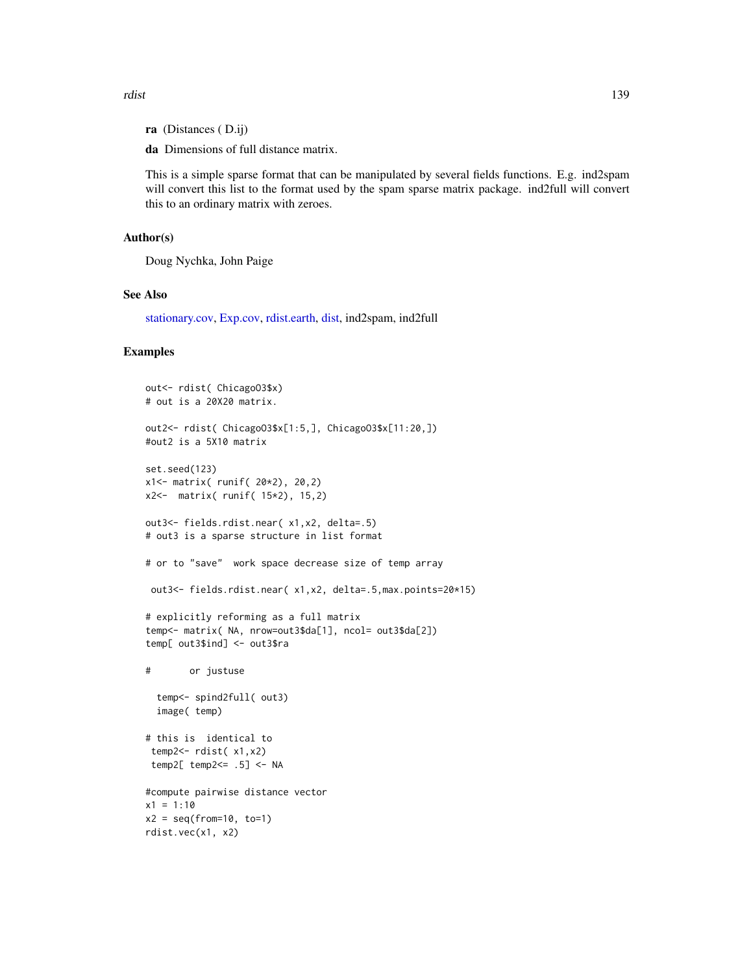#### rdist the control of the control of the control of the control of the control of the control of the control of the control of the control of the control of the control of the control of the control of the control of the co

ra (Distances ( D.ij)

da Dimensions of full distance matrix.

This is a simple sparse format that can be manipulated by several fields functions. E.g. ind2spam will convert this list to the format used by the spam sparse matrix package. ind2full will convert this to an ordinary matrix with zeroes.

# Author(s)

Doug Nychka, John Paige

## See Also

[stationary.cov,](#page-22-0) [Exp.cov,](#page-22-0) [rdist.earth,](#page-139-0) [dist,](#page-0-0) ind2spam, ind2full

```
out<- rdist( ChicagoO3$x)
# out is a 20X20 matrix.
out2<- rdist( ChicagoO3$x[1:5,], ChicagoO3$x[11:20,])
#out2 is a 5X10 matrix
set.seed(123)
x1<- matrix( runif( 20*2), 20,2)
x2<- matrix( runif( 15*2), 15,2)
out3<- fields.rdist.near( x1,x2, delta=.5)
# out3 is a sparse structure in list format
# or to "save" work space decrease size of temp array
 out3<- fields.rdist.near( x1,x2, delta=.5,max.points=20*15)
# explicitly reforming as a full matrix
temp<- matrix( NA, nrow=out3$da[1], ncol= out3$da[2])
temp[ out3$ind] <- out3$ra
# or justuse
  temp<- spind2full( out3)
  image( temp)
# this is identical to
 temp2<- rdist( x1,x2)
 temp2[ temp2<= .5] <- NA
#compute pairwise distance vector
x1 = 1:10x2 = seq(from=10, to=1)rdist.vec(x1, x2)
```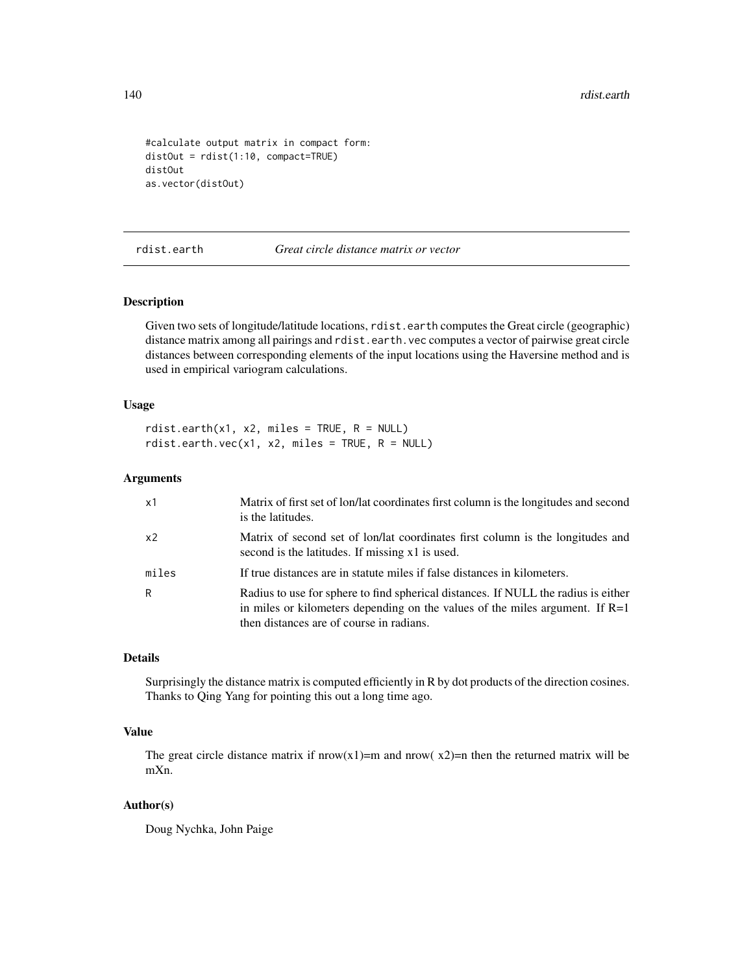```
#calculate output matrix in compact form:
distOut = rdist(1:10, compact=TRUE)
distOut
as.vector(distOut)
```
<span id="page-139-0"></span>rdist.earth *Great circle distance matrix or vector*

#### Description

Given two sets of longitude/latitude locations, rdist.earth computes the Great circle (geographic) distance matrix among all pairings and rdist.earth.vec computes a vector of pairwise great circle distances between corresponding elements of the input locations using the Haversine method and is used in empirical variogram calculations.

# Usage

rdist.earth(x1, x2, miles = TRUE, R = NULL) rdist.earth.vec(x1, x2, miles = TRUE,  $R = NULL$ )

# Arguments

| x1             | Matrix of first set of lon/lat coordinates first column is the longitudes and second<br>is the latitudes.                                                                                                        |
|----------------|------------------------------------------------------------------------------------------------------------------------------------------------------------------------------------------------------------------|
| x <sub>2</sub> | Matrix of second set of lon/lat coordinates first column is the longitudes and<br>second is the latitudes. If missing x1 is used.                                                                                |
| miles          | If true distances are in statute miles if false distances in kilometers.                                                                                                                                         |
| R              | Radius to use for sphere to find spherical distances. If NULL the radius is either<br>in miles or kilometers depending on the values of the miles argument. If $R=1$<br>then distances are of course in radians. |

# Details

Surprisingly the distance matrix is computed efficiently in R by dot products of the direction cosines. Thanks to Qing Yang for pointing this out a long time ago.

# Value

The great circle distance matrix if  $nrow(x1)=m$  and  $nrow(x2)=n$  then the returned matrix will be mXn.

# Author(s)

Doug Nychka, John Paige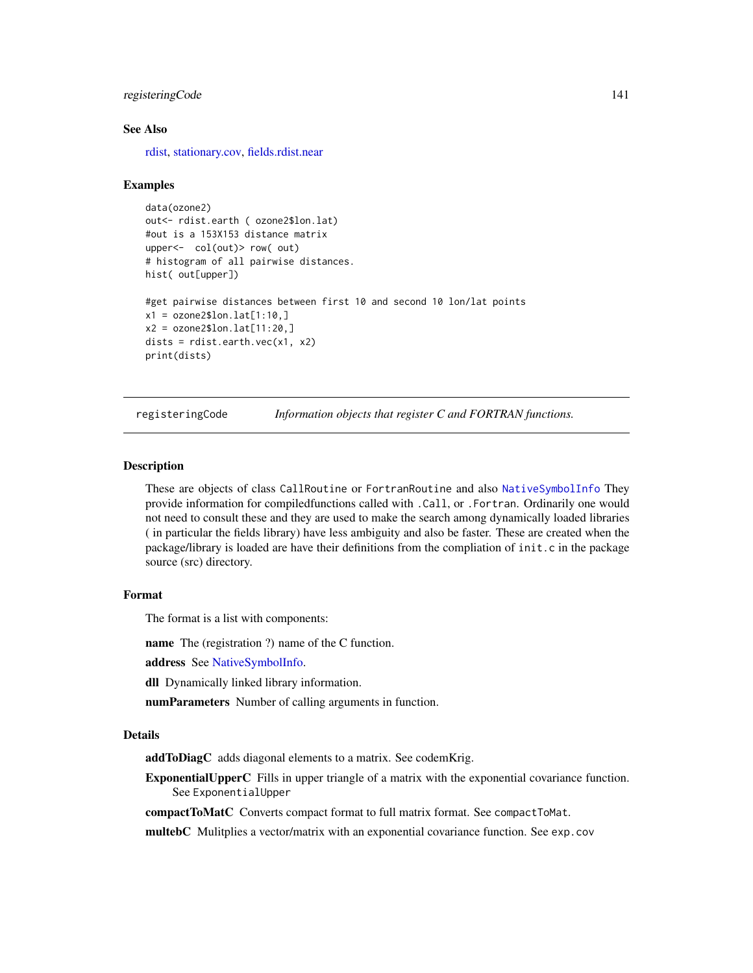# registeringCode 141

#### See Also

[rdist,](#page-136-0) [stationary.cov,](#page-22-0) [fields.rdist.near](#page-136-1)

#### Examples

```
data(ozone2)
out<- rdist.earth ( ozone2$lon.lat)
#out is a 153X153 distance matrix
upper<- col(out)> row( out)
# histogram of all pairwise distances.
hist( out[upper])
#get pairwise distances between first 10 and second 10 lon/lat points
x1 = ozone2$lon.lat[1:10.1]x2 = ozone2$lon.lat[11:20.]dists = rdist.earth.vec(x1, x2)
```

```
print(dists)
```
registeringCode *Information objects that register C and FORTRAN functions.*

#### Description

These are objects of class CallRoutine or FortranRoutine and also [NativeSymbolInfo](#page-0-0) They provide information for compiledfunctions called with .Call, or .Fortran. Ordinarily one would not need to consult these and they are used to make the search among dynamically loaded libraries ( in particular the fields library) have less ambiguity and also be faster. These are created when the package/library is loaded are have their definitions from the compliation of init.c in the package source (src) directory.

# Format

The format is a list with components:

name The (registration ?) name of the C function.

address See [NativeSymbolInfo.](#page-0-0)

dll Dynamically linked library information.

numParameters Number of calling arguments in function.

#### Details

addToDiagC adds diagonal elements to a matrix. See codemKrig.

ExponentialUpperC Fills in upper triangle of a matrix with the exponential covariance function. See ExponentialUpper

compactToMatC Converts compact format to full matrix format. See compactToMat.

multebC Mulitplies a vector/matrix with an exponential covariance function. See exp.cov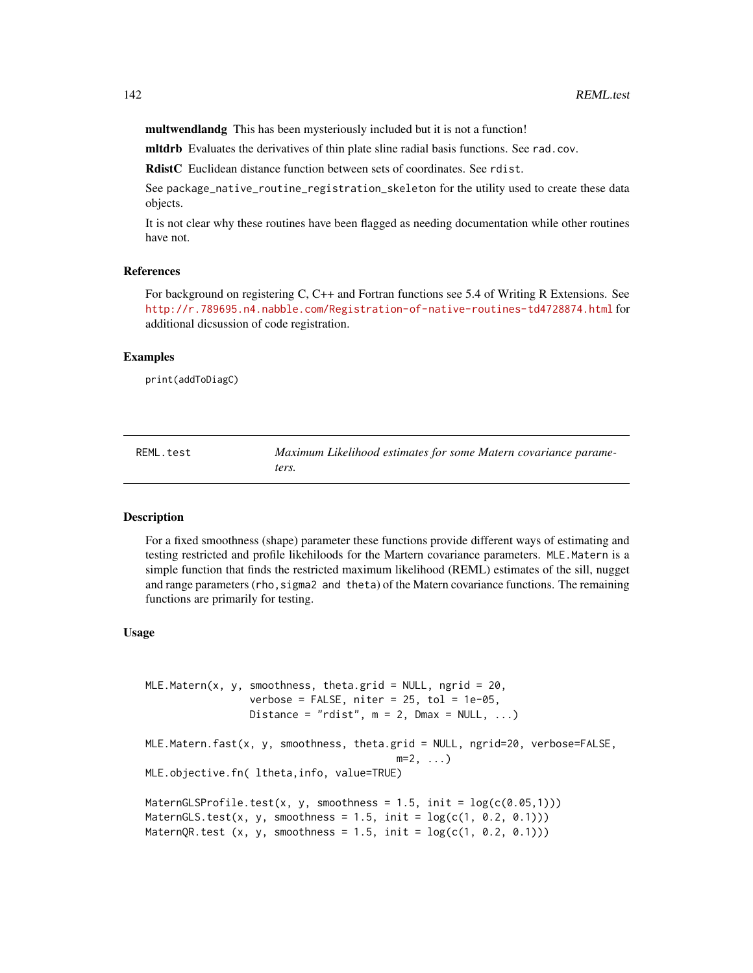multwendlandg This has been mysteriously included but it is not a function!

mltdrb Evaluates the derivatives of thin plate sline radial basis functions. See rad.cov.

RdistC Euclidean distance function between sets of coordinates. See rdist.

See package\_native\_routine\_registration\_skeleton for the utility used to create these data objects.

It is not clear why these routines have been flagged as needing documentation while other routines have not.

#### References

For background on registering C, C++ and Fortran functions see 5.4 of Writing R Extensions. See <http://r.789695.n4.nabble.com/Registration-of-native-routines-td4728874.html> for additional dicsussion of code registration.

# Examples

print(addToDiagC)

| REML.test | Maximum Likelihood estimates for some Matern covariance parame- |
|-----------|-----------------------------------------------------------------|
|           | ters.                                                           |

#### Description

For a fixed smoothness (shape) parameter these functions provide different ways of estimating and testing restricted and profile likehiloods for the Martern covariance parameters. MLE.Matern is a simple function that finds the restricted maximum likelihood (REML) estimates of the sill, nugget and range parameters (rho, sigma2 and theta) of the Matern covariance functions. The remaining functions are primarily for testing.

#### Usage

```
MLE.Matern(x, y, smoothness, theta.grid = NULL, ngrid = 20,
                 verbose = FALSE, niter = 25, tol = 1e-05,
                 Distance = "rdist", m = 2, Dmax = NULL, ...)
MLE.Matern.fast(x, y, smoothness, theta.grid = NULL, ngrid=20, verbose=FALSE,
                                         m=2, \ldots)MLE.objective.fn( ltheta,info, value=TRUE)
MaternGLSProfile.test(x, y, smoothness = 1.5, init = log(c(\theta.05,1)))MaternGLS.test(x, y, smoothness = 1.5, init = log(c(1, 0.2, 0.1)))MaternQR.test (x, y, smoothness = 1.5, init = log(c(1, 0.2, 0.1)))
```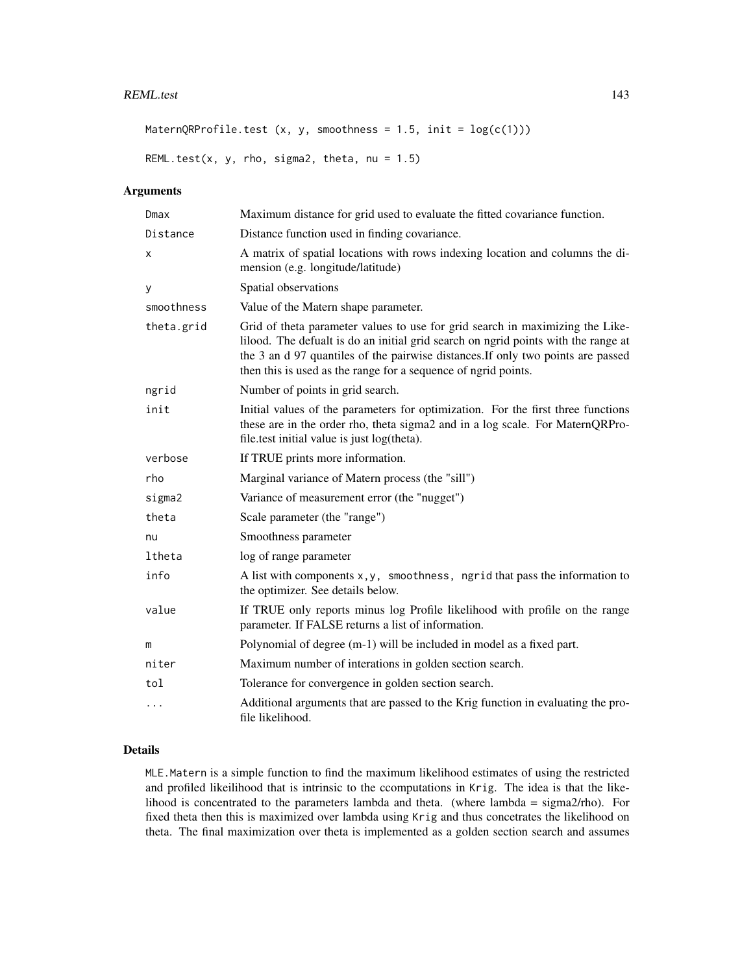MaternQRProfile.test  $(x, y, s$ moothness = 1.5, init =  $log(c(1)))$ 

REML.test(x, y, rho, sigma2, theta,  $nu = 1.5$ )

# Arguments

| Dmax       | Maximum distance for grid used to evaluate the fitted covariance function.                                                                                                                                                                                                                                                |
|------------|---------------------------------------------------------------------------------------------------------------------------------------------------------------------------------------------------------------------------------------------------------------------------------------------------------------------------|
| Distance   | Distance function used in finding covariance.                                                                                                                                                                                                                                                                             |
| х          | A matrix of spatial locations with rows indexing location and columns the di-<br>mension (e.g. longitude/latitude)                                                                                                                                                                                                        |
| y          | Spatial observations                                                                                                                                                                                                                                                                                                      |
| smoothness | Value of the Matern shape parameter.                                                                                                                                                                                                                                                                                      |
| theta.grid | Grid of theta parameter values to use for grid search in maximizing the Like-<br>lilood. The defualt is do an initial grid search on ngrid points with the range at<br>the 3 an d 97 quantiles of the pairwise distances. If only two points are passed<br>then this is used as the range for a sequence of ngrid points. |
| ngrid      | Number of points in grid search.                                                                                                                                                                                                                                                                                          |
| init       | Initial values of the parameters for optimization. For the first three functions<br>these are in the order rho, theta sigma2 and in a log scale. For MaternQRPro-<br>file.test initial value is just log(theta).                                                                                                          |
| verbose    | If TRUE prints more information.                                                                                                                                                                                                                                                                                          |
| rho        | Marginal variance of Matern process (the "sill")                                                                                                                                                                                                                                                                          |
| sigma2     | Variance of measurement error (the "nugget")                                                                                                                                                                                                                                                                              |
| theta      | Scale parameter (the "range")                                                                                                                                                                                                                                                                                             |
| nu         | Smoothness parameter                                                                                                                                                                                                                                                                                                      |
| ltheta     | log of range parameter                                                                                                                                                                                                                                                                                                    |
| info       | A list with components $x, y$ , smoothness, ngrid that pass the information to<br>the optimizer. See details below.                                                                                                                                                                                                       |
| value      | If TRUE only reports minus log Profile likelihood with profile on the range<br>parameter. If FALSE returns a list of information.                                                                                                                                                                                         |
| m          | Polynomial of degree (m-1) will be included in model as a fixed part.                                                                                                                                                                                                                                                     |
| niter      | Maximum number of interations in golden section search.                                                                                                                                                                                                                                                                   |
| tol        | Tolerance for convergence in golden section search.                                                                                                                                                                                                                                                                       |
| $\cdots$   | Additional arguments that are passed to the Krig function in evaluating the pro-<br>file likelihood.                                                                                                                                                                                                                      |

# Details

MLE.Matern is a simple function to find the maximum likelihood estimates of using the restricted and profiled likeilihood that is intrinsic to the ccomputations in Krig. The idea is that the likelihood is concentrated to the parameters lambda and theta. (where lambda = sigma2/rho). For fixed theta then this is maximized over lambda using Krig and thus concetrates the likelihood on theta. The final maximization over theta is implemented as a golden section search and assumes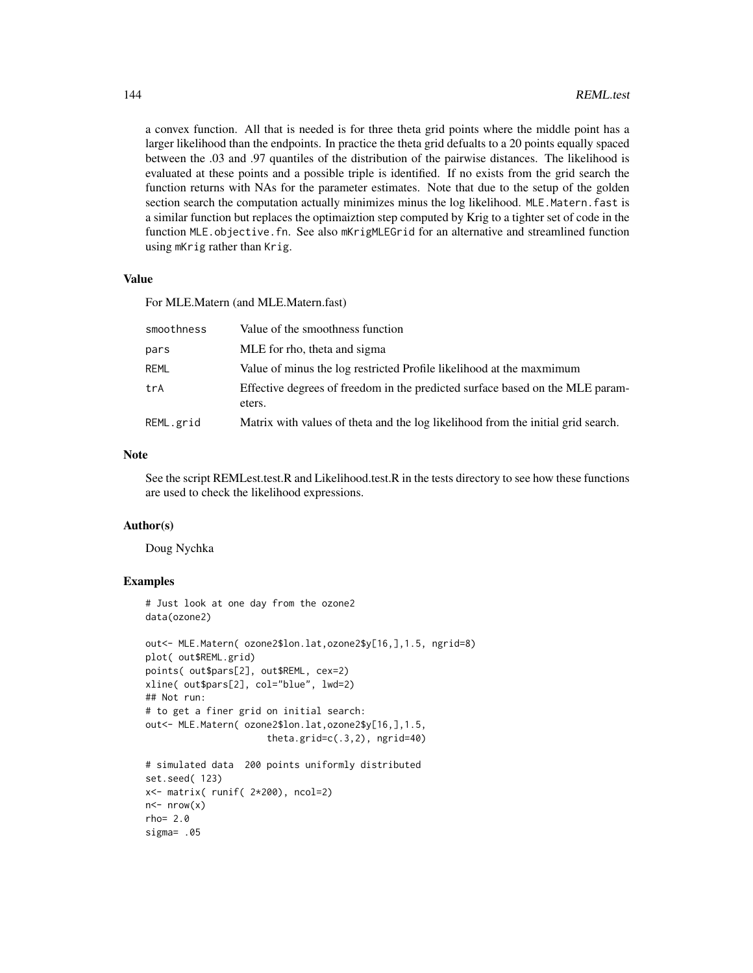a convex function. All that is needed is for three theta grid points where the middle point has a larger likelihood than the endpoints. In practice the theta grid defualts to a 20 points equally spaced between the .03 and .97 quantiles of the distribution of the pairwise distances. The likelihood is evaluated at these points and a possible triple is identified. If no exists from the grid search the function returns with NAs for the parameter estimates. Note that due to the setup of the golden section search the computation actually minimizes minus the log likelihood. MLE.Matern.fast is a similar function but replaces the optimaiztion step computed by Krig to a tighter set of code in the function MLE.objective.fn. See also mKrigMLEGrid for an alternative and streamlined function using mKrig rather than Krig.

#### Value

For MLE.Matern (and MLE.Matern.fast)

| smoothness  | Value of the smoothness function                                                        |
|-------------|-----------------------------------------------------------------------------------------|
| pars        | MLE for rho, theta and sigma                                                            |
| <b>REML</b> | Value of minus the log restricted Profile likelihood at the maxmimum                    |
| trA         | Effective degrees of freedom in the predicted surface based on the MLE param-<br>eters. |
| REML.grid   | Matrix with values of theta and the log likelihood from the initial grid search.        |

#### Note

See the script REMLest.test.R and Likelihood.test.R in the tests directory to see how these functions are used to check the likelihood expressions.

#### Author(s)

Doug Nychka

```
# Just look at one day from the ozone2
data(ozone2)
out<- MLE.Matern( ozone2$lon.lat,ozone2$y[16,],1.5, ngrid=8)
plot( out$REML.grid)
points( out$pars[2], out$REML, cex=2)
xline( out$pars[2], col="blue", lwd=2)
## Not run:
# to get a finer grid on initial search:
out<- MLE.Matern( ozone2$lon.lat,ozone2$y[16,],1.5,
                      theta.grid=c(.3,2), ngrid=40)
# simulated data 200 points uniformly distributed
set.seed( 123)
x<- matrix( runif( 2*200), ncol=2)
n < - nrow(x)rho= 2.0
sigma= .05
```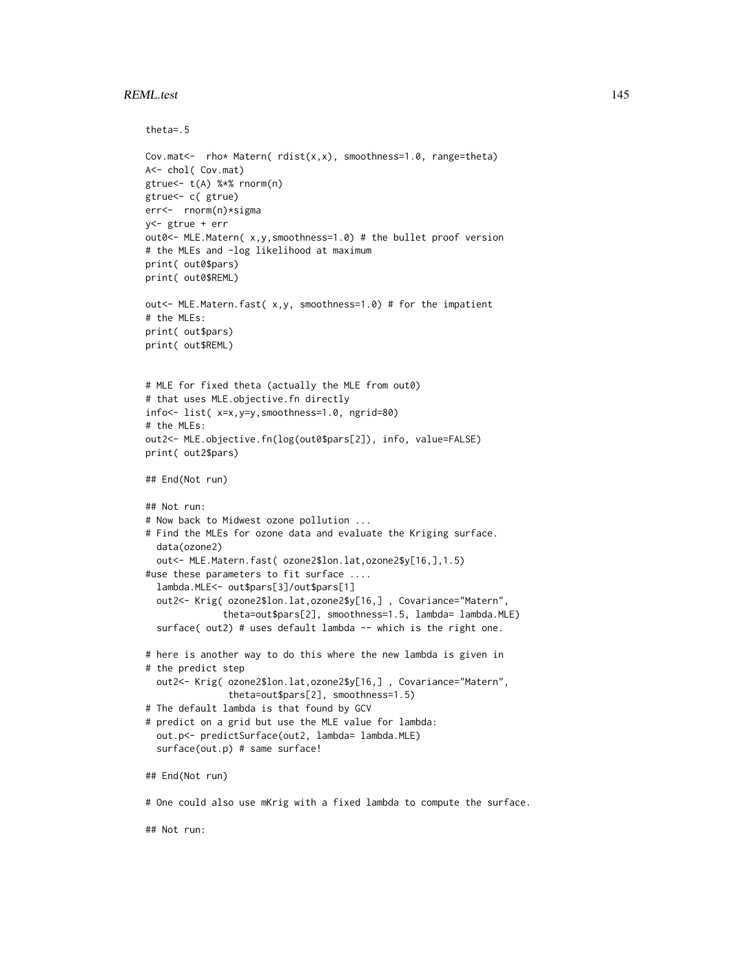## REML.test 145

## Not run:

```
theta=.5
Cov.mat<- rho* Matern( rdist(x,x), smoothness=1.0, range=theta)
A<- chol( Cov.mat)
gtrue<- t(A) %*% rnorm(n)
gtrue<- c( gtrue)
err<- rnorm(n)*sigma
y<- gtrue + err
out0<- MLE.Matern( x,y,smoothness=1.0) # the bullet proof version
# the MLEs and -log likelihood at maximum
print( out0$pars)
print( out0$REML)
out<- MLE.Matern.fast( x,y, smoothness=1.0) # for the impatient
# the MLEs:
print( out$pars)
print( out$REML)
# MLE for fixed theta (actually the MLE from out0)
# that uses MLE.objective.fn directly
info<- list( x=x,y=y,smoothness=1.0, ngrid=80)
# the MLEs:
out2<- MLE.objective.fn(log(out0$pars[2]), info, value=FALSE)
print( out2$pars)
## End(Not run)
## Not run:
# Now back to Midwest ozone pollution ...
# Find the MLEs for ozone data and evaluate the Kriging surface.
  data(ozone2)
  out<- MLE.Matern.fast( ozone2$lon.lat,ozone2$y[16,],1.5)
#use these parameters to fit surface ....
  lambda.MLE<- out$pars[3]/out$pars[1]
  out2<- Krig( ozone2$lon.lat,ozone2$y[16,] , Covariance="Matern",
              theta=out$pars[2], smoothness=1.5, lambda= lambda.MLE)
  surface( out2) # uses default lambda -- which is the right one.
# here is another way to do this where the new lambda is given in
# the predict step
  out2<- Krig( ozone2$lon.lat,ozone2$y[16,] , Covariance="Matern",
               theta=out$pars[2], smoothness=1.5)
# The default lambda is that found by GCV
# predict on a grid but use the MLE value for lambda:
  out.p<- predictSurface(out2, lambda= lambda.MLE)
  surface(out.p) # same surface!
## End(Not run)
# One could also use mKrig with a fixed lambda to compute the surface.
```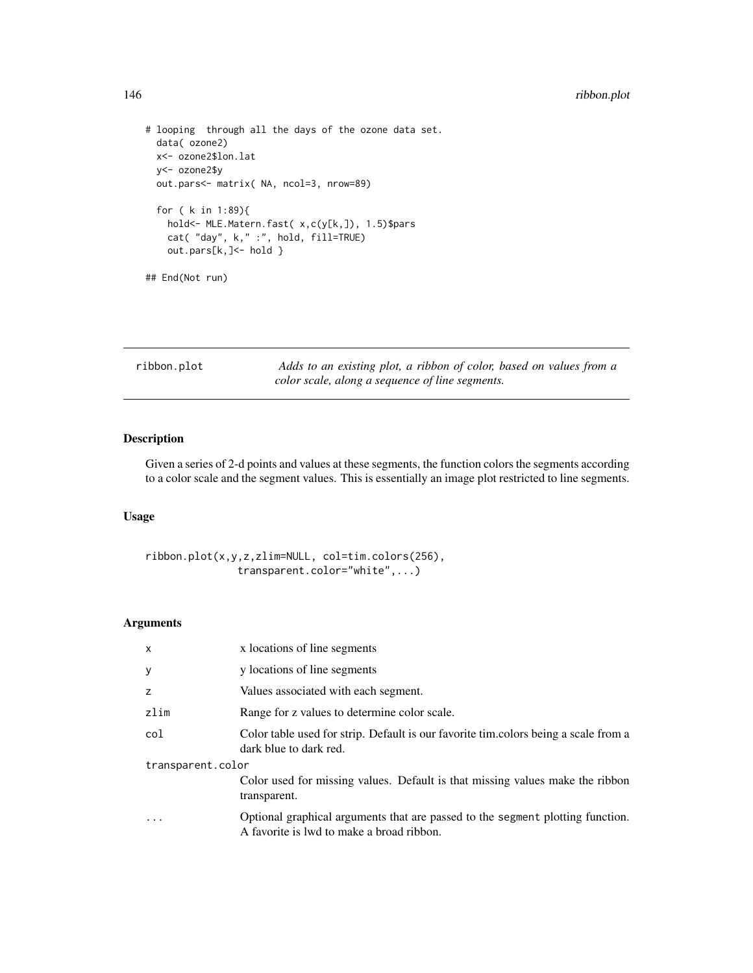```
# looping through all the days of the ozone data set.
 data( ozone2)
 x<- ozone2$lon.lat
 y<- ozone2$y
 out.pars<- matrix( NA, ncol=3, nrow=89)
 for ( k in 1:89){
   hold<- MLE.Matern.fast( x,c(y[k,]), 1.5)$pars
   cat( "day", k," :", hold, fill=TRUE)
   out.pars[k,]<- hold }
## End(Not run)
```
ribbon.plot *Adds to an existing plot, a ribbon of color, based on values from a color scale, along a sequence of line segments.*

# Description

Given a series of 2-d points and values at these segments, the function colors the segments according to a color scale and the segment values. This is essentially an image plot restricted to line segments.

# Usage

```
ribbon.plot(x,y,z,zlim=NULL, col=tim.colors(256),
               transparent.color="white",...)
```
# Arguments

| x                 | x locations of line segments                                                                                                |  |
|-------------------|-----------------------------------------------------------------------------------------------------------------------------|--|
| у                 | y locations of line segments                                                                                                |  |
| z                 | Values associated with each segment.                                                                                        |  |
| zlim              | Range for z values to determine color scale.                                                                                |  |
| col               | Color table used for strip. Default is our favorite tim.colors being a scale from a<br>dark blue to dark red.               |  |
| transparent.color |                                                                                                                             |  |
|                   | Color used for missing values. Default is that missing values make the ribbon<br>transparent.                               |  |
| $\ddots$          | Optional graphical arguments that are passed to the segment plotting function.<br>A favorite is lwd to make a broad ribbon. |  |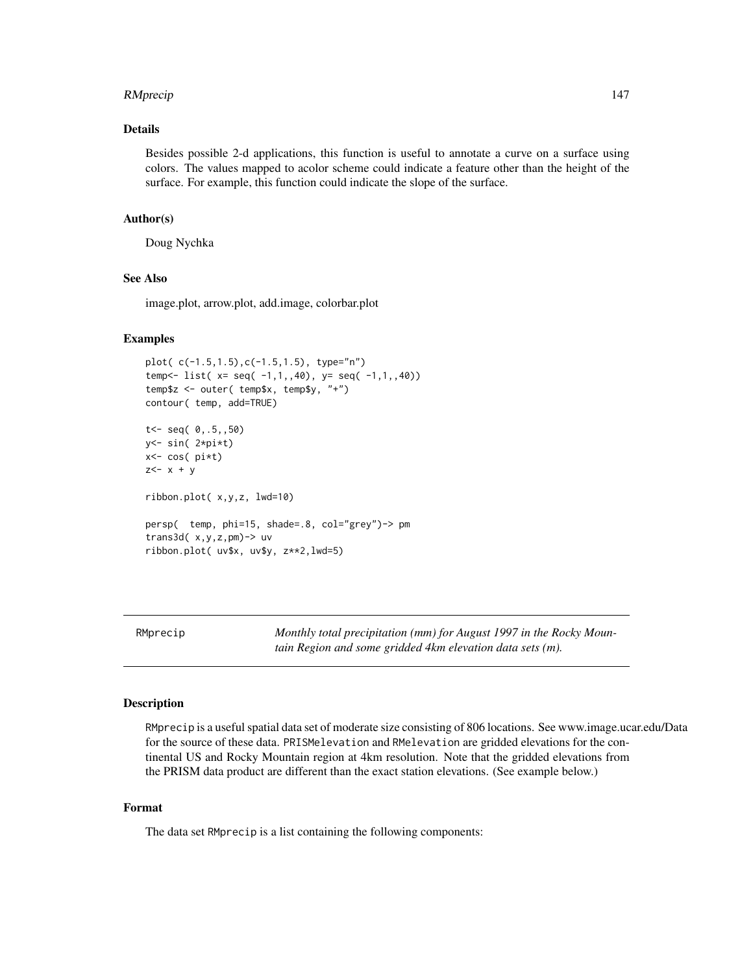## RMprecip 2008 and 2008 and 2008 and 2008 and 2008 and 2008 and 2008 and 2008 and 2008 and 2008 and 2008 and 20

# Details

Besides possible 2-d applications, this function is useful to annotate a curve on a surface using colors. The values mapped to acolor scheme could indicate a feature other than the height of the surface. For example, this function could indicate the slope of the surface.

## Author(s)

Doug Nychka

# See Also

image.plot, arrow.plot, add.image, colorbar.plot

## Examples

```
plot( c(-1.5,1.5),c(-1.5,1.5), type="n")
temp<- list( x= seq( -1,1,,40), y= seq( -1,1,,40))
temp$z <- outer( temp$x, temp$y, "+")
contour( temp, add=TRUE)
t<- seq( 0, .5, ,50)
y<- sin( 2*pi*t)
x<- cos( pi*t)
z < - x + yribbon.plot( x,y,z, lwd=10)
persp( temp, phi=15, shade=.8, col="grey")-> pm
trans3d( x,y,z,pm)-> uv
ribbon.plot( uv$x, uv$y, z**2,lwd=5)
```
RMprecip *Monthly total precipitation (mm) for August 1997 in the Rocky Mountain Region and some gridded 4km elevation data sets (m).*

## **Description**

RMprecip is a useful spatial data set of moderate size consisting of 806 locations. See www.image.ucar.edu/Data for the source of these data. PRISMelevation and RMelevation are gridded elevations for the continental US and Rocky Mountain region at 4km resolution. Note that the gridded elevations from the PRISM data product are different than the exact station elevations. (See example below.)

## Format

The data set RMprecip is a list containing the following components: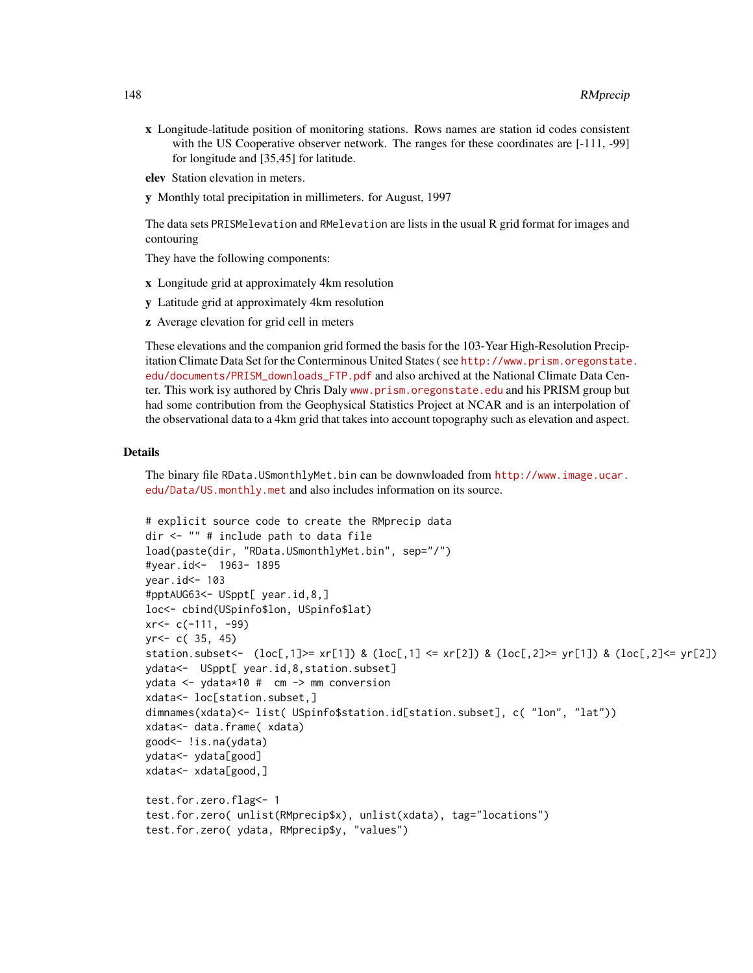x Longitude-latitude position of monitoring stations. Rows names are station id codes consistent with the US Cooperative observer network. The ranges for these coordinates are [-111, -99] for longitude and [35,45] for latitude.

elev Station elevation in meters.

y Monthly total precipitation in millimeters. for August, 1997

The data sets PRISMelevation and RMelevation are lists in the usual R grid format for images and contouring

They have the following components:

- x Longitude grid at approximately 4km resolution
- y Latitude grid at approximately 4km resolution
- z Average elevation for grid cell in meters

These elevations and the companion grid formed the basis for the 103-Year High-Resolution Precipitation Climate Data Set for the Conterminous United States ( see [http://www.prism.oregonstate](http://www.prism.oregonstate.edu/documents/PRISM_downloads_FTP.pdf). [edu/documents/PRISM\\_downloads\\_FTP.pdf](http://www.prism.oregonstate.edu/documents/PRISM_downloads_FTP.pdf) and also archived at the National Climate Data Center. This work isy authored by Chris Daly <www.prism.oregonstate.edu> and his PRISM group but had some contribution from the Geophysical Statistics Project at NCAR and is an interpolation of the observational data to a 4km grid that takes into account topography such as elevation and aspect.

# Details

The binary file RData.USmonthlyMet.bin can be downwloaded from [http://www.image.ucar.](http://www.image.ucar.edu/Data/US.monthly.met) [edu/Data/US.monthly.met](http://www.image.ucar.edu/Data/US.monthly.met) and also includes information on its source.

```
# explicit source code to create the RMprecip data
dir <- "" # include path to data file
load(paste(dir, "RData.USmonthlyMet.bin", sep="/")
#year.id<- 1963- 1895
year.id<- 103
#pptAUG63<- USppt[ year.id,8,]
loc<- cbind(USpinfo$lon, USpinfo$lat)
xr<- c(-111, -99)
yr<- c( 35, 45)
station.subset<- (loc[,1]>= xr[1]) & (loc[,1] <= xr[2]) & (loc[,2]>= yr[1]) & (loc[,2]<= yr[2])
ydata<- USppt[ year.id,8,station.subset]
ydata <- ydata*10 # cm -> mm conversion
xdata<- loc[station.subset,]
dimnames(xdata)<- list( USpinfo$station.id[station.subset], c( "lon", "lat"))
xdata<- data.frame( xdata)
good<- !is.na(ydata)
ydata<- ydata[good]
xdata<- xdata[good,]
test.for.zero.flag<- 1
test.for.zero( unlist(RMprecip$x), unlist(xdata), tag="locations")
test.for.zero( ydata, RMprecip$y, "values")
```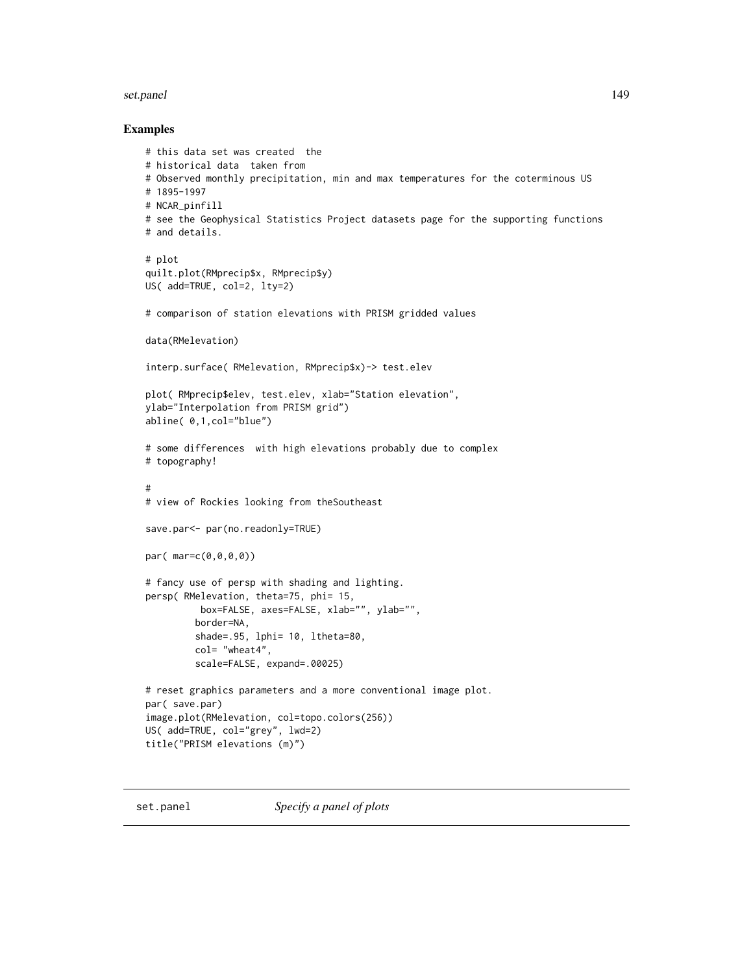## set.panel 149

## Examples

```
# this data set was created the
# historical data taken from
# Observed monthly precipitation, min and max temperatures for the coterminous US
# 1895-1997
# NCAR_pinfill
# see the Geophysical Statistics Project datasets page for the supporting functions
# and details.
# plot
quilt.plot(RMprecip$x, RMprecip$y)
US( add=TRUE, col=2, lty=2)
# comparison of station elevations with PRISM gridded values
data(RMelevation)
interp.surface( RMelevation, RMprecip$x)-> test.elev
plot( RMprecip$elev, test.elev, xlab="Station elevation",
ylab="Interpolation from PRISM grid")
abline( 0,1,col="blue")
# some differences with high elevations probably due to complex
# topography!
#
# view of Rockies looking from theSoutheast
save.par <- par(no.readonly=TRUE)
par( mar=c(0,0,0,0))
# fancy use of persp with shading and lighting.
persp( RMelevation, theta=75, phi= 15,
         box=FALSE, axes=FALSE, xlab="", ylab="",
        border=NA,
        shade=.95, lphi= 10, ltheta=80,
        col= "wheat4",
        scale=FALSE, expand=.00025)
# reset graphics parameters and a more conventional image plot.
par( save.par)
image.plot(RMelevation, col=topo.colors(256))
US( add=TRUE, col="grey", lwd=2)
title("PRISM elevations (m)")
```
set.panel *Specify a panel of plots*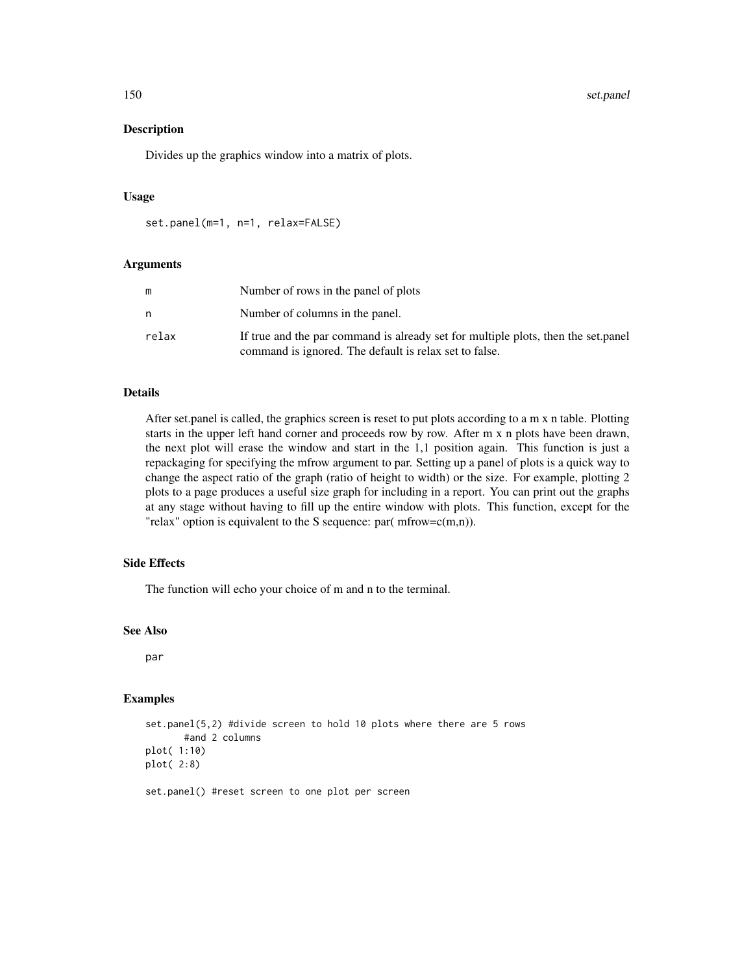## 150 set.panel

## Description

Divides up the graphics window into a matrix of plots.

## Usage

```
set.panel(m=1, n=1, relax=FALSE)
```
# Arguments

| m     | Number of rows in the panel of plots                                                                                                        |
|-------|---------------------------------------------------------------------------------------------------------------------------------------------|
| n     | Number of columns in the panel.                                                                                                             |
| relax | If true and the par command is already set for multiple plots, then the set panel<br>command is ignored. The default is relax set to false. |

## Details

After set.panel is called, the graphics screen is reset to put plots according to a m x n table. Plotting starts in the upper left hand corner and proceeds row by row. After m x n plots have been drawn, the next plot will erase the window and start in the 1,1 position again. This function is just a repackaging for specifying the mfrow argument to par. Setting up a panel of plots is a quick way to change the aspect ratio of the graph (ratio of height to width) or the size. For example, plotting 2 plots to a page produces a useful size graph for including in a report. You can print out the graphs at any stage without having to fill up the entire window with plots. This function, except for the "relax" option is equivalent to the S sequence:  $par( m from = c(m,n)).$ 

# Side Effects

The function will echo your choice of m and n to the terminal.

## See Also

par

```
set.panel(5,2) #divide screen to hold 10 plots where there are 5 rows
      #and 2 columns
plot( 1:10)
plot( 2:8)
set.panel() #reset screen to one plot per screen
```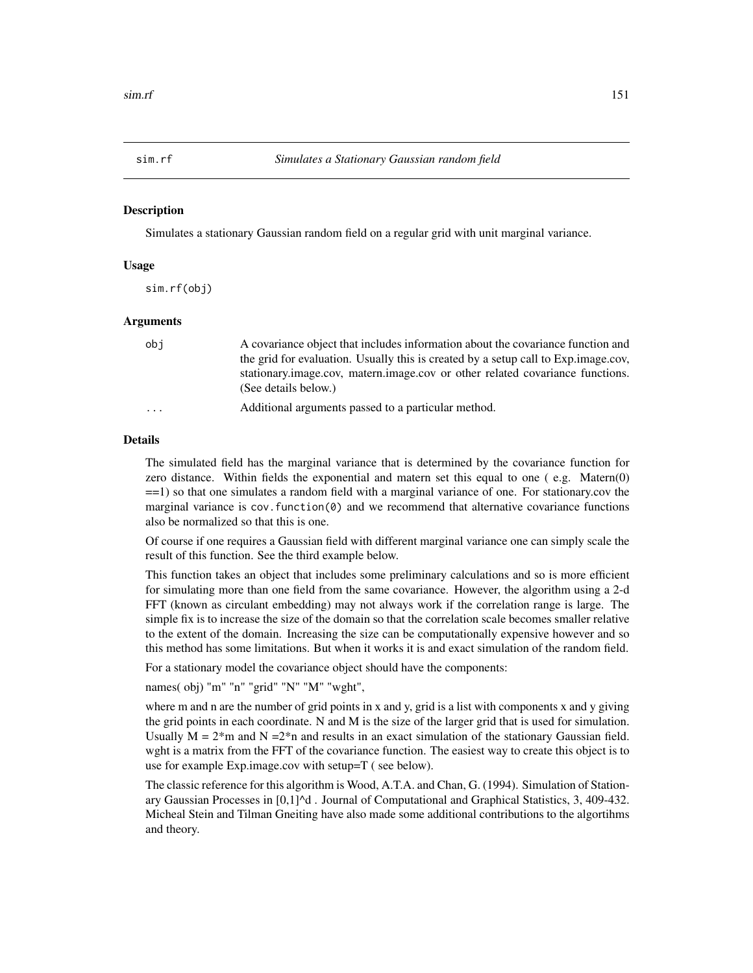# Description

Simulates a stationary Gaussian random field on a regular grid with unit marginal variance.

## Usage

sim.rf(obj)

## Arguments

| A covariance object that includes information about the covariance function and     |
|-------------------------------------------------------------------------------------|
| the grid for evaluation. Usually this is created by a setup call to Exp. image.cov, |
| stationary.image.cov, matern.image.cov or other related covariance functions.       |
| (See details below.)                                                                |
| Additional arguments passed to a particular method.                                 |
|                                                                                     |

## Details

The simulated field has the marginal variance that is determined by the covariance function for zero distance. Within fields the exponential and matern set this equal to one ( e.g. Matern(0) ==1) so that one simulates a random field with a marginal variance of one. For stationary.cov the marginal variance is cov. function(0) and we recommend that alternative covariance functions also be normalized so that this is one.

Of course if one requires a Gaussian field with different marginal variance one can simply scale the result of this function. See the third example below.

This function takes an object that includes some preliminary calculations and so is more efficient for simulating more than one field from the same covariance. However, the algorithm using a 2-d FFT (known as circulant embedding) may not always work if the correlation range is large. The simple fix is to increase the size of the domain so that the correlation scale becomes smaller relative to the extent of the domain. Increasing the size can be computationally expensive however and so this method has some limitations. But when it works it is and exact simulation of the random field.

For a stationary model the covariance object should have the components:

names( obj) "m" "n" "grid" "N" "M" "wght",

where m and n are the number of grid points in x and y, grid is a list with components x and y giving the grid points in each coordinate. N and M is the size of the larger grid that is used for simulation. Usually  $M = 2<sup>*</sup>m$  and  $N = 2<sup>*</sup>n$  and results in an exact simulation of the stationary Gaussian field. wght is a matrix from the FFT of the covariance function. The easiest way to create this object is to use for example Exp.image.cov with setup=T ( see below).

The classic reference for this algorithm is Wood, A.T.A. and Chan, G. (1994). Simulation of Stationary Gaussian Processes in [0,1]^d . Journal of Computational and Graphical Statistics, 3, 409-432. Micheal Stein and Tilman Gneiting have also made some additional contributions to the algortihms and theory.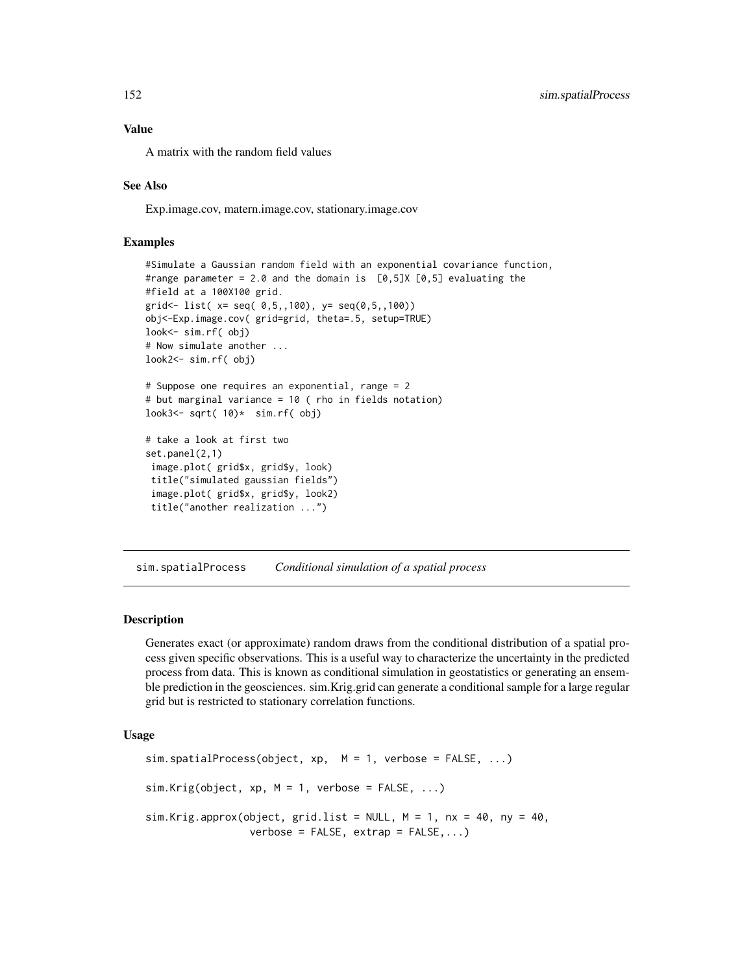# Value

A matrix with the random field values

# See Also

Exp.image.cov, matern.image.cov, stationary.image.cov

# Examples

```
#Simulate a Gaussian random field with an exponential covariance function,
#range parameter = 2.0 and the domain is [0,5]X [0,5] evaluating the
#field at a 100X100 grid.
grid<- list(x=seq(0,5,100), y=seq(0,5,100))
obj<-Exp.image.cov( grid=grid, theta=.5, setup=TRUE)
look<- sim.rf( obj)
# Now simulate another ...
look2<- sim.rf( obj)
# Suppose one requires an exponential, range = 2
# but marginal variance = 10 ( rho in fields notation)
look3<- sqrt( 10)* sim.rf( obj)
# take a look at first two
set.panel(2,1)
 image.plot( grid$x, grid$y, look)
 title("simulated gaussian fields")
 image.plot( grid$x, grid$y, look2)
 title("another realization ...")
```
sim.spatialProcess *Conditional simulation of a spatial process*

## Description

Generates exact (or approximate) random draws from the conditional distribution of a spatial process given specific observations. This is a useful way to characterize the uncertainty in the predicted process from data. This is known as conditional simulation in geostatistics or generating an ensemble prediction in the geosciences. sim.Krig.grid can generate a conditional sample for a large regular grid but is restricted to stationary correlation functions.

## Usage

```
sim.spatialProcess(object, xp, M = 1, verbose = FALSE, ...)sim.Krig(object, xp, M = 1, verbose = FALSE, ...)sim.Krig.appendqprox(object, grid.list = NULL, M = 1, nx = 40, ny = 40,
                 verbose = FALSE, extrap = FALSE,...)
```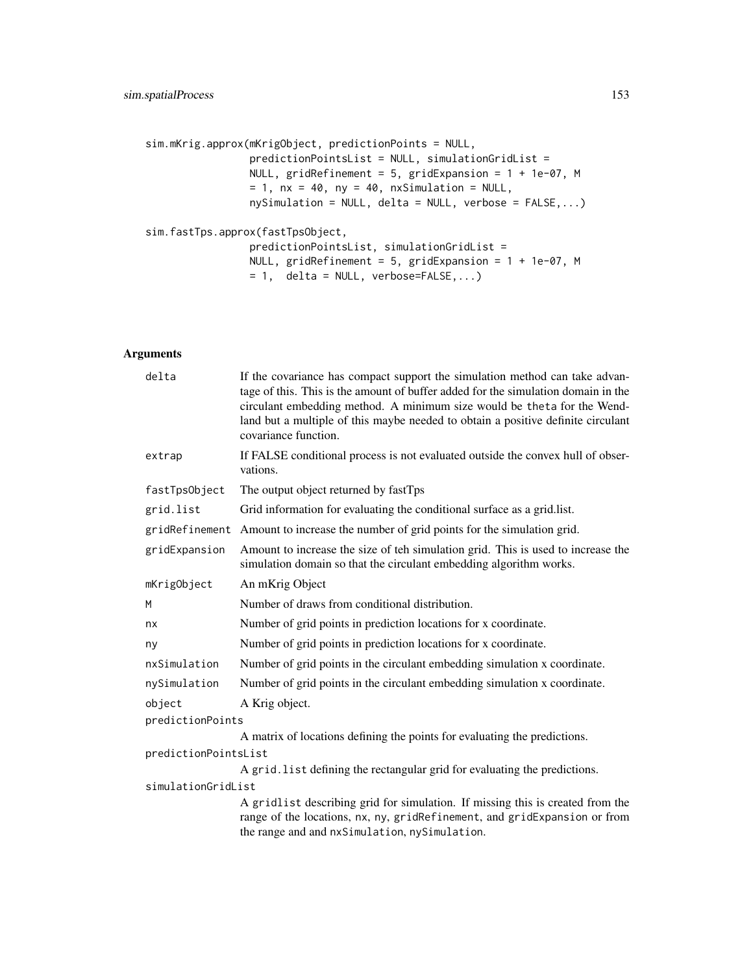```
sim.mKrig.approx(mKrigObject, predictionPoints = NULL,
                predictionPointsList = NULL, simulationGridList =
                NULL, gridRefinement = 5, gridExpansion = 1 + 1e-07, M
                = 1, nx = 40, ny = 40, nxSimulation = NULL,
                nySimulation = NULL, delta = NULL, verbose = FALSE,...)
sim.fastTps.approx(fastTpsObject,
                predictionPointsList, simulationGridList =
                NULL, gridRefinement = 5, gridExpansion = 1 + 1e-07, M
```
 $= 1$ , delta = NULL, verbose=FALSE,...)

# Arguments

| delta                | If the covariance has compact support the simulation method can take advan-<br>tage of this. This is the amount of buffer added for the simulation domain in the<br>circulant embedding method. A minimum size would be theta for the Wend-<br>land but a multiple of this maybe needed to obtain a positive definite circulant<br>covariance function. |
|----------------------|---------------------------------------------------------------------------------------------------------------------------------------------------------------------------------------------------------------------------------------------------------------------------------------------------------------------------------------------------------|
| extrap               | If FALSE conditional process is not evaluated outside the convex hull of obser-<br>vations.                                                                                                                                                                                                                                                             |
| fastTpsObject        | The output object returned by fastTps                                                                                                                                                                                                                                                                                                                   |
| grid.list            | Grid information for evaluating the conditional surface as a grid.list.                                                                                                                                                                                                                                                                                 |
| gridRefinement       | Amount to increase the number of grid points for the simulation grid.                                                                                                                                                                                                                                                                                   |
| gridExpansion        | Amount to increase the size of teh simulation grid. This is used to increase the<br>simulation domain so that the circulant embedding algorithm works.                                                                                                                                                                                                  |
| mKrigObject          | An mKrig Object                                                                                                                                                                                                                                                                                                                                         |
| M                    | Number of draws from conditional distribution.                                                                                                                                                                                                                                                                                                          |
| nx                   | Number of grid points in prediction locations for x coordinate.                                                                                                                                                                                                                                                                                         |
| ny                   | Number of grid points in prediction locations for x coordinate.                                                                                                                                                                                                                                                                                         |
| nxSimulation         | Number of grid points in the circulant embedding simulation x coordinate.                                                                                                                                                                                                                                                                               |
| nySimulation         | Number of grid points in the circulant embedding simulation x coordinate.                                                                                                                                                                                                                                                                               |
| object               | A Krig object.                                                                                                                                                                                                                                                                                                                                          |
| predictionPoints     |                                                                                                                                                                                                                                                                                                                                                         |
|                      | A matrix of locations defining the points for evaluating the predictions.                                                                                                                                                                                                                                                                               |
| predictionPointsList |                                                                                                                                                                                                                                                                                                                                                         |
| simulationGridList   | A grid. list defining the rectangular grid for evaluating the predictions.                                                                                                                                                                                                                                                                              |
|                      | A gridlist describing grid for simulation. If missing this is created from the<br>range of the locations, nx, ny, gridRefinement, and gridExpansion or from<br>the range and and nxSimulation, nySimulation.                                                                                                                                            |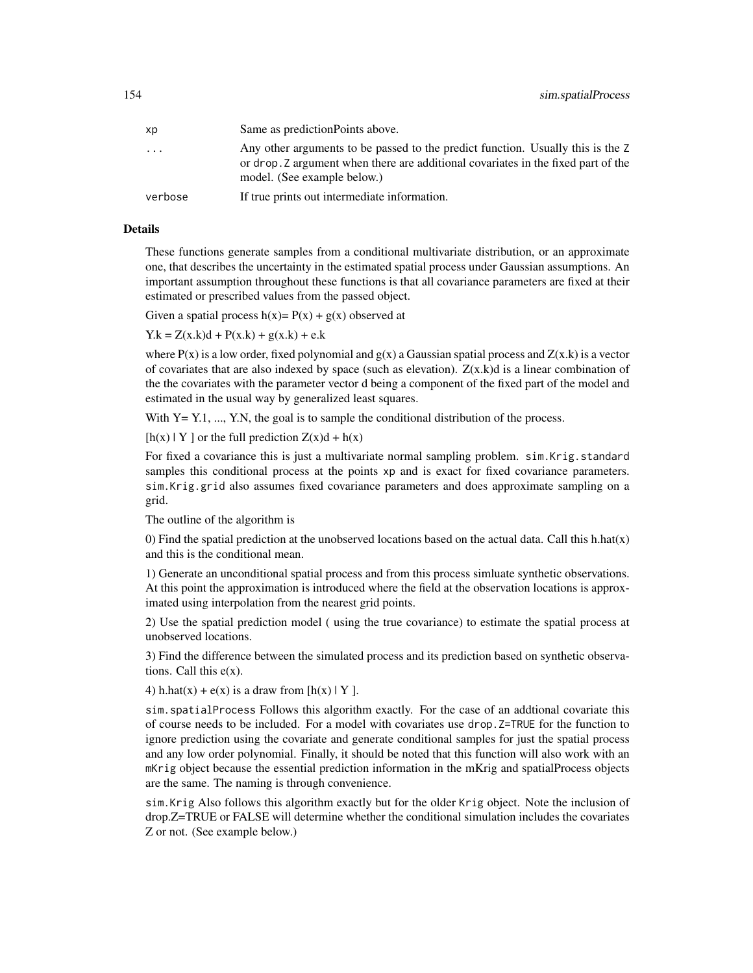| хp      | Same as prediction Points above.                                                                                                                                                                    |
|---------|-----------------------------------------------------------------------------------------------------------------------------------------------------------------------------------------------------|
| .       | Any other arguments to be passed to the predict function. Usually this is the Z<br>or drop. Z argument when there are additional covariates in the fixed part of the<br>model. (See example below.) |
| verbose | If true prints out intermediate information.                                                                                                                                                        |

## Details

These functions generate samples from a conditional multivariate distribution, or an approximate one, that describes the uncertainty in the estimated spatial process under Gaussian assumptions. An important assumption throughout these functions is that all covariance parameters are fixed at their estimated or prescribed values from the passed object.

Given a spatial process  $h(x) = P(x) + g(x)$  observed at

 $Y.k = Z(x.k)d + P(x.k) + g(x.k) + e.k$ 

where  $P(x)$  is a low order, fixed polynomial and  $g(x)$  a Gaussian spatial process and  $Z(x, k)$  is a vector of covariates that are also indexed by space (such as elevation).  $Z(x,k)$  is a linear combination of the the covariates with the parameter vector d being a component of the fixed part of the model and estimated in the usual way by generalized least squares.

With  $Y = Y.1, ..., Y.N$ , the goal is to sample the conditional distribution of the process.

 $[h(x) | Y]$  or the full prediction  $Z(x)d + h(x)$ 

For fixed a covariance this is just a multivariate normal sampling problem. sim.Krig.standard samples this conditional process at the points xp and is exact for fixed covariance parameters. sim.Krig.grid also assumes fixed covariance parameters and does approximate sampling on a grid.

The outline of the algorithm is

0) Find the spatial prediction at the unobserved locations based on the actual data. Call this h.hat $(x)$ and this is the conditional mean.

1) Generate an unconditional spatial process and from this process simluate synthetic observations. At this point the approximation is introduced where the field at the observation locations is approximated using interpolation from the nearest grid points.

2) Use the spatial prediction model ( using the true covariance) to estimate the spatial process at unobserved locations.

3) Find the difference between the simulated process and its prediction based on synthetic observations. Call this  $e(x)$ .

4) h.hat(x) +  $e(x)$  is a draw from [h(x) | Y ].

sim.spatialProcess Follows this algorithm exactly. For the case of an addtional covariate this of course needs to be included. For a model with covariates use drop.Z=TRUE for the function to ignore prediction using the covariate and generate conditional samples for just the spatial process and any low order polynomial. Finally, it should be noted that this function will also work with an mKrig object because the essential prediction information in the mKrig and spatialProcess objects are the same. The naming is through convenience.

sim.Krig Also follows this algorithm exactly but for the older Krig object. Note the inclusion of drop.Z=TRUE or FALSE will determine whether the conditional simulation includes the covariates Z or not. (See example below.)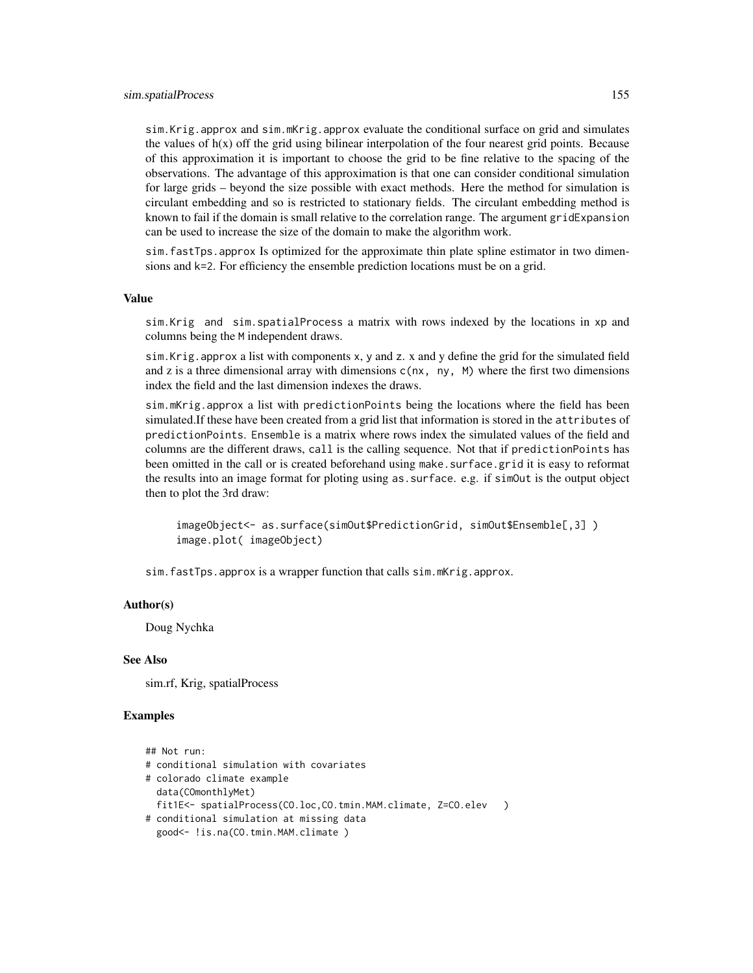## sim.spatialProcess 155

sim.Krig.approx and sim.mKrig.approx evaluate the conditional surface on grid and simulates the values of  $h(x)$  off the grid using bilinear interpolation of the four nearest grid points. Because of this approximation it is important to choose the grid to be fine relative to the spacing of the observations. The advantage of this approximation is that one can consider conditional simulation for large grids – beyond the size possible with exact methods. Here the method for simulation is circulant embedding and so is restricted to stationary fields. The circulant embedding method is known to fail if the domain is small relative to the correlation range. The argument gridExpansion can be used to increase the size of the domain to make the algorithm work.

sim.fastTps.approx Is optimized for the approximate thin plate spline estimator in two dimensions and k=2. For efficiency the ensemble prediction locations must be on a grid.

# Value

sim.Krig and sim.spatialProcess a matrix with rows indexed by the locations in xp and columns being the M independent draws.

sim.Krig.approx a list with components x, y and z. x and y define the grid for the simulated field and z is a three dimensional array with dimensions  $c(nx, ny, M)$  where the first two dimensions index the field and the last dimension indexes the draws.

sim.mKrig.approx a list with predictionPoints being the locations where the field has been simulated.If these have been created from a grid list that information is stored in the attributes of predictionPoints. Ensemble is a matrix where rows index the simulated values of the field and columns are the different draws, call is the calling sequence. Not that if predictionPoints has been omitted in the call or is created beforehand using make. surface.grid it is easy to reformat the results into an image format for ploting using as.surface. e.g. if simOut is the output object then to plot the 3rd draw:

imageObject<- as.surface(simOut\$PredictionGrid, simOut\$Ensemble[,3] ) image.plot( imageObject)

sim.fastTps.approx is a wrapper function that calls sim.mKrig.approx.

## Author(s)

Doug Nychka

## See Also

sim.rf, Krig, spatialProcess

```
\# Not run:
# conditional simulation with covariates
# colorado climate example
 data(COmonthlyMet)
 fit1E<- spatialProcess(CO.loc,CO.tmin.MAM.climate, Z=CO.elev )
# conditional simulation at missing data
 good<- !is.na(CO.tmin.MAM.climate )
```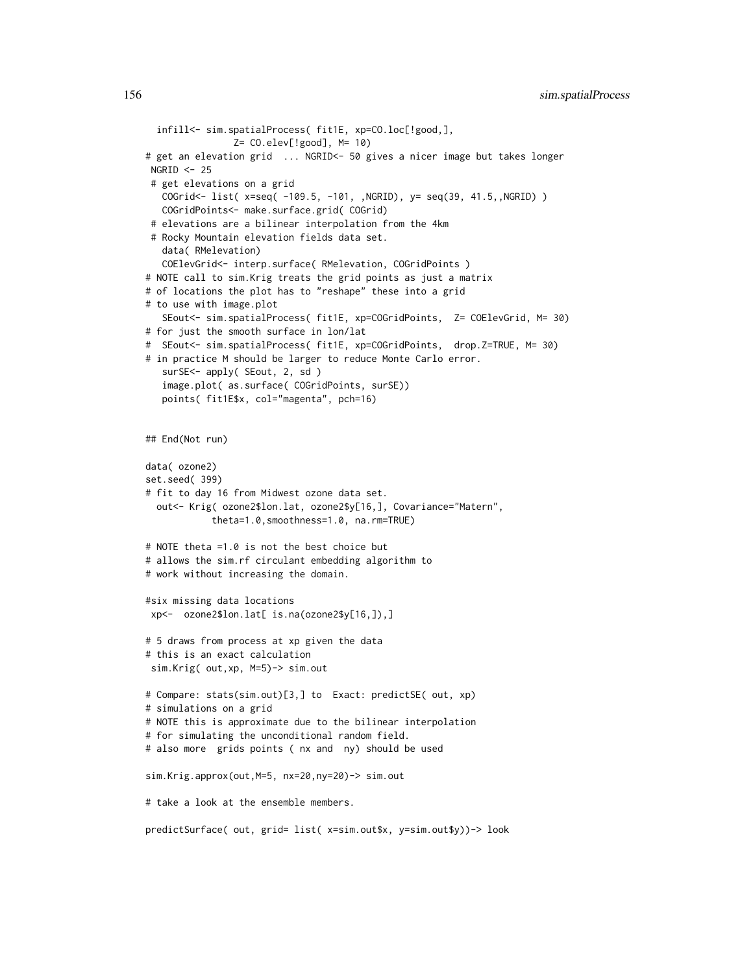```
infill<- sim.spatialProcess( fit1E, xp=CO.loc[!good,],
                Z= CO.elev[!good], M= 10)
# get an elevation grid ... NGRID<- 50 gives a nicer image but takes longer
NGRID < -25# get elevations on a grid
  COGrid<- list( x=seq( -109.5, -101, ,NGRID), y= seq(39, 41.5,,NGRID) )
  COGridPoints<- make.surface.grid( COGrid)
 # elevations are a bilinear interpolation from the 4km
 # Rocky Mountain elevation fields data set.
  data( RMelevation)
   COElevGrid<- interp.surface( RMelevation, COGridPoints )
# NOTE call to sim.Krig treats the grid points as just a matrix
# of locations the plot has to "reshape" these into a grid
# to use with image.plot
   SEout<- sim.spatialProcess( fit1E, xp=COGridPoints, Z= COElevGrid, M= 30)
# for just the smooth surface in lon/lat
# SEout<- sim.spatialProcess( fit1E, xp=COGridPoints, drop.Z=TRUE, M= 30)
# in practice M should be larger to reduce Monte Carlo error.
  surSE<- apply( SEout, 2, sd )
   image.plot( as.surface( COGridPoints, surSE))
  points( fit1E$x, col="magenta", pch=16)
## End(Not run)
data( ozone2)
set.seed( 399)
# fit to day 16 from Midwest ozone data set.
 out<- Krig( ozone2$lon.lat, ozone2$y[16,], Covariance="Matern",
           theta=1.0,smoothness=1.0, na.rm=TRUE)
# NOTE theta =1.0 is not the best choice but
# allows the sim.rf circulant embedding algorithm to
# work without increasing the domain.
#six missing data locations
xp<- ozone2$lon.lat[ is.na(ozone2$y[16,]),]
# 5 draws from process at xp given the data
# this is an exact calculation
sim.Krig( out,xp, M=5)-> sim.out
# Compare: stats(sim.out)[3,] to Exact: predictSE( out, xp)
# simulations on a grid
# NOTE this is approximate due to the bilinear interpolation
# for simulating the unconditional random field.
# also more grids points ( nx and ny) should be used
sim.Krig.approx(out,M=5, nx=20,ny=20)-> sim.out
# take a look at the ensemble members.
predictSurface( out, grid= list( x=sim.out$x, y=sim.out$y))-> look
```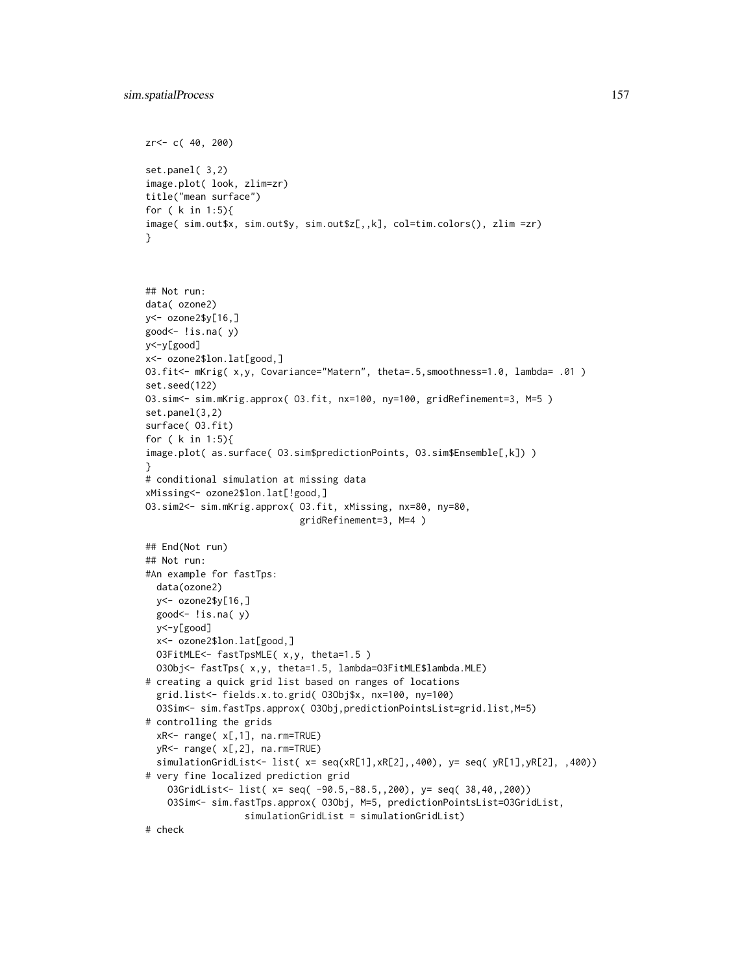```
zr<- c( 40, 200)
set.panel( 3,2)
image.plot( look, zlim=zr)
title("mean surface")
for ( k in 1:5){
image( sim.out$x, sim.out$y, sim.out$z[,,k], col=tim.colors(), zlim =zr)
}
```

```
## Not run:
data( ozone2)
y<- ozone2$y[16,]
good<- !is.na( y)
y<-y[good]
x<- ozone2$lon.lat[good,]
O3.fit<- mKrig( x,y, Covariance="Matern", theta=.5,smoothness=1.0, lambda= .01 )
set.seed(122)
O3.sim<- sim.mKrig.approx( O3.fit, nx=100, ny=100, gridRefinement=3, M=5 )
set.panel(3,2)
surface( O3.fit)
for ( k in 1:5){
image.plot( as.surface( O3.sim$predictionPoints, O3.sim$Ensemble[,k]) )
}
# conditional simulation at missing data
xMissing<- ozone2$lon.lat[!good,]
O3.sim2<- sim.mKrig.approx( O3.fit, xMissing, nx=80, ny=80,
                            gridRefinement=3, M=4 )
## End(Not run)
## Not run:
#An example for fastTps:
  data(ozone2)
  y<- ozone2$y[16,]
  good<- !is.na( y)
  y<-y[good]
  x<- ozone2$lon.lat[good,]
  O3FitMLE<- fastTpsMLE( x,y, theta=1.5 )
  O3Obj<- fastTps( x,y, theta=1.5, lambda=O3FitMLE$lambda.MLE)
# creating a quick grid list based on ranges of locations
  grid.list<- fields.x.to.grid( O3Obj$x, nx=100, ny=100)
  O3Sim<- sim.fastTps.approx( O3Obj,predictionPointsList=grid.list,M=5)
# controlling the grids
  xR<- range( x[,1], na.rm=TRUE)
  yR<- range( x[,2], na.rm=TRUE)
  simulationGridList<- list( x= seq(xR[1],xR[2],,400), y= seq( yR[1],yR[2], ,400))
# very fine localized prediction grid
    O3GridList<- list( x= seq( -90.5,-88.5,,200), y= seq( 38,40,,200))
    O3Sim<- sim.fastTps.approx( O3Obj, M=5, predictionPointsList=O3GridList,
                  simulationGridList = simulationGridList)
# check
```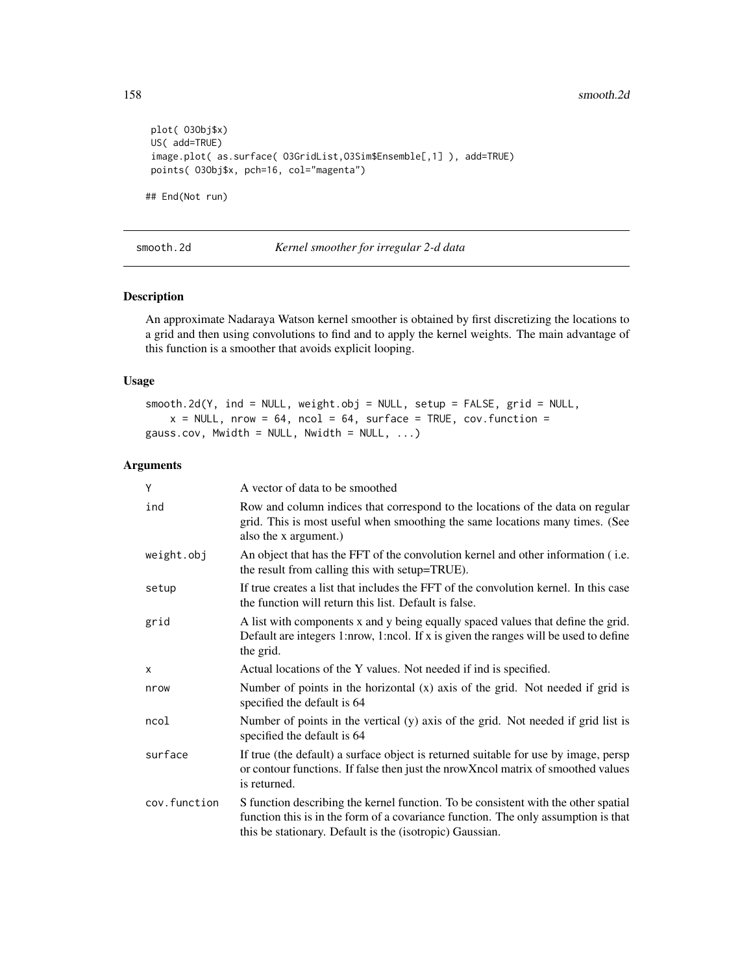```
plot( O3Obj$x)
US( add=TRUE)
image.plot( as.surface( O3GridList,O3Sim$Ensemble[,1] ), add=TRUE)
points( O3Obj$x, pch=16, col="magenta")
## End(Not run)
```
smooth.2d *Kernel smoother for irregular 2-d data*

# Description

An approximate Nadaraya Watson kernel smoother is obtained by first discretizing the locations to a grid and then using convolutions to find and to apply the kernel weights. The main advantage of this function is a smoother that avoids explicit looping.

## Usage

```
smooth.2d(Y, ind = NULL, weight.obj = NULL, setup = FALSE, grid = NULL,
    x = NULL, nrow = 64, ncol = 64, surface = TRUE, cov. function =
gauss.cov, Mwidth = NULL, Nwidth = NULL, \dots)
```
# Arguments

| Y            | A vector of data to be smoothed                                                                                                                                                                                                      |
|--------------|--------------------------------------------------------------------------------------------------------------------------------------------------------------------------------------------------------------------------------------|
| ind          | Row and column indices that correspond to the locations of the data on regular<br>grid. This is most useful when smoothing the same locations many times. (See<br>also the x argument.)                                              |
| weight.obj   | An object that has the FFT of the convolution kernel and other information (i.e.<br>the result from calling this with setup=TRUE).                                                                                                   |
| setup        | If true creates a list that includes the FFT of the convolution kernel. In this case<br>the function will return this list. Default is false.                                                                                        |
| grid         | A list with components x and y being equally spaced values that define the grid.<br>Default are integers 1:nrow, 1:ncol. If x is given the ranges will be used to define<br>the grid.                                                |
| X            | Actual locations of the Y values. Not needed if ind is specified.                                                                                                                                                                    |
| nrow         | Number of points in the horizontal $(x)$ axis of the grid. Not needed if grid is<br>specified the default is 64                                                                                                                      |
| ncol         | Number of points in the vertical $(y)$ axis of the grid. Not needed if grid list is<br>specified the default is 64                                                                                                                   |
| surface      | If true (the default) a surface object is returned suitable for use by image, persp<br>or contour functions. If false then just the nrowXncol matrix of smoothed values<br>is returned.                                              |
| cov.function | S function describing the kernel function. To be consistent with the other spatial<br>function this is in the form of a covariance function. The only assumption is that<br>this be stationary. Default is the (isotropic) Gaussian. |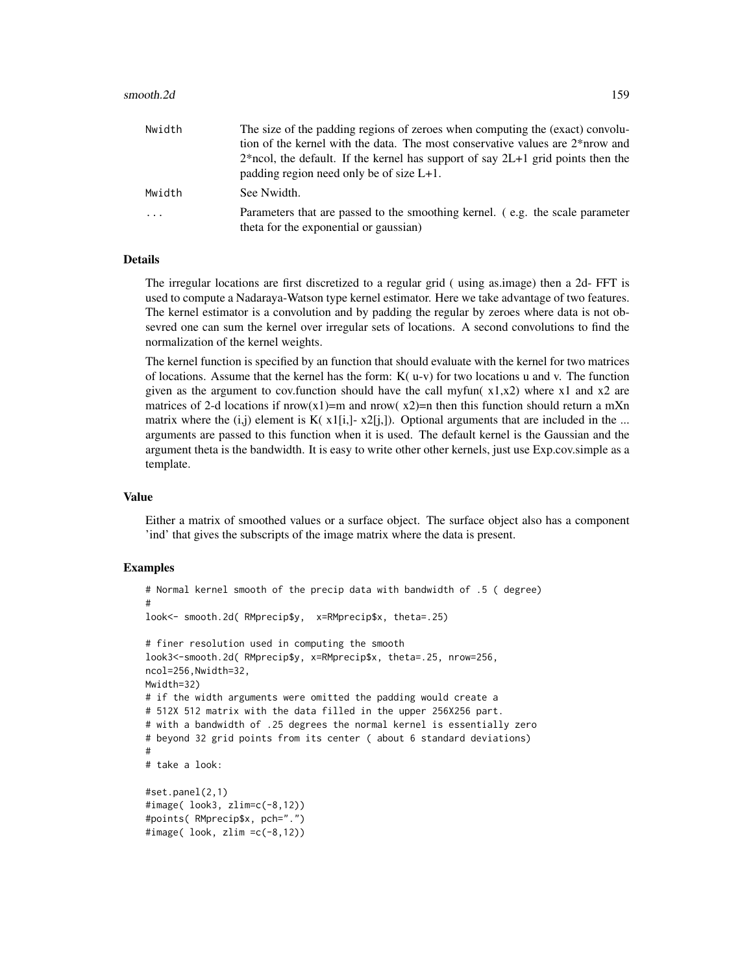| Nwidth   | The size of the padding regions of zeroes when computing the (exact) convolu-                                           |
|----------|-------------------------------------------------------------------------------------------------------------------------|
|          | tion of the kernel with the data. The most conservative values are $2*$ nrow and                                        |
|          | $2*$ ncol, the default. If the kernel has support of say $2L+1$ grid points then the                                    |
|          | padding region need only be of size $L+1$ .                                                                             |
| Mwidth   | See Nwidth.                                                                                                             |
| $\cdots$ | Parameters that are passed to the smoothing kernel. (e.g. the scale parameter<br>theta for the exponential or gaussian) |

## Details

The irregular locations are first discretized to a regular grid ( using as.image) then a 2d- FFT is used to compute a Nadaraya-Watson type kernel estimator. Here we take advantage of two features. The kernel estimator is a convolution and by padding the regular by zeroes where data is not obsevred one can sum the kernel over irregular sets of locations. A second convolutions to find the normalization of the kernel weights.

The kernel function is specified by an function that should evaluate with the kernel for two matrices of locations. Assume that the kernel has the form:  $K(u-v)$  for two locations u and v. The function given as the argument to cov.function should have the call myfun( $x1, x2$ ) where  $x1$  and  $x2$  are matrices of 2-d locations if  $m(w(x))=m$  and  $m(w(x))=n$  then this function should return a mXn matrix where the  $(i,j)$  element is  $K(x1[i,]-x2[i,])$ . Optional arguments that are included in the ... arguments are passed to this function when it is used. The default kernel is the Gaussian and the argument theta is the bandwidth. It is easy to write other other kernels, just use Exp.cov.simple as a template.

## Value

Either a matrix of smoothed values or a surface object. The surface object also has a component 'ind' that gives the subscripts of the image matrix where the data is present.

```
# Normal kernel smooth of the precip data with bandwidth of .5 ( degree)
#
look<- smooth.2d( RMprecip$y, x=RMprecip$x, theta=.25)
# finer resolution used in computing the smooth
look3<-smooth.2d( RMprecip$y, x=RMprecip$x, theta=.25, nrow=256,
ncol=256,Nwidth=32,
Mwidth=32)
# if the width arguments were omitted the padding would create a
# 512X 512 matrix with the data filled in the upper 256X256 part.
# with a bandwidth of .25 degrees the normal kernel is essentially zero
# beyond 32 grid points from its center ( about 6 standard deviations)
#
# take a look:
#set.panel(2,1)
#image( look3, zlim=c(-8,12))
#points( RMprecip$x, pch=".")
#image( look, zlim =c(-8,12))
```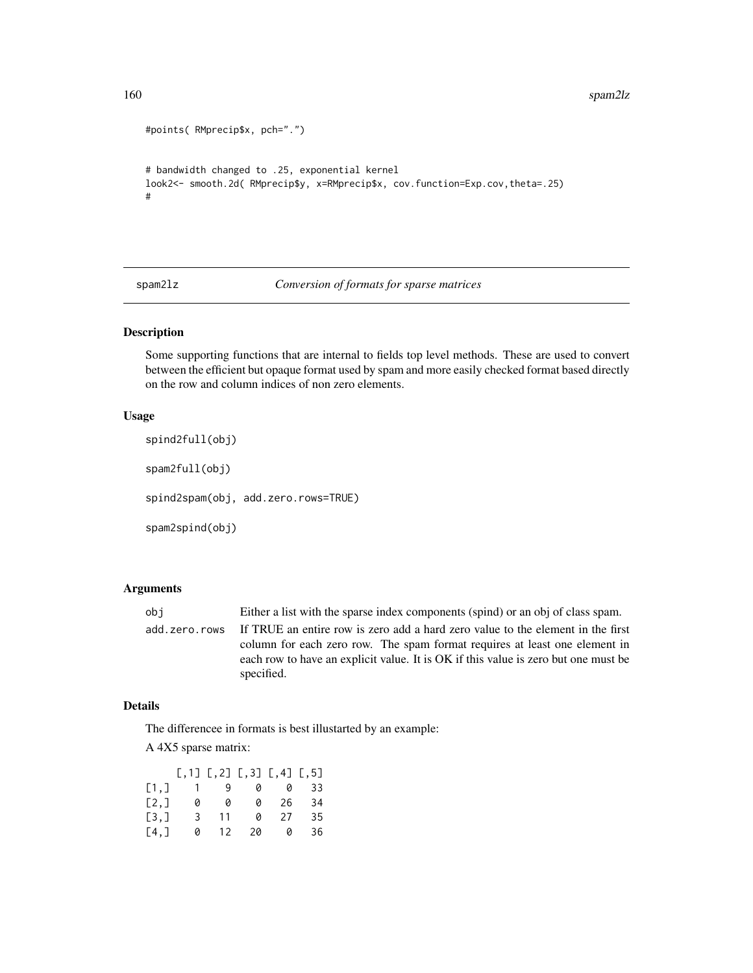```
#points( RMprecip$x, pch=".")
# bandwidth changed to .25, exponential kernel
look2<- smooth.2d( RMprecip$y, x=RMprecip$x, cov.function=Exp.cov,theta=.25)
#
```
spam2lz *Conversion of formats for sparse matrices*

# Description

Some supporting functions that are internal to fields top level methods. These are used to convert between the efficient but opaque format used by spam and more easily checked format based directly on the row and column indices of non zero elements.

## Usage

```
spind2full(obj)
spam2full(obj)
spind2spam(obj, add.zero.rows=TRUE)
spam2spind(obj)
```
# Arguments

obj Either a list with the sparse index components (spind) or an obj of class spam. add.zero.rows If TRUE an entire row is zero add a hard zero value to the element in the first column for each zero row. The spam format requires at least one element in each row to have an explicit value. It is OK if this value is zero but one must be specified.

# Details

The differencee in formats is best illustarted by an example:

A 4X5 sparse matrix:

|      |   |    |        | $[0,1]$ $[0,2]$ $[0,3]$ $[0,4]$ $[0,5]$ |    |
|------|---|----|--------|-----------------------------------------|----|
| [1,] |   |    |        | 1 9 0 0 33                              |    |
| [2,] | 0 |    | 0<br>0 | - 26                                    | 34 |
| [3,] | 3 | 11 | Ø.     | 27                                      | 35 |
| [4,] | 0 | 12 |        | 200                                     | 36 |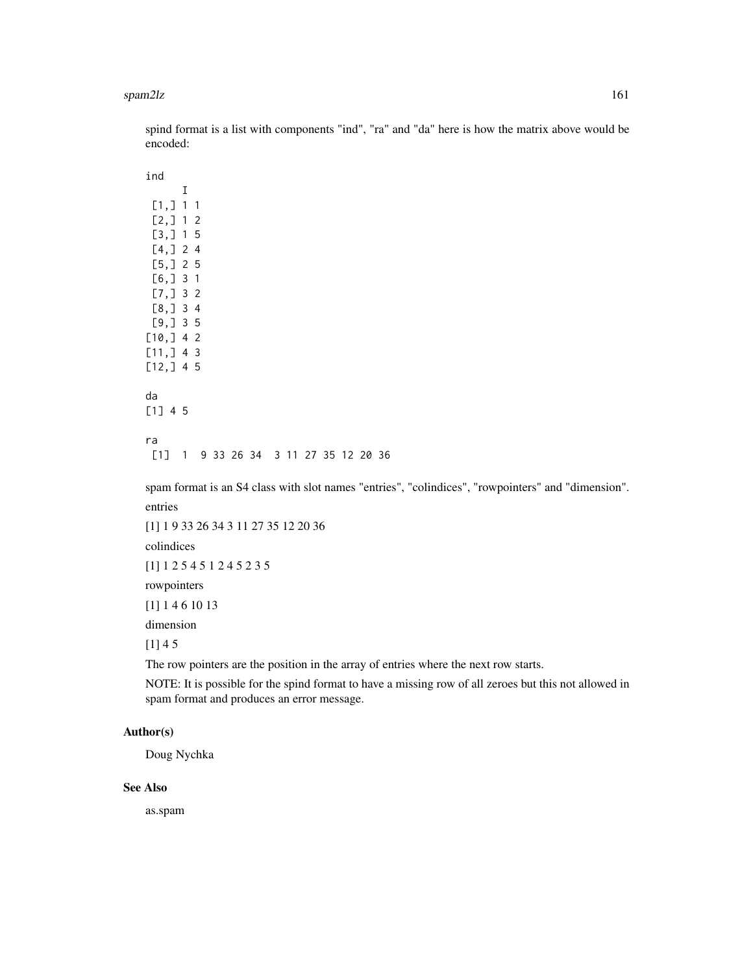## spam2lz 161

spind format is a list with components "ind", "ra" and "da" here is how the matrix above would be encoded:

spam format is an S4 class with slot names "entries", "colindices", "rowpointers" and "dimension". entries

[1] 1 9 33 26 34 3 11 27 35 12 20 36 colindices [1] 1 2 5 4 5 1 2 4 5 2 3 5 rowpointers [1] 1 4 6 10 13 dimension  $[1] 4 5$ 

The row pointers are the position in the array of entries where the next row starts.

NOTE: It is possible for the spind format to have a missing row of all zeroes but this not allowed in spam format and produces an error message.

# Author(s)

Doug Nychka

## See Also

as.spam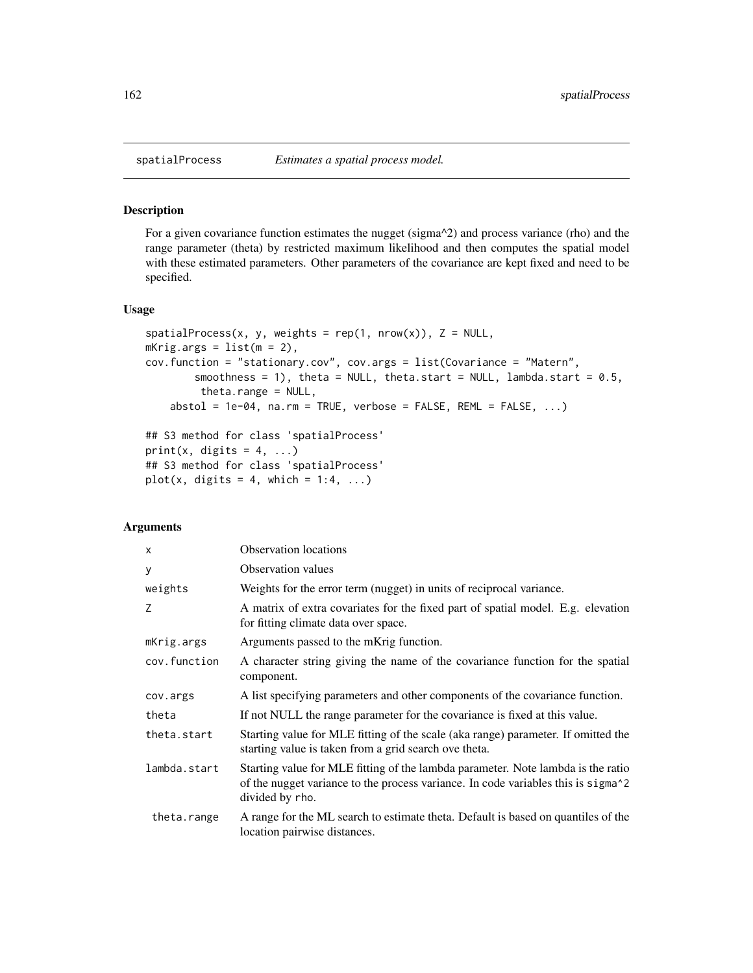## Description

For a given covariance function estimates the nugget (sigma^2) and process variance (rho) and the range parameter (theta) by restricted maximum likelihood and then computes the spatial model with these estimated parameters. Other parameters of the covariance are kept fixed and need to be specified.

## Usage

```
spatialProcess(x, y, weights = rep(1, nrow(x)), Z = NULL,mKrig.args = list(m = 2),
cov.function = "stationary.cov", cov.args = list(Covariance = "Matern",
        smoothness = 1), theta = NULL, theta.start = NULL, lambda.start = 0.5,
         theta.range = NULL,
    abstol = 1e-04, na.rm = TRUE, verbose = FALSE, REML = FALSE, \ldots)
## S3 method for class 'spatialProcess'
print(x, digits = 4, ...)
## S3 method for class 'spatialProcess'
```
# Arguments

plot(x, digits = 4, which =  $1:4, ...$ )

| $\mathsf{x}$ | <b>Observation locations</b>                                                                                                                                                                        |
|--------------|-----------------------------------------------------------------------------------------------------------------------------------------------------------------------------------------------------|
| y            | <b>Observation values</b>                                                                                                                                                                           |
| weights      | Weights for the error term (nugget) in units of reciprocal variance.                                                                                                                                |
| Z            | A matrix of extra covariates for the fixed part of spatial model. E.g. elevation<br>for fitting climate data over space.                                                                            |
| mKrig.args   | Arguments passed to the mKrig function.                                                                                                                                                             |
| cov.function | A character string giving the name of the covariance function for the spatial<br>component.                                                                                                         |
| cov.args     | A list specifying parameters and other components of the covariance function.                                                                                                                       |
| theta        | If not NULL the range parameter for the covariance is fixed at this value.                                                                                                                          |
| theta.start  | Starting value for MLE fitting of the scale (aka range) parameter. If omitted the<br>starting value is taken from a grid search ove theta.                                                          |
| lambda.start | Starting value for MLE fitting of the lambda parameter. Note lambda is the ratio<br>of the nugget variance to the process variance. In code variables this is sigma <sup>2</sup><br>divided by rho. |
| theta.range  | A range for the ML search to estimate theta. Default is based on quantiles of the<br>location pairwise distances.                                                                                   |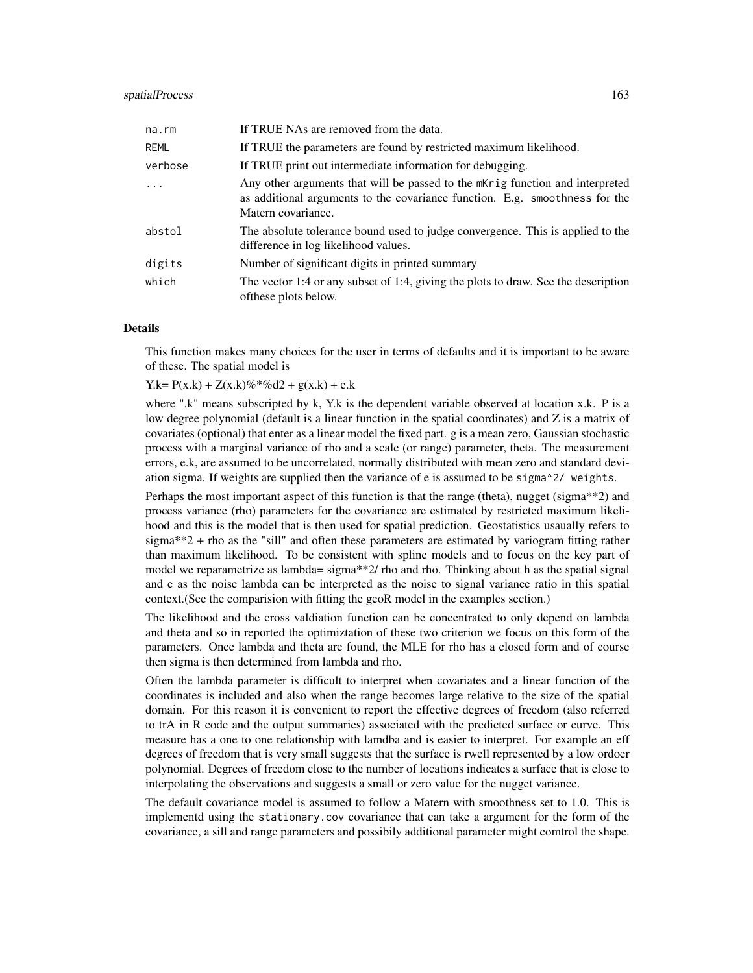## spatialProcess 163

| $na$ . $rm$ | If TRUE NAs are removed from the data.                                                                                                                                             |
|-------------|------------------------------------------------------------------------------------------------------------------------------------------------------------------------------------|
| <b>REML</b> | If TRUE the parameters are found by restricted maximum likelihood.                                                                                                                 |
| verbose     | If TRUE print out intermediate information for debugging.                                                                                                                          |
| $\ddots$ .  | Any other arguments that will be passed to the mKrig function and interpreted<br>as additional arguments to the covariance function. E.g. smoothness for the<br>Matern covariance. |
| abstol      | The absolute tolerance bound used to judge convergence. This is applied to the<br>difference in log likelihood values.                                                             |
| digits      | Number of significant digits in printed summary                                                                                                                                    |
| which       | The vector 1:4 or any subset of 1:4, giving the plots to draw. See the description<br>of these plots below.                                                                        |

# Details

This function makes many choices for the user in terms of defaults and it is important to be aware of these. The spatial model is

Y.k=  $P(x.k) + Z(x.k)\% * \% d2 + g(x.k) + e.k$ 

where ".k" means subscripted by k, Y.k is the dependent variable observed at location x.k. P is a low degree polynomial (default is a linear function in the spatial coordinates) and Z is a matrix of covariates (optional) that enter as a linear model the fixed part. g is a mean zero, Gaussian stochastic process with a marginal variance of rho and a scale (or range) parameter, theta. The measurement errors, e.k, are assumed to be uncorrelated, normally distributed with mean zero and standard deviation sigma. If weights are supplied then the variance of e is assumed to be sigma^2/ weights.

Perhaps the most important aspect of this function is that the range (theta), nugget (sigma\*\*2) and process variance (rho) parameters for the covariance are estimated by restricted maximum likelihood and this is the model that is then used for spatial prediction. Geostatistics usaually refers to sigma\*\*2 + rho as the "sill" and often these parameters are estimated by variogram fitting rather than maximum likelihood. To be consistent with spline models and to focus on the key part of model we reparametrize as lambda= sigma\*\*2/ rho and rho. Thinking about h as the spatial signal and e as the noise lambda can be interpreted as the noise to signal variance ratio in this spatial context.(See the comparision with fitting the geoR model in the examples section.)

The likelihood and the cross valdiation function can be concentrated to only depend on lambda and theta and so in reported the optimiztation of these two criterion we focus on this form of the parameters. Once lambda and theta are found, the MLE for rho has a closed form and of course then sigma is then determined from lambda and rho.

Often the lambda parameter is difficult to interpret when covariates and a linear function of the coordinates is included and also when the range becomes large relative to the size of the spatial domain. For this reason it is convenient to report the effective degrees of freedom (also referred to trA in R code and the output summaries) associated with the predicted surface or curve. This measure has a one to one relationship with lamdba and is easier to interpret. For example an eff degrees of freedom that is very small suggests that the surface is rwell represented by a low ordoer polynomial. Degrees of freedom close to the number of locations indicates a surface that is close to interpolating the observations and suggests a small or zero value for the nugget variance.

The default covariance model is assumed to follow a Matern with smoothness set to 1.0. This is implementd using the stationary.cov covariance that can take a argument for the form of the covariance, a sill and range parameters and possibily additional parameter might comtrol the shape.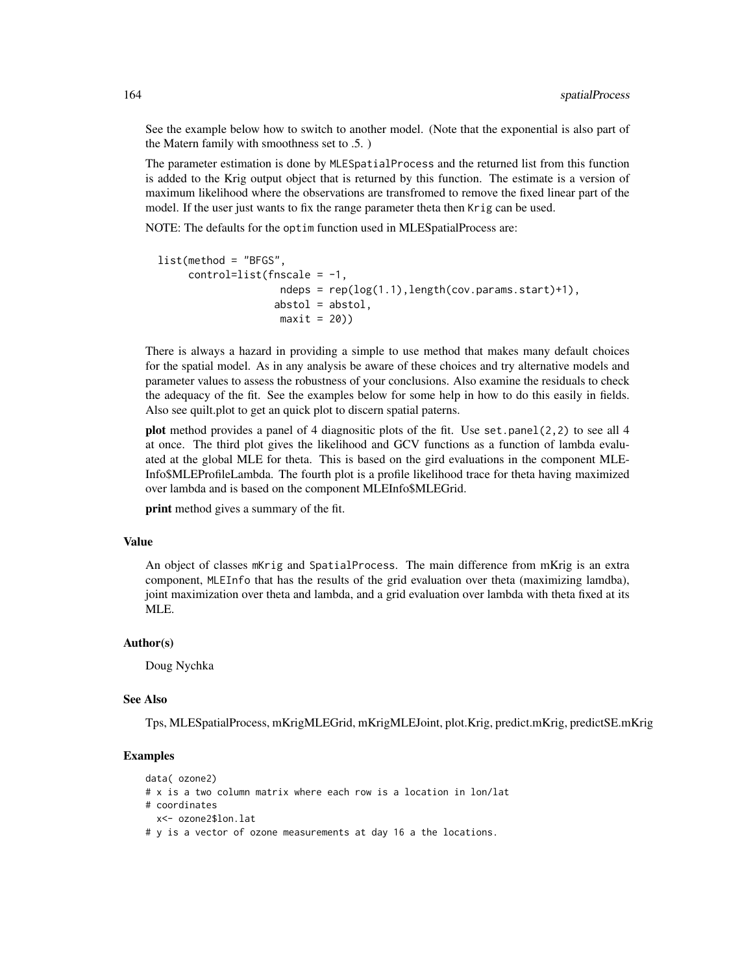See the example below how to switch to another model. (Note that the exponential is also part of the Matern family with smoothness set to .5. )

The parameter estimation is done by MLESpatialProcess and the returned list from this function is added to the Krig output object that is returned by this function. The estimate is a version of maximum likelihood where the observations are transfromed to remove the fixed linear part of the model. If the user just wants to fix the range parameter theta then Krig can be used.

NOTE: The defaults for the optim function used in MLESpatialProcess are:

```
list(method = "BFGS",
    control=list(fnscale = -1,ndeps = rep(log(1.1),length(cov.params.start)+1),
                  abstol = abstol,maxit = 20)
```
There is always a hazard in providing a simple to use method that makes many default choices for the spatial model. As in any analysis be aware of these choices and try alternative models and parameter values to assess the robustness of your conclusions. Also examine the residuals to check the adequacy of the fit. See the examples below for some help in how to do this easily in fields. Also see quilt.plot to get an quick plot to discern spatial paterns.

plot method provides a panel of 4 diagnositic plots of the fit. Use set.panel(2,2) to see all 4 at once. The third plot gives the likelihood and GCV functions as a function of lambda evaluated at the global MLE for theta. This is based on the gird evaluations in the component MLE-Info\$MLEProfileLambda. The fourth plot is a profile likelihood trace for theta having maximized over lambda and is based on the component MLEInfo\$MLEGrid.

print method gives a summary of the fit.

## Value

An object of classes mKrig and SpatialProcess. The main difference from mKrig is an extra component, MLEInfo that has the results of the grid evaluation over theta (maximizing lamdba), joint maximization over theta and lambda, and a grid evaluation over lambda with theta fixed at its MLE.

## Author(s)

Doug Nychka

## See Also

Tps, MLESpatialProcess, mKrigMLEGrid, mKrigMLEJoint, plot.Krig, predict.mKrig, predictSE.mKrig

```
data( ozone2)
# x is a two column matrix where each row is a location in lon/lat
# coordinates
 x<- ozone2$lon.lat
# y is a vector of ozone measurements at day 16 a the locations.
```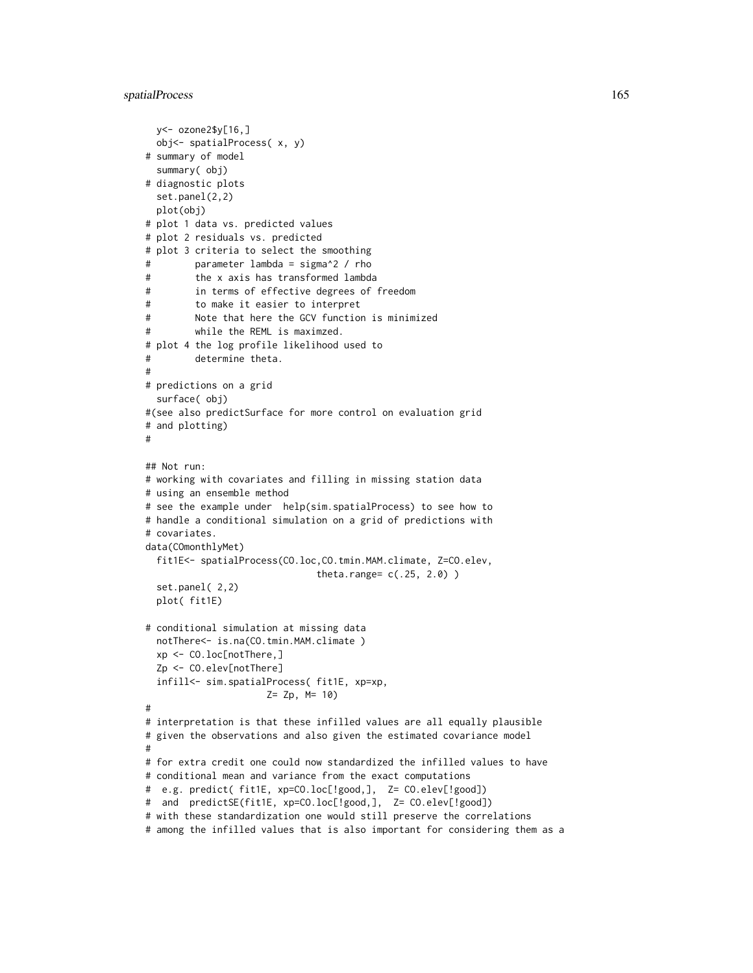```
y<- ozone2$y[16,]
 obj<- spatialProcess( x, y)
# summary of model
 summary( obj)
# diagnostic plots
 set.panel(2,2)
 plot(obj)
# plot 1 data vs. predicted values
# plot 2 residuals vs. predicted
# plot 3 criteria to select the smoothing
# parameter lambda = sigma^2 / rho
# the x axis has transformed lambda
# in terms of effective degrees of freedom
# to make it easier to interpret
# Note that here the GCV function is minimized
# while the REML is maximzed.
# plot 4 the log profile likelihood used to
# determine theta.
#
# predictions on a grid
 surface( obj)
#(see also predictSurface for more control on evaluation grid
# and plotting)
#
## Not run:
# working with covariates and filling in missing station data
# using an ensemble method
# see the example under help(sim.spatialProcess) to see how to
# handle a conditional simulation on a grid of predictions with
# covariates.
data(COmonthlyMet)
 fit1E<- spatialProcess(CO.loc,CO.tmin.MAM.climate, Z=CO.elev,
                              theta.range= c(.25, 2.0) )
 set.panel( 2,2)
 plot( fit1E)
# conditional simulation at missing data
 notThere<- is.na(CO.tmin.MAM.climate )
 xp <- CO.loc[notThere,]
 Zp <- CO.elev[notThere]
 infill<- sim.spatialProcess( fit1E, xp=xp,
                     Z= Zp, M= 10)
#
# interpretation is that these infilled values are all equally plausible
# given the observations and also given the estimated covariance model
#
# for extra credit one could now standardized the infilled values to have
# conditional mean and variance from the exact computations
# e.g. predict( fit1E, xp=CO.loc[!good,], Z= CO.elev[!good])
# and predictSE(fit1E, xp=CO.loc[!good,], Z= CO.elev[!good])
# with these standardization one would still preserve the correlations
# among the infilled values that is also important for considering them as a
```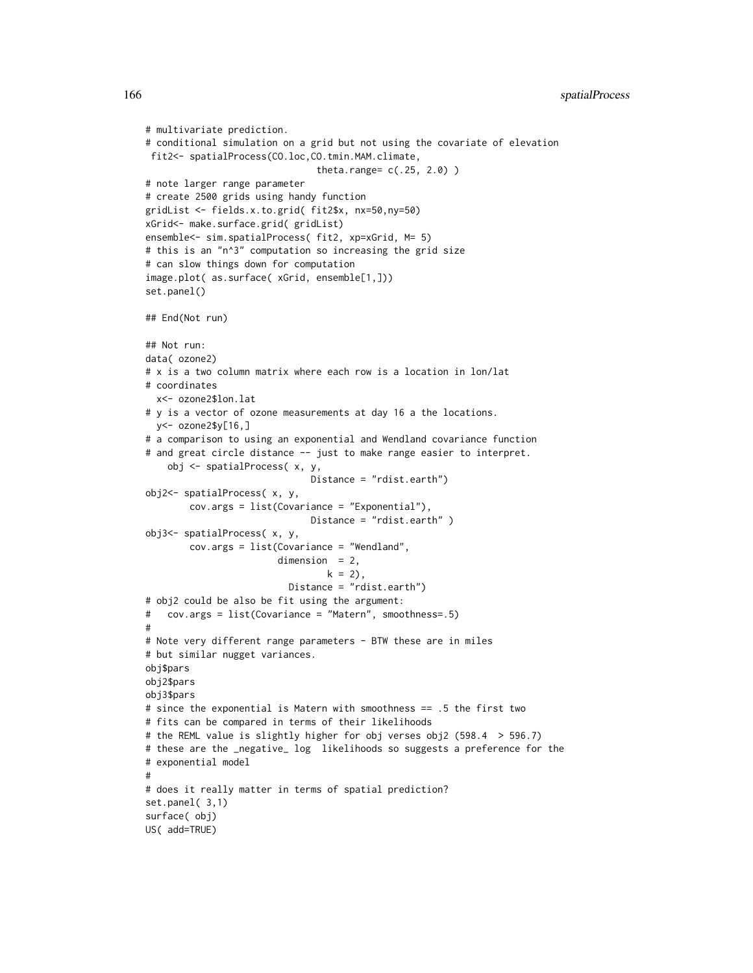```
# multivariate prediction.
# conditional simulation on a grid but not using the covariate of elevation
fit2<- spatialProcess(CO.loc,CO.tmin.MAM.climate,
                               theta.range= c(.25, 2.0) )
# note larger range parameter
# create 2500 grids using handy function
gridList <- fields.x.to.grid( fit2$x, nx=50,ny=50)
xGrid<- make.surface.grid( gridList)
ensemble<- sim.spatialProcess( fit2, xp=xGrid, M= 5)
# this is an "n^3" computation so increasing the grid size
# can slow things down for computation
image.plot( as.surface( xGrid, ensemble[1,]))
set.panel()
## End(Not run)
## Not run:
data( ozone2)
# x is a two column matrix where each row is a location in lon/lat
# coordinates
  x<- ozone2$lon.lat
# y is a vector of ozone measurements at day 16 a the locations.
  y<- ozone2$y[16,]
# a comparison to using an exponential and Wendland covariance function
# and great circle distance -- just to make range easier to interpret.
    obj <- spatialProcess( x, y,
                              Distance = "rdist.earth")
obj2<- spatialProcess( x, y,
        cov.args = list(Covariance = "Exponential"),
                              Distance = "rdist.earth" )
obj3<- spatialProcess( x, y,
        cov.args = list(Covariance = "Wendland",
                        dimension = 2,
                                 k = 2,
                          Distance = "rdist.earth")
# obj2 could be also be fit using the argument:
# cov.args = list(Covariance = "Matern", smoothness=.5)
#
# Note very different range parameters - BTW these are in miles
# but similar nugget variances.
obj$pars
obj2$pars
obj3$pars
# since the exponential is Matern with smoothness == .5 the first two
# fits can be compared in terms of their likelihoods
# the REML value is slightly higher for obj verses obj2 (598.4 > 596.7)
# these are the _negative_ log likelihoods so suggests a preference for the
# exponential model
#
# does it really matter in terms of spatial prediction?
set.panel( 3,1)
surface( obj)
US( add=TRUE)
```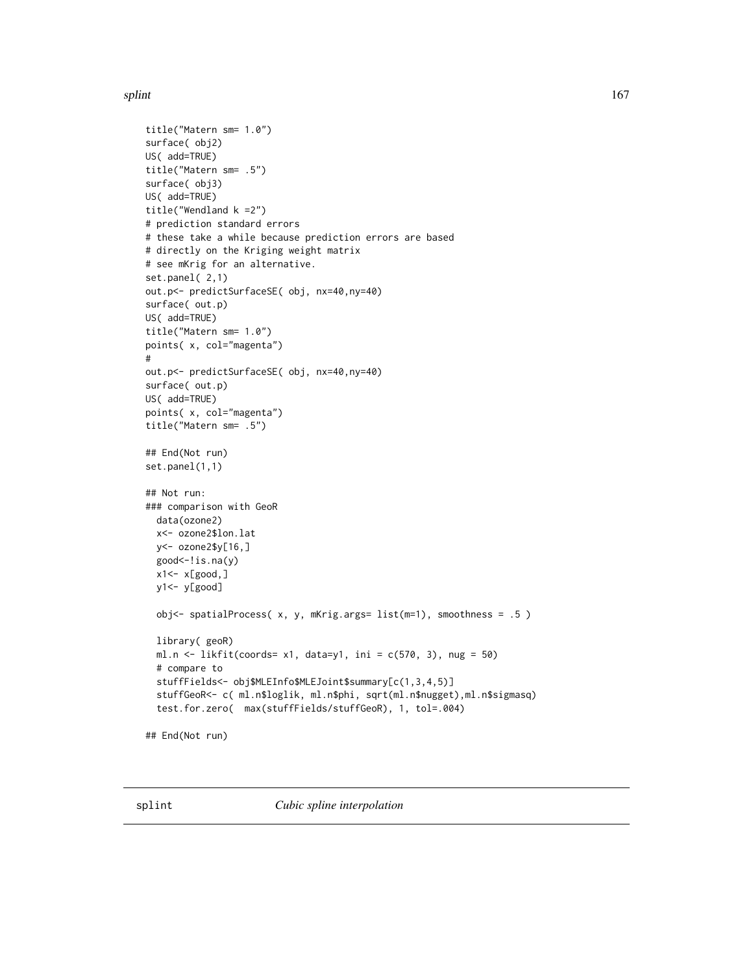## splint that the special set of the set of the set of the set of the set of the set of the set of the set of the set of the set of the set of the set of the set of the set of the set of the set of the set of the set of the

```
title("Matern sm= 1.0")
surface( obj2)
US( add=TRUE)
title("Matern sm= .5")
surface( obj3)
US( add=TRUE)
title("Wendland k =2")
# prediction standard errors
# these take a while because prediction errors are based
# directly on the Kriging weight matrix
# see mKrig for an alternative.
set.panel( 2,1)
out.p<- predictSurfaceSE( obj, nx=40,ny=40)
surface( out.p)
US( add=TRUE)
title("Matern sm= 1.0")
points( x, col="magenta")
#
out.p<- predictSurfaceSE( obj, nx=40,ny=40)
surface( out.p)
US( add=TRUE)
points( x, col="magenta")
title("Matern sm= .5")
## End(Not run)
set.panel(1,1)
## Not run:
### comparison with GeoR
  data(ozone2)
  x<- ozone2$lon.lat
 y<- ozone2$y[16,]
  good <-!is.na(y)
  x1<- x[good,]
  y1<- y[good]
  obj<- spatialProcess( x, y, mKrig.args= list(m=1), smoothness = .5 )
  library( geoR)
  ml.n \le likfit(coords= x1, data=y1, ini = c(570, 3), nug = 50)
  # compare to
  stuffFields<- obj$MLEInfo$MLEJoint$summary[c(1,3,4,5)]
  stuffGeoR<- c( ml.n$loglik, ml.n$phi, sqrt(ml.n$nugget),ml.n$sigmasq)
  test.for.zero( max(stuffFields/stuffGeoR), 1, tol=.004)
## End(Not run)
```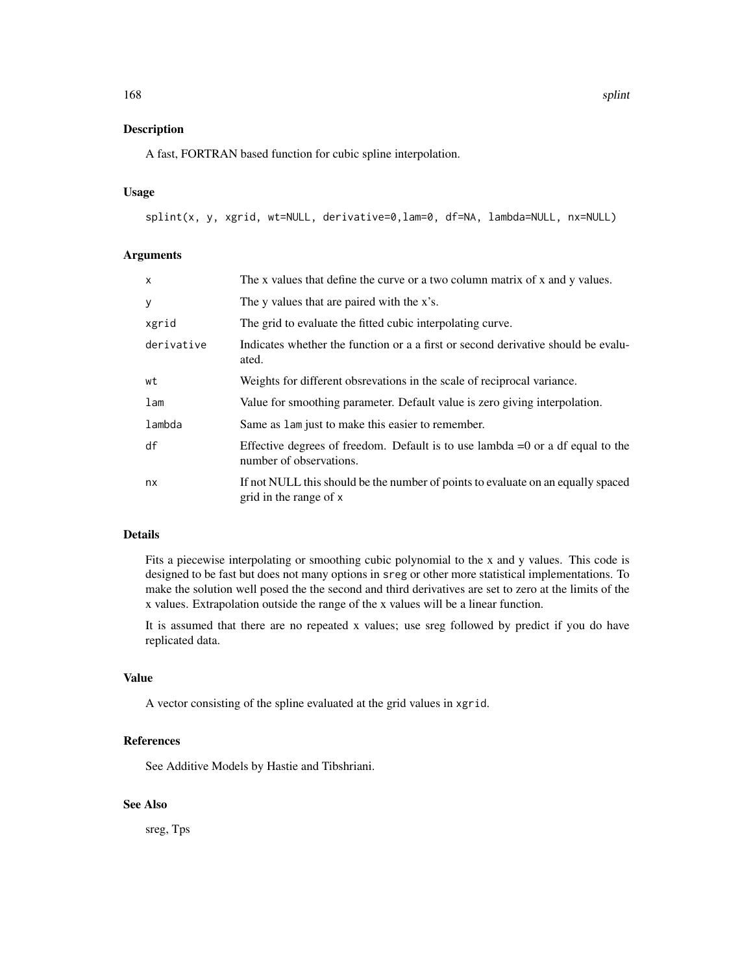A fast, FORTRAN based function for cubic spline interpolation.

# Usage

splint(x, y, xgrid, wt=NULL, derivative=0,lam=0, df=NA, lambda=NULL, nx=NULL)

# Arguments

| x          | The x values that define the curve or a two column matrix of x and y values.                                |
|------------|-------------------------------------------------------------------------------------------------------------|
| у          | The y values that are paired with the x's.                                                                  |
| xgrid      | The grid to evaluate the fitted cubic interpolating curve.                                                  |
| derivative | Indicates whether the function or a a first or second derivative should be evalu-<br>ated.                  |
| wt         | Weights for different obsrevations in the scale of reciprocal variance.                                     |
| lam        | Value for smoothing parameter. Default value is zero giving interpolation.                                  |
| lambda     | Same as lam just to make this easier to remember.                                                           |
| df         | Effective degrees of freedom. Default is to use lambda $=0$ or a df equal to the<br>number of observations. |
| nx         | If not NULL this should be the number of points to evaluate on an equally spaced<br>grid in the range of x  |

# Details

Fits a piecewise interpolating or smoothing cubic polynomial to the x and y values. This code is designed to be fast but does not many options in sreg or other more statistical implementations. To make the solution well posed the the second and third derivatives are set to zero at the limits of the x values. Extrapolation outside the range of the x values will be a linear function.

It is assumed that there are no repeated x values; use sreg followed by predict if you do have replicated data.

# Value

A vector consisting of the spline evaluated at the grid values in xgrid.

# References

See Additive Models by Hastie and Tibshriani.

# See Also

sreg, Tps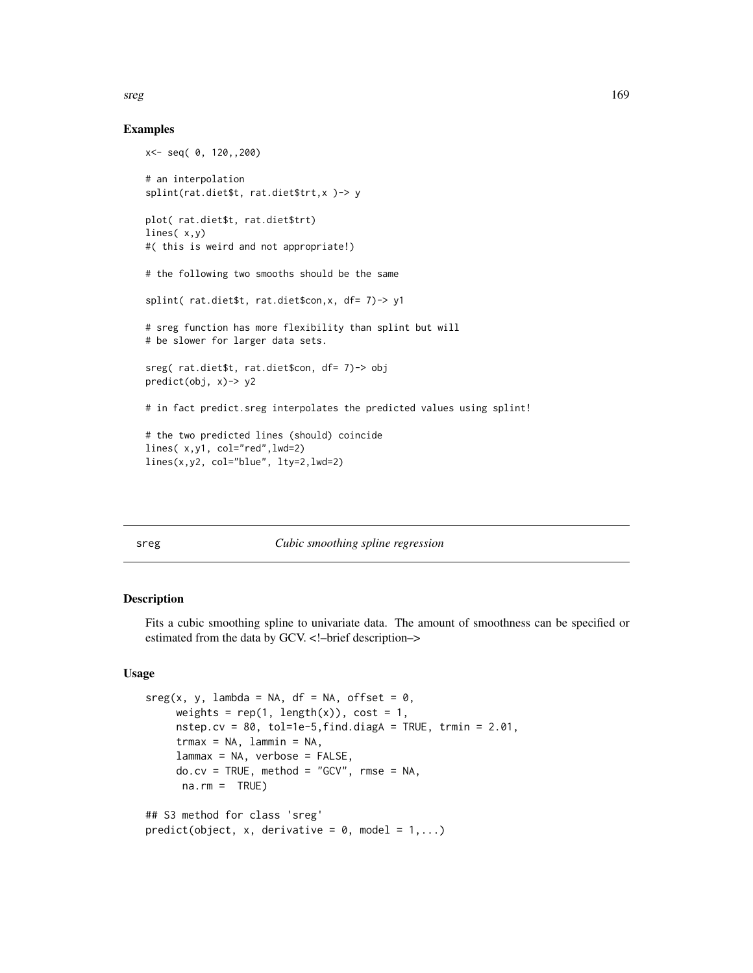# Examples

```
x<- seq( 0, 120,,200)
# an interpolation
splint(rat.diet$t, rat.diet$trt,x )-> y
plot( rat.diet$t, rat.diet$trt)
lines( x,y)
#( this is weird and not appropriate!)
# the following two smooths should be the same
splint( rat.diet$t, rat.diet$con,x, df= 7)-> y1
# sreg function has more flexibility than splint but will
# be slower for larger data sets.
sreg( rat.diet$t, rat.diet$con, df= 7)-> obj
predict(obj, x)-> y2
# in fact predict.sreg interpolates the predicted values using splint!
# the two predicted lines (should) coincide
lines( x,y1, col="red",lwd=2)
lines(x,y2, col="blue", lty=2,lwd=2)
```
sreg *Cubic smoothing spline regression*

## Description

Fits a cubic smoothing spline to univariate data. The amount of smoothness can be specified or estimated from the data by GCV. <!–brief description–>

# Usage

```
sreg(x, y, lambda = NA, df = NA, offset = 0,weights = rep(1, length(x)), cost = 1,nstep.cv = 80, tol=1e-5, find.diagA = TRUE, trmin = 2.01,
    trans = NA, lammin = NA,
    lammax = NA, verbose = FALSE,
    docv = TRUE, method = "GCV", rms = NA,na.rm = TRUE)
## S3 method for class 'sreg'
predict(object, x, derivative = 0, model = 1,...)
```
sreg and the state of the state of the state of the state of the state of the state of the state of the state of the state of the state of the state of the state of the state of the state of the state of the state of the s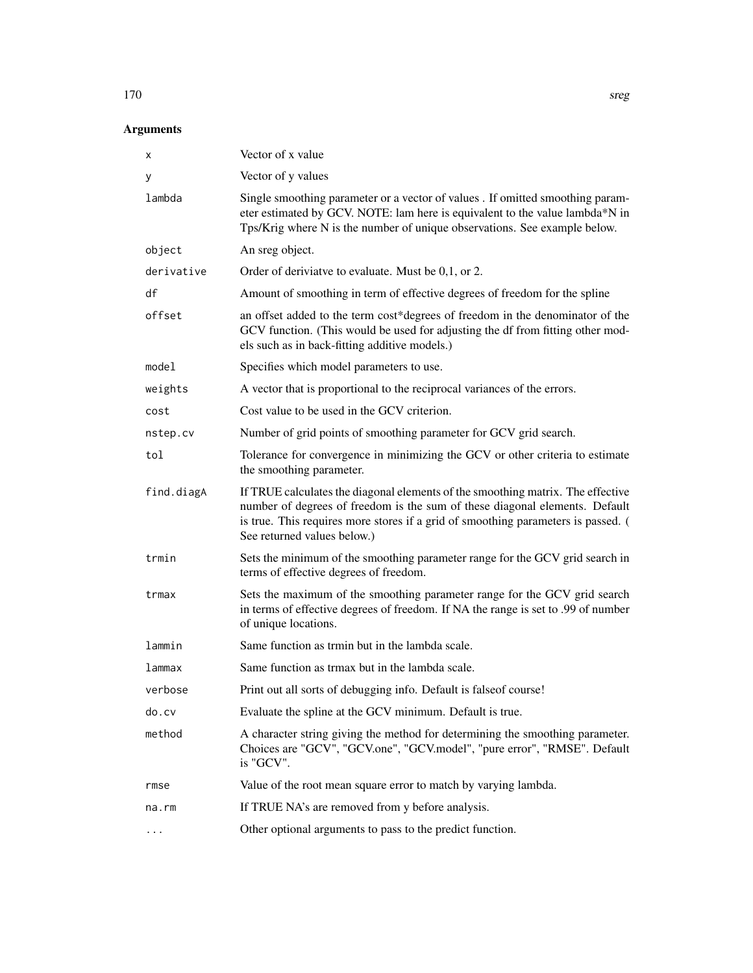# Arguments

| x          | Vector of x value                                                                                                                                                                                                                                                                  |  |
|------------|------------------------------------------------------------------------------------------------------------------------------------------------------------------------------------------------------------------------------------------------------------------------------------|--|
| у          | Vector of y values                                                                                                                                                                                                                                                                 |  |
| lambda     | Single smoothing parameter or a vector of values . If omitted smoothing param-<br>eter estimated by GCV. NOTE: lam here is equivalent to the value lambda*N in<br>Tps/Krig where N is the number of unique observations. See example below.                                        |  |
| object     | An sreg object.                                                                                                                                                                                                                                                                    |  |
| derivative | Order of deriviative to evaluate. Must be 0,1, or 2.                                                                                                                                                                                                                               |  |
| df         | Amount of smoothing in term of effective degrees of freedom for the spline                                                                                                                                                                                                         |  |
| offset     | an offset added to the term cost*degrees of freedom in the denominator of the<br>GCV function. (This would be used for adjusting the df from fitting other mod-<br>els such as in back-fitting additive models.)                                                                   |  |
| model      | Specifies which model parameters to use.                                                                                                                                                                                                                                           |  |
| weights    | A vector that is proportional to the reciprocal variances of the errors.                                                                                                                                                                                                           |  |
| cost       | Cost value to be used in the GCV criterion.                                                                                                                                                                                                                                        |  |
| nstep.cv   | Number of grid points of smoothing parameter for GCV grid search.                                                                                                                                                                                                                  |  |
| tol        | Tolerance for convergence in minimizing the GCV or other criteria to estimate<br>the smoothing parameter.                                                                                                                                                                          |  |
| find.diagA | If TRUE calculates the diagonal elements of the smoothing matrix. The effective<br>number of degrees of freedom is the sum of these diagonal elements. Default<br>is true. This requires more stores if a grid of smoothing parameters is passed. (<br>See returned values below.) |  |
| trmin      | Sets the minimum of the smoothing parameter range for the GCV grid search in<br>terms of effective degrees of freedom.                                                                                                                                                             |  |
| trmax      | Sets the maximum of the smoothing parameter range for the GCV grid search<br>in terms of effective degrees of freedom. If NA the range is set to .99 of number<br>of unique locations.                                                                                             |  |
| lammin     | Same function as trmin but in the lambda scale.                                                                                                                                                                                                                                    |  |
| lammax     | Same function as trmax but in the lambda scale.                                                                                                                                                                                                                                    |  |
| verbose    | Print out all sorts of debugging info. Default is false of course!                                                                                                                                                                                                                 |  |
| do.cv      | Evaluate the spline at the GCV minimum. Default is true.                                                                                                                                                                                                                           |  |
| method     | A character string giving the method for determining the smoothing parameter.<br>Choices are "GCV", "GCV.one", "GCV.model", "pure error", "RMSE". Default<br>is "GCV".                                                                                                             |  |
| rmse       | Value of the root mean square error to match by varying lambda.                                                                                                                                                                                                                    |  |
| na.rm      | If TRUE NA's are removed from y before analysis.                                                                                                                                                                                                                                   |  |
| $\cdots$   | Other optional arguments to pass to the predict function.                                                                                                                                                                                                                          |  |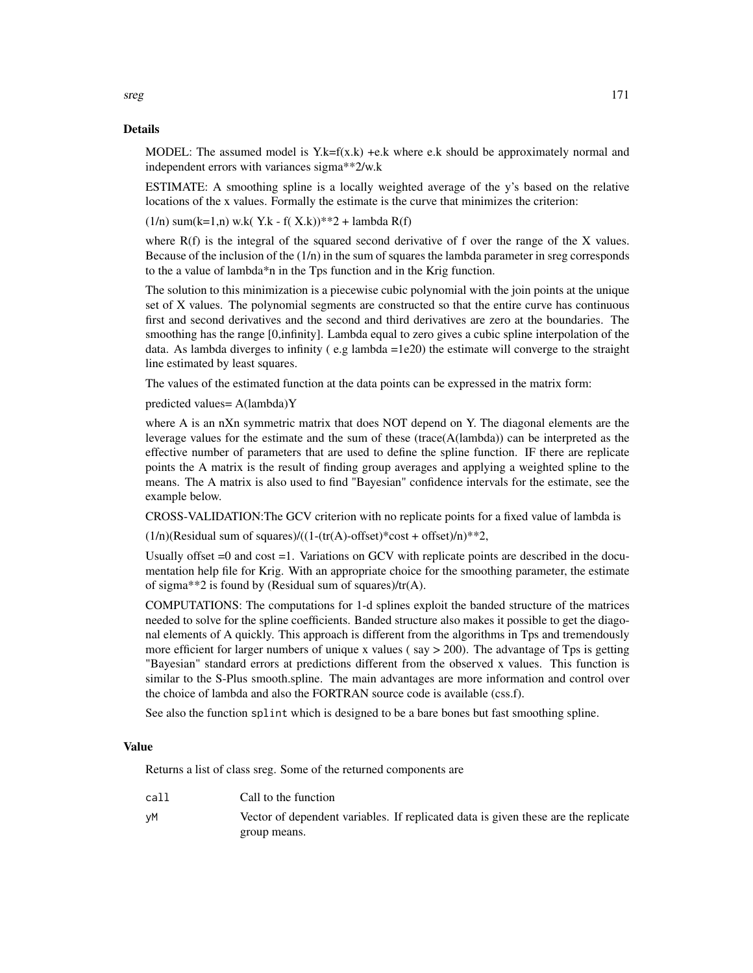## Details

MODEL: The assumed model is  $Y_{k} = f(x, k) + e_{k}$  where e.k should be approximately normal and independent errors with variances sigma\*\*2/w.k

ESTIMATE: A smoothing spline is a locally weighted average of the y's based on the relative locations of the x values. Formally the estimate is the curve that minimizes the criterion:

 $(1/n)$  sum $(k=1,n)$  w.k $(Y.k - f(X.k))$ \*\*2 + lambda R(f)

where  $R(f)$  is the integral of the squared second derivative of f over the range of the X values. Because of the inclusion of the  $(1/n)$  in the sum of squares the lambda parameter in sreg corresponds to the a value of lambda\*n in the Tps function and in the Krig function.

The solution to this minimization is a piecewise cubic polynomial with the join points at the unique set of X values. The polynomial segments are constructed so that the entire curve has continuous first and second derivatives and the second and third derivatives are zero at the boundaries. The smoothing has the range [0,infinity]. Lambda equal to zero gives a cubic spline interpolation of the data. As lambda diverges to infinity ( $e.g.$  lambda =1e20) the estimate will converge to the straight line estimated by least squares.

The values of the estimated function at the data points can be expressed in the matrix form:

predicted values= A(lambda)Y

where A is an nXn symmetric matrix that does NOT depend on Y. The diagonal elements are the leverage values for the estimate and the sum of these (trace(A(lambda)) can be interpreted as the effective number of parameters that are used to define the spline function. IF there are replicate points the A matrix is the result of finding group averages and applying a weighted spline to the means. The A matrix is also used to find "Bayesian" confidence intervals for the estimate, see the example below.

CROSS-VALIDATION:The GCV criterion with no replicate points for a fixed value of lambda is

 $(1/n)$ (Residual sum of squares)/( $(1-(tr(A)-offset)*cost + offset)/n)*2$ ,

Usually offset  $=0$  and cost  $=1$ . Variations on GCV with replicate points are described in the documentation help file for Krig. With an appropriate choice for the smoothing parameter, the estimate of sigma\*\*2 is found by (Residual sum of squares)/tr(A).

COMPUTATIONS: The computations for 1-d splines exploit the banded structure of the matrices needed to solve for the spline coefficients. Banded structure also makes it possible to get the diagonal elements of A quickly. This approach is different from the algorithms in Tps and tremendously more efficient for larger numbers of unique x values ( $\text{say} > 200$ ). The advantage of Tps is getting "Bayesian" standard errors at predictions different from the observed x values. This function is similar to the S-Plus smooth.spline. The main advantages are more information and control over the choice of lambda and also the FORTRAN source code is available (css.f).

See also the function splint which is designed to be a bare bones but fast smoothing spline.

## Value

Returns a list of class sreg. Some of the returned components are

| call | Call to the function                                                               |
|------|------------------------------------------------------------------------------------|
| vΜ   | Vector of dependent variables. If replicated data is given these are the replicate |
|      | group means.                                                                       |

sreg and the state of the state of the state of the state of the state of the state of the state of the state of the state of the state of the state of the state of the state of the state of the state of the state of the s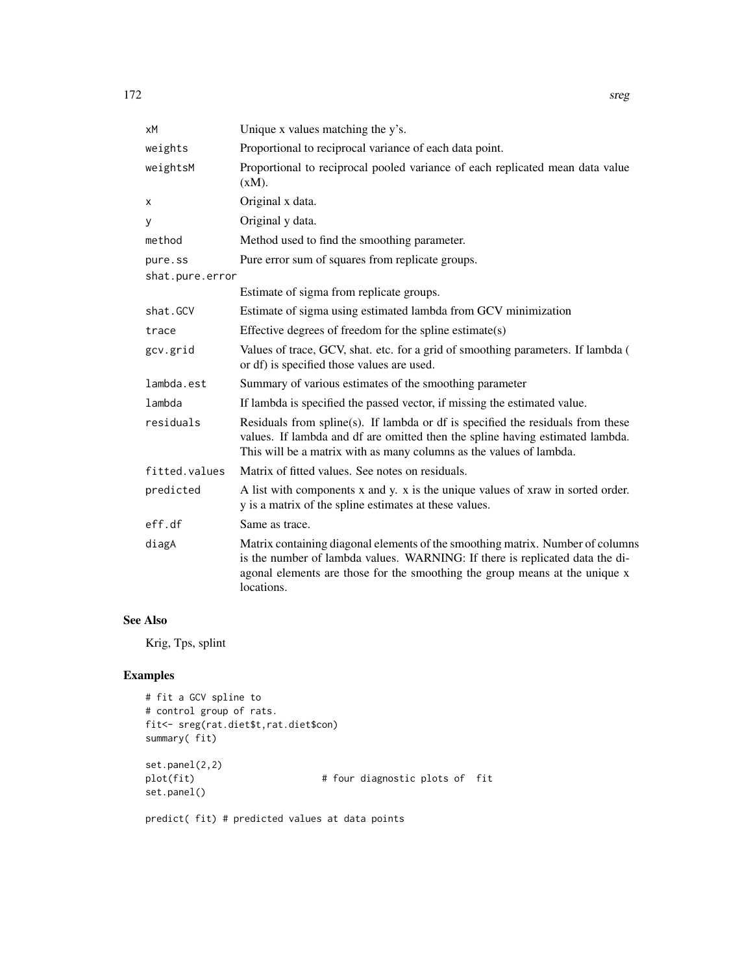| хM              | Unique x values matching the y's.                                                                                                                                                                                                                           |
|-----------------|-------------------------------------------------------------------------------------------------------------------------------------------------------------------------------------------------------------------------------------------------------------|
| weights         | Proportional to reciprocal variance of each data point.                                                                                                                                                                                                     |
| weightsM        | Proportional to reciprocal pooled variance of each replicated mean data value<br>$(xM)$ .                                                                                                                                                                   |
| х               | Original x data.                                                                                                                                                                                                                                            |
| У               | Original y data.                                                                                                                                                                                                                                            |
| method          | Method used to find the smoothing parameter.                                                                                                                                                                                                                |
| pure.ss         | Pure error sum of squares from replicate groups.                                                                                                                                                                                                            |
| shat.pure.error |                                                                                                                                                                                                                                                             |
|                 | Estimate of sigma from replicate groups.                                                                                                                                                                                                                    |
| shat.GCV        | Estimate of sigma using estimated lambda from GCV minimization                                                                                                                                                                                              |
| trace           | Effective degrees of freedom for the spline estimate(s)                                                                                                                                                                                                     |
| gcv.grid        | Values of trace, GCV, shat. etc. for a grid of smoothing parameters. If lambda (<br>or df) is specified those values are used.                                                                                                                              |
| lambda.est      | Summary of various estimates of the smoothing parameter                                                                                                                                                                                                     |
| lambda          | If lambda is specified the passed vector, if missing the estimated value.                                                                                                                                                                                   |
| residuals       | Residuals from spline(s). If lambda or df is specified the residuals from these<br>values. If lambda and df are omitted then the spline having estimated lambda.<br>This will be a matrix with as many columns as the values of lambda.                     |
| fitted.values   | Matrix of fitted values. See notes on residuals.                                                                                                                                                                                                            |
| predicted       | A list with components x and y. x is the unique values of xraw in sorted order.<br>y is a matrix of the spline estimates at these values.                                                                                                                   |
| eff.df          | Same as trace.                                                                                                                                                                                                                                              |
| diagA           | Matrix containing diagonal elements of the smoothing matrix. Number of columns<br>is the number of lambda values. WARNING: If there is replicated data the di-<br>agonal elements are those for the smoothing the group means at the unique x<br>locations. |

# See Also

Krig, Tps, splint

# Examples

```
# fit a GCV spline to
# control group of rats.
fit<- sreg(rat.diet$t,rat.diet$con)
summary( fit)
set.panel(2,2)
plot(fit) # four diagnostic plots of fit
set.panel()
```
predict( fit) # predicted values at data points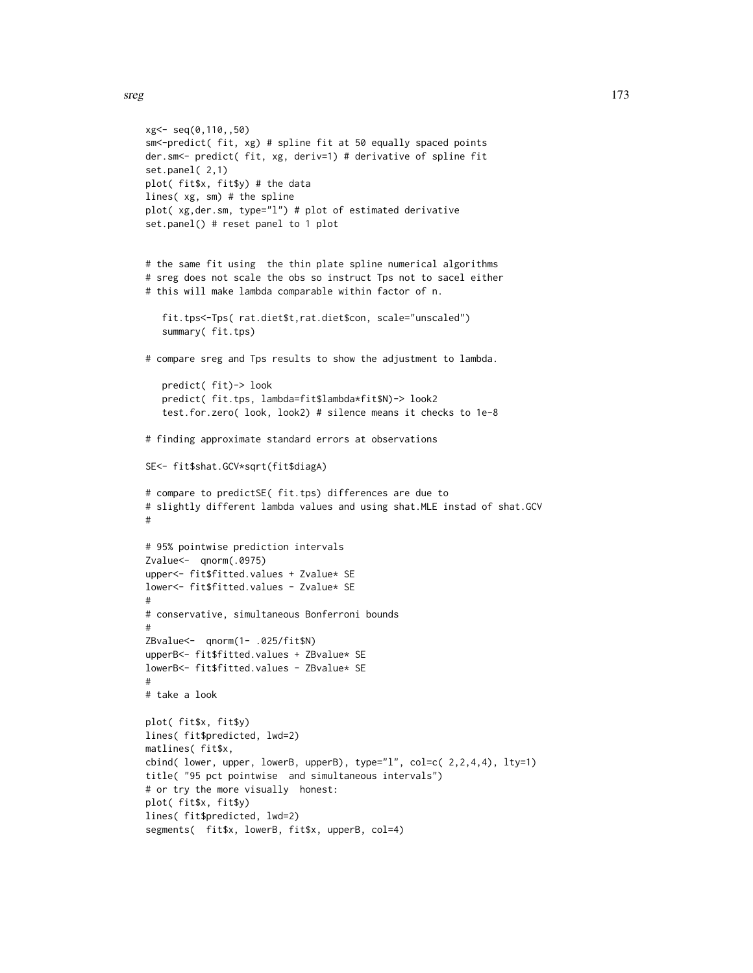```
xg<- seq(0,110,,50)
sm<-predict( fit, xg) # spline fit at 50 equally spaced points
der.sm<- predict( fit, xg, deriv=1) # derivative of spline fit
set.panel( 2,1)
plot( fit$x, fit$y) # the data
lines( xg, sm) # the spline
plot( xg,der.sm, type="l") # plot of estimated derivative
set.panel() # reset panel to 1 plot
# the same fit using the thin plate spline numerical algorithms
# sreg does not scale the obs so instruct Tps not to sacel either
# this will make lambda comparable within factor of n.
   fit.tps<-Tps( rat.diet$t,rat.diet$con, scale="unscaled")
   summary( fit.tps)
# compare sreg and Tps results to show the adjustment to lambda.
   predict( fit)-> look
   predict( fit.tps, lambda=fit$lambda*fit$N)-> look2
   test.for.zero( look, look2) # silence means it checks to 1e-8
# finding approximate standard errors at observations
SE<- fit$shat.GCV*sqrt(fit$diagA)
# compare to predictSE( fit.tps) differences are due to
# slightly different lambda values and using shat.MLE instad of shat.GCV
#
# 95% pointwise prediction intervals
Zvalue<- qnorm(.0975)
upper<- fit$fitted.values + Zvalue* SE
lower<- fit$fitted.values - Zvalue* SE
#
# conservative, simultaneous Bonferroni bounds
#
ZBvalue<- qnorm(1- .025/fit$N)
upperB<- fit$fitted.values + ZBvalue* SE
lowerB<- fit$fitted.values - ZBvalue* SE
#
# take a look
plot( fit$x, fit$y)
lines( fit$predicted, lwd=2)
matlines( fit$x,
cbind( lower, upper, lowerB, upperB), type="l", col=c( 2,2,4,4), lty=1)
title( "95 pct pointwise and simultaneous intervals")
# or try the more visually honest:
plot( fit$x, fit$y)
lines( fit$predicted, lwd=2)
segments( fit$x, lowerB, fit$x, upperB, col=4)
```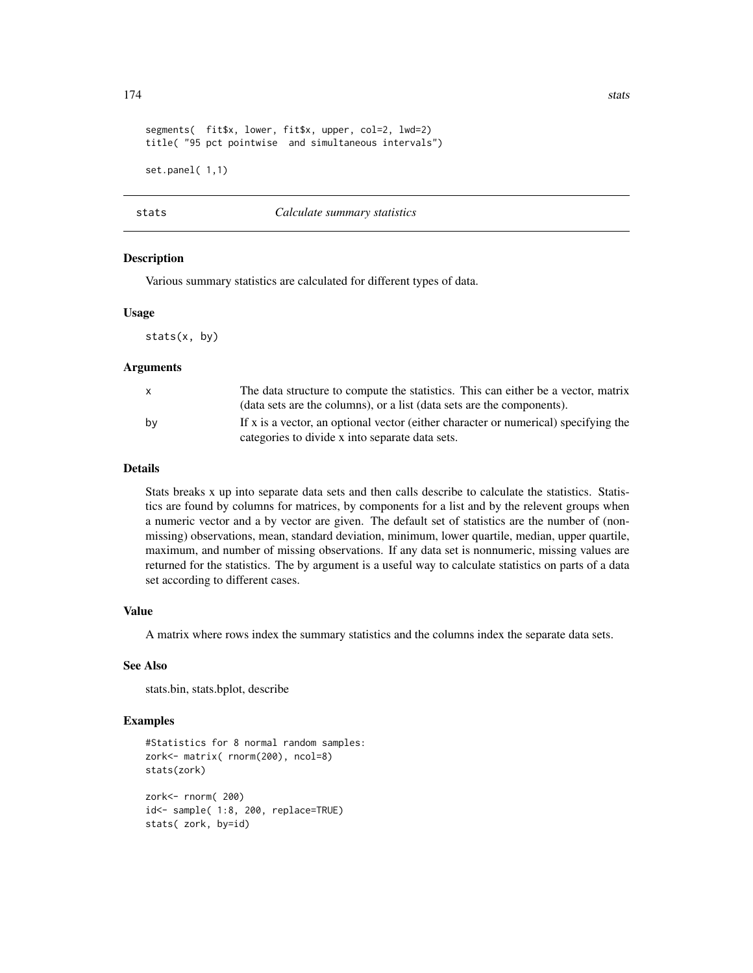```
segments( fit$x, lower, fit$x, upper, col=2, lwd=2)
title( "95 pct pointwise and simultaneous intervals")
set.panel( 1,1)
```
#### stats *Calculate summary statistics*

#### **Description**

Various summary statistics are calculated for different types of data.

## Usage

stats(x, by)

## Arguments

| $\mathsf{x}$ | The data structure to compute the statistics. This can either be a vector, matrix   |
|--------------|-------------------------------------------------------------------------------------|
|              | (data sets are the columns), or a list (data sets are the components).              |
| by           | If x is a vector, an optional vector (either character or numerical) specifying the |
|              | categories to divide x into separate data sets.                                     |

# Details

Stats breaks x up into separate data sets and then calls describe to calculate the statistics. Statistics are found by columns for matrices, by components for a list and by the relevent groups when a numeric vector and a by vector are given. The default set of statistics are the number of (nonmissing) observations, mean, standard deviation, minimum, lower quartile, median, upper quartile, maximum, and number of missing observations. If any data set is nonnumeric, missing values are returned for the statistics. The by argument is a useful way to calculate statistics on parts of a data set according to different cases.

## Value

A matrix where rows index the summary statistics and the columns index the separate data sets.

# See Also

stats.bin, stats.bplot, describe

```
#Statistics for 8 normal random samples:
zork<- matrix( rnorm(200), ncol=8)
stats(zork)
zork<- rnorm( 200)
id<- sample( 1:8, 200, replace=TRUE)
stats( zork, by=id)
```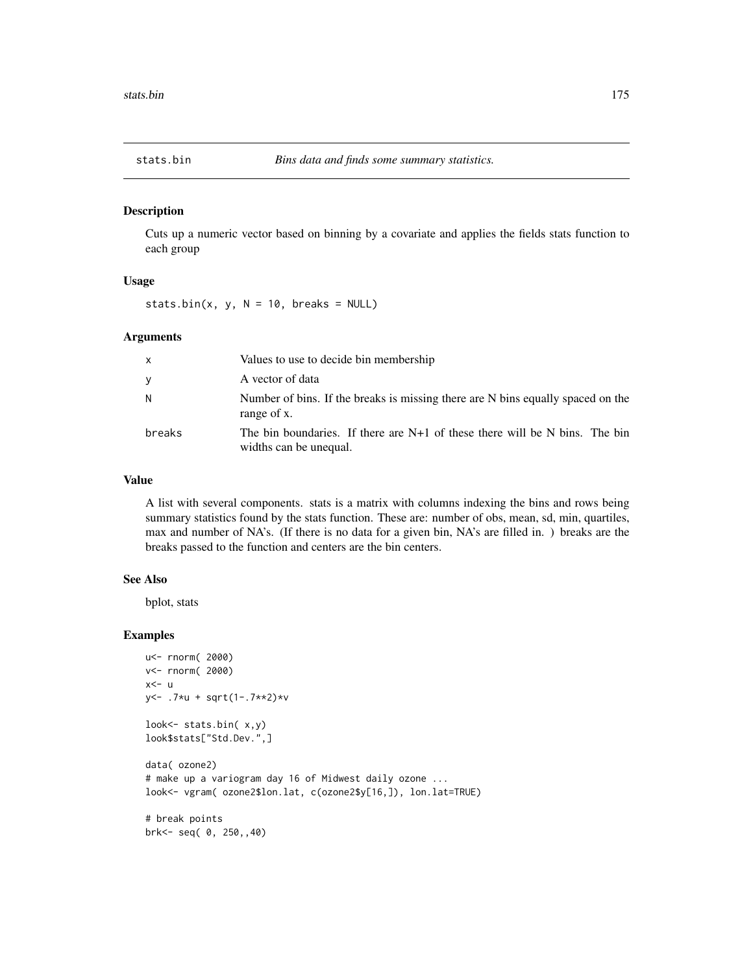## Description

Cuts up a numeric vector based on binning by a covariate and applies the fields stats function to each group

#### Usage

stats.bin(x, y,  $N = 10$ , breaks = NULL)

# Arguments

| $\mathsf{x}$ | Values to use to decide bin membership                                                                  |
|--------------|---------------------------------------------------------------------------------------------------------|
| <b>V</b>     | A vector of data                                                                                        |
| N            | Number of bins. If the breaks is missing there are N bins equally spaced on the<br>range of x.          |
| breaks       | The bin boundaries. If there are $N+1$ of these there will be N bins. The bin<br>widths can be unequal. |

# Value

A list with several components. stats is a matrix with columns indexing the bins and rows being summary statistics found by the stats function. These are: number of obs, mean, sd, min, quartiles, max and number of NA's. (If there is no data for a given bin, NA's are filled in. ) breaks are the breaks passed to the function and centers are the bin centers.

# See Also

bplot, stats

```
u<- rnorm( 2000)
v<- rnorm( 2000)
x < -u
y<- .7*u + sqrt(1-.7**2)*v
look<- stats.bin( x,y)
look$stats["Std.Dev.",]
data( ozone2)
# make up a variogram day 16 of Midwest daily ozone ...
look<- vgram( ozone2$lon.lat, c(ozone2$y[16,]), lon.lat=TRUE)
# break points
brk<- seq( 0, 250,,40)
```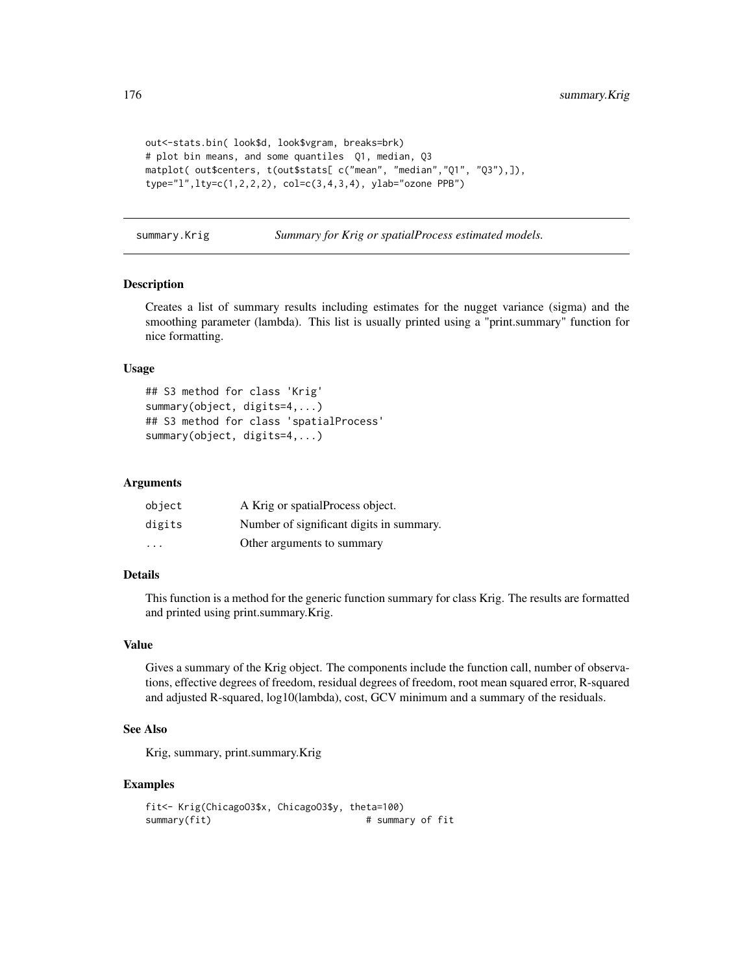```
out<-stats.bin( look$d, look$vgram, breaks=brk)
# plot bin means, and some quantiles Q1, median, Q3
matplot( out$centers, t(out$stats[ c("mean", "median","Q1", "Q3"),]),
type="l",lty=c(1,2,2,2), col=c(3,4,3,4), ylab="ozone PPB")
```
summary.Krig *Summary for Krig or spatialProcess estimated models.*

## Description

Creates a list of summary results including estimates for the nugget variance (sigma) and the smoothing parameter (lambda). This list is usually printed using a "print.summary" function for nice formatting.

#### Usage

```
## S3 method for class 'Krig'
summary(object, digits=4,...)
## S3 method for class 'spatialProcess'
summary(object, digits=4,...)
```
## **Arguments**

| object                  | A Krig or spatialProcess object.         |
|-------------------------|------------------------------------------|
| digits                  | Number of significant digits in summary. |
| $\cdot$ $\cdot$ $\cdot$ | Other arguments to summary               |

# Details

This function is a method for the generic function summary for class Krig. The results are formatted and printed using print.summary.Krig.

## Value

Gives a summary of the Krig object. The components include the function call, number of observations, effective degrees of freedom, residual degrees of freedom, root mean squared error, R-squared and adjusted R-squared, log10(lambda), cost, GCV minimum and a summary of the residuals.

# See Also

Krig, summary, print.summary.Krig

```
fit<- Krig(ChicagoO3$x, ChicagoO3$y, theta=100)
summary(fit) \qquad # summary of fit
```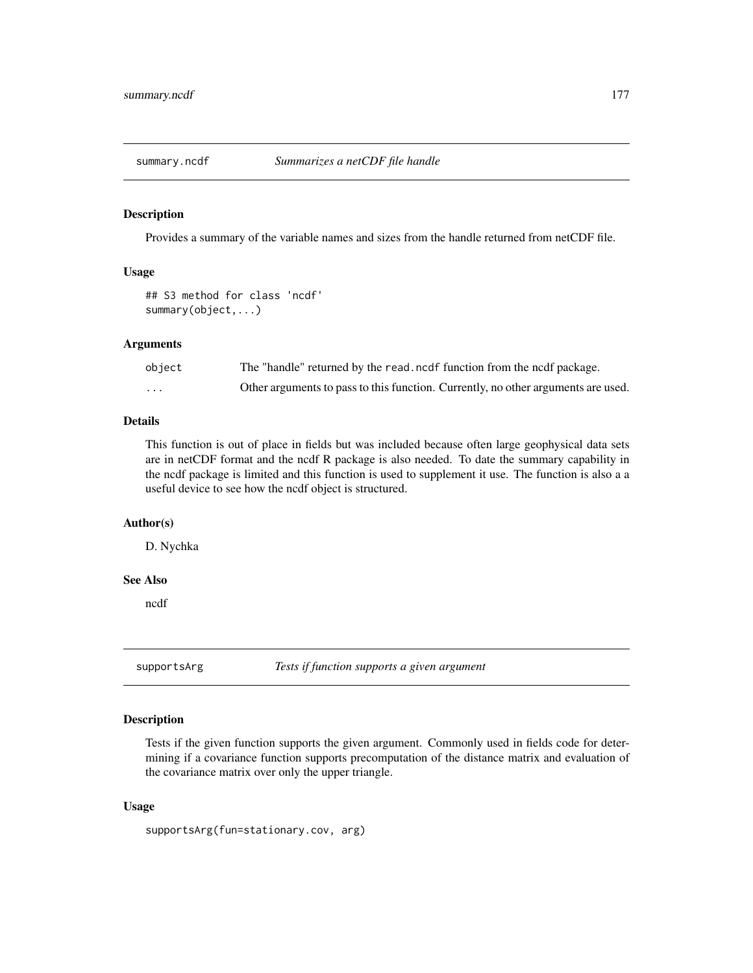## Description

Provides a summary of the variable names and sizes from the handle returned from netCDF file.

# Usage

```
## S3 method for class 'ncdf'
summary(object,...)
```
# Arguments

| object            | The "handle" returned by the read. node function from the noder package.          |
|-------------------|-----------------------------------------------------------------------------------|
| $\cdot\cdot\cdot$ | Other arguments to pass to this function. Currently, no other arguments are used. |

## Details

This function is out of place in fields but was included because often large geophysical data sets are in netCDF format and the ncdf R package is also needed. To date the summary capability in the ncdf package is limited and this function is used to supplement it use. The function is also a a useful device to see how the ncdf object is structured.

# Author(s)

D. Nychka

# See Also

ncdf

supportsArg *Tests if function supports a given argument*

# Description

Tests if the given function supports the given argument. Commonly used in fields code for determining if a covariance function supports precomputation of the distance matrix and evaluation of the covariance matrix over only the upper triangle.

## Usage

supportsArg(fun=stationary.cov, arg)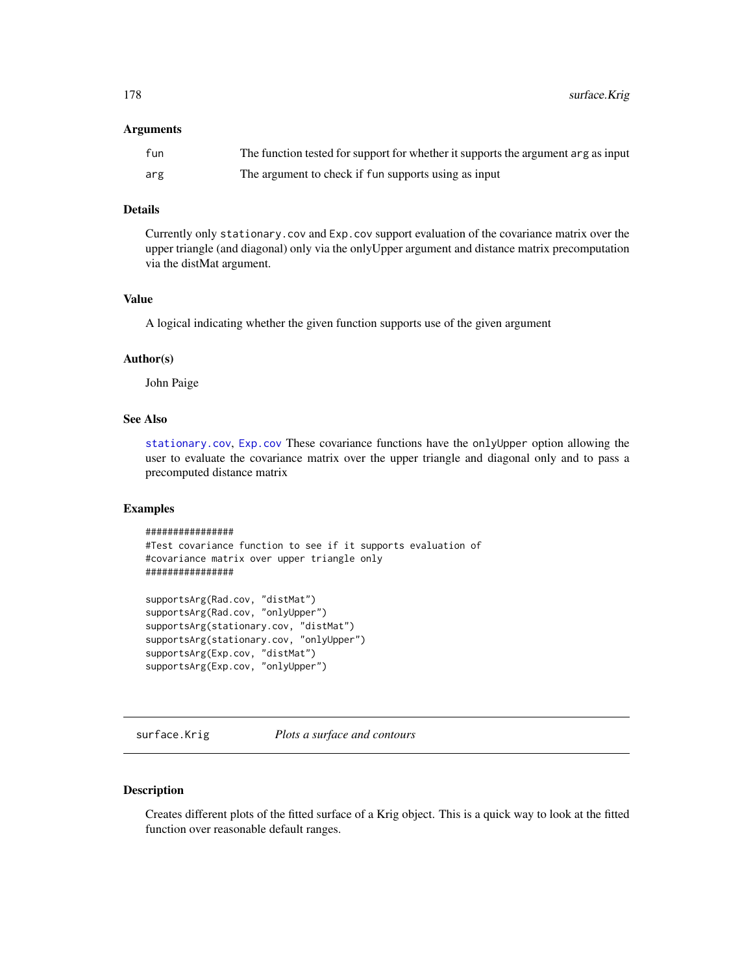178 surface.Krig

## Arguments

| fun | The function tested for support for whether it supports the argument arg as input |
|-----|-----------------------------------------------------------------------------------|
| arg | The argument to check if fun supports using as input                              |

# Details

Currently only stationary.cov and Exp.cov support evaluation of the covariance matrix over the upper triangle (and diagonal) only via the onlyUpper argument and distance matrix precomputation via the distMat argument.

# Value

A logical indicating whether the given function supports use of the given argument

# Author(s)

John Paige

# See Also

[stationary.cov](#page-22-0), [Exp.cov](#page-22-0) These covariance functions have the onlyUpper option allowing the user to evaluate the covariance matrix over the upper triangle and diagonal only and to pass a precomputed distance matrix

## Examples

```
################
#Test covariance function to see if it supports evaluation of
#covariance matrix over upper triangle only
################
supportsArg(Rad.cov, "distMat")
supportsArg(Rad.cov, "onlyUpper")
supportsArg(stationary.cov, "distMat")
supportsArg(stationary.cov, "onlyUpper")
supportsArg(Exp.cov, "distMat")
supportsArg(Exp.cov, "onlyUpper")
```
surface.Krig *Plots a surface and contours*

# Description

Creates different plots of the fitted surface of a Krig object. This is a quick way to look at the fitted function over reasonable default ranges.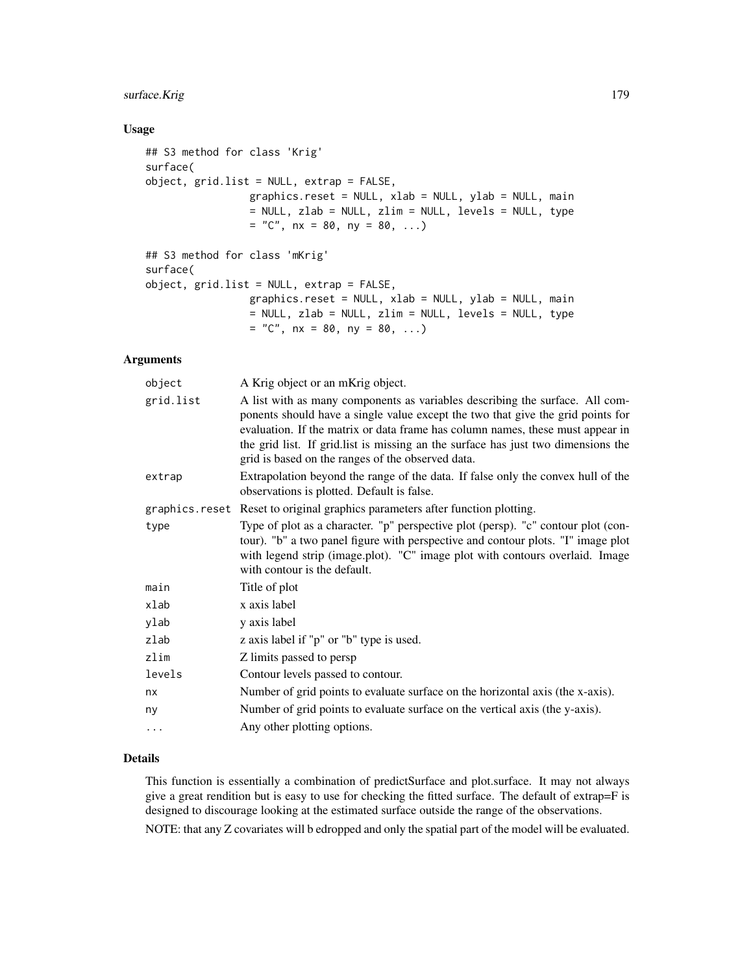# surface.Krig 179

# Usage

```
## S3 method for class 'Krig'
surface(
object, grid.list = NULL, extrap = FALSE,
                 graphics.reset = NULL, xlab = NULL, ylab = NULL, main
                 = NULL, zlab = NULL, zlim = NULL, levels = NULL, type
                 = "C", nx = 80, ny = 80, ...)## S3 method for class 'mKrig'
surface(
object, grid.list = NULL, extrap = FALSE,
                 graphics.reset = NULL, xlab = NULL, ylab = NULL, main
                 = NULL, zlab = NULL, zlim = NULL, levels = NULL, type
                 = "C", nx = 80, ny = 80, ...)
```
# Arguments

| A Krig object or an mKrig object.                                                                                                                                                                                                                                                                                                                                                           |
|---------------------------------------------------------------------------------------------------------------------------------------------------------------------------------------------------------------------------------------------------------------------------------------------------------------------------------------------------------------------------------------------|
| A list with as many components as variables describing the surface. All com-<br>ponents should have a single value except the two that give the grid points for<br>evaluation. If the matrix or data frame has column names, these must appear in<br>the grid list. If grid list is missing an the surface has just two dimensions the<br>grid is based on the ranges of the observed data. |
| Extrapolation beyond the range of the data. If false only the convex hull of the<br>observations is plotted. Default is false.                                                                                                                                                                                                                                                              |
| graphics.reset Reset to original graphics parameters after function plotting.                                                                                                                                                                                                                                                                                                               |
| Type of plot as a character. "p" perspective plot (persp). "c" contour plot (con-<br>tour). "b" a two panel figure with perspective and contour plots. "I" image plot<br>with legend strip (image.plot). "C" image plot with contours overlaid. Image<br>with contour is the default.                                                                                                       |
| Title of plot                                                                                                                                                                                                                                                                                                                                                                               |
| x axis label                                                                                                                                                                                                                                                                                                                                                                                |
| y axis label                                                                                                                                                                                                                                                                                                                                                                                |
| z axis label if "p" or "b" type is used.                                                                                                                                                                                                                                                                                                                                                    |
| Z limits passed to persp                                                                                                                                                                                                                                                                                                                                                                    |
| Contour levels passed to contour.                                                                                                                                                                                                                                                                                                                                                           |
| Number of grid points to evaluate surface on the horizontal axis (the x-axis).                                                                                                                                                                                                                                                                                                              |
| Number of grid points to evaluate surface on the vertical axis (the y-axis).                                                                                                                                                                                                                                                                                                                |
| Any other plotting options.                                                                                                                                                                                                                                                                                                                                                                 |
|                                                                                                                                                                                                                                                                                                                                                                                             |

# Details

This function is essentially a combination of predictSurface and plot.surface. It may not always give a great rendition but is easy to use for checking the fitted surface. The default of extrap=F is designed to discourage looking at the estimated surface outside the range of the observations. NOTE: that any Z covariates will b edropped and only the spatial part of the model will be evaluated.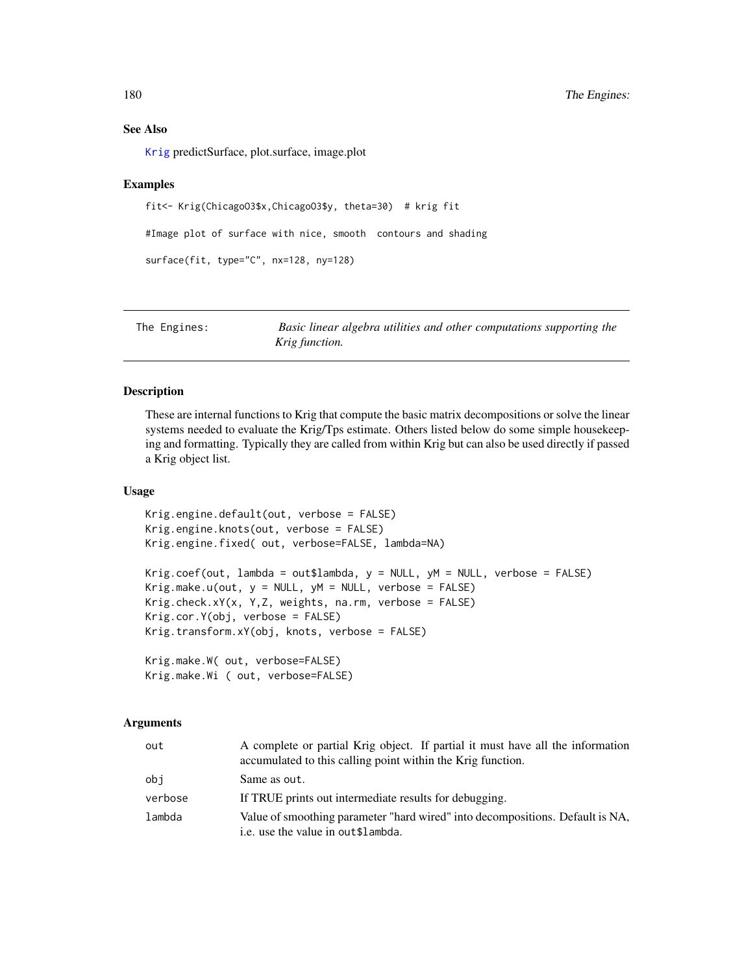# See Also

[Krig](#page-75-0) predictSurface, plot.surface, image.plot

## Examples

```
fit<- Krig(ChicagoO3$x,ChicagoO3$y, theta=30) # krig fit
```
#Image plot of surface with nice, smooth contours and shading

```
surface(fit, type="C", nx=128, ny=128)
```

| The Engines: | Basic linear algebra utilities and other computations supporting the |
|--------------|----------------------------------------------------------------------|
|              | Krig function.                                                       |

# Description

These are internal functions to Krig that compute the basic matrix decompositions or solve the linear systems needed to evaluate the Krig/Tps estimate. Others listed below do some simple housekeeping and formatting. Typically they are called from within Krig but can also be used directly if passed a Krig object list.

# Usage

```
Krig.engine.default(out, verbose = FALSE)
Krig.engine.knots(out, verbose = FALSE)
Krig.engine.fixed( out, verbose=FALSE, lambda=NA)
Krig.coef(out, lambda = out$lambda, y = NULL, yM = NULL, verbose = FALSE)
Krig.make.u(out, y = NULL, yM = NULL, verbose = FALSE)Krig.check.xY(x, Y,Z, weights, na.rm, verbose = FALSE)
Krig.cor.Y(obj, verbose = FALSE)
Krig.transform.xY(obj, knots, verbose = FALSE)
Krig.make.W( out, verbose=FALSE)
Krig.make.Wi ( out, verbose=FALSE)
```
## Arguments

| out     | A complete or partial Krig object. If partial it must have all the information<br>accumulated to this calling point within the Krig function. |
|---------|-----------------------------------------------------------------------------------------------------------------------------------------------|
| obi     | Same as out.                                                                                                                                  |
| verbose | If TRUE prints out intermediate results for debugging.                                                                                        |
| lambda  | Value of smoothing parameter "hard wired" into decompositions. Default is NA,<br>i.e. use the value in out \$1 ambda.                         |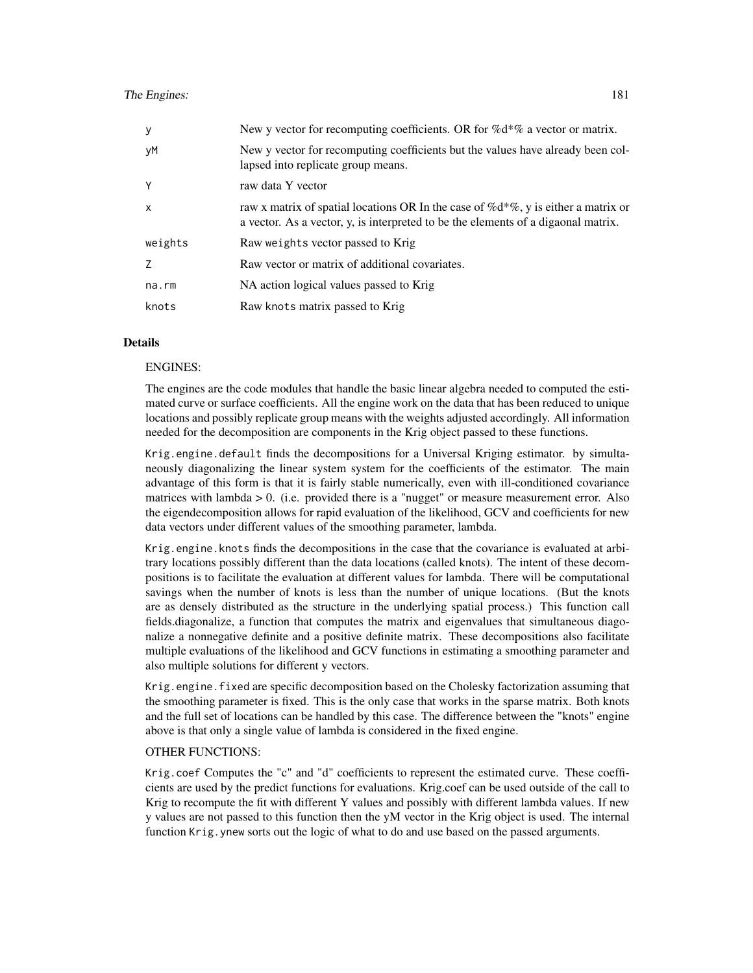| У            | New y vector for recomputing coefficients. OR for $\%d^*\%$ a vector or matrix.                                                                                              |
|--------------|------------------------------------------------------------------------------------------------------------------------------------------------------------------------------|
| уM           | New y vector for recomputing coefficients but the values have already been col-<br>lapsed into replicate group means.                                                        |
| Y            | raw data Y vector                                                                                                                                                            |
| $\mathsf{x}$ | raw x matrix of spatial locations OR In the case of $\%d^*\%$ , y is either a matrix or<br>a vector. As a vector, y, is interpreted to be the elements of a digaonal matrix. |
| weights      | Raw weights vector passed to Krig                                                                                                                                            |
| 7            | Raw vector or matrix of additional covariates.                                                                                                                               |
| na.rm        | NA action logical values passed to Krig                                                                                                                                      |
| knots        | Raw knots matrix passed to Krig                                                                                                                                              |

#### Details

#### ENGINES:

The engines are the code modules that handle the basic linear algebra needed to computed the estimated curve or surface coefficients. All the engine work on the data that has been reduced to unique locations and possibly replicate group means with the weights adjusted accordingly. All information needed for the decomposition are components in the Krig object passed to these functions.

Krig.engine.default finds the decompositions for a Universal Kriging estimator. by simultaneously diagonalizing the linear system system for the coefficients of the estimator. The main advantage of this form is that it is fairly stable numerically, even with ill-conditioned covariance matrices with lambda  $> 0$ . (i.e. provided there is a "nugget" or measure measurement error. Also the eigendecomposition allows for rapid evaluation of the likelihood, GCV and coefficients for new data vectors under different values of the smoothing parameter, lambda.

Krig.engine.knots finds the decompositions in the case that the covariance is evaluated at arbitrary locations possibly different than the data locations (called knots). The intent of these decompositions is to facilitate the evaluation at different values for lambda. There will be computational savings when the number of knots is less than the number of unique locations. (But the knots are as densely distributed as the structure in the underlying spatial process.) This function call fields.diagonalize, a function that computes the matrix and eigenvalues that simultaneous diagonalize a nonnegative definite and a positive definite matrix. These decompositions also facilitate multiple evaluations of the likelihood and GCV functions in estimating a smoothing parameter and also multiple solutions for different y vectors.

Krig.engine.fixed are specific decomposition based on the Cholesky factorization assuming that the smoothing parameter is fixed. This is the only case that works in the sparse matrix. Both knots and the full set of locations can be handled by this case. The difference between the "knots" engine above is that only a single value of lambda is considered in the fixed engine.

#### OTHER FUNCTIONS:

Krig.coef Computes the "c" and "d" coefficients to represent the estimated curve. These coefficients are used by the predict functions for evaluations. Krig.coef can be used outside of the call to Krig to recompute the fit with different Y values and possibly with different lambda values. If new y values are not passed to this function then the yM vector in the Krig object is used. The internal function Krig.ynew sorts out the logic of what to do and use based on the passed arguments.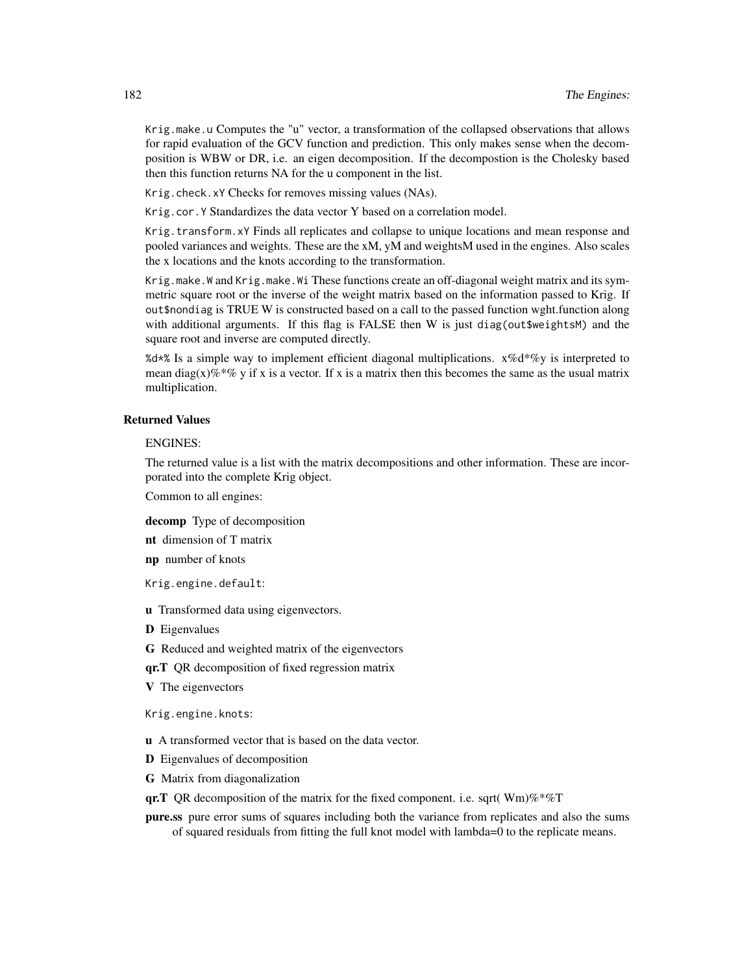Krig.make.u Computes the "u" vector, a transformation of the collapsed observations that allows for rapid evaluation of the GCV function and prediction. This only makes sense when the decomposition is WBW or DR, i.e. an eigen decomposition. If the decompostion is the Cholesky based then this function returns NA for the u component in the list.

Krig.check.xY Checks for removes missing values (NAs).

Krig.cor.Y Standardizes the data vector Y based on a correlation model.

Krig.transform.xY Finds all replicates and collapse to unique locations and mean response and pooled variances and weights. These are the xM, yM and weightsM used in the engines. Also scales the x locations and the knots according to the transformation.

Krig.make.W and Krig.make.Wi These functions create an off-diagonal weight matrix and its symmetric square root or the inverse of the weight matrix based on the information passed to Krig. If out\$nondiag is TRUE W is constructed based on a call to the passed function wght.function along with additional arguments. If this flag is FALSE then W is just diag(out\$weightsM) and the square root and inverse are computed directly.

%d\*% Is a simple way to implement efficient diagonal multiplications.  $x\%d*\%y$  is interpreted to mean diag(x)%\*% y if x is a vector. If x is a matrix then this becomes the same as the usual matrix multiplication.

# Returned Values

#### ENGINES:

The returned value is a list with the matrix decompositions and other information. These are incorporated into the complete Krig object.

Common to all engines:

decomp Type of decomposition

nt dimension of T matrix

np number of knots

Krig.engine.default:

u Transformed data using eigenvectors.

D Eigenvalues

G Reduced and weighted matrix of the eigenvectors

qr.T QR decomposition of fixed regression matrix

V The eigenvectors

Krig.engine.knots:

u A transformed vector that is based on the data vector.

- D Eigenvalues of decomposition
- G Matrix from diagonalization
- $q$ r. T QR decomposition of the matrix for the fixed component. i.e. sqrt( Wm)%\*%T

pure.ss pure error sums of squares including both the variance from replicates and also the sums of squared residuals from fitting the full knot model with lambda=0 to the replicate means.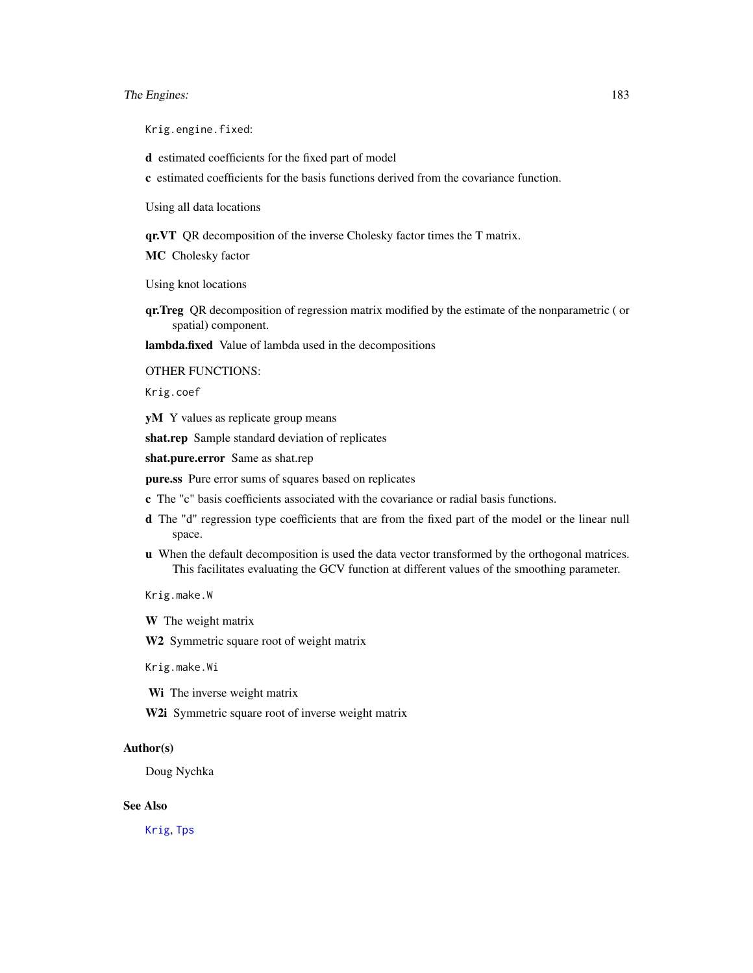# <span id="page-182-0"></span>The Engines: 183

Krig.engine.fixed:

- d estimated coefficients for the fixed part of model
- c estimated coefficients for the basis functions derived from the covariance function.

Using all data locations

qr.VT QR decomposition of the inverse Cholesky factor times the T matrix.

MC Cholesky factor

Using knot locations

qr.Treg QR decomposition of regression matrix modified by the estimate of the nonparametric ( or spatial) component.

lambda.fixed Value of lambda used in the decompositions

OTHER FUNCTIONS:

Krig.coef

yM Y values as replicate group means

shat.rep Sample standard deviation of replicates

shat.pure.error Same as shat.rep

- pure.ss Pure error sums of squares based on replicates
- c The "c" basis coefficients associated with the covariance or radial basis functions.
- d The "d" regression type coefficients that are from the fixed part of the model or the linear null space.
- u When the default decomposition is used the data vector transformed by the orthogonal matrices. This facilitates evaluating the GCV function at different values of the smoothing parameter.

Krig.make.W

W The weight matrix

W2 Symmetric square root of weight matrix

Krig.make.Wi

- Wi The inverse weight matrix
- W2i Symmetric square root of inverse weight matrix

#### Author(s)

Doug Nychka

# See Also

[Krig](#page-75-0), [Tps](#page-186-0)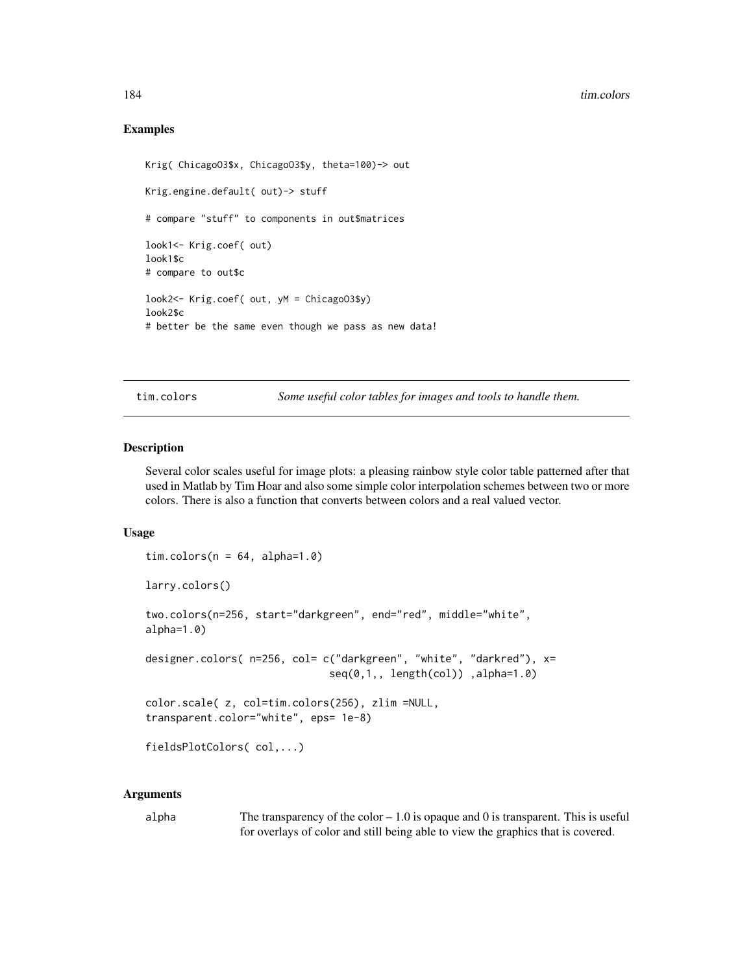#### <span id="page-183-0"></span>Examples

```
Krig( ChicagoO3$x, ChicagoO3$y, theta=100)-> out
Krig.engine.default( out)-> stuff
# compare "stuff" to components in out$matrices
look1<- Krig.coef( out)
look1$c
# compare to out$c
look2<- Krig.coef( out, yM = ChicagoO3$y)
look2$c
# better be the same even though we pass as new data!
```
tim.colors *Some useful color tables for images and tools to handle them.*

# Description

Several color scales useful for image plots: a pleasing rainbow style color table patterned after that used in Matlab by Tim Hoar and also some simple color interpolation schemes between two or more colors. There is also a function that converts between colors and a real valued vector.

# Usage

```
tim. colors(n = 64, alpha=1.0)larry.colors()
two.colors(n=256, start="darkgreen", end="red", middle="white",
alpha=1.0)
designer.colors( n=256, col= c("darkgreen", "white", "darkred"), x=
                              seq(0,1,, length(col)) ,alpha=1.0)
color.scale( z, col=tim.colors(256), zlim =NULL,
transparent.color="white", eps= 1e-8)
```
fieldsPlotColors( col,...)

# Arguments

alpha The transparency of the color  $-1.0$  is opaque and 0 is transparent. This is useful for overlays of color and still being able to view the graphics that is covered.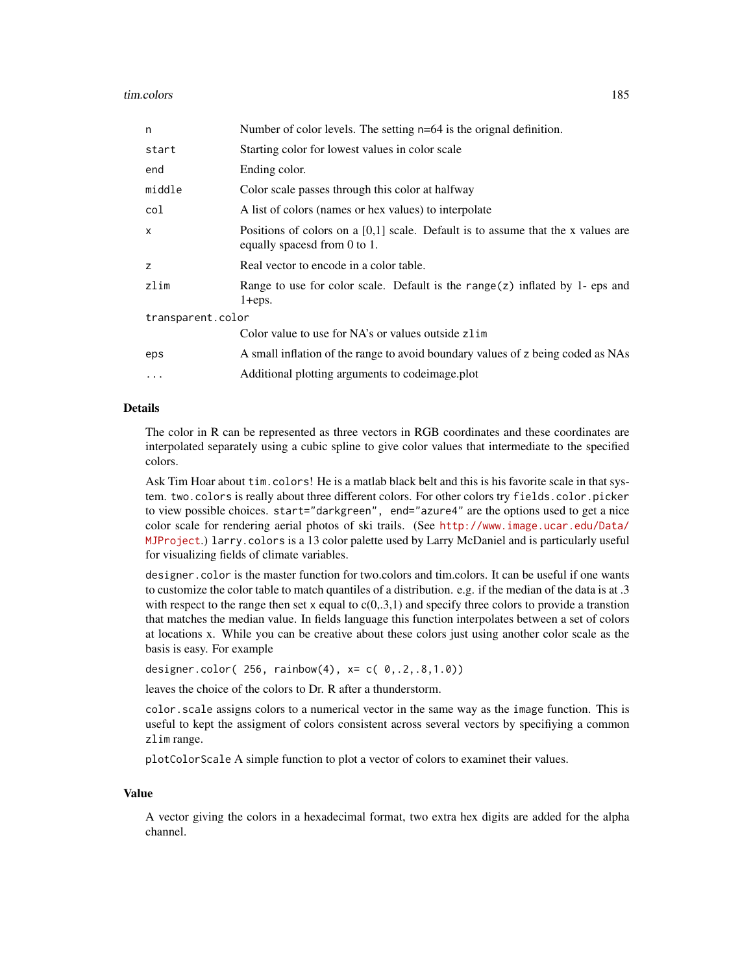#### tim.colors and the set of the set of the set of the set of the set of the set of the set of the set of the set of the set of the set of the set of the set of the set of the set of the set of the set of the set of the set o

| n                 | Number of color levels. The setting $n=64$ is the orignal definition.                                              |  |
|-------------------|--------------------------------------------------------------------------------------------------------------------|--|
| start             | Starting color for lowest values in color scale                                                                    |  |
| end               | Ending color.                                                                                                      |  |
| middle            | Color scale passes through this color at halfway                                                                   |  |
| col               | A list of colors (names or hex values) to interpolate                                                              |  |
| $\mathsf{x}$      | Positions of colors on a $[0,1]$ scale. Default is to assume that the x values are<br>equally spacesd from 0 to 1. |  |
| z                 | Real vector to encode in a color table.                                                                            |  |
| zlim              | Range to use for color scale. Default is the range( $z$ ) inflated by 1- eps and<br>$1 + eps.$                     |  |
| transparent.color |                                                                                                                    |  |
|                   | Color value to use for NA's or values outside zlim                                                                 |  |
| eps               | A small inflation of the range to avoid boundary values of z being coded as NAs                                    |  |
| $\cdots$          | Additional plotting arguments to code mage plot                                                                    |  |

#### Details

The color in R can be represented as three vectors in RGB coordinates and these coordinates are interpolated separately using a cubic spline to give color values that intermediate to the specified colors.

Ask Tim Hoar about tim.colors! He is a matlab black belt and this is his favorite scale in that system. two.colors is really about three different colors. For other colors try fields.color.picker to view possible choices. start="darkgreen", end="azure4" are the options used to get a nice color scale for rendering aerial photos of ski trails. (See [http://www.image.ucar.edu/Data/](http://www.image.ucar.edu/Data/MJProject) [MJProject](http://www.image.ucar.edu/Data/MJProject).) larry.colors is a 13 color palette used by Larry McDaniel and is particularly useful for visualizing fields of climate variables.

designer.color is the master function for two.colors and tim.colors. It can be useful if one wants to customize the color table to match quantiles of a distribution. e.g. if the median of the data is at .3 with respect to the range then set x equal to  $c(0,3,1)$  and specify three colors to provide a transtion that matches the median value. In fields language this function interpolates between a set of colors at locations x. While you can be creative about these colors just using another color scale as the basis is easy. For example

designer.color( 256, rainbow(4), x= c( 0,.2,.8,1.0))

leaves the choice of the colors to Dr. R after a thunderstorm.

color.scale assigns colors to a numerical vector in the same way as the image function. This is useful to kept the assigment of colors consistent across several vectors by specifiying a common zlim range.

plotColorScale A simple function to plot a vector of colors to examinet their values.

#### Value

A vector giving the colors in a hexadecimal format, two extra hex digits are added for the alpha channel.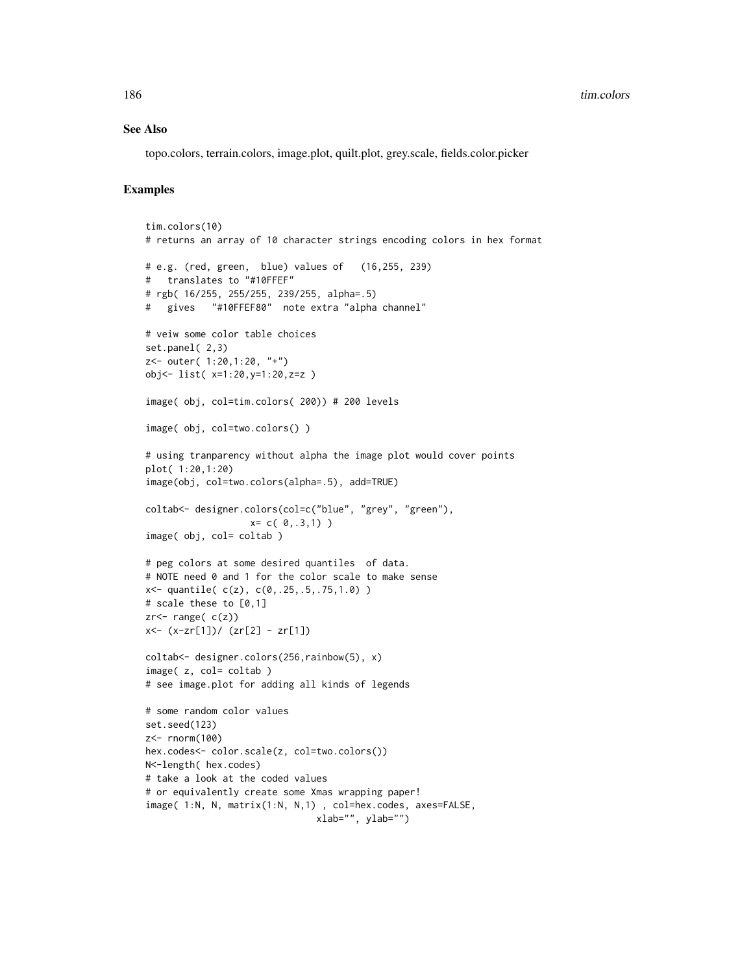#### See Also

topo.colors, terrain.colors, image.plot, quilt.plot, grey.scale, fields.color.picker

#### Examples

```
tim.colors(10)
# returns an array of 10 character strings encoding colors in hex format
# e.g. (red, green, blue) values of (16,255, 239)
# translates to "#10FFEF"
# rgb( 16/255, 255/255, 239/255, alpha=.5)
# gives "#10FFEF80" note extra "alpha channel"
# veiw some color table choices
set.panel( 2,3)
z<- outer( 1:20,1:20, "+")
obj<- list( x=1:20,y=1:20,z=z )
image( obj, col=tim.colors( 200)) # 200 levels
image( obj, col=two.colors() )
# using tranparency without alpha the image plot would cover points
plot( 1:20,1:20)
image(obj, col=two.colors(alpha=.5), add=TRUE)
coltab<- designer.colors(col=c("blue", "grey", "green"),
                   x= c( 0, .3, 1) )image( obj, col= coltab )
# peg colors at some desired quantiles of data.
# NOTE need 0 and 1 for the color scale to make sense
x<- quantile( c(z), c(0,.25,.5,.75,1.0) )
# scale these to [0,1]
zr < - range( c(z))
x<- (x-zr[1])/ (zr[2] - zr[1])
coltab<- designer.colors(256,rainbow(5), x)
image( z, col= coltab )
# see image.plot for adding all kinds of legends
# some random color values
set.seed(123)
z<- rnorm(100)
hex.codes<- color.scale(z, col=two.colors())
N<-length( hex.codes)
# take a look at the coded values
# or equivalently create some Xmas wrapping paper!
image( 1:N, N, matrix(1:N, N,1) , col=hex.codes, axes=FALSE,
                               xlab="", ylab="")
```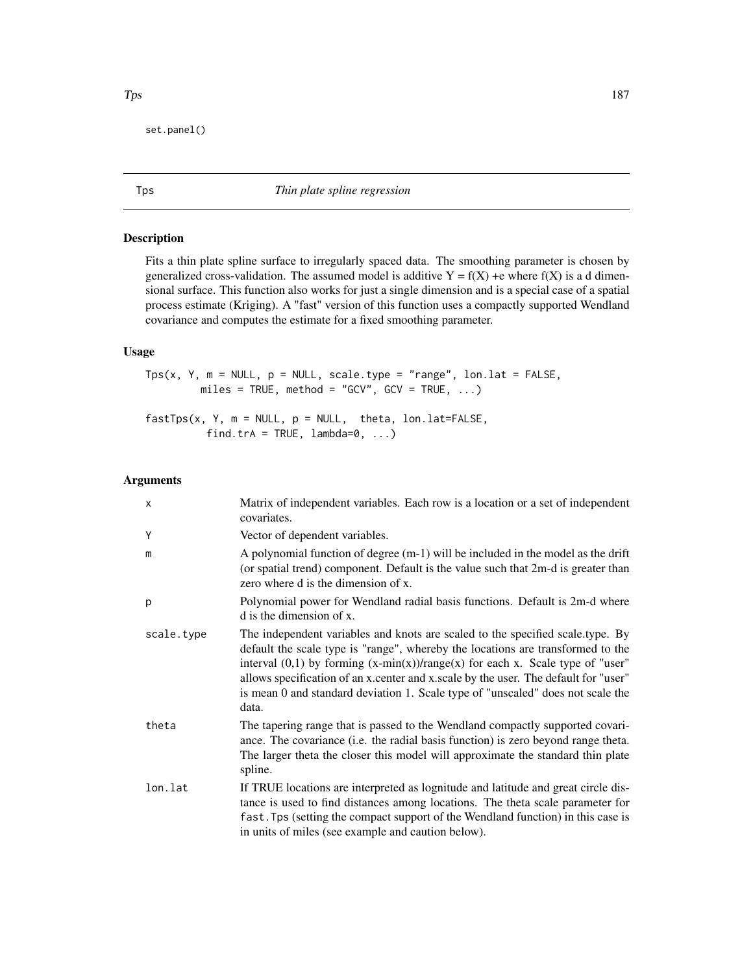<span id="page-186-1"></span>set.panel()

<span id="page-186-0"></span>Tps *Thin plate spline regression*

# Description

Fits a thin plate spline surface to irregularly spaced data. The smoothing parameter is chosen by generalized cross-validation. The assumed model is additive  $Y = f(X) + e$  where  $f(X)$  is a d dimensional surface. This function also works for just a single dimension and is a special case of a spatial process estimate (Kriging). A "fast" version of this function uses a compactly supported Wendland covariance and computes the estimate for a fixed smoothing parameter.

# Usage

```
Tps(x, Y, m = NULL, p = NULL, scale-type = "range", lon.lat = FALSE,miles = TRUE, method = "GCV", GCV = TRUE, \ldots)
```

```
fastTps(x, Y, m = NULL, p = NULL, theta, lon.lat=FALSE,
         find.trA = TRUE, lambda=0, ...)
```
# Arguments

| X          | Matrix of independent variables. Each row is a location or a set of independent<br>covariates.                                                                                                                                                                                                                                                                                                                                             |
|------------|--------------------------------------------------------------------------------------------------------------------------------------------------------------------------------------------------------------------------------------------------------------------------------------------------------------------------------------------------------------------------------------------------------------------------------------------|
| Y          | Vector of dependent variables.                                                                                                                                                                                                                                                                                                                                                                                                             |
| m          | A polynomial function of degree (m-1) will be included in the model as the drift<br>(or spatial trend) component. Default is the value such that 2m-d is greater than<br>zero where d is the dimension of x.                                                                                                                                                                                                                               |
| p          | Polynomial power for Wendland radial basis functions. Default is 2m-d where<br>d is the dimension of x.                                                                                                                                                                                                                                                                                                                                    |
| scale.type | The independent variables and knots are scaled to the specified scale.type. By<br>default the scale type is "range", whereby the locations are transformed to the<br>interval $(0,1)$ by forming $(x-min(x))/range(x)$ for each x. Scale type of "user"<br>allows specification of an x.center and x.scale by the user. The default for "user"<br>is mean 0 and standard deviation 1. Scale type of "unscaled" does not scale the<br>data. |
| theta      | The tapering range that is passed to the Wendland compactly supported covari-<br>ance. The covariance (i.e. the radial basis function) is zero beyond range theta.<br>The larger theta the closer this model will approximate the standard thin plate<br>spline.                                                                                                                                                                           |
| lon.lat    | If TRUE locations are interpreted as lognitude and latitude and great circle dis-<br>tance is used to find distances among locations. The theta scale parameter for<br>fast. Tps (setting the compact support of the Wendland function) in this case is<br>in units of miles (see example and caution below).                                                                                                                              |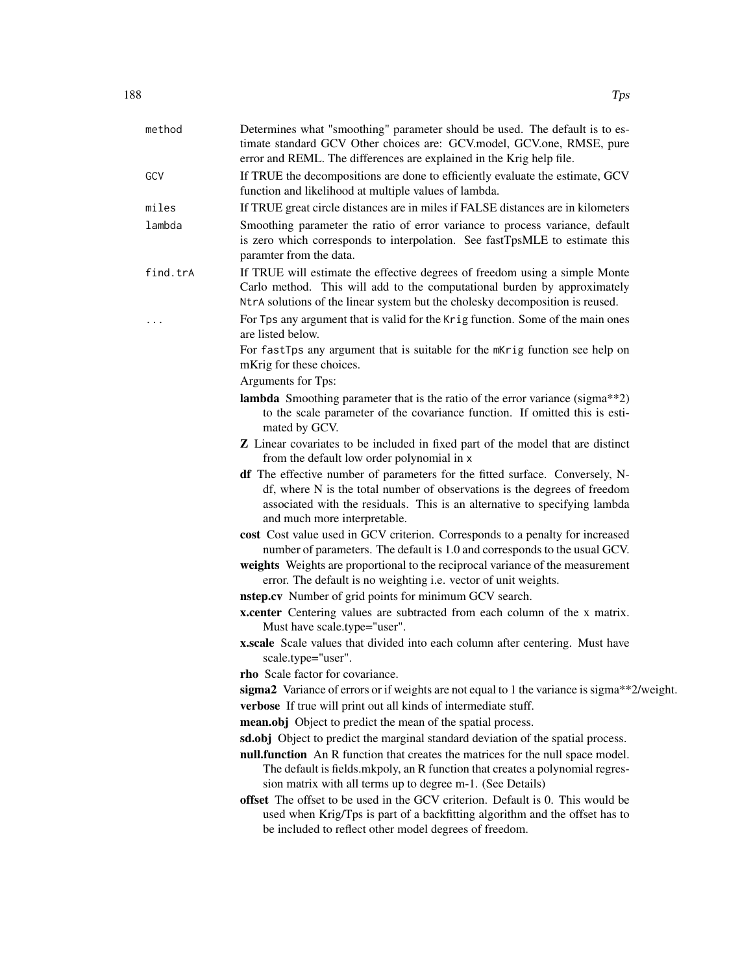| method   | Determines what "smoothing" parameter should be used. The default is to es-<br>timate standard GCV Other choices are: GCV.model, GCV.one, RMSE, pure<br>error and REML. The differences are explained in the Krig help file.                                            |
|----------|-------------------------------------------------------------------------------------------------------------------------------------------------------------------------------------------------------------------------------------------------------------------------|
| GCV      | If TRUE the decompositions are done to efficiently evaluate the estimate, GCV<br>function and likelihood at multiple values of lambda.                                                                                                                                  |
| miles    | If TRUE great circle distances are in miles if FALSE distances are in kilometers                                                                                                                                                                                        |
| lambda   | Smoothing parameter the ratio of error variance to process variance, default<br>is zero which corresponds to interpolation. See fastTpsMLE to estimate this<br>paramter from the data.                                                                                  |
| find.trA | If TRUE will estimate the effective degrees of freedom using a simple Monte<br>Carlo method. This will add to the computational burden by approximately<br>NtrA solutions of the linear system but the cholesky decomposition is reused.                                |
| $\ddots$ | For Tps any argument that is valid for the Krig function. Some of the main ones<br>are listed below.                                                                                                                                                                    |
|          | For fastTps any argument that is suitable for the mKrig function see help on<br>mKrig for these choices.                                                                                                                                                                |
|          | Arguments for Tps:                                                                                                                                                                                                                                                      |
|          | lambda Smoothing parameter that is the ratio of the error variance (sigma**2)<br>to the scale parameter of the covariance function. If omitted this is esti-<br>mated by GCV.                                                                                           |
|          | Z Linear covariates to be included in fixed part of the model that are distinct<br>from the default low order polynomial in x                                                                                                                                           |
|          | df The effective number of parameters for the fitted surface. Conversely, N-<br>df, where N is the total number of observations is the degrees of freedom<br>associated with the residuals. This is an alternative to specifying lambda<br>and much more interpretable. |
|          | cost Cost value used in GCV criterion. Corresponds to a penalty for increased<br>number of parameters. The default is 1.0 and corresponds to the usual GCV.                                                                                                             |
|          | weights Weights are proportional to the reciprocal variance of the measurement<br>error. The default is no weighting i.e. vector of unit weights.                                                                                                                       |
|          | nstep.cv Number of grid points for minimum GCV search.                                                                                                                                                                                                                  |
|          | x.center Centering values are subtracted from each column of the x matrix.<br>Must have scale.type="user".                                                                                                                                                              |
|          | x.scale Scale values that divided into each column after centering. Must have<br>scale.type="user".                                                                                                                                                                     |
|          | rho Scale factor for covariance.                                                                                                                                                                                                                                        |
|          | sigma2 Variance of errors or if weights are not equal to 1 the variance is sigma**2/weight.                                                                                                                                                                             |
|          | verbose If true will print out all kinds of intermediate stuff.                                                                                                                                                                                                         |
|          | mean.obj Object to predict the mean of the spatial process.<br>sd.obj Object to predict the marginal standard deviation of the spatial process.                                                                                                                         |
|          | null.function An R function that creates the matrices for the null space model.<br>The default is fields.mkpoly, an R function that creates a polynomial regres-<br>sion matrix with all terms up to degree m-1. (See Details)                                          |
|          | offset The offset to be used in the GCV criterion. Default is 0. This would be<br>used when Krig/Tps is part of a backfitting algorithm and the offset has to<br>be included to reflect other model degrees of freedom.                                                 |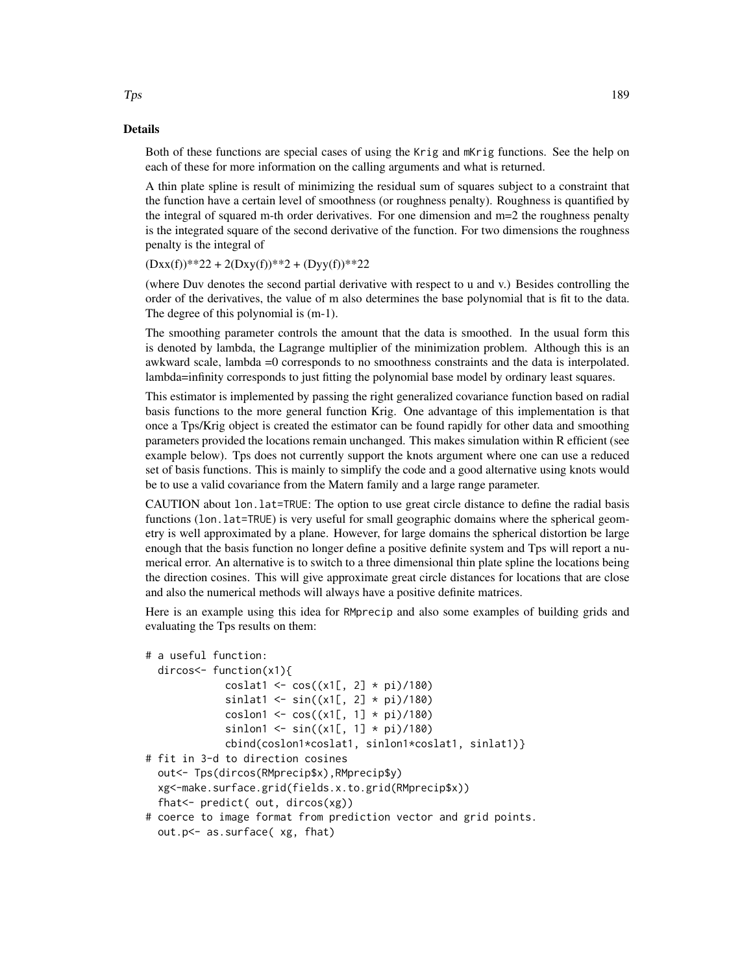#### Details

Both of these functions are special cases of using the Krig and mKrig functions. See the help on each of these for more information on the calling arguments and what is returned.

A thin plate spline is result of minimizing the residual sum of squares subject to a constraint that the function have a certain level of smoothness (or roughness penalty). Roughness is quantified by the integral of squared m-th order derivatives. For one dimension and m=2 the roughness penalty is the integrated square of the second derivative of the function. For two dimensions the roughness penalty is the integral of

 $(Dxx(f))*22 + 2(Dxy(f))*2 + (Dyy(f))*22)$ 

(where Duv denotes the second partial derivative with respect to u and v.) Besides controlling the order of the derivatives, the value of m also determines the base polynomial that is fit to the data. The degree of this polynomial is (m-1).

The smoothing parameter controls the amount that the data is smoothed. In the usual form this is denoted by lambda, the Lagrange multiplier of the minimization problem. Although this is an awkward scale, lambda =0 corresponds to no smoothness constraints and the data is interpolated. lambda=infinity corresponds to just fitting the polynomial base model by ordinary least squares.

This estimator is implemented by passing the right generalized covariance function based on radial basis functions to the more general function Krig. One advantage of this implementation is that once a Tps/Krig object is created the estimator can be found rapidly for other data and smoothing parameters provided the locations remain unchanged. This makes simulation within R efficient (see example below). Tps does not currently support the knots argument where one can use a reduced set of basis functions. This is mainly to simplify the code and a good alternative using knots would be to use a valid covariance from the Matern family and a large range parameter.

CAUTION about lon.lat=TRUE: The option to use great circle distance to define the radial basis functions (lon.lat=TRUE) is very useful for small geographic domains where the spherical geometry is well approximated by a plane. However, for large domains the spherical distortion be large enough that the basis function no longer define a positive definite system and Tps will report a numerical error. An alternative is to switch to a three dimensional thin plate spline the locations being the direction cosines. This will give approximate great circle distances for locations that are close and also the numerical methods will always have a positive definite matrices.

Here is an example using this idea for RMprecip and also some examples of building grids and evaluating the Tps results on them:

```
# a useful function:
 dircos<- function(x1){
            coslat1 <- cos((x1[, 2] * pi)/180)sinlat1 <- sin((x1[, 2] * pi)/180)
            coslon1 <- cos((x1[, 1] * pi)/180)sinlon1 <- sin((x1[, 1] * pi)/180)cbind(coslon1*coslat1, sinlon1*coslat1, sinlat1)}
# fit in 3-d to direction cosines
 out<- Tps(dircos(RMprecip$x),RMprecip$y)
 xg<-make.surface.grid(fields.x.to.grid(RMprecip$x))
 fhat<- predict( out, dircos(xg))
# coerce to image format from prediction vector and grid points.
 out.p<- as.surface( xg, fhat)
```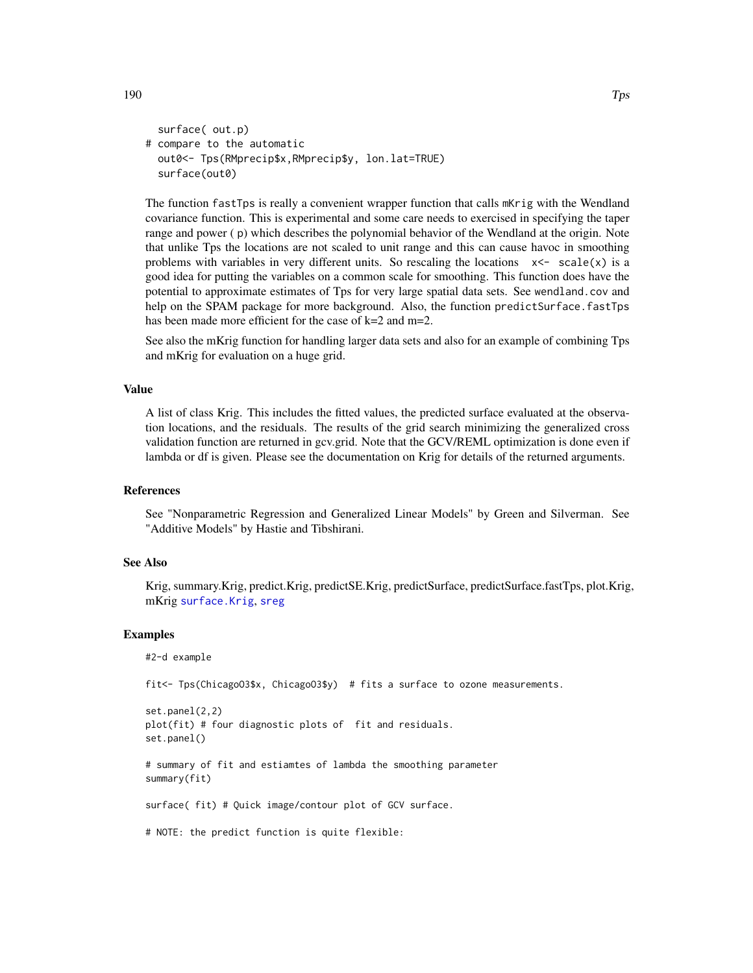```
surface( out.p)
# compare to the automatic
  out0<- Tps(RMprecip$x,RMprecip$y, lon.lat=TRUE)
  surface(out0)
```
The function fast Tps is really a convenient wrapper function that calls mKrig with the Wendland covariance function. This is experimental and some care needs to exercised in specifying the taper range and power ( p) which describes the polynomial behavior of the Wendland at the origin. Note that unlike Tps the locations are not scaled to unit range and this can cause havoc in smoothing problems with variables in very different units. So rescaling the locations  $x \le -$  scale(x) is a good idea for putting the variables on a common scale for smoothing. This function does have the potential to approximate estimates of Tps for very large spatial data sets. See wendland.cov and help on the SPAM package for more background. Also, the function predictSurface.fastTps has been made more efficient for the case of k=2 and m=2.

See also the mKrig function for handling larger data sets and also for an example of combining Tps and mKrig for evaluation on a huge grid.

#### Value

A list of class Krig. This includes the fitted values, the predicted surface evaluated at the observation locations, and the residuals. The results of the grid search minimizing the generalized cross validation function are returned in gcv.grid. Note that the GCV/REML optimization is done even if lambda or df is given. Please see the documentation on Krig for details of the returned arguments.

#### References

See "Nonparametric Regression and Generalized Linear Models" by Green and Silverman. See "Additive Models" by Hastie and Tibshirani.

# See Also

Krig, summary.Krig, predict.Krig, predictSE.Krig, predictSurface, predictSurface.fastTps, plot.Krig, mKrig [surface.Krig](#page-177-0), [sreg](#page-168-0)

# Examples

```
#2-d example
```

```
fit<- Tps(ChicagoO3$x, ChicagoO3$y) # fits a surface to ozone measurements.
```

```
set.panel(2,2)
plot(fit) # four diagnostic plots of fit and residuals.
set.panel()
```
# summary of fit and estiamtes of lambda the smoothing parameter summary(fit)

surface( fit) # Quick image/contour plot of GCV surface.

# NOTE: the predict function is quite flexible:

<span id="page-189-0"></span>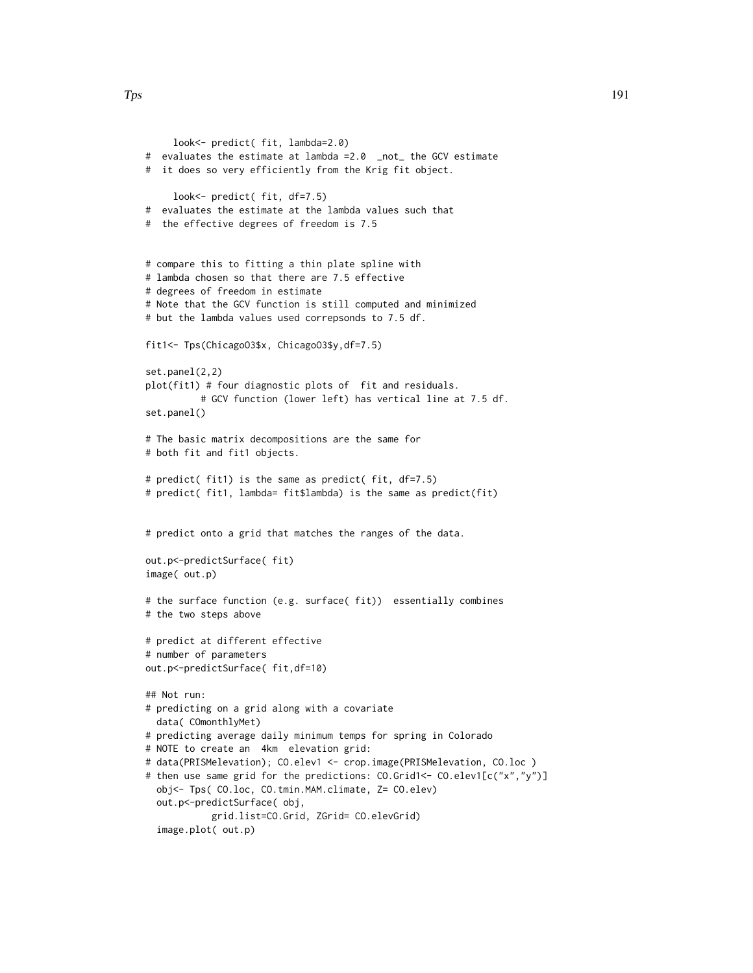```
look<- predict( fit, lambda=2.0)
# evaluates the estimate at lambda =2.0 _not_ the GCV estimate
# it does so very efficiently from the Krig fit object.
     look<- predict( fit, df=7.5)
# evaluates the estimate at the lambda values such that
# the effective degrees of freedom is 7.5
# compare this to fitting a thin plate spline with
# lambda chosen so that there are 7.5 effective
# degrees of freedom in estimate
# Note that the GCV function is still computed and minimized
# but the lambda values used correpsonds to 7.5 df.
fit1<- Tps(ChicagoO3$x, ChicagoO3$y,df=7.5)
set.panel(2,2)
plot(fit1) # four diagnostic plots of fit and residuals.
          # GCV function (lower left) has vertical line at 7.5 df.
set.panel()
# The basic matrix decompositions are the same for
# both fit and fit1 objects.
# predict( fit1) is the same as predict( fit, df=7.5)
# predict( fit1, lambda= fit$lambda) is the same as predict(fit)
# predict onto a grid that matches the ranges of the data.
out.p<-predictSurface( fit)
image( out.p)
# the surface function (e.g. surface( fit)) essentially combines
# the two steps above
# predict at different effective
# number of parameters
out.p<-predictSurface( fit,df=10)
## Not run:
# predicting on a grid along with a covariate
 data( COmonthlyMet)
# predicting average daily minimum temps for spring in Colorado
# NOTE to create an 4km elevation grid:
# data(PRISMelevation); CO.elev1 <- crop.image(PRISMelevation, CO.loc )
# then use same grid for the predictions: CO.Grid1<- CO.elev1[c("x","y")]
 obj<- Tps( CO.loc, CO.tmin.MAM.climate, Z= CO.elev)
 out.p<-predictSurface( obj,
           grid.list=CO.Grid, ZGrid= CO.elevGrid)
  image.plot( out.p)
```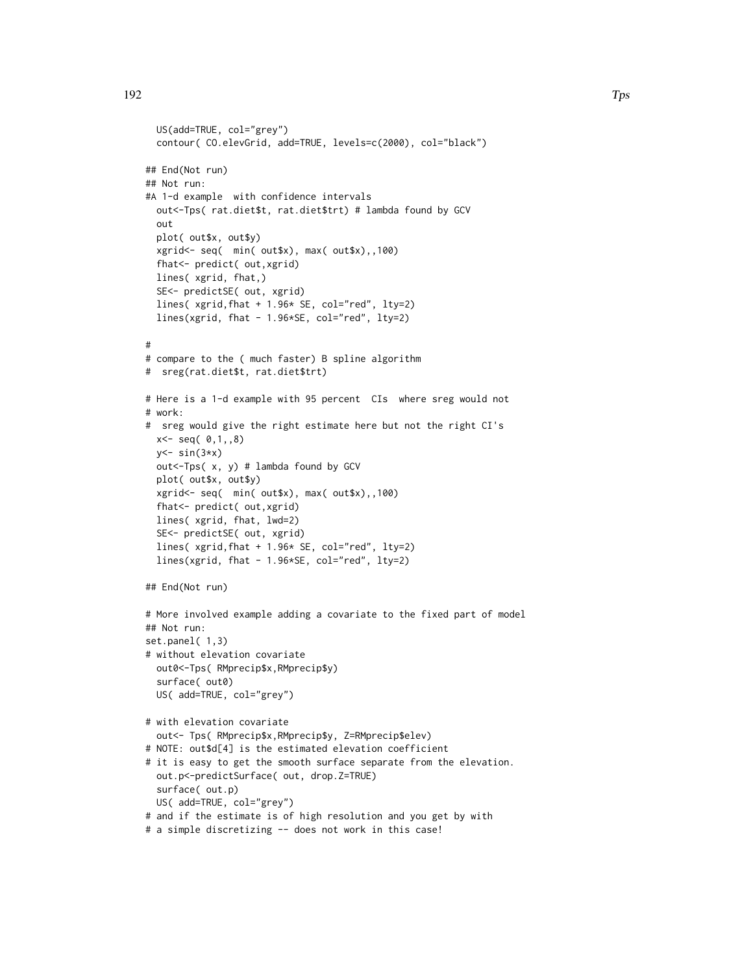```
US(add=TRUE, col="grey")
  contour( CO.elevGrid, add=TRUE, levels=c(2000), col="black")
## End(Not run)
## Not run:
#A 1-d example with confidence intervals
  out<-Tps( rat.diet$t, rat.diet$trt) # lambda found by GCV
  out
  plot( out$x, out$y)
  xgrid<- seq( min( out$x), max( out$x),,100)
  fhat<- predict( out,xgrid)
  lines( xgrid, fhat,)
  SE<- predictSE( out, xgrid)
  lines( xgrid,fhat + 1.96* SE, col="red", lty=2)
  lines(xgrid, fhat - 1.96*SE, col="red", lty=2)
#
# compare to the ( much faster) B spline algorithm
# sreg(rat.diet$t, rat.diet$trt)
# Here is a 1-d example with 95 percent CIs where sreg would not
# work:
# sreg would give the right estimate here but not the right CI's
  x < - seq( 0, 1, 8)
  y < - \sin(3*x)out<-Tps( x, y) # lambda found by GCV
  plot( out$x, out$y)
  xgrid<- seq( min( out$x), max( out$x),,100)
  fhat<- predict( out,xgrid)
  lines( xgrid, fhat, lwd=2)
  SE<- predictSE( out, xgrid)
  lines( xgrid,fhat + 1.96* SE, col="red", lty=2)
  lines(xgrid, fhat - 1.96*SE, col="red", lty=2)
## End(Not run)
# More involved example adding a covariate to the fixed part of model
## Not run:
set.panel( 1,3)
# without elevation covariate
  out0<-Tps( RMprecip$x,RMprecip$y)
  surface( out0)
  US( add=TRUE, col="grey")
# with elevation covariate
  out<- Tps( RMprecip$x,RMprecip$y, Z=RMprecip$elev)
# NOTE: out$d[4] is the estimated elevation coefficient
# it is easy to get the smooth surface separate from the elevation.
  out.p<-predictSurface( out, drop.Z=TRUE)
  surface( out.p)
  US( add=TRUE, col="grey")
# and if the estimate is of high resolution and you get by with
# a simple discretizing -- does not work in this case!
```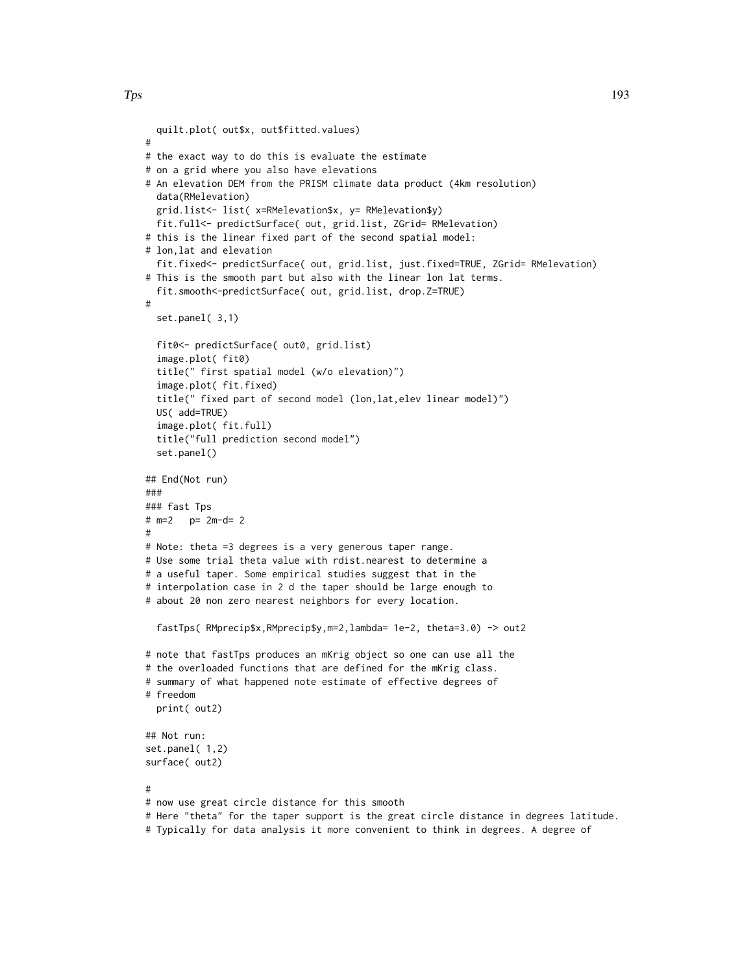```
quilt.plot( out$x, out$fitted.values)
#
# the exact way to do this is evaluate the estimate
# on a grid where you also have elevations
# An elevation DEM from the PRISM climate data product (4km resolution)
 data(RMelevation)
 grid.list<- list( x=RMelevation$x, y= RMelevation$y)
 fit.full<- predictSurface( out, grid.list, ZGrid= RMelevation)
# this is the linear fixed part of the second spatial model:
# lon,lat and elevation
  fit.fixed<- predictSurface( out, grid.list, just.fixed=TRUE, ZGrid= RMelevation)
# This is the smooth part but also with the linear lon lat terms.
  fit.smooth<-predictSurface( out, grid.list, drop.Z=TRUE)
#
 set.panel( 3,1)
 fit0<- predictSurface( out0, grid.list)
 image.plot( fit0)
 title(" first spatial model (w/o elevation)")
 image.plot( fit.fixed)
 title(" fixed part of second model (lon,lat,elev linear model)")
 US( add=TRUE)
 image.plot( fit.full)
 title("full prediction second model")
 set.panel()
## End(Not run)
###
### fast Tps
# m=2 p= 2m-d= 2
#
# Note: theta =3 degrees is a very generous taper range.
# Use some trial theta value with rdist.nearest to determine a
# a useful taper. Some empirical studies suggest that in the
# interpolation case in 2 d the taper should be large enough to
# about 20 non zero nearest neighbors for every location.
 fastTps( RMprecip$x,RMprecip$y,m=2,lambda= 1e-2, theta=3.0) -> out2
# note that fastTps produces an mKrig object so one can use all the
# the overloaded functions that are defined for the mKrig class.
# summary of what happened note estimate of effective degrees of
# freedom
 print( out2)
## Not run:
set.panel( 1,2)
surface( out2)
#
# now use great circle distance for this smooth
# Here "theta" for the taper support is the great circle distance in degrees latitude.
```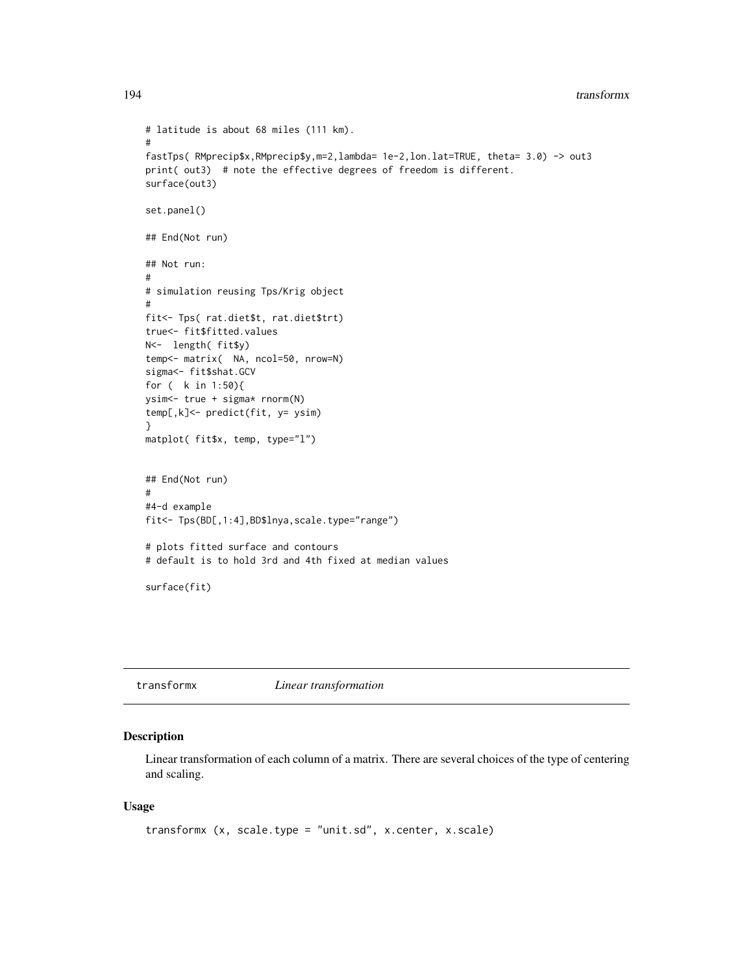194 transformx

```
# latitude is about 68 miles (111 km).
#
fastTps( RMprecip$x,RMprecip$y,m=2,lambda= 1e-2,lon.lat=TRUE, theta= 3.0) -> out3
print( out3) # note the effective degrees of freedom is different.
surface(out3)
set.panel()
## End(Not run)
## Not run:
#
# simulation reusing Tps/Krig object
#
fit<- Tps( rat.diet$t, rat.diet$trt)
true<- fit$fitted.values
N<- length( fit$y)
temp<- matrix( NA, ncol=50, nrow=N)
sigma<- fit$shat.GCV
for ( k in 1:50){
ysim<- true + sigma* rnorm(N)
temp[,k]<- predict(fit, y= ysim)
}
matplot( fit$x, temp, type="l")
## End(Not run)
#
#4-d example
fit<- Tps(BD[,1:4],BD$lnya,scale.type="range")
# plots fitted surface and contours
# default is to hold 3rd and 4th fixed at median values
surface(fit)
```
transformx *Linear transformation*

# Description

Linear transformation of each column of a matrix. There are several choices of the type of centering and scaling.

#### Usage

```
transformx (x, scale.type = "unit.sd", x.center, x.scale)
```
<span id="page-193-0"></span>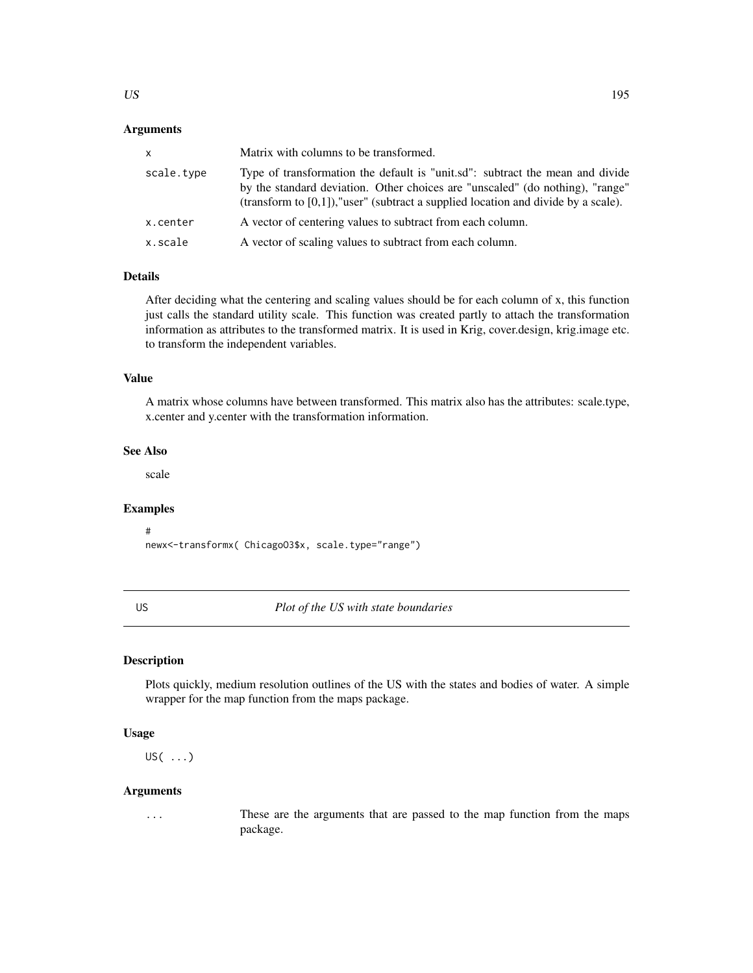# <span id="page-194-0"></span>**Arguments**

| x          | Matrix with columns to be transformed.                                                                                                                                                                                                                  |
|------------|---------------------------------------------------------------------------------------------------------------------------------------------------------------------------------------------------------------------------------------------------------|
| scale.type | Type of transformation the default is "unit.sd": subtract the mean and divide<br>by the standard deviation. Other choices are "unscaled" (do nothing), "range"<br>(transform to $[0,1]$ ), "user" (subtract a supplied location and divide by a scale). |
| x.center   | A vector of centering values to subtract from each column.                                                                                                                                                                                              |
| x.scale    | A vector of scaling values to subtract from each column.                                                                                                                                                                                                |

# Details

After deciding what the centering and scaling values should be for each column of x, this function just calls the standard utility scale. This function was created partly to attach the transformation information as attributes to the transformed matrix. It is used in Krig, cover.design, krig.image etc. to transform the independent variables.

# Value

A matrix whose columns have between transformed. This matrix also has the attributes: scale.type, x.center and y.center with the transformation information.

#### See Also

scale

#### Examples

#

newx<-transformx( ChicagoO3\$x, scale.type="range")

US *Plot of the US with state boundaries*

# Description

Plots quickly, medium resolution outlines of the US with the states and bodies of water. A simple wrapper for the map function from the maps package.

# Usage

US( ...)

# Arguments

... These are the arguments that are passed to the map function from the maps package.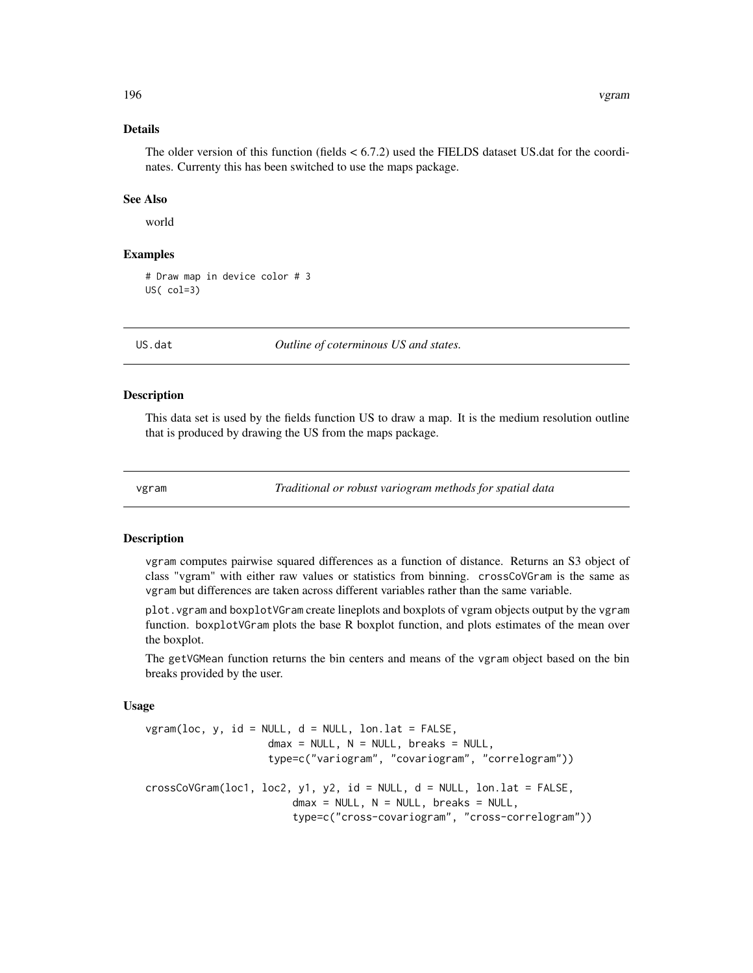# Details

The older version of this function (fields  $< 6.7.2$ ) used the FIELDS dataset US dat for the coordinates. Currenty this has been switched to use the maps package.

# See Also

world

# Examples

# Draw map in device color # 3 US( col=3)

US.dat *Outline of coterminous US and states.*

#### Description

This data set is used by the fields function US to draw a map. It is the medium resolution outline that is produced by drawing the US from the maps package.

<span id="page-195-0"></span>vgram *Traditional or robust variogram methods for spatial data*

#### Description

vgram computes pairwise squared differences as a function of distance. Returns an S3 object of class "vgram" with either raw values or statistics from binning. crossCoVGram is the same as vgram but differences are taken across different variables rather than the same variable.

plot. vgram and boxplotVGram create lineplots and boxplots of vgram objects output by the vgram function. boxplotVGram plots the base R boxplot function, and plots estimates of the mean over the boxplot.

The getVGMean function returns the bin centers and means of the vgram object based on the bin breaks provided by the user.

#### Usage

```
vgram(loc, y, id = NULL, d = NULL, lon.1at = FALSE,dmax = NULL, N = NULL, breaks = NULL,type=c("variogram", "covariogram", "correlogram"))
crossCoVGram(loc1, loc2, y1, y2, id = NULL, d = NULL, Ion.lat = FALSE,dmax = NULL, N = NULL, breaks = NULL,type=c("cross-covariogram", "cross-correlogram"))
```
<span id="page-195-1"></span>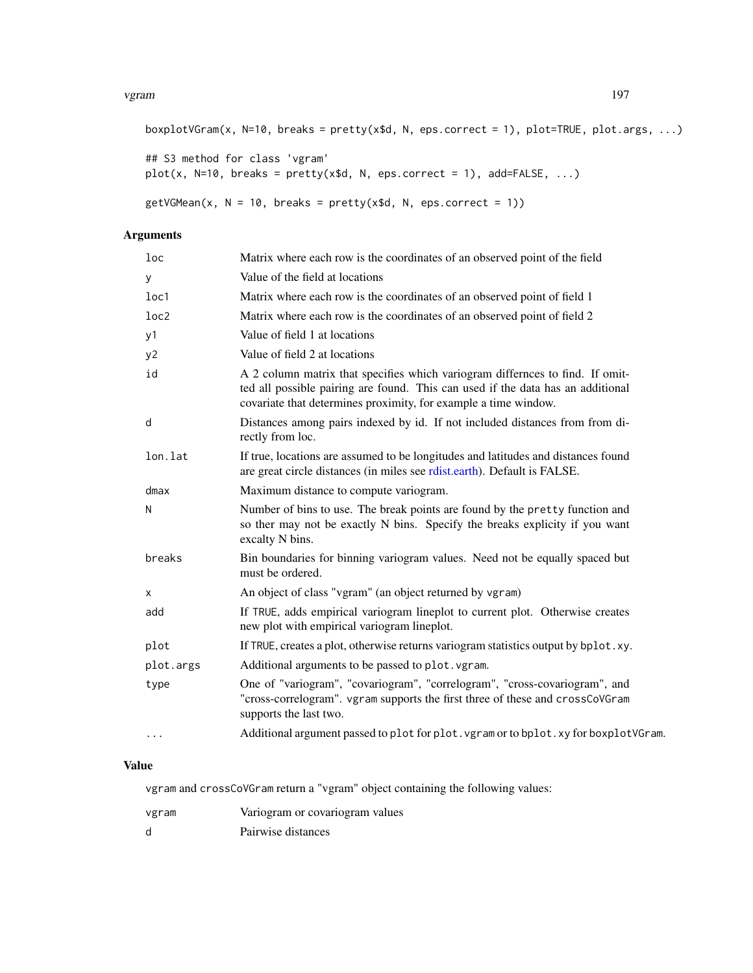#### <span id="page-196-0"></span>vgram 197

```
boxplotVGram(x, N=10, breaks = pretty(x$d, N, eps.correct = 1), plot=TRUE, plot.args, ...)
## S3 method for class 'vgram'
plot(x, N=10, breaks = pretty(x$d, N,eps.correct = 1), add=FALSE, ...)getVGMean(x, N = 10, breaks = pretty(x$d, N,eps.correct = 1))
```
# Arguments

| loc       | Matrix where each row is the coordinates of an observed point of the field                                                                                                                                                          |  |
|-----------|-------------------------------------------------------------------------------------------------------------------------------------------------------------------------------------------------------------------------------------|--|
| У         | Value of the field at locations                                                                                                                                                                                                     |  |
| loc1      | Matrix where each row is the coordinates of an observed point of field 1                                                                                                                                                            |  |
| loc2      | Matrix where each row is the coordinates of an observed point of field 2                                                                                                                                                            |  |
| y1        | Value of field 1 at locations                                                                                                                                                                                                       |  |
| y2        | Value of field 2 at locations                                                                                                                                                                                                       |  |
| id        | A 2 column matrix that specifies which variogram differnces to find. If omit-<br>ted all possible pairing are found. This can used if the data has an additional<br>covariate that determines proximity, for example a time window. |  |
| d         | Distances among pairs indexed by id. If not included distances from from di-<br>rectly from loc.                                                                                                                                    |  |
| lon.lat   | If true, locations are assumed to be longitudes and latitudes and distances found<br>are great circle distances (in miles see rdist.earth). Default is FALSE.                                                                       |  |
| $d$ max   | Maximum distance to compute variogram.                                                                                                                                                                                              |  |
| N         | Number of bins to use. The break points are found by the pretty function and<br>so ther may not be exactly N bins. Specify the breaks explicity if you want<br>excalty N bins.                                                      |  |
| breaks    | Bin boundaries for binning variogram values. Need not be equally spaced but<br>must be ordered.                                                                                                                                     |  |
| X         | An object of class "vgram" (an object returned by vgram)                                                                                                                                                                            |  |
| add       | If TRUE, adds empirical variogram lineplot to current plot. Otherwise creates<br>new plot with empirical variogram lineplot.                                                                                                        |  |
| plot      | If TRUE, creates a plot, otherwise returns variogram statistics output by bplot.xy.                                                                                                                                                 |  |
| plot.args | Additional arguments to be passed to plot. vgram.                                                                                                                                                                                   |  |
| type      | One of "variogram", "covariogram", "correlogram", "cross-covariogram", and<br>"cross-correlogram". vgram supports the first three of these and crossCoVGram<br>supports the last two.                                               |  |
| $\cdots$  | Additional argument passed to plot for plot. vgram or to bplot. xy for boxplotVGram.                                                                                                                                                |  |
|           |                                                                                                                                                                                                                                     |  |

# Value

vgram and crossCoVGram return a "vgram" object containing the following values:

- vgram Variogram or covariogram values
- d Pairwise distances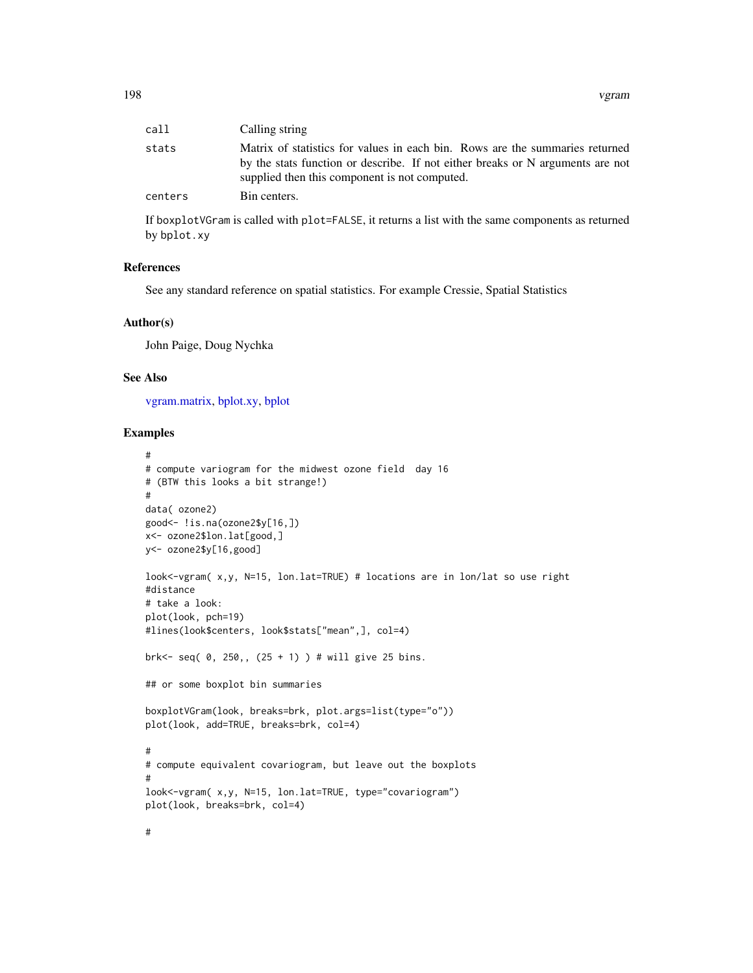<span id="page-197-0"></span>

| call    | Calling string                                                                                                                                                                                                  |
|---------|-----------------------------------------------------------------------------------------------------------------------------------------------------------------------------------------------------------------|
| stats   | Matrix of statistics for values in each bin. Rows are the summaries returned<br>by the stats function or describe. If not either breaks or N arguments are not<br>supplied then this component is not computed. |
| centers | Bin centers.                                                                                                                                                                                                    |

If boxplotVGram is called with plot=FALSE, it returns a list with the same components as returned by bplot.xy

# References

See any standard reference on spatial statistics. For example Cressie, Spatial Statistics

#### Author(s)

John Paige, Doug Nychka

# See Also

[vgram.matrix,](#page-198-0) [bplot.xy,](#page-11-0) [bplot](#page-9-0)

# Examples

#

```
#
# compute variogram for the midwest ozone field day 16
# (BTW this looks a bit strange!)
#
data( ozone2)
good<- !is.na(ozone2$y[16,])
x<- ozone2$lon.lat[good,]
y<- ozone2$y[16,good]
look<-vgram( x,y, N=15, lon.lat=TRUE) # locations are in lon/lat so use right
#distance
# take a look:
plot(look, pch=19)
#lines(look$centers, look$stats["mean",], col=4)
brk <- seq( 0, 250, (25 + 1) ) # will give 25 bins.
## or some boxplot bin summaries
boxplotVGram(look, breaks=brk, plot.args=list(type="o"))
plot(look, add=TRUE, breaks=brk, col=4)
#
# compute equivalent covariogram, but leave out the boxplots
#
look<-vgram( x,y, N=15, lon.lat=TRUE, type="covariogram")
plot(look, breaks=brk, col=4)
```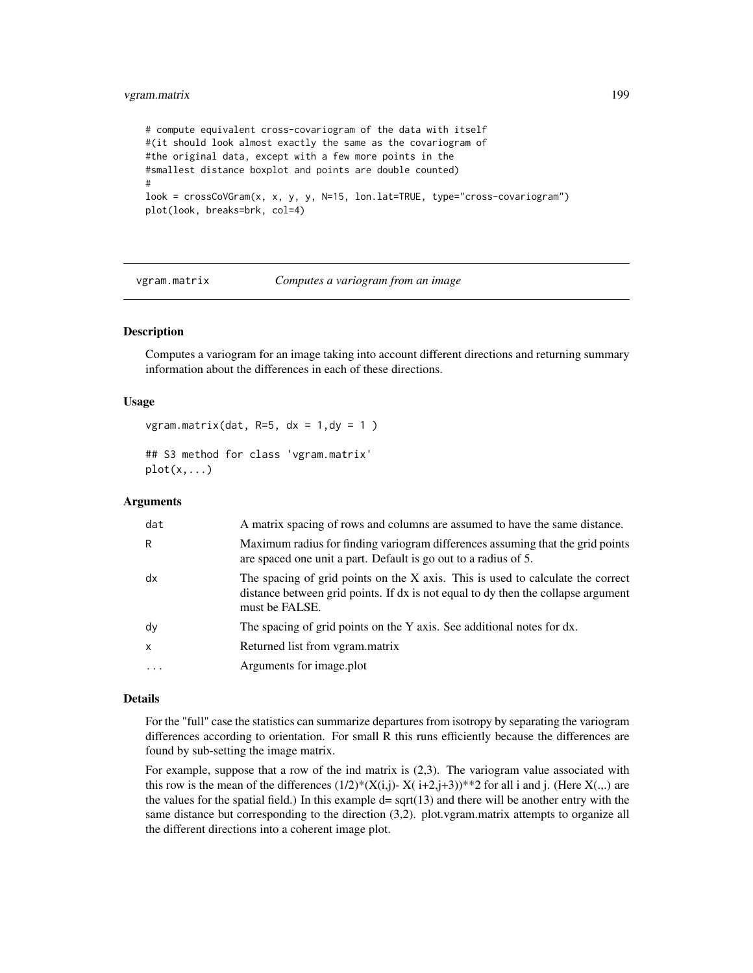# <span id="page-198-1"></span>vgram.matrix 199

```
# compute equivalent cross-covariogram of the data with itself
#(it should look almost exactly the same as the covariogram of
#the original data, except with a few more points in the
#smallest distance boxplot and points are double counted)
#
look = crossCoVGram(x, x, y, y, N=15, lon.lat=TRUE, type="cross-covariogram")
plot(look, breaks=brk, col=4)
```
<span id="page-198-0"></span>vgram.matrix *Computes a variogram from an image*

# **Description**

Computes a variogram for an image taking into account different directions and returning summary information about the differences in each of these directions.

#### Usage

```
vgram.matrix(dat, R=5, dx = 1, dy = 1)
## S3 method for class 'vgram.matrix'
```

```
plot(x, \ldots)
```
#### Arguments

| dat       | A matrix spacing of rows and columns are assumed to have the same distance.                                                                                                            |
|-----------|----------------------------------------------------------------------------------------------------------------------------------------------------------------------------------------|
| R         | Maximum radius for finding variogram differences assuming that the grid points<br>are spaced one unit a part. Default is go out to a radius of 5.                                      |
| dx        | The spacing of grid points on the X axis. This is used to calculate the correct<br>distance between grid points. If dx is not equal to dy then the collapse argument<br>must be FALSE. |
| dy        | The spacing of grid points on the Y axis. See additional notes for dx.                                                                                                                 |
| X         | Returned list from vgram.matrix                                                                                                                                                        |
| $\ddotsc$ | Arguments for image.plot                                                                                                                                                               |
|           |                                                                                                                                                                                        |

# Details

For the "full" case the statistics can summarize departures from isotropy by separating the variogram differences according to orientation. For small R this runs efficiently because the differences are found by sub-setting the image matrix.

For example, suppose that a row of the ind matrix is (2,3). The variogram value associated with this row is the mean of the differences  $(1/2)^*(X(i,j)-X(i+2,j+3))^{**}$ ? for all i and j. (Here  $X(\ldots)$ ) are the values for the spatial field.) In this example  $d = \sqrt{q(13)}$  and there will be another entry with the same distance but corresponding to the direction (3,2). plot.vgram.matrix attempts to organize all the different directions into a coherent image plot.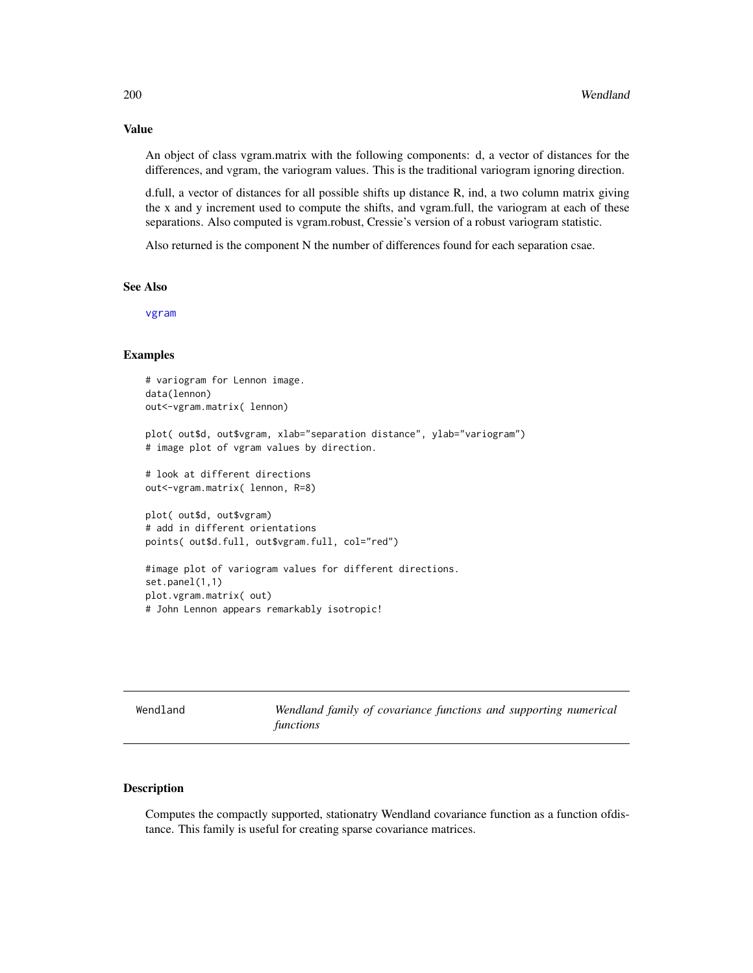Value

An object of class vgram.matrix with the following components: d, a vector of distances for the differences, and vgram, the variogram values. This is the traditional variogram ignoring direction.

d.full, a vector of distances for all possible shifts up distance R, ind, a two column matrix giving the x and y increment used to compute the shifts, and vgram.full, the variogram at each of these separations. Also computed is vgram.robust, Cressie's version of a robust variogram statistic.

Also returned is the component N the number of differences found for each separation csae.

#### See Also

[vgram](#page-195-0)

#### Examples

```
# variogram for Lennon image.
data(lennon)
out<-vgram.matrix( lennon)
plot( out$d, out$vgram, xlab="separation distance", ylab="variogram")
# image plot of vgram values by direction.
# look at different directions
out<-vgram.matrix( lennon, R=8)
plot( out$d, out$vgram)
# add in different orientations
points( out$d.full, out$vgram.full, col="red")
#image plot of variogram values for different directions.
set.panel(1,1)
plot.vgram.matrix( out)
# John Lennon appears remarkably isotropic!
```
Wendland *Wendland family of covariance functions and supporting numerical functions*

#### Description

Computes the compactly supported, stationatry Wendland covariance function as a function ofdistance. This family is useful for creating sparse covariance matrices.

<span id="page-199-0"></span>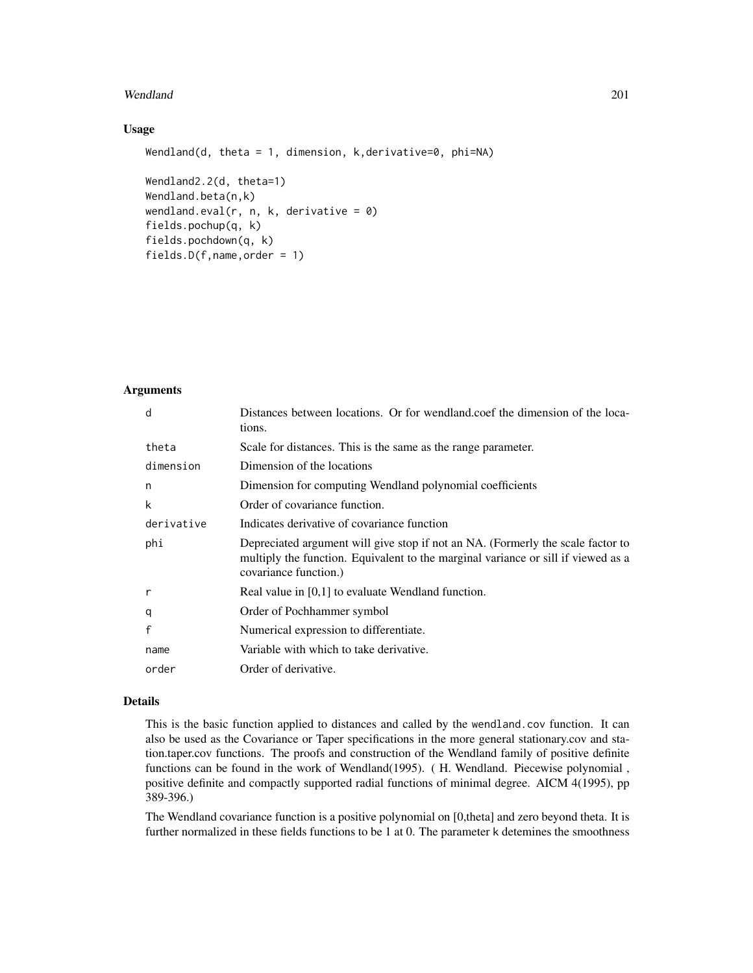# Wendland 201

#### Usage

```
Wendland(d, theta = 1, dimension, k, derivative=0, phi=NA)
Wendland2.2(d, theta=1)
Wendland.beta(n,k)
wendland.eval(r, n, k, derivative = 0)
fields.pochup(q, k)
fields.pochdown(q, k)
```
fields.D(f,name,order = 1)

# Arguments

| d            | Distances between locations. Or for wendland.coef the dimension of the loca-<br>tions.                                                                                                        |
|--------------|-----------------------------------------------------------------------------------------------------------------------------------------------------------------------------------------------|
| theta        | Scale for distances. This is the same as the range parameter.                                                                                                                                 |
| dimension    | Dimension of the locations                                                                                                                                                                    |
| n            | Dimension for computing Wendland polynomial coefficients                                                                                                                                      |
| k            | Order of covariance function.                                                                                                                                                                 |
| derivative   | Indicates derivative of covariance function                                                                                                                                                   |
| phi          | Depreciated argument will give stop if not an NA. (Formerly the scale factor to<br>multiply the function. Equivalent to the marginal variance or sill if viewed as a<br>covariance function.) |
| r            | Real value in [0,1] to evaluate Wendland function.                                                                                                                                            |
| q            | Order of Pochhammer symbol                                                                                                                                                                    |
| $\mathsf{f}$ | Numerical expression to differentiate.                                                                                                                                                        |
| name         | Variable with which to take derivative.                                                                                                                                                       |
| order        | Order of derivative.                                                                                                                                                                          |

#### Details

This is the basic function applied to distances and called by the wendland.cov function. It can also be used as the Covariance or Taper specifications in the more general stationary.cov and station.taper.cov functions. The proofs and construction of the Wendland family of positive definite functions can be found in the work of Wendland(1995). ( H. Wendland. Piecewise polynomial , positive definite and compactly supported radial functions of minimal degree. AICM 4(1995), pp 389-396.)

The Wendland covariance function is a positive polynomial on [0,theta] and zero beyond theta. It is further normalized in these fields functions to be 1 at 0. The parameter k detemines the smoothness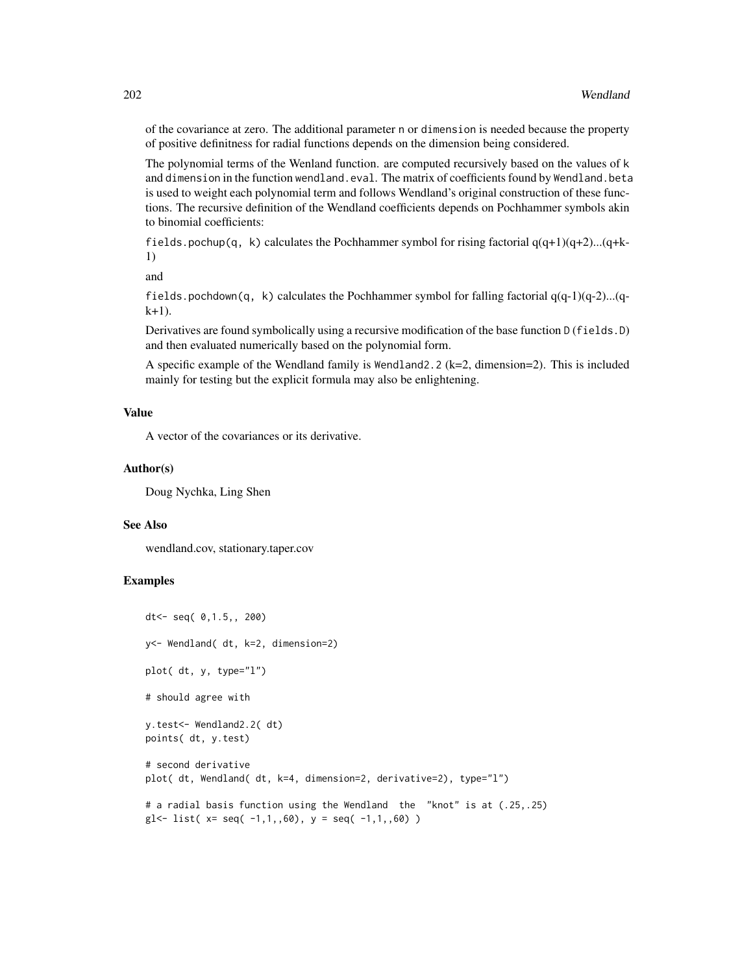of the covariance at zero. The additional parameter n or dimension is needed because the property of positive definitness for radial functions depends on the dimension being considered.

The polynomial terms of the Wenland function. are computed recursively based on the values of k and dimension in the function wendland.eval. The matrix of coefficients found by Wendland.beta is used to weight each polynomial term and follows Wendland's original construction of these functions. The recursive definition of the Wendland coefficients depends on Pochhammer symbols akin to binomial coefficients:

fields.pochup(q, k) calculates the Pochhammer symbol for rising factorial  $q(q+1)(q+2)...(q+k-1)$ 1)

and

fields.pochdown(q, k) calculates the Pochhammer symbol for falling factorial  $q(q-1)(q-2)...(q-1)$  $k+1$ ).

Derivatives are found symbolically using a recursive modification of the base function D (fields.D) and then evaluated numerically based on the polynomial form.

A specific example of the Wendland family is Wendland 2.2 ( $k=2$ , dimension=2). This is included mainly for testing but the explicit formula may also be enlightening.

# Value

A vector of the covariances or its derivative.

#### Author(s)

Doug Nychka, Ling Shen

#### See Also

wendland.cov, stationary.taper.cov

#### Examples

```
dt<- seq( 0,1.5,, 200)
y<- Wendland( dt, k=2, dimension=2)
plot( dt, y, type="l")
# should agree with
y.test<- Wendland2.2( dt)
points( dt, y.test)
# second derivative
plot( dt, Wendland( dt, k=4, dimension=2, derivative=2), type="l")
# a radial basis function using the Wendland the "knot" is at (.25,.25)
gl <- 1 ist( x = seq(-1,1,60), y = seq(-1,1,60))
```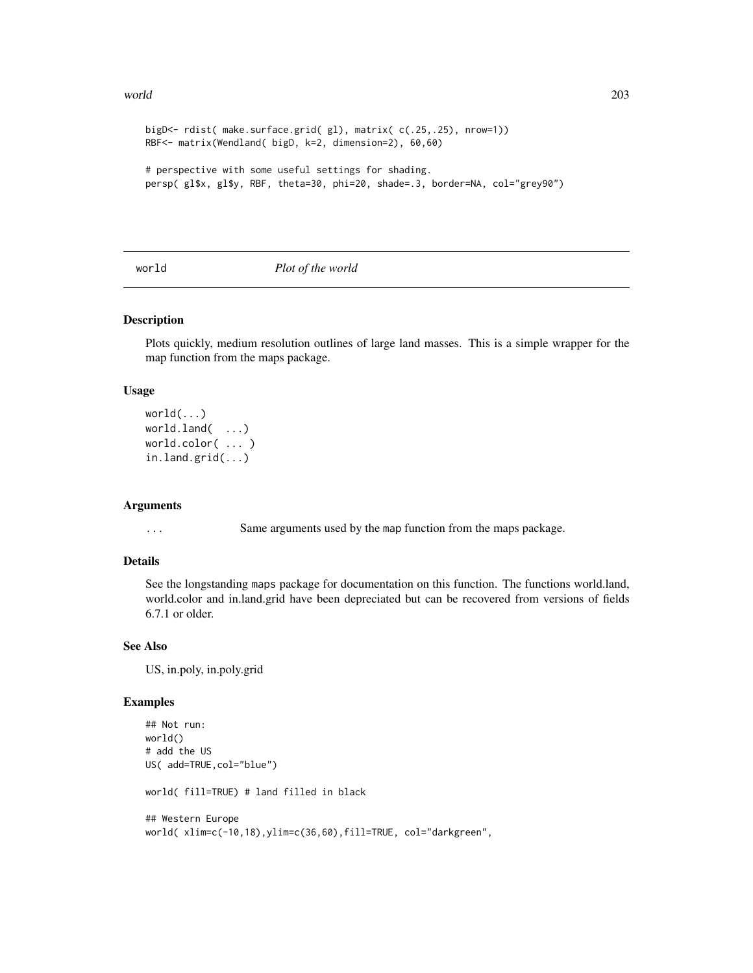#### <span id="page-202-0"></span>world 203

```
bigD<- rdist( make.surface.grid( gl), matrix( c(.25,.25), nrow=1))
RBF<- matrix(Wendland( bigD, k=2, dimension=2), 60,60)
# perspective with some useful settings for shading.
persp( gl$x, gl$y, RBF, theta=30, phi=20, shade=.3, border=NA, col="grey90")
```
## world *Plot of the world*

#### Description

Plots quickly, medium resolution outlines of large land masses. This is a simple wrapper for the map function from the maps package.

#### Usage

```
world(...)
world.land( ...)
world.color( ... )
in.land.grid(...)
```
#### Arguments

... Same arguments used by the map function from the maps package.

#### Details

See the longstanding maps package for documentation on this function. The functions world.land, world.color and in.land.grid have been depreciated but can be recovered from versions of fields 6.7.1 or older.

# See Also

US, in.poly, in.poly.grid

#### Examples

```
## Not run:
world()
# add the US
US( add=TRUE,col="blue")
world( fill=TRUE) # land filled in black
## Western Europe
```
world( xlim=c(-10,18),ylim=c(36,60),fill=TRUE, col="darkgreen",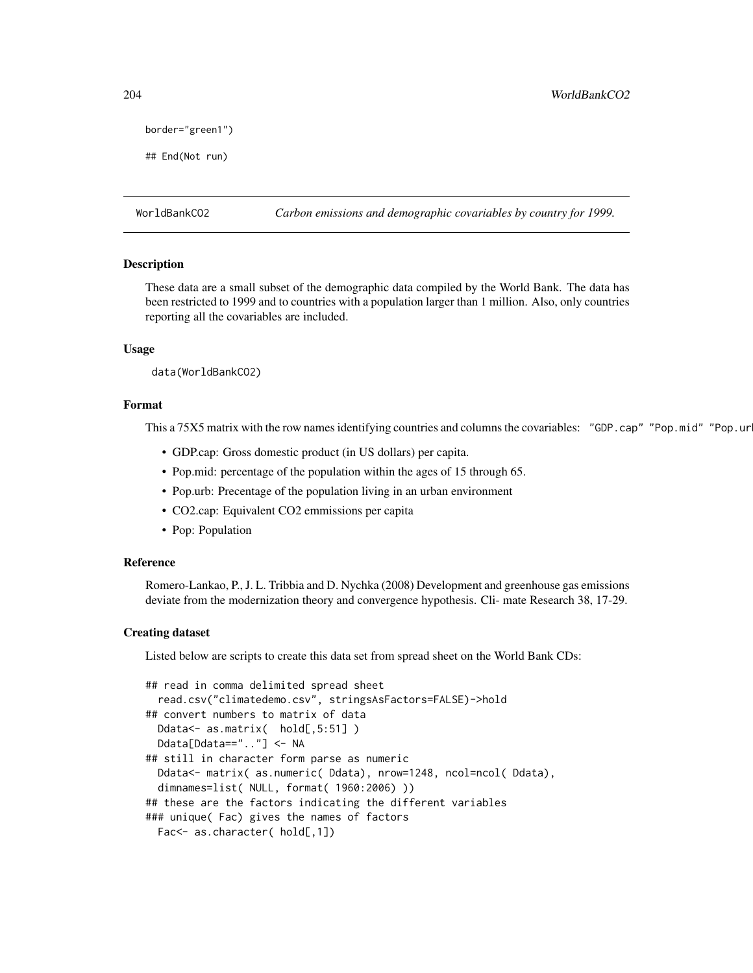```
border="green1")
```

```
## End(Not run)
```
WorldBankCO2 *Carbon emissions and demographic covariables by country for 1999.*

#### Description

These data are a small subset of the demographic data compiled by the World Bank. The data has been restricted to 1999 and to countries with a population larger than 1 million. Also, only countries reporting all the covariables are included.

# Usage

```
data(WorldBankCO2)
```
#### Format

This a 75X5 matrix with the row names identifying countries and columns the covariables: "GDP.cap" "Pop.mid" "Pop.ur

- GDP.cap: Gross domestic product (in US dollars) per capita.
- Pop.mid: percentage of the population within the ages of 15 through 65.
- Pop.urb: Precentage of the population living in an urban environment
- CO2.cap: Equivalent CO2 emmissions per capita
- Pop: Population

#### Reference

Romero-Lankao, P., J. L. Tribbia and D. Nychka (2008) Development and greenhouse gas emissions deviate from the modernization theory and convergence hypothesis. Cli- mate Research 38, 17-29.

## Creating dataset

Listed below are scripts to create this data set from spread sheet on the World Bank CDs:

```
## read in comma delimited spread sheet
  read.csv("climatedemo.csv", stringsAsFactors=FALSE)->hold
## convert numbers to matrix of data
 Ddata <- as.matrix( hold[,5:51] )
 Ddata[Ddata==".."] <- NA
## still in character form parse as numeric
 Ddata<- matrix( as.numeric( Ddata), nrow=1248, ncol=ncol( Ddata),
  dimnames=list( NULL, format( 1960:2006) ))
## these are the factors indicating the different variables
### unique( Fac) gives the names of factors
 Fac<- as.character( hold[,1])
```
<span id="page-203-0"></span>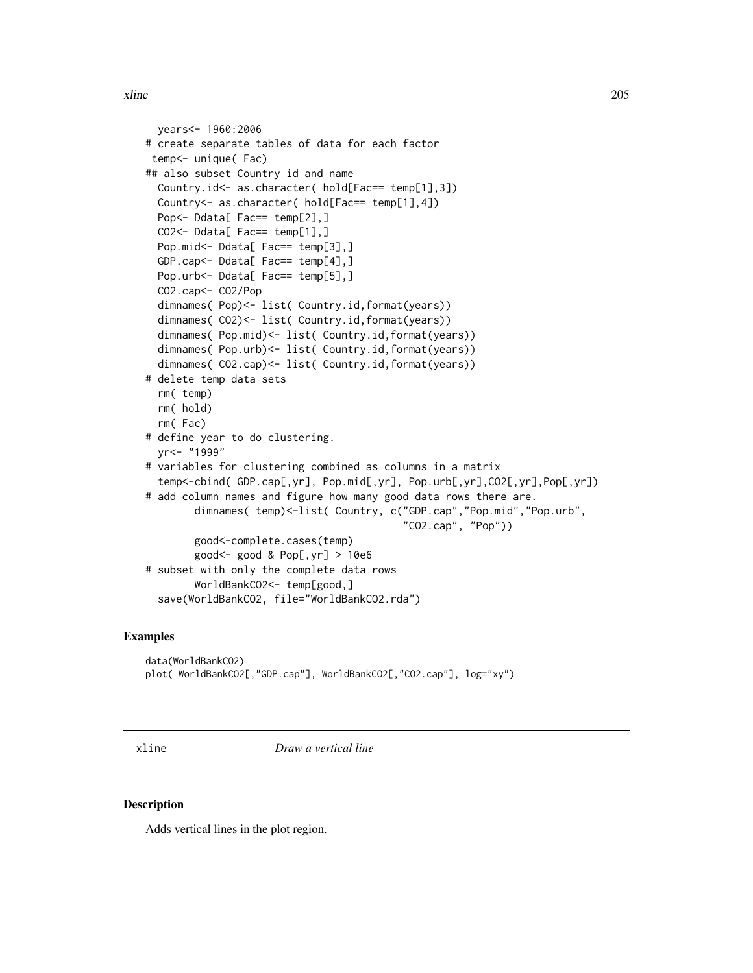```
years<- 1960:2006
# create separate tables of data for each factor
temp<- unique( Fac)
## also subset Country id and name
 Country.id<- as.character( hold[Fac== temp[1],3])
 Country<- as.character( hold[Fac== temp[1],4])
 Pop<- Ddata[ Fac== temp[2],]
 CO2<- Ddata[ Fac== temp[1],]
 Pop.mid<- Ddata[ Fac== temp[3],]
 GDP.cap<- Ddata[ Fac== temp[4],]
 Pop.urb <- Ddata[ Fac== temp[5],]
 CO2.cap<- CO2/Pop
 dimnames( Pop)<- list( Country.id,format(years))
 dimnames( CO2)<- list( Country.id,format(years))
 dimnames( Pop.mid)<- list( Country.id,format(years))
 dimnames( Pop.urb)<- list( Country.id,format(years))
 dimnames( CO2.cap)<- list( Country.id,format(years))
# delete temp data sets
 rm( temp)
 rm( hold)
 rm( Fac)
# define year to do clustering.
 yr<- "1999"
# variables for clustering combined as columns in a matrix
 temp<-cbind( GDP.cap[,yr], Pop.mid[,yr], Pop.urb[,yr],CO2[,yr],Pop[,yr])
# add column names and figure how many good data rows there are.
       dimnames( temp)<-list( Country, c("GDP.cap","Pop.mid","Pop.urb",
                                          "CO2.cap", "Pop"))
       good<-complete.cases(temp)
       good<- good & Pop[,yr] > 10e6
# subset with only the complete data rows
       WorldBankCO2<- temp[good,]
 save(WorldBankCO2, file="WorldBankCO2.rda")
```
# Examples

```
data(WorldBankCO2)
plot( WorldBankCO2[,"GDP.cap"], WorldBankCO2[,"CO2.cap"], log="xy")
```
xline *Draw a vertical line*

#### Description

Adds vertical lines in the plot region.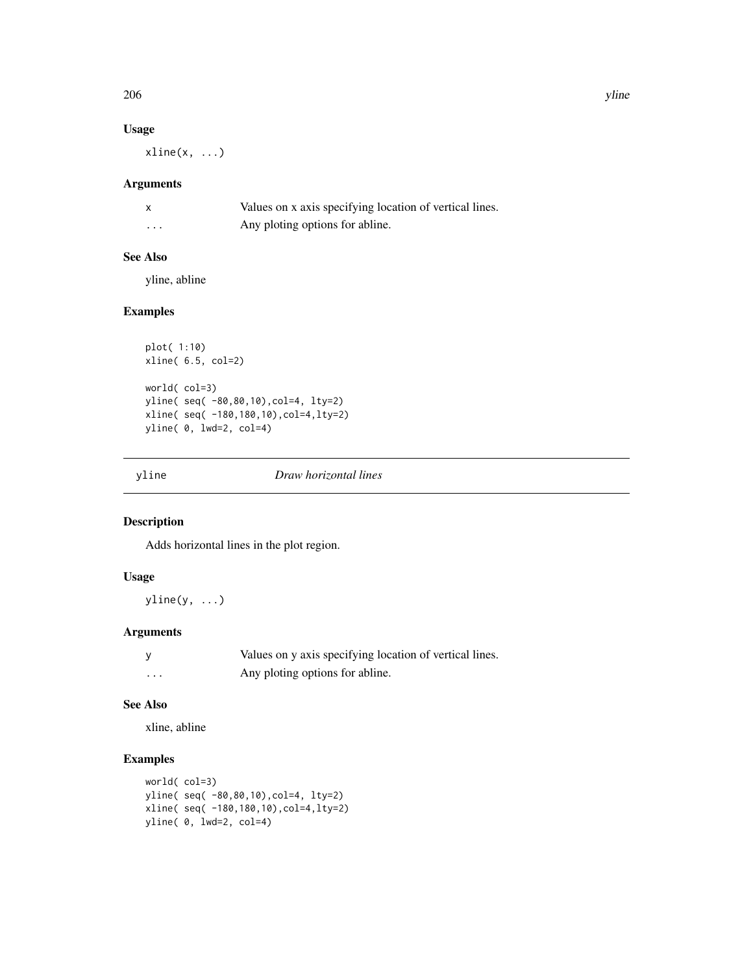206 yline

# Usage

 $xline(x, \ldots)$ 

# Arguments

|   | Values on x axis specifying location of vertical lines. |
|---|---------------------------------------------------------|
| . | Any ploting options for abline.                         |

# See Also

yline, abline

# Examples

```
plot( 1:10)
xline( 6.5, col=2)
world( col=3)
yline( seq( -80,80,10),col=4, lty=2)
xline( seq( -180,180,10),col=4,lty=2)
yline( 0, lwd=2, col=4)
```
yline *Draw horizontal lines*

# Description

Adds horizontal lines in the plot region.

# Usage

 $yline(y, \ldots)$ 

# Arguments

|   | Values on y axis specifying location of vertical lines. |
|---|---------------------------------------------------------|
| . | Any ploting options for abline.                         |

# See Also

xline, abline

# Examples

```
world( col=3)
yline( seq( -80,80,10),col=4, lty=2)
xline( seq( -180,180,10),col=4,lty=2)
yline( 0, lwd=2, col=4)
```
<span id="page-205-0"></span>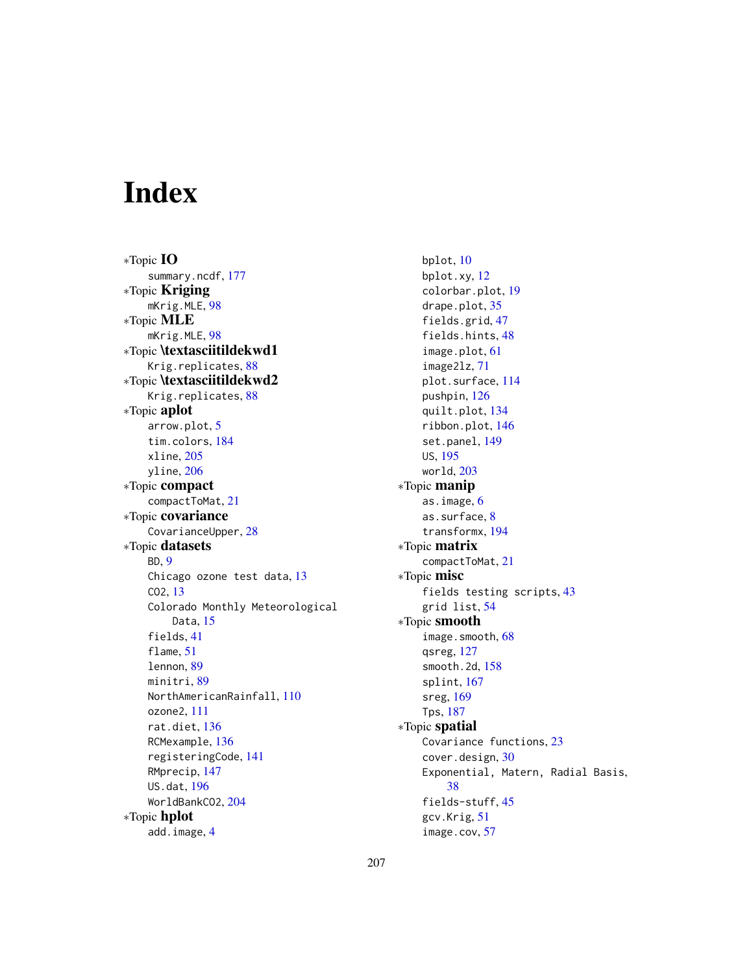# Index

∗Topic IO summary.ncdf, [177](#page-176-0) ∗Topic Kriging mKrig.MLE, [98](#page-97-0) ∗Topic MLE mKrig.MLE, [98](#page-97-0) ∗Topic \textasciitildekwd1 Krig.replicates, [88](#page-87-0) ∗Topic \textasciitildekwd2 Krig.replicates, [88](#page-87-0) ∗Topic aplot arrow.plot, [5](#page-4-0) tim.colors, [184](#page-183-0) xline, [205](#page-204-0) yline, [206](#page-205-0) ∗Topic compact compactToMat, [21](#page-20-0) ∗Topic covariance CovarianceUpper, [28](#page-27-0) ∗Topic datasets BD, [9](#page-8-0) Chicago ozone test data, [13](#page-12-0) CO2, [13](#page-12-0) Colorado Monthly Meteorological Data, [15](#page-14-0) fields, [41](#page-40-0) flame, [51](#page-50-0) lennon, [89](#page-88-0) minitri, [89](#page-88-0) NorthAmericanRainfall, [110](#page-109-0) ozone2, [111](#page-110-0) rat.diet, [136](#page-135-0) RCMexample, [136](#page-135-0) registeringCode, [141](#page-140-0) RMprecip, [147](#page-146-0) US.dat, [196](#page-195-1) WorldBankCO2, [204](#page-203-0) ∗Topic hplot add.image, [4](#page-3-0)

bplot, [10](#page-9-1) bplot.xy, [12](#page-11-1) colorbar.plot, [19](#page-18-0) drape.plot, [35](#page-34-0) fields.grid, [47](#page-46-0) fields.hints, [48](#page-47-0) image.plot, [61](#page-60-0) image2lz, [71](#page-70-0) plot.surface, [114](#page-113-0) pushpin, [126](#page-125-0) quilt.plot, [134](#page-133-0) ribbon.plot, [146](#page-145-0) set.panel, [149](#page-148-0) US, [195](#page-194-0) world, [203](#page-202-0) ∗Topic manip as.image, [6](#page-5-0) as.surface, [8](#page-7-0) transformx, [194](#page-193-0) ∗Topic matrix compactToMat, [21](#page-20-0) ∗Topic misc fields testing scripts, [43](#page-42-0) grid list, [54](#page-53-0) ∗Topic smooth image.smooth, [68](#page-67-0) qsreg, [127](#page-126-0) smooth.2d, [158](#page-157-0) splint, [167](#page-166-0) sreg, [169](#page-168-1) Tps, [187](#page-186-1) ∗Topic spatial Covariance functions, [23](#page-22-0) cover.design, [30](#page-29-0) Exponential, Matern, Radial Basis, [38](#page-37-0) fields-stuff, [45](#page-44-0) gcv.Krig, [51](#page-50-0) image.cov, [57](#page-56-0)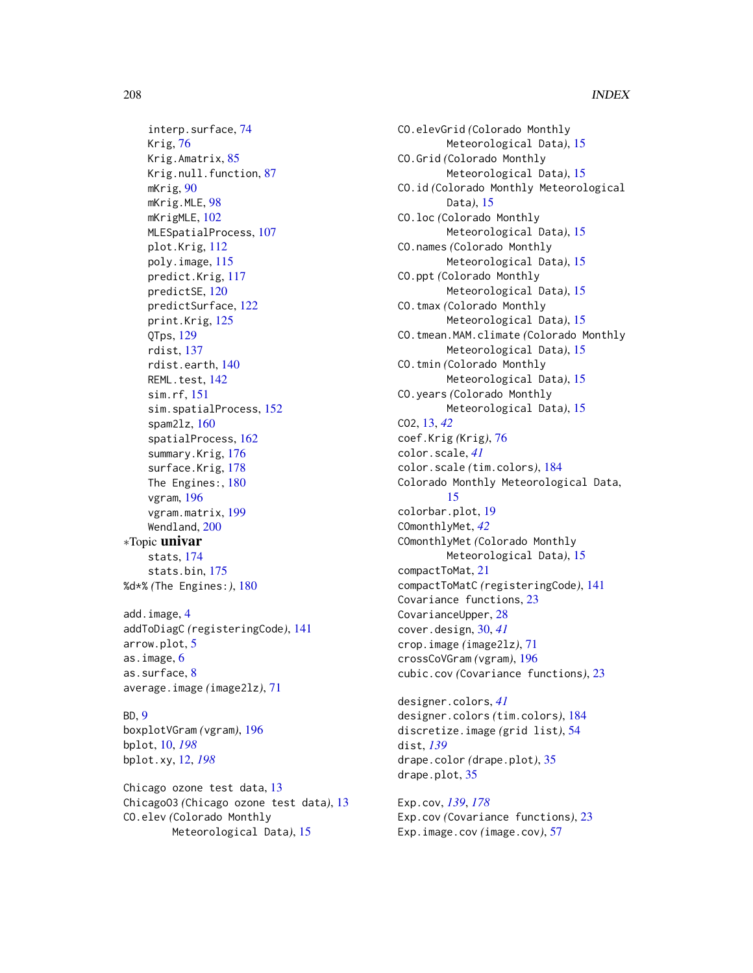interp.surface, [74](#page-73-0) Krig, [76](#page-75-1) Krig.Amatrix, [85](#page-84-0) Krig.null.function, [87](#page-86-0) mKrig, [90](#page-89-0) mKrig.MLE, [98](#page-97-0) mKrigMLE, [102](#page-101-0) MLESpatialProcess, [107](#page-106-0) plot.Krig, [112](#page-111-0) poly.image, [115](#page-114-0) predict.Krig, [117](#page-116-0) predictSE, [120](#page-119-0) predictSurface, [122](#page-121-0) print.Krig, [125](#page-124-0) QTps, [129](#page-128-0) rdist, [137](#page-136-0) rdist.earth, [140](#page-139-1) REML.test, [142](#page-141-0) sim.rf, [151](#page-150-0) sim.spatialProcess, [152](#page-151-0) spam2lz, [160](#page-159-0) spatialProcess, [162](#page-161-0) summary.Krig, [176](#page-175-0) surface.Krig, [178](#page-177-1) The Engines:, [180](#page-179-0) vgram, [196](#page-195-1) vgram.matrix, [199](#page-198-1) Wendland, [200](#page-199-0) ∗Topic univar stats, [174](#page-173-0) stats.bin, [175](#page-174-0) %d\*% *(*The Engines:*)*, [180](#page-179-0) add.image, [4](#page-3-0)

addToDiagC *(*registeringCode*)*, [141](#page-140-0) arrow.plot, [5](#page-4-0) as.image, [6](#page-5-0) as.surface, [8](#page-7-0) average.image *(*image2lz*)*, [71](#page-70-0)

BD, [9](#page-8-0) boxplotVGram *(*vgram*)*, [196](#page-195-1) bplot, [10,](#page-9-1) *[198](#page-197-0)* bplot.xy, [12,](#page-11-1) *[198](#page-197-0)*

Chicago ozone test data, [13](#page-12-0) ChicagoO3 *(*Chicago ozone test data*)*, [13](#page-12-0) CO.elev *(*Colorado Monthly Meteorological Data*)*, [15](#page-14-0)

CO.elevGrid *(*Colorado Monthly Meteorological Data*)*, [15](#page-14-0) CO.Grid *(*Colorado Monthly Meteorological Data*)*, [15](#page-14-0) CO.id *(*Colorado Monthly Meteorological Data*)*, [15](#page-14-0) CO.loc *(*Colorado Monthly Meteorological Data*)*, [15](#page-14-0) CO.names *(*Colorado Monthly Meteorological Data*)*, [15](#page-14-0) CO.ppt *(*Colorado Monthly Meteorological Data*)*, [15](#page-14-0) CO.tmax *(*Colorado Monthly Meteorological Data*)*, [15](#page-14-0) CO.tmean.MAM.climate *(*Colorado Monthly Meteorological Data*)*, [15](#page-14-0) CO.tmin *(*Colorado Monthly Meteorological Data*)*, [15](#page-14-0) CO.years *(*Colorado Monthly Meteorological Data*)*, [15](#page-14-0) CO2, [13,](#page-12-0) *[42](#page-41-0)* coef.Krig *(*Krig*)*, [76](#page-75-1) color.scale, *[41](#page-40-0)* color.scale *(*tim.colors*)*, [184](#page-183-0) Colorado Monthly Meteorological Data, [15](#page-14-0) colorbar.plot, [19](#page-18-0) COmonthlyMet, *[42](#page-41-0)* COmonthlyMet *(*Colorado Monthly Meteorological Data*)*, [15](#page-14-0) compactToMat, [21](#page-20-0) compactToMatC *(*registeringCode*)*, [141](#page-140-0) Covariance functions, [23](#page-22-0) CovarianceUpper, [28](#page-27-0) cover.design, [30,](#page-29-0) *[41](#page-40-0)* crop.image *(*image2lz*)*, [71](#page-70-0) crossCoVGram *(*vgram*)*, [196](#page-195-1) cubic.cov *(*Covariance functions*)*, [23](#page-22-0)

designer.colors, *[41](#page-40-0)* designer.colors *(*tim.colors*)*, [184](#page-183-0) discretize.image *(*grid list*)*, [54](#page-53-0) dist, *[139](#page-138-0)* drape.color *(*drape.plot*)*, [35](#page-34-0) drape.plot, [35](#page-34-0)

Exp.cov, *[139](#page-138-0)*, *[178](#page-177-1)* Exp.cov *(*Covariance functions*)*, [23](#page-22-0) Exp.image.cov *(*image.cov*)*, [57](#page-56-0)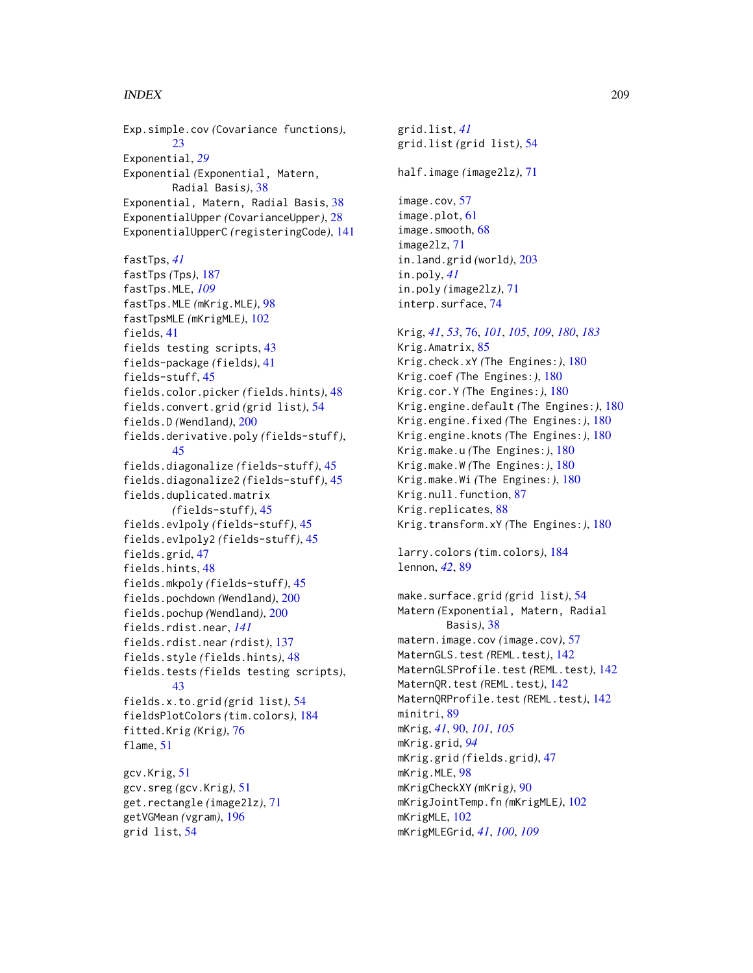Exp.simple.cov *(*Covariance functions*)*, [23](#page-22-0) Exponential, *[29](#page-28-0)* Exponential *(*Exponential, Matern, Radial Basis*)*, [38](#page-37-0) Exponential, Matern, Radial Basis, [38](#page-37-0) ExponentialUpper *(*CovarianceUpper*)*, [28](#page-27-0) ExponentialUpperC *(*registeringCode*)*, [141](#page-140-0) fastTps, *[41](#page-40-0)* fastTps *(*Tps*)*, [187](#page-186-1) fastTps.MLE, *[109](#page-108-0)* fastTps.MLE *(*mKrig.MLE*)*, [98](#page-97-0) fastTpsMLE *(*mKrigMLE*)*, [102](#page-101-0) fields, [41](#page-40-0) fields testing scripts, [43](#page-42-0) fields-package *(*fields*)*, [41](#page-40-0) fields-stuff, [45](#page-44-0) fields.color.picker *(*fields.hints*)*, [48](#page-47-0) fields.convert.grid *(*grid list*)*, [54](#page-53-0) fields.D *(*Wendland*)*, [200](#page-199-0) fields.derivative.poly *(*fields-stuff*)*, [45](#page-44-0) fields.diagonalize *(*fields-stuff*)*, [45](#page-44-0) fields.diagonalize2 *(*fields-stuff*)*, [45](#page-44-0) fields.duplicated.matrix *(*fields-stuff*)*, [45](#page-44-0) fields.evlpoly *(*fields-stuff*)*, [45](#page-44-0) fields.evlpoly2 *(*fields-stuff*)*, [45](#page-44-0) fields.grid, [47](#page-46-0) fields.hints, [48](#page-47-0) fields.mkpoly *(*fields-stuff*)*, [45](#page-44-0) fields.pochdown *(*Wendland*)*, [200](#page-199-0) fields.pochup *(*Wendland*)*, [200](#page-199-0) fields.rdist.near, *[141](#page-140-0)* fields.rdist.near *(*rdist*)*, [137](#page-136-0) fields.style *(*fields.hints*)*, [48](#page-47-0) fields.tests *(*fields testing scripts*)*, [43](#page-42-0) fields.x.to.grid *(*grid list*)*, [54](#page-53-0) fieldsPlotColors *(*tim.colors*)*, [184](#page-183-0) fitted.Krig *(*Krig*)*, [76](#page-75-1) flame, [51](#page-50-0) gcv.Krig, [51](#page-50-0) gcv.sreg *(*gcv.Krig*)*, [51](#page-50-0) get.rectangle *(*image2lz*)*, [71](#page-70-0)

getVGMean *(*vgram*)*, [196](#page-195-1)

grid list, [54](#page-53-0)

grid.list, *[41](#page-40-0)* grid.list *(*grid list*)*, [54](#page-53-0) half.image *(*image2lz*)*, [71](#page-70-0) image.cov, [57](#page-56-0) image.plot, [61](#page-60-0) image.smooth, [68](#page-67-0) image2lz, [71](#page-70-0) in.land.grid *(*world*)*, [203](#page-202-0) in.poly, *[41](#page-40-0)* in.poly *(*image2lz*)*, [71](#page-70-0) interp.surface, [74](#page-73-0)

Krig, *[41](#page-40-0)*, *[53](#page-52-0)*, [76,](#page-75-1) *[101](#page-100-0)*, *[105](#page-104-0)*, *[109](#page-108-0)*, *[180](#page-179-0)*, *[183](#page-182-0)* Krig.Amatrix, [85](#page-84-0) Krig.check.xY *(*The Engines:*)*, [180](#page-179-0) Krig.coef *(*The Engines:*)*, [180](#page-179-0) Krig.cor.Y *(*The Engines:*)*, [180](#page-179-0) Krig.engine.default *(*The Engines:*)*, [180](#page-179-0) Krig.engine.fixed *(*The Engines:*)*, [180](#page-179-0) Krig.engine.knots *(*The Engines:*)*, [180](#page-179-0) Krig.make.u *(*The Engines:*)*, [180](#page-179-0) Krig.make.W *(*The Engines:*)*, [180](#page-179-0) Krig.make.Wi *(*The Engines:*)*, [180](#page-179-0) Krig.null.function, [87](#page-86-0) Krig.replicates, [88](#page-87-0) Krig.transform.xY *(*The Engines:*)*, [180](#page-179-0)

```
larry.colors (tim.colors), 184
lennon, 42, 89
```
make.surface.grid *(*grid list*)*, [54](#page-53-0) Matern *(*Exponential, Matern, Radial Basis*)*, [38](#page-37-0) matern.image.cov *(*image.cov*)*, [57](#page-56-0) MaternGLS.test *(*REML.test*)*, [142](#page-141-0) MaternGLSProfile.test *(*REML.test*)*, [142](#page-141-0) MaternQR.test *(*REML.test*)*, [142](#page-141-0) MaternQRProfile.test *(*REML.test*)*, [142](#page-141-0) minitri, [89](#page-88-0) mKrig, *[41](#page-40-0)*, [90,](#page-89-0) *[101](#page-100-0)*, *[105](#page-104-0)* mKrig.grid, *[94](#page-93-0)* mKrig.grid *(*fields.grid*)*, [47](#page-46-0) mKrig.MLE, [98](#page-97-0) mKrigCheckXY *(*mKrig*)*, [90](#page-89-0) mKrigJointTemp.fn *(*mKrigMLE*)*, [102](#page-101-0) mKrigMLE, [102](#page-101-0) mKrigMLEGrid, *[41](#page-40-0)*, *[100](#page-99-0)*, *[109](#page-108-0)*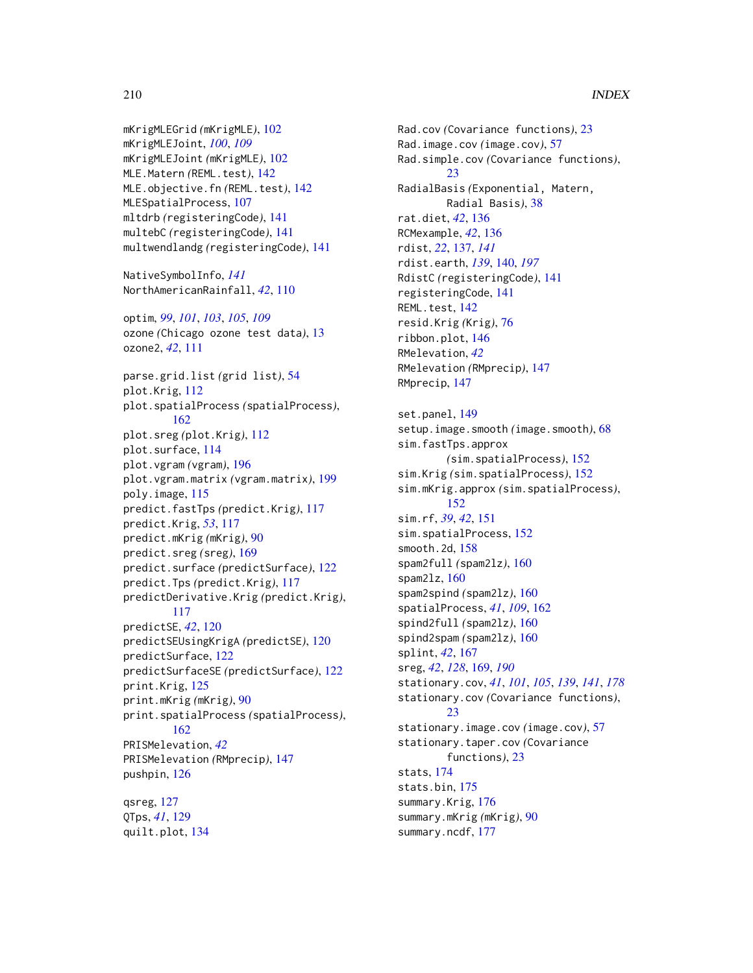mKrigMLEGrid *(*mKrigMLE*)*, [102](#page-101-0) mKrigMLEJoint, *[100](#page-99-0)*, *[109](#page-108-0)* mKrigMLEJoint *(*mKrigMLE*)*, [102](#page-101-0) MLE.Matern *(*REML.test*)*, [142](#page-141-0) MLE.objective.fn *(*REML.test*)*, [142](#page-141-0) MLESpatialProcess, [107](#page-106-0) mltdrb *(*registeringCode*)*, [141](#page-140-0) multebC *(*registeringCode*)*, [141](#page-140-0) multwendlandg *(*registeringCode*)*, [141](#page-140-0) NativeSymbolInfo, *[141](#page-140-0)* NorthAmericanRainfall, *[42](#page-41-0)*, [110](#page-109-0) optim, *[99](#page-98-0)*, *[101](#page-100-0)*, *[103](#page-102-0)*, *[105](#page-104-0)*, *[109](#page-108-0)* ozone *(*Chicago ozone test data*)*, [13](#page-12-0) ozone2, *[42](#page-41-0)*, [111](#page-110-0) parse.grid.list *(*grid list*)*, [54](#page-53-0) plot.Krig, [112](#page-111-0) plot.spatialProcess *(*spatialProcess*)*, [162](#page-161-0) plot.sreg *(*plot.Krig*)*, [112](#page-111-0) plot.surface, [114](#page-113-0) plot.vgram *(*vgram*)*, [196](#page-195-1) plot.vgram.matrix *(*vgram.matrix*)*, [199](#page-198-1) poly.image, [115](#page-114-0) predict.fastTps *(*predict.Krig*)*, [117](#page-116-0) predict.Krig, *[53](#page-52-0)*, [117](#page-116-0) predict.mKrig *(*mKrig*)*, [90](#page-89-0) predict.sreg *(*sreg*)*, [169](#page-168-1) predict.surface *(*predictSurface*)*, [122](#page-121-0) predict.Tps *(*predict.Krig*)*, [117](#page-116-0) predictDerivative.Krig *(*predict.Krig*)*, [117](#page-116-0) predictSE, *[42](#page-41-0)*, [120](#page-119-0) predictSEUsingKrigA *(*predictSE*)*, [120](#page-119-0) predictSurface, [122](#page-121-0) predictSurfaceSE *(*predictSurface*)*, [122](#page-121-0) print.Krig, [125](#page-124-0) print.mKrig *(*mKrig*)*, [90](#page-89-0) print.spatialProcess *(*spatialProcess*)*, [162](#page-161-0) PRISMelevation, *[42](#page-41-0)* PRISMelevation *(*RMprecip*)*, [147](#page-146-0) pushpin, [126](#page-125-0) qsreg, [127](#page-126-0) QTps, *[41](#page-40-0)*, [129](#page-128-0) quilt.plot, [134](#page-133-0)

Rad.cov *(*Covariance functions*)*, [23](#page-22-0) Rad.image.cov *(*image.cov*)*, [57](#page-56-0) Rad.simple.cov *(*Covariance functions*)*,  $23$ RadialBasis *(*Exponential, Matern, Radial Basis*)*, [38](#page-37-0) rat.diet, *[42](#page-41-0)*, [136](#page-135-0) RCMexample, *[42](#page-41-0)*, [136](#page-135-0) rdist, *[22](#page-21-0)*, [137,](#page-136-0) *[141](#page-140-0)* rdist.earth, *[139](#page-138-0)*, [140,](#page-139-1) *[197](#page-196-0)* RdistC *(*registeringCode*)*, [141](#page-140-0) registeringCode, [141](#page-140-0) REML.test, [142](#page-141-0) resid.Krig *(*Krig*)*, [76](#page-75-1) ribbon.plot, [146](#page-145-0) RMelevation, *[42](#page-41-0)* RMelevation *(*RMprecip*)*, [147](#page-146-0) RMprecip, [147](#page-146-0) set.panel, [149](#page-148-0) setup.image.smooth *(*image.smooth*)*, [68](#page-67-0) sim.fastTps.approx *(*sim.spatialProcess*)*, [152](#page-151-0) sim.Krig *(*sim.spatialProcess*)*, [152](#page-151-0) sim.mKrig.approx *(*sim.spatialProcess*)*, [152](#page-151-0) sim.rf, *[39](#page-38-0)*, *[42](#page-41-0)*, [151](#page-150-0) sim.spatialProcess, [152](#page-151-0) smooth.2d, [158](#page-157-0) spam2full *(*spam2lz*)*, [160](#page-159-0) spam2lz, [160](#page-159-0) spam2spind *(*spam2lz*)*, [160](#page-159-0) spatialProcess, *[41](#page-40-0)*, *[109](#page-108-0)*, [162](#page-161-0) spind2full *(*spam2lz*)*, [160](#page-159-0) spind2spam *(*spam2lz*)*, [160](#page-159-0) splint, *[42](#page-41-0)*, [167](#page-166-0) sreg, *[42](#page-41-0)*, *[128](#page-127-0)*, [169,](#page-168-1) *[190](#page-189-0)* stationary.cov, *[41](#page-40-0)*, *[101](#page-100-0)*, *[105](#page-104-0)*, *[139](#page-138-0)*, *[141](#page-140-0)*, *[178](#page-177-1)* stationary.cov *(*Covariance functions*)*, [23](#page-22-0) stationary.image.cov *(*image.cov*)*, [57](#page-56-0) stationary.taper.cov *(*Covariance functions*)*, [23](#page-22-0) stats, [174](#page-173-0) stats.bin, [175](#page-174-0) summary.Krig, [176](#page-175-0) summary.mKrig *(*mKrig*)*, [90](#page-89-0) summary.ncdf, [177](#page-176-0)